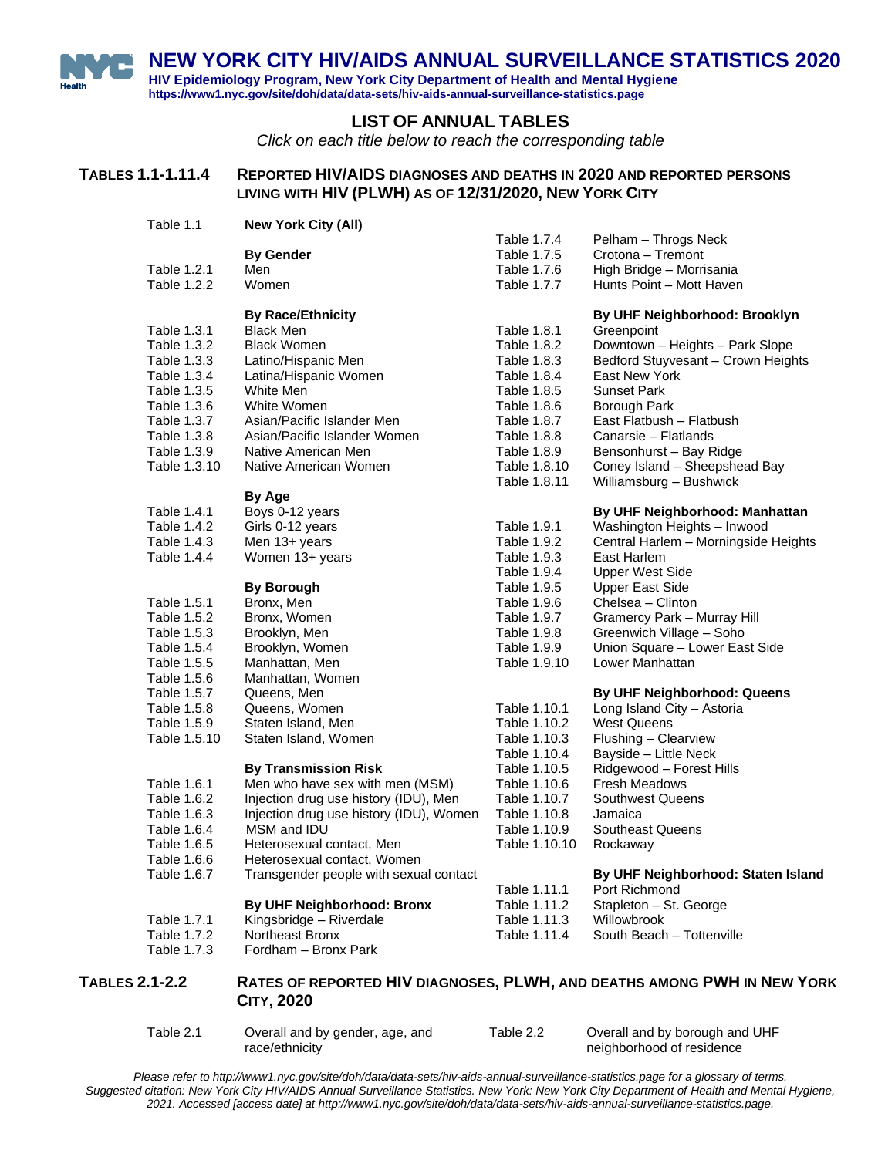**NEW YORK CITY HIV/AIDS ANNUAL SURVEILLANCE STATISTICS 2020**

**HIV Epidemiology Program, New York City Department of Health and Mental Hygiene https://www1.nyc.gov/site/doh/data/data-sets/hiv-aids-annual-surveillance-statistics.page**

Table 1.1 **[New York City \(All\)](#page-1-0)**

#### **LIST OF ANNUAL TABLES**

*Click on each title below to reach the corresponding table*

#### **TABLES 1.1-1.11.4 REPORTED HIV/AIDS DIAGNOSES AND DEATHS IN 2020 AND REPORTED PERSONS LIVING WITH HIV (PLWH) AS OF 12/31/2020, NEW YORK CITY**

[Table 1.7.4 Pelham –](#page-38-0) Throgs Neck **By Gender** [Table 1.7.5](#page-39-0) Crotona – Tremont<br>Men Table 1.7.6 High Bridge – Morri [Table 1.2.1 Men](#page-2-0) Men [Table 1.7.6 High Bridge –](#page-40-0) Morrisania [Table 1.2.2 Women](#page-3-0) [Table 1.7.7 Hunts Point –](#page-41-0) Mott Haven **By Race/Ethnicity By UHF Neighborhood: Brooklyn** [Table 1.3.1 Black Men](#page-4-0) [Table 1.8.1 Greenpoint](#page-42-0) [Table 1.3.2 Black Women](#page-5-0) [Table 1.8.2 Downtown –](#page-43-0) Heights – Park Slope<br>Table 1.3.3 Latino/Hispanic Men Table 1.8.3 Bedford Stuyvesant – Crown Heights Bedford Stuyvesant – Crown Heights [Table 1.3.4 Latina/Hispanic Women](#page-7-0) [Table 1.8.4 East New York](#page-45-0) [Table 1.3.5 White Men](#page-8-0) [Table 1.8.5 Sunset Park](#page-46-0) [Table 1.3.6 White Women](#page-9-0) [Table 1.8.6 Borough Park](#page-47-0) Table 1.3.7 [Asian/Pacific Islander Men](#page-10-0) [Table 1.8.7 East Flatbush –](#page-48-0) Flatbush Table 1.3.8 [Asian/Pacific Islander Women](#page-11-0) [Table 1.8.8 Canarsie –](#page-49-0) Flatlands Table 1.3.9 [Native American](#page-12-0) Men [Table 1.8.9 Bensonhurst –](#page-50-0) Bay Ridge Table 1.3.10 [Native American](#page-13-0) Women [Table 1.8.10 Coney Island –](#page-51-0) Sheepshead Bay [Table 1.8.11 Williamsburg –](#page-52-0) Bushwick **By Age** [Table 1.4.1 Boys](#page-14-0) 0-12 years **By UHF Neighborhood: Manhattan** [Table 1.4.2 Girls](#page-15-0) 0-12 years [Table 1.9.1 Washington Heights –](#page-53-0) Inwood [Table 1.4.3 Men](#page-16-0) 13+ years [Table 1.9.2 Central Harlem –](#page-54-0) Morningside Heights<br>Table 1.4.4 Women 13+ years Table 1.9.3 East Harlem Women 13+ years Table 1.9.3<br>Table 1.9.4 Upper West Side **By Borough** [Table 1.9.5 Upper East Side](#page-57-0)<br>Bronx. Men Table 1.9.6 Chelsea – Clintoi [Table 1.5.1 Bronx, Men](#page-18-0) State 1.9.6 Chelsea – Clinton<br>Table 1.5.2 Bronx. Women Table 1.9.7 Gramercy Park – N [Table 1.5.2 Bronx, Women](#page-19-0) **Table 1.9.7** Gramercy Park – Murray Hill<br>Table 1.5.3 Brooklyn, Men Table 1.9.8 Greenwich Village – Soho [Table 1.9.8 Greenwich Village –](#page-60-0) Soho [Table 1.5.4 Brooklyn, Women](#page-21-0) [Table 1.9.9 Union Square –](#page-61-0) Lower East Side [Table 1.5.5 Manhattan, Men](#page-22-0) [Table 1.9.10 Lower Manhattan](#page-62-0) [Table 1.5.6 Manhattan, Women](#page-23-0)<br>Table 1.5.7 Queens, Men **Table 1.5.7 Cueens, Men 1.5.7 Cueens, Men 1.5.7 By UHF Neighborhood: Queens** [Table 1.5.8 Queens, Women](#page-25-0) [Table 1.10.1 Long Island City –](#page-63-0) Astoria Table 1.5.9 [Staten Island, Men](#page-26-0) [Table 1.10.2 West Queens](#page-64-0)<br>Table 1.5.10 Staten Island, Women Table 1.10.3 Flushing – Cle [Table 1.10.3 Flushing –](#page-65-0) Clearview<br>Table 1.10.4 Bayside – Little Neck Bayside – Little Neck **By Transmission Risk** Table 1.10.5 [Ridgewood –](#page-67-0) Forest Hills [Table 1.6.1 Men who have sex with men \(MSM\)](#page-28-0) [Table 1.10.6 Fresh Meadows](#page-68-0) [Table 1.6.2 Injection drug use history](#page-29-0) (IDU), Men [Table 1.10.7 Southwest Queens](#page-69-0) [Table 1.6.3 Injection drug use](#page-30-0) history (IDU), Women [Table 1.10.8 Jamaica](#page-70-0) [Table 1.6.4 MSM and IDU](#page-31-0) [Table 1.10.9 Southeast Queens](#page-71-0) [Table 1.6.5 Heterosexual contact, Men](#page-32-0) [Table 1.10.10 Rockaway](#page-72-0) [Table 1.6.6 Heterosexual contact, Women](#page-33-0) [Table 1.6.7 Transgender people with sexual contact](#page-34-0) **By UHF Neighborhood: Staten Island** [Table 1.11.1 Port Richmond](#page-73-0) **By UHF Neighborhood: Bronx** [Table 1.11.2 Stapleton –](#page-74-0) St. George [Table 1.7.1 Kingsbridge –](#page-35-0) Riverdale [Table 1.11.3 Willowbrook](#page-75-0)<br>Table 1.7.2 Northeast Bronx Table 1.11.4 South Beach [Table 1.7.2 Northeast Bronx](#page-36-0) Table 1.11.4 [South Beach –](#page-76-0) Tottenville [Table 1.7.3 Fordham –](#page-37-0) Bronx Park

#### **TABLES 2.1-2.2 RATES OF REPORTED HIV DIAGNOSES, PLWH, AND DEATHS AMONG PWH IN NEW YORK CITY, 2020**

Table 2.1 [Overall and by gender, age, and](#page-77-0)  race/ethnicity

Table 2.2 [Overall and by borough and UHF](#page-78-0)  neighborhood of residence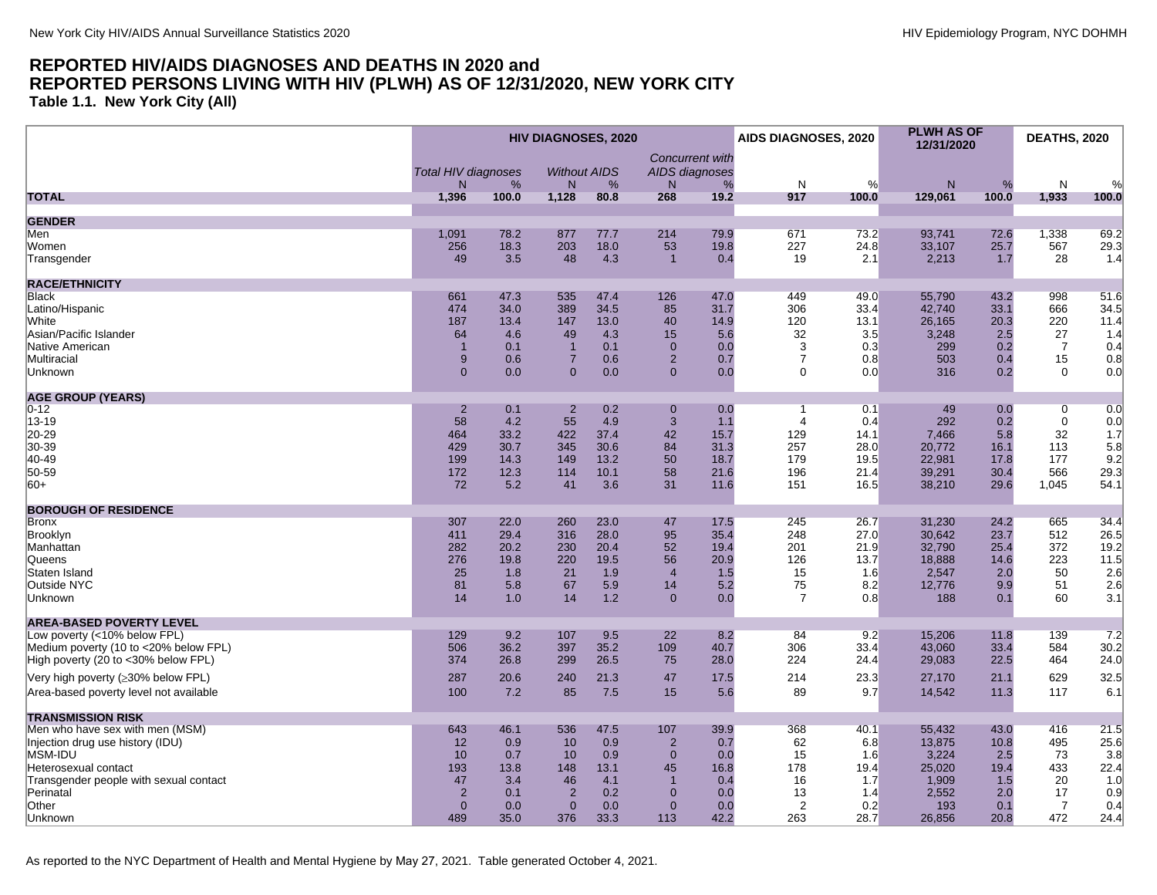<span id="page-1-0"></span>**Table 1.1. New York City (All)**

|                                                                              |                                  |              | HIV DIAGNOSES, 2020              |              |                                | <b>Concurrent with</b> | AIDS DIAGNOSES, 2020 |              | <b>PLWH AS OF</b><br>12/31/2020 |              | <b>DEATHS, 2020</b>  |              |
|------------------------------------------------------------------------------|----------------------------------|--------------|----------------------------------|--------------|--------------------------------|------------------------|----------------------|--------------|---------------------------------|--------------|----------------------|--------------|
|                                                                              | <b>Total HIV diagnoses</b><br>N. | %            | <b>Without AIDS</b><br>N         | %            | AIDS diagnoses<br>N            | %                      | N                    | %            | $\mathsf{N}$                    | %            | N                    | %            |
| <b>TOTAL</b>                                                                 | 1,396                            | 100.0        | 1,128                            | 80.8         | 268                            | 19.2                   | 917                  | 100.0        | 129,061                         | 100.0        | 1,933                | 100.0        |
| <b>GENDER</b>                                                                |                                  |              |                                  |              |                                |                        |                      |              |                                 |              |                      |              |
| Men                                                                          | 1,091                            | 78.2         | 877                              | 77.7         | 214                            | 79.9                   | 671                  | 73.2         | 93.741                          | 72.6         | 1,338                | 69.2         |
| Women                                                                        | 256                              | 18.3         | 203                              | 18.0         | 53                             | 19.8                   | 227                  | 24.8         | 33,107                          | 25.7         | 567                  | 29.3         |
| Transgender                                                                  | 49                               | 3.5          | 48                               | 4.3          | $\overline{1}$                 | 0.4                    | 19                   | 2.1          | 2,213                           | 1.7          | 28                   | 1.4          |
| <b>RACE/ETHNICITY</b>                                                        |                                  |              |                                  |              |                                |                        |                      |              |                                 |              |                      |              |
| Black                                                                        | 661                              | 47.3         | 535                              | 47.4         | 126                            | 47.0                   | 449                  | 49.0         | 55,790                          | 43.2         | 998                  | 51.6         |
| Latino/Hispanic                                                              | 474                              | 34.0         | 389                              | 34.5         | 85                             | 31.7                   | 306                  | 33.4         | 42,740                          | 33.1         | 666                  | 34.5         |
| <b>White</b>                                                                 | 187                              | 13.4         | 147                              | 13.0         | 40                             | 14.9                   | 120                  | 13.1         | 26.165                          | 20.3         | 220                  | 11.4         |
| Asian/Pacific Islander                                                       | 64                               | 4.6          | 49                               | 4.3          | 15                             | 5.6                    | 32                   | 3.5          | 3,248                           | 2.5          | 27                   | 1.4          |
| Native American                                                              |                                  | 0.1          | $\overline{1}$<br>$\overline{7}$ | 0.1          | $\mathbf{0}$<br>$\overline{2}$ | 0.0                    | 3<br>$\overline{7}$  | 0.3          | 299                             | 0.2          | $\overline{7}$<br>15 | 0.4          |
| Multiracial<br>Unknown                                                       | 9<br>$\mathbf{0}$                | 0.6<br>0.0   | $\mathbf{0}$                     | 0.6<br>0.0   | $\mathbf{0}$                   | 0.7<br>0.0             | $\mathbf{0}$         | 0.8<br>0.0   | 503<br>316                      | 0.4<br>0.2   | $\mathbf 0$          | 0.8<br>0.0   |
|                                                                              |                                  |              |                                  |              |                                |                        |                      |              |                                 |              |                      |              |
| <b>AGE GROUP (YEARS)</b>                                                     |                                  |              |                                  |              |                                |                        |                      |              |                                 |              |                      |              |
| $ 0-12 $                                                                     | $\overline{2}$                   | 0.1          | $\overline{2}$                   | 0.2          | $\overline{0}$                 | 0.0                    | $\overline{1}$       | 0.1          | 49                              | 0.0          | $\overline{0}$       | 0.0          |
| $ 13 - 19 $<br>20-29                                                         | 58<br>464                        | 4.2<br>33.2  | 55<br>422                        | 4.9<br>37.4  | 3<br>42                        | 1.1<br>15.7            | 4<br>129             | 0.4<br>14.1  | 292<br>7,466                    | 0.2<br>5.8   | $\mathbf 0$<br>32    | 0.0<br>1.7   |
| 30-39                                                                        | 429                              | 30.7         | 345                              | 30.6         | 84                             | 31.3                   | 257                  | 28.0         | 20,772                          | 16.1         | 113                  | 5.8          |
| 40-49                                                                        | 199                              | 14.3         | 149                              | 13.2         | 50                             | 18.7                   | 179                  | 19.5         | 22,981                          | 17.8         | 177                  | 9.2          |
| 50-59                                                                        | 172                              | 12.3         | 114                              | 10.1         | 58                             | 21.6                   | 196                  | 21.4         | 39,291                          | 30.4         | 566                  | 29.3         |
| $ 60+$                                                                       | 72                               | 5.2          | 41                               | 3.6          | 31                             | 11.6                   | 151                  | 16.5         | 38,210                          | 29.6         | 1,045                | 54.1         |
| <b>BOROUGH OF RESIDENCE</b>                                                  |                                  |              |                                  |              |                                |                        |                      |              |                                 |              |                      |              |
| Bronx                                                                        | 307                              | 22.0         | 260                              | 23.0         | 47                             | 17.5                   | 245                  | 26.7         | 31,230                          | 24.2         | 665                  | 34.4         |
| Brooklyn                                                                     | 411                              | 29.4         | 316                              | 28.0         | 95                             | 35.4                   | 248                  | 27.0         | 30,642                          | 23.7         | 512                  | 26.5         |
| Manhattan                                                                    | 282                              | 20.2         | 230                              | 20.4         | 52                             | 19.4                   | 201                  | 21.9         | 32,790                          | 25.4         | 372                  | 19.2         |
| Queens                                                                       | 276                              | 19.8         | 220                              | 19.5         | 56                             | 20.9                   | 126                  | 13.7         | 18,888                          | 14.6         | 223                  | 11.5         |
| Staten Island                                                                | 25                               | 1.8          | 21                               | 1.9          | $\overline{4}$                 | 1.5                    | 15                   | 1.6          | 2,547                           | 2.0          | 50                   | 2.6          |
| Outside NYC                                                                  | 81<br>14                         | 5.8          | 67<br>14                         | 5.9<br>1.2   | 14<br>$\mathbf{0}$             | 5.2                    | 75<br>$\overline{7}$ | 8.2          | 12,776                          | 9.9          | 51<br>60             | 2.6          |
| Unknown                                                                      |                                  | 1.0          |                                  |              |                                | 0.0                    |                      | 0.8          | 188                             | 0.1          |                      | 3.1          |
| <b>AREA-BASED POVERTY LEVEL</b>                                              |                                  |              |                                  |              |                                |                        |                      |              |                                 |              |                      |              |
| Low poverty (<10% below FPL)                                                 | 129                              | 9.2          | 107                              | 9.5          | 22                             | 8.2                    | 84                   | 9.2          | 15,206                          | 11.8         | 139                  | 7.2          |
| Medium poverty (10 to <20% below FPL)<br>High poverty (20 to <30% below FPL) | 506<br>374                       | 36.2<br>26.8 | 397<br>299                       | 35.2<br>26.5 | 109<br>75                      | 40.7<br>28.0           | 306<br>224           | 33.4<br>24.4 | 43,060<br>29,083                | 33.4<br>22.5 | 584<br>464           | 30.2<br>24.0 |
|                                                                              |                                  |              |                                  |              |                                |                        |                      |              |                                 |              |                      |              |
| Very high poverty (≥30% below FPL)                                           | 287                              | 20.6         | 240                              | 21.3         | 47                             | 17.5                   | 214                  | 23.3         | 27,170                          | 21.1         | 629                  | 32.5         |
| Area-based poverty level not available                                       | 100                              | 7.2          | 85                               | 7.5          | 15                             | 5.6                    | 89                   | 9.7          | 14,542                          | 11.3         | 117                  | 6.1          |
| <b>TRANSMISSION RISK</b>                                                     |                                  |              |                                  |              |                                |                        |                      |              |                                 |              |                      |              |
| Men who have sex with men (MSM)                                              | 643                              | 46.1         | 536                              | 47.5         | 107                            | 39.9                   | 368                  | 40.1         | 55,432                          | 43.0         | 416                  | 21.5         |
| Injection drug use history (IDU)                                             | 12                               | 0.9          | 10                               | 0.9          | $\overline{2}$                 | 0.7                    | 62                   | 6.8          | 13,875                          | 10.8         | 495                  | 25.6         |
| MSM-IDU                                                                      | 10                               | 0.7          | 10                               | 0.9          | $\overline{0}$                 | 0.0                    | 15                   | 1.6          | 3,224                           | 2.5          | 73                   | 3.8          |
| Heterosexual contact                                                         | 193<br>47                        | 13.8<br>3.4  | 148<br>46                        | 13.1<br>4.1  | 45<br>$\overline{1}$           | 16.8<br>0.4            | 178<br>16            | 19.4         | 25,020<br>1,909                 | 19.4<br>1.5  | 433<br>20            | 22.4<br>1.0  |
| Transgender people with sexual contact<br>Perinatal                          | $\overline{2}$                   | 0.1          | $\overline{2}$                   | 0.2          | $\overline{0}$                 | 0.0                    | 13                   | 1.7<br>1.4   | 2,552                           | 2.0          | 17                   | 0.9          |
| Other                                                                        | $\mathbf{0}$                     | 0.0          | $\mathbf{0}$                     | 0.0          | $\mathbf{0}$                   | 0.0                    | 2                    | 0.2          | 193                             | 0.1          | $\overline{7}$       | 0.4          |
| Unknown                                                                      | 489                              | 35.0         | 376                              | 33.3         | 113                            | 42.2                   | 263                  | 28.7         | 26,856                          | 20.8         | 472                  | 24.4         |
|                                                                              |                                  |              |                                  |              |                                |                        |                      |              |                                 |              |                      |              |

As reported to the NYC Department of Health and Mental Hygiene by May 27, 2021. Table generated October 4, 2021.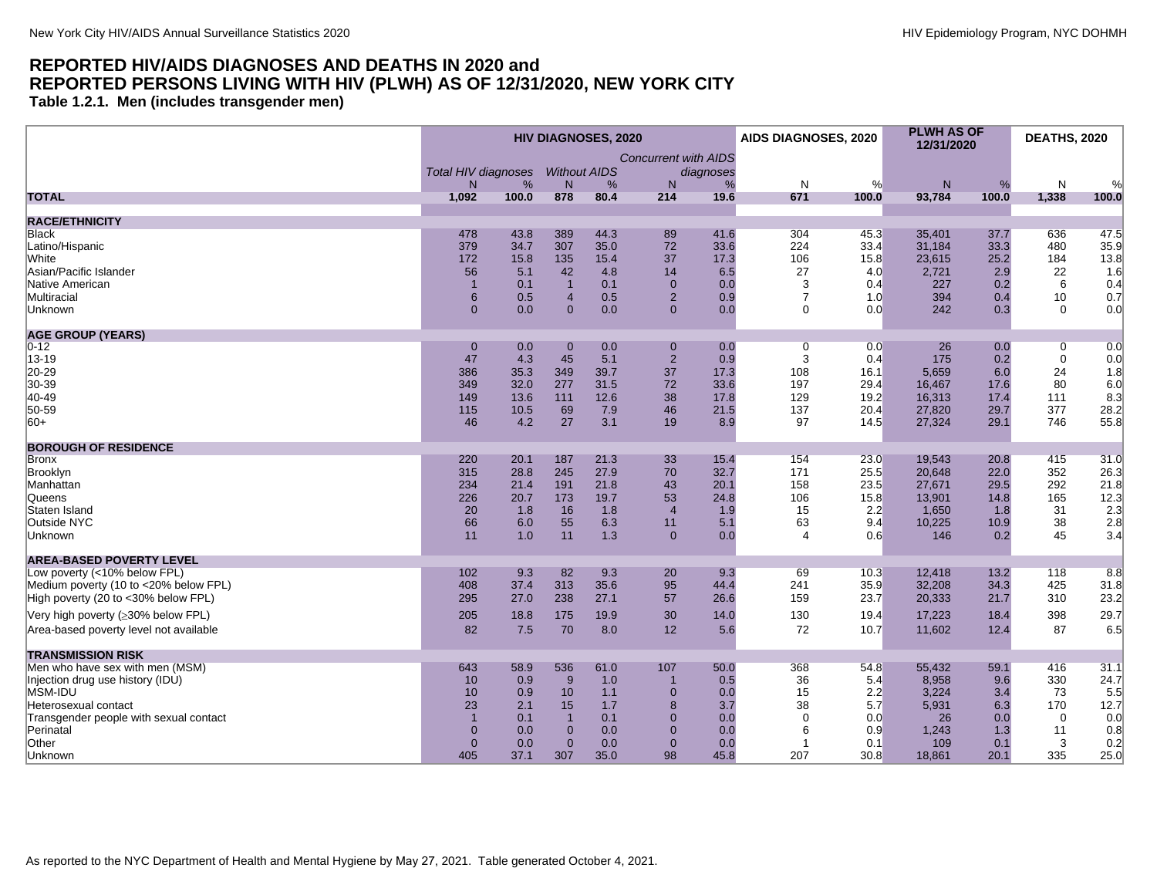<span id="page-2-0"></span>**Table 1.2.1. Men (includes transgender men)**

|                                        | <b>HIV DIAGNOSES, 2020</b>      |       |                           |      |                             | AIDS DIAGNOSES, 2020 |                | <b>PLWH AS OF</b><br>12/31/2020 |              | <b>DEATHS, 2020</b> |             |       |
|----------------------------------------|---------------------------------|-------|---------------------------|------|-----------------------------|----------------------|----------------|---------------------------------|--------------|---------------------|-------------|-------|
|                                        |                                 |       |                           |      | <b>Concurrent with AIDS</b> |                      |                |                                 |              |                     |             |       |
|                                        | <b>Total HIV diagnoses</b><br>N | %     | <b>Without AIDS</b><br>N. | %    | N <sub>1</sub>              | diagnoses<br>%       | N              | %                               | $\mathsf{N}$ | %                   | N           | %     |
| <b>TOTAL</b>                           | 1,092                           | 100.0 | 878                       | 80.4 | 214                         | 19.6                 | 671            | 100.0                           | 93,784       | 100.0               | 1,338       | 100.0 |
|                                        |                                 |       |                           |      |                             |                      |                |                                 |              |                     |             |       |
| <b>RACE/ETHNICITY</b>                  |                                 |       |                           |      |                             |                      |                |                                 |              |                     |             |       |
| <b>Black</b>                           | 478                             | 43.8  | 389                       | 44.3 | 89                          | 41.6                 | 304            | 45.3                            | 35,401       | 37.7                | 636         | 47.5  |
| Latino/Hispanic                        | 379                             | 34.7  | 307                       | 35.0 | 72                          | 33.6                 | 224            | 33.4                            | 31,184       | 33.3                | 480         | 35.9  |
| White                                  | 172                             | 15.8  | 135                       | 15.4 | 37                          | 17.3                 | 106            | 15.8                            | 23,615       | 25.2                | 184         | 13.8  |
| Asian/Pacific Islander                 | 56                              | 5.1   | 42                        | 4.8  | 14                          | 6.5                  | 27             | 4.0                             | 2,721        | 2.9                 | 22          | 1.6   |
| Native American                        | $\overline{1}$                  | 0.1   | $\overline{1}$            | 0.1  | $\Omega$                    | 0.0                  | 3              | 0.4                             | 227          | 0.2                 | 6           | 0.4   |
| Multiracial                            | 6                               | 0.5   | $\overline{4}$            | 0.5  | $\overline{2}$              | 0.9                  | $\overline{7}$ | 1.0                             | 394          | 0.4                 | 10          | 0.7   |
| Unknown                                | $\overline{0}$                  | 0.0   | $\Omega$                  | 0.0  | $\Omega$                    | 0.0                  | $\Omega$       | 0.0                             | 242          | 0.3                 | $\Omega$    | 0.0   |
| <b>AGE GROUP (YEARS)</b>               |                                 |       |                           |      |                             |                      |                |                                 |              |                     |             |       |
| $0 - 12$                               | $\mathbf{0}$                    | 0.0   | $\mathbf{0}$              | 0.0  | $\mathbf{0}$                | 0.0                  | 0              | 0.0                             | 26           | 0.0                 | $\mathbf 0$ | 0.0   |
| 13-19                                  | 47                              | 4.3   | 45                        | 5.1  | $\overline{2}$              | 0.9                  | 3              | 0.4                             | 175          | 0.2                 | $\mathbf 0$ | 0.0   |
| 20-29                                  | 386                             | 35.3  | 349                       | 39.7 | 37                          | 17.3                 | 108            | 16.1                            | 5,659        | 6.0                 | 24          | 1.8   |
| 30-39                                  | 349                             | 32.0  | 277                       | 31.5 | 72                          | 33.6                 | 197            | 29.4                            | 16,467       | 17.6                | 80          | 6.0   |
| 40-49                                  | 149                             | 13.6  | 111                       | 12.6 | 38                          | 17.8                 | 129            | 19.2                            | 16,313       | 17.4                | 111         | 8.3   |
| 50-59                                  | 115                             | 10.5  | 69                        | 7.9  | 46                          | 21.5                 | 137            | 20.4                            | 27,820       | 29.7                | 377         | 28.2  |
| $ 60+$                                 | 46                              | 4.2   | 27                        | 3.1  | 19                          | 8.9                  | 97             | 14.5                            | 27.324       | 29.1                | 746         | 55.8  |
|                                        |                                 |       |                           |      |                             |                      |                |                                 |              |                     |             |       |
| <b>BOROUGH OF RESIDENCE</b>            |                                 |       |                           |      |                             |                      |                |                                 |              |                     |             |       |
| <b>Bronx</b>                           | 220                             | 20.1  | 187                       | 21.3 | 33                          | 15.4                 | 154            | 23.0                            | 19,543       | 20.8                | 415         | 31.0  |
| Brooklyn                               | 315                             | 28.8  | 245                       | 27.9 | 70                          | 32.7                 | 171            | 25.5                            | 20,648       | 22.0                | 352         | 26.3  |
| Manhattan                              | 234                             | 21.4  | 191                       | 21.8 | 43                          | 20.1                 | 158            | 23.5                            | 27,671       | 29.5                | 292         | 21.8  |
| <b>Queens</b>                          | 226                             | 20.7  | 173                       | 19.7 | 53                          | 24.8                 | 106            | 15.8                            | 13,901       | 14.8                | 165         | 12.3  |
| Staten Island                          | 20                              | 1.8   | 16                        | 1.8  | $\overline{4}$              | 1.9                  | 15             | 2.2                             | 1,650        | 1.8                 | 31          | 2.3   |
| Outside NYC                            | 66                              | 6.0   | 55                        | 6.3  | 11                          | 5.1                  | 63             | 9.4                             | 10,225       | 10.9                | 38          | 2.8   |
| Unknown                                | 11                              | 1.0   | 11                        | 1.3  | $\mathbf{0}$                | 0.0                  | 4              | 0.6                             | 146          | 0.2                 | 45          | 3.4   |
| <b>AREA-BASED POVERTY LEVEL</b>        |                                 |       |                           |      |                             |                      |                |                                 |              |                     |             |       |
| Low poverty (<10% below FPL)           | 102                             | 9.3   | 82                        | 9.3  | 20                          | 9.3                  | 69             | 10.3                            | 12,418       | 13.2                | 118         | 8.8   |
| Medium poverty (10 to <20% below FPL)  | 408                             | 37.4  | 313                       | 35.6 | 95                          | 44.4                 | 241            | 35.9                            | 32.208       | 34.3                | 425         | 31.8  |
| High poverty (20 to <30% below FPL)    | 295                             | 27.0  | 238                       | 27.1 | 57                          | 26.6                 | 159            | 23.7                            | 20,333       | 21.7                | 310         | 23.2  |
| Very high poverty (≥30% below FPL)     | 205                             | 18.8  | 175                       | 19.9 | 30                          | 14.0                 | 130            | 19.4                            | 17,223       | 18.4                | 398         | 29.7  |
| Area-based poverty level not available | 82                              | 7.5   | 70                        | 8.0  | 12                          | 5.6                  | 72             | 10.7                            | 11,602       | 12.4                | 87          | 6.5   |
| <b>TRANSMISSION RISK</b>               |                                 |       |                           |      |                             |                      |                |                                 |              |                     |             |       |
| Men who have sex with men (MSM)        | 643                             | 58.9  | 536                       | 61.0 | 107                         | 50.0                 | 368            | 54.8                            | 55,432       | 59.1                | 416         | 31.1  |
| Injection drug use history (IDU)       | 10                              | 0.9   | 9                         | 1.0  | $\mathbf 1$                 | 0.5                  | 36             | 5.4                             | 8,958        | 9.6                 | 330         | 24.7  |
| MSM-IDU                                | 10                              | 0.9   | 10                        | 1.1  | $\mathbf{0}$                | 0.0                  | 15             | 2.2                             | 3,224        | 3.4                 | 73          | 5.5   |
| Heterosexual contact                   | 23                              | 2.1   | 15                        | 1.7  | 8                           | 3.7                  | 38             | 5.7                             | 5,931        | 6.3                 | 170         | 12.7  |
| Transgender people with sexual contact | $\overline{1}$                  | 0.1   | $\overline{1}$            | 0.1  | $\mathbf{0}$                | 0.0                  | $\mathbf 0$    | 0.0                             | 26           | 0.0                 | $\mathbf 0$ | 0.0   |
| Perinatal                              | $\overline{0}$                  | 0.0   | $\mathbf{0}$              | 0.0  | $\mathbf{0}$                | 0.0                  | 6              | 0.9                             | 1,243        | 1.3                 | 11          | 0.8   |
| Other                                  | $\overline{0}$                  | 0.0   | $\mathbf{0}$              | 0.0  | $\mathbf{0}$                | 0.0                  | 1              | 0.1                             | 109          | 0.1                 | 3           | 0.2   |
| Unknown                                | 405                             | 37.1  | 307                       | 35.0 | 98                          | 45.8                 | 207            | 30.8                            | 18,861       | 20.1                | 335         | 25.0  |
|                                        |                                 |       |                           |      |                             |                      |                |                                 |              |                     |             |       |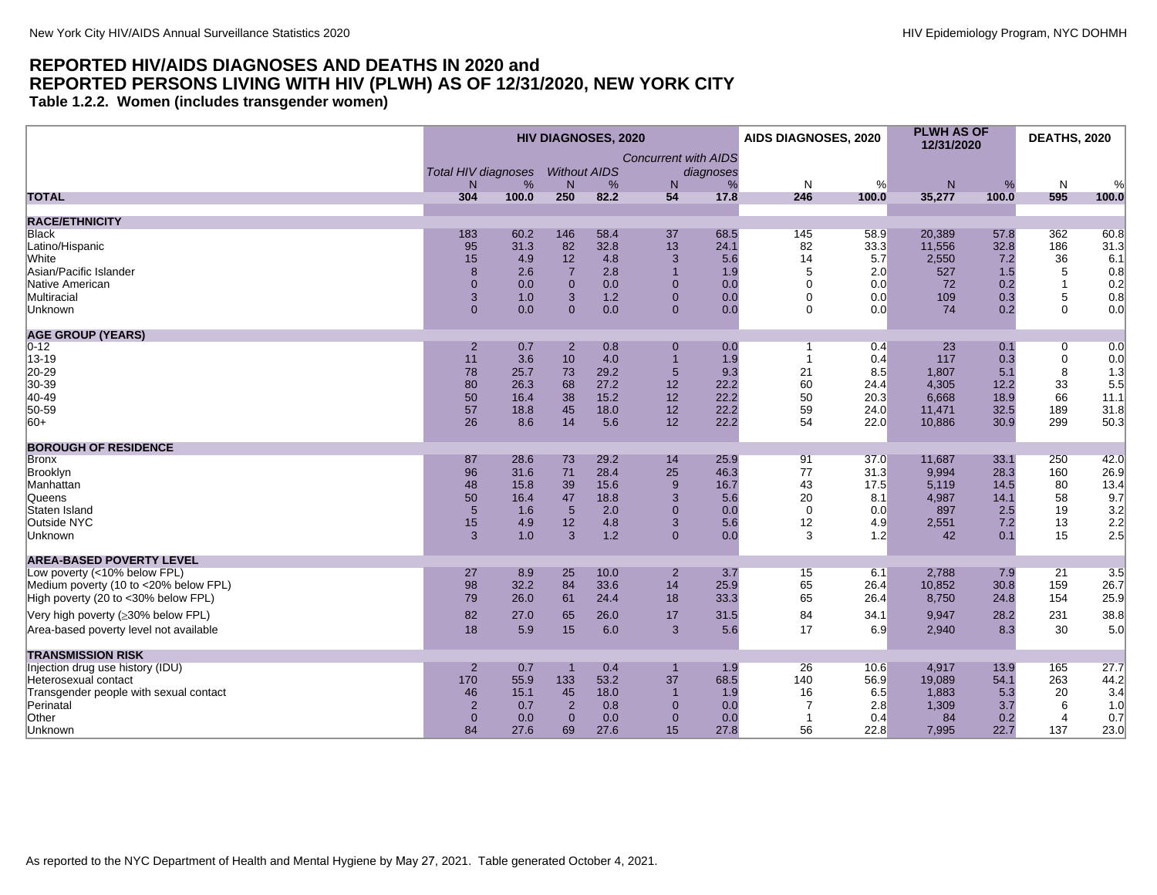<span id="page-3-0"></span>**Table 1.2.2. Women (includes transgender women)**

|                                        |                            |            |                       | <b>HIV DIAGNOSES, 2020</b> |                             |           | <b>AIDS DIAGNOSES, 2020</b> |            | <b>PLWH AS OF</b><br>12/31/2020 |            | DEATHS, 2020   |               |
|----------------------------------------|----------------------------|------------|-----------------------|----------------------------|-----------------------------|-----------|-----------------------------|------------|---------------------------------|------------|----------------|---------------|
|                                        |                            |            |                       |                            | <b>Concurrent with AIDS</b> |           |                             |            |                                 |            |                |               |
|                                        | <b>Total HIV diagnoses</b> |            | <b>Without AIDS</b>   |                            |                             | diagnoses |                             |            |                                 |            |                |               |
| <b>TOTAL</b>                           | N<br>304                   | %<br>100.0 | N <sub>1</sub><br>250 | %<br>82.2                  | N.<br>54                    | %<br>17.8 | N<br>246                    | %<br>100.0 | N<br>35,277                     | %<br>100.0 | N<br>595       | $\%$<br>100.0 |
|                                        |                            |            |                       |                            |                             |           |                             |            |                                 |            |                |               |
| <b>RACE/ETHNICITY</b>                  |                            |            |                       |                            |                             |           |                             |            |                                 |            |                |               |
| Black                                  | 183                        | 60.2       | 146                   | 58.4                       | 37                          | 68.5      | 145                         | 58.9       | 20.389                          | 57.8       | 362            | 60.8          |
| Latino/Hispanic                        | 95                         | 31.3       | 82                    | 32.8                       | 13                          | 24.1      | 82                          | 33.3       | 11,556                          | 32.8       | 186            | 31.3          |
| White                                  | 15                         | 4.9        | 12                    | 4.8                        | 3                           | 5.6       | 14                          | 5.7        | 2,550                           | 7.2        | 36             | 6.1           |
| Asian/Pacific Islander                 | 8                          | 2.6        | $\overline{7}$        | 2.8                        | $\overline{1}$              | 1.9       | 5                           | 2.0        | 527                             | 1.5        | 5              | 0.8           |
| Native American                        | $\mathbf{0}$               | 0.0        | $\mathbf{0}$          | 0.0                        | $\Omega$                    | 0.0       | $\Omega$                    | 0.0        | 72                              | 0.2        | $\mathbf{1}$   | 0.2           |
| Multiracial                            | 3                          | 1.0        | 3                     | 1.2                        | $\overline{0}$              | 0.0       | $\Omega$                    | 0.0        | 109                             | 0.3        | 5              | 0.8           |
| Unknown                                | $\mathbf{0}$               | 0.0        | $\Omega$              | 0.0                        | $\Omega$                    | 0.0       | $\Omega$                    | 0.0        | 74                              | 0.2        | $\Omega$       | 0.0           |
| <b>AGE GROUP (YEARS)</b>               |                            |            |                       |                            |                             |           |                             |            |                                 |            |                |               |
| $0 - 12$                               | $\overline{2}$             | 0.7        | $\overline{2}$        | 0.8                        | $\Omega$                    | 0.0       | 1                           | 0.4        | 23                              | 0.1        | 0              | 0.0           |
| 13-19                                  | 11                         | 3.6        | 10                    | 4.0                        | $\overline{1}$              | 1.9       | $\overline{1}$              | 0.4        | 117                             | 0.3        | $\mathbf 0$    | 0.0           |
| 20-29                                  | 78                         | 25.7       | 73                    | 29.2                       | 5                           | 9.3       | 21                          | 8.5        | 1,807                           | 5.1        | 8              | 1.3           |
| 30-39                                  | 80                         | 26.3       | 68                    | 27.2                       | 12                          | 22.2      | 60                          | 24.4       | 4,305                           | 12.2       | 33             | 5.5           |
| 40-49                                  | 50                         | 16.4       | 38                    | 15.2                       | 12                          | 22.2      | 50                          | 20.3       | 6,668                           | 18.9       | 66             | 11.1          |
| 50-59                                  | 57                         | 18.8       | 45                    | 18.0                       | 12                          | 22.2      | 59                          | 24.0       | 11,471                          | 32.5       | 189            | 31.8          |
| $ 60+$                                 | 26                         | 8.6        | 14                    | 5.6                        | 12                          | 22.2      | 54                          | 22.0       | 10,886                          | 30.9       | 299            | 50.3          |
| <b>BOROUGH OF RESIDENCE</b>            |                            |            |                       |                            |                             |           |                             |            |                                 |            |                |               |
| Bronx                                  | 87                         | 28.6       | 73                    | 29.2                       | 14                          | 25.9      | 91                          | 37.0       | 11,687                          | 33.1       | 250            | 42.0          |
| Brooklyn                               | 96                         | 31.6       | 71                    | 28.4                       | 25                          | 46.3      | 77                          | 31.3       | 9,994                           | 28.3       | 160            | 26.9          |
| Manhattan                              | 48                         | 15.8       | 39                    | 15.6                       | 9                           | 16.7      | 43                          | 17.5       | 5,119                           | 14.5       | 80             | 13.4          |
| Queens                                 | 50                         | 16.4       | 47                    | 18.8                       | 3                           | 5.6       | 20                          | 8.1        | 4,987                           | 14.1       | 58             | 9.7           |
| Staten Island                          | $5\overline{5}$            | 1.6        | $5\phantom{1}$        | 2.0                        | $\mathbf{0}$                | 0.0       | $\mathbf 0$                 | 0.0        | 897                             | 2.5        | 19             | 3.2           |
| Outside NYC                            | 15                         | 4.9        | 12                    | 4.8                        | 3                           | 5.6       | 12                          | 4.9        | 2,551                           | 7.2        | 13             | 2.2           |
| Unknown                                | 3                          | 1.0        | 3                     | 1.2                        | $\Omega$                    | 0.0       | 3                           | 1.2        | 42                              | 0.1        | 15             | 2.5           |
| <b>AREA-BASED POVERTY LEVEL</b>        |                            |            |                       |                            |                             |           |                             |            |                                 |            |                |               |
| Low poverty (<10% below FPL)           | 27                         | 8.9        | 25                    | 10.0                       | $\overline{2}$              | 3.7       | 15                          | 6.1        | 2,788                           | 7.9        | 21             | 3.5           |
| Medium poverty (10 to <20% below FPL)  | 98                         | 32.2       | 84                    | 33.6                       | 14                          | 25.9      | 65                          | 26.4       | 10,852                          | 30.8       | 159            | 26.7          |
| High poverty (20 to <30% below FPL)    | 79                         | 26.0       | 61                    | 24.4                       | 18                          | 33.3      | 65                          | 26.4       | 8,750                           | 24.8       | 154            | 25.9          |
| Very high poverty (≥30% below FPL)     | 82                         | 27.0       | 65                    | 26.0                       | 17                          | 31.5      | 84                          | 34.1       | 9,947                           | 28.2       | 231            | 38.8          |
| Area-based poverty level not available | 18                         | 5.9        | 15                    | 6.0                        | 3                           | 5.6       | 17                          | 6.9        | 2,940                           | 8.3        | 30             | 5.0           |
| <b>TRANSMISSION RISK</b>               |                            |            |                       |                            |                             |           |                             |            |                                 |            |                |               |
| Injection drug use history (IDU)       | $\overline{2}$             | 0.7        |                       | 0.4                        |                             | 1.9       | 26                          | 10.6       | 4.917                           | 13.9       | 165            | 27.7          |
| Heterosexual contact                   | 170                        | 55.9       | 133                   | 53.2                       | 37                          | 68.5      | 140                         | 56.9       | 19,089                          | 54.1       | 263            | 44.2          |
| Transgender people with sexual contact | 46                         | 15.1       | 45                    | 18.0                       | 1                           | 1.9       | 16                          | 6.5        | 1,883                           | 5.3        | 20             | 3.4           |
| Perinatal                              | $\overline{2}$             | 0.7        | $\overline{2}$        | 0.8                        | $\mathbf 0$                 | 0.0       | 7                           | 2.8        | 1,309                           | 3.7        | 6              | 1.0           |
| Other                                  | $\mathbf{0}$               | 0.0        | $\mathbf{0}$          | 0.0                        | $\mathbf 0$                 | 0.0       | -1                          | 0.4        | 84                              | 0.2        | $\overline{4}$ | 0.7           |
| Unknown                                | 84                         | 27.6       | 69                    | 27.6                       | 15                          | 27.8      | 56                          | 22.8       | 7,995                           | 22.7       | 137            | 23.0          |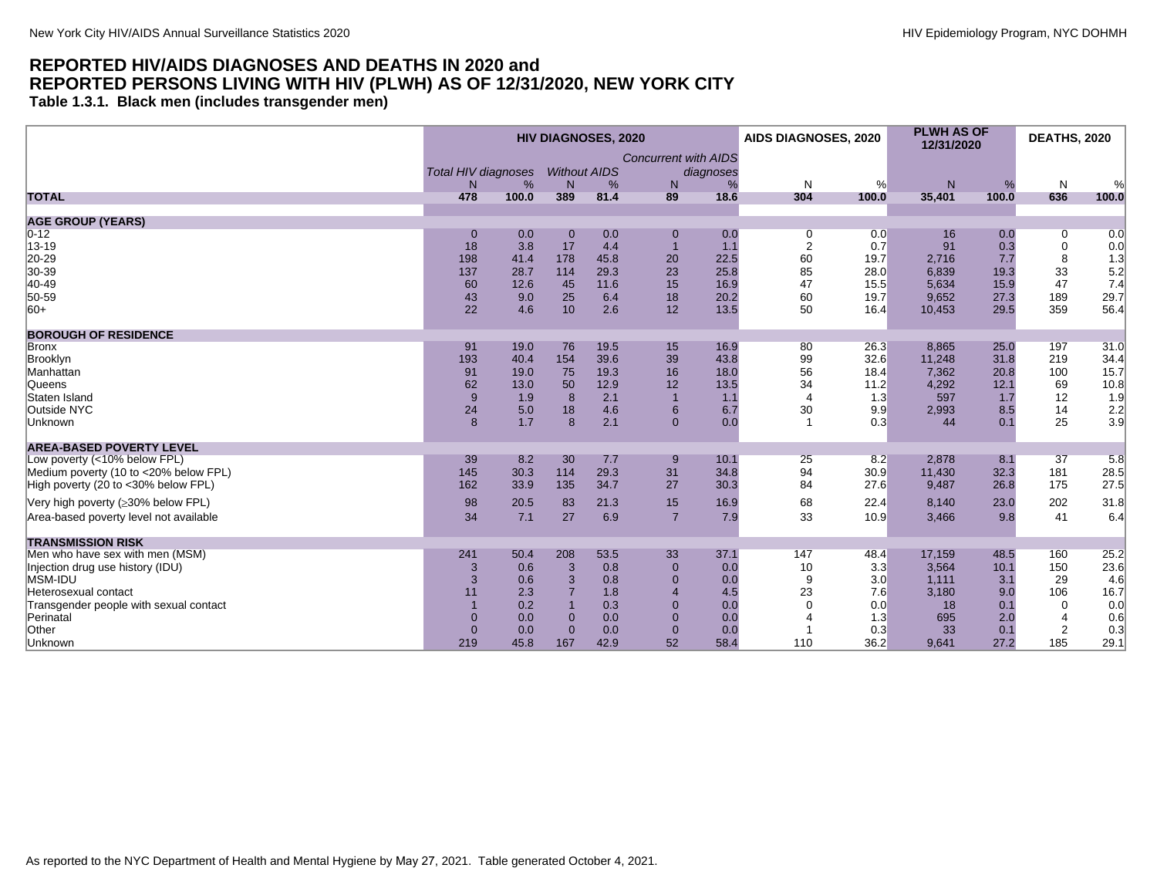<span id="page-4-0"></span>**Table 1.3.1. Black men (includes transgender men)**

|                                        |                            |       |                     | <b>HIV DIAGNOSES, 2020</b> |                             |           | AIDS DIAGNOSES, 2020 |       | <b>PLWH AS OF</b><br>12/31/2020 |       | <b>DEATHS, 2020</b> |                   |
|----------------------------------------|----------------------------|-------|---------------------|----------------------------|-----------------------------|-----------|----------------------|-------|---------------------------------|-------|---------------------|-------------------|
|                                        |                            |       |                     |                            | <b>Concurrent with AIDS</b> |           |                      |       |                                 |       |                     |                   |
|                                        | <b>Total HIV diagnoses</b> |       | <b>Without AIDS</b> |                            |                             | diagnoses |                      |       |                                 |       |                     |                   |
|                                        | N                          | %     | N                   | %                          | N                           | %         | N                    | %     | N                               | %     | N                   |                   |
| <b>TOTAL</b>                           | 478                        | 100.0 | 389                 | 81.4                       | 89                          | 18.6      | 304                  | 100.0 | 35,401                          | 100.0 | 636                 | 100.0             |
| <b>AGE GROUP (YEARS)</b>               |                            |       |                     |                            |                             |           |                      |       |                                 |       |                     |                   |
| $0 - 12$                               | $\mathbf 0$                | 0.0   | $\mathbf 0$         | 0.0                        | $\boldsymbol{0}$            | 0.0       | 0                    | 0.0   | 16                              | 0.0   | 0                   | 0.0               |
| 13-19                                  | 18                         | 3.8   | 17                  | 4.4                        | $\overline{1}$              | 1.1       | $\overline{2}$       | 0.7   | 91                              | 0.3   | 0                   | 0.0               |
| 20-29                                  | 198                        | 41.4  | 178                 | 45.8                       | 20                          | 22.5      | 60                   | 19.7  | 2,716                           | 7.7   | 8                   | 1.3               |
| 30-39                                  | 137                        | 28.7  | 114                 | 29.3                       | 23                          | 25.8      | 85                   | 28.0  | 6,839                           | 19.3  | 33                  | 5.2               |
| 40-49                                  | 60                         | 12.6  | 45                  | 11.6                       | 15                          | 16.9      | 47                   | 15.5  | 5,634                           | 15.9  | 47                  | 7.4               |
| 50-59                                  | 43                         | 9.0   | 25                  | 6.4                        | 18                          | 20.2      | 60                   | 19.7  | 9,652                           | 27.3  | 189                 | 29.7              |
| $ 60+$                                 | 22                         | 4.6   | 10                  | 2.6                        | 12                          | 13.5      | 50                   | 16.4  | 10,453                          | 29.5  | 359                 | 56.4              |
|                                        |                            |       |                     |                            |                             |           |                      |       |                                 |       |                     |                   |
| <b>BOROUGH OF RESIDENCE</b>            |                            |       |                     |                            |                             |           |                      |       |                                 |       |                     |                   |
| <b>Bronx</b>                           | 91                         | 19.0  | 76                  | 19.5                       | 15                          | 16.9      | 80                   | 26.3  | 8.865                           | 25.0  | 197                 | 31.0              |
| Brooklyn                               | 193                        | 40.4  | 154                 | 39.6                       | 39                          | 43.8      | 99                   | 32.6  | 11,248                          | 31.8  | 219                 | 34.4              |
| Manhattan                              | 91                         | 19.0  | 75                  | 19.3                       | 16                          | 18.0      | 56                   | 18.4  | 7,362                           | 20.8  | 100                 | 15.7              |
| Queens                                 | 62                         | 13.0  | 50                  | 12.9                       | 12                          | 13.5      | 34                   | 11.2  | 4,292                           | 12.1  | 69                  | 10.8              |
| Staten Island                          | 9                          | 1.9   | 8                   | 2.1                        | $\overline{1}$              | 1.1       | $\overline{4}$       | 1.3   | 597                             | 1.7   | 12                  | 1.9               |
| Outside NYC                            | 24                         | 5.0   | 18                  | 4.6                        | 6                           | 6.7       | 30                   | 9.9   | 2,993                           | 8.5   | 14                  |                   |
| Unknown                                | 8                          | 1.7   | $\mathbf{8}$        | 2.1                        | $\mathbf{0}$                | 0.0       | $\overline{1}$       | 0.3   | 44                              | 0.1   | 25                  | $\frac{2.2}{3.9}$ |
| <b>AREA-BASED POVERTY LEVEL</b>        |                            |       |                     |                            |                             |           |                      |       |                                 |       |                     |                   |
| Low poverty (<10% below FPL)           | 39                         | 8.2   | 30                  | 7.7                        | 9                           | 10.1      | 25                   | 8.2   | 2.878                           | 8.1   | 37                  | 5.8               |
| Medium poverty (10 to <20% below FPL)  | 145                        | 30.3  | 114                 | 29.3                       | 31                          | 34.8      | 94                   | 30.9  | 11,430                          | 32.3  | 181                 | 28.5              |
| High poverty (20 to <30% below FPL)    | 162                        | 33.9  | 135                 | 34.7                       | 27                          | 30.3      | 84                   | 27.6  | 9,487                           | 26.8  | 175                 | 27.5              |
|                                        |                            |       |                     |                            |                             |           |                      |       |                                 |       |                     |                   |
| Very high poverty (≥30% below FPL)     | 98                         | 20.5  | 83                  | 21.3                       | 15                          | 16.9      | 68                   | 22.4  | 8.140                           | 23.0  | 202                 | 31.8              |
| Area-based poverty level not available | 34                         | 7.1   | 27                  | 6.9                        | $\overline{7}$              | 7.9       | 33                   | 10.9  | 3,466                           | 9.8   | 41                  | 6.4               |
| <b>TRANSMISSION RISK</b>               |                            |       |                     |                            |                             |           |                      |       |                                 |       |                     |                   |
| Men who have sex with men (MSM)        | 241                        | 50.4  | 208                 | 53.5                       | 33                          | 37.1      | 147                  | 48.4  | 17,159                          | 48.5  | 160                 | 25.2              |
| Injection drug use history (IDU)       | 3                          | 0.6   | 3                   | 0.8                        | $\overline{0}$              | 0.0       | 10                   | 3.3   | 3.564                           | 10.1  | 150                 | 23.6              |
| MSM-IDU                                | 3                          | 0.6   | 3                   | 0.8                        | $\Omega$                    | 0.0       | 9                    | 3.0   | 1.111                           | 3.1   | 29                  | 4.6               |
| Heterosexual contact                   | 11                         | 2.3   |                     | 1.8                        | $\boldsymbol{\Delta}$       | 4.5       | 23                   | 7.6   | 3,180                           | 9.0   | 106                 | 16.7              |
| Transgender people with sexual contact |                            | 0.2   |                     | 0.3                        | $\Omega$                    | 0.0       | $\Omega$             | 0.0   | 18                              | 0.1   | $\Omega$            | 0.0               |
| Perinatal                              | $\overline{0}$             | 0.0   | $\Omega$            | 0.0                        | $\Omega$                    | 0.0       |                      | 1.3   | 695                             | 2.0   | $\overline{4}$      | 0.6               |
| Other                                  | $\overline{0}$             | 0.0   | $\Omega$            | 0.0                        | $\Omega$                    | 0.0       |                      | 0.3   | 33                              | 0.1   | $\overline{2}$      | 0.3               |
| Unknown                                | 219                        | 45.8  | 167                 | 42.9                       | 52                          | 58.4      | 110                  | 36.2  | 9.641                           | 27.2  | 185                 | 29.1              |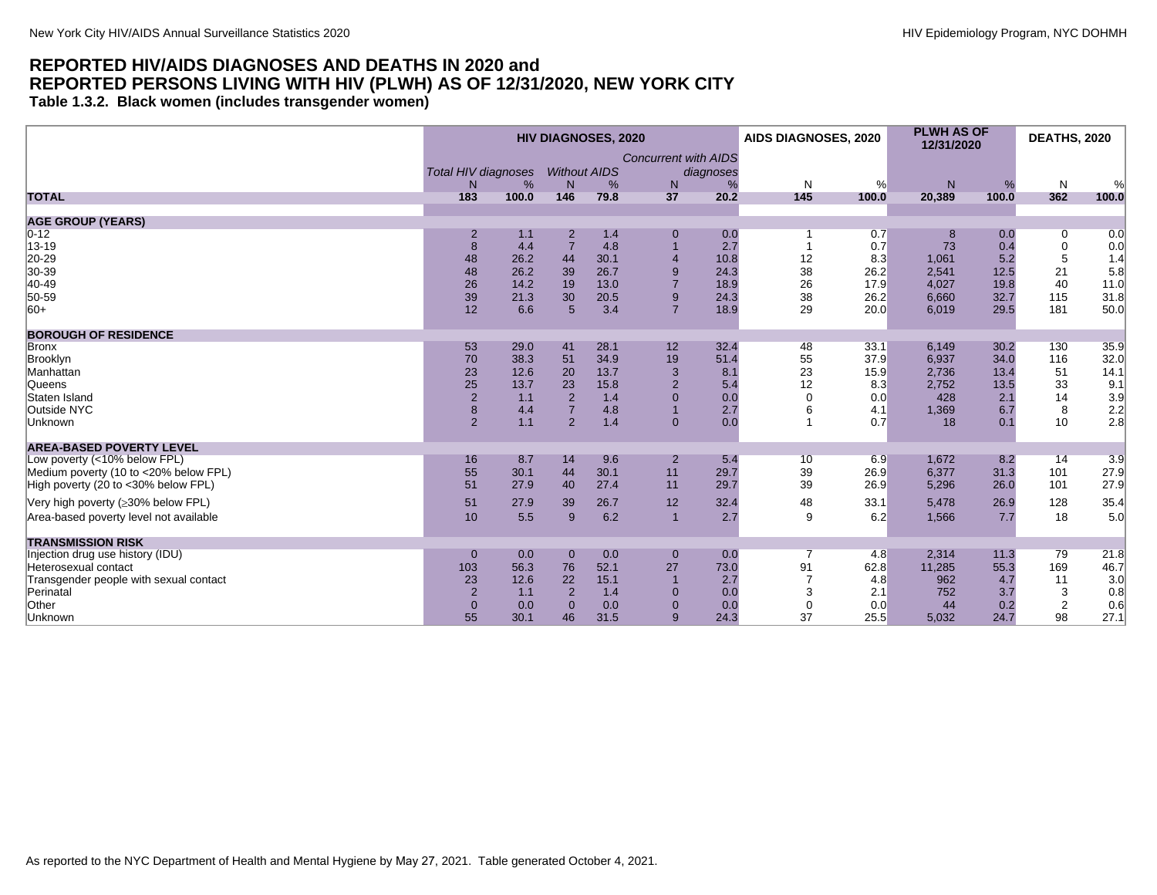<span id="page-5-0"></span>**Table 1.3.2. Black women (includes transgender women)**

|                                        |                            |       |                                  | <b>HIV DIAGNOSES, 2020</b> |                               |            | AIDS DIAGNOSES, 2020 |            | <b>PLWH AS OF</b><br>12/31/2020 |       | <b>DEATHS, 2020</b> |                         |
|----------------------------------------|----------------------------|-------|----------------------------------|----------------------------|-------------------------------|------------|----------------------|------------|---------------------------------|-------|---------------------|-------------------------|
|                                        |                            |       |                                  |                            | <b>Concurrent with AIDS</b>   |            |                      |            |                                 |       |                     |                         |
|                                        | <b>Total HIV diagnoses</b> |       | <b>Without AIDS</b>              |                            |                               | diagnoses  |                      |            |                                 |       |                     |                         |
|                                        | N                          | %     | N                                | %                          | N                             | %          | N                    | %          | N                               | %     | N                   | %                       |
| <b>TOTAL</b>                           | 183                        | 100.0 | 146                              | 79.8                       | 37                            | 20.2       | 145                  | 100.0      | 20,389                          | 100.0 | 362                 | 100.0                   |
|                                        |                            |       |                                  |                            |                               |            |                      |            |                                 |       |                     |                         |
| <b>AGE GROUP (YEARS)</b>               |                            |       |                                  |                            |                               |            |                      |            |                                 |       |                     |                         |
| $0 - 12$                               | $\overline{2}$             | 1.1   | $\overline{2}$<br>$\overline{7}$ | $1.4$<br>4.8               | $\mathbf 0$<br>$\overline{1}$ | 0.0<br>2.7 |                      | 0.7<br>0.7 | 8                               | 0.0   | 0                   | 0.0                     |
| 13-19                                  | 8                          | 4.4   |                                  |                            |                               |            |                      |            | 73                              | 0.4   | 0                   | 0.0                     |
| 20-29                                  | 48                         | 26.2  | 44                               | 30.1                       | $\overline{4}$                | 10.8       | 12                   | 8.3        | 1,061                           | 5.2   | 5                   | 1.4                     |
| 30-39                                  | 48                         | 26.2  | 39                               | 26.7                       | 9                             | 24.3       | 38                   | 26.2       | 2.541                           | 12.5  | 21                  | 5.8                     |
| 40-49                                  | 26                         | 14.2  | 19                               | 13.0                       | $\overline{7}$                | 18.9       | 26                   | 17.9       | 4,027                           | 19.8  | 40                  | 11.0                    |
| 50-59                                  | 39                         | 21.3  | 30                               | 20.5                       | 9                             | 24.3       | 38                   | 26.2       | 6,660                           | 32.7  | 115                 | 31.8                    |
| $ 60+$                                 | 12                         | 6.6   | 5                                | 3.4                        | $\overline{7}$                | 18.9       | 29                   | 20.0       | 6,019                           | 29.5  | 181                 | 50.0                    |
| <b>BOROUGH OF RESIDENCE</b>            |                            |       |                                  |                            |                               |            |                      |            |                                 |       |                     |                         |
| <b>Bronx</b>                           | 53                         | 29.0  | 41                               | 28.1                       | 12                            | 32.4       | 48                   | 33.1       | 6,149                           | 30.2  | 130                 | 35.9                    |
| Brooklyn                               | 70                         | 38.3  | 51                               | 34.9                       | 19                            | 51.4       | 55                   | 37.9       | 6,937                           | 34.0  | 116                 | 32.0                    |
| Manhattan                              | 23                         | 12.6  | 20                               | 13.7                       | 3                             | 8.1        | 23                   | 15.9       | 2.736                           | 13.4  | 51                  | 14.1                    |
| Queens                                 | 25                         | 13.7  | 23                               | 15.8                       | $\overline{2}$                | 5.4        | 12                   | 8.3        | 2,752                           | 13.5  | 33                  | 9.1                     |
| Staten Island                          | $\sqrt{2}$                 | 1.1   | $\overline{2}$                   | 1.4                        | $\Omega$                      | 0.0        | $\Omega$             | 0.0        | 428                             | 2.1   | 14                  |                         |
| Outside NYC                            | $\bf 8$                    | 4.4   | $\overline{7}$                   | 4.8                        | $\overline{1}$                | 2.7        |                      | 4.1        | 1,369                           | 6.7   | 8                   |                         |
| Unknown                                | $\overline{2}$             | 1.1   | $\overline{2}$                   | 1.4                        | $\overline{0}$                | 0.0        |                      | 0.7        | 18                              | 0.1   | 10                  | $3.9$<br>$2.2$<br>$2.8$ |
|                                        |                            |       |                                  |                            |                               |            |                      |            |                                 |       |                     |                         |
| <b>AREA-BASED POVERTY LEVEL</b>        | 16                         | 8.7   |                                  | 9.6                        |                               |            |                      | 6.9        | 1,672                           | 8.2   |                     |                         |
| Low poverty (<10% below FPL)           |                            |       | 14                               |                            | $\overline{2}$                | 5.4        | 10                   |            | 6.377                           |       | 14                  | 3.9                     |
| Medium poverty (10 to <20% below FPL)  | 55                         | 30.1  | 44                               | 30.1                       | 11                            | 29.7       | 39                   | 26.9       |                                 | 31.3  | 101                 | 27.9                    |
| High poverty (20 to <30% below FPL)    | 51                         | 27.9  | 40                               | 27.4                       | 11                            | 29.7       | 39                   | 26.9       | 5,296                           | 26.0  | 101                 | 27.9                    |
| Very high poverty (≥30% below FPL)     | 51                         | 27.9  | 39                               | 26.7                       | 12                            | 32.4       | 48                   | 33.1       | 5,478                           | 26.9  | 128                 | 35.4                    |
| Area-based poverty level not available | 10                         | 5.5   | 9                                | 6.2                        | $\overline{1}$                | 2.7        | 9                    | 6.2        | 1,566                           | 7.7   | 18                  | 5.0                     |
| <b>TRANSMISSION RISK</b>               |                            |       |                                  |                            |                               |            |                      |            |                                 |       |                     |                         |
| Injection drug use history (IDU)       | $\mathbf{0}$               | 0.0   | $\mathbf 0$                      | 0.0                        | $\mathbf{0}$                  | 0.0        | 7                    | 4.8        | 2.314                           | 11.3  | 79                  | 21.8                    |
| Heterosexual contact                   | 103                        | 56.3  | 76                               | 52.1                       | 27                            | 73.0       | 91                   | 62.8       | 11,285                          | 55.3  | 169                 | 46.7                    |
| Transgender people with sexual contact | 23                         | 12.6  | 22                               | 15.1                       | $\overline{1}$                | 2.7        |                      | 4.8        | 962                             | 4.7   | 11                  | 3.0                     |
| Perinatal                              | $\overline{2}$             | 1.1   | $\overline{2}$                   | 1.4                        | $\Omega$                      | 0.0        | 3                    | 2.1        | 752                             | 3.7   | 3                   | 0.8                     |
| Other                                  | $\mathbf{0}$               | 0.0   | $\Omega$                         | 0.0                        | $\mathbf 0$                   | 0.0        | $\Omega$             | 0.0        | 44                              | 0.2   | $\overline{2}$      | 0.6                     |
| Unknown                                | 55                         | 30.1  | 46                               | 31.5                       | 9                             | 24.3       | 37                   | 25.5       | 5,032                           | 24.7  | 98                  | 27.1                    |
|                                        |                            |       |                                  |                            |                               |            |                      |            |                                 |       |                     |                         |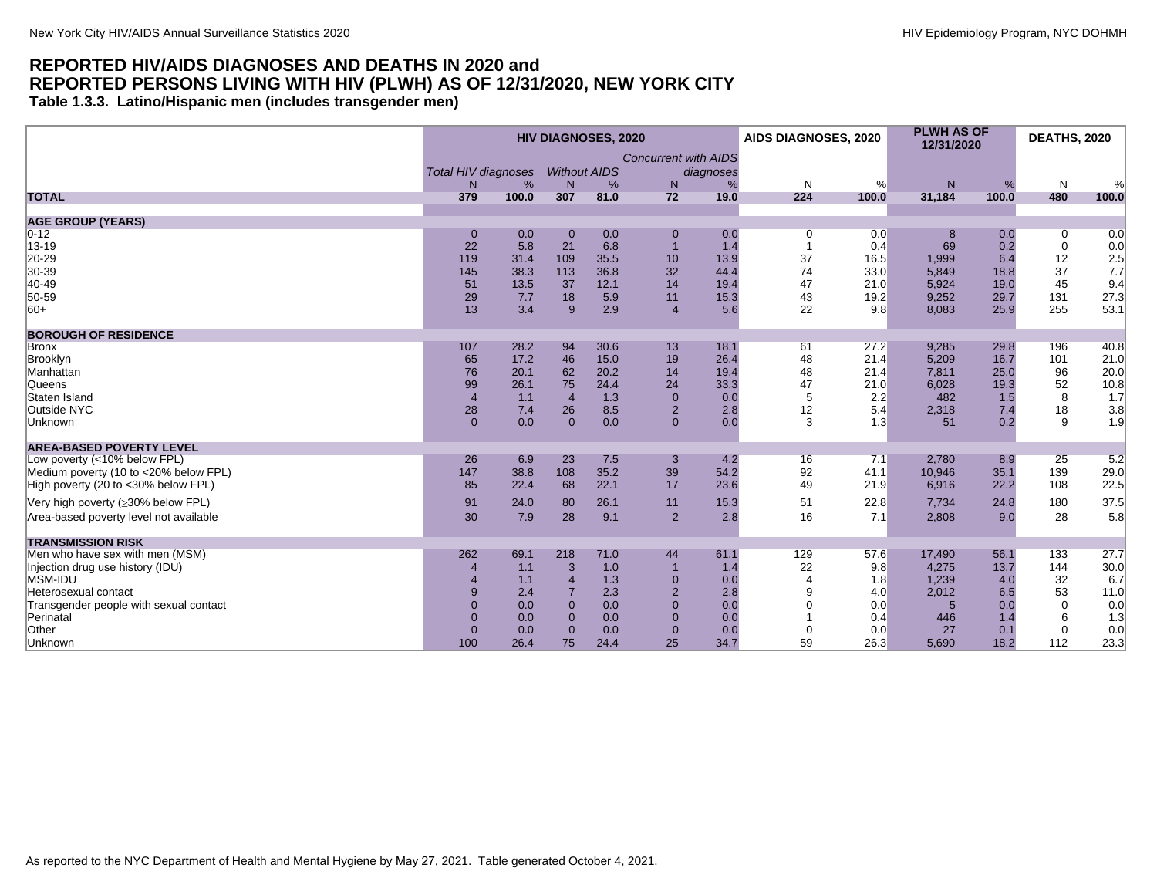<span id="page-6-0"></span>**Table 1.3.3. Latino/Hispanic men (includes transgender men)**

|                                                                              |                            |              |                            | <b>HIV DIAGNOSES, 2020</b> |                                  |              | AIDS DIAGNOSES, 2020 |              | <b>PLWH AS OF</b><br>12/31/2020 |              | <b>DEATHS, 2020</b> |              |
|------------------------------------------------------------------------------|----------------------------|--------------|----------------------------|----------------------------|----------------------------------|--------------|----------------------|--------------|---------------------------------|--------------|---------------------|--------------|
|                                                                              |                            |              |                            |                            | <b>Concurrent with AIDS</b>      |              |                      |              |                                 |              |                     |              |
|                                                                              | <b>Total HIV diagnoses</b> |              | <b>Without AIDS</b>        |                            |                                  | diagnoses    |                      |              |                                 |              |                     |              |
| <b>TOTAL</b>                                                                 | N<br>379                   | %<br>100.0   | N<br>307                   | %<br>81.0                  | N<br>72                          | %<br>19.0    | N<br>224             | %<br>100.0   | N <sub>1</sub><br>31,184        | %<br>100.0   | N<br>480            | %<br>100.0   |
| <b>AGE GROUP (YEARS)</b>                                                     |                            |              |                            |                            |                                  |              |                      |              |                                 |              |                     |              |
| $0 - 12$                                                                     | $\mathbf{0}$               | 0.0          | $\overline{0}$             | 0.0                        | $\mathbf 0$                      | 0.0          | 0                    | 0.0          | 8                               | 0.0          | 0                   | 0.0          |
| 13-19                                                                        | 22                         | 5.8          | 21                         | 6.8                        | $\overline{1}$                   | 1.4          |                      | 0.4          | 69                              | 0.2          | $\mathbf 0$         | 0.0          |
| 20-29                                                                        | 119                        | 31.4         | 109                        | 35.5                       | 10                               | 13.9         | 37                   | 16.5         | 1,999                           | 6.4          | 12                  | 2.5          |
| 30-39                                                                        | 145                        | 38.3         | 113                        | 36.8                       | 32                               | 44.4         | 74                   | 33.0         | 5,849                           | 18.8         | 37                  | 7.7          |
| 40-49                                                                        | 51                         | 13.5         | 37                         | 12.1                       | 14                               | 19.4         | 47                   | 21.0         | 5,924                           | 19.0         | 45                  | 9.4          |
| 50-59                                                                        | 29                         | 7.7          | 18                         | 5.9                        | 11                               | 15.3         | 43                   | 19.2         | 9,252                           | 29.7         | 131                 | 27.3         |
| $ 60+$                                                                       | 13                         | 3.4          | 9                          | 2.9                        | $\overline{4}$                   | 5.6          | 22                   | 9.8          | 8,083                           | 25.9         | 255                 | 53.1         |
| <b>BOROUGH OF RESIDENCE</b>                                                  |                            |              |                            |                            |                                  |              |                      |              |                                 |              |                     |              |
| Bronx                                                                        | 107                        | 28.2         | 94                         | 30.6                       | 13                               | 18.1         | 61                   | 27.2         | 9,285                           | 29.8         | 196                 | 40.8         |
| Brooklyn                                                                     | 65                         | 17.2         | 46                         | 15.0                       | 19                               | 26.4         | 48                   | 21.4         | 5,209                           | 16.7         | 101                 | 21.0         |
| Manhattan                                                                    | 76                         | 20.1         | 62                         | 20.2                       | 14                               | 19.4         | 48                   | 21.4         | 7,811                           | 25.0         | 96                  | 20.0         |
| Queens                                                                       | 99                         | 26.1         | 75                         | 24.4                       | 24                               | 33.3         | 47                   | 21.0         | 6,028                           | 19.3         | 52                  | 10.8         |
| Staten Island<br>Outside NYC                                                 | $\overline{4}$<br>28       | 1.1<br>7.4   | $\overline{4}$<br>26       | 1.3<br>8.5                 | $\Omega$<br>$\overline{2}$       | 0.0<br>2.8   | 5<br>12              | 2.2<br>5.4   | 482<br>2,318                    | 1.5<br>7.4   | 8<br>18             | 1.7          |
| Unknown                                                                      | $\mathbf{0}$               | 0.0          | $\Omega$                   | 0.0                        | $\mathbf{0}$                     | 0.0          | 3                    | 1.3          | 51                              | 0.2          | 9                   | 3.8<br>1.9   |
|                                                                              |                            |              |                            |                            |                                  |              |                      |              |                                 |              |                     |              |
| <b>AREA-BASED POVERTY LEVEL</b>                                              |                            |              |                            |                            |                                  |              |                      |              |                                 |              |                     |              |
| Low poverty (<10% below FPL)                                                 | 26                         | 6.9          | 23                         | 7.5                        | 3                                | 4.2          | 16                   | 7.1          | 2.780                           | 8.9          | 25                  | 5.2          |
| Medium poverty (10 to <20% below FPL)<br>High poverty (20 to <30% below FPL) | 147<br>85                  | 38.8<br>22.4 | 108<br>68                  | 35.2<br>22.1               | 39<br>17                         | 54.2<br>23.6 | 92<br>49             | 41.1<br>21.9 | 10,946<br>6,916                 | 35.1<br>22.2 | 139<br>108          | 29.0<br>22.5 |
|                                                                              |                            |              |                            |                            |                                  |              |                      |              |                                 |              |                     |              |
| Very high poverty (≥30% below FPL)                                           | 91                         | 24.0         | 80                         | 26.1                       | 11                               | 15.3         | 51                   | 22.8         | 7,734                           | 24.8         | 180                 | 37.5         |
| Area-based poverty level not available                                       | 30                         | 7.9          | 28                         | 9.1                        | $\overline{2}$                   | 2.8          | 16                   | 7.1          | 2,808                           | 9.0          | 28                  | 5.8          |
| <b>TRANSMISSION RISK</b>                                                     |                            |              |                            |                            |                                  |              |                      |              |                                 |              |                     |              |
| Men who have sex with men (MSM)                                              | 262                        | 69.1         | 218                        | 71.0                       | 44                               | 61.1         | 129                  | 57.6         | 17,490                          | 56.1         | 133                 | 27.7         |
| Injection drug use history (IDU)                                             | $\overline{4}$             | 1.1          | 3                          | 1.0                        | $\overline{1}$                   | 1.4          | 22                   | 9.8          | 4,275                           | 13.7         | 144                 | 30.0         |
| MSM-IDU                                                                      | 4                          | 1.1          | $\overline{4}$             | 1.3                        | $\overline{0}$                   | 0.0          | 4                    | 1.8          | 1,239                           | 4.0          | 32                  | 6.7          |
| Heterosexual contact<br>Transgender people with sexual contact               | 9<br>$\overline{0}$        | 2.4<br>0.0   | $\overline{7}$<br>$\Omega$ | 2.3<br>0.0                 | $\overline{2}$<br>$\overline{0}$ | 2.8<br>0.0   |                      | 4.0<br>0.0   | 2,012<br>5                      | 6.5<br>0.0   | 53<br>$\Omega$      | 11.0<br>0.0  |
| Perinatal                                                                    | $\overline{0}$             | 0.0          | $\overline{0}$             | 0.0                        | $\overline{0}$                   | 0.0          |                      | 0.4          | 446                             | 1.4          | 6                   | 1.3          |
| Other                                                                        | $\overline{0}$             | 0.0          | $\Omega$                   | 0.0                        | $\Omega$                         | 0.0          |                      | 0.0          | 27                              | 0.1          | 0                   | 0.0          |
| Unknown                                                                      | 100                        | 26.4         | 75                         | 24.4                       | 25                               | 34.7         | 59                   | 26.3         | 5,690                           | 18.2         | 112                 | 23.3         |
|                                                                              |                            |              |                            |                            |                                  |              |                      |              |                                 |              |                     |              |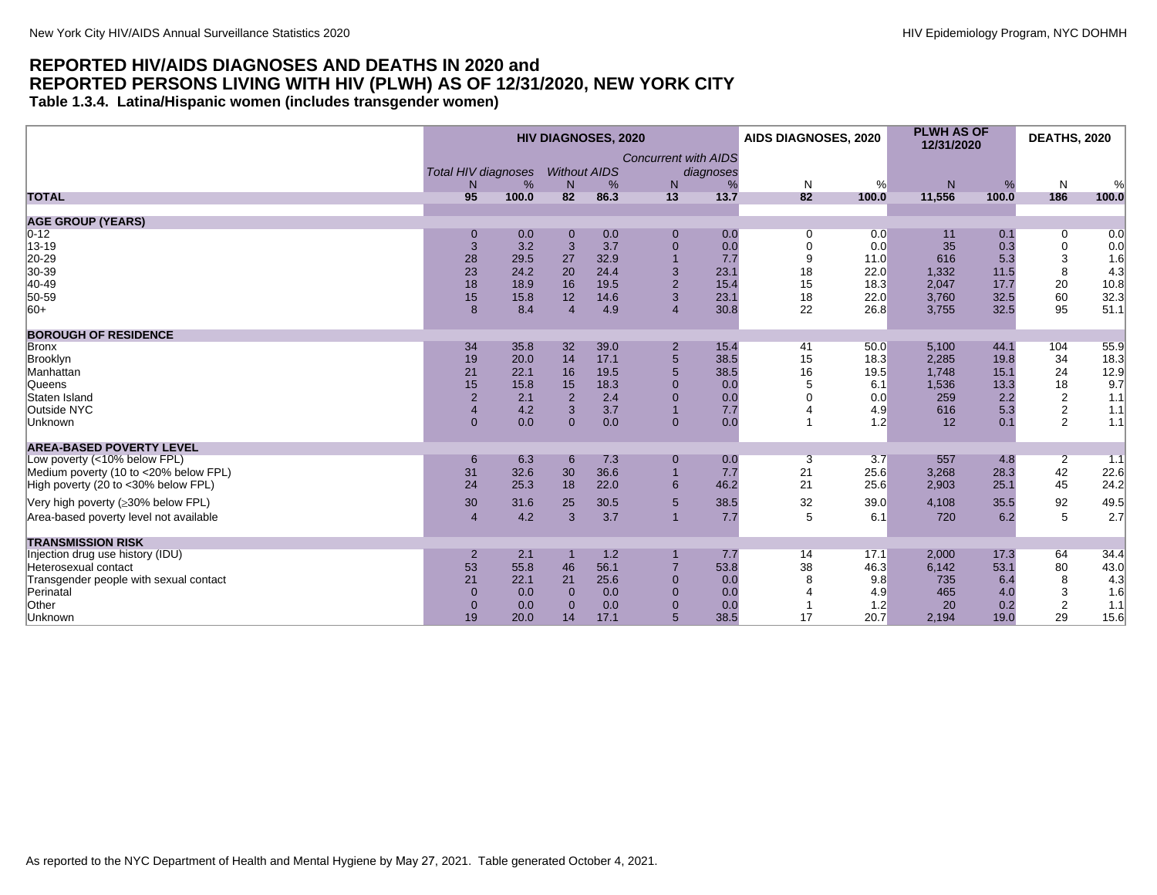#### <span id="page-7-0"></span>**REPORTED HIV/AIDS DIAGNOSES AND DEATHS IN 2020 and REPORTED PERSONS LIVING WITH HIV (PLWH) AS OF 12/31/2020, NEW YORK CITY Table 1.3.4. Latina/Hispanic women (includes transgender women)**

|                                        |                            |       |                     | <b>HIV DIAGNOSES, 2020</b> |                             |           | <b>AIDS DIAGNOSES, 2020</b> |       | <b>PLWH AS OF</b><br>12/31/2020 |       | <b>DEATHS, 2020</b> |                    |
|----------------------------------------|----------------------------|-------|---------------------|----------------------------|-----------------------------|-----------|-----------------------------|-------|---------------------------------|-------|---------------------|--------------------|
|                                        |                            |       |                     |                            | <b>Concurrent with AIDS</b> |           |                             |       |                                 |       |                     |                    |
|                                        | <b>Total HIV diagnoses</b> |       | <b>Without AIDS</b> |                            |                             | diagnoses |                             |       |                                 |       |                     |                    |
|                                        | N                          | %     | N                   | %                          | N                           | %         | N                           | %     | N                               | %     | $\mathsf{N}$        | %                  |
| <b>TOTAL</b>                           | 95                         | 100.0 | 82                  | 86.3                       | 13                          | 13.7      | 82                          | 100.0 | 11,556                          | 100.0 | 186                 | 100.0              |
|                                        |                            |       |                     |                            |                             |           |                             |       |                                 |       |                     |                    |
| <b>AGE GROUP (YEARS)</b>               |                            |       |                     |                            |                             |           |                             |       |                                 |       |                     |                    |
| $ 0-12 $                               | $\mathbf 0$                | 0.0   | $\mathbf 0$         | 0.0<br>3.7                 | $\overline{0}$              | 0.0       | 0                           | 0.0   | 11<br>35                        | 0.1   | 0                   | 0.0                |
| $ 13 - 19$                             | 3                          | 3.2   | 3                   |                            | $\mathbf{0}$                | 0.0       | $\mathbf 0$                 | 0.0   |                                 | 0.3   | 0                   | 0.0                |
| 20-29                                  | 28                         | 29.5  | 27                  | 32.9                       | $\overline{1}$              | 7.7       | 9                           | 11.0  | 616                             | 5.3   | 3                   | 1.6                |
| 30-39                                  | 23                         | 24.2  | 20                  | 24.4                       | 3                           | 23.1      | 18                          | 22.0  | 1,332                           | 11.5  | 8                   | 4.3                |
| 40-49                                  | 18                         | 18.9  | 16                  | 19.5                       | $\overline{2}$              | 15.4      | 15                          | 18.3  | 2,047                           | 17.7  | 20                  | 10.8               |
| 50-59                                  | 15                         | 15.8  | 12                  | 14.6                       | 3                           | 23.1      | 18                          | 22.0  | 3,760                           | 32.5  | 60                  | 32.3               |
| $ 60+$                                 | 8                          | 8.4   | $\overline{4}$      | 4.9                        | $\overline{4}$              | 30.8      | 22                          | 26.8  | 3,755                           | 32.5  | 95                  | 51.1               |
| <b>BOROUGH OF RESIDENCE</b>            |                            |       |                     |                            |                             |           |                             |       |                                 |       |                     |                    |
| Bronx                                  | 34                         | 35.8  | 32                  | 39.0                       | $\overline{2}$              | 15.4      | 41                          | 50.0  | 5,100                           | 44.1  | 104                 | 55.9               |
| Brooklyn                               | 19                         | 20.0  | 14                  | 17.1                       | $\overline{5}$              | 38.5      | 15                          | 18.3  | 2,285                           | 19.8  | 34                  | 18.3               |
| Manhattan                              | 21                         | 22.1  | 16                  | 19.5                       | 5                           | 38.5      | 16                          | 19.5  | 1.748                           | 15.1  | 24                  |                    |
| Queens                                 | 15                         | 15.8  | 15                  | 18.3                       | $\Omega$                    | 0.0       | 5                           | 6.1   | 1,536                           | 13.3  | 18                  | $\frac{12.9}{9.7}$ |
| Staten Island                          | $\overline{2}$             | 2.1   | $\overline{2}$      | 2.4                        | $\Omega$                    | 0.0       |                             | 0.0   | 259                             | 2.2   |                     | 1.1                |
| Outside NYC                            | $\overline{4}$             | 4.2   | 3                   | 3.7                        |                             | 7.7       |                             | 4.9   | 616                             | 5.3   | $\frac{2}{2}$       | 1.1                |
| Unknown                                | $\overline{0}$             | 0.0   | $\Omega$            | 0.0                        | $\mathbf{0}$                | 0.0       |                             | 1.2   | 12                              | 0.1   | $\overline{2}$      | 1.1                |
|                                        |                            |       |                     |                            |                             |           |                             |       |                                 |       |                     |                    |
| <b>AREA-BASED POVERTY LEVEL</b>        |                            |       |                     |                            |                             |           |                             |       |                                 |       |                     |                    |
| Low poverty (<10% below FPL)           | 6                          | 6.3   | 6                   | 7.3                        | $\mathbf 0$                 | 0.0       | 3                           | 3.7   | 557                             | 4.8   | $\overline{2}$      | $-1.1$             |
| Medium poverty (10 to <20% below FPL)  | 31                         | 32.6  | 30                  | 36.6                       | $\overline{1}$              | 7.7       | 21                          | 25.6  | 3,268                           | 28.3  | 42                  | 22.6               |
| High poverty (20 to <30% below FPL)    | 24                         | 25.3  | 18                  | 22.0                       | 6                           | 46.2      | 21                          | 25.6  | 2,903                           | 25.1  | 45                  | 24.2               |
| Very high poverty (≥30% below FPL)     | 30                         | 31.6  | 25                  | 30.5                       | $5\phantom{1}$              | 38.5      | 32                          | 39.0  | 4,108                           | 35.5  | 92                  | 49.5               |
| Area-based poverty level not available | $\overline{4}$             | 4.2   | 3                   | 3.7                        | $\overline{1}$              | 7.7       | 5                           | 6.1   | 720                             | 6.2   | 5                   | 2.7                |
| <b>TRANSMISSION RISK</b>               |                            |       |                     |                            |                             |           |                             |       |                                 |       |                     |                    |
| Injection drug use history (IDU)       | $\overline{2}$             | 2.1   |                     | 1.2                        |                             | 7.7       | 14                          | 17.1  | 2,000                           | 17.3  | 64                  | 34.4               |
| Heterosexual contact                   | 53                         | 55.8  | 46                  | 56.1                       | $\overline{7}$              | 53.8      | 38                          | 46.3  | 6,142                           | 53.1  | 80                  | 43.0               |
| Transgender people with sexual contact | 21                         | 22.1  | 21                  | 25.6                       | $\overline{0}$              | 0.0       | 8                           | 9.8   | 735                             | 6.4   | 8                   | 4.3                |
| Perinatal                              | $\mathbf{0}$               | 0.0   | $\mathbf{0}$        | 0.0                        | $\overline{0}$              | 0.0       |                             | 4.9   | 465                             | 4.0   | 3                   | 1.6                |
| Other                                  | $\overline{0}$             | 0.0   | $\Omega$            | 0.0                        | $\overline{0}$              | 0.0       |                             | 1.2   | 20                              | 0.2   | $\sqrt{2}$          | 1.1                |
| Unknown                                | 19                         | 20.0  | 14                  | 17.1                       | $5\overline{)}$             | 38.5      | 17                          | 20.7  | 2,194                           | 19.0  | 29                  | 15.6               |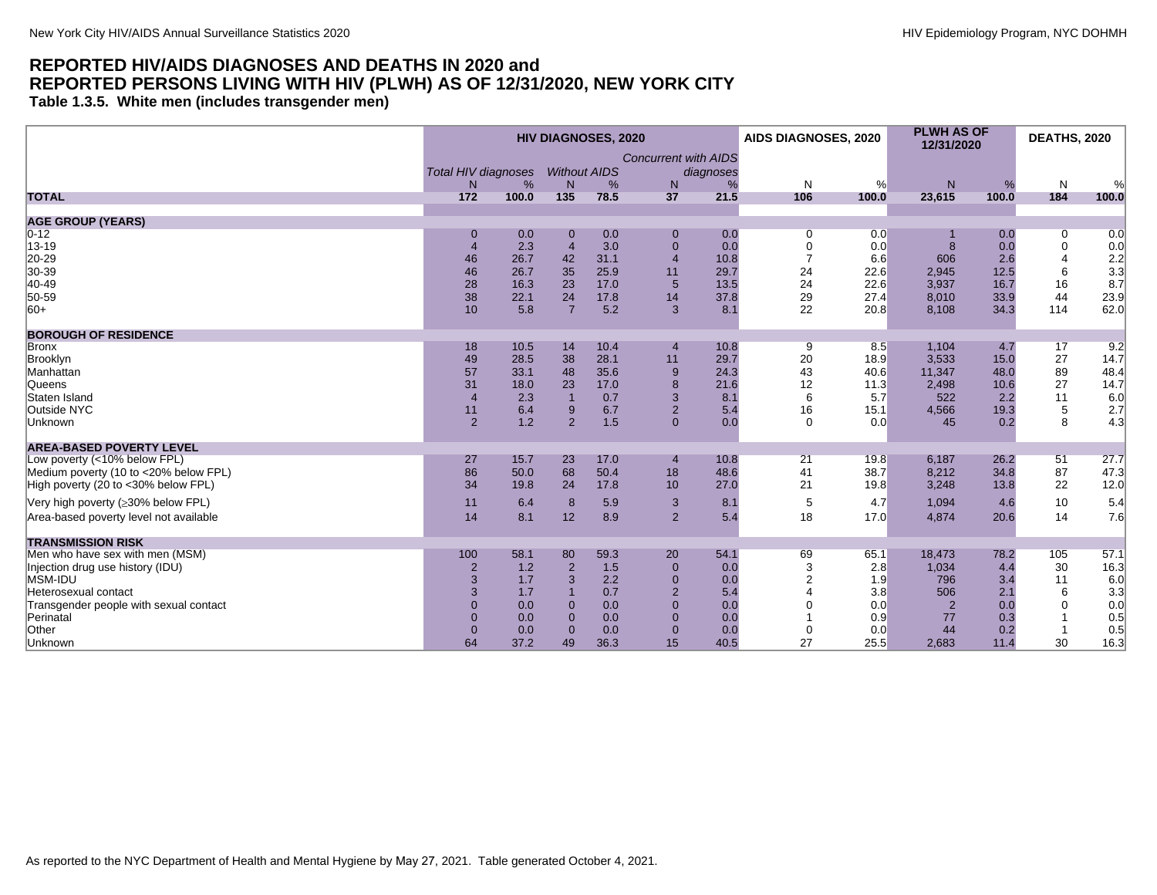<span id="page-8-0"></span>**Table 1.3.5. White men (includes transgender men)**

|                                        |                            |       |                     | <b>HIV DIAGNOSES, 2020</b> |                             |           | <b>AIDS DIAGNOSES, 2020</b> |       | <b>PLWH AS OF</b><br>12/31/2020 |       | <b>DEATHS, 2020</b> |       |
|----------------------------------------|----------------------------|-------|---------------------|----------------------------|-----------------------------|-----------|-----------------------------|-------|---------------------------------|-------|---------------------|-------|
|                                        |                            |       |                     |                            | <b>Concurrent with AIDS</b> |           |                             |       |                                 |       |                     |       |
|                                        | <b>Total HIV diagnoses</b> |       | <b>Without AIDS</b> |                            |                             | diagnoses |                             |       |                                 |       |                     |       |
|                                        | N                          | %     | N                   | %                          | N                           | %         | N                           | %     | N                               | %     | N                   | %     |
| <b>TOTAL</b>                           | 172                        | 100.0 | 135                 | 78.5                       | 37                          | 21.5      | 106                         | 100.0 | 23,615                          | 100.0 | 184                 | 100.0 |
| <b>AGE GROUP (YEARS)</b>               |                            |       |                     |                            |                             |           |                             |       |                                 |       |                     |       |
| $0 - 12$                               | $\mathbf 0$                | 0.0   | $\mathbf 0$         | 0.0                        | $\mathbf 0$                 | 0.0       | 0                           | 0.0   |                                 | 0.0   | 0                   | 0.0   |
| 13-19                                  | $\overline{4}$             | 2.3   | $\overline{4}$      | 3.0                        | $\overline{0}$              | 0.0       | $\mathbf 0$                 | 0.0   | 8                               | 0.0   | 0                   | 0.0   |
| 20-29                                  | 46                         | 26.7  | 42                  | 31.1                       | $\overline{4}$              | 10.8      | $\overline{7}$              | 6.6   | 606                             | 2.6   |                     | 2.2   |
| 30-39                                  | 46                         | 26.7  | 35                  | 25.9                       | 11                          | 29.7      | 24                          | 22.6  | 2,945                           | 12.5  | 6                   | 3.3   |
| 40-49                                  | 28                         | 16.3  | 23                  | 17.0                       | 5                           | 13.5      | 24                          | 22.6  | 3,937                           | 16.7  | 16                  | 8.7   |
| 50-59                                  | 38                         | 22.1  | 24                  | 17.8                       | 14                          | 37.8      | 29                          | 27.4  | 8,010                           | 33.9  | 44                  | 23.9  |
| $ 60+$                                 | 10 <sup>1</sup>            | 5.8   | $\overline{7}$      | 5.2                        | 3                           | 8.1       | 22                          | 20.8  | 8,108                           | 34.3  | 114                 | 62.0  |
| <b>BOROUGH OF RESIDENCE</b>            |                            |       |                     |                            |                             |           |                             |       |                                 |       |                     |       |
| <b>Bronx</b>                           | 18                         | 10.5  | 14                  | 10.4                       | $\overline{4}$              | 10.8      | 9                           | 8.5   | 1,104                           | 4.7   | 17                  | 9.2   |
| Brooklyn                               | 49                         | 28.5  | 38                  | 28.1                       | 11                          | 29.7      | 20                          | 18.9  | 3,533                           | 15.0  | 27                  | 14.7  |
| Manhattan                              | 57                         | 33.1  | 48                  | 35.6                       | 9                           | 24.3      | 43                          | 40.6  | 11,347                          | 48.0  | 89                  | 48.4  |
| Queens                                 | 31                         | 18.0  | 23                  | 17.0                       | 8                           | 21.6      | 12                          | 11.3  | 2,498                           | 10.6  | 27                  | 14.7  |
| Staten Island                          | $\overline{4}$             | 2.3   |                     | 0.7                        | 3                           | 8.1       | 6                           | 5.7   | 522                             | 2.2   | 11                  | 6.0   |
| Outside NYC                            | 11                         | 6.4   | 9                   | 6.7                        | $\overline{2}$              | 5.4       | 16                          | 15.1  | 4,566                           | 19.3  | $\,$ 5 $\,$         | 2.7   |
| Unknown                                | 2                          | 1.2   | $\overline{2}$      | 1.5                        | $\Omega$                    | 0.0       | $\Omega$                    | 0.0   | 45                              | 0.2   | 8                   | 4.3   |
| <b>AREA-BASED POVERTY LEVEL</b>        |                            |       |                     |                            |                             |           |                             |       |                                 |       |                     |       |
| Low poverty (<10% below FPL)           | 27                         | 15.7  | 23                  | 17.0                       | $\overline{4}$              | 10.8      | 21                          | 19.8  | 6,187                           | 26.2  | 51                  | 27.7  |
| Medium poverty (10 to <20% below FPL)  | 86                         | 50.0  | 68                  | 50.4                       | 18                          | 48.6      | 41                          | 38.7  | 8,212                           | 34.8  | 87                  | 47.3  |
| High poverty (20 to <30% below FPL)    | 34                         | 19.8  | 24                  | 17.8                       | 10                          | 27.0      | 21                          | 19.8  | 3,248                           | 13.8  | 22                  | 12.0  |
|                                        |                            |       |                     |                            |                             |           |                             |       |                                 |       |                     |       |
| Very high poverty (≥30% below FPL)     | 11                         | 6.4   | 8                   | 5.9                        | 3                           | 8.1       | 5                           | 4.7   | 1,094                           | 4.6   | 10                  | 5.4   |
| Area-based poverty level not available | 14                         | 8.1   | 12                  | 8.9                        | $\overline{2}$              | 5.4       | 18                          | 17.0  | 4,874                           | 20.6  | 14                  | 7.6   |
| <b>TRANSMISSION RISK</b>               |                            |       |                     |                            |                             |           |                             |       |                                 |       |                     |       |
| Men who have sex with men (MSM)        | 100                        | 58.1  | 80                  | 59.3                       | 20                          | 54.1      | 69                          | 65.1  | 18,473                          | 78.2  | 105                 | 57.1  |
| Injection drug use history (IDU)       | $\overline{2}$             | 1.2   | $\overline{2}$      | 1.5                        | $\overline{0}$              | 0.0       | 3                           | 2.8   | 1,034                           | 4.4   | 30                  | 16.3  |
| MSM-IDU                                | 3                          | 1.7   | 3                   | 2.2                        | $\overline{0}$              | 0.0       |                             | 1.9   | 796                             | 3.4   | 11                  | 6.0   |
| Heterosexual contact                   | 3                          | 1.7   |                     | 0.7                        | $\overline{2}$              | 5.4       |                             | 3.8   | 506                             | 2.1   | 6                   | 3.3   |
| Transgender people with sexual contact | $\Omega$                   | 0.0   | $\Omega$            | 0.0                        | $\Omega$                    | 0.0       |                             | 0.0   | $\overline{2}$                  | 0.0   | $\Omega$            | 0.0   |
| Perinatal                              | $\Omega$                   | 0.0   | $\Omega$            | 0.0                        | $\Omega$                    | 0.0       |                             | 0.9   | 77                              | 0.3   |                     | 0.5   |
| Other                                  | $\Omega$                   | 0.0   | $\Omega$            | 0.0                        | $\overline{0}$              | 0.0       | $\mathbf 0$                 | 0.0   | 44                              | 0.2   |                     | 0.5   |
| Unknown                                | 64                         | 37.2  | 49                  | 36.3                       | 15                          | 40.5      | 27                          | 25.5  | 2,683                           | 11.4  | 30                  | 16.3  |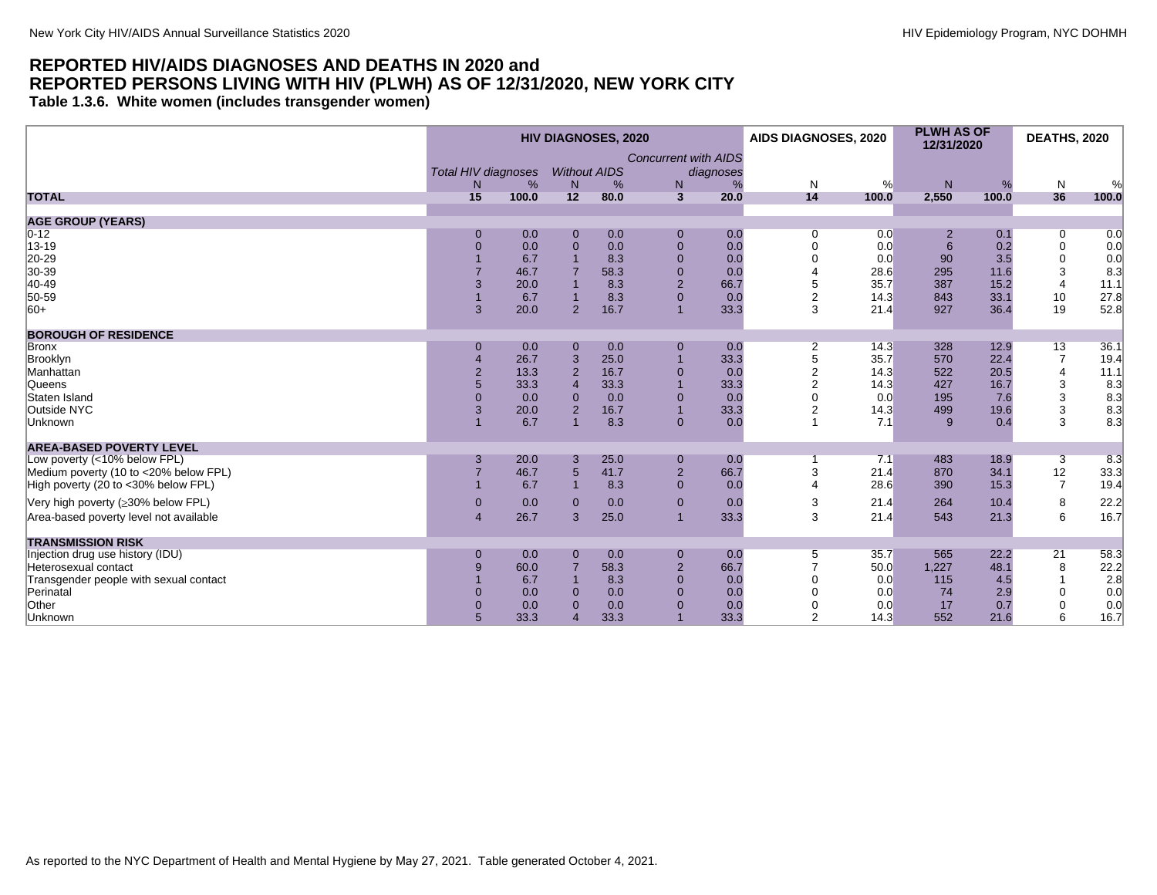<span id="page-9-0"></span>**Table 1.3.6. White women (includes transgender women)**

| <b>Concurrent with AIDS</b><br><b>Without AIDS</b><br><b>Total HIV diagnoses</b><br>diagnoses<br>%<br>%<br>N<br>%<br>N<br>%<br>N<br>N<br>N<br>%<br>N<br>%<br>14<br>36<br>15<br>12<br>$\overline{3}$<br>2,550<br>100.0<br>100.0<br>80.0<br>20.0<br>100.0<br>100.0<br><b>AGE GROUP (YEARS)</b><br>$ 0-12 $<br>0.0<br>0.0<br>0.0<br>0.0<br>0.1<br>$\overline{0}$<br>0.0<br>$\mathbf{0}$<br>$\mathbf 0$<br>0<br>$\overline{2}$<br>13-19<br>0.0<br>0.0<br>$\mathbf 0$<br>0.0<br>6<br>$\pmb{0}$<br>$\mathbf{0}$<br>0.0<br>0.2<br>$\Omega$<br>$\Omega$<br>0.0<br>20-29<br>6.7<br>$\mathbf 0$<br>90<br>3.5<br>$\mathbf 0$<br>8.3<br>0.0<br>0.0<br>0.0<br>30-39<br>$\mathbf{0}$<br>3<br>46.7<br>58.3<br>0.0<br>28.6<br>295<br>11.6<br>8.3<br>$\overline{2}$<br>$ 40 - 49 $<br>5<br>$\overline{4}$<br>3<br>20.0<br>8.3<br>66.7<br>35.7<br>387<br>15.2<br>11.1<br>$\overline{0}$<br>50-59<br>$\overline{2}$<br>10<br>27.8<br>6.7<br>8.3<br>843<br>33.1<br>0.0<br>14.3<br>$ 60+$<br>33.3<br>3<br>36.4<br>19<br>52.8<br>3<br>20.0<br>$\overline{2}$<br>16.7<br>21.4<br>927<br>$\overline{1}$<br><b>BOROUGH OF RESIDENCE</b><br>13<br>0.0<br>0.0<br>0.0<br>14.3<br>328<br>12.9<br>36.1<br>Bronx<br>$\mathbf{0}$<br>$\mathbf 0$<br>2<br>$\mathbf{0}$<br>33.3<br>5<br>35.7<br>$\overline{7}$<br>Brooklyn<br>26.7<br>3<br>25.0<br>570<br>22.4<br>19.4<br>$\overline{2}$<br>$\overline{4}$<br>$\overline{2}$<br>13.3<br>$\overline{2}$<br>16.7<br>$\mathbf 0$<br>522<br>20.5<br>11.1<br>0.0<br>14.3<br>$\overline{2}$<br>3<br>Queens<br>33.3<br>33.3<br>33.3<br>427<br>16.7<br>8.3<br>$\overline{4}$<br>14.3<br>3<br>Staten Island<br>$\Omega$<br>0.0<br>0.0<br>$\mathbf{0}$<br>0.0<br>0.0<br>195<br>8.3<br>$\Omega$<br>$\Omega$<br>7.6<br>3<br>16.7<br>33.3<br>499<br>3<br>20.0<br>$\overline{2}$<br>$\overline{1}$<br>2<br>14.3<br>19.6<br>8.3<br>3<br>8.3<br>6.7<br>0.0<br>8.3<br>$\mathbf{0}$<br>$\overline{1}$<br>7.1<br>Unknown<br>9<br>0.4<br><b>AREA-BASED POVERTY LEVEL</b><br>Low poverty (<10% below FPL)<br>20.0<br>25.0<br>0.0<br>7.1<br>483<br>18.9<br>8.3<br>3<br>3<br>$\mathbf 0$<br>3<br>$5\overline{)}$<br>$\mathbf 2$<br>3<br>12<br>66.7<br>21.4<br>870<br>34.1<br>33.3<br>Medium poverty (10 to <20% below FPL)<br>46.7<br>41.7<br>High poverty (20 to <30% below FPL)<br>$\overline{0}$<br>$\overline{7}$<br>6.7<br>8.3<br>28.6<br>390<br>15.3<br>19.4<br>0.0<br>4<br>$\overline{1}$<br>22.2<br>Very high poverty (≥30% below FPL)<br>0.0<br>0.0<br>$\overline{0}$<br>3<br>21.4<br>264<br>10.4<br>8<br>0.0<br>$\mathbf{0}$<br>$\mathbf{0}$<br>6<br>3<br>16.7<br>26.7<br>25.0<br>33.3<br>543<br>21.3<br>Area-based poverty level not available<br>3<br>21.4<br>$\overline{4}$<br>$\overline{1}$<br><b>TRANSMISSION RISK</b><br>Injection drug use history (IDU)<br>565<br>22.2<br>21<br>0.0<br>0.0<br>0.0<br>35.7<br>58.3<br>$\mathbf{0}$<br>$\mathbf{0}$<br>$\mathbf 0$<br>5<br>$\overline{2}$<br>$\,8\,$<br>58.3<br>66.7<br>1,227<br>48.1<br>22.2<br>60.0<br>50.0<br>Heterosexual contact<br>9<br>6.7<br>$\overline{0}$<br>115<br>2.8<br>Transgender people with sexual contact<br>8.3<br>0.0<br>0.0<br>4.5<br>Perinatal<br>0.0<br>0.0<br>$\overline{0}$<br>0.0<br>0.0<br>74<br>2.9<br>0<br>0.0<br>$\Omega$<br>Other<br>0<br>0.0<br>0.0<br>$\overline{0}$<br>0.0<br>17<br>$\Omega$<br>0.0<br>0.7<br>0.0<br>6<br>33.3<br>33.3<br>$\overline{2}$<br>Unknown<br>33.3<br>14.3<br>552<br>16.7<br>21.6 |              |  | <b>HIV DIAGNOSES, 2020</b> |  | AIDS DIAGNOSES, 2020 | <b>PLWH AS OF</b><br>12/31/2020 | <b>DEATHS, 2020</b> |  |
|------------------------------------------------------------------------------------------------------------------------------------------------------------------------------------------------------------------------------------------------------------------------------------------------------------------------------------------------------------------------------------------------------------------------------------------------------------------------------------------------------------------------------------------------------------------------------------------------------------------------------------------------------------------------------------------------------------------------------------------------------------------------------------------------------------------------------------------------------------------------------------------------------------------------------------------------------------------------------------------------------------------------------------------------------------------------------------------------------------------------------------------------------------------------------------------------------------------------------------------------------------------------------------------------------------------------------------------------------------------------------------------------------------------------------------------------------------------------------------------------------------------------------------------------------------------------------------------------------------------------------------------------------------------------------------------------------------------------------------------------------------------------------------------------------------------------------------------------------------------------------------------------------------------------------------------------------------------------------------------------------------------------------------------------------------------------------------------------------------------------------------------------------------------------------------------------------------------------------------------------------------------------------------------------------------------------------------------------------------------------------------------------------------------------------------------------------------------------------------------------------------------------------------------------------------------------------------------------------------------------------------------------------------------------------------------------------------------------------------------------------------------------------------------------------------------------------------------------------------------------------------------------------------------------------------------------------------------------------------------------------------------------------------------------------------------------------------------------------------------------------------------------------------------------------------------------------------------------------------------------------------------------------------------------------------------------------------------------------------------------------------------------------|--------------|--|----------------------------|--|----------------------|---------------------------------|---------------------|--|
|                                                                                                                                                                                                                                                                                                                                                                                                                                                                                                                                                                                                                                                                                                                                                                                                                                                                                                                                                                                                                                                                                                                                                                                                                                                                                                                                                                                                                                                                                                                                                                                                                                                                                                                                                                                                                                                                                                                                                                                                                                                                                                                                                                                                                                                                                                                                                                                                                                                                                                                                                                                                                                                                                                                                                                                                                                                                                                                                                                                                                                                                                                                                                                                                                                                                                                                                                                                                      |              |  |                            |  |                      |                                 |                     |  |
|                                                                                                                                                                                                                                                                                                                                                                                                                                                                                                                                                                                                                                                                                                                                                                                                                                                                                                                                                                                                                                                                                                                                                                                                                                                                                                                                                                                                                                                                                                                                                                                                                                                                                                                                                                                                                                                                                                                                                                                                                                                                                                                                                                                                                                                                                                                                                                                                                                                                                                                                                                                                                                                                                                                                                                                                                                                                                                                                                                                                                                                                                                                                                                                                                                                                                                                                                                                                      | <b>TOTAL</b> |  |                            |  |                      |                                 |                     |  |
|                                                                                                                                                                                                                                                                                                                                                                                                                                                                                                                                                                                                                                                                                                                                                                                                                                                                                                                                                                                                                                                                                                                                                                                                                                                                                                                                                                                                                                                                                                                                                                                                                                                                                                                                                                                                                                                                                                                                                                                                                                                                                                                                                                                                                                                                                                                                                                                                                                                                                                                                                                                                                                                                                                                                                                                                                                                                                                                                                                                                                                                                                                                                                                                                                                                                                                                                                                                                      |              |  |                            |  |                      |                                 |                     |  |
|                                                                                                                                                                                                                                                                                                                                                                                                                                                                                                                                                                                                                                                                                                                                                                                                                                                                                                                                                                                                                                                                                                                                                                                                                                                                                                                                                                                                                                                                                                                                                                                                                                                                                                                                                                                                                                                                                                                                                                                                                                                                                                                                                                                                                                                                                                                                                                                                                                                                                                                                                                                                                                                                                                                                                                                                                                                                                                                                                                                                                                                                                                                                                                                                                                                                                                                                                                                                      |              |  |                            |  |                      |                                 |                     |  |
|                                                                                                                                                                                                                                                                                                                                                                                                                                                                                                                                                                                                                                                                                                                                                                                                                                                                                                                                                                                                                                                                                                                                                                                                                                                                                                                                                                                                                                                                                                                                                                                                                                                                                                                                                                                                                                                                                                                                                                                                                                                                                                                                                                                                                                                                                                                                                                                                                                                                                                                                                                                                                                                                                                                                                                                                                                                                                                                                                                                                                                                                                                                                                                                                                                                                                                                                                                                                      |              |  |                            |  |                      |                                 |                     |  |
|                                                                                                                                                                                                                                                                                                                                                                                                                                                                                                                                                                                                                                                                                                                                                                                                                                                                                                                                                                                                                                                                                                                                                                                                                                                                                                                                                                                                                                                                                                                                                                                                                                                                                                                                                                                                                                                                                                                                                                                                                                                                                                                                                                                                                                                                                                                                                                                                                                                                                                                                                                                                                                                                                                                                                                                                                                                                                                                                                                                                                                                                                                                                                                                                                                                                                                                                                                                                      |              |  |                            |  |                      |                                 |                     |  |
|                                                                                                                                                                                                                                                                                                                                                                                                                                                                                                                                                                                                                                                                                                                                                                                                                                                                                                                                                                                                                                                                                                                                                                                                                                                                                                                                                                                                                                                                                                                                                                                                                                                                                                                                                                                                                                                                                                                                                                                                                                                                                                                                                                                                                                                                                                                                                                                                                                                                                                                                                                                                                                                                                                                                                                                                                                                                                                                                                                                                                                                                                                                                                                                                                                                                                                                                                                                                      |              |  |                            |  |                      |                                 |                     |  |
|                                                                                                                                                                                                                                                                                                                                                                                                                                                                                                                                                                                                                                                                                                                                                                                                                                                                                                                                                                                                                                                                                                                                                                                                                                                                                                                                                                                                                                                                                                                                                                                                                                                                                                                                                                                                                                                                                                                                                                                                                                                                                                                                                                                                                                                                                                                                                                                                                                                                                                                                                                                                                                                                                                                                                                                                                                                                                                                                                                                                                                                                                                                                                                                                                                                                                                                                                                                                      |              |  |                            |  |                      |                                 |                     |  |
|                                                                                                                                                                                                                                                                                                                                                                                                                                                                                                                                                                                                                                                                                                                                                                                                                                                                                                                                                                                                                                                                                                                                                                                                                                                                                                                                                                                                                                                                                                                                                                                                                                                                                                                                                                                                                                                                                                                                                                                                                                                                                                                                                                                                                                                                                                                                                                                                                                                                                                                                                                                                                                                                                                                                                                                                                                                                                                                                                                                                                                                                                                                                                                                                                                                                                                                                                                                                      |              |  |                            |  |                      |                                 |                     |  |
|                                                                                                                                                                                                                                                                                                                                                                                                                                                                                                                                                                                                                                                                                                                                                                                                                                                                                                                                                                                                                                                                                                                                                                                                                                                                                                                                                                                                                                                                                                                                                                                                                                                                                                                                                                                                                                                                                                                                                                                                                                                                                                                                                                                                                                                                                                                                                                                                                                                                                                                                                                                                                                                                                                                                                                                                                                                                                                                                                                                                                                                                                                                                                                                                                                                                                                                                                                                                      |              |  |                            |  |                      |                                 |                     |  |
|                                                                                                                                                                                                                                                                                                                                                                                                                                                                                                                                                                                                                                                                                                                                                                                                                                                                                                                                                                                                                                                                                                                                                                                                                                                                                                                                                                                                                                                                                                                                                                                                                                                                                                                                                                                                                                                                                                                                                                                                                                                                                                                                                                                                                                                                                                                                                                                                                                                                                                                                                                                                                                                                                                                                                                                                                                                                                                                                                                                                                                                                                                                                                                                                                                                                                                                                                                                                      |              |  |                            |  |                      |                                 |                     |  |
|                                                                                                                                                                                                                                                                                                                                                                                                                                                                                                                                                                                                                                                                                                                                                                                                                                                                                                                                                                                                                                                                                                                                                                                                                                                                                                                                                                                                                                                                                                                                                                                                                                                                                                                                                                                                                                                                                                                                                                                                                                                                                                                                                                                                                                                                                                                                                                                                                                                                                                                                                                                                                                                                                                                                                                                                                                                                                                                                                                                                                                                                                                                                                                                                                                                                                                                                                                                                      |              |  |                            |  |                      |                                 |                     |  |
|                                                                                                                                                                                                                                                                                                                                                                                                                                                                                                                                                                                                                                                                                                                                                                                                                                                                                                                                                                                                                                                                                                                                                                                                                                                                                                                                                                                                                                                                                                                                                                                                                                                                                                                                                                                                                                                                                                                                                                                                                                                                                                                                                                                                                                                                                                                                                                                                                                                                                                                                                                                                                                                                                                                                                                                                                                                                                                                                                                                                                                                                                                                                                                                                                                                                                                                                                                                                      |              |  |                            |  |                      |                                 |                     |  |
|                                                                                                                                                                                                                                                                                                                                                                                                                                                                                                                                                                                                                                                                                                                                                                                                                                                                                                                                                                                                                                                                                                                                                                                                                                                                                                                                                                                                                                                                                                                                                                                                                                                                                                                                                                                                                                                                                                                                                                                                                                                                                                                                                                                                                                                                                                                                                                                                                                                                                                                                                                                                                                                                                                                                                                                                                                                                                                                                                                                                                                                                                                                                                                                                                                                                                                                                                                                                      |              |  |                            |  |                      |                                 |                     |  |
|                                                                                                                                                                                                                                                                                                                                                                                                                                                                                                                                                                                                                                                                                                                                                                                                                                                                                                                                                                                                                                                                                                                                                                                                                                                                                                                                                                                                                                                                                                                                                                                                                                                                                                                                                                                                                                                                                                                                                                                                                                                                                                                                                                                                                                                                                                                                                                                                                                                                                                                                                                                                                                                                                                                                                                                                                                                                                                                                                                                                                                                                                                                                                                                                                                                                                                                                                                                                      | Manhattan    |  |                            |  |                      |                                 |                     |  |
|                                                                                                                                                                                                                                                                                                                                                                                                                                                                                                                                                                                                                                                                                                                                                                                                                                                                                                                                                                                                                                                                                                                                                                                                                                                                                                                                                                                                                                                                                                                                                                                                                                                                                                                                                                                                                                                                                                                                                                                                                                                                                                                                                                                                                                                                                                                                                                                                                                                                                                                                                                                                                                                                                                                                                                                                                                                                                                                                                                                                                                                                                                                                                                                                                                                                                                                                                                                                      |              |  |                            |  |                      |                                 |                     |  |
|                                                                                                                                                                                                                                                                                                                                                                                                                                                                                                                                                                                                                                                                                                                                                                                                                                                                                                                                                                                                                                                                                                                                                                                                                                                                                                                                                                                                                                                                                                                                                                                                                                                                                                                                                                                                                                                                                                                                                                                                                                                                                                                                                                                                                                                                                                                                                                                                                                                                                                                                                                                                                                                                                                                                                                                                                                                                                                                                                                                                                                                                                                                                                                                                                                                                                                                                                                                                      |              |  |                            |  |                      |                                 |                     |  |
|                                                                                                                                                                                                                                                                                                                                                                                                                                                                                                                                                                                                                                                                                                                                                                                                                                                                                                                                                                                                                                                                                                                                                                                                                                                                                                                                                                                                                                                                                                                                                                                                                                                                                                                                                                                                                                                                                                                                                                                                                                                                                                                                                                                                                                                                                                                                                                                                                                                                                                                                                                                                                                                                                                                                                                                                                                                                                                                                                                                                                                                                                                                                                                                                                                                                                                                                                                                                      | Outside NYC  |  |                            |  |                      |                                 |                     |  |
|                                                                                                                                                                                                                                                                                                                                                                                                                                                                                                                                                                                                                                                                                                                                                                                                                                                                                                                                                                                                                                                                                                                                                                                                                                                                                                                                                                                                                                                                                                                                                                                                                                                                                                                                                                                                                                                                                                                                                                                                                                                                                                                                                                                                                                                                                                                                                                                                                                                                                                                                                                                                                                                                                                                                                                                                                                                                                                                                                                                                                                                                                                                                                                                                                                                                                                                                                                                                      |              |  |                            |  |                      |                                 |                     |  |
|                                                                                                                                                                                                                                                                                                                                                                                                                                                                                                                                                                                                                                                                                                                                                                                                                                                                                                                                                                                                                                                                                                                                                                                                                                                                                                                                                                                                                                                                                                                                                                                                                                                                                                                                                                                                                                                                                                                                                                                                                                                                                                                                                                                                                                                                                                                                                                                                                                                                                                                                                                                                                                                                                                                                                                                                                                                                                                                                                                                                                                                                                                                                                                                                                                                                                                                                                                                                      |              |  |                            |  |                      |                                 |                     |  |
|                                                                                                                                                                                                                                                                                                                                                                                                                                                                                                                                                                                                                                                                                                                                                                                                                                                                                                                                                                                                                                                                                                                                                                                                                                                                                                                                                                                                                                                                                                                                                                                                                                                                                                                                                                                                                                                                                                                                                                                                                                                                                                                                                                                                                                                                                                                                                                                                                                                                                                                                                                                                                                                                                                                                                                                                                                                                                                                                                                                                                                                                                                                                                                                                                                                                                                                                                                                                      |              |  |                            |  |                      |                                 |                     |  |
|                                                                                                                                                                                                                                                                                                                                                                                                                                                                                                                                                                                                                                                                                                                                                                                                                                                                                                                                                                                                                                                                                                                                                                                                                                                                                                                                                                                                                                                                                                                                                                                                                                                                                                                                                                                                                                                                                                                                                                                                                                                                                                                                                                                                                                                                                                                                                                                                                                                                                                                                                                                                                                                                                                                                                                                                                                                                                                                                                                                                                                                                                                                                                                                                                                                                                                                                                                                                      |              |  |                            |  |                      |                                 |                     |  |
|                                                                                                                                                                                                                                                                                                                                                                                                                                                                                                                                                                                                                                                                                                                                                                                                                                                                                                                                                                                                                                                                                                                                                                                                                                                                                                                                                                                                                                                                                                                                                                                                                                                                                                                                                                                                                                                                                                                                                                                                                                                                                                                                                                                                                                                                                                                                                                                                                                                                                                                                                                                                                                                                                                                                                                                                                                                                                                                                                                                                                                                                                                                                                                                                                                                                                                                                                                                                      |              |  |                            |  |                      |                                 |                     |  |
|                                                                                                                                                                                                                                                                                                                                                                                                                                                                                                                                                                                                                                                                                                                                                                                                                                                                                                                                                                                                                                                                                                                                                                                                                                                                                                                                                                                                                                                                                                                                                                                                                                                                                                                                                                                                                                                                                                                                                                                                                                                                                                                                                                                                                                                                                                                                                                                                                                                                                                                                                                                                                                                                                                                                                                                                                                                                                                                                                                                                                                                                                                                                                                                                                                                                                                                                                                                                      |              |  |                            |  |                      |                                 |                     |  |
|                                                                                                                                                                                                                                                                                                                                                                                                                                                                                                                                                                                                                                                                                                                                                                                                                                                                                                                                                                                                                                                                                                                                                                                                                                                                                                                                                                                                                                                                                                                                                                                                                                                                                                                                                                                                                                                                                                                                                                                                                                                                                                                                                                                                                                                                                                                                                                                                                                                                                                                                                                                                                                                                                                                                                                                                                                                                                                                                                                                                                                                                                                                                                                                                                                                                                                                                                                                                      |              |  |                            |  |                      |                                 |                     |  |
|                                                                                                                                                                                                                                                                                                                                                                                                                                                                                                                                                                                                                                                                                                                                                                                                                                                                                                                                                                                                                                                                                                                                                                                                                                                                                                                                                                                                                                                                                                                                                                                                                                                                                                                                                                                                                                                                                                                                                                                                                                                                                                                                                                                                                                                                                                                                                                                                                                                                                                                                                                                                                                                                                                                                                                                                                                                                                                                                                                                                                                                                                                                                                                                                                                                                                                                                                                                                      |              |  |                            |  |                      |                                 |                     |  |
|                                                                                                                                                                                                                                                                                                                                                                                                                                                                                                                                                                                                                                                                                                                                                                                                                                                                                                                                                                                                                                                                                                                                                                                                                                                                                                                                                                                                                                                                                                                                                                                                                                                                                                                                                                                                                                                                                                                                                                                                                                                                                                                                                                                                                                                                                                                                                                                                                                                                                                                                                                                                                                                                                                                                                                                                                                                                                                                                                                                                                                                                                                                                                                                                                                                                                                                                                                                                      |              |  |                            |  |                      |                                 |                     |  |
|                                                                                                                                                                                                                                                                                                                                                                                                                                                                                                                                                                                                                                                                                                                                                                                                                                                                                                                                                                                                                                                                                                                                                                                                                                                                                                                                                                                                                                                                                                                                                                                                                                                                                                                                                                                                                                                                                                                                                                                                                                                                                                                                                                                                                                                                                                                                                                                                                                                                                                                                                                                                                                                                                                                                                                                                                                                                                                                                                                                                                                                                                                                                                                                                                                                                                                                                                                                                      |              |  |                            |  |                      |                                 |                     |  |
|                                                                                                                                                                                                                                                                                                                                                                                                                                                                                                                                                                                                                                                                                                                                                                                                                                                                                                                                                                                                                                                                                                                                                                                                                                                                                                                                                                                                                                                                                                                                                                                                                                                                                                                                                                                                                                                                                                                                                                                                                                                                                                                                                                                                                                                                                                                                                                                                                                                                                                                                                                                                                                                                                                                                                                                                                                                                                                                                                                                                                                                                                                                                                                                                                                                                                                                                                                                                      |              |  |                            |  |                      |                                 |                     |  |
|                                                                                                                                                                                                                                                                                                                                                                                                                                                                                                                                                                                                                                                                                                                                                                                                                                                                                                                                                                                                                                                                                                                                                                                                                                                                                                                                                                                                                                                                                                                                                                                                                                                                                                                                                                                                                                                                                                                                                                                                                                                                                                                                                                                                                                                                                                                                                                                                                                                                                                                                                                                                                                                                                                                                                                                                                                                                                                                                                                                                                                                                                                                                                                                                                                                                                                                                                                                                      |              |  |                            |  |                      |                                 |                     |  |
|                                                                                                                                                                                                                                                                                                                                                                                                                                                                                                                                                                                                                                                                                                                                                                                                                                                                                                                                                                                                                                                                                                                                                                                                                                                                                                                                                                                                                                                                                                                                                                                                                                                                                                                                                                                                                                                                                                                                                                                                                                                                                                                                                                                                                                                                                                                                                                                                                                                                                                                                                                                                                                                                                                                                                                                                                                                                                                                                                                                                                                                                                                                                                                                                                                                                                                                                                                                                      |              |  |                            |  |                      |                                 |                     |  |
|                                                                                                                                                                                                                                                                                                                                                                                                                                                                                                                                                                                                                                                                                                                                                                                                                                                                                                                                                                                                                                                                                                                                                                                                                                                                                                                                                                                                                                                                                                                                                                                                                                                                                                                                                                                                                                                                                                                                                                                                                                                                                                                                                                                                                                                                                                                                                                                                                                                                                                                                                                                                                                                                                                                                                                                                                                                                                                                                                                                                                                                                                                                                                                                                                                                                                                                                                                                                      |              |  |                            |  |                      |                                 |                     |  |
|                                                                                                                                                                                                                                                                                                                                                                                                                                                                                                                                                                                                                                                                                                                                                                                                                                                                                                                                                                                                                                                                                                                                                                                                                                                                                                                                                                                                                                                                                                                                                                                                                                                                                                                                                                                                                                                                                                                                                                                                                                                                                                                                                                                                                                                                                                                                                                                                                                                                                                                                                                                                                                                                                                                                                                                                                                                                                                                                                                                                                                                                                                                                                                                                                                                                                                                                                                                                      |              |  |                            |  |                      |                                 |                     |  |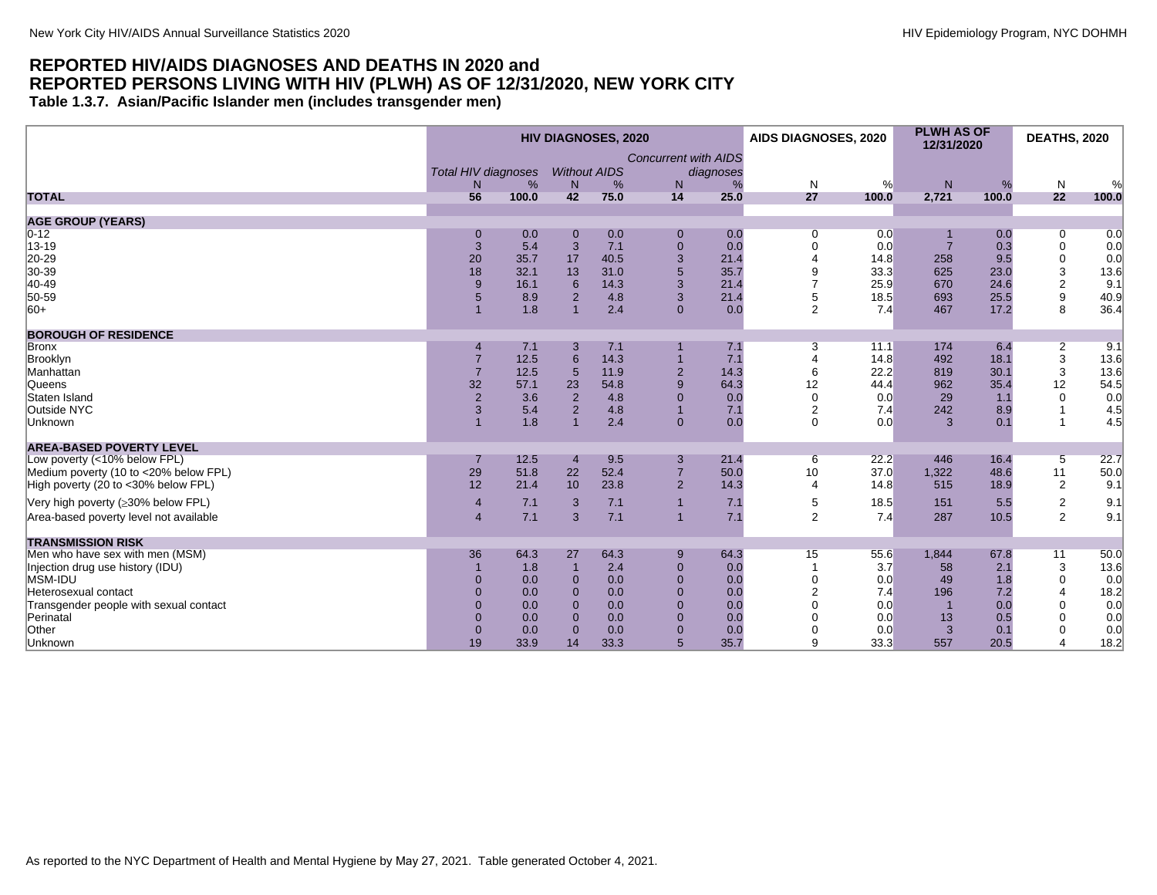#### <span id="page-10-0"></span>**REPORTED HIV/AIDS DIAGNOSES AND DEATHS IN 2020 and REPORTED PERSONS LIVING WITH HIV (PLWH) AS OF 12/31/2020, NEW YORK CITY Table 1.3.7. Asian/Pacific Islander men (includes transgender men)**

|                                        |                                            |       |                 | <b>HIV DIAGNOSES, 2020</b> |                                  |                | AIDS DIAGNOSES, 2020  |       | <b>PLWH AS OF</b><br>12/31/2020 |       | <b>DEATHS, 2020</b> |       |
|----------------------------------------|--------------------------------------------|-------|-----------------|----------------------------|----------------------------------|----------------|-----------------------|-------|---------------------------------|-------|---------------------|-------|
|                                        | <b>Total HIV diagnoses</b><br><sub>N</sub> | %     | N               | <b>Without AIDS</b><br>%   | <b>Concurrent with AIDS</b><br>N | diagnoses<br>% | N                     | %     | N <sub>1</sub>                  | %     | $\mathsf{N}$        | %     |
| <b>TOTAL</b>                           | 56                                         | 100.0 | 42              | 75.0                       | 14                               | 25.0           | 27                    | 100.0 | 2,721                           | 100.0 | 22                  | 100.0 |
| <b>AGE GROUP (YEARS)</b>               |                                            |       |                 |                            |                                  |                |                       |       |                                 |       |                     |       |
| $0 - 12$                               |                                            | 0.0   | $\mathbf{0}$    | 0.0                        | $\mathbf 0$                      | 0.0            | 0                     | 0.0   |                                 | 0.0   | 0                   | 0.0   |
| 13-19                                  | 3                                          | 5.4   | 3               | 7.1                        | $\mathbf 0$                      | 0.0            | $\Omega$              | 0.0   | $\overline{7}$                  | 0.3   | $\mathbf 0$         | 0.0   |
| 20-29                                  | 20                                         | 35.7  | 17              | 40.5                       | $\mathbf{3}$                     | 21.4           |                       | 14.8  | 258                             | 9.5   | $\mathbf 0$         | 0.0   |
| 30-39                                  | 18                                         | 32.1  | 13              | 31.0                       | $\overline{5}$                   | 35.7           |                       | 33.3  | 625                             | 23.0  | 3                   | 13.6  |
| 40-49                                  | 9                                          | 16.1  | 6               | 14.3                       | $\mathbf{3}$                     | 21.4           |                       | 25.9  | 670                             | 24.6  | $\overline{2}$      | 9.1   |
| 50-59                                  |                                            | 8.9   | $\overline{2}$  | 4.8                        | 3                                | 21.4           | 5                     | 18.5  | 693                             | 25.5  | $\boldsymbol{9}$    | 40.9  |
| $ 60+$                                 |                                            | 1.8   |                 | 2.4                        | $\Omega$                         | 0.0            | 2                     | 7.4   | 467                             | 17.2  | 8                   | 36.4  |
| <b>BOROUGH OF RESIDENCE</b>            |                                            |       |                 |                            |                                  |                |                       |       |                                 |       |                     |       |
| <b>Bronx</b>                           |                                            | 7.1   | 3               | 7.1                        |                                  | 7.1            | 3                     | 11.1  | 174                             | 6.4   | $\overline{2}$      | 9.1   |
| Brooklyn                               | $\overline{7}$                             | 12.5  | $6\phantom{1}$  | 14.3                       | $\overline{1}$                   | 7.1            |                       | 14.8  | 492                             | 18.1  | $\sqrt{3}$          | 13.6  |
| Manhattan                              |                                            | 12.5  | $5\phantom{.0}$ | 11.9                       | $\overline{2}$                   | 14.3           | 6                     | 22.2  | 819                             | 30.1  | 3                   | 13.6  |
| <b>Queens</b>                          | 32                                         | 57.1  | 23              | 54.8                       | $\boldsymbol{9}$                 | 64.3           | 12                    | 44.4  | 962                             | 35.4  | 12                  | 54.5  |
| Staten Island                          | $\overline{2}$                             | 3.6   | $\overline{2}$  | 4.8                        | $\mathbf 0$                      | 0.0            | $\Omega$              | 0.0   | 29                              | 1.1   | $\mathbf 0$         | 0.0   |
| Outside NYC                            | 3                                          | 5.4   | $\overline{2}$  | 4.8                        | $\overline{1}$                   | 7.1            | 2                     | 7.4   | 242                             | 8.9   | -1                  | 4.5   |
| Unknown                                |                                            | 1.8   |                 | 2.4                        | $\mathbf{0}$                     | 0.0            | $\Omega$              | 0.0   | 3                               | 0.1   | $\overline{1}$      | 4.5   |
| <b>AREA-BASED POVERTY LEVEL</b>        |                                            |       |                 |                            |                                  |                |                       |       |                                 |       |                     |       |
| Low poverty (<10% below FPL)           |                                            | 12.5  | $\overline{4}$  | 9.5                        | 3                                | 21.4           | 6                     | 22.2  | 446                             | 16.4  | 5                   | 22.7  |
| Medium poverty (10 to <20% below FPL)  | 29                                         | 51.8  | 22              | 52.4                       | $\overline{7}$                   | 50.0           | 10                    | 37.0  | 1,322                           | 48.6  | 11                  | 50.0  |
| High poverty (20 to <30% below FPL)    | 12                                         | 21.4  | 10              | 23.8                       | 2                                | 14.3           | $\boldsymbol{\Delta}$ | 14.8  | 515                             | 18.9  | $\overline{2}$      | 9.1   |
| Very high poverty (≥30% below FPL)     | $\overline{4}$                             | 7.1   | 3               | 7.1                        | $\overline{1}$                   | 7.1            | 5                     | 18.5  | 151                             | 5.5   | $\overline{c}$      | 9.1   |
| Area-based poverty level not available | $\overline{4}$                             | 7.1   | 3               | 7.1                        | $\overline{1}$                   | 7.1            | 2                     | 7.4   | 287                             | 10.5  | 2                   | 9.1   |
| <b>TRANSMISSION RISK</b>               |                                            |       |                 |                            |                                  |                |                       |       |                                 |       |                     |       |
| Men who have sex with men (MSM)        | 36                                         | 64.3  | 27              | 64.3                       | 9                                | 64.3           | 15                    | 55.6  | 1,844                           | 67.8  | 11                  | 50.0  |
| Injection drug use history (IDU)       |                                            | 1.8   | $\overline{1}$  | 2.4                        | $\mathbf 0$                      | 0.0            |                       | 3.7   | 58                              | 2.1   | 3                   | 13.6  |
| MSM-IDU                                |                                            | 0.0   | $\mathbf{0}$    | 0.0                        | $\mathbf 0$                      | 0.0            | $\mathbf 0$           | 0.0   | 49                              | 1.8   | $\mathbf 0$         | 0.0   |
| Heterosexual contact                   |                                            | 0.0   | $\Omega$        | 0.0                        | $\mathbf 0$                      | 0.0            | $\overline{2}$        | 7.4   | 196                             | 7.2   | $\overline{4}$      | 18.2  |
| Transgender people with sexual contact | $\Omega$                                   | 0.0   | $\Omega$        | 0.0                        | $\overline{0}$                   | 0.0            | $\Omega$              | 0.0   |                                 | 0.0   | $\mathbf 0$         | 0.0   |
| Perinatal                              | $\Omega$                                   | 0.0   | $\Omega$        | 0.0                        | $\mathbf 0$                      | 0.0            | $\Omega$              | 0.0   | 13                              | 0.5   | $\Omega$            | 0.0   |
| Other                                  |                                            | 0.0   | $\mathbf{0}$    | 0.0                        | $\mathbf 0$                      | 0.0            |                       | 0.0   | $\mathbf{3}$                    | 0.1   | $\Omega$            | 0.0   |
| Unknown                                | 19                                         | 33.9  | 14              | 33.3                       | 5                                | 35.7           | 9                     | 33.3  | 557                             | 20.5  | $\overline{4}$      | 18.2  |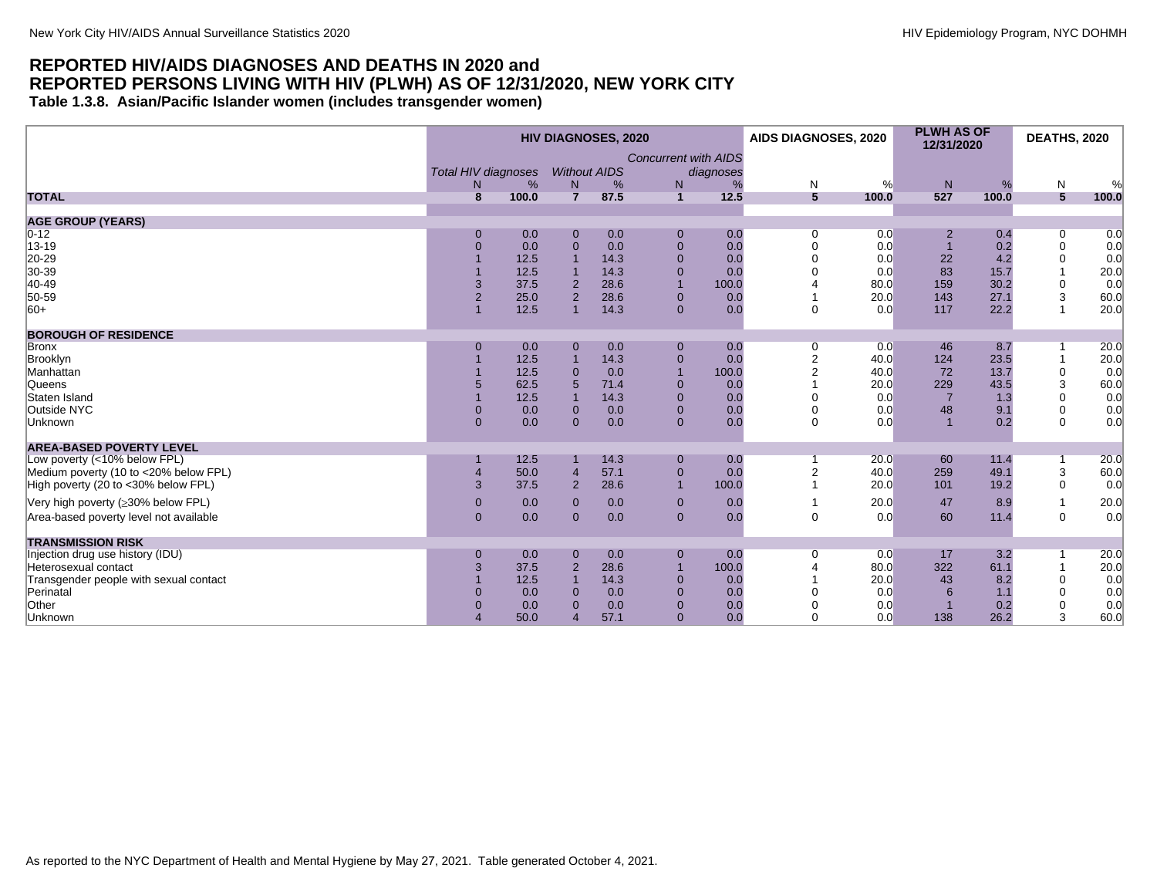<span id="page-11-0"></span>**Table 1.3.8. Asian/Pacific Islander women (includes transgender women)**

|                                        |                                              |       |                          | <b>HIV DIAGNOSES, 2020</b> |                                  |                | AIDS DIAGNOSES, 2020 |             | <b>PLWH AS OF</b><br>12/31/2020 |              | <b>DEATHS, 2020</b> |       |
|----------------------------------------|----------------------------------------------|-------|--------------------------|----------------------------|----------------------------------|----------------|----------------------|-------------|---------------------------------|--------------|---------------------|-------|
|                                        | <b>Total HIV diagnoses</b><br>N <sub>1</sub> | %     | <b>Without AIDS</b><br>N | %                          | <b>Concurrent with AIDS</b><br>N | diagnoses<br>% | N                    | %           | N                               | %            | N                   | %     |
| <b>TOTAL</b>                           | $\mathbf{R}$                                 | 100.0 | $\overline{7}$           | 87.5                       | $\mathbf{1}$                     | 12.5           | $5\phantom{1}$       | 100.0       | 527                             | 100.0        | 5                   | 100.0 |
|                                        |                                              |       |                          |                            |                                  |                |                      |             |                                 |              |                     |       |
| <b>AGE GROUP (YEARS)</b>               |                                              |       |                          |                            |                                  |                |                      |             |                                 |              |                     |       |
| $0 - 12$                               |                                              | 0.0   | $\mathbf 0$              | 0.0                        | $\mathbf 0$                      | 0.0            | 0                    | 0.0         | $\overline{2}$                  | 0.4          | $\overline{0}$      | 0.0   |
| 13-19                                  | $\Omega$                                     | 0.0   | $\overline{0}$           | 0.0                        | $\mathbf 0$                      | 0.0            | $\Omega$             | 0.0         |                                 | 0.2          | $\pmb{0}$           | 0.0   |
| 20-29                                  |                                              | 12.5  |                          | 14.3                       | $\mathbf 0$                      | 0.0            |                      | 0.0         | 22                              | 4.2          | $\mathbf 0$         | 0.0   |
| 30-39                                  |                                              | 12.5  |                          | 14.3                       | $\overline{0}$<br>$\overline{1}$ | 0.0            |                      | 0.0         | 83                              | 15.7         |                     | 20.0  |
| 40-49<br>50-59                         | 3<br>$\overline{2}$                          | 37.5  | $\overline{2}$           | 28.6                       |                                  | 100.0          |                      | 80.0        | 159<br>143                      | 30.2         | $\mathbf 0$         | 0.0   |
| 60+                                    |                                              | 25.0  | $\overline{2}$           | 28.6                       | $\mathbf{0}$<br>$\Omega$         | 0.0<br>0.0     | $\Omega$             | 20.0<br>0.0 | 117                             | 27.1<br>22.2 | 3<br>$\mathbf{1}$   | 60.0  |
|                                        |                                              | 12.5  |                          | 14.3                       |                                  |                |                      |             |                                 |              |                     | 20.0  |
| <b>BOROUGH OF RESIDENCE</b>            |                                              |       |                          |                            |                                  |                |                      |             |                                 |              |                     |       |
| Bronx                                  | $\Omega$                                     | 0.0   | $\mathbf 0$              | 0.0                        | $\mathbf 0$                      | 0.0            | 0                    | 0.0         | 46                              | 8.7          | 1                   | 20.0  |
| Brooklyn                               |                                              | 12.5  |                          | 14.3                       | $\mathbf 0$                      | 0.0            | $\overline{2}$       | 40.0        | 124                             | 23.5         |                     | 20.0  |
| Manhattan                              |                                              | 12.5  | $\Omega$                 | 0.0                        | $\overline{1}$                   | 100.0          | $\overline{2}$       | 40.0        | 72                              | 13.7         | $\pmb{0}$           | 0.0   |
| Queens                                 |                                              | 62.5  |                          | 71.4                       | $\overline{0}$                   | 0.0            |                      | 20.0        | 229                             | 43.5         | 3                   | 60.0  |
| Staten Island                          |                                              | 12.5  |                          | 14.3                       | $\overline{0}$                   | 0.0            |                      | 0.0         |                                 | 1.3          | 0                   | 0.0   |
| Outside NYC                            | $\Omega$                                     | 0.0   | $\Omega$                 | 0.0                        | $\overline{0}$                   | 0.0            | $\Omega$             | 0.0         | 48                              | 9.1          | $\mathbf 0$         | 0.0   |
| Unknown                                | $\Omega$                                     | 0.0   | $\Omega$                 | 0.0                        | $\mathbf{0}$                     | 0.0            | $\Omega$             | 0.0         |                                 | 0.2          | $\Omega$            | 0.0   |
| <b>AREA-BASED POVERTY LEVEL</b>        |                                              |       |                          |                            |                                  |                |                      |             |                                 |              |                     |       |
| Low poverty (<10% below FPL)           |                                              | 12.5  |                          | 14.3                       | $\mathbf 0$                      | 0.0            |                      | 20.0        | 60                              | 11.4         | 1                   | 20.0  |
| Medium poverty (10 to <20% below FPL)  |                                              | 50.0  | $\overline{4}$           | 57.1                       | $\mathbf 0$                      | 0.0            | $\overline{2}$       | 40.0        | 259                             | 49.1         | 3                   | 60.0  |
| High poverty (20 to <30% below FPL)    | 3                                            | 37.5  | $\overline{2}$           | 28.6                       | $\overline{1}$                   | 100.0          |                      | 20.0        | 101                             | 19.2         | $\mathbf 0$         | 0.0   |
|                                        |                                              |       |                          |                            |                                  |                |                      |             |                                 |              |                     |       |
| Very high poverty (≥30% below FPL)     | $\mathbf{0}$                                 | 0.0   | $\mathbf{0}$             | 0.0                        | $\mathbf{0}$                     | 0.0            |                      | 20.0        | 47                              | 8.9          | $\mathbf{1}$        | 20.0  |
| Area-based poverty level not available | $\Omega$                                     | 0.0   | $\Omega$                 | 0.0                        | $\mathbf{0}$                     | 0.0            | $\Omega$             | 0.0         | 60                              | 11.4         | $\mathbf 0$         | 0.0   |
| <b>TRANSMISSION RISK</b>               |                                              |       |                          |                            |                                  |                |                      |             |                                 |              |                     |       |
| Injection drug use history (IDU)       | $\mathbf 0$                                  | 0.0   | $\mathbf 0$              | 0.0                        | $\mathbf 0$                      | 0.0            | $\mathbf 0$          | 0.0         | 17                              | 3.2          | 1                   | 20.0  |
| Heterosexual contact                   | 3                                            | 37.5  | $\overline{2}$           | 28.6                       |                                  | 100.0          |                      | 80.0        | 322                             | 61.1         |                     | 20.0  |
| Transgender people with sexual contact |                                              | 12.5  |                          | 14.3                       | $\mathbf 0$                      | 0.0            |                      | 20.0        | 43                              | 8.2          | $\mathbf 0$         | 0.0   |
| Perinatal                              |                                              | 0.0   | $\Omega$                 | 0.0                        | $\overline{0}$                   | 0.0            |                      | 0.0         | 6                               | 1.1          | 0                   | 0.0   |
| Other                                  |                                              | 0.0   | $\Omega$                 | 0.0                        | $\mathbf 0$                      | 0.0            |                      | 0.0         |                                 | 0.2          | $\mathbf 0$         | 0.0   |
| Unknown                                |                                              | 50.0  |                          | 57.1                       | $\overline{0}$                   | 0.0            | $\Omega$             | 0.0         | 138                             | 26.2         | 3                   | 60.0  |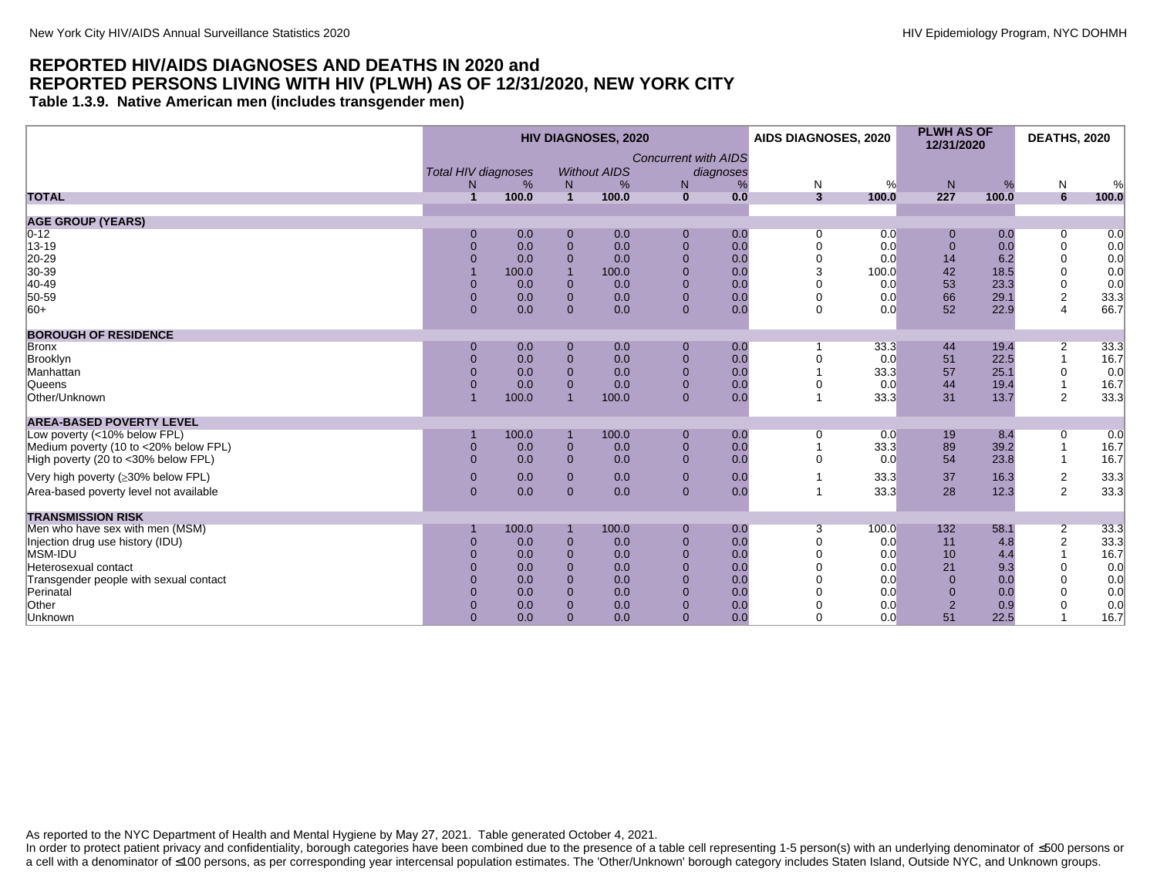<span id="page-12-0"></span>**Table 1.3.9. Native American men (includes transgender men)**

|                                        |                            |       | <b>HIV DIAGNOSES, 2020</b> |                     |                             | AIDS DIAGNOSES, 2020 |                         | <b>PLWH AS OF</b><br>12/31/2020 |                | <b>DEATHS, 2020</b> |                  |       |
|----------------------------------------|----------------------------|-------|----------------------------|---------------------|-----------------------------|----------------------|-------------------------|---------------------------------|----------------|---------------------|------------------|-------|
|                                        | <b>Total HIV diagnoses</b> |       |                            | <b>Without AIDS</b> | <b>Concurrent with AIDS</b> | diagnoses            |                         |                                 |                |                     |                  |       |
|                                        | N.                         | %     | N                          | %                   | N                           | %                    | N                       | $\%$                            | N              | %                   | $\mathsf{N}$     | %     |
| <b>TOTAL</b>                           | $\overline{1}$             | 100.0 | $\blacktriangleleft$       | 100.0               | $\mathbf{0}$                | 0.0                  | $\overline{\mathbf{3}}$ | 100.0                           | 227            | 100.0               | 6                | 100.0 |
|                                        |                            |       |                            |                     |                             |                      |                         |                                 |                |                     |                  |       |
| <b>AGE GROUP (YEARS)</b>               |                            |       |                            |                     |                             |                      |                         |                                 |                |                     |                  |       |
| $0 - 12$                               | 0                          | 0.0   | $\Omega$                   | 0.0                 | $\mathbf{0}$                | 0.0                  | 0                       | 0.0                             | 0              | 0.0                 | 0                | 0.0   |
| 13-19                                  | $\overline{0}$             | 0.0   | $\mathbf{0}$               | 0.0                 | $\mathbf 0$                 | 0.0                  | 0                       | 0.0                             | $\overline{0}$ | 0.0                 | $\mathbf 0$      | 0.0   |
| 20-29                                  | $\Omega$                   | 0.0   | $\Omega$                   | 0.0                 | $\mathbf{0}$                | 0.0                  | 0                       | 0.0                             | 14             | 6.2                 | $\mathbf 0$      | 0.0   |
| 30-39                                  |                            | 100.0 |                            | 100.0               | $\Omega$                    | 0.0                  | 3                       | 100.0                           | 42             | 18.5                | $\mathbf 0$      | 0.0   |
| 40-49                                  | $\overline{0}$             | 0.0   | $\mathbf{0}$               | 0.0                 | $\mathbf{0}$                | 0.0                  |                         | 0.0                             | 53             | 23.3                | 0                | 0.0   |
| 50-59                                  | $\overline{0}$             | 0.0   | $\Omega$                   | 0.0                 | $\Omega$                    | 0.0                  | $\Omega$                | 0.0                             | 66             | 29.1                | $\boldsymbol{2}$ | 33.3  |
| $ 60+$                                 | $\Omega$                   | 0.0   | $\Omega$                   | 0.0                 | $\Omega$                    | 0.0                  | $\Omega$                | 0.0                             | 52             | 22.9                | $\overline{4}$   | 66.7  |
| <b>BOROUGH OF RESIDENCE</b>            |                            |       |                            |                     |                             |                      |                         |                                 |                |                     |                  |       |
| Bronx                                  | $\mathbf 0$                | 0.0   | $\mathbf 0$                | 0.0                 | $\mathbf{0}$                | 0.0                  |                         | 33.3                            | 44             | 19.4                | 2                | 33.3  |
| Brooklyn                               | $\Omega$                   | 0.0   | $\mathbf{0}$               | 0.0                 | $\mathbf{0}$                | 0.0                  | 0                       | 0.0                             | 51             | 22.5                |                  | 16.7  |
| Manhattan                              | $\Omega$                   | 0.0   | $\Omega$                   | 0.0                 | $\mathbf{0}$                | 0.0                  |                         | 33.3                            | 57             | 25.1                | 0                | 0.0   |
| Queens                                 | $\overline{0}$             | 0.0   | $\Omega$                   | 0.0                 | $\mathbf{0}$                | 0.0                  |                         | 0.0                             | 44             | 19.4                |                  | 16.7  |
| Other/Unknown                          |                            | 100.0 | $\overline{1}$             | 100.0               | $\Omega$                    | 0.0                  |                         | 33.3                            | 31             | 13.7                | $\overline{2}$   | 33.3  |
| <b>AREA-BASED POVERTY LEVEL</b>        |                            |       |                            |                     |                             |                      |                         |                                 |                |                     |                  |       |
| Low poverty (<10% below FPL)           |                            | 100.0 |                            | 100.0               | $\mathbf{0}$                | 0.0                  | 0                       | 0.0                             | 19             | 8.4                 | 0                | 0.0   |
| Medium poverty (10 to <20% below FPL)  | $\mathbf 0$                | 0.0   | $\mathbf{0}$               | 0.0                 | $\mathbf{0}$                | 0.0                  |                         | 33.3                            | 89             | 39.2                |                  | 16.7  |
| High poverty (20 to <30% below FPL)    | $\Omega$                   | 0.0   | $\mathbf{0}$               | 0.0                 | $\mathbf{0}$                | 0.0                  | O                       | 0.0                             | 54             | 23.8                |                  | 16.7  |
| Very high poverty (≥30% below FPL)     | $\mathbf{0}$               | 0.0   | $\Omega$                   | 0.0                 | $\mathbf{0}$                | 0.0                  |                         | 33.3                            | 37             | 16.3                | $\overline{c}$   | 33.3  |
|                                        |                            |       |                            |                     |                             |                      |                         |                                 |                |                     |                  |       |
| Area-based poverty level not available | $\overline{0}$             | 0.0   | $\Omega$                   | 0.0                 | $\mathbf{0}$                | 0.0                  |                         | 33.3                            | 28             | 12.3                | $\overline{2}$   | 33.3  |
| <b>TRANSMISSION RISK</b>               |                            |       |                            |                     |                             |                      |                         |                                 |                |                     |                  |       |
| Men who have sex with men (MSM)        |                            | 100.0 |                            | 100.0               | $\mathbf{0}$                | 0.0                  | 3                       | 100.0                           | 132            | 58.1                | $\overline{2}$   | 33.3  |
| Injection drug use history (IDU)       | $\pmb{0}$                  | 0.0   | $\mathbf{0}$               | 0.0                 | $\mathbf 0$                 | 0.0                  | 0                       | 0.0                             | 11             | 4.8                 | $\mathbf 2$      | 33.3  |
| MSM-IDU                                | $\overline{0}$             | 0.0   | $\mathbf{0}$               | 0.0                 | $\overline{0}$              | 0.0                  | 0                       | 0.0                             | 10             | 4.4                 |                  | 16.7  |
| Heterosexual contact                   | $\Omega$                   | 0.0   | $\Omega$                   | 0.0                 | $\mathbf{0}$                | 0.0                  |                         | 0.0                             | 21             | 9.3                 | $\mathbf 0$      | 0.0   |
| Transgender people with sexual contact |                            | 0.0   | $\Omega$                   | 0.0                 | $\Omega$                    | 0.0                  |                         | 0.0                             | $\Omega$       | 0.0                 | $\Omega$         | 0.0   |
| Perinatal                              |                            | 0.0   | $\Omega$                   | 0.0                 |                             | 0.0                  |                         | 0.0                             | $\mathbf{0}$   | 0.0                 | $\Omega$         | 0.0   |
| Other                                  | $\overline{0}$             | 0.0   | $\Omega$                   | 0.0                 | $\Omega$                    | 0.0                  | 0                       | 0.0                             | $\overline{2}$ | 0.9                 | $\Omega$         | 0.0   |
| Unknown                                | $\Omega$                   | 0.0   | $\Omega$                   | 0.0                 | $\Omega$                    | 0.0                  | $\Omega$                | 0.0                             | 51             | 22.5                |                  | 16.7  |
|                                        |                            |       |                            |                     |                             |                      |                         |                                 |                |                     |                  |       |

As reported to the NYC Department of Health and Mental Hygiene by May 27, 2021. Table generated October 4, 2021.

In order to protect patient privacy and confidentiality, borough categories have been combined due to the presence of a table cell representing 1-5 person(s) with an underlying denominator of ≤500 persons or a cell with a denominator of ≤100 persons, as per corresponding year intercensal population estimates. The 'Other/Unknown' borough category includes Staten Island, Outside NYC, and Unknown groups.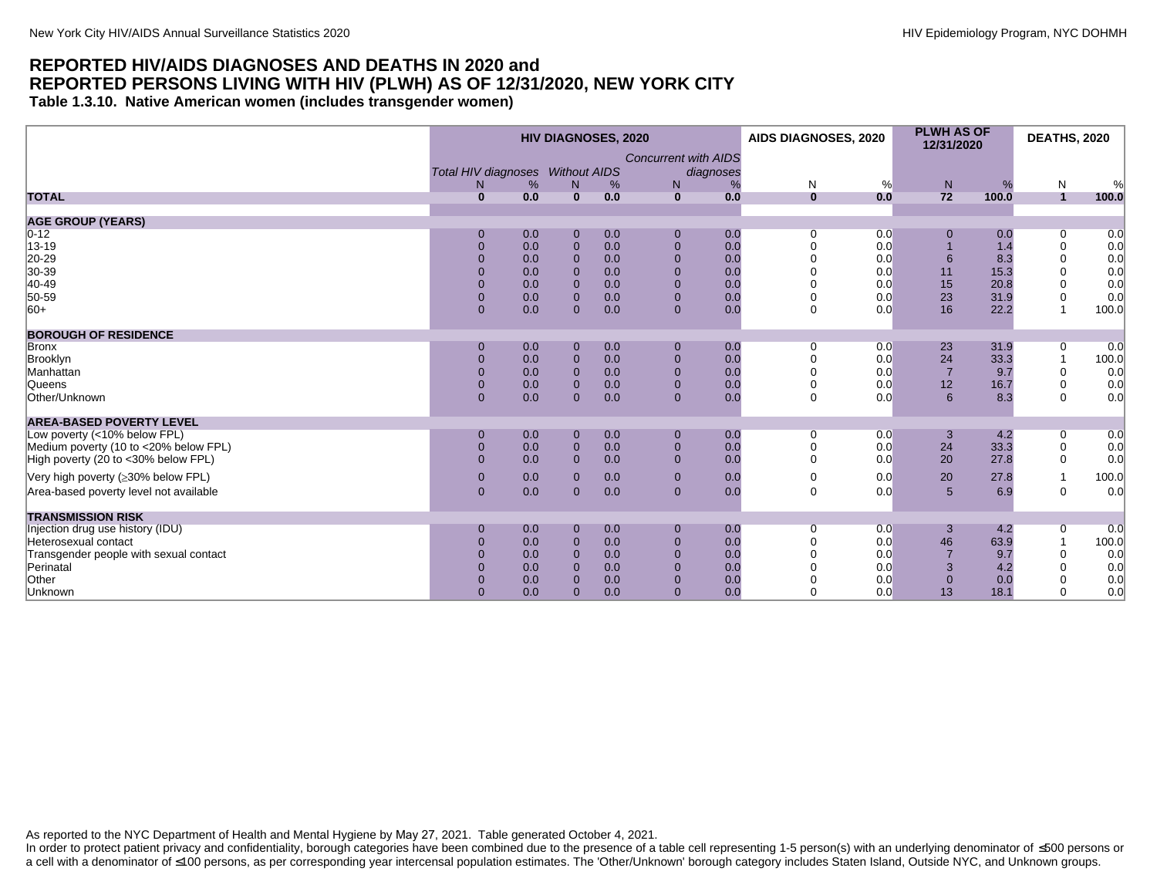<span id="page-13-0"></span>**Table 1.3.10. Native American women (includes transgender women)**

|                                        |                                  |     | <b>HIV DIAGNOSES, 2020</b> |     |                                          | AIDS DIAGNOSES, 2020 |     | <b>PLWH AS OF</b><br>12/31/2020 |       | <b>DEATHS, 2020</b> |       |
|----------------------------------------|----------------------------------|-----|----------------------------|-----|------------------------------------------|----------------------|-----|---------------------------------|-------|---------------------|-------|
|                                        | Total HIV diagnoses Without AIDS |     |                            |     | <b>Concurrent with AIDS</b><br>diagnoses |                      |     |                                 |       |                     |       |
|                                        | N                                | %   | N                          | %   | N                                        | $\mathsf{N}$<br>%    | %   | N                               | %     | N                   | %     |
| <b>TOTAL</b>                           | $\bf{0}$                         | 0.0 | $\mathbf{0}$               | 0.0 | 0.0<br>$\mathbf{0}$                      | $\bf{0}$             | 0.0 | 72                              | 100.0 | $\mathbf{1}$        | 100.0 |
| <b>AGE GROUP (YEARS)</b>               |                                  |     |                            |     |                                          |                      |     |                                 |       |                     |       |
| $0 - 12$                               | 0                                | 0.0 | $\mathbf 0$                | 0.0 | $\mathbf 0$<br>0.0                       | 0                    | 0.0 |                                 | 0.0   | 0                   | 0.0   |
| 13-19                                  | $\Omega$                         | 0.0 | $\mathbf{0}$               | 0.0 | $\mathbf 0$<br>0.0                       |                      | 0.0 |                                 | 1.4   | 0                   | 0.0   |
| 20-29                                  | $\Omega$                         | 0.0 | $\overline{0}$             | 0.0 | $\mathbf 0$<br>0.0                       |                      | 0.0 | $6\phantom{1}6$                 | 8.3   | 0                   | 0.0   |
| 30-39                                  | $\Omega$                         | 0.0 | $\overline{0}$             | 0.0 | $\mathbf{0}$<br>0.0                      |                      | 0.0 | 11                              | 15.3  | $\mathbf 0$         | 0.0   |
| 40-49                                  | $\Omega$                         | 0.0 | $\Omega$                   | 0.0 | $\mathbf{0}$<br>0.0                      |                      | 0.0 | 15                              | 20.8  | 0                   | 0.0   |
| 50-59                                  | $\Omega$                         | 0.0 | $\overline{0}$             | 0.0 | $\mathbf 0$<br>0.0                       | $\Omega$             | 0.0 | 23                              | 31.9  | $\pmb{0}$           | 0.0   |
| $ 60+$                                 | $\Omega$                         | 0.0 | $\Omega$                   | 0.0 | $\mathbf{0}$<br>0.0                      | $\Omega$             | 0.0 | 16                              | 22.2  | $\overline{1}$      | 100.0 |
|                                        |                                  |     |                            |     |                                          |                      |     |                                 |       |                     |       |
| <b>BOROUGH OF RESIDENCE</b>            |                                  |     |                            |     |                                          |                      |     |                                 |       |                     |       |
| <b>Bronx</b>                           | $\Omega$                         | 0.0 | $\mathbf{0}$               | 0.0 | $\mathbf 0$<br>0.0                       | $\Omega$             | 0.0 | 23                              | 31.9  | 0                   | 0.0   |
| Brooklyn                               | $\Omega$                         | 0.0 | $\mathbf{0}$               | 0.0 | $\mathbf 0$<br>0.0                       |                      | 0.0 | 24                              | 33.3  | $\mathbf{1}$        | 100.0 |
| Manhattan                              | $\Omega$                         | 0.0 | $\Omega$                   | 0.0 | $\mathbf{0}$<br>0.0                      |                      | 0.0 | $\overline{7}$                  | 9.7   | 0                   | 0.0   |
| Queens                                 | $\Omega$                         | 0.0 | $\Omega$                   | 0.0 | $\mathbf{0}$<br>0.0                      | $\Omega$             | 0.0 | 12                              | 16.7  | $\mathbf 0$         | 0.0   |
| Other/Unknown                          | $\Omega$                         | 0.0 | $\Omega$                   | 0.0 | $\mathbf{0}$<br>0.0                      | $\Omega$             | 0.0 | 6                               | 8.3   | $\Omega$            | 0.0   |
| <b>AREA-BASED POVERTY LEVEL</b>        |                                  |     |                            |     |                                          |                      |     |                                 |       |                     |       |
| Low poverty (<10% below FPL)           | $\overline{0}$                   | 0.0 | $\mathbf{0}$               | 0.0 | $\mathbf{0}$<br>0.0                      | $\mathbf 0$          | 0.0 | 3                               | 4.2   | $\overline{0}$      | 0.0   |
| Medium poverty (10 to <20% below FPL)  | $\mathbf{0}$                     | 0.0 | $\mathbf{0}$               | 0.0 | $\mathbf 0$<br>0.0                       | $\Omega$             | 0.0 | 24                              | 33.3  | 0                   | 0.0   |
| High poverty (20 to <30% below FPL)    | $\Omega$                         | 0.0 | $\Omega$                   | 0.0 | $\mathbf{0}$<br>0.0                      | $\Omega$             | 0.0 | 20                              | 27.8  | $\mathbf 0$         | 0.0   |
|                                        | $\Omega$                         | 0.0 | $\mathbf{0}$               | 0.0 | $\mathbf 0$<br>0.0                       | $\Omega$             | 0.0 | 20                              | 27.8  | $\mathbf{1}$        | 100.0 |
| Very high poverty (≥30% below FPL)     |                                  |     |                            |     |                                          |                      |     |                                 |       |                     |       |
| Area-based poverty level not available | $\mathbf{0}$                     | 0.0 | $\Omega$                   | 0.0 | $\mathbf{0}$<br>0.0                      | $\Omega$             | 0.0 | 5                               | 6.9   | $\mathbf 0$         | 0.0   |
| <b>TRANSMISSION RISK</b>               |                                  |     |                            |     |                                          |                      |     |                                 |       |                     |       |
| Injection drug use history (IDU)       | $\Omega$                         | 0.0 | $\mathbf{0}$               | 0.0 | $\mathbf 0$<br>0.0                       | $\Omega$             | 0.0 | 3                               | 4.2   | 0                   | 0.0   |
| Heterosexual contact                   | $\Omega$                         | 0.0 | $\Omega$                   | 0.0 | 0.0<br>$\mathbf{0}$                      |                      | 0.0 | 46                              | 63.9  | $\mathbf{1}$        | 100.0 |
| Transgender people with sexual contact | $\Omega$                         | 0.0 | $\Omega$                   | 0.0 | $\mathbf{0}$<br>0.0                      |                      | 0.0 |                                 | 9.7   | $\mathbf 0$         | 0.0   |
| Perinatal                              | $\Omega$                         | 0.0 | $\Omega$                   | 0.0 | 0.0<br>$\Omega$                          |                      | 0.0 | 3                               | 4.2   | $\Omega$            | 0.0   |
| Other                                  | $\Omega$                         | 0.0 | $\Omega$                   | 0.0 | 0.0<br>$\mathbf 0$                       |                      | 0.0 | $\overline{0}$                  | 0.0   | $\mathbf 0$         | 0.0   |
| Unknown                                | $\Omega$                         | 0.0 | $\Omega$                   | 0.0 | 0.0<br>$\mathbf{0}$                      | $\Omega$             | 0.0 | 13                              | 18.1  | $\Omega$            | 0.0   |
|                                        |                                  |     |                            |     |                                          |                      |     |                                 |       |                     |       |

As reported to the NYC Department of Health and Mental Hygiene by May 27, 2021. Table generated October 4, 2021.

In order to protect patient privacy and confidentiality, borough categories have been combined due to the presence of a table cell representing 1-5 person(s) with an underlying denominator of ≤500 persons or a cell with a denominator of ≤100 persons, as per corresponding year intercensal population estimates. The 'Other/Unknown' borough category includes Staten Island, Outside NYC, and Unknown groups.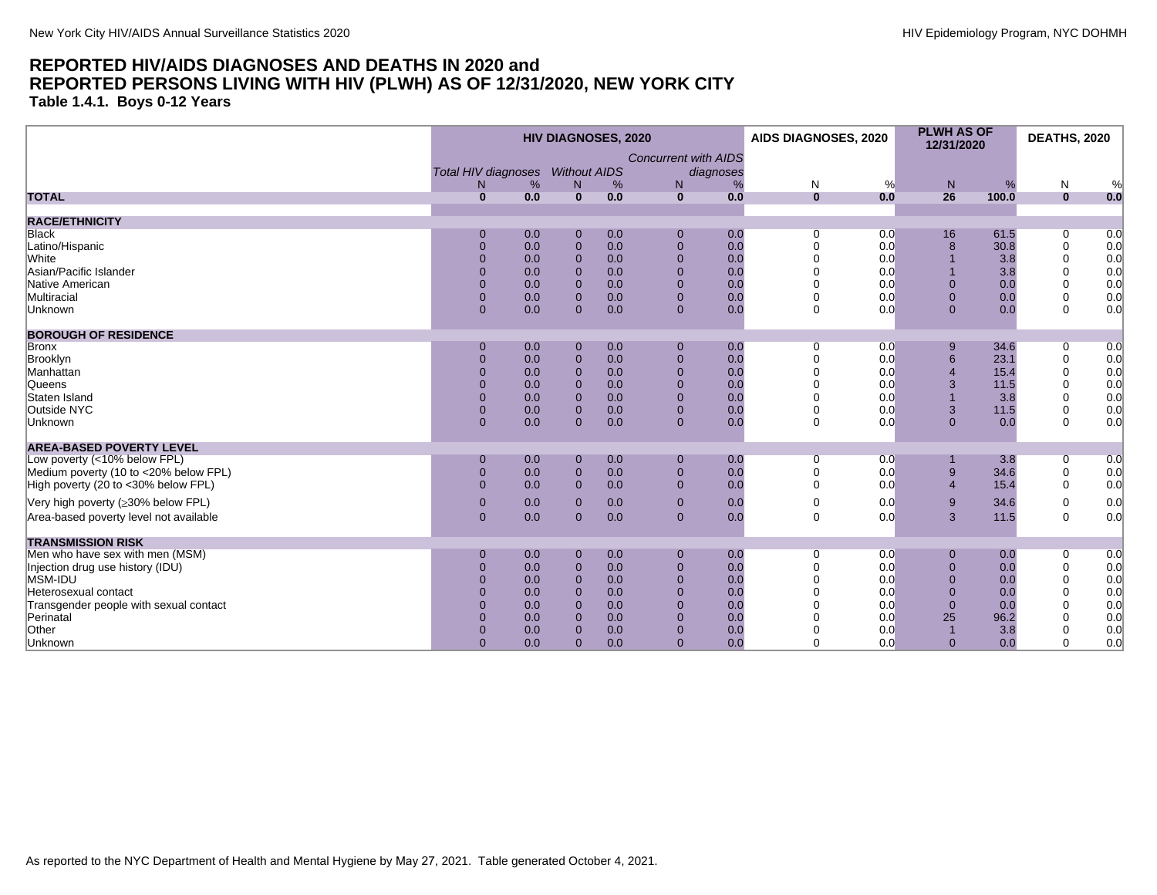<span id="page-14-0"></span>**Table 1.4.1. Boys 0-12 Years**

|                                                     | <b>HIV DIAGNOSES, 2020</b> |            |                               |            |                                             |              | AIDS DIAGNOSES, 2020 | <b>PLWH AS OF</b><br>12/31/2020 |             | <b>DEATHS, 2020</b>        |            |
|-----------------------------------------------------|----------------------------|------------|-------------------------------|------------|---------------------------------------------|--------------|----------------------|---------------------------------|-------------|----------------------------|------------|
|                                                     |                            |            |                               |            | <b>Concurrent with AIDS</b>                 |              |                      |                                 |             |                            |            |
|                                                     | <b>Total HIV diagnoses</b> |            | <b>Without AIDS</b>           |            | diagnoses                                   |              |                      |                                 |             |                            |            |
|                                                     | N                          | %          | N                             | %          | N<br>%                                      | N            | %                    | N                               | %           | N                          | %          |
| <b>TOTAL</b>                                        | $\bf{0}$                   | 0.0        | $\overline{0}$                | 0.0        | 0.0<br>$\overline{0}$                       | $\mathbf{0}$ | 0.0                  | 26                              | 100.0       | $\mathbf{0}$               | 0.0        |
| <b>RACE/ETHNICITY</b>                               |                            |            |                               |            |                                             |              |                      |                                 |             |                            |            |
| <b>Black</b>                                        | 0                          | 0.0        | $\mathbf 0$                   | 0.0        | $\overline{0}$<br>0.0                       | 0            | 0.0                  | 16                              | 61.5        | $\overline{0}$             | 0.0        |
| Latino/Hispanic                                     | $\Omega$                   | 0.0        | $\bf{0}$                      | 0.0        | $\overline{0}$<br>0.0                       | $\Omega$     | 0.0                  | 8                               | 30.8        | $\mathbf 0$                | 0.0        |
| <b>White</b>                                        | $\Omega$                   | 0.0        | $\mathbf{0}$                  | 0.0        | $\mathbf 0$<br>0.0                          | $\Omega$     | 0.0                  |                                 | 3.8         | $\mathbf 0$                | 0.0        |
| Asian/Pacific Islander                              | $\Omega$                   | 0.0        | $\mathbf 0$                   | 0.0        | $\overline{0}$<br>0.0                       |              | 0.0                  |                                 | 3.8         | $\mathbf 0$                | 0.0        |
| Native American                                     | $\Omega$                   | 0.0        | $\overline{0}$                | 0.0        | $\Omega$<br>0.0                             |              | 0.0                  | $\Omega$                        | 0.0         | $\Omega$                   | 0.0        |
| Multiracial                                         | $\Omega$                   | 0.0        | $\mathbf 0$                   | 0.0        | $\overline{0}$<br>0.0                       |              | 0.0                  | $\Omega$                        | 0.0         | $\mathbf 0$                | 0.0        |
| Unknown                                             | $\mathbf 0$                | 0.0        | $\overline{0}$                | 0.0        | $\overline{0}$<br>0.0                       | $\mathbf 0$  | 0.0                  | $\Omega$                        | 0.0         | $\mathbf 0$                | 0.0        |
|                                                     |                            |            |                               |            |                                             |              |                      |                                 |             |                            |            |
| <b>BOROUGH OF RESIDENCE</b>                         |                            |            |                               |            |                                             |              |                      |                                 |             |                            |            |
| <b>Bronx</b>                                        | $\Omega$                   | 0.0        | $\mathbf 0$                   | 0.0        | 0.0<br>$\mathbf 0$                          | $\Omega$     | 0.0                  | 9                               | 34.6        | $\overline{0}$             | 0.0        |
| Brooklyn                                            | $\overline{0}$             | 0.0        | $\mathbf{0}$                  | 0.0        | $\mathbf 0$<br>0.0                          | $\Omega$     | 0.0                  | 6                               | 23.1        | $\mathbf 0$                | 0.0        |
| Manhattan                                           | $\Omega$                   | 0.0        | $\mathbf 0$                   | 0.0        | $\mathbf 0$<br>0.0                          | $\Omega$     | 0.0                  | $\overline{4}$                  | 15.4        | $\mathbf 0$                | 0.0        |
| Queens                                              | $\Omega$                   | 0.0        | $\overline{0}$                | 0.0        | $\Omega$<br>0.0<br>$\Omega$                 |              | 0.0                  | 3                               | 11.5        | $\Omega$                   | 0.0        |
| Staten Island<br>Outside NYC                        |                            | 0.0        | $\mathbf{0}$                  | 0.0        | 0.0<br>$\overline{0}$<br>0.0                |              | 0.0                  | 3                               | 3.8<br>11.5 | $\Omega$                   | 0.0        |
| Unknown                                             | $\Omega$<br>$\mathbf 0$    | 0.0<br>0.0 | $\mathbf 0$<br>$\overline{0}$ | 0.0<br>0.0 | $\overline{0}$<br>0.0                       | $\mathbf 0$  | 0.0<br>0.0           | $\Omega$                        | 0.0         | $\mathbf 0$<br>$\mathbf 0$ | 0.0<br>0.0 |
|                                                     |                            |            |                               |            |                                             |              |                      |                                 |             |                            |            |
| <b>AREA-BASED POVERTY LEVEL</b>                     |                            |            |                               |            |                                             |              |                      |                                 |             |                            |            |
| Low poverty (<10% below FPL)                        | $\mathbf 0$                | 0.0        | $\mathbf 0$                   | 0.0        | 0.0<br>$\mathbf 0$                          | $\Omega$     | 0.0                  |                                 | 3.8         | 0                          | 0.0        |
| Medium poverty (10 to <20% below FPL)               | $\overline{0}$             | 0.0        | $\mathbf{0}$                  | 0.0        | $\pmb{0}$<br>0.0                            | $\Omega$     | 0.0                  | 9                               | 34.6        | 0                          | 0.0        |
| High poverty (20 to <30% below FPL)                 | $\Omega$                   | 0.0        | $\mathbf{0}$                  | 0.0        | $\mathbf 0$<br>0.0                          | $\Omega$     | 0.0                  | $\overline{4}$                  | 15.4        | $\mathbf 0$                | 0.0        |
| Very high poverty (≥30% below FPL)                  | $\mathbf{0}$               | 0.0        | $\mathbf{0}$                  | 0.0        | $\mathbf{0}$<br>0.0                         | $\Omega$     | 0.0                  | 9                               | 34.6        | $\mathbf 0$                | 0.0        |
| Area-based poverty level not available              | $\mathbf 0$                | 0.0        | $\Omega$                      | 0.0        | $\mathbf{0}$<br>0.0                         | $\Omega$     | 0.0                  | 3                               | 11.5        | $\Omega$                   | 0.0        |
|                                                     |                            |            |                               |            |                                             |              |                      |                                 |             |                            |            |
| <b>TRANSMISSION RISK</b>                            |                            |            |                               |            |                                             |              |                      |                                 |             |                            |            |
| Men who have sex with men (MSM)                     | $\mathbf{0}$               | 0.0        | $\mathbf 0$                   | 0.0        | $\overline{0}$<br>0.0                       | $\Omega$     | 0.0                  | $\Omega$                        | 0.0         | $\overline{0}$             | 0.0        |
| Injection drug use history (IDU)                    | $\Omega$                   | 0.0        | $\mathbf 0$                   | 0.0        | $\mathbf 0$<br>0.0<br>$\Omega$              | $\Omega$     | 0.0                  | $\Omega$                        | 0.0         | $\mathbf 0$                | 0.0        |
| MSM-IDU                                             | $\Omega$                   | 0.0        | $\mathbf 0$                   | 0.0        | 0.0                                         | $\Omega$     | 0.0                  | $\Omega$                        | 0.0         | $\Omega$                   | 0.0        |
| Heterosexual contact                                | $\Omega$                   | 0.0<br>0.0 | $\mathbf 0$                   | 0.0<br>0.0 | $\overline{0}$<br>0.0<br>$\mathbf 0$<br>0.0 |              | 0.0<br>0.0           | $\overline{0}$<br>$\Omega$      | 0.0<br>0.0  | $\mathbf 0$<br>$\Omega$    | 0.0        |
| Transgender people with sexual contact<br>Perinatal |                            | 0.0        | $\mathbf{0}$<br>$\mathbf{0}$  | 0.0        | $\Omega$<br>0.0                             |              | 0.0                  | 25                              | 96.2        | $\mathbf 0$                | 0.0        |
| Other                                               | $\Omega$                   | 0.0        | $\mathbf 0$                   | 0.0        | $\mathbf{0}$<br>0.0                         |              | 0.0                  |                                 | 3.8         | 0                          | 0.0<br>0.0 |
| Unknown                                             | $\Omega$                   | 0.0        | $\Omega$                      | 0.0        | $\Omega$<br>0.0                             | $\Omega$     | 0.0                  | $\Omega$                        | 0.0         | $\Omega$                   | 0.0        |
|                                                     |                            |            |                               |            |                                             |              |                      |                                 |             |                            |            |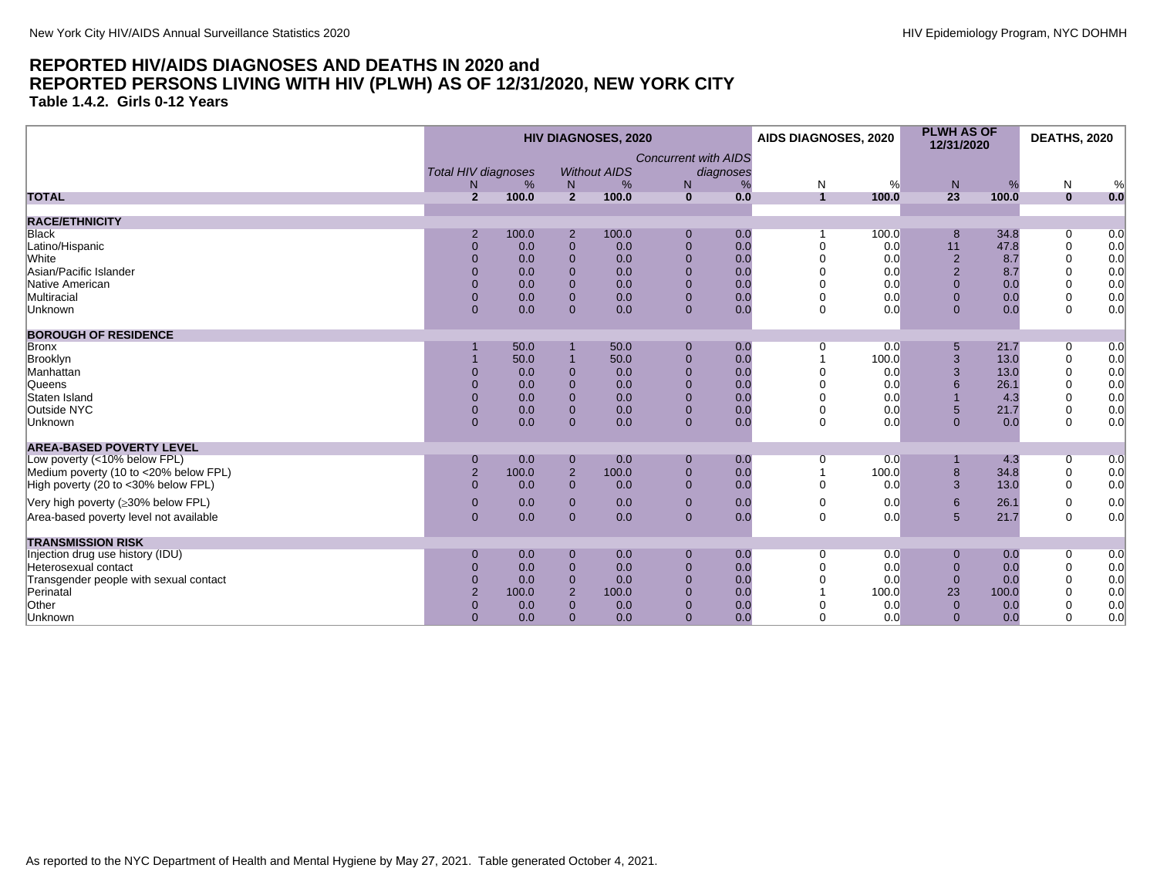<span id="page-15-0"></span>**Table 1.4.2. Girls 0-12 Years**

|                                        | <b>HIV DIAGNOSES, 2020</b> |       |                |                     |                             |           | <b>AIDS DIAGNOSES, 2020</b> |       | <b>PLWH AS OF</b><br>12/31/2020 |       | <b>DEATHS, 2020</b> |     |
|----------------------------------------|----------------------------|-------|----------------|---------------------|-----------------------------|-----------|-----------------------------|-------|---------------------------------|-------|---------------------|-----|
|                                        |                            |       |                |                     | <b>Concurrent with AIDS</b> |           |                             |       |                                 |       |                     |     |
|                                        | <b>Total HIV diagnoses</b> |       |                | <b>Without AIDS</b> |                             | diagnoses |                             |       |                                 |       |                     |     |
|                                        | N                          | %     | N              | %                   | N                           | %         | N                           | %     | N                               | %     | N                   | %   |
| <b>TOTAL</b>                           | $\overline{2}$             | 100.0 | $\overline{2}$ | 100.0               | $\mathbf{0}$                | 0.0       | $\overline{1}$              | 100.0 | 23                              | 100.0 | $\mathbf{0}$        | 0.0 |
| <b>RACE/ETHNICITY</b>                  |                            |       |                |                     |                             |           |                             |       |                                 |       |                     |     |
| <b>Black</b>                           | $\overline{2}$             | 100.0 | $\overline{2}$ | 100.0               | $\Omega$                    | 0.0       |                             | 100.0 | 8                               | 34.8  | 0                   | 0.0 |
| Latino/Hispanic                        | $\overline{0}$             | 0.0   | $\overline{0}$ | 0.0                 | $\overline{0}$              | 0.0       | $\Omega$                    | 0.0   | 11                              | 47.8  | $\mathbf 0$         | 0.0 |
| <b>White</b>                           | $\overline{0}$             | 0.0   | $\Omega$       | 0.0                 | $\Omega$                    | 0.0       | $\Omega$                    | 0.0   | $\overline{2}$                  | 8.7   | $\mathbf 0$         | 0.0 |
| Asian/Pacific Islander                 | $\Omega$                   | 0.0   | $\Omega$       | 0.0                 | $\Omega$                    | 0.0       | $\Omega$                    | 0.0   | $\overline{2}$                  | 8.7   | $\mathbf 0$         | 0.0 |
| Native American                        | $\Omega$                   | 0.0   | $\Omega$       | 0.0                 | $\Omega$                    | 0.0       | $\Omega$                    | 0.0   | $\Omega$                        | 0.0   | $\mathbf 0$         | 0.0 |
| Multiracial                            | $\Omega$                   | 0.0   | $\Omega$       | 0.0                 | $\Omega$                    | 0.0       | $\mathbf 0$                 | 0.0   | $\Omega$                        | 0.0   | $\mathbf 0$         | 0.0 |
| Unknown                                | $\overline{0}$             | 0.0   | $\Omega$       | 0.0                 | $\Omega$                    | 0.0       | $\mathbf 0$                 | 0.0   | $\Omega$                        | 0.0   | $\Omega$            | 0.0 |
| <b>BOROUGH OF RESIDENCE</b>            |                            |       |                |                     |                             |           |                             |       |                                 |       |                     |     |
| <b>Bronx</b>                           |                            | 50.0  |                | 50.0                | $\Omega$                    | 0.0       | 0                           | 0.0   | 5                               | 21.7  | 0                   | 0.0 |
| Brooklyn                               |                            | 50.0  |                | 50.0                | $\Omega$                    | 0.0       |                             | 100.0 | 3                               | 13.0  | $\mathbf 0$         | 0.0 |
| Manhattan                              | $\Omega$                   | 0.0   | $\Omega$       | 0.0                 | $\Omega$                    | 0.0       | $\Omega$                    | 0.0   | 3                               | 13.0  | $\Omega$            | 0.0 |
| <b>Queens</b>                          | $\Omega$                   | 0.0   | $\Omega$       | 0.0                 | $\Omega$                    | 0.0       | $\Omega$                    | 0.0   |                                 | 26.1  | $\Omega$            | 0.0 |
| Staten Island                          | $\Omega$                   | 0.0   | $\Omega$       | 0.0                 | $\Omega$                    | 0.0       | $\Omega$                    | 0.0   |                                 | 4.3   | $\Omega$            | 0.0 |
| Outside NYC                            | $\overline{0}$             | 0.0   | $\Omega$       | 0.0                 | $\Omega$                    | 0.0       | $\Omega$                    | 0.0   | 5                               | 21.7  | $\mathbf 0$         | 0.0 |
| Unknown                                | $\Omega$                   | 0.0   | $\Omega$       | 0.0                 | $\mathbf{0}$                | 0.0       | $\mathbf 0$                 | 0.0   | $\Omega$                        | 0.0   | $\Omega$            | 0.0 |
| <b>AREA-BASED POVERTY LEVEL</b>        |                            |       |                |                     |                             |           |                             |       |                                 |       |                     |     |
| Low poverty (<10% below FPL)           | $\mathbf 0$                | 0.0   | $\mathbf 0$    | 0.0                 | $\Omega$                    | 0.0       | 0                           | 0.0   |                                 | 4.3   | 0                   | 0.0 |
| Medium poverty (10 to <20% below FPL)  | $\overline{2}$             | 100.0 | $\overline{2}$ | 100.0               | $\mathbf{0}$                | 0.0       |                             | 100.0 | 8                               | 34.8  | $\mathbf 0$         | 0.0 |
| High poverty (20 to <30% below FPL)    | $\Omega$                   | 0.0   | $\Omega$       | 0.0                 | $\Omega$                    | 0.0       | $\Omega$                    | 0.0   | 3                               | 13.0  | $\Omega$            | 0.0 |
| Very high poverty (≥30% below FPL)     | $\mathbf 0$                | 0.0   | $\Omega$       | 0.0                 | $\Omega$                    | 0.0       | $\mathbf 0$                 | 0.0   | 6                               | 26.1  | $\mathbf 0$         | 0.0 |
| Area-based poverty level not available | $\mathbf{0}$               | 0.0   | $\mathbf 0$    | 0.0                 | $\mathbf{0}$                | 0.0       | $\mathbf 0$                 | 0.0   | 5                               | 21.7  | $\Omega$            | 0.0 |
| <b>TRANSMISSION RISK</b>               |                            |       |                |                     |                             |           |                             |       |                                 |       |                     |     |
| Injection drug use history (IDU)       | $\mathbf 0$                | 0.0   | $\mathbf 0$    | 0.0                 | $\mathbf 0$                 | 0.0       | 0                           | 0.0   | $\mathbf 0$                     | 0.0   | 0                   | 0.0 |
| Heterosexual contact                   | $\overline{0}$             | 0.0   | $\Omega$       | 0.0                 | $\Omega$                    | 0.0       | $\Omega$                    | 0.0   | $\mathbf{0}$                    | 0.0   | $\mathbf 0$         | 0.0 |
| Transgender people with sexual contact | $\overline{0}$             | 0.0   | $\Omega$       | 0.0                 | $\Omega$                    | 0.0       | $\Omega$                    | 0.0   | $\mathbf{0}$                    | 0.0   | $\Omega$            | 0.0 |
| Perinatal                              | $\overline{2}$             | 100.0 | $\overline{2}$ | 100.0               | $\Omega$                    | 0.0       |                             | 100.0 | 23                              | 100.0 | $\Omega$            | 0.0 |
| Other                                  | $\overline{0}$             | 0.0   | $\Omega$       | 0.0                 | $\Omega$                    | 0.0       |                             | 0.0   | $\mathbf{0}$                    | 0.0   | $\mathbf 0$         | 0.0 |
| Unknown                                | $\Omega$                   | 0.0   | $\Omega$       | 0.0                 | $\Omega$                    | 0.0       | $\Omega$                    | 0.0   | $\Omega$                        | 0.0   | $\Omega$            | 0.0 |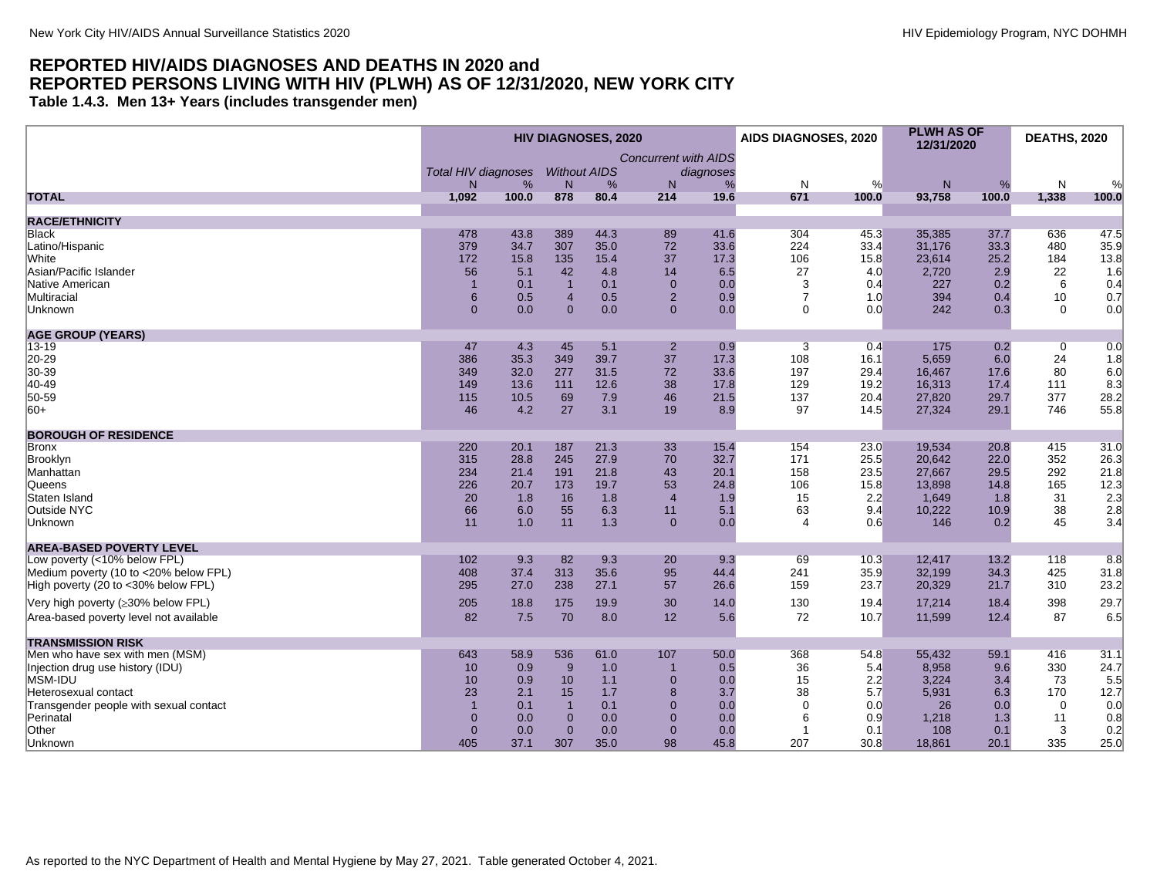<span id="page-16-0"></span>**Table 1.4.3. Men 13+ Years (includes transgender men)**

|                                        |                            |       |                     | <b>HIV DIAGNOSES, 2020</b> |                             |           | AIDS DIAGNOSES, 2020        |       | <b>PLWH AS OF</b><br>12/31/2020 |       | <b>DEATHS, 2020</b> |               |
|----------------------------------------|----------------------------|-------|---------------------|----------------------------|-----------------------------|-----------|-----------------------------|-------|---------------------------------|-------|---------------------|---------------|
|                                        | <b>Total HIV diagnoses</b> |       | <b>Without AIDS</b> |                            | <b>Concurrent with AIDS</b> | diagnoses |                             |       |                                 |       |                     |               |
|                                        | N                          | %     | N                   | %                          | N                           | %         | N                           | %     | $\mathsf{N}$                    | %     | N                   | $\frac{0}{0}$ |
| <b>TOTAL</b>                           | 1,092                      | 100.0 | 878                 | 80.4                       | 214                         | 19.6      | 671                         | 100.0 | 93,758                          | 100.0 | 1,338               | 100.0         |
|                                        |                            |       |                     |                            |                             |           |                             |       |                                 |       |                     |               |
| <b>RACE/ETHNICITY</b><br><b>Black</b>  | 478                        | 43.8  | 389                 | 44.3                       | 89                          | 41.6      | 304                         | 45.3  | 35.385                          | 37.7  | 636                 | 47.5          |
| Latino/Hispanic                        | 379                        | 34.7  | 307                 | 35.0                       | 72                          | 33.6      | 224                         | 33.4  | 31,176                          | 33.3  | 480                 | 35.9          |
| <b>White</b>                           | 172                        | 15.8  | 135                 | 15.4                       | 37                          | 17.3      | 106                         | 15.8  | 23,614                          | 25.2  | 184                 | 13.8          |
| Asian/Pacific Islander                 | 56                         | 5.1   | 42                  | 4.8                        | 14                          | 6.5       | 27                          | 4.0   | 2,720                           | 2.9   | 22                  | 1.6           |
| Native American                        | $\overline{1}$             | 0.1   | $\overline{1}$      | 0.1                        | $\Omega$                    | 0.0       | 3                           | 0.4   | 227                             | 0.2   | 6                   | 0.4           |
| Multiracial                            | $6\phantom{1}$             | 0.5   | $\overline{4}$      | 0.5                        | $\overline{2}$              | 0.9       | $\overline{7}$              | 1.0   | 394                             | 0.4   | 10                  | 0.7           |
| Unknown                                | $\Omega$                   | 0.0   | $\Omega$            | 0.0                        | $\Omega$                    | 0.0       | $\Omega$                    | 0.0   | 242                             | 0.3   | $\Omega$            | 0.0           |
|                                        |                            |       |                     |                            |                             |           |                             |       |                                 |       |                     |               |
| <b>AGE GROUP (YEARS)</b><br>$13 - 19$  | 47                         | 4.3   | 45                  | 5.1                        | $\overline{2}$              | 0.9       | $\overline{3}$              | 0.4   | 175                             | 0.2   | $\mathbf 0$         | 0.0           |
| 20-29                                  | 386                        | 35.3  | 349                 | 39.7                       | 37                          | 17.3      | 108                         | 16.1  | 5,659                           | 6.0   | 24                  | 1.8           |
| 30-39                                  | 349                        | 32.0  | 277                 | 31.5                       | 72                          | 33.6      | 197                         | 29.4  | 16,467                          | 17.6  | 80                  | 6.0           |
| 40-49                                  | 149                        | 13.6  | 111                 | 12.6                       | 38                          | 17.8      | 129                         | 19.2  | 16,313                          | 17.4  | 111                 | 8.3           |
| 50-59                                  | 115                        | 10.5  | 69                  | 7.9                        | 46                          | 21.5      | 137                         | 20.4  | 27,820                          | 29.7  | 377                 | 28.2          |
| $ 60+$                                 | 46                         | 4.2   | 27                  | 3.1                        | 19                          | 8.9       | 97                          | 14.5  | 27,324                          | 29.1  | 746                 | 55.8          |
|                                        |                            |       |                     |                            |                             |           |                             |       |                                 |       |                     |               |
| <b>BOROUGH OF RESIDENCE</b>            |                            |       |                     |                            |                             |           |                             |       |                                 |       |                     |               |
| Bronx                                  | 220                        | 20.1  | 187                 | 21.3                       | 33                          | 15.4      | 154                         | 23.0  | 19,534                          | 20.8  | 415                 | 31.0          |
| Brooklyn                               | 315                        | 28.8  | 245                 | 27.9                       | 70                          | 32.7      | 171                         | 25.5  | 20,642                          | 22.0  | 352                 | 26.3          |
| Manhattan                              | 234                        | 21.4  | 191                 | 21.8                       | 43                          | 20.1      | 158                         | 23.5  | 27,667                          | 29.5  | 292                 | 21.8          |
| <b>Queens</b>                          | 226                        | 20.7  | 173                 | 19.7                       | 53                          | 24.8      | 106                         | 15.8  | 13.898                          | 14.8  | 165                 | 12.3          |
| Staten Island                          | 20                         | 1.8   | 16                  | 1.8                        | $\overline{4}$              | 1.9       | 15                          | 2.2   | 1,649                           | 1.8   | 31                  | 2.3           |
| Outside NYC                            | 66<br>11                   | 6.0   | 55                  | 6.3<br>1.3                 | 11                          | 5.1       | 63<br>$\boldsymbol{\Delta}$ | 9.4   | 10,222                          | 10.9  | 38<br>45            | 2.8           |
| Unknown                                |                            | 1.0   | 11                  |                            | $\mathbf{0}$                | 0.0       |                             | 0.6   | 146                             | 0.2   |                     | 3.4           |
| <b>AREA-BASED POVERTY LEVEL</b>        |                            |       |                     |                            |                             |           |                             |       |                                 |       |                     |               |
| Low poverty (<10% below FPL)           | 102                        | 9.3   | 82                  | 9.3                        | 20                          | 9.3       | 69                          | 10.3  | 12,417                          | 13.2  | 118                 | 8.8           |
| Medium poverty (10 to <20% below FPL)  | 408                        | 37.4  | 313                 | 35.6                       | 95                          | 44.4      | 241                         | 35.9  | 32,199                          | 34.3  | 425                 | 31.8          |
| High poverty (20 to <30% below FPL)    | 295                        | 27.0  | 238                 | 27.1                       | 57                          | 26.6      | 159                         | 23.7  | 20,329                          | 21.7  | 310                 | 23.2          |
| Very high poverty (≥30% below FPL)     | 205                        | 18.8  | 175                 | 19.9                       | 30                          | 14.0      | 130                         | 19.4  | 17,214                          | 18.4  | 398                 | 29.7          |
| Area-based poverty level not available | 82                         | 7.5   | 70                  | 8.0                        | 12                          | 5.6       | 72                          | 10.7  | 11,599                          | 12.4  | 87                  | 6.5           |
| <b>TRANSMISSION RISK</b>               |                            |       |                     |                            |                             |           |                             |       |                                 |       |                     |               |
| Men who have sex with men (MSM)        | 643                        | 58.9  | 536                 | 61.0                       | 107                         | 50.0      | 368                         | 54.8  | 55,432                          | 59.1  | 416                 | 31.1          |
| Injection drug use history (IDU)       | 10                         | 0.9   | 9                   | 1.0                        | -1                          | 0.5       | 36                          | 5.4   | 8,958                           | 9.6   | 330                 | 24.7          |
| MSM-IDU                                | 10                         | 0.9   | 10                  | 1.1                        | $\mathbf 0$                 | 0.0       | 15                          | 2.2   | 3,224                           | 3.4   | 73                  | 5.5           |
| Heterosexual contact                   | 23                         | 2.1   | 15                  | 1.7                        | 8                           | 3.7       | 38                          | 5.7   | 5,931                           | 6.3   | 170                 | 12.7          |
| Transgender people with sexual contact | $\overline{1}$             | 0.1   | $\overline{1}$      | 0.1                        | $\Omega$                    | 0.0       | $\Omega$                    | 0.0   | 26                              | 0.0   | $\mathbf 0$         | 0.0           |
| Perinatal                              | $\mathbf{0}$               | 0.0   | $\mathbf 0$         | 0.0                        | $\Omega$                    | 0.0       | 6                           | 0.9   | 1,218                           | 1.3   | 11                  | 0.8           |
| Other                                  | $\mathbf{0}$               | 0.0   | $\overline{0}$      | 0.0                        | $\overline{0}$              | 0.0       | 1                           | 0.1   | 108                             | 0.1   | 3                   | 0.2           |
| Unknown                                | 405                        | 37.1  | 307                 | 35.0                       | 98                          | 45.8      | 207                         | 30.8  | 18,861                          | 20.1  | 335                 | 25.0          |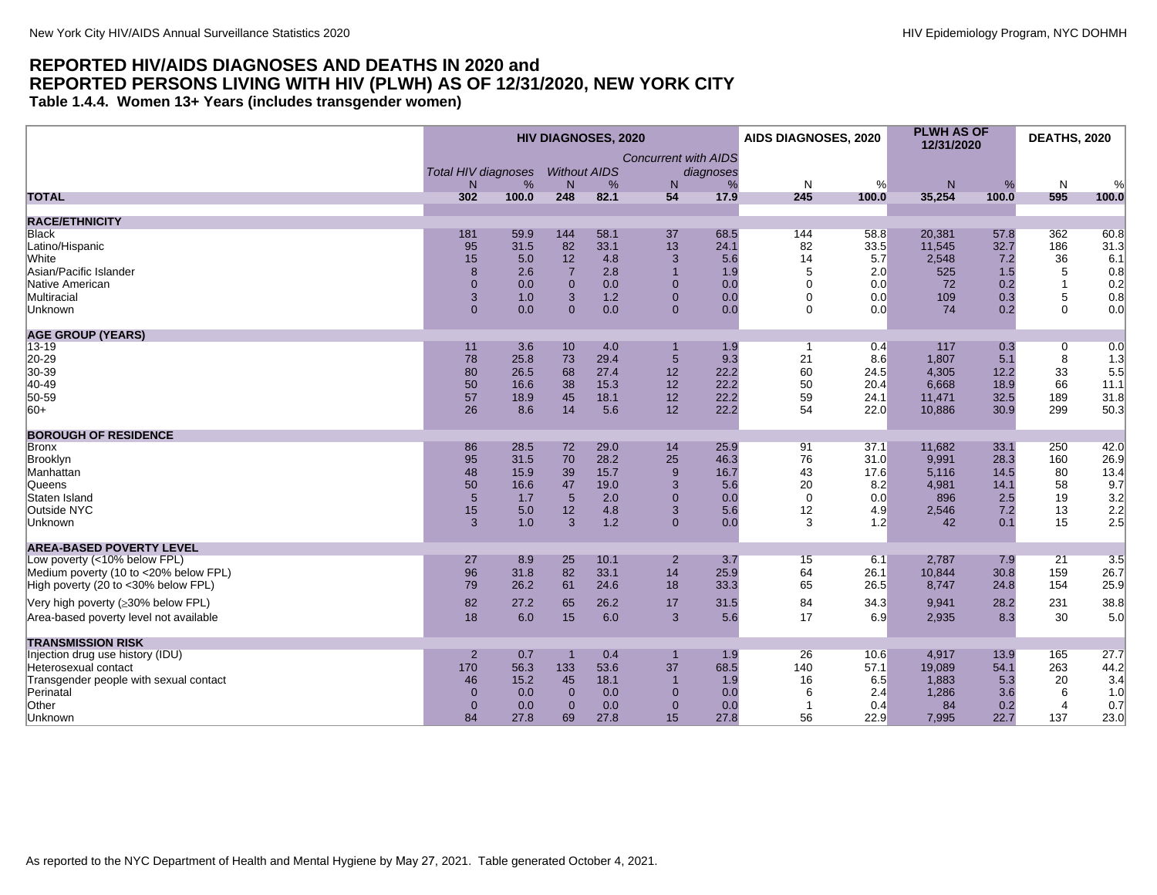<span id="page-17-0"></span>**Table 1.4.4. Women 13+ Years (includes transgender women)**

|                                        | <b>HIV DIAGNOSES, 2020</b> |       |                     |      |                             | AIDS DIAGNOSES, 2020 |             | <b>PLWH AS OF</b><br>12/31/2020 |        | <b>DEATHS, 2020</b> |                |                         |
|----------------------------------------|----------------------------|-------|---------------------|------|-----------------------------|----------------------|-------------|---------------------------------|--------|---------------------|----------------|-------------------------|
|                                        | <b>Total HIV diagnoses</b> |       | <b>Without AIDS</b> |      | <b>Concurrent with AIDS</b> | diagnoses            |             |                                 |        |                     |                |                         |
|                                        | N.                         | %     | N                   | %    | N                           | %                    | N           | %                               | N      | %                   | N              | %                       |
| <b>TOTAL</b>                           | 302                        | 100.0 | 248                 | 82.1 | 54                          | 17.9                 | 245         | 100.0                           | 35,254 | 100.0               | 595            | 100.0                   |
| <b>RACE/ETHNICITY</b>                  |                            |       |                     |      |                             |                      |             |                                 |        |                     |                |                         |
| <b>Black</b>                           | 181                        | 59.9  | 144                 | 58.1 | 37                          | 68.5                 | 144         | 58.8                            | 20,381 | 57.8                | 362            | 60.8                    |
| Latino/Hispanic                        | 95                         | 31.5  | 82                  | 33.1 | 13                          | 24.1                 | 82          | 33.5                            | 11.545 | 32.7                | 186            | 31.3                    |
| <b>White</b>                           | 15                         | 5.0   | 12                  | 4.8  | 3                           | 5.6                  | 14          | 5.7                             | 2,548  | 7.2                 | 36             | 6.1                     |
| Asian/Pacific Islander                 | 8                          | 2.6   | $\overline{7}$      | 2.8  | $\overline{1}$              | 1.9                  | 5           | 2.0                             | 525    | 1.5                 | $\,$ 5 $\,$    | 0.8                     |
| Native American                        | $\overline{0}$             | 0.0   | $\overline{0}$      | 0.0  | $\Omega$                    | 0.0                  | $\mathbf 0$ | 0.0                             | 72     | 0.2                 | $\mathbf{1}$   | 0.2                     |
| Multiracial                            | 3                          | 1.0   | 3                   | 1.2  | $\Omega$                    | 0.0                  | $\Omega$    | 0.0                             | 109    | 0.3                 | 5              | 0.8                     |
| <b>Unknown</b>                         | $\overline{0}$             | 0.0   | $\Omega$            | 0.0  | $\Omega$                    | 0.0                  | $\Omega$    | 0.0                             | 74     | 0.2                 | $\Omega$       | 0.0                     |
| <b>AGE GROUP (YEARS)</b>               |                            |       |                     |      |                             |                      |             |                                 |        |                     |                |                         |
| $13 - 19$                              | 11                         | 3.6   | 10                  | 4.0  |                             | 1.9                  | -1          | 0.4                             | 117    | 0.3                 | $\overline{0}$ | 0.0                     |
| 20-29                                  | 78                         | 25.8  | 73                  | 29.4 | 5                           | 9.3                  | 21          | 8.6                             | 1,807  | 5.1                 | 8              | 1.3                     |
| 30-39                                  | 80                         | 26.5  | 68                  | 27.4 | 12                          | 22.2                 | 60          | 24.5                            | 4,305  | 12.2                | 33             | 5.5                     |
| 40-49                                  | 50                         | 16.6  | 38                  | 15.3 | 12                          | 22.2                 | 50          | 20.4                            | 6,668  | 18.9                | 66             | 11.1                    |
| 50-59                                  | 57                         | 18.9  | 45                  | 18.1 | 12                          | 22.2                 | 59          | 24.1                            | 11,471 | 32.5                | 189            | 31.8                    |
| $ 60+$                                 | 26                         | 8.6   | 14                  | 5.6  | 12                          | 22.2                 | 54          | 22.0                            | 10,886 | 30.9                | 299            | 50.3                    |
| <b>BOROUGH OF RESIDENCE</b>            |                            |       |                     |      |                             |                      |             |                                 |        |                     |                |                         |
| Bronx                                  | 86                         | 28.5  | 72                  | 29.0 | 14                          | 25.9                 | 91          | 37.1                            | 11,682 | 33.1                | 250            | 42.0                    |
| Brooklyn                               | 95                         | 31.5  | 70                  | 28.2 | 25                          | 46.3                 | 76          | 31.0                            | 9,991  | 28.3                | 160            | 26.9                    |
| Manhattan                              | 48                         | 15.9  | 39                  | 15.7 | 9                           | 16.7                 | 43          | 17.6                            | 5,116  | 14.5                | 80             | 13.4                    |
| Queens                                 | 50                         | 16.6  | 47                  | 19.0 | 3                           | 5.6                  | 20          | 8.2                             | 4,981  | 14.1                | 58             | $9.7$<br>$3.2$<br>$2.2$ |
| Staten Island                          | 5                          | 1.7   | $5\phantom{1}$      | 2.0  | $\Omega$                    | 0.0                  | $\Omega$    | 0.0                             | 896    | 2.5                 | 19             |                         |
| Outside NYC                            | 15                         | 5.0   | 12                  | 4.8  | 3                           | 5.6                  | 12          | 4.9                             | 2,546  | 7.2                 | 13             |                         |
| Unknown                                | 3                          | 1.0   | 3                   | 1.2  | $\overline{0}$              | 0.0                  | 3           | 1.2                             | 42     | 0.1                 | 15             | 2.5                     |
| <b>AREA-BASED POVERTY LEVEL</b>        |                            |       |                     |      |                             |                      |             |                                 |        |                     |                |                         |
| Low poverty (<10% below FPL)           | 27                         | 8.9   | 25                  | 10.1 | $\overline{2}$              | 3.7                  | 15          | 6.1                             | 2,787  | 7.9                 | 21             | 3.5                     |
| Medium poverty (10 to <20% below FPL)  | 96                         | 31.8  | 82                  | 33.1 | 14                          | 25.9                 | 64          | 26.1                            | 10,844 | 30.8                | 159            | 26.7                    |
| High poverty (20 to <30% below FPL)    | 79                         | 26.2  | 61                  | 24.6 | 18                          | 33.3                 | 65          | 26.5                            | 8,747  | 24.8                | 154            | 25.9                    |
| Very high poverty (≥30% below FPL)     | 82                         | 27.2  | 65                  | 26.2 | 17                          | 31.5                 | 84          | 34.3                            | 9,941  | 28.2                | 231            | 38.8                    |
| Area-based poverty level not available | 18                         | 6.0   | 15                  | 6.0  | 3                           | 5.6                  | 17          | 6.9                             | 2,935  | 8.3                 | 30             | 5.0                     |
| <b>TRANSMISSION RISK</b>               |                            |       |                     |      |                             |                      |             |                                 |        |                     |                |                         |
| Injection drug use history (IDU)       | $\overline{2}$             | 0.7   |                     | 0.4  |                             | 1.9                  | 26          | 10.6                            | 4.917  | 13.9                | 165            | 27.7                    |
| Heterosexual contact                   | 170                        | 56.3  | 133                 | 53.6 | 37                          | 68.5                 | 140         | 57.1                            | 19,089 | 54.1                | 263            | 44.2                    |
| Transgender people with sexual contact | 46                         | 15.2  | 45                  | 18.1 |                             | 1.9                  | 16          | 6.5                             | 1,883  | 5.3                 | 20             | 3.4                     |
| Perinatal                              | $\overline{0}$             | 0.0   | $\overline{0}$      | 0.0  | $\Omega$                    | 0.0                  | 6           | 2.4                             | 1,286  | 3.6                 | 6              | 1.0                     |
| Other                                  | $\Omega$                   | 0.0   | $\Omega$            | 0.0  | $\Omega$                    | 0.0                  |             | 0.4                             | 84     | 0.2                 | $\overline{4}$ | 0.7                     |
| Unknown                                | 84                         | 27.8  | 69                  | 27.8 | 15                          | 27.8                 | 56          | 22.9                            | 7,995  | 22.7                | 137            | 23.0                    |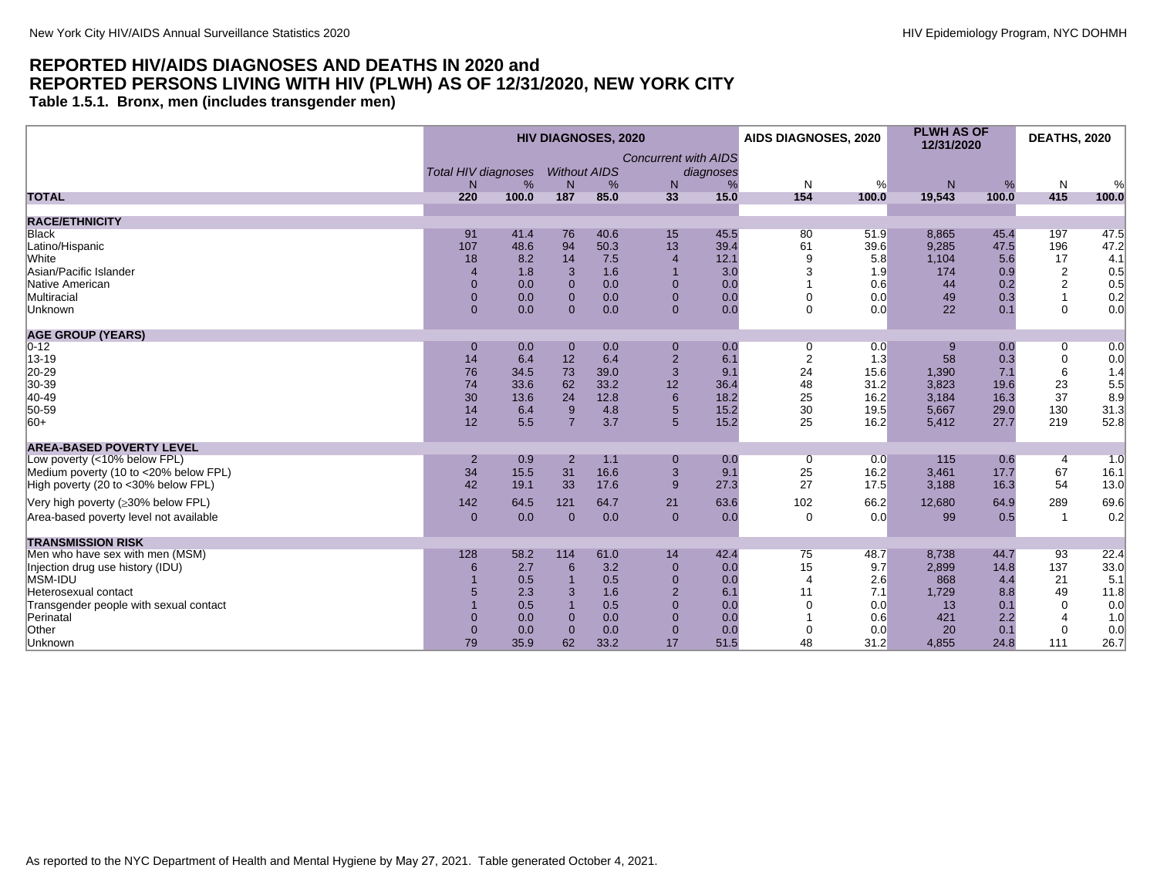<span id="page-18-0"></span>**Table 1.5.1. Bronx, men (includes transgender men)**

|                                           | <b>HIV DIAGNOSES, 2020</b> |       |                     |      |                             | AIDS DIAGNOSES, 2020 |                       | <b>PLWH AS OF</b><br>12/31/2020 |        | <b>DEATHS, 2020</b> |                |                                           |
|-------------------------------------------|----------------------------|-------|---------------------|------|-----------------------------|----------------------|-----------------------|---------------------------------|--------|---------------------|----------------|-------------------------------------------|
|                                           |                            |       |                     |      | <b>Concurrent with AIDS</b> |                      |                       |                                 |        |                     |                |                                           |
|                                           | <b>Total HIV diagnoses</b> |       | <b>Without AIDS</b> |      |                             | diagnoses            |                       |                                 |        |                     |                |                                           |
|                                           | N.                         | %     | N                   | %    | N                           | %                    | N                     | %                               | N      | %                   | N              | %                                         |
| <b>TOTAL</b>                              | 220                        | 100.0 | 187                 | 85.0 | 33                          | 15.0                 | 154                   | 100.0                           | 19,543 | 100.0               | 415            | 100.0                                     |
| <b>RACE/ETHNICITY</b>                     |                            |       |                     |      |                             |                      |                       |                                 |        |                     |                |                                           |
| <b>Black</b>                              | 91                         | 41.4  | 76                  | 40.6 | 15                          | 45.5                 | 80                    | 51.9                            | 8,865  | 45.4                | 197            | 47.5                                      |
| Latino/Hispanic                           | 107                        | 48.6  | 94                  | 50.3 | 13                          | 39.4                 | 61                    | 39.6                            | 9,285  | 47.5                | 196            | 47.2                                      |
| White                                     | 18                         | 8.2   | 14                  | 7.5  | $\overline{4}$              | 12.1                 | g                     | 5.8                             | 1,104  | 5.6                 | 17             | 4.1                                       |
| Asian/Pacific Islander                    | 4                          | 1.8   | 3                   | 1.6  |                             | 3.0                  |                       | 1.9                             | 174    | 0.9                 | $\overline{2}$ | 0.5                                       |
| Native American                           | $\overline{0}$             | 0.0   | $\Omega$            | 0.0  | $\Omega$                    | 0.0                  |                       | 0.6                             | 44     | 0.2                 | $\overline{c}$ |                                           |
| Multiracial                               | $\overline{0}$             | 0.0   | $\Omega$            | 0.0  | $\Omega$                    | 0.0                  | $\Omega$              | 0.0                             | 49     | 0.3                 |                | $\begin{array}{c} 0.5 \\ 0.2 \end{array}$ |
| Unknown                                   | $\overline{0}$             | 0.0   | $\Omega$            | 0.0  | $\mathbf{0}$                | 0.0                  | $\Omega$              | 0.0                             | 22     | 0.1                 | $\mathbf 0$    | 0.0                                       |
| <b>AGE GROUP (YEARS)</b>                  |                            |       |                     |      |                             |                      |                       |                                 |        |                     |                |                                           |
| $0 - 12$                                  | $\mathbf{0}$               | 0.0   | $\mathbf 0$         | 0.0  | $\mathbf 0$                 | 0.0                  | 0                     | 0.0                             |        | 0.0                 | 0              | 0.0                                       |
| 13-19                                     | 14                         | 6.4   | 12                  | 6.4  | $\overline{2}$              | 6.1                  | $\overline{2}$        | 1.3                             | 58     | 0.3                 | $\mathbf 0$    | 0.0                                       |
| 20-29                                     | 76                         | 34.5  | 73                  | 39.0 | 3                           | 9.1                  | 24                    | 15.6                            | 1,390  | 7.1                 | 6              | 1.4                                       |
| 30-39                                     | 74                         | 33.6  | 62                  | 33.2 | 12                          | 36.4                 | 48                    | 31.2                            | 3,823  | 19.6                | 23             | 5.5                                       |
| $ 40-49$                                  | 30                         | 13.6  | 24                  | 12.8 | 6                           | 18.2                 | 25                    | 16.2                            | 3,184  | 16.3                | 37             | 8.9                                       |
| 50-59                                     | 14                         | 6.4   | 9                   | 4.8  | 5                           | 15.2                 | 30                    | 19.5                            | 5,667  | 29.0                | 130            | 31.3                                      |
| $ 60+$                                    | 12                         | 5.5   | $\overline{7}$      | 3.7  | 5                           | 15.2                 | 25                    | 16.2                            | 5,412  | 27.7                | 219            | 52.8                                      |
| <b>AREA-BASED POVERTY LEVEL</b>           |                            |       |                     |      |                             |                      |                       |                                 |        |                     |                |                                           |
| Low poverty (<10% below FPL)              | $\overline{2}$             | 0.9   | $\overline{2}$      | 1.1  | $\mathbf 0$                 | 0.0                  | 0                     | 0.0                             | 115    | 0.6                 | $\overline{4}$ | 1.0                                       |
| Medium poverty (10 to <20% below FPL)     | 34                         | 15.5  | 31                  | 16.6 | 3                           | 9.1                  | 25                    | 16.2                            | 3,461  | 17.7                | 67             | 16.1                                      |
| High poverty (20 to <30% below FPL)       | 42                         | 19.1  | 33                  | 17.6 | 9                           | 27.3                 | 27                    | 17.5                            | 3,188  | 16.3                | 54             | 13.0                                      |
| Very high poverty ( $\geq$ 30% below FPL) | 142                        | 64.5  | 121                 | 64.7 | 21                          | 63.6                 | 102                   | 66.2                            | 12,680 | 64.9                | 289            | 69.6                                      |
| Area-based poverty level not available    | $\mathbf{0}$               | 0.0   | $\mathbf{0}$        | 0.0  | $\mathbf 0$                 | 0.0                  | $\mathbf 0$           | 0.0                             | 99     | 0.5                 | $\overline{1}$ | 0.2                                       |
|                                           |                            |       |                     |      |                             |                      |                       |                                 |        |                     |                |                                           |
| <b>TRANSMISSION RISK</b>                  |                            |       |                     |      |                             |                      |                       |                                 |        |                     |                |                                           |
| Men who have sex with men (MSM)           | 128                        | 58.2  | 114                 | 61.0 | 14                          | 42.4                 | 75                    | 48.7                            | 8,738  | 44.7                | 93             | 22.4                                      |
| Injection drug use history (IDU)          | 6                          | 2.7   | 6                   | 3.2  | $\overline{0}$              | 0.0                  | 15                    | 9.7                             | 2,899  | 14.8                | 137            | 33.0                                      |
| MSM-IDU                                   |                            | 0.5   |                     | 0.5  | $\overline{0}$              | 0.0                  | $\boldsymbol{\Delta}$ | 2.6                             | 868    | 4.4                 | 21             | 5.1                                       |
| Heterosexual contact                      |                            | 2.3   | 3                   | 1.6  | $\overline{2}$              | 6.1                  | 11                    | 7.1                             | 1,729  | 8.8                 | 49             | 11.8                                      |
| Transgender people with sexual contact    |                            | 0.5   |                     | 0.5  | $\Omega$                    | 0.0                  | $\Omega$              | 0.0                             | 13     | 0.1                 | $\Omega$       | 0.0                                       |
| Perinatal                                 | $\overline{0}$             | 0.0   | $\Omega$            | 0.0  | $\Omega$                    | 0.0                  |                       | 0.6                             | 421    | 2.2                 |                | 1.0                                       |
| Other                                     | 0                          | 0.0   | $\mathbf{0}$        | 0.0  | $\overline{0}$              | 0.0                  |                       | 0.0                             | 20     | 0.1                 | $\mathbf 0$    | 0.0                                       |
| Unknown                                   | 79                         | 35.9  | 62                  | 33.2 | 17                          | 51.5                 | 48                    | 31.2                            | 4,855  | 24.8                | 111            | 26.7                                      |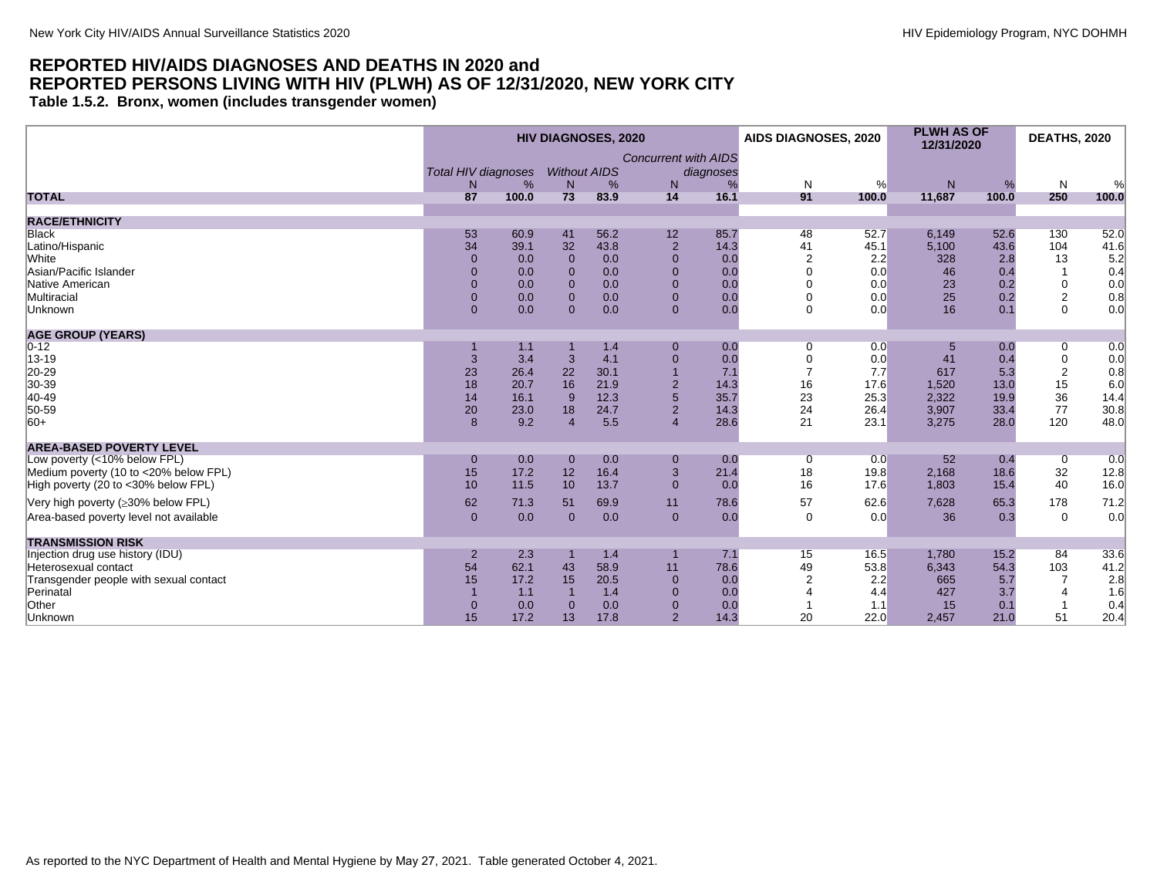<span id="page-19-0"></span>**Table 1.5.2. Bronx, women (includes transgender women)**

|                                        | <b>HIV DIAGNOSES, 2020</b> |       |                     |      |                             | <b>AIDS DIAGNOSES, 2020</b> |                | <b>PLWH AS OF</b><br>12/31/2020 |        | <b>DEATHS, 2020</b> |                |       |
|----------------------------------------|----------------------------|-------|---------------------|------|-----------------------------|-----------------------------|----------------|---------------------------------|--------|---------------------|----------------|-------|
|                                        |                            |       |                     |      | <b>Concurrent with AIDS</b> |                             |                |                                 |        |                     |                |       |
|                                        | <b>Total HIV diagnoses</b> |       | <b>Without AIDS</b> |      |                             | diagnoses                   |                |                                 |        |                     |                |       |
|                                        | N.                         | %     | $\mathsf{N}$        | %    | N                           | %                           | N              | %                               | N      | %                   | N              | %     |
| <b>TOTAL</b>                           | 87                         | 100.0 | 73                  | 83.9 | 14                          | 16.1                        | 91             | 100.0                           | 11,687 | 100.0               | 250            | 100.0 |
|                                        |                            |       |                     |      |                             |                             |                |                                 |        |                     |                |       |
| <b>RACE/ETHNICITY</b>                  |                            |       |                     |      |                             |                             |                |                                 |        |                     |                |       |
| Black                                  | 53                         | 60.9  | 41                  | 56.2 | 12                          | 85.7                        | 48             | 52.7                            | 6,149  | 52.6                | 130            | 52.0  |
| Latino/Hispanic                        | 34                         | 39.1  | 32                  | 43.8 | $\overline{2}$              | 14.3                        | 41             | 45.1                            | 5,100  | 43.6                | 104            | 41.6  |
| White                                  | $\Omega$                   | 0.0   | $\mathbf{0}$        | 0.0  | $\overline{0}$              | 0.0                         | $\overline{2}$ | 2.2                             | 328    | 2.8                 | 13             | 5.2   |
| Asian/Pacific Islander                 | $\overline{0}$             | 0.0   | $\Omega$            | 0.0  | $\Omega$                    | 0.0                         |                | 0.0                             | 46     | 0.4                 | $\overline{1}$ | 0.4   |
| Native American                        | $\overline{0}$             | 0.0   | $\Omega$            | 0.0  | $\Omega$                    | 0.0                         | $\Omega$       | 0.0                             | 23     | 0.2                 | 0              | 0.0   |
| Multiracial                            | $\overline{0}$             | 0.0   | $\Omega$            | 0.0  | $\mathbf{0}$                | 0.0                         | $\Omega$       | 0.0                             | 25     | 0.2                 | $\overline{2}$ | 0.8   |
| Unknown                                | $\Omega$                   | 0.0   | $\Omega$            | 0.0  | $\mathbf{0}$                | 0.0                         | $\Omega$       | 0.0                             | 16     | 0.1                 | $\Omega$       | 0.0   |
| <b>AGE GROUP (YEARS)</b>               |                            |       |                     |      |                             |                             |                |                                 |        |                     |                |       |
| $0 - 12$                               |                            | 1.1   |                     | 1.4  | $\overline{0}$              | 0.0                         | $\overline{0}$ | 0.0                             | 5      | 0.0                 | 0              | 0.0   |
| 13-19                                  | 3                          | 3.4   | 3                   | 4.1  | $\overline{0}$              | 0.0                         | $\mathbf 0$    | 0.0                             | 41     | 0.4                 | $\mathbf 0$    | 0.0   |
| 20-29                                  | 23                         | 26.4  | 22                  | 30.1 | $\overline{1}$              | 7.1                         | $\overline{7}$ | 7.7                             | 617    | 5.3                 | $\overline{2}$ | 0.8   |
| 30-39                                  | 18                         | 20.7  | 16                  | 21.9 | $\overline{2}$              | 14.3                        | 16             | 17.6                            | 1,520  | 13.0                | 15             | 6.0   |
| 40-49                                  | 14                         | 16.1  | 9                   | 12.3 | 5                           | 35.7                        | 23             | 25.3                            | 2,322  | 19.9                | 36             | 14.4  |
| 50-59                                  | 20                         | 23.0  | 18                  | 24.7 | 2                           | 14.3                        | 24             | 26.4                            | 3,907  | 33.4                | 77             | 30.8  |
| $ 60+$                                 | 8                          | 9.2   | $\overline{A}$      | 5.5  | $\overline{4}$              | 28.6                        | 21             | 23.1                            | 3,275  | 28.0                | 120            | 48.0  |
| <b>AREA-BASED POVERTY LEVEL</b>        |                            |       |                     |      |                             |                             |                |                                 |        |                     |                |       |
| Low poverty (<10% below FPL)           | $\mathbf 0$                | 0.0   | $\mathbf 0$         | 0.0  | $\mathbf 0$                 | 0.0                         | 0              | 0.0                             | 52     | 0.4                 | $\mathbf 0$    | 0.0   |
| Medium poverty (10 to <20% below FPL)  | 15                         | 17.2  | 12                  | 16.4 | 3                           | 21.4                        | 18             | 19.8                            | 2,168  | 18.6                | 32             | 12.8  |
| High poverty (20 to <30% below FPL)    | 10                         | 11.5  | 10                  | 13.7 | $\Omega$                    | 0.0                         | 16             | 17.6                            | 1.803  | 15.4                | 40             | 16.0  |
|                                        |                            |       |                     |      |                             |                             |                |                                 |        |                     |                |       |
| Very high poverty (≥30% below FPL)     | 62                         | 71.3  | 51                  | 69.9 | 11                          | 78.6                        | 57             | 62.6                            | 7,628  | 65.3                | 178            | 71.2  |
| Area-based poverty level not available | $\overline{0}$             | 0.0   | $\Omega$            | 0.0  | $\mathbf{0}$                | 0.0                         | $\Omega$       | 0.0                             | 36     | 0.3                 | $\mathbf 0$    | 0.0   |
| <b>TRANSMISSION RISK</b>               |                            |       |                     |      |                             |                             |                |                                 |        |                     |                |       |
| Injection drug use history (IDU)       | $\overline{2}$             | 2.3   |                     | 1.4  |                             | 7.1                         | 15             | 16.5                            | 1,780  | 15.2                | 84             | 33.6  |
| Heterosexual contact                   | 54                         | 62.1  | 43                  | 58.9 | 11                          | 78.6                        | 49             | 53.8                            | 6.343  | 54.3                | 103            | 41.2  |
| Transgender people with sexual contact | 15                         | 17.2  | 15                  | 20.5 | $\overline{0}$              | 0.0                         |                | 2.2                             | 665    | 5.7                 | $\overline{7}$ | 2.8   |
| Perinatal                              |                            | 1.1   |                     | 1.4  | $\Omega$                    | 0.0                         |                | 4.4                             | 427    | 3.7                 | $\overline{4}$ | 1.6   |
| Other                                  | $\mathbf{0}$               | 0.0   | $\Omega$            | 0.0  | $\overline{0}$              | 0.0                         |                | 1.1                             | 15     | 0.1                 |                | 0.4   |
| Unknown                                | 15                         | 17.2  | 13                  | 17.8 | $\overline{2}$              | 14.3                        | 20             | 22.0                            | 2,457  | 21.0                | 51             | 20.4  |
|                                        |                            |       |                     |      |                             |                             |                |                                 |        |                     |                |       |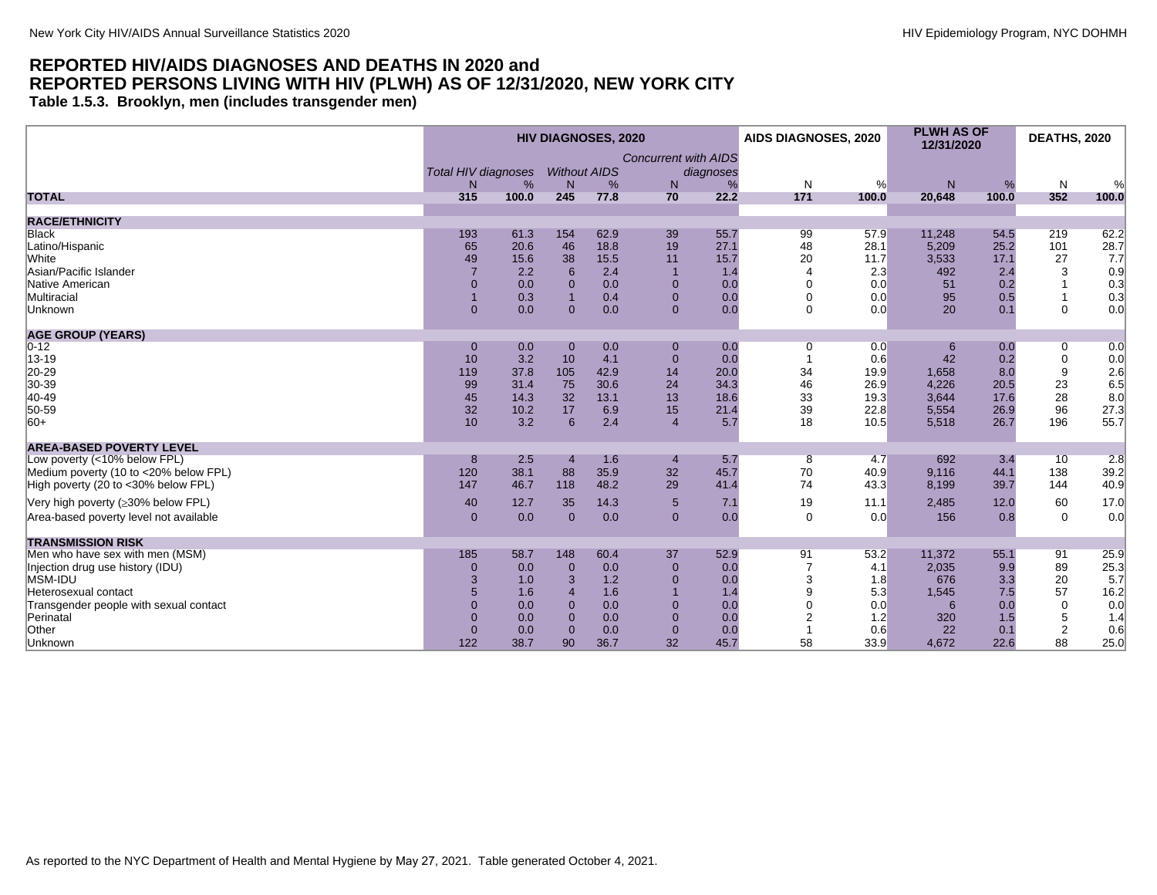<span id="page-20-0"></span>**Table 1.5.3. Brooklyn, men (includes transgender men)**

|                                        | <b>HIV DIAGNOSES, 2020</b> |       |                       |      |                             | AIDS DIAGNOSES, 2020 |              | <b>PLWH AS OF</b><br>12/31/2020 |        | <b>DEATHS, 2020</b> |                |       |
|----------------------------------------|----------------------------|-------|-----------------------|------|-----------------------------|----------------------|--------------|---------------------------------|--------|---------------------|----------------|-------|
|                                        |                            |       |                       |      | <b>Concurrent with AIDS</b> |                      |              |                                 |        |                     |                |       |
|                                        | <b>Total HIV diagnoses</b> |       | <b>Without AIDS</b>   |      |                             | diagnoses            |              |                                 |        |                     |                |       |
|                                        | N.                         | %     | N                     | %    | N                           | %                    | N            | %                               | N      | %                   | N              | %     |
| <b>TOTAL</b>                           | 315                        | 100.0 | 245                   | 77.8 | 70                          | 22.2                 | 171          | 100.0                           | 20,648 | 100.0               | 352            | 100.0 |
| <b>RACE/ETHNICITY</b>                  |                            |       |                       |      |                             |                      |              |                                 |        |                     |                |       |
| <b>Black</b>                           | 193                        | 61.3  | 154                   | 62.9 | 39                          | 55.7                 | 99           | 57.9                            | 11,248 | 54.5                | 219            | 62.2  |
| Latino/Hispanic                        | 65                         | 20.6  | 46                    | 18.8 | 19                          | 27.1                 | 48           | 28.1                            | 5,209  | 25.2                | 101            | 28.7  |
| <b>White</b>                           | 49                         | 15.6  | 38                    | 15.5 | 11                          | 15.7                 | 20           | 11.7                            | 3,533  | 17.1                | 27             | 7.7   |
| Asian/Pacific Islander                 |                            | 2.2   | 6                     | 2.4  |                             | 1.4                  |              | 2.3                             | 492    | 2.4                 | 3              | 0.9   |
| Native American                        | $\overline{0}$             | 0.0   | $\Omega$              | 0.0  | $\Omega$                    | 0.0                  | $\Omega$     | 0.0                             | 51     | 0.2                 |                | 0.3   |
| Multiracial                            |                            | 0.3   |                       | 0.4  | $\Omega$                    | 0.0                  | $\Omega$     | 0.0                             | 95     | 0.5                 |                | 0.3   |
| Unknown                                | $\overline{0}$             | 0.0   | $\Omega$              | 0.0  | $\overline{0}$              | 0.0                  | $\Omega$     | 0.0                             | 20     | 0.1                 | $\mathbf 0$    | 0.0   |
|                                        |                            |       |                       |      |                             |                      |              |                                 |        |                     |                |       |
| <b>AGE GROUP (YEARS)</b>               |                            |       |                       |      |                             |                      |              |                                 |        |                     |                |       |
| $0 - 12$                               | $\mathbf{0}$               | 0.0   | $\mathbf{0}$          | 0.0  | $\mathbf 0$                 | 0.0                  | 0            | 0.0                             | 6      | 0.0                 | 0              | 0.0   |
| 13-19                                  | 10                         | 3.2   | 10                    | 4.1  | $\Omega$                    | 0.0                  | $\mathbf 1$  | 0.6                             | 42     | 0.2                 | 0              | 0.0   |
| 20-29                                  | 119                        | 37.8  | 105                   | 42.9 | 14                          | 20.0                 | 34           | 19.9                            | 1,658  | 8.0                 | 9              | 2.6   |
| 30-39                                  | 99                         | 31.4  | 75                    | 30.6 | 24                          | 34.3                 | 46           | 26.9                            | 4,226  | 20.5                | 23             | 6.5   |
| 40-49                                  | 45                         | 14.3  | 32                    | 13.1 | 13                          | 18.6                 | 33           | 19.3                            | 3,644  | 17.6                | 28             | 8.0   |
| 50-59                                  | 32                         | 10.2  | 17                    | 6.9  | 15                          | 21.4                 | 39           | 22.8                            | 5,554  | 26.9                | 96             | 27.3  |
| $ 60+$                                 | 10                         | 3.2   | 6                     | 2.4  | $\overline{4}$              | 5.7                  | 18           | 10.5                            | 5,518  | 26.7                | 196            | 55.7  |
| <b>AREA-BASED POVERTY LEVEL</b>        |                            |       |                       |      |                             |                      |              |                                 |        |                     |                |       |
| Low poverty (<10% below FPL)           | 8                          | 2.5   | $\overline{4}$        | 1.6  | $\overline{4}$              | 5.7                  | 8            | 4.7                             | 692    | 3.4                 | 10             | 2.8   |
| Medium poverty (10 to <20% below FPL)  | 120                        | 38.1  | 88                    | 35.9 | 32                          | 45.7                 | 70           | 40.9                            | 9,116  | 44.1                | 138            | 39.2  |
| High poverty (20 to <30% below FPL)    | 147                        | 46.7  | 118                   | 48.2 | 29                          | 41.4                 | 74           | 43.3                            | 8,199  | 39.7                | 144            | 40.9  |
| Very high poverty (≥30% below FPL)     | 40                         | 12.7  | 35                    | 14.3 | 5                           | 7.1                  | 19           | 11.1                            | 2,485  | 12.0                | 60             | 17.0  |
| Area-based poverty level not available | $\mathbf{0}$               | 0.0   | $\mathbf{0}$          | 0.0  | $\mathbf{0}$                | 0.0                  | $\mathbf 0$  | 0.0                             | 156    | 0.8                 | $\mathbf 0$    | 0.0   |
| <b>TRANSMISSION RISK</b>               |                            |       |                       |      |                             |                      |              |                                 |        |                     |                |       |
| Men who have sex with men (MSM)        | 185                        | 58.7  | 148                   | 60.4 | 37                          | 52.9                 | 91           | 53.2                            | 11,372 | 55.1                | 91             | 25.9  |
| Injection drug use history (IDU)       | $\overline{0}$             | 0.0   | $\mathbf{0}$          | 0.0  | $\overline{0}$              | 0.0                  |              | 4.1                             | 2,035  | 9.9                 | 89             | 25.3  |
| MSM-IDU                                | 3                          | 1.0   | 3                     | 1.2  | $\Omega$                    | 0.0                  | 3            | 1.8                             | 676    | 3.3                 | 20             | 5.7   |
| Heterosexual contact                   | 5                          | 1.6   | $\boldsymbol{\Delta}$ | 1.6  |                             | 1.4                  | $\mathbf{Q}$ | 5.3                             | 1,545  | 7.5                 | 57             | 16.2  |
| Transgender people with sexual contact | $\Omega$                   | 0.0   | $\Omega$              | 0.0  | $\Omega$                    | 0.0                  | $\Omega$     | 0.0                             | 6      | 0.0                 | $\Omega$       | 0.0   |
| Perinatal                              | $\overline{0}$             | 0.0   | $\mathbf{0}$          | 0.0  | $\Omega$                    | 0.0                  | 2            | 1.2                             | 320    | 1.5                 | 5              | 1.4   |
| Other                                  | $\overline{0}$             | 0.0   | $\mathbf{0}$          | 0.0  | $\overline{0}$              | 0.0                  |              | 0.6                             | 22     | 0.1                 | $\overline{2}$ | 0.6   |
| Unknown                                | 122                        | 38.7  | 90                    | 36.7 | 32                          | 45.7                 | 58           | 33.9                            | 4,672  | 22.6                | 88             | 25.0  |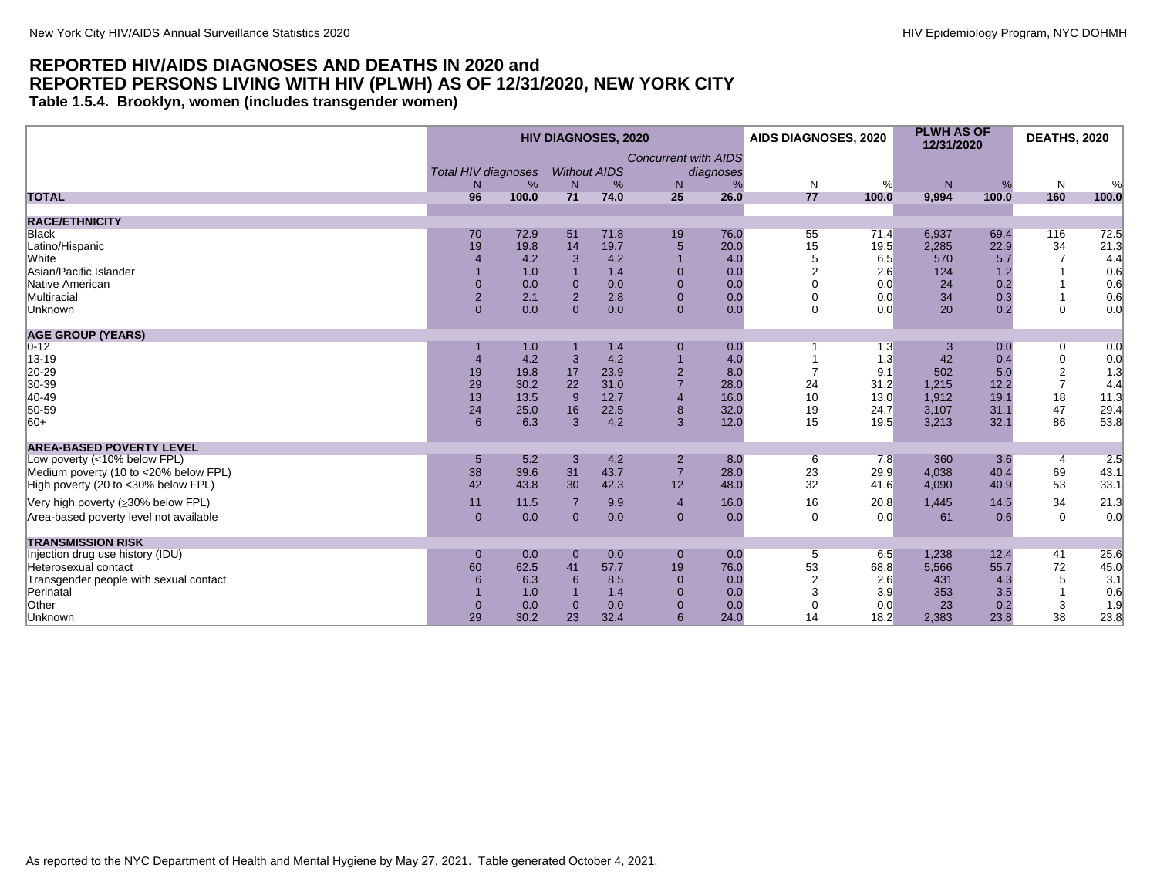<span id="page-21-0"></span>**Table 1.5.4. Brooklyn, women (includes transgender women)**

| <b>Concurrent with AIDS</b><br><b>Without AIDS</b><br><b>Total HIV diagnoses</b><br>diagnoses<br>%<br>%<br>N<br>%<br>N<br>%<br>N<br>N<br>%<br>N<br>%<br>N <sub>1</sub><br>71<br>96<br>100.0<br>25<br>26.0<br>77<br>9,994<br>100.0<br>74.0<br>100.0<br>160<br>100.0<br><b>RACE/ETHNICITY</b><br>76.0<br>72.5<br><b>Black</b><br>70<br>72.9<br>51<br>71.8<br>19<br>55<br>71.4<br>6,937<br>69.4<br>116<br>19<br>14<br>19.7<br>$\overline{5}$<br>15<br>2,285<br>34<br>21.3<br>Latino/Hispanic<br>19.8<br>20.0<br>19.5<br>22.9<br>White<br>4.2<br>5<br>6.5<br>3<br>4.2<br>4.0<br>570<br>5.7<br>$\overline{7}$<br>4.4<br>$\overline{4}$<br>Asian/Pacific Islander<br>1.0<br>1.4<br>$\mathbf{0}$<br>$\overline{2}$<br>124<br>0.6<br>0.0<br>2.6<br>1.2<br>Native American<br>0.0<br>$\mathbf 0$<br>$\Omega$<br>0.2<br>0.6<br>$\Omega$<br>$\overline{0}$<br>0.0<br>0.0<br>0.0<br>24<br>$\overline{2}$<br>$\mathbf 0$<br>34<br>Multiracial<br>$\overline{2}$<br>2.1<br>2.8<br>0.0<br>$\mathbf 0$<br>0.3<br>0.6<br>0.0<br>20<br>0.0<br>0.0<br>$\overline{0}$<br>0.0<br>$\Omega$<br>0.2<br>$\Omega$<br>0.0<br>Unknown<br>$\Omega$<br>$\Omega$<br>0.0<br>1.0<br>1.4<br>$\pmb{0}$<br>0.0<br>1.3<br>0.0<br>0.0<br>0<br>4.2<br>4.0<br>42<br>$\pmb{0}$<br>3<br>4.2<br>$\overline{1}$<br>1.3<br>0.4<br>0.0<br>$\boldsymbol{\Delta}$<br>$\overline{\mathbf{c}}$<br>19.8<br>17<br>23.9<br>$\mathbf 2$<br>9.1<br>502<br>1.3<br>19<br>8.0<br>$\overline{7}$<br>5.0<br>$\overline{7}$<br>$\overline{7}$<br>29<br>22<br>30.2<br>31.0<br>28.0<br>24<br>31.2<br>1,215<br>12.2<br>4.4<br>18<br>13<br>13.5<br>9<br>12.7<br>$\overline{4}$<br>10<br>13.0<br>1,912<br>19.1<br>11.3<br>16.0<br>47<br>$\bf 8$<br>3,107<br>29.4<br>24<br>25.0<br>16<br>22.5<br>32.0<br>19<br>31.1<br>24.7<br>3<br>86<br>53.8<br>6.3<br>$\overline{3}$<br>4.2<br>12.0<br>32.1<br>6<br>15<br>19.5<br>3,213<br><b>AREA-BASED POVERTY LEVEL</b><br>5.2<br>4.2<br>360<br>3.6<br>2.5<br>Low poverty (<10% below FPL)<br>3<br>$\overline{2}$<br>8.0<br>7.8<br>6<br>5<br>4<br>$\overline{7}$<br>23<br>38<br>39.6<br>31<br>43.7<br>28.0<br>29.9<br>4,038<br>69<br>43.1<br>Medium poverty (10 to <20% below FPL)<br>40.4<br>High poverty (20 to <30% below FPL)<br>42<br>12<br>32<br>53<br>33.1<br>43.8<br>30<br>42.3<br>48.0<br>41.6<br>4,090<br>40.9<br>34<br>21.3<br>Very high poverty (≥30% below FPL)<br>11<br>11.5<br>9.9<br>16.0<br>16<br>20.8<br>1,445<br>14.5<br>$\overline{7}$<br>$\overline{4}$<br>0.0<br>0.0<br>$\Omega$<br>$\mathbf 0$<br>0.0<br>$\overline{0}$<br>$\mathbf{0}$<br>$\mathbf{0}$<br>0.0<br>0.0<br>61<br>0.6<br><b>TRANSMISSION RISK</b><br>Injection drug use history (IDU)<br>41<br>25.6<br>0.0<br>$\mathbf{0}$<br>0.0<br>$\overline{0}$<br>0.0<br>$\overline{5}$<br>6.5<br>1,238<br>12.4<br>$\mathbf 0$<br>53<br>$72\,$<br>45.0<br>60<br>62.5<br>19<br>76.0<br>5,566<br>55.7<br>41<br>57.7<br>68.8<br>Heterosexual contact<br>$\overline{2}$<br>5<br>6.3<br>$\pmb{0}$<br>2.6<br>431<br>3.1<br>Transgender people with sexual contact<br>6<br>6<br>8.5<br>0.0<br>4.3<br>Perinatal<br>1.0<br>1.4<br>$\mathbf{0}$<br>0.0<br>3<br>3.9<br>353<br>3.5<br>0.6<br>3<br>0.0<br>$\overline{0}$<br>0.0<br>23<br>0.2<br>1.9<br>$\overline{0}$<br>0.0<br>0.0<br>$\mathbf 0$<br>$\Omega$ |                                        | <b>HIV DIAGNOSES, 2020</b> |      |    |      |   |      |    | AIDS DIAGNOSES, 2020 | <b>PLWH AS OF</b><br>12/31/2020 |      | <b>DEATHS, 2020</b> |      |
|-----------------------------------------------------------------------------------------------------------------------------------------------------------------------------------------------------------------------------------------------------------------------------------------------------------------------------------------------------------------------------------------------------------------------------------------------------------------------------------------------------------------------------------------------------------------------------------------------------------------------------------------------------------------------------------------------------------------------------------------------------------------------------------------------------------------------------------------------------------------------------------------------------------------------------------------------------------------------------------------------------------------------------------------------------------------------------------------------------------------------------------------------------------------------------------------------------------------------------------------------------------------------------------------------------------------------------------------------------------------------------------------------------------------------------------------------------------------------------------------------------------------------------------------------------------------------------------------------------------------------------------------------------------------------------------------------------------------------------------------------------------------------------------------------------------------------------------------------------------------------------------------------------------------------------------------------------------------------------------------------------------------------------------------------------------------------------------------------------------------------------------------------------------------------------------------------------------------------------------------------------------------------------------------------------------------------------------------------------------------------------------------------------------------------------------------------------------------------------------------------------------------------------------------------------------------------------------------------------------------------------------------------------------------------------------------------------------------------------------------------------------------------------------------------------------------------------------------------------------------------------------------------------------------------------------------------------------------------------------------------------------------------------------------------------------------------------------------------------------------------------------------------------------------------------------------------------------------------------------------------|----------------------------------------|----------------------------|------|----|------|---|------|----|----------------------|---------------------------------|------|---------------------|------|
|                                                                                                                                                                                                                                                                                                                                                                                                                                                                                                                                                                                                                                                                                                                                                                                                                                                                                                                                                                                                                                                                                                                                                                                                                                                                                                                                                                                                                                                                                                                                                                                                                                                                                                                                                                                                                                                                                                                                                                                                                                                                                                                                                                                                                                                                                                                                                                                                                                                                                                                                                                                                                                                                                                                                                                                                                                                                                                                                                                                                                                                                                                                                                                                                                                               |                                        |                            |      |    |      |   |      |    |                      |                                 |      |                     |      |
|                                                                                                                                                                                                                                                                                                                                                                                                                                                                                                                                                                                                                                                                                                                                                                                                                                                                                                                                                                                                                                                                                                                                                                                                                                                                                                                                                                                                                                                                                                                                                                                                                                                                                                                                                                                                                                                                                                                                                                                                                                                                                                                                                                                                                                                                                                                                                                                                                                                                                                                                                                                                                                                                                                                                                                                                                                                                                                                                                                                                                                                                                                                                                                                                                                               | <b>TOTAL</b>                           |                            |      |    |      |   |      |    |                      |                                 |      |                     |      |
|                                                                                                                                                                                                                                                                                                                                                                                                                                                                                                                                                                                                                                                                                                                                                                                                                                                                                                                                                                                                                                                                                                                                                                                                                                                                                                                                                                                                                                                                                                                                                                                                                                                                                                                                                                                                                                                                                                                                                                                                                                                                                                                                                                                                                                                                                                                                                                                                                                                                                                                                                                                                                                                                                                                                                                                                                                                                                                                                                                                                                                                                                                                                                                                                                                               |                                        |                            |      |    |      |   |      |    |                      |                                 |      |                     |      |
|                                                                                                                                                                                                                                                                                                                                                                                                                                                                                                                                                                                                                                                                                                                                                                                                                                                                                                                                                                                                                                                                                                                                                                                                                                                                                                                                                                                                                                                                                                                                                                                                                                                                                                                                                                                                                                                                                                                                                                                                                                                                                                                                                                                                                                                                                                                                                                                                                                                                                                                                                                                                                                                                                                                                                                                                                                                                                                                                                                                                                                                                                                                                                                                                                                               |                                        |                            |      |    |      |   |      |    |                      |                                 |      |                     |      |
|                                                                                                                                                                                                                                                                                                                                                                                                                                                                                                                                                                                                                                                                                                                                                                                                                                                                                                                                                                                                                                                                                                                                                                                                                                                                                                                                                                                                                                                                                                                                                                                                                                                                                                                                                                                                                                                                                                                                                                                                                                                                                                                                                                                                                                                                                                                                                                                                                                                                                                                                                                                                                                                                                                                                                                                                                                                                                                                                                                                                                                                                                                                                                                                                                                               |                                        |                            |      |    |      |   |      |    |                      |                                 |      |                     |      |
|                                                                                                                                                                                                                                                                                                                                                                                                                                                                                                                                                                                                                                                                                                                                                                                                                                                                                                                                                                                                                                                                                                                                                                                                                                                                                                                                                                                                                                                                                                                                                                                                                                                                                                                                                                                                                                                                                                                                                                                                                                                                                                                                                                                                                                                                                                                                                                                                                                                                                                                                                                                                                                                                                                                                                                                                                                                                                                                                                                                                                                                                                                                                                                                                                                               |                                        |                            |      |    |      |   |      |    |                      |                                 |      |                     |      |
|                                                                                                                                                                                                                                                                                                                                                                                                                                                                                                                                                                                                                                                                                                                                                                                                                                                                                                                                                                                                                                                                                                                                                                                                                                                                                                                                                                                                                                                                                                                                                                                                                                                                                                                                                                                                                                                                                                                                                                                                                                                                                                                                                                                                                                                                                                                                                                                                                                                                                                                                                                                                                                                                                                                                                                                                                                                                                                                                                                                                                                                                                                                                                                                                                                               |                                        |                            |      |    |      |   |      |    |                      |                                 |      |                     |      |
|                                                                                                                                                                                                                                                                                                                                                                                                                                                                                                                                                                                                                                                                                                                                                                                                                                                                                                                                                                                                                                                                                                                                                                                                                                                                                                                                                                                                                                                                                                                                                                                                                                                                                                                                                                                                                                                                                                                                                                                                                                                                                                                                                                                                                                                                                                                                                                                                                                                                                                                                                                                                                                                                                                                                                                                                                                                                                                                                                                                                                                                                                                                                                                                                                                               |                                        |                            |      |    |      |   |      |    |                      |                                 |      |                     |      |
|                                                                                                                                                                                                                                                                                                                                                                                                                                                                                                                                                                                                                                                                                                                                                                                                                                                                                                                                                                                                                                                                                                                                                                                                                                                                                                                                                                                                                                                                                                                                                                                                                                                                                                                                                                                                                                                                                                                                                                                                                                                                                                                                                                                                                                                                                                                                                                                                                                                                                                                                                                                                                                                                                                                                                                                                                                                                                                                                                                                                                                                                                                                                                                                                                                               |                                        |                            |      |    |      |   |      |    |                      |                                 |      |                     |      |
|                                                                                                                                                                                                                                                                                                                                                                                                                                                                                                                                                                                                                                                                                                                                                                                                                                                                                                                                                                                                                                                                                                                                                                                                                                                                                                                                                                                                                                                                                                                                                                                                                                                                                                                                                                                                                                                                                                                                                                                                                                                                                                                                                                                                                                                                                                                                                                                                                                                                                                                                                                                                                                                                                                                                                                                                                                                                                                                                                                                                                                                                                                                                                                                                                                               |                                        |                            |      |    |      |   |      |    |                      |                                 |      |                     |      |
|                                                                                                                                                                                                                                                                                                                                                                                                                                                                                                                                                                                                                                                                                                                                                                                                                                                                                                                                                                                                                                                                                                                                                                                                                                                                                                                                                                                                                                                                                                                                                                                                                                                                                                                                                                                                                                                                                                                                                                                                                                                                                                                                                                                                                                                                                                                                                                                                                                                                                                                                                                                                                                                                                                                                                                                                                                                                                                                                                                                                                                                                                                                                                                                                                                               |                                        |                            |      |    |      |   |      |    |                      |                                 |      |                     |      |
|                                                                                                                                                                                                                                                                                                                                                                                                                                                                                                                                                                                                                                                                                                                                                                                                                                                                                                                                                                                                                                                                                                                                                                                                                                                                                                                                                                                                                                                                                                                                                                                                                                                                                                                                                                                                                                                                                                                                                                                                                                                                                                                                                                                                                                                                                                                                                                                                                                                                                                                                                                                                                                                                                                                                                                                                                                                                                                                                                                                                                                                                                                                                                                                                                                               | <b>AGE GROUP (YEARS)</b>               |                            |      |    |      |   |      |    |                      |                                 |      |                     |      |
|                                                                                                                                                                                                                                                                                                                                                                                                                                                                                                                                                                                                                                                                                                                                                                                                                                                                                                                                                                                                                                                                                                                                                                                                                                                                                                                                                                                                                                                                                                                                                                                                                                                                                                                                                                                                                                                                                                                                                                                                                                                                                                                                                                                                                                                                                                                                                                                                                                                                                                                                                                                                                                                                                                                                                                                                                                                                                                                                                                                                                                                                                                                                                                                                                                               | $0 - 12$                               |                            |      |    |      |   |      |    |                      |                                 |      |                     |      |
|                                                                                                                                                                                                                                                                                                                                                                                                                                                                                                                                                                                                                                                                                                                                                                                                                                                                                                                                                                                                                                                                                                                                                                                                                                                                                                                                                                                                                                                                                                                                                                                                                                                                                                                                                                                                                                                                                                                                                                                                                                                                                                                                                                                                                                                                                                                                                                                                                                                                                                                                                                                                                                                                                                                                                                                                                                                                                                                                                                                                                                                                                                                                                                                                                                               | 13-19                                  |                            |      |    |      |   |      |    |                      |                                 |      |                     |      |
|                                                                                                                                                                                                                                                                                                                                                                                                                                                                                                                                                                                                                                                                                                                                                                                                                                                                                                                                                                                                                                                                                                                                                                                                                                                                                                                                                                                                                                                                                                                                                                                                                                                                                                                                                                                                                                                                                                                                                                                                                                                                                                                                                                                                                                                                                                                                                                                                                                                                                                                                                                                                                                                                                                                                                                                                                                                                                                                                                                                                                                                                                                                                                                                                                                               | 20-29                                  |                            |      |    |      |   |      |    |                      |                                 |      |                     |      |
|                                                                                                                                                                                                                                                                                                                                                                                                                                                                                                                                                                                                                                                                                                                                                                                                                                                                                                                                                                                                                                                                                                                                                                                                                                                                                                                                                                                                                                                                                                                                                                                                                                                                                                                                                                                                                                                                                                                                                                                                                                                                                                                                                                                                                                                                                                                                                                                                                                                                                                                                                                                                                                                                                                                                                                                                                                                                                                                                                                                                                                                                                                                                                                                                                                               | 30-39                                  |                            |      |    |      |   |      |    |                      |                                 |      |                     |      |
|                                                                                                                                                                                                                                                                                                                                                                                                                                                                                                                                                                                                                                                                                                                                                                                                                                                                                                                                                                                                                                                                                                                                                                                                                                                                                                                                                                                                                                                                                                                                                                                                                                                                                                                                                                                                                                                                                                                                                                                                                                                                                                                                                                                                                                                                                                                                                                                                                                                                                                                                                                                                                                                                                                                                                                                                                                                                                                                                                                                                                                                                                                                                                                                                                                               | 40-49                                  |                            |      |    |      |   |      |    |                      |                                 |      |                     |      |
|                                                                                                                                                                                                                                                                                                                                                                                                                                                                                                                                                                                                                                                                                                                                                                                                                                                                                                                                                                                                                                                                                                                                                                                                                                                                                                                                                                                                                                                                                                                                                                                                                                                                                                                                                                                                                                                                                                                                                                                                                                                                                                                                                                                                                                                                                                                                                                                                                                                                                                                                                                                                                                                                                                                                                                                                                                                                                                                                                                                                                                                                                                                                                                                                                                               | 50-59                                  |                            |      |    |      |   |      |    |                      |                                 |      |                     |      |
|                                                                                                                                                                                                                                                                                                                                                                                                                                                                                                                                                                                                                                                                                                                                                                                                                                                                                                                                                                                                                                                                                                                                                                                                                                                                                                                                                                                                                                                                                                                                                                                                                                                                                                                                                                                                                                                                                                                                                                                                                                                                                                                                                                                                                                                                                                                                                                                                                                                                                                                                                                                                                                                                                                                                                                                                                                                                                                                                                                                                                                                                                                                                                                                                                                               | $ 60+$                                 |                            |      |    |      |   |      |    |                      |                                 |      |                     |      |
|                                                                                                                                                                                                                                                                                                                                                                                                                                                                                                                                                                                                                                                                                                                                                                                                                                                                                                                                                                                                                                                                                                                                                                                                                                                                                                                                                                                                                                                                                                                                                                                                                                                                                                                                                                                                                                                                                                                                                                                                                                                                                                                                                                                                                                                                                                                                                                                                                                                                                                                                                                                                                                                                                                                                                                                                                                                                                                                                                                                                                                                                                                                                                                                                                                               |                                        |                            |      |    |      |   |      |    |                      |                                 |      |                     |      |
|                                                                                                                                                                                                                                                                                                                                                                                                                                                                                                                                                                                                                                                                                                                                                                                                                                                                                                                                                                                                                                                                                                                                                                                                                                                                                                                                                                                                                                                                                                                                                                                                                                                                                                                                                                                                                                                                                                                                                                                                                                                                                                                                                                                                                                                                                                                                                                                                                                                                                                                                                                                                                                                                                                                                                                                                                                                                                                                                                                                                                                                                                                                                                                                                                                               |                                        |                            |      |    |      |   |      |    |                      |                                 |      |                     |      |
|                                                                                                                                                                                                                                                                                                                                                                                                                                                                                                                                                                                                                                                                                                                                                                                                                                                                                                                                                                                                                                                                                                                                                                                                                                                                                                                                                                                                                                                                                                                                                                                                                                                                                                                                                                                                                                                                                                                                                                                                                                                                                                                                                                                                                                                                                                                                                                                                                                                                                                                                                                                                                                                                                                                                                                                                                                                                                                                                                                                                                                                                                                                                                                                                                                               |                                        |                            |      |    |      |   |      |    |                      |                                 |      |                     |      |
|                                                                                                                                                                                                                                                                                                                                                                                                                                                                                                                                                                                                                                                                                                                                                                                                                                                                                                                                                                                                                                                                                                                                                                                                                                                                                                                                                                                                                                                                                                                                                                                                                                                                                                                                                                                                                                                                                                                                                                                                                                                                                                                                                                                                                                                                                                                                                                                                                                                                                                                                                                                                                                                                                                                                                                                                                                                                                                                                                                                                                                                                                                                                                                                                                                               |                                        |                            |      |    |      |   |      |    |                      |                                 |      |                     |      |
|                                                                                                                                                                                                                                                                                                                                                                                                                                                                                                                                                                                                                                                                                                                                                                                                                                                                                                                                                                                                                                                                                                                                                                                                                                                                                                                                                                                                                                                                                                                                                                                                                                                                                                                                                                                                                                                                                                                                                                                                                                                                                                                                                                                                                                                                                                                                                                                                                                                                                                                                                                                                                                                                                                                                                                                                                                                                                                                                                                                                                                                                                                                                                                                                                                               |                                        |                            |      |    |      |   |      |    |                      |                                 |      |                     |      |
|                                                                                                                                                                                                                                                                                                                                                                                                                                                                                                                                                                                                                                                                                                                                                                                                                                                                                                                                                                                                                                                                                                                                                                                                                                                                                                                                                                                                                                                                                                                                                                                                                                                                                                                                                                                                                                                                                                                                                                                                                                                                                                                                                                                                                                                                                                                                                                                                                                                                                                                                                                                                                                                                                                                                                                                                                                                                                                                                                                                                                                                                                                                                                                                                                                               |                                        |                            |      |    |      |   |      |    |                      |                                 |      |                     |      |
|                                                                                                                                                                                                                                                                                                                                                                                                                                                                                                                                                                                                                                                                                                                                                                                                                                                                                                                                                                                                                                                                                                                                                                                                                                                                                                                                                                                                                                                                                                                                                                                                                                                                                                                                                                                                                                                                                                                                                                                                                                                                                                                                                                                                                                                                                                                                                                                                                                                                                                                                                                                                                                                                                                                                                                                                                                                                                                                                                                                                                                                                                                                                                                                                                                               | Area-based poverty level not available |                            |      |    |      |   |      |    |                      |                                 |      |                     |      |
|                                                                                                                                                                                                                                                                                                                                                                                                                                                                                                                                                                                                                                                                                                                                                                                                                                                                                                                                                                                                                                                                                                                                                                                                                                                                                                                                                                                                                                                                                                                                                                                                                                                                                                                                                                                                                                                                                                                                                                                                                                                                                                                                                                                                                                                                                                                                                                                                                                                                                                                                                                                                                                                                                                                                                                                                                                                                                                                                                                                                                                                                                                                                                                                                                                               |                                        |                            |      |    |      |   |      |    |                      |                                 |      |                     |      |
|                                                                                                                                                                                                                                                                                                                                                                                                                                                                                                                                                                                                                                                                                                                                                                                                                                                                                                                                                                                                                                                                                                                                                                                                                                                                                                                                                                                                                                                                                                                                                                                                                                                                                                                                                                                                                                                                                                                                                                                                                                                                                                                                                                                                                                                                                                                                                                                                                                                                                                                                                                                                                                                                                                                                                                                                                                                                                                                                                                                                                                                                                                                                                                                                                                               |                                        |                            |      |    |      |   |      |    |                      |                                 |      |                     |      |
|                                                                                                                                                                                                                                                                                                                                                                                                                                                                                                                                                                                                                                                                                                                                                                                                                                                                                                                                                                                                                                                                                                                                                                                                                                                                                                                                                                                                                                                                                                                                                                                                                                                                                                                                                                                                                                                                                                                                                                                                                                                                                                                                                                                                                                                                                                                                                                                                                                                                                                                                                                                                                                                                                                                                                                                                                                                                                                                                                                                                                                                                                                                                                                                                                                               |                                        |                            |      |    |      |   |      |    |                      |                                 |      |                     |      |
|                                                                                                                                                                                                                                                                                                                                                                                                                                                                                                                                                                                                                                                                                                                                                                                                                                                                                                                                                                                                                                                                                                                                                                                                                                                                                                                                                                                                                                                                                                                                                                                                                                                                                                                                                                                                                                                                                                                                                                                                                                                                                                                                                                                                                                                                                                                                                                                                                                                                                                                                                                                                                                                                                                                                                                                                                                                                                                                                                                                                                                                                                                                                                                                                                                               |                                        |                            |      |    |      |   |      |    |                      |                                 |      |                     |      |
|                                                                                                                                                                                                                                                                                                                                                                                                                                                                                                                                                                                                                                                                                                                                                                                                                                                                                                                                                                                                                                                                                                                                                                                                                                                                                                                                                                                                                                                                                                                                                                                                                                                                                                                                                                                                                                                                                                                                                                                                                                                                                                                                                                                                                                                                                                                                                                                                                                                                                                                                                                                                                                                                                                                                                                                                                                                                                                                                                                                                                                                                                                                                                                                                                                               |                                        |                            |      |    |      |   |      |    |                      |                                 |      |                     |      |
|                                                                                                                                                                                                                                                                                                                                                                                                                                                                                                                                                                                                                                                                                                                                                                                                                                                                                                                                                                                                                                                                                                                                                                                                                                                                                                                                                                                                                                                                                                                                                                                                                                                                                                                                                                                                                                                                                                                                                                                                                                                                                                                                                                                                                                                                                                                                                                                                                                                                                                                                                                                                                                                                                                                                                                                                                                                                                                                                                                                                                                                                                                                                                                                                                                               | Other                                  |                            |      |    |      |   |      |    |                      |                                 |      |                     |      |
|                                                                                                                                                                                                                                                                                                                                                                                                                                                                                                                                                                                                                                                                                                                                                                                                                                                                                                                                                                                                                                                                                                                                                                                                                                                                                                                                                                                                                                                                                                                                                                                                                                                                                                                                                                                                                                                                                                                                                                                                                                                                                                                                                                                                                                                                                                                                                                                                                                                                                                                                                                                                                                                                                                                                                                                                                                                                                                                                                                                                                                                                                                                                                                                                                                               | Unknown                                | 29                         | 30.2 | 23 | 32.4 | 6 | 24.0 | 14 | 18.2                 | 2,383                           | 23.8 | 38                  | 23.8 |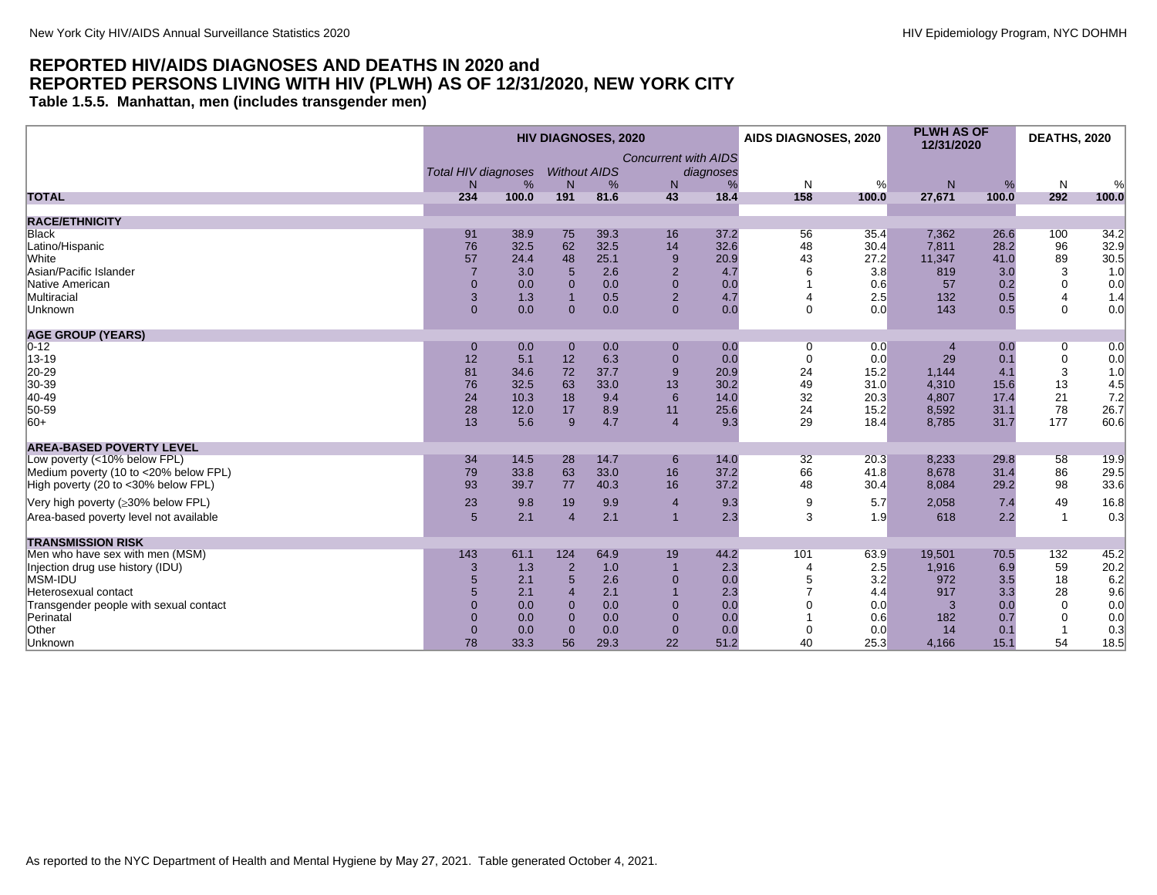<span id="page-22-0"></span>**Table 1.5.5. Manhattan, men (includes transgender men)**

| <b>Concurrent with AIDS</b><br><b>Total HIV diagnoses</b><br><b>Without AIDS</b><br>diagnoses<br>${\sf N}$<br>N<br>$\%$<br>%<br>%<br>N<br>N<br>%<br>N<br>N.<br>℅<br>158<br>100.0<br>100.0<br>191<br>81.6<br>43<br>18.4<br>100.0<br>27,671<br>292<br><b>TOTAL</b><br>234<br><b>RACE/ETHNICITY</b><br>39.3<br>37.2<br>35.4<br>Black<br>91<br>38.9<br>75<br>16<br>56<br>7,362<br>26.6<br>100<br>34.2<br>62<br>Latino/Hispanic<br>76<br>32.5<br>32.6<br>7,811<br>28.2<br>96<br>32.5<br>14<br>48<br>30.4<br>89<br>White<br>57<br>48<br>25.1<br>9<br>43<br>27.2<br>41.0<br>24.4<br>20.9<br>11,347<br>$\overline{2}$<br>3<br>Asian/Pacific Islander<br>$\overline{7}$<br>2.6<br>3.0<br>5<br>6<br>3.8<br>819<br>3.0<br>4.7<br>$\Omega$<br>Native American<br>$\overline{0}$<br>$\Omega$<br>0.0<br>$\Omega$<br>0.0<br>0.0<br>0.6<br>57<br>0.2<br>1.3<br>0.5<br>$\overline{2}$<br>2.5<br>Multiracial<br>3<br>4.7<br>132<br>0.5<br>4<br>$\overline{0}$<br>0.0<br>0.0<br>$\mathbf 0$<br>0.0<br>0<br>$\mathbf{0}$<br>0.0<br>$\mathbf 0$<br>143<br>0.5<br>Unknown | <b>HIV DIAGNOSES, 2020</b> |  |  |  |  | AIDS DIAGNOSES, 2020 | <b>PLWH AS OF</b><br>12/31/2020 | <b>DEATHS, 2020</b> |  |       |
|-----------------------------------------------------------------------------------------------------------------------------------------------------------------------------------------------------------------------------------------------------------------------------------------------------------------------------------------------------------------------------------------------------------------------------------------------------------------------------------------------------------------------------------------------------------------------------------------------------------------------------------------------------------------------------------------------------------------------------------------------------------------------------------------------------------------------------------------------------------------------------------------------------------------------------------------------------------------------------------------------------------------------------------------------------|----------------------------|--|--|--|--|----------------------|---------------------------------|---------------------|--|-------|
|                                                                                                                                                                                                                                                                                                                                                                                                                                                                                                                                                                                                                                                                                                                                                                                                                                                                                                                                                                                                                                                     |                            |  |  |  |  |                      |                                 |                     |  |       |
|                                                                                                                                                                                                                                                                                                                                                                                                                                                                                                                                                                                                                                                                                                                                                                                                                                                                                                                                                                                                                                                     |                            |  |  |  |  |                      |                                 |                     |  |       |
|                                                                                                                                                                                                                                                                                                                                                                                                                                                                                                                                                                                                                                                                                                                                                                                                                                                                                                                                                                                                                                                     |                            |  |  |  |  |                      |                                 |                     |  | %     |
|                                                                                                                                                                                                                                                                                                                                                                                                                                                                                                                                                                                                                                                                                                                                                                                                                                                                                                                                                                                                                                                     |                            |  |  |  |  |                      |                                 |                     |  | 100.0 |
|                                                                                                                                                                                                                                                                                                                                                                                                                                                                                                                                                                                                                                                                                                                                                                                                                                                                                                                                                                                                                                                     |                            |  |  |  |  |                      |                                 |                     |  |       |
|                                                                                                                                                                                                                                                                                                                                                                                                                                                                                                                                                                                                                                                                                                                                                                                                                                                                                                                                                                                                                                                     |                            |  |  |  |  |                      |                                 |                     |  |       |
|                                                                                                                                                                                                                                                                                                                                                                                                                                                                                                                                                                                                                                                                                                                                                                                                                                                                                                                                                                                                                                                     |                            |  |  |  |  |                      |                                 |                     |  | 32.9  |
|                                                                                                                                                                                                                                                                                                                                                                                                                                                                                                                                                                                                                                                                                                                                                                                                                                                                                                                                                                                                                                                     |                            |  |  |  |  |                      |                                 |                     |  | 30.5  |
|                                                                                                                                                                                                                                                                                                                                                                                                                                                                                                                                                                                                                                                                                                                                                                                                                                                                                                                                                                                                                                                     |                            |  |  |  |  |                      |                                 |                     |  | 1.0   |
|                                                                                                                                                                                                                                                                                                                                                                                                                                                                                                                                                                                                                                                                                                                                                                                                                                                                                                                                                                                                                                                     |                            |  |  |  |  |                      |                                 |                     |  | 0.0   |
|                                                                                                                                                                                                                                                                                                                                                                                                                                                                                                                                                                                                                                                                                                                                                                                                                                                                                                                                                                                                                                                     |                            |  |  |  |  |                      |                                 |                     |  | 1.4   |
|                                                                                                                                                                                                                                                                                                                                                                                                                                                                                                                                                                                                                                                                                                                                                                                                                                                                                                                                                                                                                                                     |                            |  |  |  |  |                      |                                 |                     |  | 0.0   |
|                                                                                                                                                                                                                                                                                                                                                                                                                                                                                                                                                                                                                                                                                                                                                                                                                                                                                                                                                                                                                                                     |                            |  |  |  |  |                      |                                 |                     |  |       |
| <b>AGE GROUP (YEARS)</b>                                                                                                                                                                                                                                                                                                                                                                                                                                                                                                                                                                                                                                                                                                                                                                                                                                                                                                                                                                                                                            |                            |  |  |  |  |                      |                                 |                     |  |       |
| $0 - 12$<br>0.0<br>0.0<br>0.0<br>$\mathbf{0}$<br>$\mathbf{0}$<br>0.0<br>0.0<br>$\mathbf 0$<br>0<br>0                                                                                                                                                                                                                                                                                                                                                                                                                                                                                                                                                                                                                                                                                                                                                                                                                                                                                                                                                |                            |  |  |  |  |                      |                                 |                     |  | 0.0   |
| 13-19<br>6.3<br>12<br>5.1<br>12<br>29<br>$\overline{0}$<br>0.0<br>$\mathbf 0$<br>0.0<br>0.1<br>0                                                                                                                                                                                                                                                                                                                                                                                                                                                                                                                                                                                                                                                                                                                                                                                                                                                                                                                                                    |                            |  |  |  |  |                      |                                 |                     |  | 0.0   |
| 9<br>3<br>20-29<br>81<br>72<br>37.7<br>1,144<br>34.6<br>20.9<br>24<br>15.2<br>4.1                                                                                                                                                                                                                                                                                                                                                                                                                                                                                                                                                                                                                                                                                                                                                                                                                                                                                                                                                                   |                            |  |  |  |  |                      |                                 |                     |  | 1.0   |
| $ 30-39 $<br>76<br>13<br>32.5<br>63<br>33.0<br>13<br>30.2<br>49<br>31.0<br>4,310<br>15.6                                                                                                                                                                                                                                                                                                                                                                                                                                                                                                                                                                                                                                                                                                                                                                                                                                                                                                                                                            |                            |  |  |  |  |                      |                                 |                     |  | 4.5   |
| 40-49<br>24<br>21<br>10.3<br>6<br>32<br>20.3<br>4,807<br>17.4<br>18<br>9.4<br>14.0                                                                                                                                                                                                                                                                                                                                                                                                                                                                                                                                                                                                                                                                                                                                                                                                                                                                                                                                                                  |                            |  |  |  |  |                      |                                 |                     |  | 7.2   |
| 50-59<br>78<br>28<br>8.9<br>17<br>11<br>25.6<br>24<br>8,592<br>31.1<br>12.0<br>15.2                                                                                                                                                                                                                                                                                                                                                                                                                                                                                                                                                                                                                                                                                                                                                                                                                                                                                                                                                                 |                            |  |  |  |  |                      |                                 |                     |  | 26.7  |
| 13<br>4.7<br>177<br>$ 60+$<br>5.6<br>9<br>29<br>31.7<br>$\overline{4}$<br>9.3<br>18.4<br>8,785                                                                                                                                                                                                                                                                                                                                                                                                                                                                                                                                                                                                                                                                                                                                                                                                                                                                                                                                                      |                            |  |  |  |  |                      |                                 |                     |  | 60.6  |
| <b>AREA-BASED POVERTY LEVEL</b>                                                                                                                                                                                                                                                                                                                                                                                                                                                                                                                                                                                                                                                                                                                                                                                                                                                                                                                                                                                                                     |                            |  |  |  |  |                      |                                 |                     |  |       |
| Low poverty (<10% below FPL)<br>14.5<br>28<br>14.7<br>14.0<br>20.3<br>8,233<br>29.8<br>34<br>6<br>32<br>58                                                                                                                                                                                                                                                                                                                                                                                                                                                                                                                                                                                                                                                                                                                                                                                                                                                                                                                                          |                            |  |  |  |  |                      |                                 |                     |  | 19.9  |
| Medium poverty (10 to <20% below FPL)<br>79<br>33.8<br>63<br>33.0<br>37.2<br>41.8<br>31.4<br>86<br>16<br>66<br>8,678                                                                                                                                                                                                                                                                                                                                                                                                                                                                                                                                                                                                                                                                                                                                                                                                                                                                                                                                |                            |  |  |  |  |                      |                                 |                     |  | 29.5  |
| 98<br>High poverty (20 to <30% below FPL)<br>93<br>39.7<br>77<br>40.3<br>16<br>37.2<br>8,084<br>29.2<br>48<br>30.4                                                                                                                                                                                                                                                                                                                                                                                                                                                                                                                                                                                                                                                                                                                                                                                                                                                                                                                                  |                            |  |  |  |  |                      |                                 |                     |  | 33.6  |
| Very high poverty (≥30% below FPL)<br>23<br>7.4<br>49<br>9.8<br>19<br>9.9<br>$\overline{4}$<br>9.3<br>9<br>5.7<br>2,058                                                                                                                                                                                                                                                                                                                                                                                                                                                                                                                                                                                                                                                                                                                                                                                                                                                                                                                             |                            |  |  |  |  |                      |                                 |                     |  | 16.8  |
| 5<br>2.1<br>3<br>$\overline{1}$<br>Area-based poverty level not available<br>2.1<br>$\overline{4}$<br>2.3<br>618<br>2.2<br>1.9                                                                                                                                                                                                                                                                                                                                                                                                                                                                                                                                                                                                                                                                                                                                                                                                                                                                                                                      |                            |  |  |  |  |                      |                                 |                     |  | 0.3   |
| <b>TRANSMISSION RISK</b>                                                                                                                                                                                                                                                                                                                                                                                                                                                                                                                                                                                                                                                                                                                                                                                                                                                                                                                                                                                                                            |                            |  |  |  |  |                      |                                 |                     |  |       |
| Men who have sex with men (MSM)<br>61.1<br>124<br>64.9<br>44.2<br>143<br>19<br>101<br>63.9<br>19,501<br>70.5<br>132                                                                                                                                                                                                                                                                                                                                                                                                                                                                                                                                                                                                                                                                                                                                                                                                                                                                                                                                 |                            |  |  |  |  |                      |                                 |                     |  | 45.2  |
| $\overline{2}$<br>59<br>3<br>1.3<br>1.0<br>2.3<br>2.5<br>1,916<br>6.9<br>Injection drug use history (IDU)                                                                                                                                                                                                                                                                                                                                                                                                                                                                                                                                                                                                                                                                                                                                                                                                                                                                                                                                           |                            |  |  |  |  |                      |                                 |                     |  | 20.2  |
| MSM-IDU<br>18<br>5<br>2.1<br>5<br>2.6<br>0.0<br>3.2<br>972<br>3.5<br>$\Omega$                                                                                                                                                                                                                                                                                                                                                                                                                                                                                                                                                                                                                                                                                                                                                                                                                                                                                                                                                                       |                            |  |  |  |  |                      |                                 |                     |  | 6.2   |
| 28<br>5<br>$\boldsymbol{\Delta}$<br>2.3<br>917<br>Heterosexual contact<br>2.1<br>2.1<br>4.4<br>3.3                                                                                                                                                                                                                                                                                                                                                                                                                                                                                                                                                                                                                                                                                                                                                                                                                                                                                                                                                  |                            |  |  |  |  |                      |                                 |                     |  | 9.6   |
| $\Omega$<br>0.0<br>0.0<br>0.0<br>Transgender people with sexual contact<br>$\overline{0}$<br>0.0<br>$\Omega$<br>$\Omega$<br>3<br>0.0                                                                                                                                                                                                                                                                                                                                                                                                                                                                                                                                                                                                                                                                                                                                                                                                                                                                                                                |                            |  |  |  |  |                      |                                 |                     |  | 0.0   |
| Perinatal<br>0.0<br>0.0<br>0.6<br>182<br>0.7<br>0<br>0.0<br>$\mathbf{0}$<br>$\overline{0}$<br>$\mathbf 0$                                                                                                                                                                                                                                                                                                                                                                                                                                                                                                                                                                                                                                                                                                                                                                                                                                                                                                                                           |                            |  |  |  |  |                      |                                 |                     |  | 0.0   |
| Other<br>$\overline{0}$<br>$\mathbf{0}$<br>0.0<br>$\overline{0}$<br>0.0<br>0.0<br>0.0<br>$\Omega$<br>14<br>0.1                                                                                                                                                                                                                                                                                                                                                                                                                                                                                                                                                                                                                                                                                                                                                                                                                                                                                                                                      |                            |  |  |  |  |                      |                                 |                     |  | 0.3   |
| 78<br>33.3<br>56<br>51.2<br>54<br>Unknown<br>29.3<br>22<br>40<br>25.3<br>4,166<br>15.1                                                                                                                                                                                                                                                                                                                                                                                                                                                                                                                                                                                                                                                                                                                                                                                                                                                                                                                                                              |                            |  |  |  |  |                      |                                 |                     |  | 18.5  |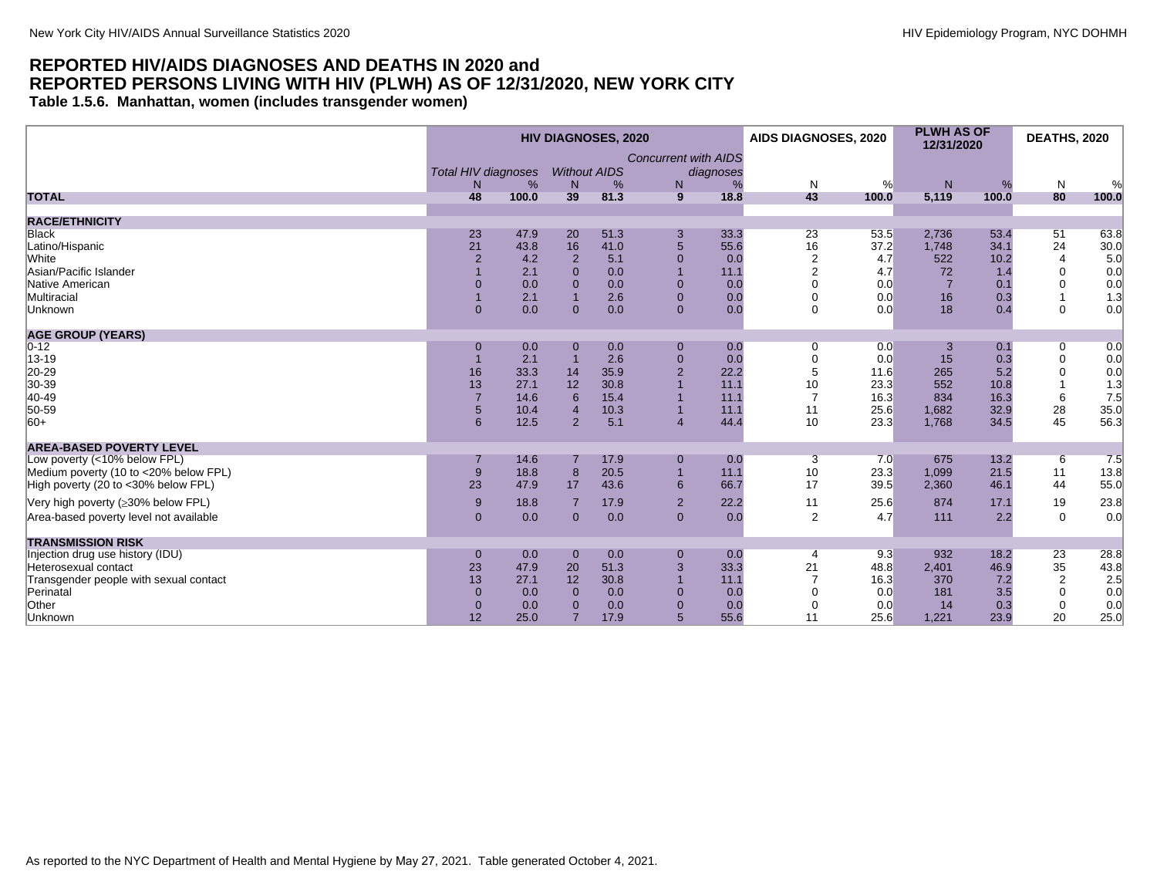<span id="page-23-0"></span>**Table 1.5.6. Manhattan, women (includes transgender women)**

|                                        | <b>HIV DIAGNOSES, 2020</b>                   |       |                                       |      |                                                | AIDS DIAGNOSES, 2020 |                      | <b>PLWH AS OF</b><br>12/31/2020 |                | <b>DEATHS, 2020</b> |                 |       |
|----------------------------------------|----------------------------------------------|-------|---------------------------------------|------|------------------------------------------------|----------------------|----------------------|---------------------------------|----------------|---------------------|-----------------|-------|
|                                        | <b>Total HIV diagnoses</b><br>N <sub>1</sub> | %     | <b>Without AIDS</b><br>N <sub>1</sub> | %    | <b>Concurrent with AIDS</b><br>diagnoses<br>N. | %                    | N                    | %                               | N              | %                   | N               | %     |
| <b>TOTAL</b>                           | 48                                           | 100.0 | 39                                    | 81.3 | 9                                              | 18.8                 | 43                   | 100.0                           | 5,119          | 100.0               | 80              | 100.0 |
|                                        |                                              |       |                                       |      |                                                |                      |                      |                                 |                |                     |                 |       |
| <b>RACE/ETHNICITY</b>                  |                                              |       |                                       |      |                                                |                      |                      |                                 |                |                     |                 |       |
| Black                                  | 23                                           | 47.9  | 20                                    | 51.3 | $\mathbf{3}$                                   | 33.3                 | 23                   | 53.5                            | 2,736          | 53.4                | 51              | 63.8  |
| Latino/Hispanic                        | 21                                           | 43.8  | 16                                    | 41.0 | 5                                              | 55.6                 | 16                   | 37.2                            | 1.748          | 34.1                | 24              | 30.0  |
| White                                  | $\overline{2}$                               | 4.2   | $\overline{2}$                        | 5.1  | $\mathbf 0$                                    | 0.0                  | $\overline{2}$       | 4.7                             | 522            | 10.2                | $\overline{4}$  | 5.0   |
| Asian/Pacific Islander                 |                                              | 2.1   | $\Omega$                              | 0.0  |                                                | 11.1                 |                      | 4.7                             | 72             | 1.4                 | $\mathbf 0$     | 0.0   |
| Native American                        | $\Omega$                                     | 0.0   | $\overline{0}$                        | 0.0  | $\mathbf 0$                                    | 0.0                  |                      | 0.0                             | $\overline{7}$ | 0.1                 | 0               | 0.0   |
| Multiracial                            |                                              | 2.1   |                                       | 2.6  | $\mathbf{0}$                                   | 0.0                  | $\mathbf 0$          | 0.0                             | 16             | 0.3                 |                 | 1.3   |
| Unknown                                | $\Omega$                                     | 0.0   | $\Omega$                              | 0.0  | $\Omega$                                       | 0.0                  | $\Omega$             | 0.0                             | 18             | 0.4                 | $\Omega$        | 0.0   |
| <b>AGE GROUP (YEARS)</b>               |                                              |       |                                       |      |                                                |                      |                      |                                 |                |                     |                 |       |
| $0 - 12$                               | $\Omega$                                     | 0.0   | $\mathbf 0$                           | 0.0  | $\mathbf 0$                                    | 0.0                  | 0                    | 0.0                             | 3              | 0.1                 | 0               | 0.0   |
| 13-19                                  |                                              | 2.1   |                                       | 2.6  | $\pmb{0}$                                      | 0.0                  | $\Omega$             | 0.0                             | 15             | 0.3                 | $\pmb{0}$       | 0.0   |
| 20-29                                  | 16                                           | 33.3  | 14                                    | 35.9 | $\overline{c}$                                 | 22.2                 | 5                    | 11.6                            | 265            | 5.2                 | $\mathbf 0$     | 0.0   |
| 30-39                                  | 13                                           | 27.1  | 12                                    | 30.8 |                                                | 11.1                 | 10                   | 23.3                            | 552            | 10.8                |                 | 1.3   |
| 40-49                                  | $\overline{7}$                               | 14.6  | 6                                     | 15.4 |                                                | 11.1                 | $\overline{7}$       | 16.3                            | 834            | 16.3                | $6\phantom{1}6$ | 7.5   |
| 50-59                                  | 5                                            | 10.4  | $\overline{A}$                        | 10.3 | $\overline{1}$                                 | 11.1                 | 11                   | 25.6                            | 1,682          | 32.9                | 28              | 35.0  |
| $ 60+$                                 | 6                                            | 12.5  | $\overline{2}$                        | 5.1  | $\overline{4}$                                 | 44.4                 | 10                   | 23.3                            | 1,768          | 34.5                | 45              | 56.3  |
| <b>AREA-BASED POVERTY LEVEL</b>        |                                              |       |                                       |      |                                                |                      |                      |                                 |                |                     |                 |       |
| Low poverty (<10% below FPL)           |                                              | 14.6  |                                       | 17.9 |                                                | 0.0                  |                      | 7.0                             | 675            | 13.2                |                 | 7.5   |
| Medium poverty (10 to <20% below FPL)  | 9                                            | 18.8  | 8                                     | 20.5 | $\mathbf 0$<br>$\overline{1}$                  | 11.1                 | $\overline{3}$<br>10 | 23.3                            | 1,099          | 21.5                | 6<br>11         | 13.8  |
|                                        | 23                                           | 47.9  | 17                                    | 43.6 | 6                                              | 66.7                 | 17                   | 39.5                            | 2,360          | 46.1                | 44              |       |
| High poverty (20 to <30% below FPL)    |                                              |       |                                       |      |                                                |                      |                      |                                 |                |                     |                 | 55.0  |
| Very high poverty (≥30% below FPL)     | 9                                            | 18.8  | $\overline{7}$                        | 17.9 | $\overline{2}$                                 | 22.2                 | 11                   | 25.6                            | 874            | 17.1                | 19              | 23.8  |
| Area-based poverty level not available | $\Omega$                                     | 0.0   | $\overline{0}$                        | 0.0  | $\mathbf{0}$                                   | 0.0                  | 2                    | 4.7                             | 111            | 2.2                 | $\mathbf 0$     | 0.0   |
| <b>TRANSMISSION RISK</b>               |                                              |       |                                       |      |                                                |                      |                      |                                 |                |                     |                 |       |
| Injection drug use history (IDU)       | $\mathbf{0}$                                 | 0.0   | $\mathbf{0}$                          | 0.0  | $\mathbf 0$                                    | 0.0                  | $\overline{4}$       | 9.3                             | 932            | 18.2                | 23              | 28.8  |
| Heterosexual contact                   | 23                                           | 47.9  | 20                                    | 51.3 | 3                                              | 33.3                 | 21                   | 48.8                            | 2,401          | 46.9                | 35              | 43.8  |
| Transgender people with sexual contact | 13                                           | 27.1  | 12                                    | 30.8 |                                                | 11.1                 | $\overline{7}$       | 16.3                            | 370            | 7.2                 | $\overline{2}$  | 2.5   |
| Perinatal                              | $\overline{0}$                               | 0.0   | $\Omega$                              | 0.0  | $\mathbf 0$                                    | 0.0                  | $\Omega$             | 0.0                             | 181            | 3.5                 | $\mathbf 0$     | 0.0   |
| Other                                  | $\mathbf{0}$                                 | 0.0   | $\Omega$                              | 0.0  | $\mathbf 0$                                    | 0.0                  | $\Omega$             | 0.0                             | 14             | 0.3                 | $\mathbf 0$     | 0.0   |
| Unknown                                | 12                                           | 25.0  | 7                                     | 17.9 | 5                                              | 55.6                 | 11                   | 25.6                            | 1,221          | 23.9                | 20              | 25.0  |
|                                        |                                              |       |                                       |      |                                                |                      |                      |                                 |                |                     |                 |       |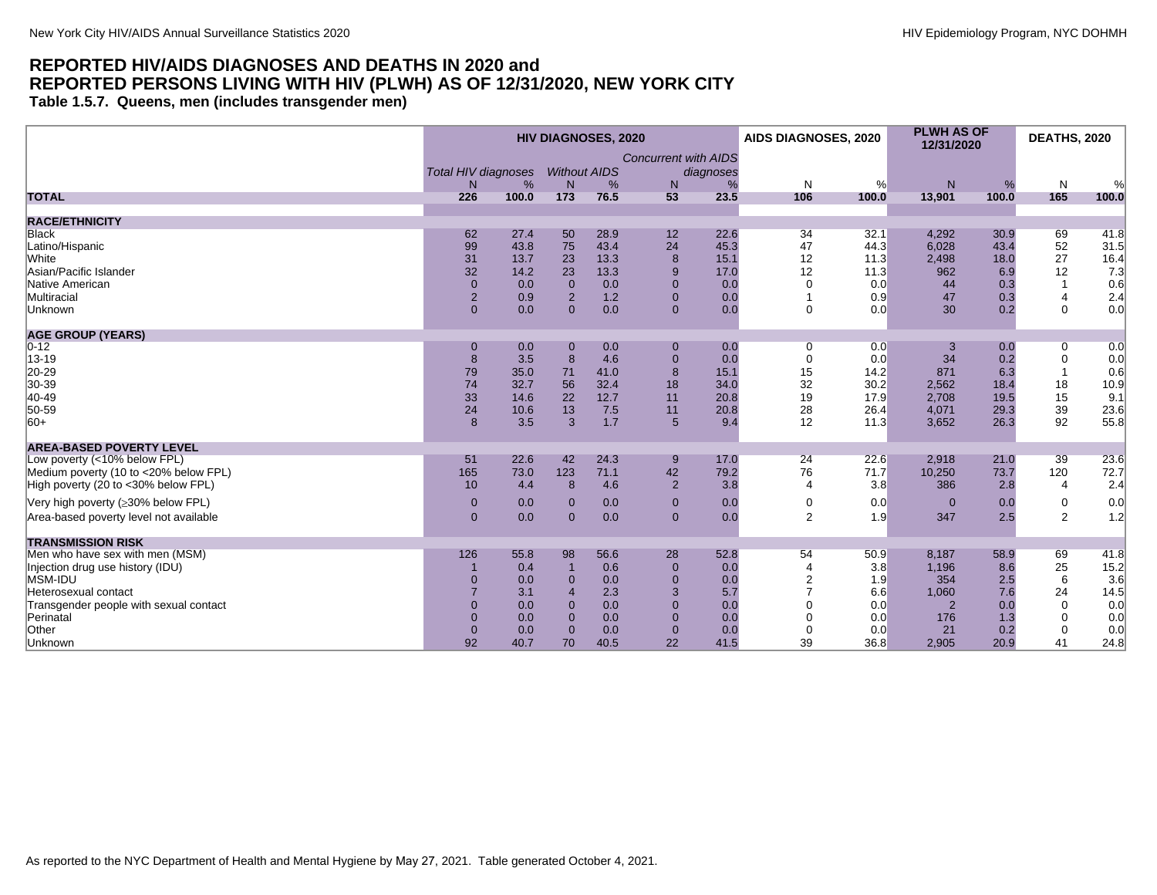<span id="page-24-0"></span>**Table 1.5.7. Queens, men (includes transgender men)**

|                                        |     |                            |                       | <b>HIV DIAGNOSES, 2020</b> |                             |           | AIDS DIAGNOSES, 2020 |       | <b>PLWH AS OF</b><br>12/31/2020 |       | <b>DEATHS, 2020</b> |                                           |
|----------------------------------------|-----|----------------------------|-----------------------|----------------------------|-----------------------------|-----------|----------------------|-------|---------------------------------|-------|---------------------|-------------------------------------------|
|                                        |     |                            |                       |                            | <b>Concurrent with AIDS</b> |           |                      |       |                                 |       |                     |                                           |
|                                        |     | <b>Total HIV diagnoses</b> |                       | <b>Without AIDS</b>        |                             | diagnoses |                      |       |                                 |       |                     |                                           |
|                                        |     | %<br>N                     | N                     | %                          | N                           | %         | N                    | %     | N                               | %     | N                   |                                           |
| <b>TOTAL</b>                           | 226 | 100.0                      | 173                   | 76.5                       | 53                          | 23.5      | 106                  | 100.0 | 13,901                          | 100.0 | 165                 | 100.0                                     |
| <b>RACE/ETHNICITY</b>                  |     |                            |                       |                            |                             |           |                      |       |                                 |       |                     |                                           |
| <b>Black</b>                           |     | 62<br>27.4                 | 50                    | 28.9                       | 12                          | 22.6      | 34                   | 32.1  | 4,292                           | 30.9  | 69                  | 41.8                                      |
| Latino/Hispanic                        |     | 99<br>43.8                 | 75                    | 43.4                       | 24                          | 45.3      | 47                   | 44.3  | 6,028                           | 43.4  | 52                  | 31.5                                      |
| White                                  |     | 31<br>13.7                 | 23                    | 13.3                       | 8                           | 15.1      | 12                   | 11.3  | 2,498                           | 18.0  | 27                  | 16.4                                      |
| Asian/Pacific Islander                 |     | 32<br>14.2                 | 23                    | 13.3                       | 9                           | 17.0      | 12                   | 11.3  | 962                             | 6.9   | 12                  | 7.3                                       |
| Native American                        |     | $\mathbf{0}$<br>0.0        | $\overline{0}$        | 0.0                        | $\Omega$                    | 0.0       | $\Omega$             | 0.0   | 44                              | 0.3   |                     | 0.6                                       |
| Multiracial                            |     | $\overline{2}$<br>0.9      | $\overline{2}$        | 1.2                        | $\Omega$                    | 0.0       |                      | 0.9   | 47                              | 0.3   | $\overline{4}$      | $\begin{array}{c} 2.4 \\ 0.0 \end{array}$ |
| Unknown                                |     | $\overline{0}$<br>0.0      | $\Omega$              | 0.0                        | $\overline{0}$              | 0.0       | $\mathbf 0$          | 0.0   | 30                              | 0.2   | $\Omega$            |                                           |
| <b>AGE GROUP (YEARS)</b>               |     |                            |                       |                            |                             |           |                      |       |                                 |       |                     |                                           |
| $0 - 12$                               |     | 0.0<br>$\mathbf{0}$        | $\mathbf 0$           | 0.0                        | $\mathbf 0$                 | 0.0       | 0                    | 0.0   | 3                               | 0.0   | 0                   | 0.0                                       |
| $ 13 - 19$                             |     | 8<br>3.5                   | 8                     | 4.6                        | $\Omega$                    | 0.0       | $\mathbf 0$          | 0.0   | 34                              | 0.2   | $\mathbf 0$         | 0.0                                       |
| 20-29                                  |     | 79<br>35.0                 | 71                    | 41.0                       | 8                           | 15.1      | 15                   | 14.2  | 871                             | 6.3   |                     | 0.6                                       |
| 30-39                                  |     | 74<br>32.7                 | 56                    | 32.4                       | 18                          | 34.0      | 32                   | 30.2  | 2,562                           | 18.4  | 18                  | 10.9                                      |
| 40-49                                  |     | 33<br>14.6                 | 22                    | 12.7                       | 11                          | 20.8      | 19                   | 17.9  | 2,708                           | 19.5  | 15                  | 9.1                                       |
| 50-59                                  |     | 24<br>10.6                 | 13                    | 7.5                        | 11                          | 20.8      | 28                   | 26.4  | 4,071                           | 29.3  | 39                  | 23.6                                      |
| $ 60+$                                 |     | 8<br>3.5                   | 3                     | 1.7                        | 5                           | 9.4       | 12                   | 11.3  | 3,652                           | 26.3  | 92                  | 55.8                                      |
| <b>AREA-BASED POVERTY LEVEL</b>        |     |                            |                       |                            |                             |           |                      |       |                                 |       |                     |                                           |
| Low poverty (<10% below FPL)           |     | 22.6<br>51                 | 42                    | 24.3                       | 9                           | 17.0      | 24                   | 22.6  | 2,918                           | 21.0  | 39                  | 23.6                                      |
| Medium poverty (10 to <20% below FPL)  |     | 165<br>73.0                | 123                   | 71.1                       | 42                          | 79.2      | 76                   | 71.7  | 10,250                          | 73.7  | 120                 | 72.7                                      |
| High poverty (20 to <30% below FPL)    |     | 10<br>4.4                  | 8                     | 4.6                        | $\overline{2}$              | 3.8       | $\overline{4}$       | 3.8   | 386                             | 2.8   | $\overline{4}$      | 2.4                                       |
| Very high poverty (≥30% below FPL)     |     | 0.0<br>$\mathbf{0}$        | $\Omega$              | 0.0                        | $\Omega$                    | 0.0       | $\mathbf 0$          | 0.0   | $\Omega$                        | 0.0   | 0                   | 0.0                                       |
| Area-based poverty level not available |     | $\mathbf{0}$<br>0.0        | $\mathbf{0}$          | 0.0                        | $\mathbf{0}$                | 0.0       | $\overline{2}$       | 1.9   | 347                             | 2.5   | $\overline{2}$      | 1.2                                       |
| <b>TRANSMISSION RISK</b>               |     |                            |                       |                            |                             |           |                      |       |                                 |       |                     |                                           |
| Men who have sex with men (MSM)        |     | 126<br>55.8                | 98                    | 56.6                       | 28                          | 52.8      | 54                   | 50.9  | 8,187                           | 58.9  | 69                  | 41.8                                      |
| Injection drug use history (IDU)       |     | 0.4                        | $\overline{1}$        | 0.6                        | $\overline{0}$              | 0.0       | $\overline{4}$       | 3.8   | 1,196                           | 8.6   | 25                  | 15.2                                      |
| MSM-IDU                                |     | 0<br>0.0                   | $\mathbf{0}$          | 0.0                        | $\Omega$                    | 0.0       |                      | 1.9   | 354                             | 2.5   | 6                   | 3.6                                       |
| Heterosexual contact                   |     | 3.1                        | $\boldsymbol{\Delta}$ | 2.3                        | 3                           | 5.7       |                      | 6.6   | 1,060                           | 7.6   | 24                  | 14.5                                      |
| Transgender people with sexual contact |     | 0.0<br>$\Omega$            | $\Omega$              | 0.0                        | $\Omega$                    | 0.0       | $\Omega$             | 0.0   | $\overline{2}$                  | 0.0   | $\Omega$            | 0.0                                       |
| Perinatal                              |     | $\overline{0}$<br>0.0      | $\mathbf{0}$          | 0.0                        | $\Omega$                    | 0.0       | $\Omega$             | 0.0   | 176                             | 1.3   | $\Omega$            | 0.0                                       |
| Other                                  |     | $\overline{0}$<br>0.0      | $\mathbf{0}$          | 0.0                        | $\Omega$                    | 0.0       | $\mathbf 0$          | 0.0   | 21                              | 0.2   | 0                   | 0.0                                       |
| Unknown                                |     | 92<br>40.7                 | 70                    | 40.5                       | 22                          | 41.5      | 39                   | 36.8  | 2,905                           | 20.9  | 41                  | 24.8                                      |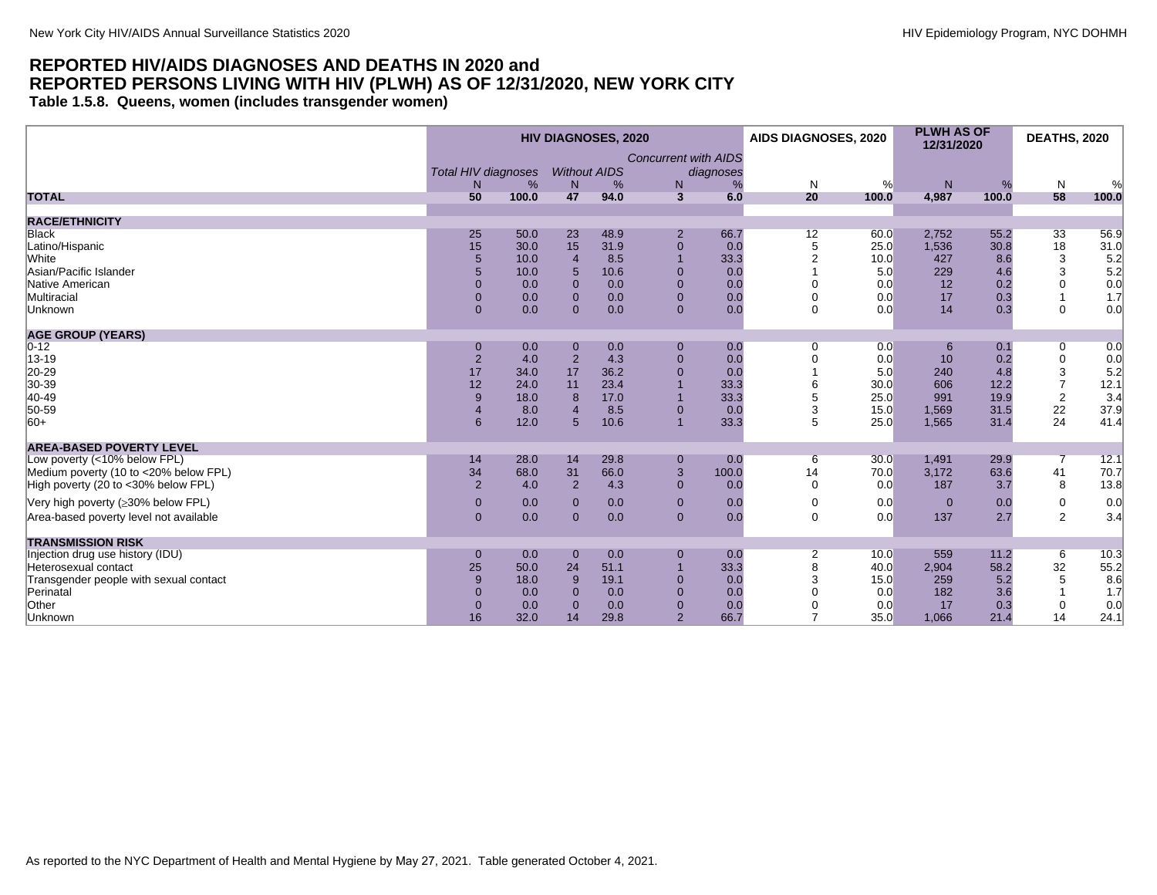<span id="page-25-0"></span>**Table 1.5.8. Queens, women (includes transgender women)**

|                                        |                                                   |       |                          | <b>HIV DIAGNOSES, 2020</b> |                                  |                | AIDS DIAGNOSES, 2020 |       | <b>PLWH AS OF</b><br>12/31/2020 |       | <b>DEATHS, 2020</b> |              |
|----------------------------------------|---------------------------------------------------|-------|--------------------------|----------------------------|----------------------------------|----------------|----------------------|-------|---------------------------------|-------|---------------------|--------------|
|                                        | <b>Total HIV diagnoses</b><br>%<br>N <sub>1</sub> |       | <b>Without AIDS</b><br>N | %                          | <b>Concurrent with AIDS</b><br>N | diagnoses<br>% | N                    | %     | N                               | %     | N                   | %            |
| <b>TOTAL</b>                           | 50                                                | 100.0 | 47                       | 94.0                       | $\mathbf{3}$                     | 6.0            | 20                   | 100.0 | 4,987                           | 100.0 | 58                  | 100.0        |
| <b>RACE/ETHNICITY</b>                  |                                                   |       |                          |                            |                                  |                |                      |       |                                 |       |                     |              |
| Black                                  | 25                                                | 50.0  | 23                       | 48.9                       | $\overline{2}$                   | 66.7           |                      | 60.0  | 2,752                           | 55.2  | 33                  |              |
| Latino/Hispanic                        | 15                                                | 30.0  | 15                       | 31.9                       | $\pmb{0}$                        | 0.0            | 12<br>5              | 25.0  | 1,536                           | 30.8  | 18                  | 56.9<br>31.0 |
| White                                  | 5                                                 | 10.0  | $\overline{4}$           | 8.5                        | $\overline{1}$                   | 33.3           | 2                    | 10.0  | 427                             | 8.6   |                     |              |
| Asian/Pacific Islander                 | 5                                                 | 10.0  | 5                        | 10.6                       | $\mathbf 0$                      | 0.0            |                      | 5.0   | 229                             | 4.6   | 3<br>3              | 5.2<br>5.2   |
| Native American                        | $\Omega$                                          | 0.0   | $\Omega$                 | 0.0                        | $\overline{0}$                   | 0.0            | $\Omega$             | 0.0   | 12                              | 0.2   | 0                   | 0.0          |
| Multiracial                            | $\mathbf{0}$                                      | 0.0   | $\mathbf{0}$             | 0.0                        | $\mathbf 0$                      | 0.0            | $\mathbf 0$          | 0.0   | 17                              | 0.3   |                     | 1.7          |
| Unknown                                | $\Omega$                                          | 0.0   | $\Omega$                 | 0.0                        | $\Omega$                         | 0.0            | $\Omega$             | 0.0   | 14                              | 0.3   | $\Omega$            | 0.0          |
|                                        |                                                   |       |                          |                            |                                  |                |                      |       |                                 |       |                     |              |
| <b>AGE GROUP (YEARS)</b>               |                                                   |       |                          |                            |                                  |                |                      |       |                                 |       |                     |              |
| $0 - 12$                               | $\Omega$                                          | 0.0   | $\mathbf 0$              | 0.0                        | $\mathbf{0}$                     | 0.0            | 0                    | 0.0   | 6                               | 0.1   | 0                   | 0.0          |
| 13-19                                  | $\overline{2}$                                    | 4.0   | $\overline{2}$           | 4.3                        | $\pmb{0}$                        | 0.0            | $\mathbf 0$          | 0.0   | 10                              | 0.2   | $\pmb{0}$           | 0.0          |
| 20-29                                  | 17                                                | 34.0  | 17                       | 36.2                       | $\overline{0}$                   | 0.0            |                      | 5.0   | 240                             | 4.8   | 3                   | 5.2          |
| 30-39                                  | 12                                                | 24.0  | 11                       | 23.4                       |                                  | 33.3           | 6                    | 30.0  | 606                             | 12.2  | $\overline{7}$      | 12.1         |
| 40-49                                  | 9                                                 | 18.0  | 8                        | 17.0                       | $\overline{1}$                   | 33.3           | 5                    | 25.0  | 991                             | 19.9  | $\overline{2}$      | 3.4          |
| 50-59                                  | $\overline{4}$                                    | 8.0   |                          | 8.5                        | $\mathbf 0$                      | 0.0            | 3                    | 15.0  | 1,569                           | 31.5  | 22                  | 37.9         |
| $ 60+$                                 | 6                                                 | 12.0  | 5                        | 10.6                       | $\overline{1}$                   | 33.3           | 5                    | 25.0  | 1,565                           | 31.4  | 24                  | 41.4         |
| <b>AREA-BASED POVERTY LEVEL</b>        |                                                   |       |                          |                            |                                  |                |                      |       |                                 |       |                     |              |
| Low poverty (<10% below FPL)           | 14                                                | 28.0  | 14                       | 29.8                       | $\pmb{0}$                        | 0.0            | 6                    | 30.0  | 1,491                           | 29.9  | 7                   | 12.1         |
| Medium poverty (10 to <20% below FPL)  | 34                                                | 68.0  | 31                       | 66.0                       | $\ensuremath{\mathsf{3}}$        | 100.0          | 14                   | 70.0  | 3,172                           | 63.6  | 41                  | 70.7         |
| High poverty (20 to <30% below FPL)    | $\overline{2}$                                    | 4.0   | 2                        | 4.3                        | $\overline{0}$                   | 0.0            | $\mathbf 0$          | 0.0   | 187                             | 3.7   | 8                   | 13.8         |
|                                        | $\mathbf{0}$                                      |       |                          |                            | $\mathbf{0}$                     | 0.0            | $\mathbf 0$          | 0.0   | $\overline{0}$                  |       | $\mathbf 0$         |              |
| Very high poverty (≥30% below FPL)     |                                                   | 0.0   | $\mathbf{0}$             | 0.0                        |                                  |                |                      |       |                                 | 0.0   |                     | 0.0          |
| Area-based poverty level not available | $\Omega$                                          | 0.0   | $\mathbf{0}$             | 0.0                        | $\overline{0}$                   | 0.0            | $\Omega$             | 0.0   | 137                             | 2.7   | $\overline{2}$      | 3.4          |
| <b>TRANSMISSION RISK</b>               |                                                   |       |                          |                            |                                  |                |                      |       |                                 |       |                     |              |
| Injection drug use history (IDU)       | $\mathbf{0}$                                      | 0.0   | $\mathbf 0$              | 0.0                        | $\mathbf 0$                      | 0.0            | $\overline{2}$       | 10.0  | 559                             | 11.2  | 6                   | 10.3         |
| Heterosexual contact                   | 25                                                | 50.0  | 24                       | 51.1                       | $\overline{1}$                   | 33.3           | 8                    | 40.0  | 2,904                           | 58.2  | 32                  | 55.2         |
| Transgender people with sexual contact | 9                                                 | 18.0  | 9                        | 19.1                       | $\mathbf 0$                      | 0.0            | 3                    | 15.0  | 259                             | 5.2   | 5                   | 8.6          |
| Perinatal                              | $\Omega$                                          | 0.0   | 0                        | 0.0                        | $\mathbf{0}$                     | 0.0            |                      | 0.0   | 182                             | 3.6   |                     | 1.7          |
| Other                                  | $\mathbf{0}$                                      | 0.0   | $\Omega$                 | 0.0                        | $\mathbf 0$                      | 0.0            | $\mathbf 0$          | 0.0   | 17                              | 0.3   | 0                   | 0.0          |
| Unknown                                | 16                                                | 32.0  | 14                       | 29.8                       | $\overline{2}$                   | 66.7           | $\overline{ }$       | 35.0  | 1,066                           | 21.4  | 14                  | 24.1         |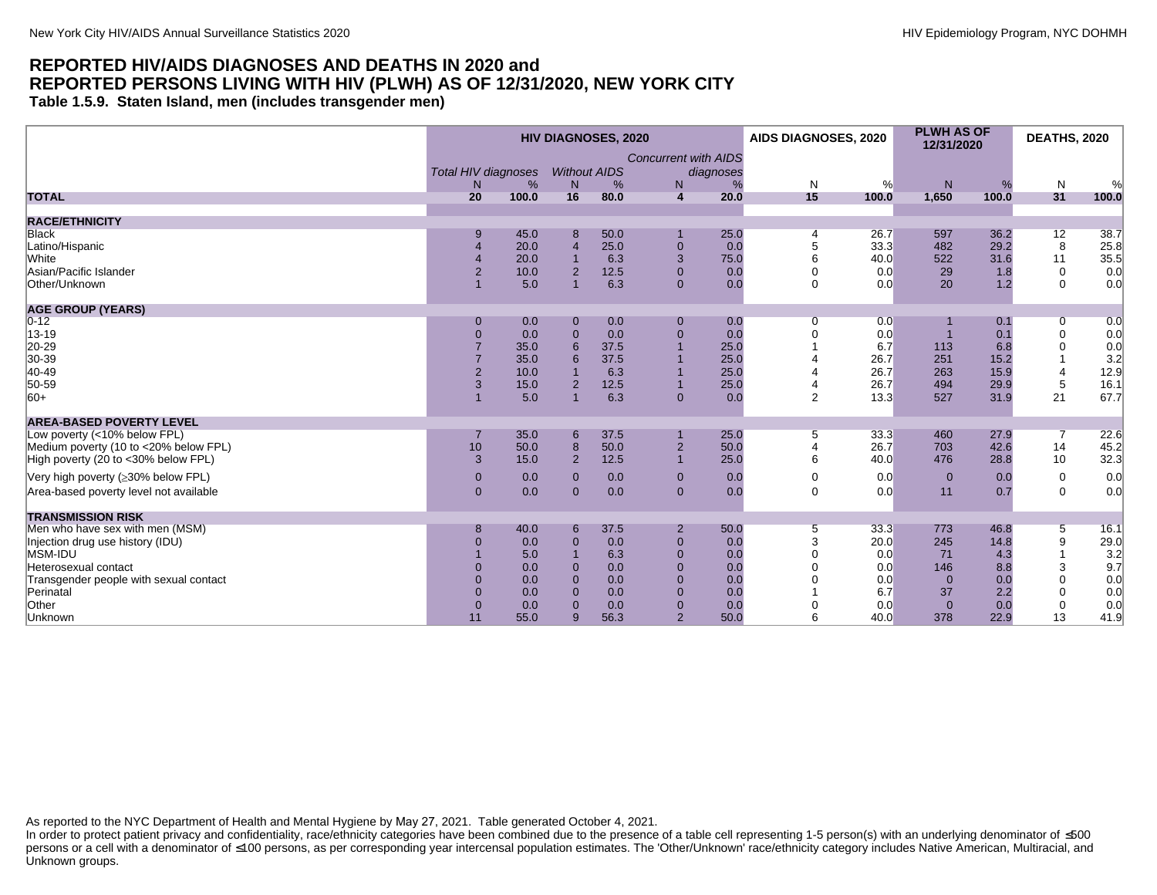<span id="page-26-0"></span>**Table 1.5.9. Staten Island, men (includes transgender men)**

|                                        | <b>HIV DIAGNOSES, 2020</b>       |       |                                     |      |                                  |                |                | AIDS DIAGNOSES, 2020 | <b>PLWH AS OF</b><br>12/31/2020 |       | <b>DEATHS, 2020</b> |       |
|----------------------------------------|----------------------------------|-------|-------------------------------------|------|----------------------------------|----------------|----------------|----------------------|---------------------------------|-------|---------------------|-------|
|                                        | <b>Total HIV diagnoses</b><br>N. | %     | <b>Without AIDS</b><br>$\mathsf{N}$ | %    | <b>Concurrent with AIDS</b><br>N | diagnoses<br>% | N              | %                    | N                               | %     | N                   | %     |
| <b>TOTAL</b>                           | 20                               | 100.0 | 16                                  | 80.0 | $\overline{4}$                   | 20.0           | 15             | 100.0                | 1,650                           | 100.0 | 31                  | 100.0 |
| <b>RACE/ETHNICITY</b>                  |                                  |       |                                     |      |                                  |                |                |                      |                                 |       |                     |       |
| <b>Black</b>                           | 9                                | 45.0  | 8                                   | 50.0 |                                  | 25.0           |                | 26.7                 | 597                             | 36.2  | 12                  | 38.7  |
| Latino/Hispanic                        |                                  | 20.0  | $\overline{4}$                      | 25.0 | $\mathbf 0$                      | 0.0            |                | 33.3                 | 482                             | 29.2  | 8                   | 25.8  |
| White                                  |                                  | 20.0  |                                     | 6.3  | $\sqrt{3}$                       | 75.0           |                | 40.0                 | 522                             | 31.6  | 11                  | 35.5  |
| Asian/Pacific Islander                 | $\overline{2}$                   | 10.0  | $\overline{2}$                      | 12.5 | $\mathbf{0}$                     | 0.0            |                | 0.0                  | 29                              | 1.8   | $\mathbf 0$         | 0.0   |
| Other/Unknown                          |                                  | 5.0   |                                     | 6.3  | $\mathbf{0}$                     | 0.0            | $\Omega$       | 0.0                  | 20                              | 1.2   | $\mathbf 0$         | 0.0   |
|                                        |                                  |       |                                     |      |                                  |                |                |                      |                                 |       |                     |       |
| <b>AGE GROUP (YEARS)</b>               |                                  |       |                                     |      |                                  |                |                |                      |                                 |       |                     |       |
| $0 - 12$                               | $\Omega$                         | 0.0   | $\mathbf{0}$                        | 0.0  | $\mathbf 0$                      | 0.0            | $\Omega$       | 0.0                  |                                 | 0.1   | $\overline{0}$      | 0.0   |
| 13-19                                  | $\overline{0}$                   | 0.0   | $\mathbf 0$                         | 0.0  | $\mathbf 0$                      | 0.0            |                | 0.0                  |                                 | 0.1   | $\mathbf 0$         | 0.0   |
| 20-29                                  |                                  | 35.0  | 6                                   | 37.5 | $\overline{1}$                   | 25.0           |                | 6.7                  | 113                             | 6.8   | $\mathbf 0$         | 0.0   |
| 30-39                                  |                                  | 35.0  | 6                                   | 37.5 |                                  | 25.0           |                | 26.7                 | 251                             | 15.2  |                     | 3.2   |
| $ 40-49$                               | $\overline{2}$                   | 10.0  |                                     | 6.3  | $\overline{1}$                   | 25.0           |                | 26.7                 | 263                             | 15.9  | $\overline{4}$      | 12.9  |
| 50-59                                  | 3                                | 15.0  | $\overline{2}$                      | 12.5 | $\overline{1}$                   | 25.0           |                | 26.7                 | 494                             | 29.9  | 5                   | 16.1  |
| $ 60+$                                 |                                  | 5.0   |                                     | 6.3  | $\mathbf{0}$                     | 0.0            | $\overline{2}$ | 13.3                 | 527                             | 31.9  | 21                  | 67.7  |
| <b>AREA-BASED POVERTY LEVEL</b>        |                                  |       |                                     |      |                                  |                |                |                      |                                 |       |                     |       |
| Low poverty (<10% below FPL)           |                                  | 35.0  | 6                                   | 37.5 |                                  | 25.0           | 5              | 33.3                 | 460                             | 27.9  | 7                   | 22.6  |
| Medium poverty (10 to <20% below FPL)  | 10                               | 50.0  | $\bf8$                              | 50.0 | $\sqrt{2}$                       | 50.0           |                | 26.7                 | 703                             | 42.6  | 14                  | 45.2  |
| High poverty (20 to <30% below FPL)    | 3                                | 15.0  | $\overline{2}$                      | 12.5 | $\overline{1}$                   | 25.0           | 6              | 40.0                 | 476                             | 28.8  | 10                  | 32.3  |
|                                        |                                  | 0.0   |                                     |      |                                  | 0.0            |                | 0.0                  |                                 |       |                     | 0.0   |
| Very high poverty (≥30% below FPL)     | $\mathbf{0}$                     |       | $\mathbf{0}$                        | 0.0  | $\mathbf 0$                      |                | 0              |                      | $\mathbf{0}$                    | 0.0   | $\mathbf 0$         |       |
| Area-based poverty level not available | $\mathbf{0}$                     | 0.0   | $\Omega$                            | 0.0  | $\mathbf{0}$                     | 0.0            | $\mathbf 0$    | 0.0                  | 11                              | 0.7   | $\mathbf 0$         | 0.0   |
| <b>TRANSMISSION RISK</b>               |                                  |       |                                     |      |                                  |                |                |                      |                                 |       |                     |       |
| Men who have sex with men (MSM)        | 8                                | 40.0  | 6                                   | 37.5 | $\overline{2}$                   | 50.0           | 5              | 33.3                 | 773                             | 46.8  | $5\overline{)}$     | 16.1  |
| Injection drug use history (IDU)       | $\overline{0}$                   | 0.0   | $\mathbf 0$                         | 0.0  | $\pmb{0}$                        | 0.0            | 3              | 20.0                 | 245                             | 14.8  | 9                   | 29.0  |
| MSM-IDU                                |                                  | 5.0   |                                     | 6.3  | $\mathbf{0}$                     | 0.0            |                | 0.0                  | 71                              | 4.3   |                     | 3.2   |
| Heterosexual contact                   |                                  | 0.0   | $\overline{0}$                      | 0.0  | $\mathbf 0$                      | 0.0            |                | 0.0                  | 146                             | 8.8   | 3                   | 9.7   |
| Transgender people with sexual contact |                                  | 0.0   | $\overline{0}$                      | 0.0  | $\mathbf 0$                      | 0.0            |                | 0.0                  | $\mathbf{0}$                    | 0.0   | $\Omega$            | 0.0   |
| Perinatal                              |                                  | 0.0   | $\Omega$                            | 0.0  | $\mathbf{0}$                     | 0.0            |                | 6.7                  | 37                              | 2.2   | $\mathbf 0$         | 0.0   |
| Other                                  | $\Omega$                         | 0.0   | $\overline{0}$                      | 0.0  | $\mathbf 0$                      | 0.0            |                | 0.0                  | $\mathbf{0}$                    | 0.0   | $\mathbf 0$         | 0.0   |
| Unknown                                | 11                               | 55.0  | 9                                   | 56.3 | 2                                | 50.0           | 6              | 40.0                 | 378                             | 22.9  | 13                  | 41.9  |
|                                        |                                  |       |                                     |      |                                  |                |                |                      |                                 |       |                     |       |

As reported to the NYC Department of Health and Mental Hygiene by May 27, 2021. Table generated October 4, 2021.

In order to protect patient privacy and confidentiality, race/ethnicity categories have been combined due to the presence of a table cell representing 1-5 person(s) with an underlying denominator of ≤500 persons or a cell with a denominator of ≤100 persons, as per corresponding year intercensal population estimates. The 'Other/Unknown' race/ethnicity category includes Native American, Multiracial, and Unknown groups.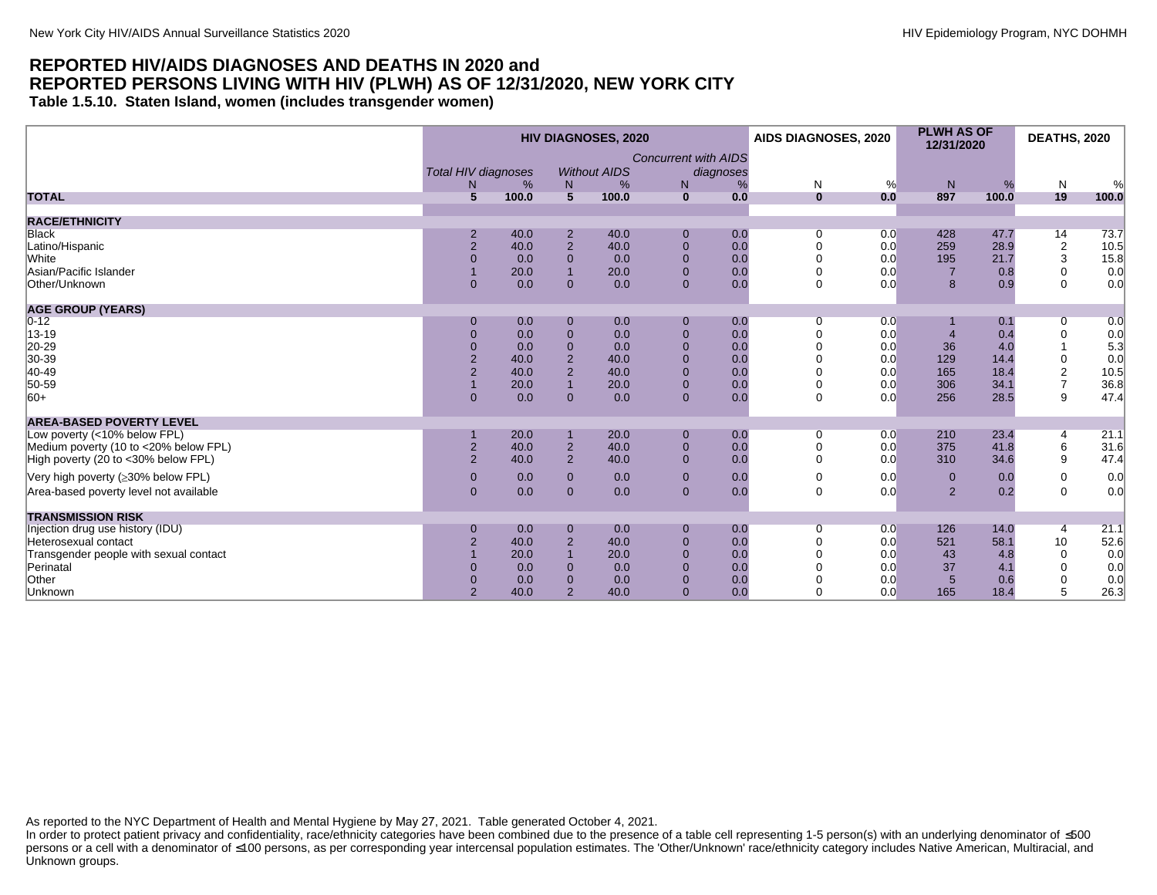<span id="page-27-0"></span>**Table 1.5.10. Staten Island, women (includes transgender women)**

|                                        | <b>HIV DIAGNOSES, 2020</b> |       |                |                     |                                          |     | AIDS DIAGNOSES, 2020 |     | <b>PLWH AS OF</b><br>12/31/2020 |       | <b>DEATHS, 2020</b> |       |
|----------------------------------------|----------------------------|-------|----------------|---------------------|------------------------------------------|-----|----------------------|-----|---------------------------------|-------|---------------------|-------|
|                                        | <b>Total HIV diagnoses</b> |       |                | <b>Without AIDS</b> | <b>Concurrent with AIDS</b><br>diagnoses |     |                      |     |                                 |       |                     |       |
|                                        | N                          | %     | N              | %                   | N                                        | %   | N                    | %   | N                               | %     | $\mathsf{N}$        | %     |
| <b>TOTAL</b>                           | $5\overline{)}$            | 100.0 | 5              | 100.0               | $\mathbf{0}$                             | 0.0 | $\mathbf{0}$         | 0.0 | 897                             | 100.0 | 19                  | 100.0 |
| <b>RACE/ETHNICITY</b>                  |                            |       |                |                     |                                          |     |                      |     |                                 |       |                     |       |
| <b>Black</b>                           | $\overline{2}$             | 40.0  | $\overline{2}$ | 40.0                | $\mathbf 0$                              | 0.0 | 0                    | 0.0 | 428                             | 47.7  | 14                  | 73.7  |
| Latino/Hispanic                        | $\overline{2}$             | 40.0  | 2              | 40.0                | $\mathbf{0}$                             | 0.0 | $\Omega$             | 0.0 | 259                             | 28.9  | $\boldsymbol{2}$    | 10.5  |
| White                                  | $\overline{0}$             | 0.0   | $\Omega$       | 0.0                 | $\Omega$                                 | 0.0 | $\Omega$             | 0.0 | 195                             | 21.7  | 3                   | 15.8  |
| Asian/Pacific Islander                 |                            | 20.0  |                | 20.0                | $\Omega$                                 | 0.0 | 0                    | 0.0 | $\overline{7}$                  | 0.8   | 0                   | 0.0   |
| Other/Unknown                          | $\overline{0}$             | 0.0   | $\Omega$       | 0.0                 | $\mathbf{0}$                             | 0.0 | $\Omega$             | 0.0 | 8                               | 0.9   | $\mathbf 0$         | 0.0   |
| <b>AGE GROUP (YEARS)</b>               |                            |       |                |                     |                                          |     |                      |     |                                 |       |                     |       |
| $ 0-12 $                               | $\mathbf{0}$               | 0.0   | $\Omega$       | 0.0                 | $\mathbf{0}$                             | 0.0 | 0                    | 0.0 |                                 | 0.1   | 0                   | 0.0   |
| 13-19                                  | $\overline{0}$             | 0.0   | $\Omega$       | 0.0                 | $\overline{0}$                           | 0.0 |                      | 0.0 | $\overline{4}$                  | 0.4   | 0                   | 0.0   |
| 20-29                                  | $\Omega$                   | 0.0   | $\Omega$       | 0.0                 | $\Omega$                                 | 0.0 |                      | 0.0 | 36                              | 4.0   |                     | 5.3   |
| 30-39                                  | $\overline{2}$             | 40.0  | $\overline{2}$ | 40.0                |                                          | 0.0 |                      | 0.0 | 129                             | 14.4  | 0                   | 0.0   |
| $ 40-49$                               | $\overline{2}$             | 40.0  | $\overline{2}$ | 40.0                | $\Omega$                                 | 0.0 |                      | 0.0 | 165                             | 18.4  | $\boldsymbol{2}$    | 10.5  |
| 50-59                                  |                            | 20.0  |                | 20.0                | $\Omega$                                 | 0.0 |                      | 0.0 | 306                             | 34.1  | $\overline{7}$      | 36.8  |
| $ 60+$                                 | $\Omega$                   | 0.0   | $\Omega$       | 0.0                 | $\Omega$                                 | 0.0 | 0                    | 0.0 | 256                             | 28.5  | 9                   | 47.4  |
| <b>AREA-BASED POVERTY LEVEL</b>        |                            |       |                |                     |                                          |     |                      |     |                                 |       |                     |       |
| Low poverty (<10% below FPL)           |                            | 20.0  |                | 20.0                | $\mathbf{0}$                             | 0.0 | 0                    | 0.0 | 210                             | 23.4  | 4                   | 21.1  |
| Medium poverty (10 to <20% below FPL)  | $\overline{2}$             | 40.0  | $\overline{2}$ | 40.0                | $\mathbf{0}$                             | 0.0 | 0                    | 0.0 | 375                             | 41.8  | 6                   | 31.6  |
| High poverty (20 to <30% below FPL)    | $\overline{2}$             | 40.0  | $\overline{2}$ | 40.0                | $\Omega$                                 | 0.0 | $\Omega$             | 0.0 | 310                             | 34.6  | 9                   | 47.4  |
| Very high poverty (≥30% below FPL)     | $\mathbf{0}$               | 0.0   | $\Omega$       | 0.0                 | $\mathbf{0}$                             | 0.0 | 0                    | 0.0 | $\mathbf{0}$                    | 0.0   | 0                   | 0.0   |
| Area-based poverty level not available | $\mathbf{0}$               | 0.0   | $\Omega$       | 0.0                 | $\mathbf{0}$                             | 0.0 | $\mathbf 0$          | 0.0 | $\overline{2}$                  | 0.2   | $\mathbf 0$         | 0.0   |
| <b>TRANSMISSION RISK</b>               |                            |       |                |                     |                                          |     |                      |     |                                 |       |                     |       |
| Injection drug use history (IDU)       | $\overline{0}$             | 0.0   | $\mathbf{0}$   | 0.0                 | $\mathbf{0}$                             | 0.0 | 0                    | 0.0 | 126                             | 14.0  | 4                   | 21.1  |
| Heterosexual contact                   | $\overline{2}$             | 40.0  | $\overline{2}$ | 40.0                | $\Omega$                                 | 0.0 | 0                    | 0.0 | 521                             | 58.1  | 10                  | 52.6  |
| Transgender people with sexual contact |                            | 20.0  |                | 20.0                | $\Omega$                                 | 0.0 |                      | 0.0 | 43                              | 4.8   | $\mathbf 0$         | 0.0   |
| Perinatal                              | 0                          | 0.0   | $\Omega$       | 0.0                 | $\Omega$                                 | 0.0 |                      | 0.0 | 37                              | 4.1   | $\Omega$            | 0.0   |
| Other                                  | $\Omega$                   | 0.0   | $\Omega$       | 0.0                 | $\Omega$                                 | 0.0 | 0                    | 0.0 | $5\overline{)}$                 | 0.6   | 0                   | 0.0   |
| Unknown                                | $\overline{2}$             | 40.0  | $\overline{2}$ | 40.0                | $\Omega$                                 | 0.0 | 0                    | 0.0 | 165                             | 18.4  | 5                   | 26.3  |
|                                        |                            |       |                |                     |                                          |     |                      |     |                                 |       |                     |       |

As reported to the NYC Department of Health and Mental Hygiene by May 27, 2021. Table generated October 4, 2021.

In order to protect patient privacy and confidentiality, race/ethnicity categories have been combined due to the presence of a table cell representing 1-5 person(s) with an underlying denominator of ≤500 persons or a cell with a denominator of ≤100 persons, as per corresponding year intercensal population estimates. The 'Other/Unknown' race/ethnicity category includes Native American, Multiracial, and Unknown groups.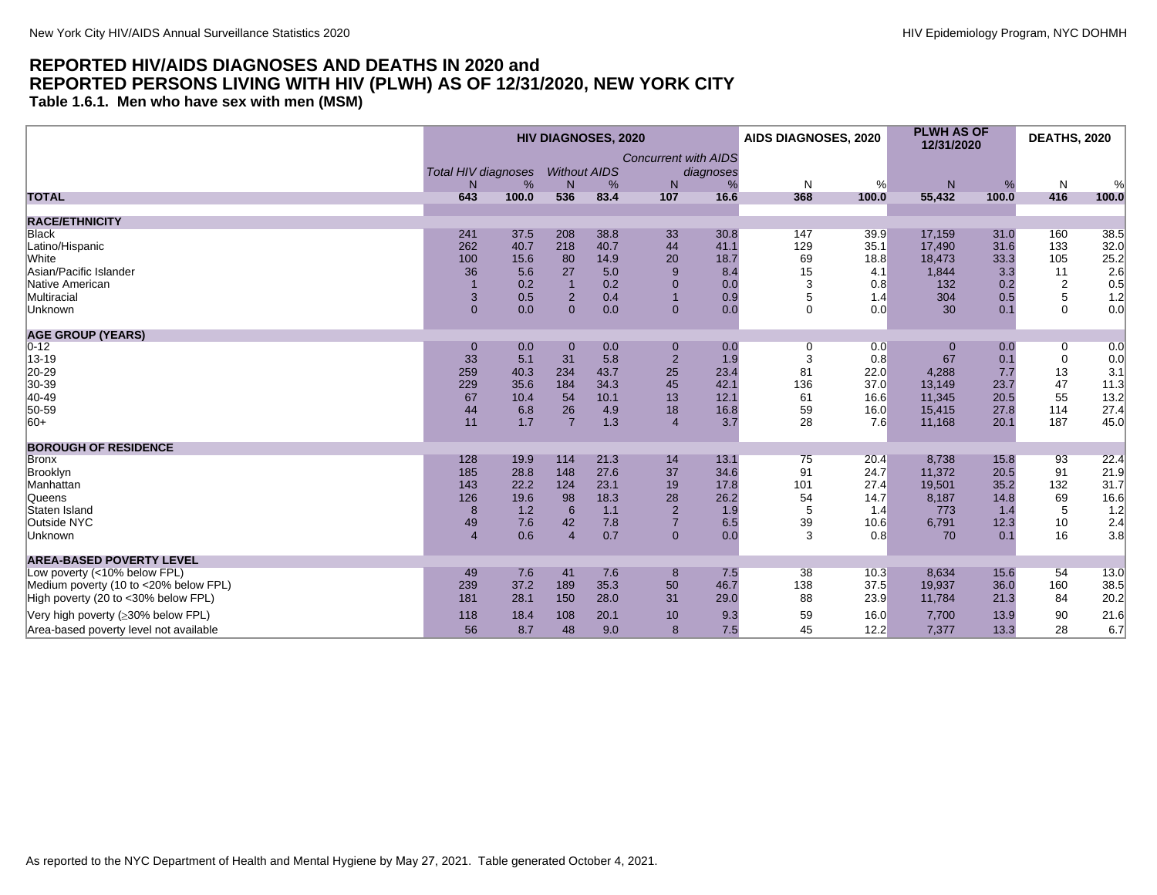<span id="page-28-0"></span>**Table 1.6.1. Men who have sex with men (MSM)**

|                                        | <b>HIV DIAGNOSES, 2020</b> |       |                     |      |                             | AIDS DIAGNOSES, 2020 |          | <b>PLWH AS OF</b><br>12/31/2020 |          | <b>DEATHS, 2020</b> |                |                    |
|----------------------------------------|----------------------------|-------|---------------------|------|-----------------------------|----------------------|----------|---------------------------------|----------|---------------------|----------------|--------------------|
|                                        |                            |       |                     |      | <b>Concurrent with AIDS</b> |                      |          |                                 |          |                     |                |                    |
|                                        | <b>Total HIV diagnoses</b> |       | <b>Without AIDS</b> |      |                             | diagnoses            |          |                                 |          |                     |                |                    |
|                                        | N.                         | %     | N                   | %    | N                           | %                    | N        | %                               | N        | %                   | N              | %                  |
| <b>TOTAL</b>                           | 643                        | 100.0 | 536                 | 83.4 | 107                         | 16.6                 | 368      | 100.0                           | 55,432   | 100.0               | 416            | 100.0              |
| <b>RACE/ETHNICITY</b>                  |                            |       |                     |      |                             |                      |          |                                 |          |                     |                |                    |
| <b>Black</b>                           | 241                        | 37.5  | 208                 | 38.8 | 33                          | 30.8                 | 147      | 39.9                            | 17,159   | 31.0                | 160            | 38.5               |
| Latino/Hispanic                        | 262                        | 40.7  | 218                 | 40.7 | 44                          | 41.1                 | 129      | 35.1                            | 17,490   | 31.6                | 133            | 32.0               |
| White                                  | 100                        | 15.6  | 80                  | 14.9 | 20                          | 18.7                 | 69       | 18.8                            | 18,473   | 33.3                | 105            |                    |
| Asian/Pacific Islander                 | 36                         | 5.6   | 27                  | 5.0  | 9                           | 8.4                  | 15       | 4.1                             | 1,844    | 3.3                 | 11             | $\frac{25.2}{2.6}$ |
| Native American                        |                            | 0.2   |                     | 0.2  | $\mathbf 0$                 | 0.0                  | 3        | 0.8                             | 132      | 0.2                 | $\overline{2}$ | 0.5                |
| Multiracial                            | 3                          | 0.5   | $\overline{2}$      | 0.4  |                             | 0.9                  | 5        | 1.4                             | 304      | 0.5                 | 5              | 1.2                |
| Unknown                                | $\Omega$                   | 0.0   | $\Omega$            | 0.0  | $\Omega$                    | 0.0                  | $\Omega$ | 0.0                             | 30       | 0.1                 | $\Omega$       | 0.0                |
| <b>AGE GROUP (YEARS)</b>               |                            |       |                     |      |                             |                      |          |                                 |          |                     |                |                    |
| $ 0-12 $                               | $\mathbf{0}$               | 0.0   | $\mathbf{0}$        | 0.0  | $\boldsymbol{0}$            | 0.0                  | 0        | 0.0                             | $\bf{0}$ | 0.0                 | 0              | 0.0                |
| 13-19                                  | 33                         | 5.1   | 31                  | 5.8  | $\overline{2}$              | 1.9                  | 3        | 0.8                             | 67       | 0.1                 | $\mathbf 0$    | 0.0                |
| 20-29                                  | 259                        | 40.3  | 234                 | 43.7 | 25                          | 23.4                 | 81       | 22.0                            | 4,288    | 7.7                 | 13             | 3.1                |
| 30-39                                  | 229                        | 35.6  | 184                 | 34.3 | 45                          | 42.1                 | 136      | 37.0                            | 13.149   | 23.7                | 47             | 11.3               |
| 40-49                                  | 67                         | 10.4  | 54                  | 10.1 | 13                          | 12.1                 | 61       | 16.6                            | 11,345   | 20.5                | 55             | 13.2               |
| 50-59                                  | 44                         | 6.8   | 26                  | 4.9  | 18                          | 16.8                 | 59       | 16.0                            | 15,415   | 27.8                | 114            | 27.4               |
| $ 60+$                                 | 11                         | 1.7   | $\overline{7}$      | 1.3  | $\overline{4}$              | 3.7                  | 28       | 7.6                             | 11,168   | 20.1                | 187            | 45.0               |
| <b>BOROUGH OF RESIDENCE</b>            |                            |       |                     |      |                             |                      |          |                                 |          |                     |                |                    |
| Bronx                                  | 128                        | 19.9  | 114                 | 21.3 | 14                          | 13.1                 | 75       | 20.4                            | 8,738    | 15.8                | 93             | 22.4               |
| Brooklyn                               | 185                        | 28.8  | 148                 | 27.6 | 37                          | 34.6                 | 91       | 24.7                            | 11,372   | 20.5                | 91             | 21.9               |
| Manhattan                              | 143                        | 22.2  | 124                 | 23.1 | 19                          | 17.8                 | 101      | 27.4                            | 19,501   | 35.2                | 132            | 31.7               |
| <b>Queens</b>                          | 126                        | 19.6  | 98                  | 18.3 | 28                          | 26.2                 | 54       | 14.7                            | 8,187    | 14.8                | 69             | 16.6               |
| Staten Island                          | 8                          | 1.2   | 6                   | 1.1  | $\overline{2}$              | 1.9                  | 5        | 1.4                             | 773      | 1.4                 | 5              | $1.2$              |
| Outside NYC                            | 49                         | 7.6   | 42                  | 7.8  | $\overline{7}$              | 6.5                  | 39       | 10.6                            | 6,791    | 12.3                | 10             | 2.4                |
| Unknown                                | $\overline{4}$             | 0.6   | $\overline{4}$      | 0.7  | $\Omega$                    | 0.0                  | 3        | 0.8                             | 70       | 0.1                 | 16             | 3.8                |
| <b>AREA-BASED POVERTY LEVEL</b>        |                            |       |                     |      |                             |                      |          |                                 |          |                     |                |                    |
| Low poverty (<10% below FPL)           | 49                         | 7.6   | 41                  | 7.6  | 8                           | 7.5                  | 38       | 10.3                            | 8,634    | 15.6                | 54             | 13.0               |
| Medium poverty (10 to <20% below FPL)  | 239                        | 37.2  | 189                 | 35.3 | 50                          | 46.7                 | 138      | 37.5                            | 19,937   | 36.0                | 160            | 38.5               |
| High poverty (20 to <30% below FPL)    | 181                        | 28.1  | 150                 | 28.0 | 31                          | 29.0                 | 88       | 23.9                            | 11,784   | 21.3                | 84             | 20.2               |
| Very high poverty (≥30% below FPL)     | 118                        | 18.4  | 108                 | 20.1 | 10                          | 9.3                  | 59       | 16.0                            | 7,700    | 13.9                | 90             | 21.6               |
| Area-based poverty level not available | 56                         | 8.7   | 48                  | 9.0  | 8                           | 7.5                  | 45       | 12.2                            | 7,377    | 13.3                | 28             | 6.7                |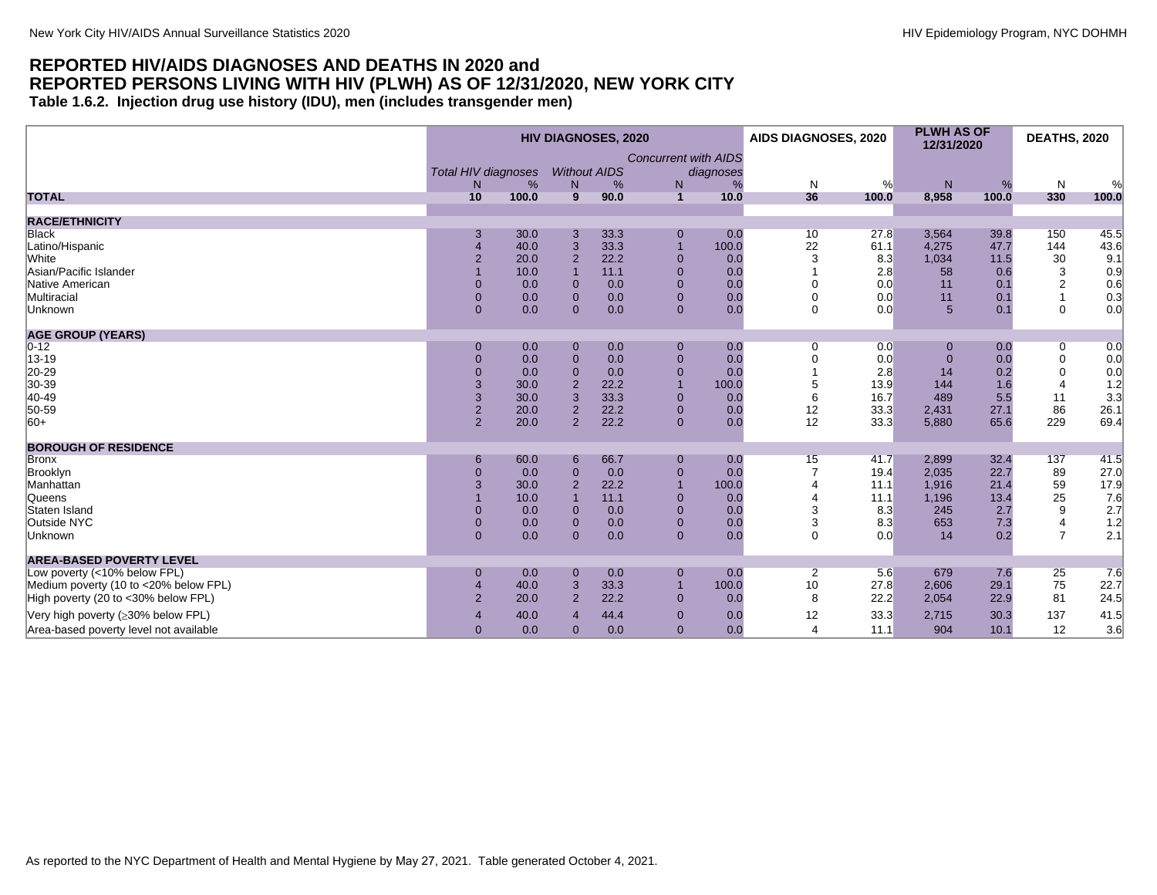<span id="page-29-0"></span>**Table 1.6.2. Injection drug use history (IDU), men (includes transgender men)**

|                                        | <b>HIV DIAGNOSES, 2020</b>                        |       |                          |      |                                  |                |                | AIDS DIAGNOSES, 2020 | <b>PLWH AS OF</b><br>12/31/2020 |       | <b>DEATHS, 2020</b> |       |
|----------------------------------------|---------------------------------------------------|-------|--------------------------|------|----------------------------------|----------------|----------------|----------------------|---------------------------------|-------|---------------------|-------|
|                                        | <b>Total HIV diagnoses</b><br>%<br>N <sub>1</sub> |       | <b>Without AIDS</b><br>N | %    | <b>Concurrent with AIDS</b><br>N | diagnoses<br>% | N              | %                    | N                               | %     | $\mathsf{N}$        | %     |
| <b>TOTAL</b>                           | 10                                                | 100.0 | 9                        | 90.0 | $\mathbf{1}$                     | 10.0           | 36             | 100.0                | 8,958                           | 100.0 | 330                 | 100.0 |
| <b>RACE/ETHNICITY</b>                  |                                                   |       |                          |      |                                  |                |                |                      |                                 |       |                     |       |
| <b>Black</b>                           |                                                   | 30.0  | 3                        | 33.3 | $\mathbf 0$                      | 0.0            | 10             | 27.8                 | 3,564                           | 39.8  | 150                 | 45.5  |
| Latino/Hispanic                        | $\overline{4}$                                    | 40.0  | 3                        | 33.3 | $\overline{1}$                   | 100.0          | 22             | 61.1                 | 4,275                           | 47.7  | 144                 | 43.6  |
| <b>White</b>                           | $\overline{2}$                                    | 20.0  | $\overline{2}$           | 22.2 | $\mathbf 0$                      | 0.0            | 3              | 8.3                  | 1,034                           | 11.5  | 30                  | 9.1   |
| Asian/Pacific Islander                 |                                                   | 10.0  |                          | 11.1 | $\mathbf 0$                      | 0.0            |                | 2.8                  | 58                              | 0.6   | 3                   | 0.9   |
| Native American                        | $\mathbf{0}$                                      | 0.0   | $\mathbf{0}$             | 0.0  | $\mathbf 0$                      | 0.0            | $\Omega$       | 0.0                  | 11                              | 0.1   | 2                   | 0.6   |
| Multiracial                            | $\mathbf{0}$                                      | 0.0   | $\overline{0}$           | 0.0  | $\mathbf 0$                      | 0.0            | $\Omega$       | 0.0                  | 11                              | 0.1   | $\mathbf{1}$        | 0.3   |
| Unknown                                | $\overline{0}$                                    | 0.0   | $\Omega$                 | 0.0  | $\mathbf{0}$                     | 0.0            | $\Omega$       | 0.0                  | $5\overline{5}$                 | 0.1   | $\mathbf 0$         | 0.0   |
| <b>AGE GROUP (YEARS)</b>               |                                                   |       |                          |      |                                  |                |                |                      |                                 |       |                     |       |
| $0 - 12$                               | $\mathbf 0$                                       | 0.0   | $\mathbf 0$              | 0.0  | $\mathbf 0$                      | 0.0            | 0              | 0.0                  | $\bf{0}$                        | 0.0   | 0                   | 0.0   |
| 13-19                                  | $\Omega$                                          | 0.0   | $\Omega$                 | 0.0  | $\mathbf 0$                      | 0.0            | $\Omega$       | 0.0                  | $\Omega$                        | 0.0   | $\mathbf 0$         | 0.0   |
| 20-29                                  | $\Omega$                                          | 0.0   | $\overline{0}$           | 0.0  | $\mathbf 0$                      | 0.0            |                | 2.8                  | 14                              | 0.2   | $\overline{0}$      | 0.0   |
| 30-39                                  | 3                                                 | 30.0  | $\overline{2}$           | 22.2 | $\overline{1}$                   | 100.0          | 5              | 13.9                 | 144                             | 1.6   | $\overline{4}$      | 1.2   |
| $ 40-49$                               | 3                                                 | 30.0  | 3                        | 33.3 | $\mathbf 0$                      | 0.0            | 6              | 16.7                 | 489                             | 5.5   | 11                  | 3.3   |
| 50-59                                  | $\overline{2}$                                    | 20.0  | $\overline{2}$           | 22.2 | $\mathbf{0}$                     | 0.0            | 12             | 33.3                 | 2,431                           | 27.1  | 86                  | 26.1  |
| 60+                                    | 2                                                 | 20.0  | $\mathfrak{p}$           | 22.2 | $\mathbf{0}$                     | 0.0            | 12             | 33.3                 | 5,880                           | 65.6  | 229                 | 69.4  |
| <b>BOROUGH OF RESIDENCE</b>            |                                                   |       |                          |      |                                  |                |                |                      |                                 |       |                     |       |
| <b>Bronx</b>                           | 6                                                 | 60.0  | 6                        | 66.7 | $\mathbf 0$                      | 0.0            | 15             | 41.7                 | 2,899                           | 32.4  | 137                 | 41.5  |
| Brooklyn                               | $\Omega$                                          | 0.0   | $\Omega$                 | 0.0  | $\mathbf 0$                      | 0.0            |                | 19.4                 | 2,035                           | 22.7  | 89                  | 27.0  |
| Manhattan                              | 3                                                 | 30.0  | $\overline{2}$           | 22.2 | $\overline{1}$                   | 100.0          |                | 11.1                 | 1,916                           | 21.4  | 59                  | 17.9  |
| Queens                                 |                                                   | 10.0  |                          | 11.1 | $\mathbf{0}$                     | 0.0            | $\Delta$       | 11.1                 | 1,196                           | 13.4  | 25                  | 7.6   |
| Staten Island                          | $\Omega$                                          | 0.0   | $\mathbf{0}$             | 0.0  | $\overline{0}$                   | 0.0            | 3              | 8.3                  | 245                             | 2.7   | 9                   | 2.7   |
| Outside NYC                            | $\overline{0}$                                    | 0.0   | $\overline{0}$           | 0.0  | $\overline{0}$                   | 0.0            | 3              | 8.3                  | 653                             | 7.3   | $\overline{4}$      | 1.2   |
| Unknown                                | $\Omega$                                          | 0.0   | $\overline{0}$           | 0.0  | $\mathbf{0}$                     | 0.0            | $\Omega$       | 0.0                  | 14                              | 0.2   | $\overline{7}$      | 2.1   |
| <b>AREA-BASED POVERTY LEVEL</b>        |                                                   |       |                          |      |                                  |                |                |                      |                                 |       |                     |       |
| Low poverty (<10% below FPL)           | $\Omega$                                          | 0.0   | $\mathbf{0}$             | 0.0  | $\mathbf 0$                      | 0.0            | $\overline{2}$ | 5.6                  | 679                             | 7.6   | 25                  | 7.6   |
| Medium poverty (10 to <20% below FPL)  | $\overline{4}$                                    | 40.0  | 3                        | 33.3 | $\overline{1}$                   | 100.0          | 10             | 27.8                 | 2,606                           | 29.1  | 75                  | 22.7  |
| High poverty (20 to <30% below FPL)    | $\overline{2}$                                    | 20.0  | $\overline{2}$           | 22.2 | $\mathbf{0}$                     | 0.0            | 8              | 22.2                 | 2,054                           | 22.9  | 81                  | 24.5  |
| Very high poverty (≥30% below FPL)     | $\boldsymbol{\Delta}$                             | 40.0  | $\overline{\mathbf{A}}$  | 44.4 | $\mathbf{0}$                     | 0.0            | 12             | 33.3                 | 2,715                           | 30.3  | 137                 | 41.5  |
| Area-based poverty level not available | $\Omega$                                          | 0.0   | $\Omega$                 | 0.0  | $\overline{0}$                   | 0.0            | $\overline{4}$ | 11.1                 | 904                             | 10.1  | 12                  | 3.6   |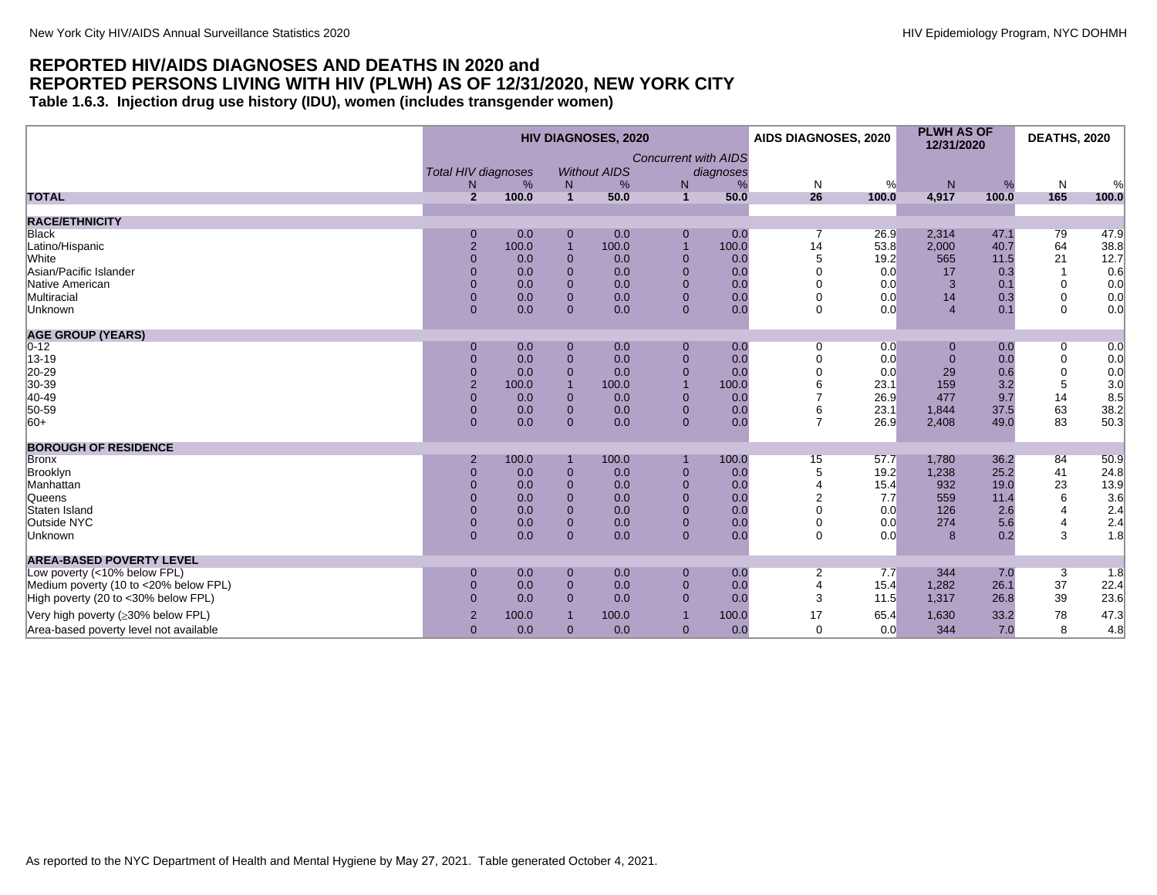<span id="page-30-0"></span>**Table 1.6.3. Injection drug use history (IDU), women (includes transgender women)**

|                                        | <b>HIV DIAGNOSES, 2020</b>            |              |                                |                     |                                |            |                | AIDS DIAGNOSES, 2020 | <b>PLWH AS OF</b><br>12/31/2020 |              | <b>DEATHS, 2020</b>        |             |
|----------------------------------------|---------------------------------------|--------------|--------------------------------|---------------------|--------------------------------|------------|----------------|----------------------|---------------------------------|--------------|----------------------------|-------------|
|                                        | <b>Total HIV diagnoses</b><br>%<br>N. |              |                                | <b>Without AIDS</b> | <b>Concurrent with AIDS</b>    | diagnoses  |                |                      |                                 |              |                            |             |
| <b>TOTAL</b>                           | $\overline{2}$                        | 100.0        | N<br>$\mathbf{1}$              | %<br>50.0           | N<br>$\mathbf{1}$              | %<br>50.0  | N<br>26        | %<br>100.0           | N<br>4,917                      | %<br>100.0   | N<br>165                   | %<br>100.0  |
|                                        |                                       |              |                                |                     |                                |            |                |                      |                                 |              |                            |             |
| <b>RACE/ETHNICITY</b>                  |                                       |              |                                |                     |                                |            |                |                      |                                 |              |                            |             |
| <b>Black</b>                           | 0<br>$\overline{2}$                   | 0.0<br>100.0 | $\mathbf{0}$<br>$\overline{1}$ | 0.0<br>100.0        | $\mathbf{0}$<br>$\overline{1}$ | 0.0        | 14             | 26.9<br>53.8         | 2,314<br>2,000                  | 47.1<br>40.7 | 79<br>64                   | 47.9        |
| Latino/Hispanic<br>White               | $\Omega$                              |              | $\mathbf{0}$                   |                     |                                | 100.0      | 5              |                      |                                 |              |                            | 38.8        |
| Asian/Pacific Islander                 | $\Omega$                              | 0.0<br>0.0   | $\Omega$                       | 0.0<br>0.0          | $\mathbf 0$<br>$\Omega$        | 0.0<br>0.0 | ∩              | 19.2<br>0.0          | 565<br>17                       | 11.5         | 21                         | 12.7<br>0.6 |
| Native American                        | $\Omega$                              |              | $\Omega$                       |                     | $\Omega$                       |            | $\Omega$       |                      | 3                               | 0.3          | $\mathbf 0$                | 0.0         |
| Multiracial                            | $\overline{0}$                        | 0.0<br>0.0   | $\mathbf{0}$                   | 0.0<br>0.0          | $\overline{0}$                 | 0.0<br>0.0 |                | 0.0<br>0.0           | 14                              | 0.1<br>0.3   |                            | 0.0         |
|                                        | $\overline{0}$                        | 0.0          | $\Omega$                       | 0.0                 | $\mathbf{0}$                   | 0.0        | 0<br>$\Omega$  | 0.0                  | $\overline{4}$                  | 0.1          | $\mathbf 0$<br>$\mathbf 0$ | 0.0         |
| Unknown                                |                                       |              |                                |                     |                                |            |                |                      |                                 |              |                            |             |
| <b>AGE GROUP (YEARS)</b>               |                                       |              |                                |                     |                                |            |                |                      |                                 |              |                            |             |
| $0 - 12$                               | $\mathbf{0}$                          | 0.0          | 0                              | 0.0                 | $\mathbf 0$                    | 0.0        | 0              | 0.0                  | 0                               | 0.0          | 0                          | 0.0         |
| 13-19                                  | $\overline{0}$                        | 0.0          | $\Omega$                       | 0.0                 | $\Omega$                       | 0.0        | $\Omega$       | 0.0                  | $\Omega$                        | 0.0          | $\mathbf 0$                | 0.0         |
| 20-29                                  | $\overline{0}$                        | 0.0          | $\mathbf{0}$                   | 0.0                 | $\Omega$                       | 0.0        | 0              | 0.0                  | 29                              | 0.6          | $\mathbf 0$                | 0.0         |
| 30-39                                  | $\overline{2}$                        | 100.0        |                                | 100.0               |                                | 100.0      | 6              | 23.1                 | 159                             | 3.2          | 5                          | 3.0         |
| $ 40 - 49$                             | $\overline{0}$                        | 0.0          | $\mathbf{0}$                   | 0.0                 | $\Omega$                       | 0.0        |                | 26.9                 | 477                             | 9.7          | 14                         | 8.5         |
| 50-59                                  | $\overline{0}$                        | 0.0          | $\Omega$                       | 0.0                 | $\Omega$                       | 0.0        | 6              | 23.1                 | 1,844                           | 37.5         | 63                         | 38.2        |
| $ 60+$                                 | $\overline{0}$                        | 0.0          | $\Omega$                       | 0.0                 | $\mathbf{0}$                   | 0.0        | $\overline{7}$ | 26.9                 | 2,408                           | 49.0         | 83                         | 50.3        |
|                                        |                                       |              |                                |                     |                                |            |                |                      |                                 |              |                            |             |
| <b>BOROUGH OF RESIDENCE</b>            |                                       |              |                                |                     |                                |            |                |                      |                                 |              |                            |             |
| Bronx                                  | $\overline{2}$                        | 100.0        |                                | 100.0               |                                | 100.0      | 15             | 57.7                 | 1,780                           | 36.2         | 84                         | 50.9        |
| Brooklyn                               | $\overline{0}$                        | 0.0          | $\mathbf{0}$                   | 0.0                 | $\Omega$                       | 0.0        | 5              | 19.2                 | 1,238                           | 25.2         | 41                         | 24.8        |
| Manhattan                              | $\Omega$                              | 0.0          | $\Omega$                       | 0.0                 | $\Omega$                       | 0.0        |                | 15.4                 | 932                             | 19.0         | 23                         | 13.9        |
| Queens                                 | $\Omega$                              | 0.0          | $\Omega$                       | 0.0                 | $\Omega$                       | 0.0        | 2              | 7.7                  | 559                             | 11.4         | 6                          | 3.6         |
| Staten Island                          | $\Omega$                              | 0.0          | $\Omega$                       | 0.0                 | $\Omega$                       | 0.0        | $\Omega$       | 0.0                  | 126                             | 2.6          | $\overline{4}$             | 2.4         |
| Outside NYC                            | $\overline{0}$                        | 0.0          | $\Omega$                       | 0.0                 | $\Omega$                       | 0.0        | 0              | 0.0                  | 274                             | 5.6          | $\overline{4}$             | 2.4         |
| Unknown                                | $\overline{0}$                        | 0.0          | $\Omega$                       | 0.0                 | $\mathbf{0}$                   | 0.0        | $\mathbf 0$    | 0.0                  | 8                               | 0.2          | 3                          | 1.8         |
| <b>AREA-BASED POVERTY LEVEL</b>        |                                       |              |                                |                     |                                |            |                |                      |                                 |              |                            |             |
| Low poverty (<10% below FPL)           | $\mathbf{0}$                          | 0.0          | $\mathbf{0}$                   | 0.0                 | $\mathbf{0}$                   | 0.0        | 2              | 7.7                  | 344                             | 7.0          | 3                          | 1.8         |
| Medium poverty (10 to <20% below FPL)  | $\Omega$                              | 0.0          | $\mathbf{0}$                   | 0.0                 | $\mathbf{0}$                   | 0.0        | 4              | 15.4                 | 1,282                           | 26.1         | 37                         | 22.4        |
| High poverty (20 to <30% below FPL)    | $\Omega$                              | 0.0          | $\Omega$                       | 0.0                 | $\Omega$                       | 0.0        | 3              | 11.5                 | 1,317                           | 26.8         | 39                         | 23.6        |
|                                        |                                       | 100.0        |                                | 100.0               |                                | 100.0      |                | 65.4                 | 1,630                           | 33.2         | 78                         | 47.3        |
| Very high poverty (≥30% below FPL)     | $\overline{2}$                        |              |                                |                     |                                |            | 17             |                      |                                 |              |                            |             |
| Area-based poverty level not available | $\overline{0}$                        | 0.0          | $\Omega$                       | 0.0                 | $\mathbf{0}$                   | 0.0        | $\Omega$       | 0.0                  | 344                             | 7.0          | 8                          | 4.8         |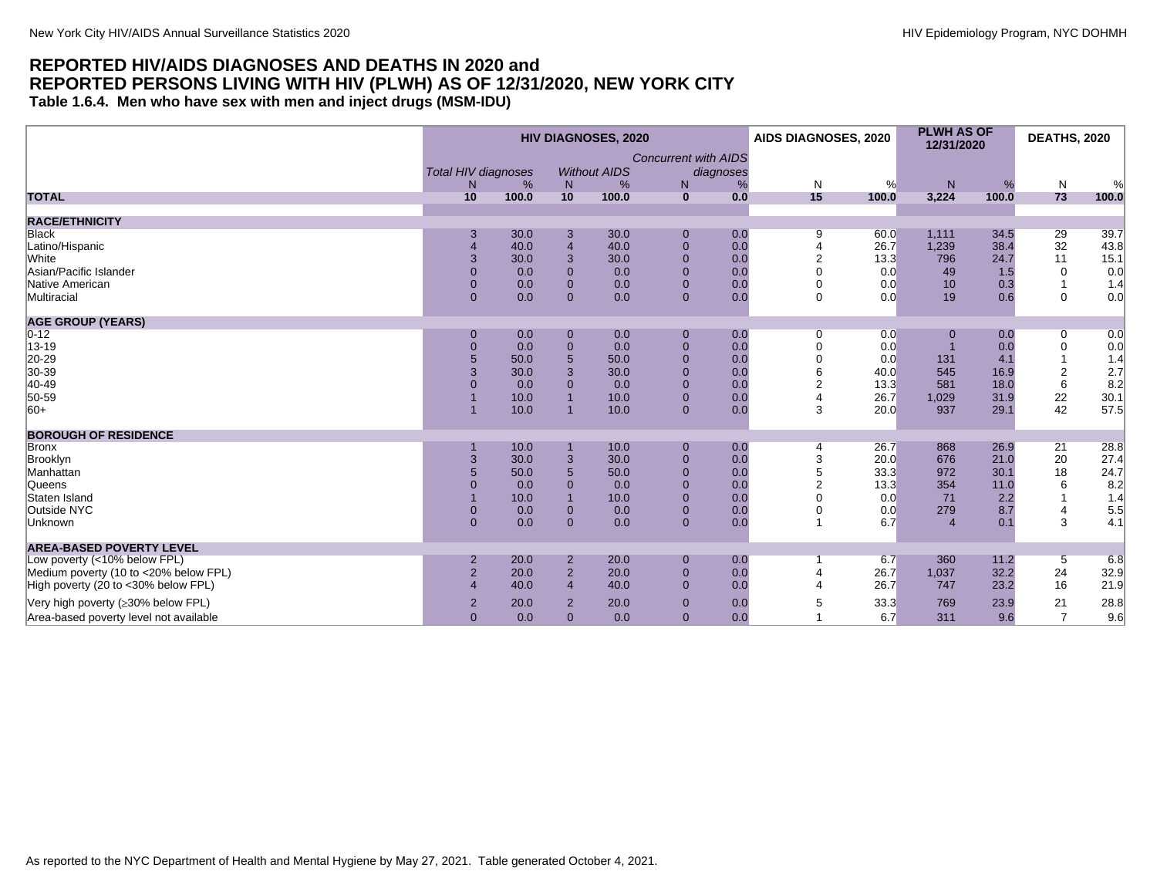#### <span id="page-31-0"></span>**REPORTED HIV/AIDS DIAGNOSES AND DEATHS IN 2020 and REPORTED PERSONS LIVING WITH HIV (PLWH) AS OF 12/31/2020, NEW YORK CITY Table 1.6.4. Men who have sex with men and inject drugs (MSM-IDU)**

|                                        | <b>HIV DIAGNOSES, 2020</b> |       |                |                     |                             |           | AIDS DIAGNOSES, 2020 |       | <b>PLWH AS OF</b><br>12/31/2020 |       | <b>DEATHS, 2020</b>                     |       |
|----------------------------------------|----------------------------|-------|----------------|---------------------|-----------------------------|-----------|----------------------|-------|---------------------------------|-------|-----------------------------------------|-------|
|                                        | <b>Total HIV diagnoses</b> |       |                | <b>Without AIDS</b> | <b>Concurrent with AIDS</b> | diagnoses |                      |       |                                 |       |                                         |       |
|                                        | N                          | %     | N              | %                   | N <sub>1</sub>              | %         | N                    | %     | N                               | %     | N                                       | %     |
| <b>TOTAL</b>                           | 10                         | 100.0 | 10             | 100.0               | $\mathbf{0}$                | 0.0       | 15                   | 100.0 | 3,224                           | 100.0 | 73                                      | 100.0 |
|                                        |                            |       |                |                     |                             |           |                      |       |                                 |       |                                         |       |
| <b>RACE/ETHNICITY</b>                  |                            |       |                |                     |                             |           |                      |       |                                 |       |                                         |       |
| <b>Black</b>                           | 3                          | 30.0  | 3              | 30.0                | 0                           | 0.0       | 9                    | 60.0  | 1,111                           | 34.5  | 29                                      | 39.7  |
| Latino/Hispanic                        |                            | 40.0  | $\overline{4}$ | 40.0                | $\overline{0}$              | 0.0       |                      | 26.7  | 1,239                           | 38.4  | 32                                      | 43.8  |
| White                                  | 3                          | 30.0  | 3              | 30.0                | $\Omega$                    | 0.0       | $\overline{2}$       | 13.3  | 796                             | 24.7  | 11                                      | 15.1  |
| Asian/Pacific Islander                 |                            | 0.0   | $\Omega$       | 0.0                 | $\Omega$                    | 0.0       | $\Omega$             | 0.0   | 49                              | 1.5   | 0                                       | 0.0   |
| Native American                        | $\overline{0}$             | 0.0   | $\Omega$       | 0.0                 | $\Omega$                    | 0.0       | 0                    | 0.0   | 10                              | 0.3   | -1                                      | 1.4   |
| Multiracial                            | $\mathbf{0}$               | 0.0   | $\mathbf{0}$   | 0.0                 | $\mathbf{0}$                | 0.0       | $\Omega$             | 0.0   | 19                              | 0.6   | 0                                       | 0.0   |
| <b>AGE GROUP (YEARS)</b>               |                            |       |                |                     |                             |           |                      |       |                                 |       |                                         |       |
| $0 - 12$                               | $\mathbf 0$                | 0.0   | $\mathbf{0}$   | 0.0                 | $\mathbf 0$                 | 0.0       | 0                    | 0.0   | 0                               | 0.0   | 0                                       | 0.0   |
| 13-19                                  | $\mathbf 0$                | 0.0   | $\overline{0}$ | 0.0                 | $\overline{0}$              | 0.0       |                      | 0.0   |                                 | 0.0   | 0                                       | 0.0   |
| 20-29                                  |                            | 50.0  | 5              | 50.0                | $\Omega$                    | 0.0       | $\mathbf 0$          | 0.0   | 131                             | 4.1   |                                         | 1.4   |
| 30-39                                  |                            | 30.0  | 3              | 30.0                | $\Omega$                    | 0.0       |                      | 40.0  | 545                             | 16.9  | $\overline{\mathbf{c}}$                 | 2.7   |
| 40-49                                  |                            | 0.0   | $\Omega$       | 0.0                 | $\Omega$                    | 0.0       |                      | 13.3  | 581                             | 18.0  | 6                                       | 8.2   |
| 50-59                                  |                            | 10.0  |                | 10.0                | $\Omega$                    | 0.0       |                      | 26.7  | 1,029                           | 31.9  |                                         | 30.1  |
| $ 60+$                                 |                            | 10.0  |                | 10.0                | $\mathbf{0}$                | 0.0       | 3                    | 20.0  | 937                             | 29.1  | $\begin{array}{c} 22 \\ 42 \end{array}$ | 57.5  |
| <b>BOROUGH OF RESIDENCE</b>            |                            |       |                |                     |                             |           |                      |       |                                 |       |                                         |       |
| Bronx                                  |                            | 10.0  |                | 10.0                | $\mathbf 0$                 | 0.0       |                      | 26.7  | 868                             | 26.9  | 21                                      | 28.8  |
| Brooklyn                               | 3                          | 30.0  | 3              | 30.0                | $\overline{0}$              | 0.0       | 3                    | 20.0  | 676                             | 21.0  | $20\,$                                  | 27.4  |
| Manhattan                              |                            | 50.0  | 5              | 50.0                | $\Omega$                    | 0.0       |                      | 33.3  | 972                             | 30.1  | 18                                      | 24.7  |
| Queens                                 |                            | 0.0   | $\Omega$       | 0.0                 | $\Omega$                    | 0.0       |                      | 13.3  | 354                             | 11.0  | 6                                       | 8.2   |
| Staten Island                          |                            | 10.0  |                | 10.0                | $\Omega$                    | 0.0       |                      | 0.0   | 71                              | 2.2   |                                         | 1.4   |
| Outside NYC                            | $\overline{0}$             | 0.0   | $\Omega$       | 0.0                 | $\Omega$                    | 0.0       |                      | 0.0   | 279                             | 8.7   | $\overline{4}$                          | 5.5   |
| Unknown                                | $\overline{0}$             | 0.0   | $\Omega$       | 0.0                 | $\Omega$                    | 0.0       |                      | 6.7   | $\overline{4}$                  | 0.1   | 3                                       | 4.1   |
|                                        |                            |       |                |                     |                             |           |                      |       |                                 |       |                                         |       |
| <b>AREA-BASED POVERTY LEVEL</b>        |                            |       |                |                     |                             |           |                      |       |                                 |       |                                         |       |
| Low poverty (<10% below FPL)           | $\overline{2}$             | 20.0  | $\overline{2}$ | 20.0                | $\Omega$                    | 0.0       |                      | 6.7   | 360                             | 11.2  | 5                                       | 6.8   |
| Medium poverty (10 to <20% below FPL)  | $\overline{2}$             | 20.0  | $\overline{2}$ | 20.0                | $\mathbf{0}$                | 0.0       |                      | 26.7  | 1,037                           | 32.2  | 24                                      | 32.9  |
| High poverty (20 to <30% below FPL)    |                            | 40.0  | $\overline{4}$ | 40.0                | $\Omega$                    | 0.0       |                      | 26.7  | 747                             | 23.2  | 16                                      | 21.9  |
| Very high poverty (≥30% below FPL)     | $\overline{2}$             | 20.0  | $\overline{2}$ | 20.0                | $\Omega$                    | 0.0       |                      | 33.3  | 769                             | 23.9  | 21                                      | 28.8  |
| Area-based poverty level not available | $\overline{0}$             | 0.0   | $\mathbf{0}$   | 0.0                 | $\mathbf{0}$                | 0.0       |                      | 6.7   | 311                             | 9.6   | $\overline{7}$                          | 9.6   |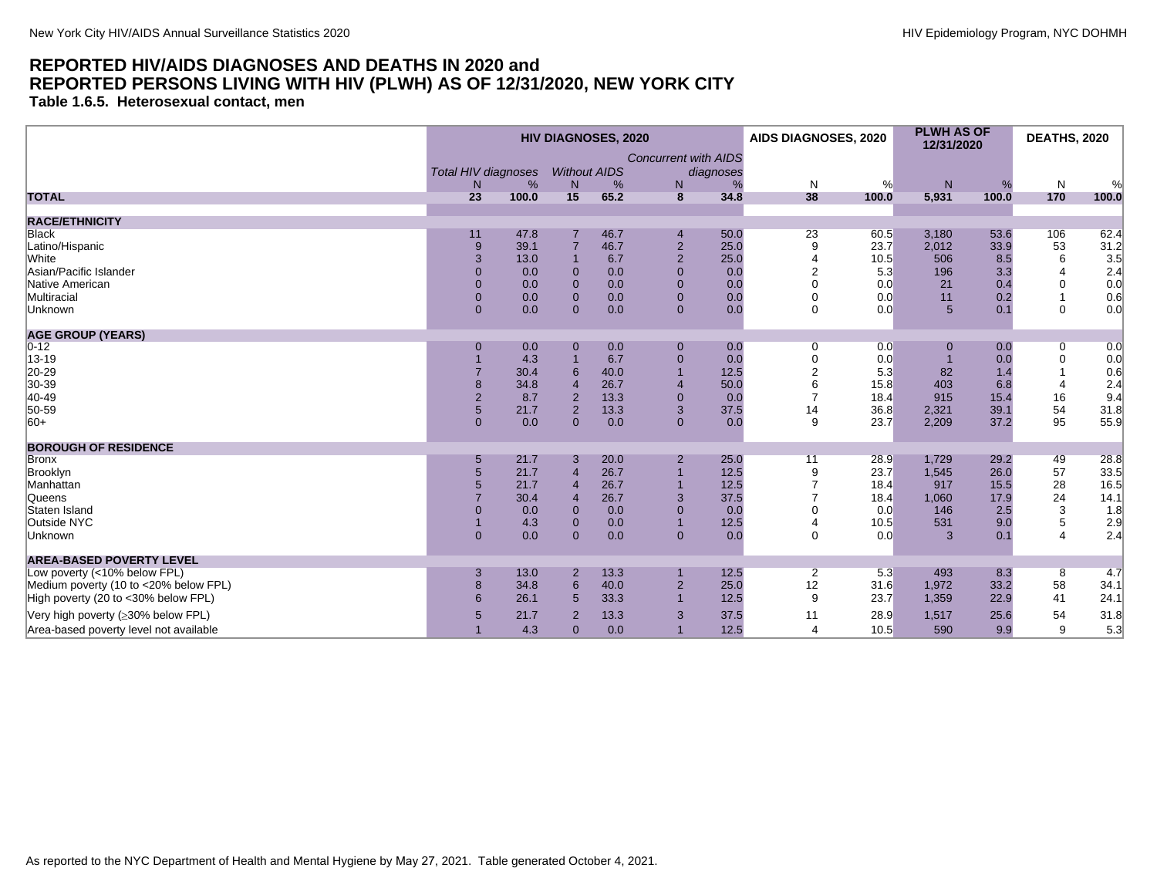<span id="page-32-0"></span>**Table 1.6.5. Heterosexual contact, men**

|                                        | <b>HIV DIAGNOSES, 2020</b>           |       |                          |      |                                   |                |                | <b>AIDS DIAGNOSES, 2020</b> | <b>PLWH AS OF</b><br>12/31/2020 |       | <b>DEATHS, 2020</b> |       |
|----------------------------------------|--------------------------------------|-------|--------------------------|------|-----------------------------------|----------------|----------------|-----------------------------|---------------------------------|-------|---------------------|-------|
|                                        | <b>Total HIV diagnoses</b><br>%<br>N |       | <b>Without AIDS</b><br>N | %    | <b>Concurrent with AIDS</b><br>N. | diagnoses<br>% | N              | %                           | N                               | %     | $\mathsf{N}$        | %     |
| <b>TOTAL</b>                           | 23                                   | 100.0 | 15                       | 65.2 | 8                                 | 34.8           | 38             | 100.0                       | 5,931                           | 100.0 | 170                 | 100.0 |
| <b>RACE/ETHNICITY</b>                  |                                      |       |                          |      |                                   |                |                |                             |                                 |       |                     |       |
| Black                                  | 11                                   | 47.8  |                          | 46.7 | $\overline{4}$                    | 50.0           | 23             | 60.5                        | 3,180                           | 53.6  | 106                 | 62.4  |
| Latino/Hispanic                        | 9                                    | 39.1  |                          | 46.7 | $\sqrt{2}$                        | 25.0           | 9              | 23.7                        | 2,012                           | 33.9  | 53                  | 31.2  |
| White                                  | 3                                    | 13.0  |                          | 6.7  | $\sqrt{2}$                        | 25.0           |                | 10.5                        | 506                             | 8.5   | 6                   | 3.5   |
| Asian/Pacific Islander                 | $\mathbf{0}$                         | 0.0   | $\Omega$                 | 0.0  | $\mathbf{0}$                      | 0.0            | $\overline{2}$ | 5.3                         | 196                             | 3.3   | $\overline{4}$      | 2.4   |
| Native American                        | $\mathbf{0}$                         | 0.0   | $\overline{0}$           | 0.0  | $\mathbf 0$                       | 0.0            | $\mathbf 0$    | 0.0                         | 21                              | 0.4   | $\overline{0}$      | 0.0   |
| Multiracial                            | $\mathbf{0}$                         | 0.0   | $\overline{0}$           | 0.0  | $\mathbf 0$                       | 0.0            | $\mathbf 0$    | 0.0                         | 11                              | 0.2   | $\mathbf{1}$        | 0.6   |
| Unknown                                | $\mathbf{0}$                         | 0.0   | $\Omega$                 | 0.0  | $\mathbf{0}$                      | 0.0            | $\mathbf 0$    | 0.0                         | 5                               | 0.1   | $\mathbf 0$         | 0.0   |
| <b>AGE GROUP (YEARS)</b>               |                                      |       |                          |      |                                   |                |                |                             |                                 |       |                     |       |
| $ 0-12 $                               | $\mathbf 0$                          | 0.0   | $\mathbf 0$              | 0.0  | $\mathbf 0$                       | 0.0            | $\mathbf 0$    | 0.0                         |                                 | 0.0   | $\overline{0}$      | 0.0   |
| 13-19                                  |                                      | 4.3   |                          | 6.7  | $\pmb{0}$                         | 0.0            | $\mathbf 0$    | 0.0                         |                                 | 0.0   | $\pmb{0}$           | 0.0   |
| 20-29                                  |                                      | 30.4  |                          | 40.0 | $\overline{1}$                    | 12.5           | $\overline{a}$ | 5.3                         | 82                              | 1.4   |                     | 0.6   |
| 30-39                                  | 8                                    | 34.8  |                          | 26.7 | $\overline{4}$                    | 50.0           | 6              | 15.8                        | 403                             | 6.8   | $\overline{4}$      | 2.4   |
| 40-49                                  | $\overline{2}$                       | 8.7   | $\overline{2}$           | 13.3 | $\mathbf{0}$                      | 0.0            |                | 18.4                        | 915                             | 15.4  | 16                  | 9.4   |
| 50-59                                  | $5\phantom{.0}$                      | 21.7  | $\overline{2}$           | 13.3 | 3                                 | 37.5           | 14             | 36.8                        | 2,321                           | 39.1  | 54                  | 31.8  |
| $ 60+$                                 | $\Omega$                             | 0.0   | $\mathbf{0}$             | 0.0  | $\mathbf{0}$                      | 0.0            | 9              | 23.7                        | 2,209                           | 37.2  | 95                  | 55.9  |
| <b>BOROUGH OF RESIDENCE</b>            |                                      |       |                          |      |                                   |                |                |                             |                                 |       |                     |       |
| Bronx                                  | 5                                    | 21.7  | 3                        | 20.0 | $\overline{2}$                    | 25.0           | 11             | 28.9                        | 1,729                           | 29.2  | 49                  | 28.8  |
| Brooklyn                               | 5                                    | 21.7  |                          | 26.7 | $\overline{1}$                    | 12.5           | 9              | 23.7                        | 1,545                           | 26.0  | 57                  | 33.5  |
| Manhattan                              | 5                                    | 21.7  | $\overline{4}$           | 26.7 | $\overline{1}$                    | 12.5           |                | 18.4                        | 917                             | 15.5  | 28                  | 16.5  |
| Queens                                 |                                      | 30.4  |                          | 26.7 | 3                                 | 37.5           |                | 18.4                        | 1,060                           | 17.9  | 24                  | 14.1  |
| Staten Island                          | $\mathbf{0}$                         | 0.0   | $\mathbf 0$              | 0.0  | $\mathbf{0}$                      | 0.0            | 0              | 0.0                         | 146                             | 2.5   | 3                   | 1.8   |
| Outside NYC                            |                                      | 4.3   | $\overline{0}$           | 0.0  | $\overline{1}$                    | 12.5           |                | 10.5                        | 531                             | 9.0   | 5                   | 2.9   |
| Unknown                                | $\mathbf{0}$                         | 0.0   | $\Omega$                 | 0.0  | $\mathbf{0}$                      | 0.0            | $\mathbf 0$    | 0.0                         | 3                               | 0.1   | $\overline{4}$      | 2.4   |
| <b>AREA-BASED POVERTY LEVEL</b>        |                                      |       |                          |      |                                   |                |                |                             |                                 |       |                     |       |
| Low poverty (<10% below FPL)           | 3                                    | 13.0  | $\overline{2}$           | 13.3 |                                   | 12.5           | $\overline{2}$ | 5.3                         | 493                             | 8.3   | 8                   | 4.7   |
| Medium poverty (10 to <20% below FPL)  | 8                                    | 34.8  | $6\phantom{1}6$          | 40.0 | $\sqrt{2}$                        | 25.0           | 12             | 31.6                        | 1,972                           | 33.2  | 58                  | 34.1  |
| High poverty (20 to <30% below FPL)    | 6                                    | 26.1  | 5                        | 33.3 | $\overline{1}$                    | 12.5           | 9              | 23.7                        | 1,359                           | 22.9  | 41                  | 24.1  |
| Very high poverty (≥30% below FPL)     | 5                                    | 21.7  | $\overline{2}$           | 13.3 | 3                                 | 37.5           | 11             | 28.9                        | 1,517                           | 25.6  | 54                  | 31.8  |
| Area-based poverty level not available |                                      | 4.3   | $\mathbf{0}$             | 0.0  | $\overline{1}$                    | 12.5           | $\Delta$       | 10.5                        | 590                             | 9.9   | 9                   | 5.3   |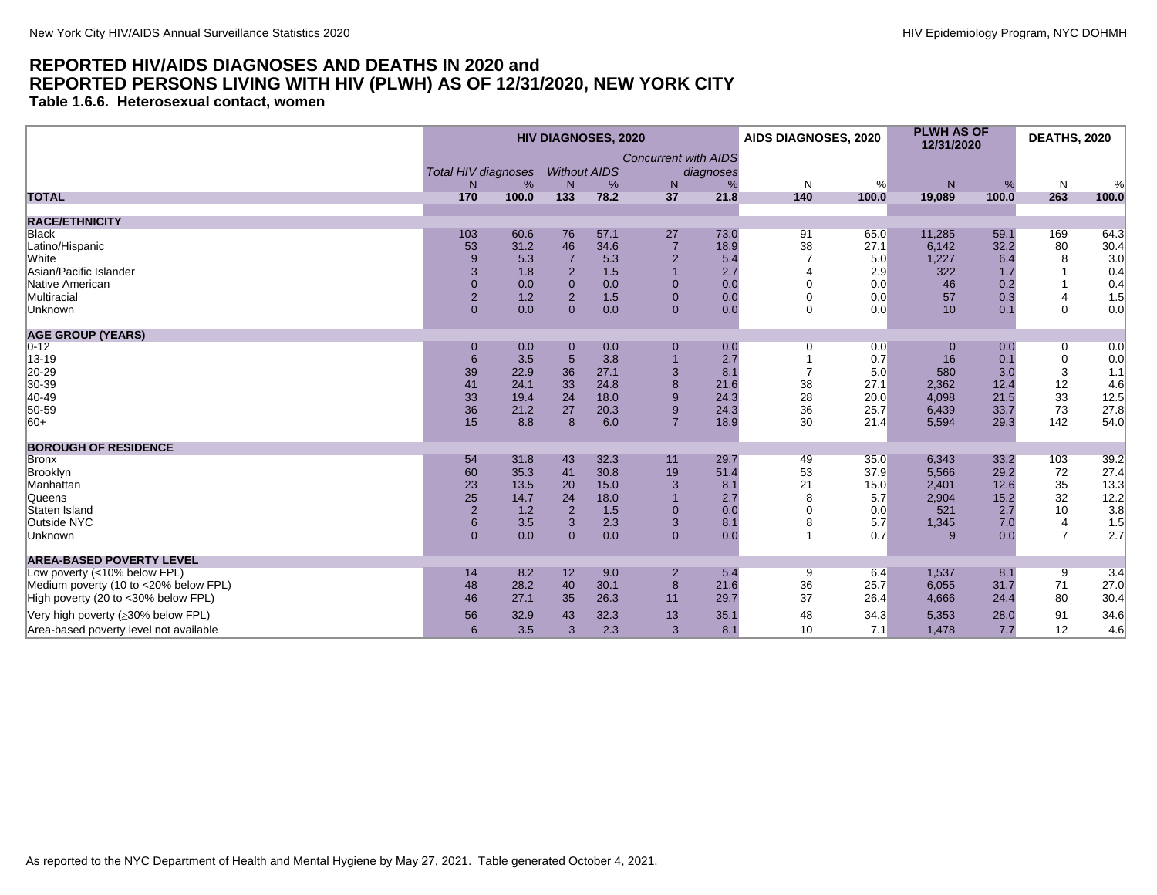<span id="page-33-0"></span>**Table 1.6.6. Heterosexual contact, women**

|                                        | <b>HIV DIAGNOSES, 2020</b> |            |                     |           |                             | AIDS DIAGNOSES, 2020 |                | <b>PLWH AS OF</b><br>12/31/2020 |              | <b>DEATHS, 2020</b> |                |                                             |
|----------------------------------------|----------------------------|------------|---------------------|-----------|-----------------------------|----------------------|----------------|---------------------------------|--------------|---------------------|----------------|---------------------------------------------|
|                                        |                            |            |                     |           | <b>Concurrent with AIDS</b> |                      |                |                                 |              |                     |                |                                             |
|                                        | <b>Total HIV diagnoses</b> |            | <b>Without AIDS</b> |           |                             | diagnoses            |                |                                 |              |                     |                |                                             |
| <b>TOTAL</b>                           | N.<br>170                  | %<br>100.0 | N<br>133            | %<br>78.2 | N<br>37                     | %<br>21.8            | N<br>140       | %<br>100.0                      | N<br>19,089  | %<br>100.0          | N<br>263       | %<br>100.0                                  |
|                                        |                            |            |                     |           |                             |                      |                |                                 |              |                     |                |                                             |
| <b>RACE/ETHNICITY</b>                  |                            |            |                     |           |                             |                      |                |                                 |              |                     |                |                                             |
| <b>Black</b>                           | 103                        | 60.6       | 76                  | 57.1      | 27                          | 73.0                 | 91             | 65.0                            | 11,285       | 59.1                | 169            | 64.3                                        |
| Latino/Hispanic                        | 53                         | 31.2       | 46                  | 34.6      | $\overline{7}$              | 18.9                 | 38             | 27.1                            | 6,142        | 32.2                | 80             | $\frac{30.4}{3.0}$                          |
| White                                  | 9                          | 5.3        |                     | 5.3       | $\overline{2}$              | 5.4                  |                | 5.0                             | 1,227        | 6.4                 | 8              |                                             |
| Asian/Pacific Islander                 | 3                          | 1.8        | $\overline{2}$      | 1.5       |                             | 2.7                  |                | 2.9                             | 322          | 1.7                 |                | 0.4                                         |
| Native American                        | $\mathbf 0$                | 0.0        | $\mathbf{0}$        | 0.0       | $\mathbf 0$                 | 0.0                  | $\Omega$       | 0.0                             | 46           | 0.2                 |                | 0.4                                         |
| Multiracial                            | $\overline{2}$             | 1.2        | $\overline{2}$      | 1.5       | $\overline{0}$              | 0.0                  | $\mathbf 0$    | 0.0                             | 57           | 0.3                 | 4              | 1.5                                         |
| Unknown                                | $\Omega$                   | 0.0        | $\Omega$            | 0.0       | $\Omega$                    | 0.0                  | $\Omega$       | 0.0                             | 10           | 0.1                 | $\Omega$       | 0.0                                         |
| <b>AGE GROUP (YEARS)</b>               |                            |            |                     |           |                             |                      |                |                                 |              |                     |                |                                             |
| $ 0-12 $                               | $\mathbf 0$                | 0.0        | 0                   | 0.0       | $\mathbf 0$                 | 0.0                  | 0              | 0.0                             | $\bf{0}$     | 0.0                 | 0              | 0.0                                         |
| 13-19                                  | 6                          | 3.5        | $5\phantom{.}$      | 3.8       |                             | 2.7                  |                | 0.7                             | 16           | 0.1                 | $\mathbf 0$    | 0.0                                         |
| 20-29                                  | 39                         | 22.9       | 36                  | 27.1      | 3                           | 8.1                  | $\overline{ }$ | 5.0                             | 580          | 3.0                 | 3              | 1.1                                         |
| 30-39                                  | 41                         | 24.1       | 33                  | 24.8      | 8                           | 21.6                 | 38             | 27.1                            | 2,362        | 12.4                | 12             | 4.6                                         |
| 40-49                                  | 33                         | 19.4       | 24                  | 18.0      | 9                           | 24.3                 | 28             | 20.0                            | 4,098        | 21.5                | 33             | 12.5                                        |
| 50-59                                  | 36                         | 21.2       | 27                  | 20.3      | 9                           | 24.3                 | 36             | 25.7                            | 6,439        | 33.7                | 73             | 27.8                                        |
| $ 60+$                                 | 15                         | 8.8        | 8                   | 6.0       | $\overline{7}$              | 18.9                 | 30             | 21.4                            | 5,594        | 29.3                | 142            | 54.0                                        |
| <b>BOROUGH OF RESIDENCE</b>            |                            |            |                     |           |                             |                      |                |                                 |              |                     |                |                                             |
| Bronx                                  | 54                         | 31.8       | 43                  | 32.3      | 11                          | 29.7                 | 49             | 35.0                            | 6,343        | 33.2                | 103            | 39.2                                        |
| Brooklyn                               | 60                         | 35.3       | 41                  | 30.8      | 19                          | 51.4                 | 53             | 37.9                            | 5,566        | 29.2                | 72             | 27.4                                        |
| Manhattan                              | 23                         | 13.5       | 20                  | 15.0      | 3                           | 8.1                  | 21             | 15.0                            | 2,401        | 12.6                | $35\,$         | 13.3                                        |
| Queens                                 | 25                         | 14.7       | 24                  | 18.0      |                             | 2.7                  | 8              | 5.7                             | 2,904        | 15.2                | 32             |                                             |
| Staten Island                          | $\sqrt{2}$                 | 1.2        | $\overline{2}$      | 1.5       | $\overline{0}$              | 0.0                  | $\Omega$       | 0.0                             | 521          | 2.7                 | $10$           | $\begin{bmatrix} 12.2 \\ 3.8 \end{bmatrix}$ |
| Outside NYC                            | 6                          | 3.5        | 3                   | 2.3       | 3                           | 8.1                  | 8              | 5.7                             | 1,345        | 7.0                 | 4              | 1.5                                         |
| Unknown                                | $\overline{0}$             | 0.0        | $\Omega$            | 0.0       | $\Omega$                    | 0.0                  |                | 0.7                             | $\mathbf{Q}$ | 0.0                 | $\overline{7}$ | 2.7                                         |
| <b>AREA-BASED POVERTY LEVEL</b>        |                            |            |                     |           |                             |                      |                |                                 |              |                     |                |                                             |
| Low poverty (<10% below FPL)           | 14                         | 8.2        | 12                  | 9.0       | $\overline{2}$              | 5.4                  | 9              | 6.4                             | 1,537        | 8.1                 | 9              | 3.4                                         |
| Medium poverty (10 to <20% below FPL)  | 48                         | 28.2       | 40                  | 30.1      | 8                           | 21.6                 | 36             | 25.7                            | 6,055        | 31.7                | 71             | 27.0                                        |
| High poverty (20 to <30% below FPL)    | 46                         | 27.1       | 35                  | 26.3      | 11                          | 29.7                 | 37             | 26.4                            | 4,666        | 24.4                | 80             | 30.4                                        |
| Very high poverty (≥30% below FPL)     | 56                         | 32.9       | 43                  | 32.3      | 13                          | 35.1                 | 48             | 34.3                            | 5,353        | 28.0                | 91             | 34.6                                        |
| Area-based poverty level not available | $6\phantom{1}$             | 3.5        | 3                   | 2.3       | 3                           | 8.1                  | 10             | 7.1                             | 1,478        | 7.7                 | 12             | 4.6                                         |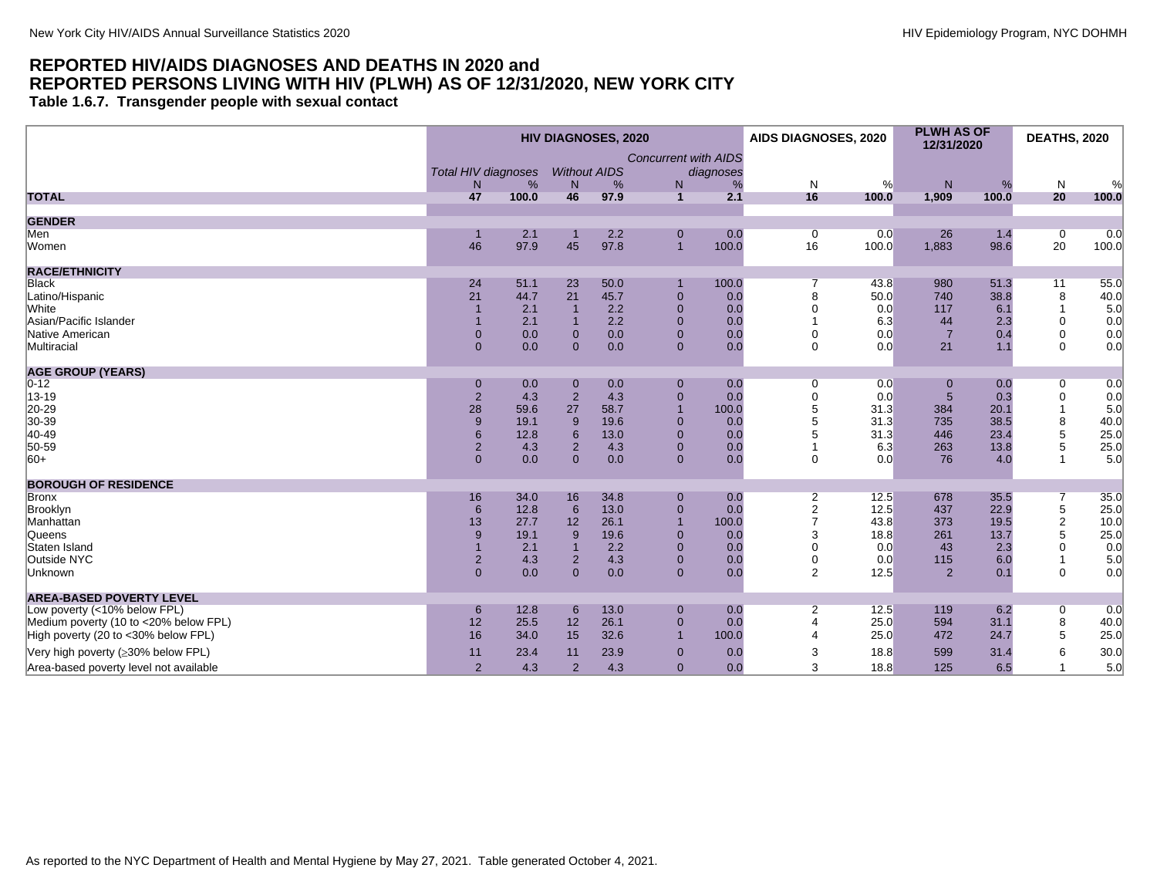<span id="page-34-0"></span>**Table 1.6.7. Transgender people with sexual contact**

|                                        | <b>HIV DIAGNOSES, 2020</b> |             |                |                     |                               | AIDS DIAGNOSES, 2020 |                      | <b>PLWH AS OF</b><br>12/31/2020 |                | <b>DEATHS, 2020</b> |                      |              |
|----------------------------------------|----------------------------|-------------|----------------|---------------------|-------------------------------|----------------------|----------------------|---------------------------------|----------------|---------------------|----------------------|--------------|
|                                        |                            |             |                |                     | <b>Concurrent with AIDS</b>   |                      |                      |                                 |                |                     |                      |              |
|                                        | <b>Total HIV diagnoses</b> |             |                | <b>Without AIDS</b> |                               | diagnoses            |                      |                                 |                |                     |                      |              |
|                                        | N <sub>1</sub>             | %           | N.             | %                   | N                             | %                    | N                    | %                               | N              | %                   | N                    | %            |
| <b>TOTAL</b>                           | 47                         | 100.0       | 46             | 97.9                | $\mathbf{1}$                  | 2.1                  | 16                   | 100.0                           | 1,909          | 100.0               | 20                   | 100.0        |
|                                        |                            |             |                |                     |                               |                      |                      |                                 |                |                     |                      |              |
| <b>GENDER</b>                          |                            |             |                |                     |                               |                      |                      |                                 |                |                     |                      |              |
| Men<br>Women                           | 46                         | 2.1<br>97.9 | 45             | 2.2<br>97.8         | $\mathbf 0$<br>$\overline{1}$ | 0.0<br>100.0         | $\overline{0}$<br>16 | 0.0<br>100.0                    | 26<br>1,883    | 1.4<br>98.6         | $\overline{0}$<br>20 | 0.0<br>100.0 |
|                                        |                            |             |                |                     |                               |                      |                      |                                 |                |                     |                      |              |
| <b>RACE/ETHNICITY</b>                  |                            |             |                |                     |                               |                      |                      |                                 |                |                     |                      |              |
| <b>Black</b>                           | 24                         | 51.1        | 23             | 50.0                |                               | 100.0                | 7                    | 43.8                            | 980            | 51.3                | 11                   | 55.0         |
| Latino/Hispanic                        | 21                         | 44.7        | 21             | 45.7                | $\mathbf 0$                   | 0.0                  | 8                    | 50.0                            | 740            | 38.8                | 8                    | 40.0         |
| <b>White</b>                           |                            | 2.1         |                | 2.2                 | $\overline{0}$                | 0.0                  |                      | 0.0                             | 117            | 6.1                 | $\overline{1}$       | 5.0          |
| Asian/Pacific Islander                 |                            | 2.1         |                | 2.2                 | $\mathbf 0$                   | 0.0                  |                      | 6.3                             | 44             | 2.3                 | 0                    | 0.0          |
| Native American                        | $\Omega$                   | 0.0         | $\overline{0}$ | 0.0                 | $\overline{0}$                | 0.0                  | $\Omega$             | 0.0                             | $\overline{7}$ | 0.4                 | $\pmb{0}$            | 0.0          |
| Multiracial                            | $\mathbf{0}$               | 0.0         | $\overline{0}$ | 0.0                 | $\mathbf{0}$                  | 0.0                  | $\mathbf 0$          | 0.0                             | 21             | 1.1                 | $\mathbf 0$          | 0.0          |
| <b>AGE GROUP (YEARS)</b>               |                            |             |                |                     |                               |                      |                      |                                 |                |                     |                      |              |
| $0 - 12$                               | $\mathbf 0$                | 0.0         | $\mathbf 0$    | 0.0                 | $\mathbf 0$                   | 0.0                  | $\mathbf 0$          | 0.0                             | 0              | 0.0                 | 0                    | 0.0          |
| 13-19                                  | $\overline{2}$             | 4.3         | $\overline{2}$ | 4.3                 | $\mathbf 0$                   | 0.0                  | $\mathbf 0$          | 0.0                             | 5              | 0.3                 | $\pmb{0}$            | 0.0          |
| 20-29                                  | 28                         | 59.6        | 27             | 58.7                | $\overline{1}$                | 100.0                | 5                    | 31.3                            | 384            | 20.1                | 1                    | 5.0          |
| 30-39                                  | 9                          | 19.1        | 9              | 19.6                | $\overline{0}$                | 0.0                  | 5                    | 31.3                            | 735            | 38.5                | 8                    | 40.0         |
| 40-49                                  | 6                          | 12.8        | $6\phantom{1}$ | 13.0                | $\overline{0}$                | 0.0                  | 5                    | 31.3                            | 446            | 23.4                | 5                    | 25.0         |
| 50-59                                  | $\overline{2}$             | 4.3         | $\overline{2}$ | 4.3                 | $\overline{0}$                | 0.0                  |                      | 6.3                             | 263            | 13.8                | 5                    | 25.0         |
| $ 60+$                                 | $\mathbf{0}$               | 0.0         | $\overline{0}$ | 0.0                 | $\overline{0}$                | 0.0                  | $\mathbf 0$          | 0.0                             | 76             | 4.0                 | 1                    | 5.0          |
| <b>BOROUGH OF RESIDENCE</b>            |                            |             |                |                     |                               |                      |                      |                                 |                |                     |                      |              |
| Bronx                                  | 16                         | 34.0        | 16             | 34.8                | $\overline{0}$                | 0.0                  | $\overline{2}$       | 12.5                            | 678            | 35.5                | $\overline{7}$       | 35.0         |
| Brooklyn                               | 6                          | 12.8        | 6              | 13.0                | $\overline{0}$                | 0.0                  | $\overline{2}$       | 12.5                            | 437            | 22.9                | 5                    | 25.0         |
| Manhattan                              | 13                         | 27.7        | 12             | 26.1                | $\overline{1}$                | 100.0                | $\overline{7}$       | 43.8                            | 373            | 19.5                | $\mathbf 2$          | 10.0         |
| Queens                                 | 9                          | 19.1        | 9              | 19.6                | $\mathbf 0$                   | 0.0                  | 3                    | 18.8                            | 261            | 13.7                | 5                    | 25.0         |
| Staten Island                          |                            | 2.1         |                | 2.2                 | $\overline{0}$                | 0.0                  | $\mathbf 0$          | 0.0                             | 43             | 2.3                 | 0                    | 0.0          |
| Outside NYC                            | $\overline{2}$             | 4.3         | $\overline{2}$ | 4.3                 | $\mathbf{0}$                  | 0.0                  | $\mathbf 0$          | 0.0                             | 115            | 6.0                 | $\mathbf{1}$         | 5.0          |
| Unknown                                | $\mathbf{0}$               | 0.0         | $\Omega$       | 0.0                 | $\overline{0}$                | 0.0                  | $\overline{2}$       | 12.5                            | $\overline{2}$ | 0.1                 | $\mathbf 0$          | 0.0          |
| <b>AREA-BASED POVERTY LEVEL</b>        |                            |             |                |                     |                               |                      |                      |                                 |                |                     |                      |              |
| Low poverty (<10% below FPL)           | 6                          | 12.8        | 6              | 13.0                | $\mathbf 0$                   | 0.0                  | 2                    | 12.5                            | 119            | 6.2                 | 0                    | 0.0          |
| Medium poverty (10 to <20% below FPL)  | 12                         | 25.5        | 12             | 26.1                | $\pmb{0}$                     | 0.0                  | $\overline{4}$       | 25.0                            | 594            | 31.1                | $\,8\,$              | 40.0         |
| High poverty (20 to <30% below FPL)    | 16                         | 34.0        | 15             | 32.6                | $\overline{1}$                | 100.0                |                      | 25.0                            | 472            | 24.7                | 5                    | 25.0         |
| Very high poverty (≥30% below FPL)     | 11                         | 23.4        | 11             | 23.9                | $\mathbf 0$                   | 0.0                  | 3                    | 18.8                            | 599            | 31.4                | 6                    | 30.0         |
| Area-based poverty level not available | $\overline{2}$             | 4.3         | $\overline{2}$ | 4.3                 | $\Omega$                      | 0.0                  | 3                    | 18.8                            | 125            | 6.5                 | $\mathbf{1}$         | 5.0          |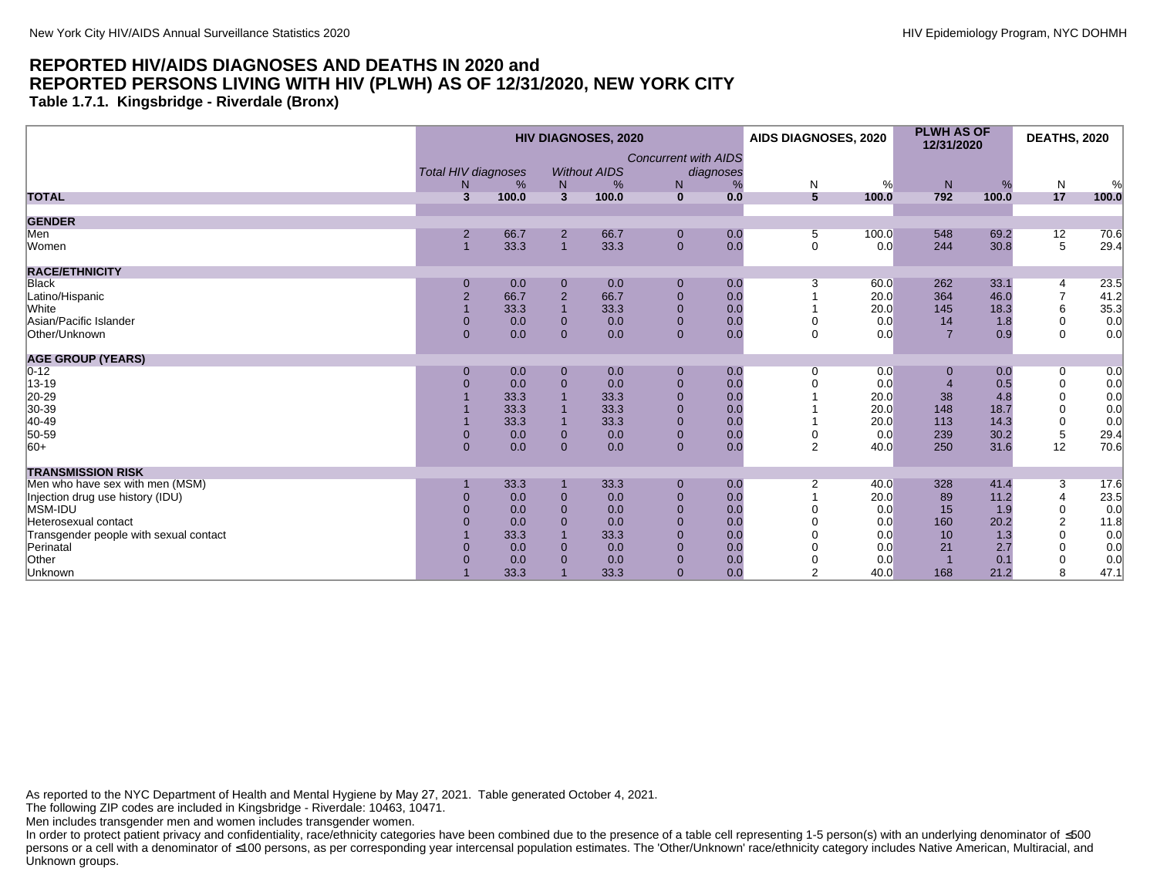<span id="page-35-0"></span>**Table 1.7.1. Kingsbridge - Riverdale (Bronx)**

|                                                                                | <b>HIV DIAGNOSES, 2020</b>                   |                                                  |                                                                                |                                                  |                                                                                                      |                                               | AIDS DIAGNOSES, 2020         |                                                   | <b>PLWH AS OF</b><br>12/31/2020           |                                                   | <b>DEATHS, 2020</b>                                                                           |                                                 |
|--------------------------------------------------------------------------------|----------------------------------------------|--------------------------------------------------|--------------------------------------------------------------------------------|--------------------------------------------------|------------------------------------------------------------------------------------------------------|-----------------------------------------------|------------------------------|---------------------------------------------------|-------------------------------------------|---------------------------------------------------|-----------------------------------------------------------------------------------------------|-------------------------------------------------|
|                                                                                | <b>Total HIV diagnoses</b><br>N.             | %                                                | N                                                                              | <b>Without AIDS</b><br>%                         | <b>Concurrent with AIDS</b><br>N                                                                     | diagnoses<br>%                                | N                            | %                                                 | N                                         | %                                                 | $\mathsf{N}$                                                                                  | %                                               |
| <b>TOTAL</b>                                                                   | 3                                            | 100.0                                            | $\overline{3}$                                                                 | 100.0                                            | $\mathbf{0}$                                                                                         | 0.0                                           | $5\phantom{1}$               | 100.0                                             | 792                                       | 100.0                                             | 17                                                                                            | 100.0                                           |
| <b>GENDER</b>                                                                  |                                              |                                                  |                                                                                |                                                  |                                                                                                      |                                               |                              |                                                   |                                           |                                                   |                                                                                               |                                                 |
| Men<br>Women                                                                   | 2                                            | 66.7<br>33.3                                     | $\overline{2}$<br>$\overline{1}$                                               | 66.7<br>33.3                                     | $\mathbf 0$<br>$\mathbf{0}$                                                                          | 0.0<br>0.0                                    | 5<br>$\mathbf 0$             | 100.0<br>0.0                                      | 548<br>244                                | 69.2<br>30.8                                      | 12<br>5                                                                                       | 70.6<br>29.4                                    |
| <b>RACE/ETHNICITY</b>                                                          |                                              |                                                  |                                                                                |                                                  |                                                                                                      |                                               |                              |                                                   |                                           |                                                   |                                                                                               |                                                 |
| Black<br>Latino/Hispanic<br>White<br>Asian/Pacific Islander<br>Other/Unknown   | $\overline{2}$<br>$\overline{0}$<br>$\Omega$ | 0.0<br>66.7<br>33.3<br>0.0<br>0.0                | $\mathbf 0$<br>$\mathbf 2$<br>$\overline{1}$<br>$\mathbf{0}$<br>$\overline{0}$ | 0.0<br>66.7<br>33.3<br>0.0<br>0.0                | $\mathbf 0$<br>$\pmb{0}$<br>$\mathbf{0}$<br>$\mathbf{0}$<br>$\overline{0}$                           | 0.0<br>0.0<br>0.0<br>0.0<br>0.0               | 3<br>$\Omega$<br>$\mathbf 0$ | 60.0<br>20.0<br>20.0<br>0.0<br>0.0                | 262<br>364<br>145<br>14<br>$\overline{7}$ | 33.1<br>46.0<br>18.3<br>1.8<br>0.9                | 4<br>$\overline{7}$<br>6<br>$\mathbf 0$<br>$\mathbf 0$                                        | 23.5<br>41.2<br>35.3<br>0.0<br>0.0              |
| <b>AGE GROUP (YEARS)</b>                                                       |                                              |                                                  |                                                                                |                                                  |                                                                                                      |                                               |                              |                                                   |                                           |                                                   |                                                                                               |                                                 |
| $0 - 12$<br>13-19<br>20-29<br>30-39<br>40-49<br>50-59<br>$ 60+$                | 0<br>$\Omega$<br>$\Omega$<br>$\overline{0}$  | 0.0<br>0.0<br>33.3<br>33.3<br>33.3<br>0.0<br>0.0 | $\mathbf 0$<br>$\mathbf 0$<br>$\overline{1}$<br>$\pmb{0}$<br>$\mathbf{0}$      | 0.0<br>0.0<br>33.3<br>33.3<br>33.3<br>0.0<br>0.0 | $\mathbf 0$<br>$\mathbf 0$<br>$\pmb{0}$<br>$\pmb{0}$<br>$\mathbf{0}$<br>$\mathbf{0}$<br>$\mathbf{0}$ | 0.0<br>0.0<br>0.0<br>0.0<br>0.0<br>0.0<br>0.0 | $\Omega$<br>0<br>2           | 0.0<br>0.0<br>20.0<br>20.0<br>20.0<br>0.0<br>40.0 | 0<br>38<br>148<br>113<br>239<br>250       | 0.0<br>0.5<br>4.8<br>18.7<br>14.3<br>30.2<br>31.6 | $\overline{0}$<br>$\mathbf 0$<br>$\mathbf 0$<br>$\mathbf 0$<br>$\pmb{0}$<br>$\,$ 5 $\,$<br>12 | 0.0<br>0.0<br>0.0<br>0.0<br>0.0<br>29.4<br>70.6 |
| <b>TRANSMISSION RISK</b>                                                       |                                              |                                                  |                                                                                |                                                  |                                                                                                      |                                               |                              |                                                   |                                           |                                                   |                                                                                               |                                                 |
| Men who have sex with men (MSM)<br>Injection drug use history (IDU)<br>MSM-IDU |                                              | 33.3<br>0.0<br>0.0                               | $\mathbf 0$<br>$\overline{0}$                                                  | 33.3<br>0.0<br>0.0                               | $\mathbf 0$<br>$\mathbf{0}$<br>$\mathbf{0}$                                                          | 0.0<br>0.0<br>0.0                             | $\overline{2}$               | 40.0<br>20.0<br>0.0                               | 328<br>89<br>15                           | 41.4<br>11.2<br>1.9                               | 3<br>$\overline{4}$<br>$\mathbf 0$                                                            | 17.6<br>23.5<br>0.0                             |
| Heterosexual contact<br>Transgender people with sexual contact<br>Perinatal    |                                              | 0.0<br>33.3<br>0.0                               | $\overline{0}$<br>$\overline{1}$<br>$\mathbf{0}$                               | 0.0<br>33.3<br>0.0                               | $\Omega$<br>$\mathbf{0}$<br>$\mathbf{0}$                                                             | 0.0<br>0.0<br>0.0                             |                              | 0.0<br>0.0<br>0.0                                 | 160<br>10<br>21                           | 20.2<br>1.3<br>2.7                                | $\overline{2}$<br>$\mathbf 0$<br>$\mathbf 0$                                                  | 11.8<br>0.0<br>0.0                              |
| Other<br>Unknown                                                               |                                              | 0.0<br>33.3                                      | $\Omega$                                                                       | 0.0<br>33.3                                      | $\mathbf 0$<br>$\overline{0}$                                                                        | 0.0<br>0.0                                    |                              | 0.0<br>40.0                                       | 168                                       | 0.1<br>21.2                                       | $\mathbf 0$<br>8                                                                              | 0.0<br>47.1                                     |

As reported to the NYC Department of Health and Mental Hygiene by May 27, 2021. Table generated October 4, 2021.

The following ZIP codes are included in Kingsbridge - Riverdale: 10463, 10471.

Men includes transgender men and women includes transgender women.

In order to protect patient privacy and confidentiality, race/ethnicity categories have been combined due to the presence of a table cell representing 1-5 person(s) with an underlying denominator of ≤500 persons or a cell with a denominator of ≤100 persons, as per corresponding year intercensal population estimates. The 'Other/Unknown' race/ethnicity category includes Native American, Multiracial, and Unknown groups.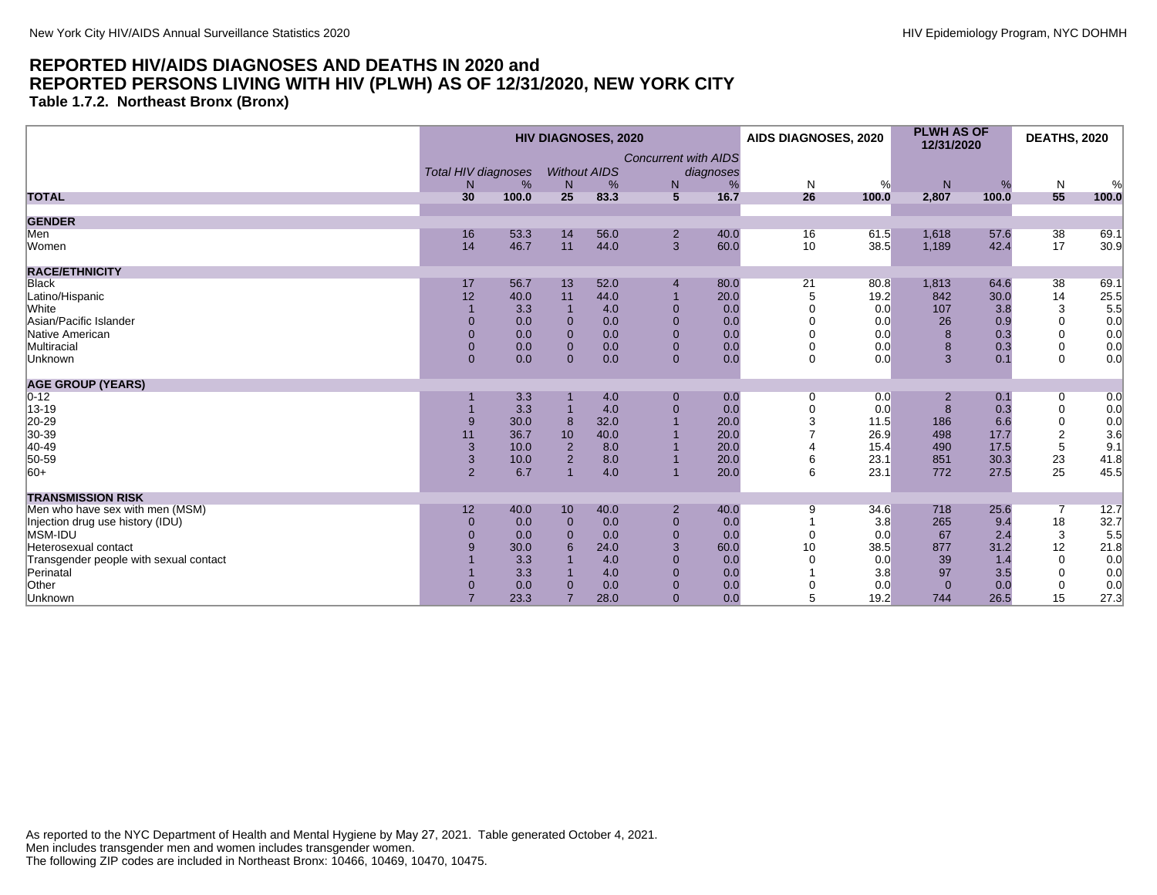**Table 1.7.2. Northeast Bronx (Bronx)**

|                                        |                            |       | <b>HIV DIAGNOSES, 2020</b> |                     |                             | AIDS DIAGNOSES, 2020 |                | <b>PLWH AS OF</b><br>12/31/2020 |                | <b>DEATHS, 2020</b> |                         |       |
|----------------------------------------|----------------------------|-------|----------------------------|---------------------|-----------------------------|----------------------|----------------|---------------------------------|----------------|---------------------|-------------------------|-------|
|                                        |                            |       |                            |                     | <b>Concurrent with AIDS</b> |                      |                |                                 |                |                     |                         |       |
|                                        | <b>Total HIV diagnoses</b> |       |                            | <b>Without AIDS</b> |                             | diagnoses            |                |                                 |                |                     |                         |       |
|                                        | N                          | %     | N                          | %                   | ${\sf N}$                   | %                    | $\mathsf{N}$   | %                               | ${\sf N}$      | %                   | N                       | %     |
| <b>TOTAL</b>                           | 30                         | 100.0 | 25                         | 83.3                | $5\overline{)}$             | 16.7                 | 26             | 100.0                           | 2,807          | 100.0               | 55                      | 100.0 |
| <b>GENDER</b>                          |                            |       |                            |                     |                             |                      |                |                                 |                |                     |                         |       |
| Men                                    | 16                         | 53.3  | 14                         | 56.0                | $\overline{2}$              | 40.0                 | 16             | 61.5                            | 1,618          | 57.6                | 38                      | 69.1  |
| Women                                  | 14                         | 46.7  | 11                         | 44.0                | 3                           | 60.0                 | 10             | 38.5                            | 1,189          | 42.4                | 17                      | 30.9  |
| <b>RACE/ETHNICITY</b>                  |                            |       |                            |                     |                             |                      |                |                                 |                |                     |                         |       |
| <b>Black</b>                           | 17                         | 56.7  | 13                         | 52.0                | $\overline{4}$              | 80.0                 | 21             | 80.8                            | 1,813          | 64.6                | 38                      | 69.1  |
| Latino/Hispanic                        | 12                         | 40.0  | 11                         | 44.0                |                             | 20.0                 | 5              | 19.2                            | 842            | 30.0                | 14                      | 25.5  |
| White                                  |                            | 3.3   |                            | 4.0                 | $\Omega$                    | 0.0                  |                | 0.0                             | 107            | 3.8                 | 3                       | 5.5   |
| Asian/Pacific Islander                 | $\Omega$                   | 0.0   | $\Omega$                   | 0.0                 | $\mathbf{0}$                | 0.0                  |                | 0.0                             | 26             | 0.9                 | $\mathbf 0$             | 0.0   |
| Native American                        | $\Omega$                   | 0.0   | $\Omega$                   | 0.0                 | $\mathbf{0}$                | 0.0                  |                | 0.0                             | 8              | 0.3                 | $\Omega$                | 0.0   |
| Multiracial                            | $\mathbf{0}$               | 0.0   | $\mathbf{0}$               | 0.0                 | $\mathbf{0}$                | 0.0                  |                | 0.0                             | 8              | 0.3                 | $\mathbf 0$             | 0.0   |
| Unknown                                | $\overline{0}$             | 0.0   | $\Omega$                   | 0.0                 | $\mathbf{0}$                | 0.0                  | $\Omega$       | 0.0                             | 3              | 0.1                 | $\Omega$                | 0.0   |
| <b>AGE GROUP (YEARS)</b>               |                            |       |                            |                     |                             |                      |                |                                 |                |                     |                         |       |
| $ 0-12 $                               |                            | 3.3   |                            | 4.0                 | $\boldsymbol{0}$            | 0.0                  | 0              | 0.0                             | $\overline{2}$ | 0.1                 | 0                       | 0.0   |
| 13-19                                  |                            | 3.3   |                            | 4.0                 | $\Omega$                    | 0.0                  | $\overline{0}$ | 0.0                             | 8              | 0.3                 | $\mathbf 0$             | 0.0   |
| 20-29                                  |                            | 30.0  | 8                          | 32.0                |                             | 20.0                 | 3              | 11.5                            | 186            | 6.6                 | $\mathbf 0$             | 0.0   |
| 30-39                                  | 11                         | 36.7  | 10                         | 40.0                |                             | 20.0                 |                | 26.9                            | 498            | 17.7                | $\overline{\mathbf{c}}$ | 3.6   |
| 40-49                                  | 3                          | 10.0  | $\overline{2}$             | 8.0                 |                             | 20.0                 |                | 15.4                            | 490            | 17.5                | 5                       | 9.1   |
| 50-59                                  | $\mathbf{3}$               | 10.0  | $\overline{2}$             | 8.0                 |                             | 20.0                 |                | 23.1                            | 851            | 30.3                | 23                      | 41.8  |
| $ 60+$                                 | 2                          | 6.7   |                            | 4.0                 |                             | 20.0                 | 6              | 23.1                            | 772            | 27.5                | 25                      | 45.5  |
| <b>TRANSMISSION RISK</b>               |                            |       |                            |                     |                             |                      |                |                                 |                |                     |                         |       |
| Men who have sex with men (MSM)        | 12                         | 40.0  | 10 <sup>1</sup>            | 40.0                | $\overline{2}$              | 40.0                 | 9              | 34.6                            | 718            | 25.6                | 7                       | 12.7  |
| Injection drug use history (IDU)       | $\mathbf{0}$               | 0.0   | $\Omega$                   | 0.0                 | $\mathbf{0}$                | 0.0                  |                | 3.8                             | 265            | 9.4                 | 18                      | 32.7  |
| MSM-IDU                                | $\Omega$                   | 0.0   | $\Omega$                   | 0.0                 | $\Omega$                    | 0.0                  | $\Omega$       | 0.0                             | 67             | 2.4                 | 3                       | 5.5   |
| Heterosexual contact                   |                            | 30.0  | 6                          | 24.0                | 3                           | 60.0                 | 10             | 38.5                            | 877            | 31.2                | 12                      | 21.8  |
| Transgender people with sexual contact |                            | 3.3   |                            | 4.0                 | $\Omega$                    | 0.0                  |                | 0.0                             | 39             | 1.4                 | $\Omega$                | 0.0   |
| Perinatal                              |                            | 3.3   |                            | 4.0                 | $\Omega$                    | 0.0                  |                | 3.8                             | 97             | 3.5                 | $\mathbf 0$             | 0.0   |
| Other                                  |                            | 0.0   | $\Omega$                   | 0.0                 | $\mathbf{0}$                | 0.0                  |                | 0.0                             | $\overline{0}$ | 0.0                 | $\mathbf 0$             | 0.0   |
| Unknown                                |                            | 23.3  | 7                          | 28.0                | $\mathbf{0}$                | 0.0                  | 5              | 19.2                            | 744            | 26.5                | 15                      | 27.3  |
|                                        |                            |       |                            |                     |                             |                      |                |                                 |                |                     |                         |       |

As reported to the NYC Department of Health and Mental Hygiene by May 27, 2021. Table generated October 4, 2021. Men includes transgender men and women includes transgender women. The following ZIP codes are included in Northeast Bronx: 10466, 10469, 10470, 10475.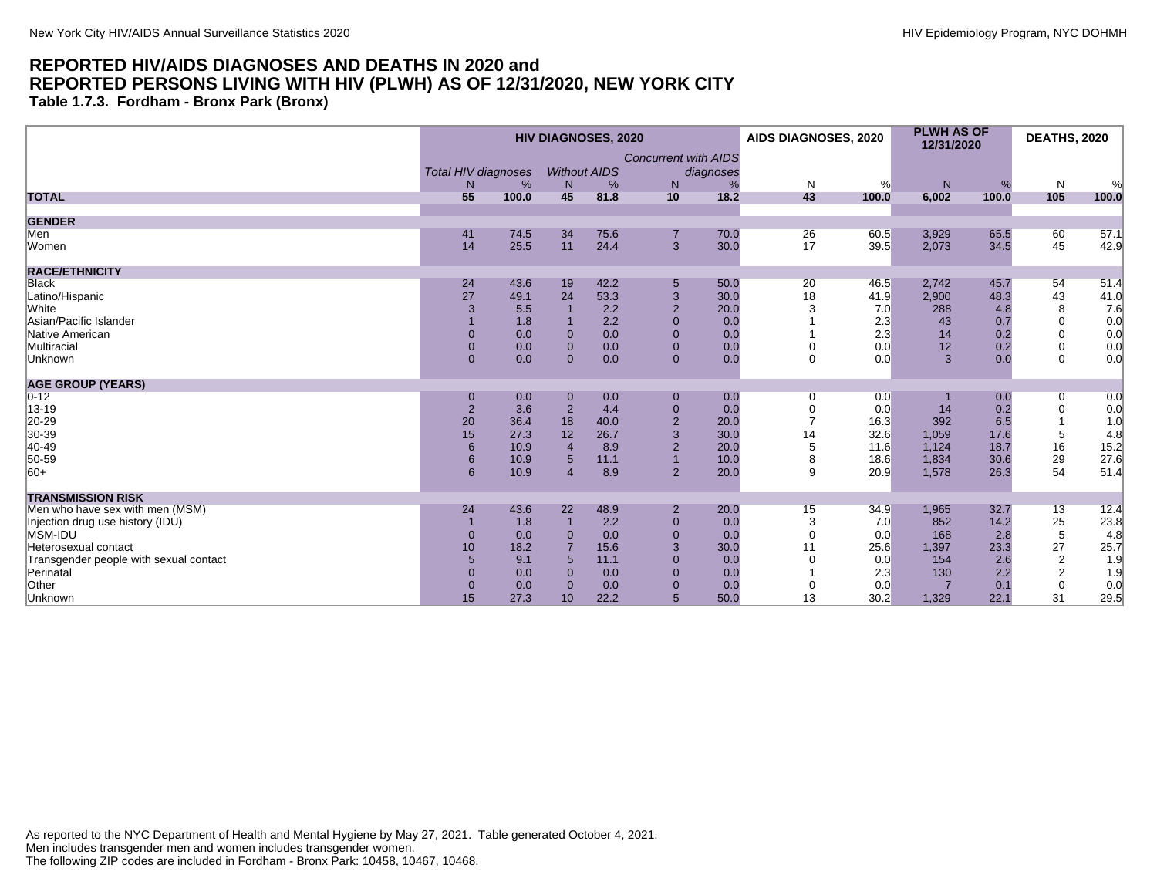**Table 1.7.3. Fordham - Bronx Park (Bronx)**

|                                        | <b>HIV DIAGNOSES, 2020</b> |       |                     |      |                             |           | AIDS DIAGNOSES, 2020 |       | <b>PLWH AS OF</b><br>12/31/2020 |       | <b>DEATHS, 2020</b> |       |
|----------------------------------------|----------------------------|-------|---------------------|------|-----------------------------|-----------|----------------------|-------|---------------------------------|-------|---------------------|-------|
|                                        |                            |       |                     |      | <b>Concurrent with AIDS</b> |           |                      |       |                                 |       |                     |       |
|                                        | <b>Total HIV diagnoses</b> |       | <b>Without AIDS</b> |      |                             | diagnoses |                      |       |                                 |       |                     |       |
|                                        | N                          | %     | N                   | %    | N                           | %         | $\mathsf{N}$         | %     | N                               | %     | N                   | %     |
| <b>TOTAL</b>                           | 55                         | 100.0 | 45                  | 81.8 | 10                          | 18.2      | 43                   | 100.0 | 6,002                           | 100.0 | 105                 | 100.0 |
| <b>GENDER</b>                          |                            |       |                     |      |                             |           |                      |       |                                 |       |                     |       |
| Men                                    | 41                         | 74.5  | 34                  | 75.6 | $\overline{7}$              | 70.0      | 26                   | 60.5  | 3,929                           | 65.5  | 60                  | 57.1  |
| Women                                  | 14                         | 25.5  | 11                  | 24.4 | 3                           | 30.0      | 17                   | 39.5  | 2,073                           | 34.5  | 45                  | 42.9  |
| <b>RACE/ETHNICITY</b>                  |                            |       |                     |      |                             |           |                      |       |                                 |       |                     |       |
| <b>Black</b>                           | 24                         | 43.6  | 19                  | 42.2 | 5                           | 50.0      | 20                   | 46.5  | 2,742                           | 45.7  | 54                  | 51.4  |
| Latino/Hispanic                        | 27                         | 49.1  | 24                  | 53.3 | 3                           | 30.0      | 18                   | 41.9  | 2,900                           | 48.3  | 43                  | 41.0  |
| White                                  | 3                          | 5.5   |                     | 2.2  | $\overline{2}$              | 20.0      |                      | 7.0   | 288                             | 4.8   | 8                   | 7.6   |
| Asian/Pacific Islander                 |                            | 1.8   |                     | 2.2  | $\Omega$                    | 0.0       |                      | 2.3   | 43                              | 0.7   | $\Omega$            | 0.0   |
| Native American                        | $\Omega$                   | 0.0   | $\Omega$            | 0.0  | $\mathbf{0}$                | 0.0       |                      | 2.3   | 14                              | 0.2   | $\mathbf 0$         | 0.0   |
| Multiracial                            | $\Omega$                   | 0.0   | $\Omega$            | 0.0  | $\mathbf{0}$                | 0.0       |                      | 0.0   | 12                              | 0.2   | 0                   | 0.0   |
| Unknown                                | $\mathbf{0}$               | 0.0   | $\Omega$            | 0.0  | $\mathbf{0}$                | 0.0       | 0                    | 0.0   | 3                               | 0.0   | $\mathbf 0$         | 0.0   |
| <b>AGE GROUP (YEARS)</b>               |                            |       |                     |      |                             |           |                      |       |                                 |       |                     |       |
| $0 - 12$                               | $\mathbf 0$                | 0.0   | $\mathbf 0$         | 0.0  | $\pmb{0}$                   | 0.0       | 0                    | 0.0   |                                 | 0.0   | 0                   | 0.0   |
| 13-19                                  | $\overline{2}$             | 3.6   | $\overline{2}$      | 4.4  | $\mathbf{0}$                | 0.0       |                      | 0.0   | 14                              | 0.2   | $\mathbf 0$         | 0.0   |
| 20-29                                  | 20                         | 36.4  | 18                  | 40.0 | $\overline{2}$              | 20.0      |                      | 16.3  | 392                             | 6.5   |                     | 1.0   |
| 30-39                                  | 15                         | 27.3  | 12                  | 26.7 |                             | 30.0      | 14                   | 32.6  | 1,059                           | 17.6  | 5                   | 4.8   |
| 40-49                                  |                            | 10.9  | $\overline{4}$      | 8.9  | $\overline{2}$              | 20.0      | 5                    | 11.6  | 1,124                           | 18.7  | 16                  | 15.2  |
| 50-59                                  |                            | 10.9  | 5                   | 11.1 |                             | 10.0      | 8                    | 18.6  | 1,834                           | 30.6  | 29                  | 27.6  |
| $ 60+$                                 | 6                          | 10.9  | $\overline{4}$      | 8.9  | $\overline{2}$              | 20.0      | 9                    | 20.9  | 1,578                           | 26.3  | 54                  | 51.4  |
| <b>TRANSMISSION RISK</b>               |                            |       |                     |      |                             |           |                      |       |                                 |       |                     |       |
| Men who have sex with men (MSM)        | 24                         | 43.6  | 22                  | 48.9 | $\overline{2}$              | 20.0      | 15                   | 34.9  | 1,965                           | 32.7  | 13                  | 12.4  |
| Injection drug use history (IDU)       |                            | 1.8   |                     | 2.2  | $\mathbf{0}$                | 0.0       | 3                    | 7.0   | 852                             | 14.2  | 25                  | 23.8  |
| MSM-IDU                                | $\Omega$                   | 0.0   | $\Omega$            | 0.0  | $\Omega$                    | 0.0       | $\Omega$             | 0.0   | 168                             | 2.8   | $\overline{5}$      | 4.8   |
| Heterosexual contact                   | 10                         | 18.2  |                     | 15.6 | 3                           | 30.0      | 11                   | 25.6  | 1,397                           | 23.3  | 27                  | 25.7  |
| Transgender people with sexual contact | $5\phantom{1}$             | 9.1   | 5                   | 11.1 | $\mathbf{0}$                | 0.0       |                      | 0.0   | 154                             | 2.6   | $\overline{c}$      | 1.9   |
| Perinatal                              | $\Omega$                   | 0.0   | $\Omega$            | 0.0  | $\Omega$                    | 0.0       |                      | 2.3   | 130                             | 2.2   | $\sqrt{2}$          | 1.9   |
| Other                                  | $\mathbf 0$                | 0.0   | $\Omega$            | 0.0  | $\mathbf{0}$                | 0.0       | 0                    | 0.0   |                                 | 0.1   | $\mathbf 0$         | 0.0   |
| Unknown                                | 15                         | 27.3  | 10                  | 22.2 | 5                           | 50.0      | 13                   | 30.2  | 1,329                           | 22.1  | 31                  | 29.5  |

As reported to the NYC Department of Health and Mental Hygiene by May 27, 2021. Table generated October 4, 2021. Men includes transgender men and women includes transgender women. The following ZIP codes are included in Fordham - Bronx Park: 10458, 10467, 10468.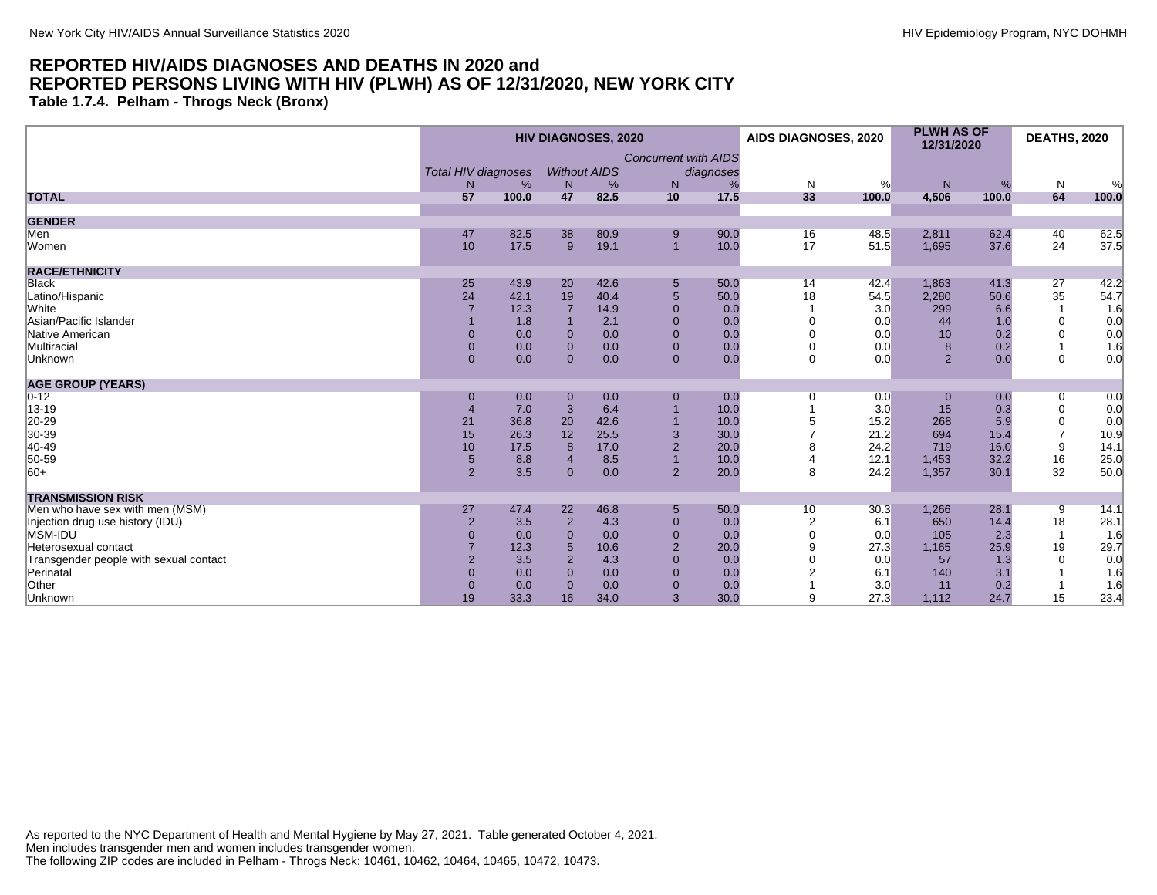**Table 1.7.4. Pelham - Throgs Neck (Bronx)**

|                                        |                            |       |                | <b>HIV DIAGNOSES, 2020</b> |                             |           | AIDS DIAGNOSES, 2020 |       | <b>PLWH AS OF</b><br>12/31/2020 |       | <b>DEATHS, 2020</b> |       |
|----------------------------------------|----------------------------|-------|----------------|----------------------------|-----------------------------|-----------|----------------------|-------|---------------------------------|-------|---------------------|-------|
|                                        |                            |       |                |                            | <b>Concurrent with AIDS</b> |           |                      |       |                                 |       |                     |       |
|                                        | <b>Total HIV diagnoses</b> |       |                | <b>Without AIDS</b>        |                             | diagnoses |                      |       |                                 |       |                     |       |
|                                        | N                          | %     | N              | %                          | N                           | %         | $\mathsf{N}$         | %     | ${\sf N}$                       | %     | $\mathsf{N}$        | %     |
| <b>TOTAL</b>                           | 57                         | 100.0 | 47             | 82.5                       | 10                          | 17.5      | 33                   | 100.0 | 4,506                           | 100.0 | 64                  | 100.0 |
| <b>GENDER</b>                          |                            |       |                |                            |                             |           |                      |       |                                 |       |                     |       |
| Men                                    | 47                         | 82.5  | 38             | 80.9                       | 9                           | 90.0      | 16                   | 48.5  | 2,811                           | 62.4  | 40                  | 62.5  |
| Women                                  | 10                         | 17.5  | 9              | 19.1                       | $\overline{1}$              | 10.0      | 17                   | 51.5  | 1,695                           | 37.6  | 24                  | 37.5  |
| <b>RACE/ETHNICITY</b>                  |                            |       |                |                            |                             |           |                      |       |                                 |       |                     |       |
| <b>Black</b>                           | 25                         | 43.9  | 20             | 42.6                       | 5                           | 50.0      | 14                   | 42.4  | 1,863                           | 41.3  | 27                  | 42.2  |
| Latino/Hispanic                        | 24                         | 42.1  | 19             | 40.4                       | 5                           | 50.0      | 18                   | 54.5  | 2,280                           | 50.6  | 35                  | 54.7  |
| <b>White</b>                           |                            | 12.3  |                | 14.9                       | $\Omega$                    | 0.0       |                      | 3.0   | 299                             | 6.6   | $\mathbf{1}$        | 1.6   |
| Asian/Pacific Islander                 |                            | 1.8   |                | 2.1                        | $\Omega$                    | 0.0       |                      | 0.0   | 44                              | 1.0   | $\mathbf 0$         | 0.0   |
| Native American                        | $\Omega$                   | 0.0   | $\Omega$       | 0.0                        | $\mathbf{0}$                | 0.0       |                      | 0.0   | 10                              | 0.2   | $\Omega$            | 0.0   |
| Multiracial                            | $\Omega$                   | 0.0   | $\Omega$       | 0.0                        | $\mathbf{0}$                | 0.0       |                      | 0.0   | 8                               | 0.2   | 1                   | 1.6   |
| Unknown                                | $\mathbf{0}$               | 0.0   | $\Omega$       | 0.0                        | $\mathbf{0}$                | 0.0       | $\Omega$             | 0.0   | $\overline{2}$                  | 0.0   | $\mathbf 0$         | 0.0   |
| <b>AGE GROUP (YEARS)</b>               |                            |       |                |                            |                             |           |                      |       |                                 |       |                     |       |
| $ 0-12 $                               | $\mathbf 0$                | 0.0   | $\mathbf 0$    | 0.0                        | $\mathbf{0}$                | 0.0       | 0                    | 0.0   | $\mathbf 0$                     | 0.0   | 0                   | 0.0   |
| 13-19                                  |                            | 7.0   | 3              | 6.4                        |                             | 10.0      |                      | 3.0   | 15                              | 0.3   | $\mathbf 0$         | 0.0   |
| 20-29                                  | 21                         | 36.8  | 20             | 42.6                       |                             | 10.0      | 5                    | 15.2  | 268                             | 5.9   | 0                   | 0.0   |
| 30-39                                  | 15                         | 26.3  | 12             | 25.5                       | 3                           | 30.0      |                      | 21.2  | 694                             | 15.4  | $\overline{7}$      | 10.9  |
| 40-49                                  | 10                         | 17.5  | 8              | 17.0                       | $\overline{2}$              | 20.0      |                      | 24.2  | 719                             | 16.0  | 9                   | 14.1  |
| 50-59                                  | $\overline{5}$             | 8.8   | $\overline{4}$ | 8.5                        |                             | 10.0      |                      | 12.1  | 1,453                           | 32.2  | 16                  | 25.0  |
| $ 60+$                                 | 2                          | 3.5   | $\mathbf{0}$   | 0.0                        | $\overline{2}$              | 20.0      | 8                    | 24.2  | 1,357                           | 30.1  | 32                  | 50.0  |
| <b>TRANSMISSION RISK</b>               |                            |       |                |                            |                             |           |                      |       |                                 |       |                     |       |
| Men who have sex with men (MSM)        | 27                         | 47.4  | 22             | 46.8                       | 5                           | 50.0      | 10                   | 30.3  | 1,266                           | 28.1  | 9                   | 14.1  |
| Injection drug use history (IDU)       | $\overline{2}$             | 3.5   | $\overline{2}$ | 4.3                        | $\mathbf{0}$                | 0.0       | $\overline{2}$       | 6.1   | 650                             | 14.4  | 18                  | 28.1  |
| MSM-IDU                                | $\mathbf{0}$               | 0.0   | $\Omega$       | 0.0                        | $\mathbf{0}$                | 0.0       | $\Omega$             | 0.0   | 105                             | 2.3   | $\mathbf{1}$        | 1.6   |
| Heterosexual contact                   |                            | 12.3  | 5              | 10.6                       | $\overline{2}$              | 20.0      |                      | 27.3  | 1,165                           | 25.9  | 19                  | 29.7  |
| Transgender people with sexual contact | $\overline{2}$             | 3.5   | $\overline{2}$ | 4.3                        | $\Omega$                    | 0.0       |                      | 0.0   | 57                              | 1.3   | $\Omega$            | 0.0   |
| Perinatal                              | $\Omega$                   | 0.0   | $\Omega$       | 0.0                        | $\Omega$                    | 0.0       |                      | 6.1   | 140                             | 3.1   |                     | 1.6   |
| Other                                  | $\mathbf{0}$               | 0.0   | $\Omega$       | 0.0                        | $\mathbf{0}$                | 0.0       |                      | 3.0   | 11                              | 0.2   | $\mathbf 1$         | 1.6   |
| Unknown                                | 19                         | 33.3  | 16             | 34.0                       | 3                           | 30.0      | 9                    | 27.3  | 1,112                           | 24.7  | 15                  | 23.4  |

As reported to the NYC Department of Health and Mental Hygiene by May 27, 2021. Table generated October 4, 2021. Men includes transgender men and women includes transgender women. The following ZIP codes are included in Pelham - Throgs Neck: 10461, 10462, 10464, 10465, 10472, 10473.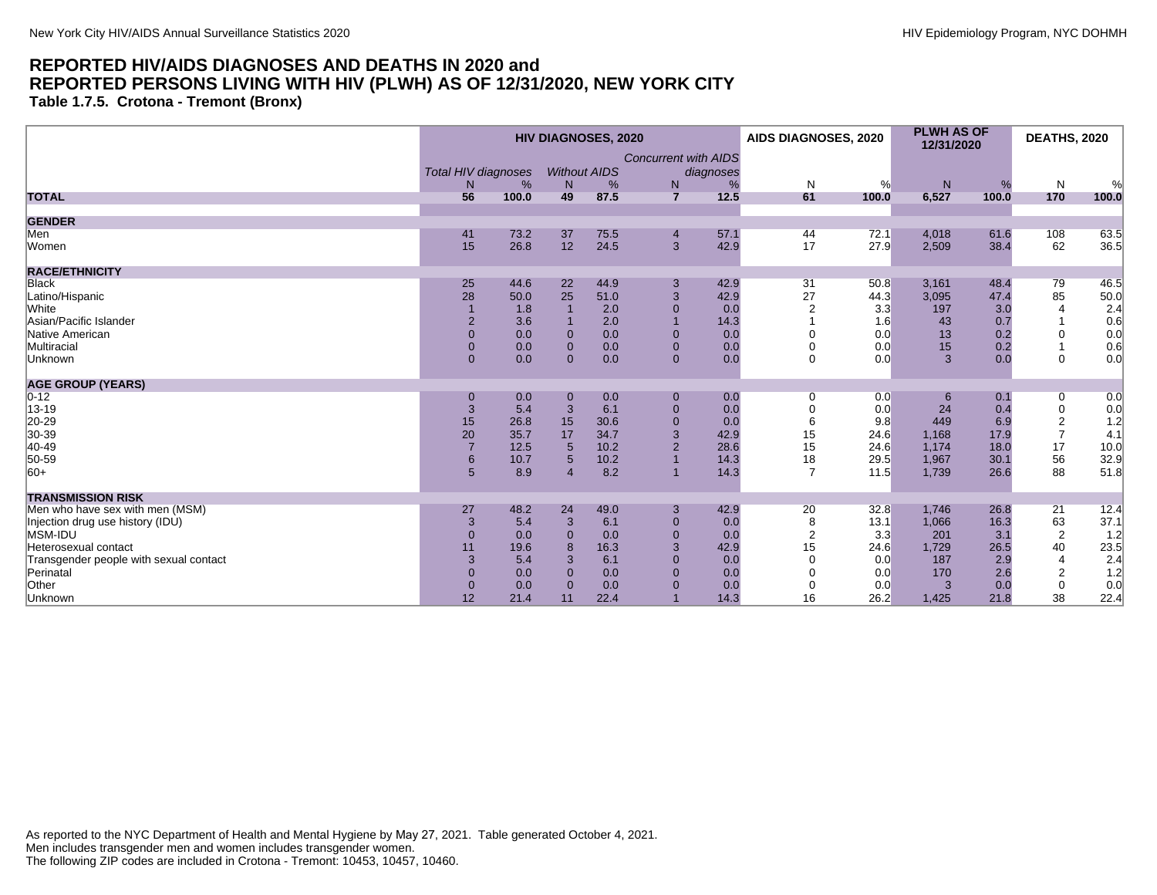**Table 1.7.5. Crotona - Tremont (Bronx)**

|                                        |                            |       |                | <b>HIV DIAGNOSES, 2020</b> |                             |           | AIDS DIAGNOSES, 2020 |       | <b>PLWH AS OF</b><br>12/31/2020 |       | <b>DEATHS, 2020</b> |       |
|----------------------------------------|----------------------------|-------|----------------|----------------------------|-----------------------------|-----------|----------------------|-------|---------------------------------|-------|---------------------|-------|
|                                        |                            |       |                |                            | <b>Concurrent with AIDS</b> |           |                      |       |                                 |       |                     |       |
|                                        | <b>Total HIV diagnoses</b> |       |                | <b>Without AIDS</b>        |                             | diagnoses |                      |       |                                 |       |                     |       |
|                                        | N                          | %     | N              | %                          | ${\sf N}$                   |           | $\mathsf{N}$         | %     | ${\sf N}$                       | %     | N                   | %     |
| <b>TOTAL</b>                           | 56                         | 100.0 | 49             | 87.5                       | $\overline{7}$              | 12.5      | 61                   | 100.0 | 6,527                           | 100.0 | 170                 | 100.0 |
| <b>GENDER</b>                          |                            |       |                |                            |                             |           |                      |       |                                 |       |                     |       |
| Men                                    | 41                         | 73.2  | 37             | 75.5                       | $\overline{4}$              | 57.1      | 44                   | 72.1  | 4,018                           | 61.6  | 108                 | 63.5  |
| Women                                  | 15                         | 26.8  | 12             | 24.5                       | 3                           | 42.9      | 17                   | 27.9  | 2,509                           | 38.4  | 62                  | 36.5  |
| <b>RACE/ETHNICITY</b>                  |                            |       |                |                            |                             |           |                      |       |                                 |       |                     |       |
| <b>Black</b>                           | 25                         | 44.6  | 22             | 44.9                       | $\mathbf{3}$                | 42.9      | 31                   | 50.8  | 3,161                           | 48.4  | 79                  | 46.5  |
| Latino/Hispanic                        | 28                         | 50.0  | 25             | 51.0                       | 3                           | 42.9      | 27                   | 44.3  | 3,095                           | 47.4  | 85                  | 50.0  |
| White                                  |                            | 1.8   |                | 2.0                        | $\mathbf{0}$                | 0.0       |                      | 3.3   | 197                             | 3.0   | $\overline{4}$      | 2.4   |
| Asian/Pacific Islander                 | $\overline{2}$             | 3.6   |                | 2.0                        |                             | 14.3      |                      | 1.6   | 43                              | 0.7   |                     | 0.6   |
| Native American                        | $\mathbf{0}$               | 0.0   | $\mathbf{0}$   | 0.0                        | $\mathbf{0}$                | 0.0       |                      | 0.0   | 13                              | 0.2   | $\mathbf 0$         | 0.0   |
| Multiracial                            | $\mathbf{0}$               | 0.0   | $\mathbf 0$    | 0.0                        | $\mathbf{0}$                | 0.0       |                      | 0.0   | 15                              | 0.2   |                     | 0.6   |
| Unknown                                | $\overline{0}$             | 0.0   | $\Omega$       | 0.0                        | $\mathbf{0}$                | 0.0       | $\mathbf 0$          | 0.0   | $\overline{3}$                  | 0.0   | $\mathbf 0$         | 0.0   |
| <b>AGE GROUP (YEARS)</b>               |                            |       |                |                            |                             |           |                      |       |                                 |       |                     |       |
| $0 - 12$                               | $\mathbf 0$                | 0.0   | $\mathbf 0$    | 0.0                        | $\boldsymbol{0}$            | 0.0       | 0                    | 0.0   | 6                               | 0.1   | 0                   | 0.0   |
| 13-19                                  | 3                          | 5.4   | 3              | 6.1                        | $\mathbf{0}$                | 0.0       |                      | 0.0   | 24                              | 0.4   | 0                   | 0.0   |
| 20-29<br>30-39                         | 15                         | 26.8  | 15             | 30.6                       | $\mathbf{0}$                | 0.0       |                      | 9.8   | 449                             | 6.9   | 2                   | 1.2   |
|                                        | 20                         | 35.7  | 17             | 34.7                       | 3                           | 42.9      | 15                   | 24.6  | 1,168                           | 17.9  | $\overline{7}$      | 4.1   |
| 40-49                                  |                            | 12.5  | 5              | 10.2                       |                             | 28.6      | 15                   | 24.6  | 1,174                           | 18.0  | 17                  | 10.0  |
| 50-59                                  | 6                          | 10.7  | 5              | 10.2                       |                             | 14.3      | 18                   | 29.5  | 1,967                           | 30.1  | 56                  | 32.9  |
| $ 60+$                                 | 5 <sup>5</sup>             | 8.9   | $\overline{A}$ | 8.2                        |                             | 14.3      | $\overline{7}$       | 11.5  | 1,739                           | 26.6  | 88                  | 51.8  |
| <b>TRANSMISSION RISK</b>               |                            |       |                |                            |                             |           |                      |       |                                 |       |                     |       |
| Men who have sex with men (MSM)        | 27                         | 48.2  | 24             | 49.0                       | 3                           | 42.9      | 20                   | 32.8  | 1,746                           | 26.8  | 21                  | 12.4  |
| Injection drug use history (IDU)       | 3                          | 5.4   | 3              | 6.1                        | $\mathbf{0}$                | 0.0       | 8                    | 13.1  | 1,066                           | 16.3  | 63                  | 37.1  |
| MSM-IDU                                | $\Omega$                   | 0.0   | $\Omega$       | 0.0                        | $\Omega$                    | 0.0       | $\overline{2}$       | 3.3   | 201                             | 3.1   | $\overline{2}$      | 1.2   |
| Heterosexual contact                   | 11                         | 19.6  | $\mathbf{8}$   | 16.3                       | 3                           | 42.9      | 15                   | 24.6  | 1,729                           | 26.5  | 40                  | 23.5  |
| Transgender people with sexual contact | 3                          | 5.4   | 3              | 6.1                        | $\mathbf{0}$                | 0.0       | $\Omega$             | 0.0   | 187                             | 2.9   | $\overline{4}$      | 2.4   |
| Perinatal                              | $\Omega$                   | 0.0   | $\Omega$       | 0.0                        | $\Omega$                    | 0.0       |                      | 0.0   | 170                             | 2.6   | $\overline{c}$      | 1.2   |
| Other                                  | $\mathbf{0}$               | 0.0   | $\Omega$       | 0.0                        | $\Omega$                    | 0.0       | 0                    | 0.0   | 3                               | 0.0   | $\mathbf 0$         | 0.0   |
| Unknown                                | 12                         | 21.4  | 11             | 22.4                       |                             | 14.3      | 16                   | 26.2  | 1,425                           | 21.8  | 38                  | 22.4  |
|                                        |                            |       |                |                            |                             |           |                      |       |                                 |       |                     |       |

As reported to the NYC Department of Health and Mental Hygiene by May 27, 2021. Table generated October 4, 2021. Men includes transgender men and women includes transgender women. The following ZIP codes are included in Crotona - Tremont: 10453, 10457, 10460.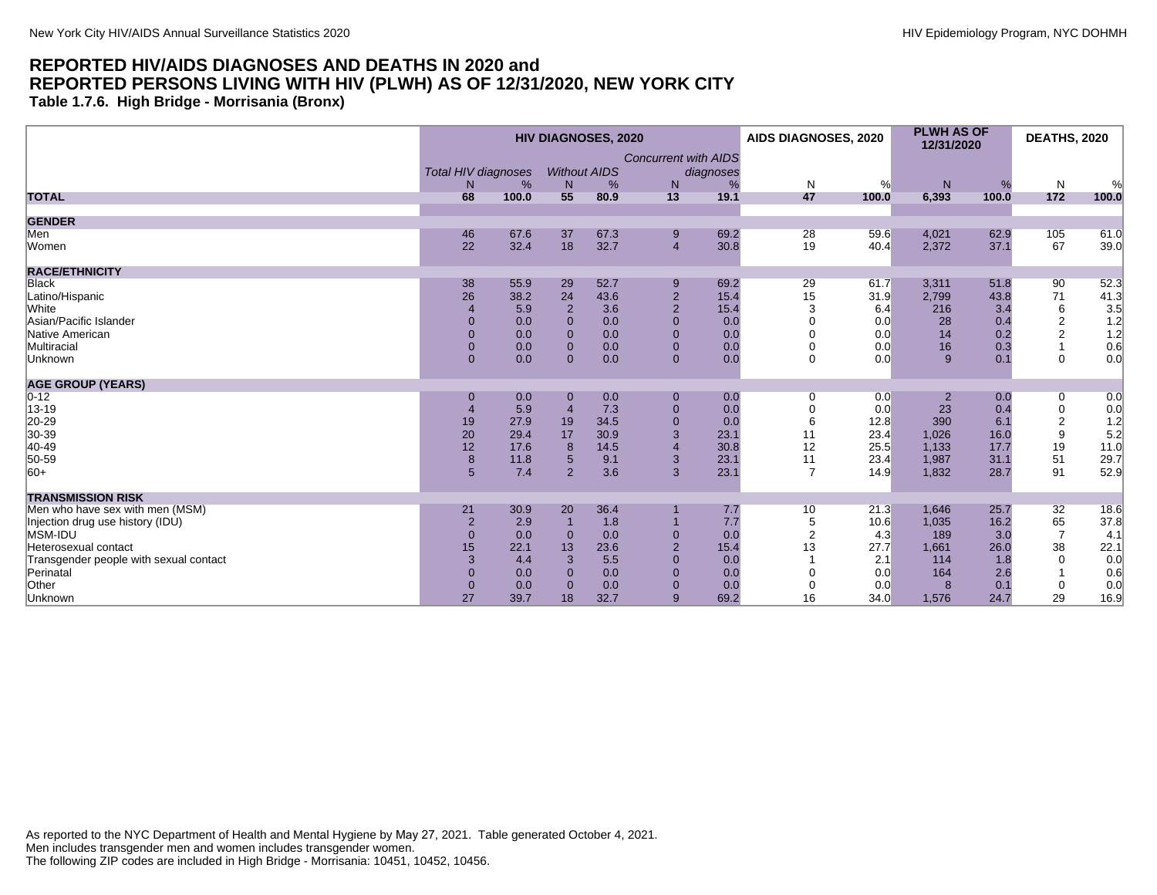**Table 1.7.6. High Bridge - Morrisania (Bronx)**

|                                        |                            |       |                     | <b>HIV DIAGNOSES, 2020</b> |                             |           | AIDS DIAGNOSES, 2020 |       | <b>PLWH AS OF</b><br>12/31/2020 |       | <b>DEATHS, 2020</b> |       |
|----------------------------------------|----------------------------|-------|---------------------|----------------------------|-----------------------------|-----------|----------------------|-------|---------------------------------|-------|---------------------|-------|
|                                        |                            |       |                     |                            | <b>Concurrent with AIDS</b> |           |                      |       |                                 |       |                     |       |
|                                        | <b>Total HIV diagnoses</b> |       | <b>Without AIDS</b> |                            |                             | diagnoses |                      |       |                                 |       |                     |       |
|                                        | N                          | %     | N                   | %                          | N                           | %         | $\mathsf{N}$         | %     | ${\sf N}$                       | %     | N                   | %     |
| <b>TOTAL</b>                           | 68                         | 100.0 | 55                  | 80.9                       | 13                          | 19.1      | 47                   | 100.0 | 6,393                           | 100.0 | 172                 | 100.0 |
| <b>GENDER</b>                          |                            |       |                     |                            |                             |           |                      |       |                                 |       |                     |       |
| Men                                    | 46                         | 67.6  | 37                  | 67.3                       | 9                           | 69.2      | 28                   | 59.6  | 4,021                           | 62.9  | 105                 | 61.0  |
| Women                                  | 22                         | 32.4  | 18                  | 32.7                       | $\overline{4}$              | 30.8      | 19                   | 40.4  | 2,372                           | 37.1  | 67                  | 39.0  |
| <b>RACE/ETHNICITY</b>                  |                            |       |                     |                            |                             |           |                      |       |                                 |       |                     |       |
| <b>Black</b>                           | 38                         | 55.9  | 29                  | 52.7                       | 9                           | 69.2      | 29                   | 61.7  | 3,311                           | 51.8  | 90                  | 52.3  |
| Latino/Hispanic                        | 26                         | 38.2  | 24                  | 43.6                       | $\overline{2}$              | 15.4      | 15                   | 31.9  | 2,799                           | 43.8  | 71                  | 41.3  |
| White                                  |                            | 5.9   | $\overline{2}$      | 3.6                        | $\overline{2}$              | 15.4      | 3                    | 6.4   | 216                             | 3.4   | 6                   | 3.5   |
| Asian/Pacific Islander                 |                            | 0.0   | $\Omega$            | 0.0                        | $\mathbf{0}$                | 0.0       |                      | 0.0   | 28                              | 0.4   | $\overline{c}$      | 1.2   |
| Native American                        | $\Omega$                   | 0.0   | $\Omega$            | 0.0                        | $\mathbf{0}$                | 0.0       |                      | 0.0   | 14                              | 0.2   | $\overline{2}$      | 1.2   |
| Multiracial                            | $\Omega$                   | 0.0   | $\Omega$            | 0.0                        | $\mathbf{0}$                | 0.0       |                      | 0.0   | 16                              | 0.3   |                     | 0.6   |
| Unknown                                | $\mathbf{0}$               | 0.0   | $\Omega$            | 0.0                        | $\mathbf{0}$                | 0.0       | $\Omega$             | 0.0   | 9                               | 0.1   | $\mathbf 0$         | 0.0   |
| <b>AGE GROUP (YEARS)</b>               |                            |       |                     |                            |                             |           |                      |       |                                 |       |                     |       |
| $ 0-12 $                               | $\mathbf 0$                | 0.0   | $\mathbf{0}$        | 0.0                        | $\mathbf{0}$                | 0.0       | 0                    | 0.0   | $\overline{2}$                  | 0.0   | 0                   | 0.0   |
| 13-19                                  |                            | 5.9   | $\overline{4}$      | 7.3                        | $\mathbf{0}$                | 0.0       |                      | 0.0   | 23                              | 0.4   | 0                   | 0.0   |
| 20-29                                  | 19                         | 27.9  | 19                  | 34.5                       | $\overline{0}$              | 0.0       | 6                    | 12.8  | 390                             | 6.1   | 2                   | 1.2   |
| 30-39                                  | 20                         | 29.4  | 17                  | 30.9                       | 3                           | 23.1      | 11                   | 23.4  | 1,026                           | 16.0  | 9                   | 5.2   |
| 40-49                                  | 12                         | 17.6  | 8                   | 14.5                       |                             | 30.8      | 12                   | 25.5  | 1,133                           | 17.7  | 19                  | 11.0  |
| 50-59                                  | 8                          | 11.8  | 5                   | 9.1                        | 3                           | 23.1      | 11                   | 23.4  | 1,987                           | 31.1  | 51                  | 29.7  |
| $ 60+$                                 | 5                          | 7.4   | 2                   | 3.6                        | 3                           | 23.1      | $\overline{7}$       | 14.9  | 1,832                           | 28.7  | 91                  | 52.9  |
| <b>TRANSMISSION RISK</b>               |                            |       |                     |                            |                             |           |                      |       |                                 |       |                     |       |
| Men who have sex with men (MSM)        | 21                         | 30.9  | 20                  | 36.4                       |                             | 7.7       | 10                   | 21.3  | 1,646                           | 25.7  | 32                  | 18.6  |
| Injection drug use history (IDU)       | $\overline{2}$             | 2.9   |                     | 1.8                        |                             | 7.7       | 5                    | 10.6  | 1,035                           | 16.2  | 65                  | 37.8  |
| MSM-IDU                                | $\mathbf{0}$               | 0.0   | $\Omega$            | 0.0                        | $\mathbf{0}$                | 0.0       |                      | 4.3   | 189                             | 3.0   | $\overline{7}$      | 4.1   |
| Heterosexual contact                   | 15                         | 22.1  | 13                  | 23.6                       | $\overline{2}$              | 15.4      | 13                   | 27.7  | 1,661                           | 26.0  | 38                  | 22.1  |
| Transgender people with sexual contact | 3                          | 4.4   | 3                   | 5.5                        | $\Omega$                    | 0.0       |                      | 2.1   | 114                             | 1.8   | $\Omega$            | 0.0   |
| Perinatal                              | $\Omega$                   | 0.0   | $\Omega$            | 0.0                        | $\Omega$                    | 0.0       |                      | 0.0   | 164                             | 2.6   |                     | 0.6   |
| Other                                  | $\mathbf{0}$               | 0.0   | $\Omega$            | 0.0                        | $\mathbf{0}$                | 0.0       | 0                    | 0.0   | 8                               | 0.1   | $\mathbf 0$         | 0.0   |
| Unknown                                | 27                         | 39.7  | 18                  | 32.7                       | 9                           | 69.2      | 16                   | 34.0  | 1,576                           | 24.7  | 29                  | 16.9  |

As reported to the NYC Department of Health and Mental Hygiene by May 27, 2021. Table generated October 4, 2021. Men includes transgender men and women includes transgender women. The following ZIP codes are included in High Bridge - Morrisania: 10451, 10452, 10456.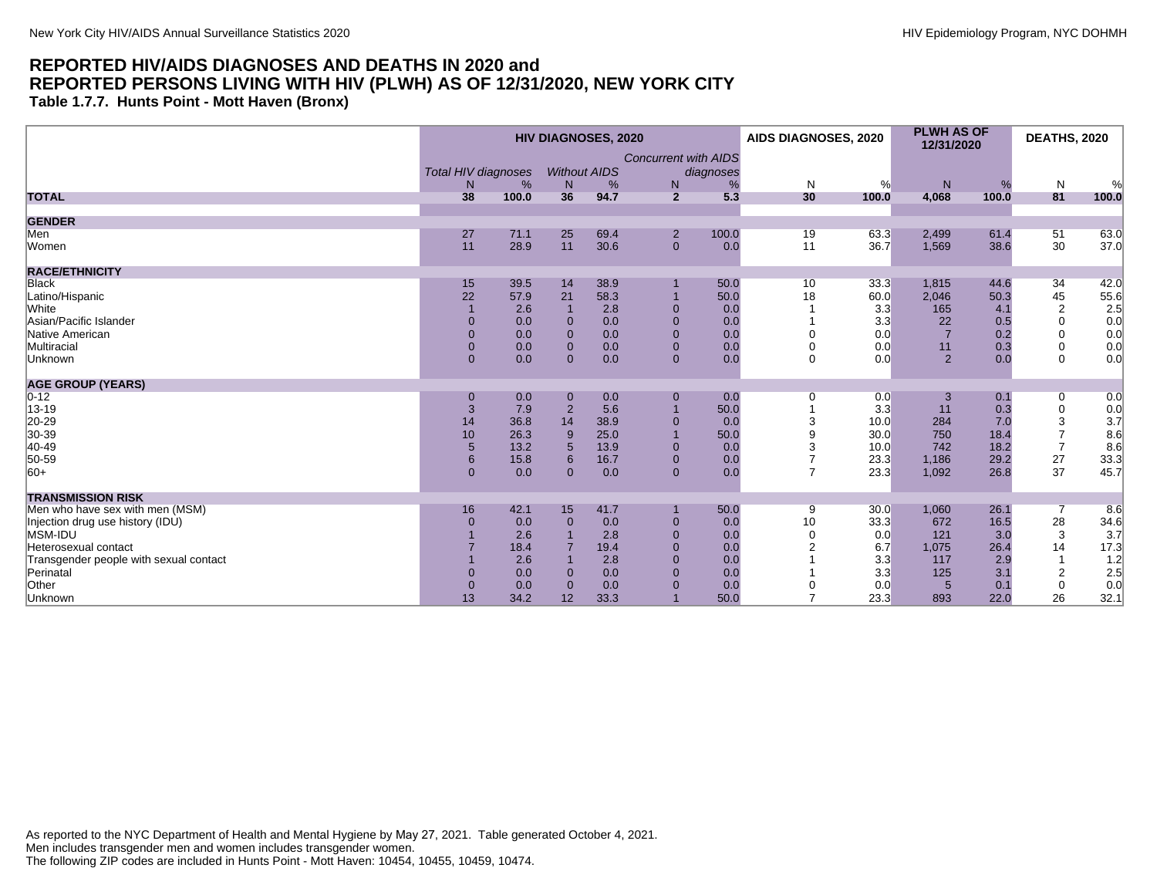**Table 1.7.7. Hunts Point - Mott Haven (Bronx)**

|                                        |                            |       |                | <b>HIV DIAGNOSES, 2020</b> |                             |           | AIDS DIAGNOSES, 2020 |       | <b>PLWH AS OF</b><br>12/31/2020 |       | <b>DEATHS, 2020</b> |       |
|----------------------------------------|----------------------------|-------|----------------|----------------------------|-----------------------------|-----------|----------------------|-------|---------------------------------|-------|---------------------|-------|
|                                        |                            |       |                |                            | <b>Concurrent with AIDS</b> |           |                      |       |                                 |       |                     |       |
|                                        | <b>Total HIV diagnoses</b> |       |                | <b>Without AIDS</b>        |                             | diagnoses |                      |       |                                 |       |                     |       |
|                                        | N                          | %     | N              | %                          | ${\sf N}$                   | %         | $\mathsf{N}$         | %     | ${\sf N}$                       | %     | N                   | %     |
| <b>TOTAL</b>                           | 38                         | 100.0 | 36             | 94.7                       | $\overline{2}$              | 5.3       | 30                   | 100.0 | 4,068                           | 100.0 | 81                  | 100.0 |
| <b>GENDER</b>                          |                            |       |                |                            |                             |           |                      |       |                                 |       |                     |       |
| Men                                    | 27                         | 71.1  | 25             | 69.4                       | $\overline{2}$              | 100.0     | 19                   | 63.3  | 2,499                           | 61.4  | 51                  | 63.0  |
| Women                                  | 11                         | 28.9  | 11             | 30.6                       | $\mathbf{0}$                | 0.0       | 11                   | 36.7  | 1,569                           | 38.6  | 30                  | 37.0  |
| <b>RACE/ETHNICITY</b>                  |                            |       |                |                            |                             |           |                      |       |                                 |       |                     |       |
| <b>Black</b>                           | 15                         | 39.5  | 14             | 38.9                       |                             | 50.0      | 10                   | 33.3  | 1,815                           | 44.6  | 34                  | 42.0  |
| Latino/Hispanic                        | 22                         | 57.9  | 21             | 58.3                       |                             | 50.0      | 18                   | 60.0  | 2,046                           | 50.3  | 45                  | 55.6  |
| White                                  |                            | 2.6   |                | 2.8                        | $\Omega$                    | 0.0       |                      | 3.3   | 165                             | 4.1   | $\overline{2}$      | 2.5   |
| Asian/Pacific Islander                 | $\Omega$                   | 0.0   | $\Omega$       | 0.0                        | $\mathbf{0}$                | 0.0       |                      | 3.3   | 22                              | 0.5   | $\mathbf 0$         | 0.0   |
| Native American                        | $\Omega$                   | 0.0   | $\Omega$       | 0.0                        | $\mathbf{0}$                | 0.0       |                      | 0.0   |                                 | 0.2   | $\Omega$            | 0.0   |
| Multiracial                            | $\mathbf{0}$               | 0.0   | $\mathbf{0}$   | 0.0                        | $\mathbf{0}$                | 0.0       |                      | 0.0   | 11                              | 0.3   | $\mathbf 0$         | 0.0   |
| Unknown                                | $\overline{0}$             | 0.0   | $\Omega$       | 0.0                        | $\mathbf{0}$                | 0.0       | $\Omega$             | 0.0   | 2                               | 0.0   | $\Omega$            | 0.0   |
| <b>AGE GROUP (YEARS)</b>               |                            |       |                |                            |                             |           |                      |       |                                 |       |                     |       |
| $ 0-12 $                               | $\mathbf 0$                | 0.0   | $\mathbf 0$    | 0.0                        | $\boldsymbol{0}$            | 0.0       | 0                    | 0.0   |                                 | 0.1   | 0                   | 0.0   |
| 13-19                                  | 3                          | 7.9   | $\overline{2}$ | 5.6                        |                             | 50.0      |                      | 3.3   | 11                              | 0.3   | $\mathbf 0$         | 0.0   |
| 20-29<br>30-39                         | 14                         | 36.8  | 14             | 38.9                       | $\Omega$                    | 0.0       | 3                    | 10.0  | 284                             | 7.0   | 3                   | 3.7   |
|                                        | 10                         | 26.3  | 9              | 25.0                       |                             | 50.0      | 9                    | 30.0  | 750                             | 18.4  | $\overline{7}$      | 8.6   |
| 40-49                                  | $\sqrt{5}$                 | 13.2  | 5              | 13.9                       |                             | 0.0       | 3                    | 10.0  | 742                             | 18.2  | $\overline{7}$      | 8.6   |
| 50-59                                  | 6                          | 15.8  | 6              | 16.7                       | $\mathbf{0}$                | 0.0       | $\overline{7}$       | 23.3  | 1,186                           | 29.2  | 27                  | 33.3  |
| $ 60+$                                 | $\overline{0}$             | 0.0   | $\mathbf{0}$   | 0.0                        | $\mathbf{0}$                | 0.0       | $\overline{7}$       | 23.3  | 1,092                           | 26.8  | 37                  | 45.7  |
| <b>TRANSMISSION RISK</b>               |                            |       |                |                            |                             |           |                      |       |                                 |       |                     |       |
| Men who have sex with men (MSM)        | 16                         | 42.1  | 15             | 41.7                       |                             | 50.0      | 9                    | 30.0  | 1,060                           | 26.1  | 7                   | 8.6   |
| Injection drug use history (IDU)       | $\Omega$                   | 0.0   | $\Omega$       | 0.0                        | $\mathbf{0}$                | 0.0       | 10                   | 33.3  | 672                             | 16.5  | 28                  | 34.6  |
| MSM-IDU                                |                            | 2.6   |                | 2.8                        | $\Omega$                    | 0.0       | $\Omega$             | 0.0   | 121                             | 3.0   | 3                   | 3.7   |
| Heterosexual contact                   |                            | 18.4  |                | 19.4                       | $\Omega$                    | 0.0       |                      | 6.7   | 1,075                           | 26.4  | 14                  | 17.3  |
| Transgender people with sexual contact |                            | 2.6   |                | 2.8                        | $\Omega$                    | 0.0       |                      | 3.3   | 117                             | 2.9   |                     | 1.2   |
| Perinatal                              |                            | 0.0   | $\Omega$       | 0.0                        | $\Omega$                    | 0.0       |                      | 3.3   | 125                             | 3.1   | 2                   | 2.5   |
| Other                                  | $\mathbf{0}$               | 0.0   | $\Omega$       | 0.0                        | $\Omega$                    | 0.0       |                      | 0.0   | $5\overline{5}$                 | 0.1   | $\mathbf{0}$        | 0.0   |
| Unknown                                | 13                         | 34.2  | 12             | 33.3                       |                             | 50.0      |                      | 23.3  | 893                             | 22.0  | 26                  | 32.1  |
|                                        |                            |       |                |                            |                             |           |                      |       |                                 |       |                     |       |

As reported to the NYC Department of Health and Mental Hygiene by May 27, 2021. Table generated October 4, 2021. Men includes transgender men and women includes transgender women. The following ZIP codes are included in Hunts Point - Mott Haven: 10454, 10455, 10459, 10474.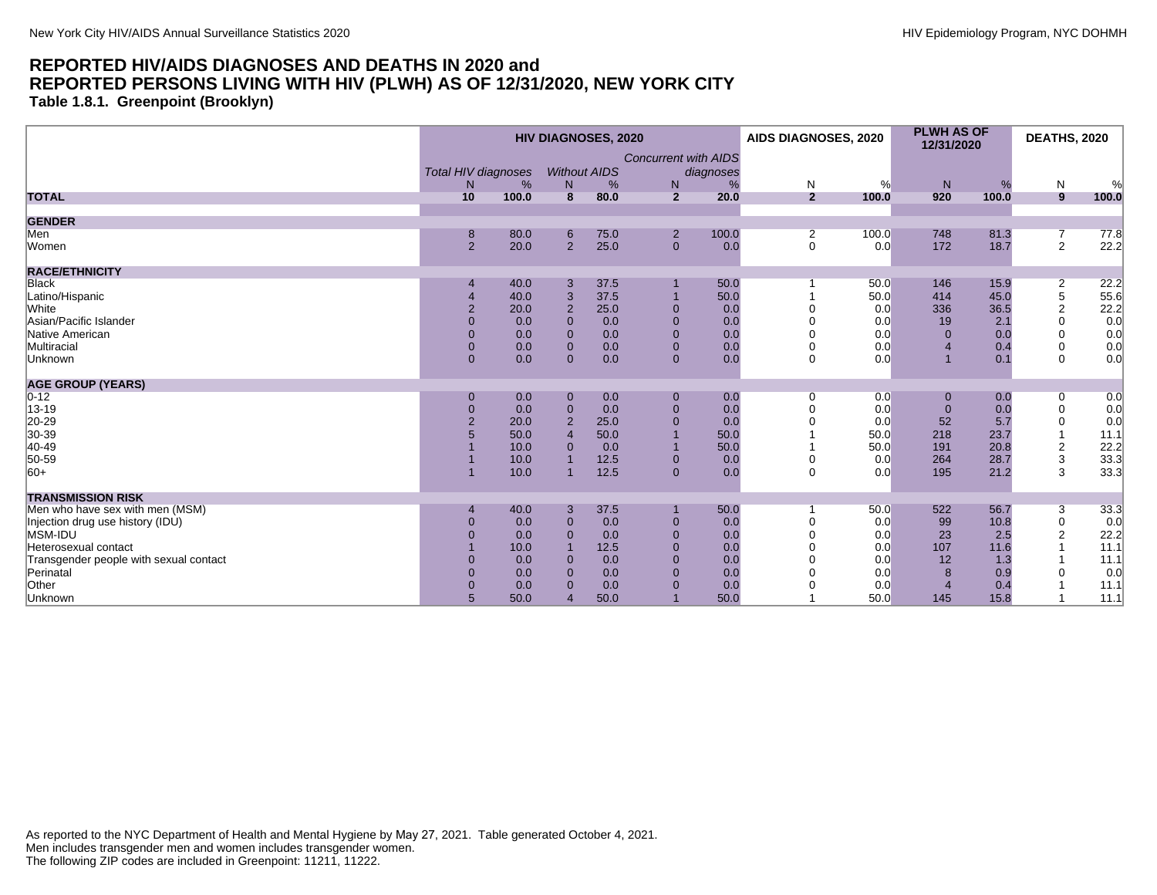**Table 1.8.1. Greenpoint (Brooklyn)**

|                                        | <b>HIV DIAGNOSES, 2020</b> |       |                |                     |                             | AIDS DIAGNOSES, 2020 |                | <b>PLWH AS OF</b><br>12/31/2020 |              | <b>DEATHS, 2020</b> |                           |       |
|----------------------------------------|----------------------------|-------|----------------|---------------------|-----------------------------|----------------------|----------------|---------------------------------|--------------|---------------------|---------------------------|-------|
|                                        |                            |       |                |                     | <b>Concurrent with AIDS</b> |                      |                |                                 |              |                     |                           |       |
|                                        | <b>Total HIV diagnoses</b> |       |                | <b>Without AIDS</b> |                             | diagnoses            |                |                                 |              |                     |                           |       |
|                                        | N                          | %     | N              | %                   | $\mathsf{N}$                |                      | ${\sf N}$      | %                               | ${\sf N}$    | %                   | N                         | $\%$  |
| <b>TOTAL</b>                           | 10                         | 100.0 | $\overline{8}$ | 80.0                | $\overline{2}$              | 20.0                 | $\overline{2}$ | 100.0                           | 920          | 100.0               | 9                         | 100.0 |
| <b>GENDER</b>                          |                            |       |                |                     |                             |                      |                |                                 |              |                     |                           |       |
| Men                                    | 8                          | 80.0  | 6              | 75.0                | $\overline{2}$              | 100.0                | $\overline{2}$ | 100.0                           | 748          | 81.3                | $\overline{7}$            | 77.8  |
| Women                                  | 2                          | 20.0  | $\overline{2}$ | 25.0                | $\overline{0}$              | 0.0                  | $\mathbf 0$    | 0.0                             | 172          | 18.7                | $\overline{2}$            | 22.2  |
| <b>RACE/ETHNICITY</b>                  |                            |       |                |                     |                             |                      |                |                                 |              |                     |                           |       |
| <b>Black</b>                           |                            | 40.0  | 3              | 37.5                |                             | 50.0                 |                | 50.0                            | 146          | 15.9                | $\overline{2}$            | 22.2  |
| Latino/Hispanic                        |                            | 40.0  | 3              | 37.5                |                             | 50.0                 |                | 50.0                            | 414          | 45.0                | $\,$ 5 $\,$               | 55.6  |
| White                                  | $\overline{2}$             | 20.0  | $\overline{2}$ | 25.0                | $\Omega$                    | 0.0                  |                | 0.0                             | 336          | 36.5                | 2                         | 22.2  |
| Asian/Pacific Islander                 | $\Omega$                   | 0.0   | $\Omega$       | 0.0                 | $\mathbf{0}$                | 0.0                  |                | 0.0                             | 19           | 2.1                 | $\Omega$                  | 0.0   |
| Native American                        | $\mathbf{0}$               | 0.0   | $\mathbf 0$    | 0.0                 | $\mathbf{0}$                | 0.0                  |                | 0.0                             | $\Omega$     | 0.0                 | 0                         | 0.0   |
| Multiracial                            | $\overline{0}$             | 0.0   | $\mathbf{0}$   | 0.0                 | $\mathbf 0$                 | 0.0                  |                | 0.0                             |              | 0.4                 | $\mathbf 0$               | 0.0   |
| Unknown                                | $\mathbf{0}$               | 0.0   | $\Omega$       | 0.0                 | $\mathbf{0}$                | 0.0                  | $\mathbf 0$    | 0.0                             |              | 0.1                 | $\mathbf 0$               | 0.0   |
| <b>AGE GROUP (YEARS)</b>               |                            |       |                |                     |                             |                      |                |                                 |              |                     |                           |       |
| $0 - 12$                               | $\mathbf 0$                | 0.0   | $\mathbf{0}$   | 0.0                 | $\pmb{0}$                   | 0.0                  | $\Omega$       | 0.0                             | $\mathbf{0}$ | 0.0                 | 0                         | 0.0   |
| 13-19                                  | $\mathbf{0}$               | 0.0   | $\mathbf 0$    | 0.0                 | $\mathbf 0$                 | 0.0                  |                | 0.0                             | $\mathbf{0}$ | 0.0                 | $\pmb{0}$                 | 0.0   |
| 20-29<br>30-39                         | $\overline{2}$             | 20.0  | $\overline{2}$ | 25.0                | $\Omega$                    | 0.0                  |                | 0.0                             | 52           | 5.7                 | 0                         | 0.0   |
|                                        |                            | 50.0  |                | 50.0                |                             | 50.0                 |                | 50.0                            | 218          | 23.7                |                           | 11.1  |
| 40-49                                  |                            | 10.0  | $\Omega$       | 0.0                 |                             | 50.0                 |                | 50.0                            | 191          | 20.8                | $\boldsymbol{2}$          | 22.2  |
| 50-59                                  |                            | 10.0  |                | 12.5                | $\mathbf{0}$                | 0.0                  |                | 0.0                             | 264          | 28.7                | $\ensuremath{\mathsf{3}}$ | 33.3  |
| $ 60+$                                 |                            | 10.0  |                | 12.5                | $\mathbf{0}$                | 0.0                  | $\Omega$       | 0.0                             | 195          | 21.2                | 3                         | 33.3  |
| <b>TRANSMISSION RISK</b>               |                            |       |                |                     |                             |                      |                |                                 |              |                     |                           |       |
| Men who have sex with men (MSM)        |                            | 40.0  | 3              | 37.5                |                             | 50.0                 |                | 50.0                            | 522          | 56.7                | 3                         | 33.3  |
| Injection drug use history (IDU)       | $\Omega$                   | 0.0   | $\mathbf{0}$   | 0.0                 | $\mathbf{0}$                | 0.0                  |                | 0.0                             | 99           | 10.8                | 0                         | 0.0   |
| MSM-IDU                                |                            | 0.0   | $\Omega$       | 0.0                 | $\Omega$                    | 0.0                  |                | 0.0                             | 23           | 2.5                 | $\overline{2}$            | 22.2  |
| Heterosexual contact                   |                            | 10.0  |                | 12.5                | $\Omega$                    | 0.0                  |                | 0.0                             | 107          | 11.6                |                           | 11.1  |
| Transgender people with sexual contact |                            | 0.0   | $\Omega$       | 0.0                 | $\Omega$                    | 0.0                  |                | 0.0                             | 12           | 1.3                 |                           | 11.1  |
| Perinatal                              |                            | 0.0   | $\Omega$       | 0.0                 | $\Omega$                    | 0.0                  |                | 0.0                             | 8            | 0.9                 |                           | 0.0   |
| Other                                  | $\Omega$                   | 0.0   | $\Omega$       | 0.0                 | $\mathbf{0}$                | 0.0                  |                | 0.0                             |              | 0.4                 |                           | 11.1  |
| Unknown                                | 5                          | 50.0  |                | 50.0                |                             | 50.0                 |                | 50.0                            | 145          | 15.8                |                           | 11.1  |
|                                        |                            |       |                |                     |                             |                      |                |                                 |              |                     |                           |       |

As reported to the NYC Department of Health and Mental Hygiene by May 27, 2021. Table generated October 4, 2021. Men includes transgender men and women includes transgender women. The following ZIP codes are included in Greenpoint: 11211, 11222.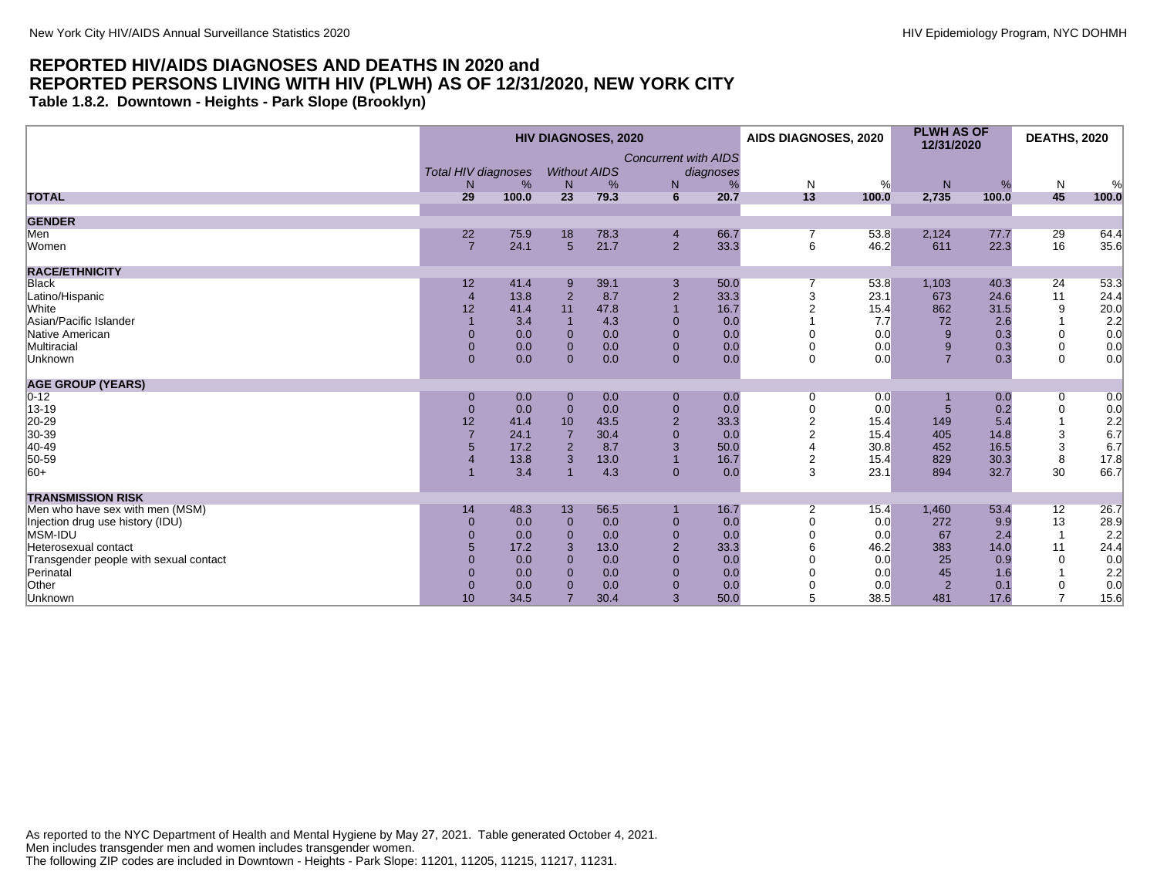**Table 1.8.2. Downtown - Heights - Park Slope (Brooklyn)**

|                                        |                            |       |                 | <b>HIV DIAGNOSES, 2020</b> |                             |           | AIDS DIAGNOSES, 2020 |       | <b>PLWH AS OF</b><br>12/31/2020 |       | <b>DEATHS, 2020</b> |                                                  |
|----------------------------------------|----------------------------|-------|-----------------|----------------------------|-----------------------------|-----------|----------------------|-------|---------------------------------|-------|---------------------|--------------------------------------------------|
|                                        |                            |       |                 |                            | <b>Concurrent with AIDS</b> |           |                      |       |                                 |       |                     |                                                  |
|                                        | <b>Total HIV diagnoses</b> |       |                 | <b>Without AIDS</b>        |                             | diagnoses |                      |       |                                 |       |                     |                                                  |
|                                        | N                          | %     | N               | %                          | N                           | %         | N                    | %     | N                               | %     | $\mathsf{N}$        | %                                                |
| <b>TOTAL</b>                           | 29                         | 100.0 | 23              | 79.3                       | 6                           | 20.7      | 13                   | 100.0 | 2,735                           | 100.0 | 45                  | 100.0                                            |
| <b>GENDER</b>                          |                            |       |                 |                            |                             |           |                      |       |                                 |       |                     |                                                  |
| Men                                    | 22                         | 75.9  | 18              | 78.3                       | $\overline{4}$              | 66.7      | 7                    | 53.8  | 2,124                           | 77.7  | 29                  | 64.4                                             |
| Women                                  | $\overline{7}$             | 24.1  | $5\overline{5}$ | 21.7                       | $2^{\circ}$                 | 33.3      | 6                    | 46.2  | 611                             | 22.3  | 16                  | 35.6                                             |
| <b>RACE/ETHNICITY</b>                  |                            |       |                 |                            |                             |           |                      |       |                                 |       |                     |                                                  |
| <b>Black</b>                           | 12                         | 41.4  | 9               | 39.1                       | 3                           | 50.0      |                      | 53.8  | 1,103                           | 40.3  | 24                  | 53.3                                             |
| Latino/Hispanic                        | $\overline{4}$             | 13.8  | $\overline{2}$  | 8.7                        | $\overline{2}$              | 33.3      | 3                    | 23.1  | 673                             | 24.6  | 11                  | 24.4                                             |
| White                                  | 12                         | 41.4  | 11              | 47.8                       |                             | 16.7      |                      | 15.4  | 862                             | 31.5  | 9                   | 20.0                                             |
| Asian/Pacific Islander                 |                            | 3.4   |                 | 4.3                        | $\mathbf{0}$                | 0.0       |                      | 7.7   | 72                              | 2.6   |                     |                                                  |
| Native American                        | $\Omega$                   | 0.0   | $\Omega$        | 0.0                        | $\overline{0}$              | 0.0       |                      | 0.0   | 9                               | 0.3   | $\Omega$            |                                                  |
| Multiracial                            | $\overline{0}$             | 0.0   | $\mathbf{0}$    | 0.0                        | $\mathbf{0}$                | 0.0       |                      | 0.0   | 9                               | 0.3   | $\mathbf 0$         | $\begin{array}{c} 2.2 \\ 0.0 \\ 0.0 \end{array}$ |
| Unknown                                | $\overline{0}$             | 0.0   | $\Omega$        | 0.0                        | $\mathbf{0}$                | 0.0       | $\Omega$             | 0.0   | $\overline{7}$                  | 0.3   | $\Omega$            | 0.0                                              |
| <b>AGE GROUP (YEARS)</b>               |                            |       |                 |                            |                             |           |                      |       |                                 |       |                     |                                                  |
| $0 - 12$                               | $\mathbf 0$                | 0.0   | $\mathbf{0}$    | 0.0                        | $\mathbf{0}$                | 0.0       | 0                    | 0.0   |                                 | 0.0   | 0                   | 0.0                                              |
| 13-19                                  | $\mathbf 0$                | 0.0   | $\overline{0}$  | 0.0                        | $\mathbf{0}$                | 0.0       | $\overline{0}$       | 0.0   |                                 | 0.2   | $\mathbf 0$         | 0.0                                              |
| 20-29                                  | 12                         | 41.4  | 10              | 43.5                       | $\overline{2}$              | 33.3      | $\overline{2}$       | 15.4  | 149                             | 5.4   |                     | 2.2                                              |
| 30-39                                  |                            | 24.1  |                 | 30.4                       | $\overline{0}$              | 0.0       | $\overline{2}$       | 15.4  | 405                             | 14.8  | 3                   | 6.7                                              |
| 40-49                                  | 5                          | 17.2  | $\overline{2}$  | 8.7                        | 3                           | 50.0      |                      | 30.8  | 452                             | 16.5  | 3                   | 6.7                                              |
| 50-59                                  |                            | 13.8  | 3               | 13.0                       |                             | 16.7      | $\overline{2}$       | 15.4  | 829                             | 30.3  | 8                   | 17.8                                             |
| $ 60+$                                 |                            | 3.4   |                 | 4.3                        | $\mathbf{0}$                | 0.0       | 3                    | 23.1  | 894                             | 32.7  | 30                  | 66.7                                             |
| <b>TRANSMISSION RISK</b>               |                            |       |                 |                            |                             |           |                      |       |                                 |       |                     |                                                  |
| Men who have sex with men (MSM)        | 14                         | 48.3  | 13              | 56.5                       |                             | 16.7      | $\overline{2}$       | 15.4  | 1,460                           | 53.4  | 12                  | 26.7                                             |
| Injection drug use history (IDU)       | $\mathbf{0}$               | 0.0   | $\mathbf{0}$    | 0.0                        | $\mathbf{0}$                | 0.0       | $\Omega$             | 0.0   | 272                             | 9.9   | 13                  | 28.9                                             |
| MSM-IDU                                | $\Omega$                   | 0.0   | $\Omega$        | 0.0                        | $\mathbf{0}$                | 0.0       |                      | 0.0   | 67                              | 2.4   | $\overline{1}$      | 2.2                                              |
| Heterosexual contact                   | 5                          | 17.2  | 3               | 13.0                       | 2                           | 33.3      |                      | 46.2  | 383                             | 14.0  | 11                  | 24.4                                             |
| Transgender people with sexual contact | $\Omega$                   | 0.0   | $\Omega$        | 0.0                        | $\Omega$                    | 0.0       |                      | 0.0   | 25                              | 0.9   | $\Omega$            | 0.0                                              |
| Perinatal                              | $\Omega$                   | 0.0   | $\Omega$        | 0.0                        | $\Omega$                    | 0.0       |                      | 0.0   | 45                              | 1.6   |                     | 2.2                                              |
| Other                                  | $\mathbf{0}$               | 0.0   | $\Omega$        | 0.0                        | $\overline{0}$              | 0.0       |                      | 0.0   | 2                               | 0.1   | $\mathbf 0$         | 0.0                                              |
| Unknown                                | 10                         | 34.5  |                 | 30.4                       | 3                           | 50.0      | 5                    | 38.5  | 481                             | 17.6  | $\overline{7}$      | 15.6                                             |

As reported to the NYC Department of Health and Mental Hygiene by May 27, 2021. Table generated October 4, 2021. Men includes transgender men and women includes transgender women. The following ZIP codes are included in Downtown - Heights - Park Slope: 11201, 11205, 11215, 11217, 11231.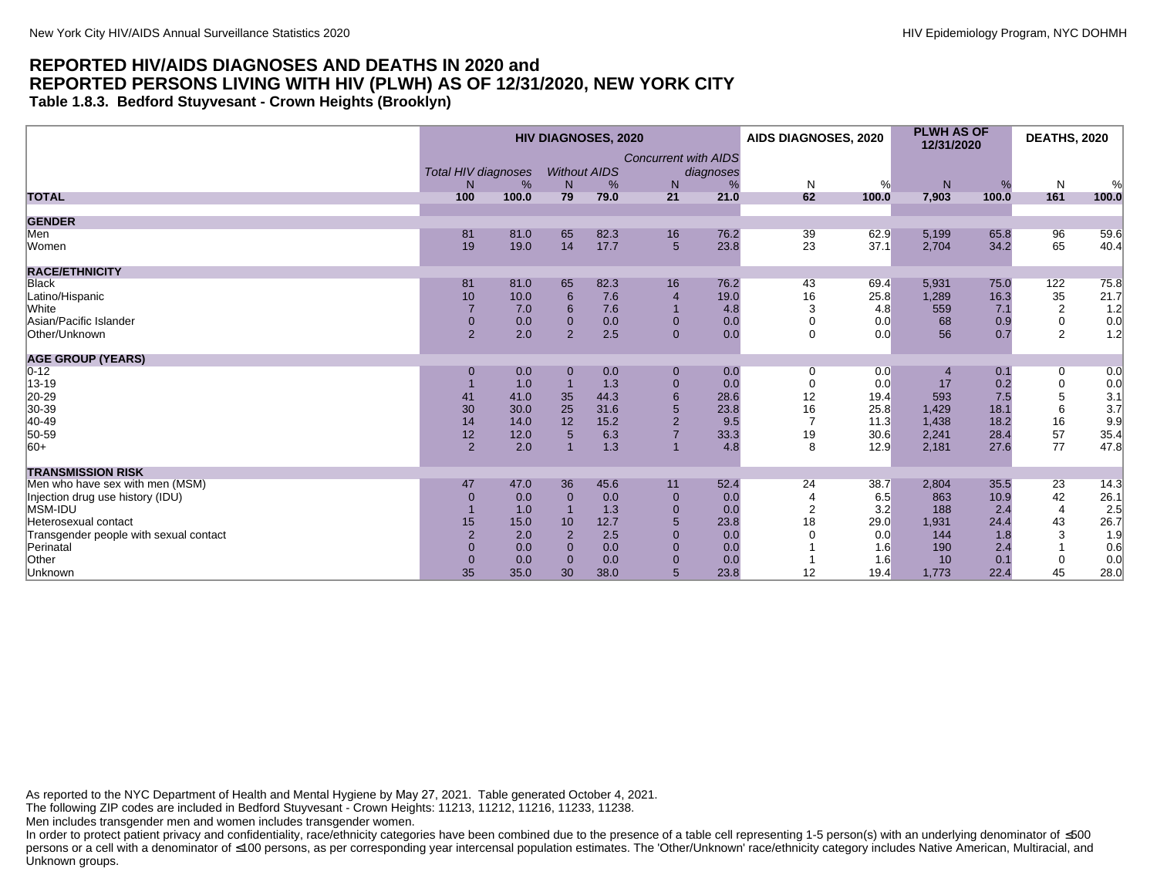#### **REPORTED HIV/AIDS DIAGNOSES AND DEATHS IN 2020 and REPORTED PERSONS LIVING WITH HIV (PLWH) AS OF 12/31/2020, NEW YORK CITY Table 1.8.3. Bedford Stuyvesant - Crown Heights (Brooklyn)**

|                                        |                            |       |                     | <b>HIV DIAGNOSES, 2020</b> |                             |           | AIDS DIAGNOSES, 2020 |       | <b>PLWH AS OF</b><br>12/31/2020 |       | <b>DEATHS, 2020</b>       |                                             |
|----------------------------------------|----------------------------|-------|---------------------|----------------------------|-----------------------------|-----------|----------------------|-------|---------------------------------|-------|---------------------------|---------------------------------------------|
|                                        |                            |       |                     |                            | <b>Concurrent with AIDS</b> |           |                      |       |                                 |       |                           |                                             |
|                                        | <b>Total HIV diagnoses</b> |       | <b>Without AIDS</b> |                            |                             | diagnoses |                      |       |                                 |       |                           |                                             |
|                                        | N <sub>1</sub>             | %     | $\mathsf{N}$        | %                          | N                           |           | N                    | %     | N                               | %     | N                         | $\frac{1}{2}$                               |
| <b>TOTAL</b>                           | 100                        | 100.0 | 79                  | 79.0                       | 21                          | 21.0      | 62                   | 100.0 | 7,903                           | 100.0 | 161                       | 100.0                                       |
|                                        |                            |       |                     |                            |                             |           |                      |       |                                 |       |                           |                                             |
| <b>GENDER</b>                          |                            |       |                     |                            |                             |           |                      |       |                                 |       |                           |                                             |
| Men                                    | 81                         | 81.0  | 65                  | 82.3                       | 16                          | 76.2      | 39                   | 62.9  | 5,199                           | 65.8  | 96                        | 59.6                                        |
| Women                                  | 19                         | 19.0  | 14                  | 17.7                       | $5\phantom{.0}$             | 23.8      | 23                   | 37.1  | 2,704                           | 34.2  | 65                        | 40.4                                        |
| <b>RACE/ETHNICITY</b>                  |                            |       |                     |                            |                             |           |                      |       |                                 |       |                           |                                             |
| <b>Black</b>                           | 81                         | 81.0  | 65                  | 82.3                       | 16                          | 76.2      | 43                   | 69.4  | 5,931                           | 75.0  | 122                       | 75.8                                        |
| Latino/Hispanic                        | 10                         | 10.0  | 6                   | 7.6                        | $\overline{4}$              | 19.0      | 16                   | 25.8  | 1,289                           | 16.3  | $\frac{35}{2}$            | $\begin{bmatrix} 21.7 \\ 1.2 \end{bmatrix}$ |
| <b>White</b>                           |                            | 7.0   | 6                   | 7.6                        |                             | 4.8       | 3                    | 4.8   | 559                             | 7.1   |                           |                                             |
| Asian/Pacific Islander                 | $\mathbf{0}$               | 0.0   | $\mathbf{0}$        | 0.0                        | $\mathbf{0}$                | 0.0       | 0                    | 0.0   | 68                              | 0.9   | $\pmb{0}$                 | 0.0                                         |
| Other/Unknown                          | $\overline{2}$             | 2.0   | 2                   | 2.5                        | $\overline{0}$              | 0.0       | $\Omega$             | 0.0   | 56                              | 0.7   | $\overline{2}$            | 1.2                                         |
| <b>AGE GROUP (YEARS)</b>               |                            |       |                     |                            |                             |           |                      |       |                                 |       |                           |                                             |
| $0 - 12$                               | $\Omega$                   | 0.0   | $\Omega$            | 0.0                        | $\mathbf{0}$                | 0.0       | 0                    | 0.0   | 4                               | 0.1   | 0                         | 0.0                                         |
| 13-19                                  |                            | 1.0   |                     | 1.3                        | $\mathbf{0}$                | 0.0       | 0                    | 0.0   | 17                              | 0.2   | $\pmb{0}$                 | 0.0                                         |
|                                        | 41                         | 41.0  | 35                  | 44.3                       | 6                           | 28.6      | 12                   | 19.4  | 593                             | 7.5   | 5                         |                                             |
| 20-29<br>30-39                         | 30                         | 30.0  | 25                  | 31.6                       | 5                           | 23.8      | 16                   | 25.8  | 1,429                           | 18.1  | 6                         | $\frac{3.1}{3.7}$                           |
| 40-49                                  | 14                         | 14.0  | 12                  | 15.2                       | $\overline{2}$              | 9.5       | $\overline{7}$       | 11.3  | 1,438                           | 18.2  | 16                        | 9.9                                         |
| 50-59                                  | 12                         | 12.0  | $5\phantom{1}$      | 6.3                        | $\overline{7}$              | 33.3      | 19                   | 30.6  | 2,241                           | 28.4  | 57                        | 35.4                                        |
| $ 60+$                                 | $\overline{2}$             | 2.0   |                     | 1.3                        | $\overline{1}$              | 4.8       | 8                    | 12.9  | 2,181                           | 27.6  | 77                        | 47.8                                        |
| <b>TRANSMISSION RISK</b>               |                            |       |                     |                            |                             |           |                      |       |                                 |       |                           |                                             |
| Men who have sex with men (MSM)        | 47                         | 47.0  | 36                  | 45.6                       | 11                          | 52.4      | 24                   | 38.7  | 2,804                           | 35.5  | 23                        | 14.3                                        |
| Injection drug use history (IDU)       | $\Omega$                   | 0.0   | $\mathbf{0}$        | 0.0                        | $\mathbf{0}$                | 0.0       |                      | 6.5   | 863                             | 10.9  | 42                        |                                             |
| MSM-IDU                                |                            | 1.0   |                     | 1.3                        | $\mathbf{0}$                | 0.0       | $\overline{2}$       | 3.2   | 188                             | 2.4   | $\overline{4}$            |                                             |
| Heterosexual contact                   | 15                         | 15.0  | 10                  | 12.7                       | 5                           | 23.8      | 18                   | 29.0  | 1,931                           | 24.4  | 43                        | 26.1<br>2.5<br>26.7                         |
| Transgender people with sexual contact | $\overline{2}$             | 2.0   | $\overline{2}$      | 2.5                        | $\overline{0}$              | 0.0       |                      | 0.0   | 144                             | 1.8   | $\ensuremath{\mathsf{3}}$ | 1.9                                         |
| Perinatal                              |                            | 0.0   | $\Omega$            | 0.0                        | $\mathbf{0}$                | 0.0       |                      | 1.6   | 190                             | 2.4   |                           | 0.6                                         |
| Other                                  |                            | 0.0   | $\Omega$            | 0.0                        | $\Omega$                    | 0.0       |                      | 1.6   | 10                              | 0.1   | 0                         | 0.0                                         |
| Unknown                                | 35                         | 35.0  | 30                  | 38.0                       | 5                           | 23.8      | 12                   | 19.4  | 1,773                           | 22.4  | 45                        | 28.0                                        |

As reported to the NYC Department of Health and Mental Hygiene by May 27, 2021. Table generated October 4, 2021.

The following ZIP codes are included in Bedford Stuyvesant - Crown Heights: 11213, 11212, 11216, 11233, 11238.

Men includes transgender men and women includes transgender women.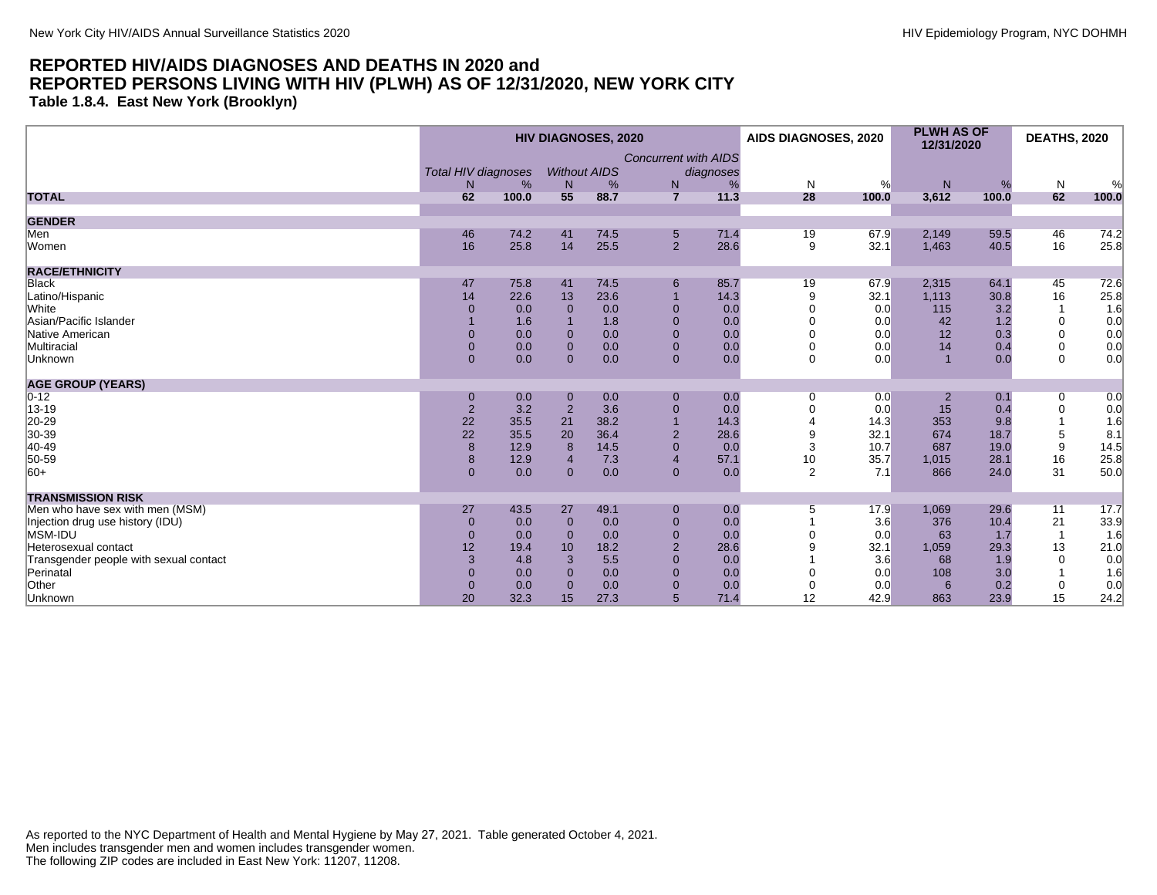**Table 1.8.4. East New York (Brooklyn)**

|                                        |                            |       | <b>HIV DIAGNOSES, 2020</b> |                     |                             | AIDS DIAGNOSES, 2020 |              | <b>PLWH AS OF</b><br>12/31/2020 |           | <b>DEATHS, 2020</b> |             |       |
|----------------------------------------|----------------------------|-------|----------------------------|---------------------|-----------------------------|----------------------|--------------|---------------------------------|-----------|---------------------|-------------|-------|
|                                        |                            |       |                            |                     | <b>Concurrent with AIDS</b> |                      |              |                                 |           |                     |             |       |
|                                        | <b>Total HIV diagnoses</b> |       |                            | <b>Without AIDS</b> |                             | diagnoses            |              |                                 |           |                     |             |       |
|                                        | N                          | %     | N                          | %                   | ${\sf N}$                   | %                    | $\mathsf{N}$ | %                               | ${\sf N}$ | %                   | N           | %     |
| <b>TOTAL</b>                           | 62                         | 100.0 | 55                         | 88.7                | $\overline{7}$              | 11.3                 | 28           | 100.0                           | 3,612     | 100.0               | 62          | 100.0 |
| <b>GENDER</b>                          |                            |       |                            |                     |                             |                      |              |                                 |           |                     |             |       |
| Men                                    | 46                         | 74.2  | 41                         | 74.5                | $5\phantom{.0}$             | 71.4                 | 19           | 67.9                            | 2,149     | 59.5                | 46          | 74.2  |
| Women                                  | 16                         | 25.8  | 14                         | 25.5                | $\overline{2}$              | 28.6                 | 9            | 32.1                            | 1,463     | 40.5                | 16          | 25.8  |
| <b>RACE/ETHNICITY</b>                  |                            |       |                            |                     |                             |                      |              |                                 |           |                     |             |       |
| <b>Black</b>                           | 47                         | 75.8  | 41                         | 74.5                | 6                           | 85.7                 | 19           | 67.9                            | 2,315     | 64.1                | 45          | 72.6  |
| Latino/Hispanic                        | 14                         | 22.6  | 13                         | 23.6                |                             | 14.3                 | 9            | 32.1                            | 1,113     | 30.8                | 16          | 25.8  |
| White                                  | $\Omega$                   | 0.0   | $\Omega$                   | 0.0                 | $\Omega$                    | 0.0                  | $\Omega$     | 0.0                             | 115       | 3.2                 |             | 1.6   |
| Asian/Pacific Islander                 |                            | 1.6   |                            | 1.8                 | $\mathbf{0}$                | 0.0                  |              | 0.0                             | 42        | 1.2                 | 0           | 0.0   |
| Native American                        | $\Omega$                   | 0.0   | $\Omega$                   | 0.0                 | $\mathbf{0}$                | 0.0                  |              | 0.0                             | 12        | 0.3                 | $\Omega$    | 0.0   |
| Multiracial                            | $\Omega$                   | 0.0   | $\Omega$                   | 0.0                 | $\mathbf{0}$                | 0.0                  |              | 0.0                             | 14        | 0.4                 | $\mathbf 0$ | 0.0   |
| Unknown                                | $\mathbf{0}$               | 0.0   | $\Omega$                   | 0.0                 | $\mathbf{0}$                | 0.0                  | $\Omega$     | 0.0                             |           | 0.0                 | $\Omega$    | 0.0   |
| <b>AGE GROUP (YEARS)</b>               |                            |       |                            |                     |                             |                      |              |                                 |           |                     |             |       |
| $ 0-12 $                               | $\mathbf 0$                | 0.0   | $\mathbf 0$                | 0.0                 | $\mathbf{0}$                | 0.0                  | 0            | 0.0                             | 2         | 0.1                 | 0           | 0.0   |
| 13-19                                  | $\mathbf 2$                | 3.2   | $\overline{2}$             | 3.6                 | $\overline{0}$              | 0.0                  |              | 0.0                             | 15        | 0.4                 | $\mathbf 0$ | 0.0   |
| 20-29                                  | 22                         | 35.5  | 21                         | 38.2                |                             | 14.3                 |              | 14.3                            | 353       | 9.8                 |             | 1.6   |
| 30-39                                  | 22                         | 35.5  | 20                         | 36.4                | $\overline{2}$              | 28.6                 | 9            | 32.1                            | 674       | 18.7                | 5           | 8.1   |
| 40-49                                  | $\bf 8$                    | 12.9  | 8                          | 14.5                | $\mathbf 0$                 | 0.0                  | 3            | 10.7                            | 687       | 19.0                | 9           | 14.5  |
| 50-59                                  | 8                          | 12.9  | $\overline{4}$             | 7.3                 | $\overline{4}$              | 57.1                 | 10           | 35.7                            | 1,015     | 28.1                | 16          | 25.8  |
| $ 60+$                                 | $\mathbf{0}$               | 0.0   | $\mathbf{0}$               | 0.0                 | $\mathbf{0}$                | 0.0                  | 2            | 7.1                             | 866       | 24.0                | 31          | 50.0  |
| <b>TRANSMISSION RISK</b>               |                            |       |                            |                     |                             |                      |              |                                 |           |                     |             |       |
| Men who have sex with men (MSM)        | 27                         | 43.5  | 27                         | 49.1                | $\mathbf{0}$                | 0.0                  | 5            | 17.9                            | 1,069     | 29.6                | 11          | 17.7  |
| Injection drug use history (IDU)       | $\mathbf{0}$               | 0.0   | $\mathbf 0$                | 0.0                 | $\mathbf{0}$                | 0.0                  |              | 3.6                             | 376       | 10.4                | 21          | 33.9  |
| MSM-IDU                                | $\mathbf{0}$               | 0.0   | $\Omega$                   | 0.0                 | $\mathbf{0}$                | 0.0                  |              | 0.0                             | 63        | 1.7                 |             | 1.6   |
| Heterosexual contact                   | 12                         | 19.4  | 10                         | 18.2                | $\overline{2}$              | 28.6                 |              | 32.1                            | 1,059     | 29.3                | 13          | 21.0  |
| Transgender people with sexual contact | 3                          | 4.8   | 3                          | 5.5                 | $\Omega$                    | 0.0                  |              | 3.6                             | 68        | 1.9                 | $\Omega$    | 0.0   |
| Perinatal                              | $\Omega$                   | 0.0   | $\Omega$                   | 0.0                 | $\Omega$                    | 0.0                  |              | 0.0                             | 108       | 3.0                 |             | 1.6   |
| Other                                  | $\mathbf{0}$               | 0.0   | $\mathbf 0$                | 0.0                 | $\mathbf{0}$                | 0.0                  | 0            | 0.0                             | 6         | 0.2                 | $\mathbf 0$ | 0.0   |
| Unknown                                | 20                         | 32.3  | 15                         | 27.3                | 5                           | 71.4                 | 12           | 42.9                            | 863       | 23.9                | 15          | 24.2  |
|                                        |                            |       |                            |                     |                             |                      |              |                                 |           |                     |             |       |

As reported to the NYC Department of Health and Mental Hygiene by May 27, 2021. Table generated October 4, 2021. Men includes transgender men and women includes transgender women. The following ZIP codes are included in East New York: 11207, 11208.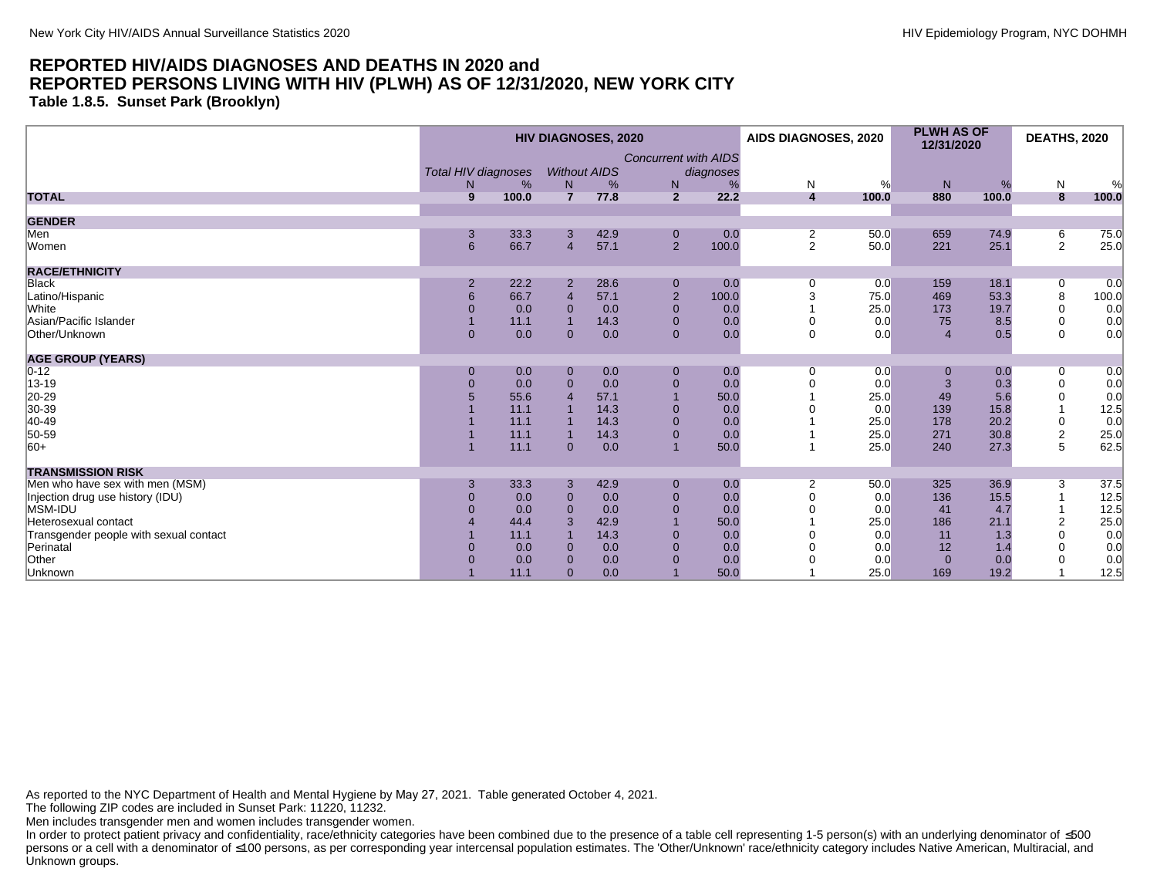**Table 1.8.5. Sunset Park (Brooklyn)**

|                                        |                            |       |                | <b>HIV DIAGNOSES, 2020</b> |                             |           | AIDS DIAGNOSES, 2020    |       | <b>PLWH AS OF</b><br>12/31/2020 |       | <b>DEATHS, 2020</b>     |       |
|----------------------------------------|----------------------------|-------|----------------|----------------------------|-----------------------------|-----------|-------------------------|-------|---------------------------------|-------|-------------------------|-------|
|                                        | <b>Total HIV diagnoses</b> |       |                | <b>Without AIDS</b>        | <b>Concurrent with AIDS</b> | diagnoses |                         |       |                                 |       |                         |       |
|                                        | N.                         | %     | N              | %                          | N                           | %         | N                       | %     | N                               | %     | $\mathsf{N}$            | %     |
| <b>TOTAL</b>                           | 9                          | 100.0 | $\overline{7}$ | 77.8                       | $\overline{2}$              | 22.2      | $\overline{\mathbf{4}}$ | 100.0 | 880                             | 100.0 | 8                       | 100.0 |
| <b>GENDER</b>                          |                            |       |                |                            |                             |           |                         |       |                                 |       |                         |       |
| Men                                    | 3                          | 33.3  | 3              | 42.9                       | $\mathbf 0$                 | 0.0       | 2                       | 50.0  | 659                             | 74.9  | 6                       | 75.0  |
| Women                                  | 6                          | 66.7  | $\overline{4}$ | 57.1                       | $2^{\circ}$                 | 100.0     | $\overline{2}$          | 50.0  | 221                             | 25.1  | $\overline{2}$          | 25.0  |
| <b>RACE/ETHNICITY</b>                  |                            |       |                |                            |                             |           |                         |       |                                 |       |                         |       |
| Black                                  | $\overline{2}$             | 22.2  | $\overline{2}$ | 28.6                       | $\mathbf 0$                 | 0.0       | 0                       | 0.0   | 159                             | 18.1  | 0                       | 0.0   |
| Latino/Hispanic                        | $6\phantom{1}$             | 66.7  | $\overline{4}$ | 57.1                       | $\mathbf 2$                 | 100.0     | 3                       | 75.0  | 469                             | 53.3  | $\,8\,$                 | 100.0 |
| White                                  | 0                          | 0.0   | $\Omega$       | 0.0                        | $\mathbf{0}$                | 0.0       |                         | 25.0  | 173                             | 19.7  | 0                       | 0.0   |
| Asian/Pacific Islander                 |                            | 11.1  |                | 14.3                       | $\mathbf{0}$                | 0.0       |                         | 0.0   | 75                              | 8.5   | $\mathbf 0$             | 0.0   |
| Other/Unknown                          | $\Omega$                   | 0.0   | $\Omega$       | 0.0                        | $\mathbf{0}$                | 0.0       | $\Omega$                | 0.0   | $\overline{4}$                  | 0.5   | $\Omega$                | 0.0   |
| <b>AGE GROUP (YEARS)</b>               |                            |       |                |                            |                             |           |                         |       |                                 |       |                         |       |
| $0 - 12$                               | $\mathbf{0}$               | 0.0   | $\mathbf{0}$   | 0.0                        | $\mathbf{0}$                | 0.0       | $\Omega$                | 0.0   |                                 | 0.0   | 0                       | 0.0   |
| 13-19                                  | $\overline{0}$             | 0.0   | $\Omega$       | 0.0                        | $\mathbf{0}$                | 0.0       |                         | 0.0   | 3                               | 0.3   | 0                       | 0.0   |
|                                        |                            | 55.6  |                | 57.1                       |                             | 50.0      |                         | 25.0  | 49                              | 5.6   | $\mathbf 0$             | 0.0   |
| 20-29<br>30-39                         |                            | 11.1  |                | 14.3                       |                             | 0.0       |                         | 0.0   | 139                             | 15.8  |                         | 12.5  |
| 40-49                                  |                            | 11.1  |                | 14.3                       | $\overline{0}$              | 0.0       |                         | 25.0  | 178                             | 20.2  | $\mathbf 0$             | 0.0   |
| 50-59                                  |                            | 11.1  |                | 14.3                       | $\mathbf{0}$                | 0.0       |                         | 25.0  | 271                             | 30.8  | $\overline{\mathbf{c}}$ | 25.0  |
| $ 60+$                                 |                            | 11.1  | $\Omega$       | 0.0                        |                             | 50.0      |                         | 25.0  | 240                             | 27.3  | 5                       | 62.5  |
| <b>TRANSMISSION RISK</b>               |                            |       |                |                            |                             |           |                         |       |                                 |       |                         |       |
| Men who have sex with men (MSM)        | 3                          | 33.3  | 3              | 42.9                       | $\mathbf{0}$                | 0.0       | $\overline{2}$          | 50.0  | 325                             | 36.9  | 3                       | 37.5  |
| Injection drug use history (IDU)       | $\Omega$                   | 0.0   | $\Omega$       | 0.0                        | $\Omega$                    | 0.0       |                         | 0.0   | 136                             | 15.5  |                         | 12.5  |
| MSM-IDU                                |                            | 0.0   | $\Omega$       | 0.0                        | $\Omega$                    | 0.0       |                         | 0.0   | 41                              | 4.7   |                         | 12.5  |
| Heterosexual contact                   |                            | 44.4  | 3              | 42.9                       |                             | 50.0      |                         | 25.0  | 186                             | 21.1  | 2                       | 25.0  |
| Transgender people with sexual contact |                            | 11.1  |                | 14.3                       | $\mathbf{0}$                | 0.0       |                         | 0.0   | 11                              | 1.3   | $\mathbf 0$             | 0.0   |
| Perinatal                              |                            | 0.0   |                | 0.0                        | $\Omega$                    | 0.0       |                         | 0.0   | 12                              | 1.4   | $\Omega$                | 0.0   |
| Other                                  |                            | 0.0   | $\Omega$       | 0.0                        |                             | 0.0       |                         | 0.0   | $\mathbf 0$                     | 0.0   | $\Omega$                | 0.0   |
| Unknown                                |                            | 11.1  | $\Omega$       | 0.0                        |                             | 50.0      |                         | 25.0  | 169                             | 19.2  |                         | 12.5  |

As reported to the NYC Department of Health and Mental Hygiene by May 27, 2021. Table generated October 4, 2021.

The following ZIP codes are included in Sunset Park: 11220, 11232.

Men includes transgender men and women includes transgender women.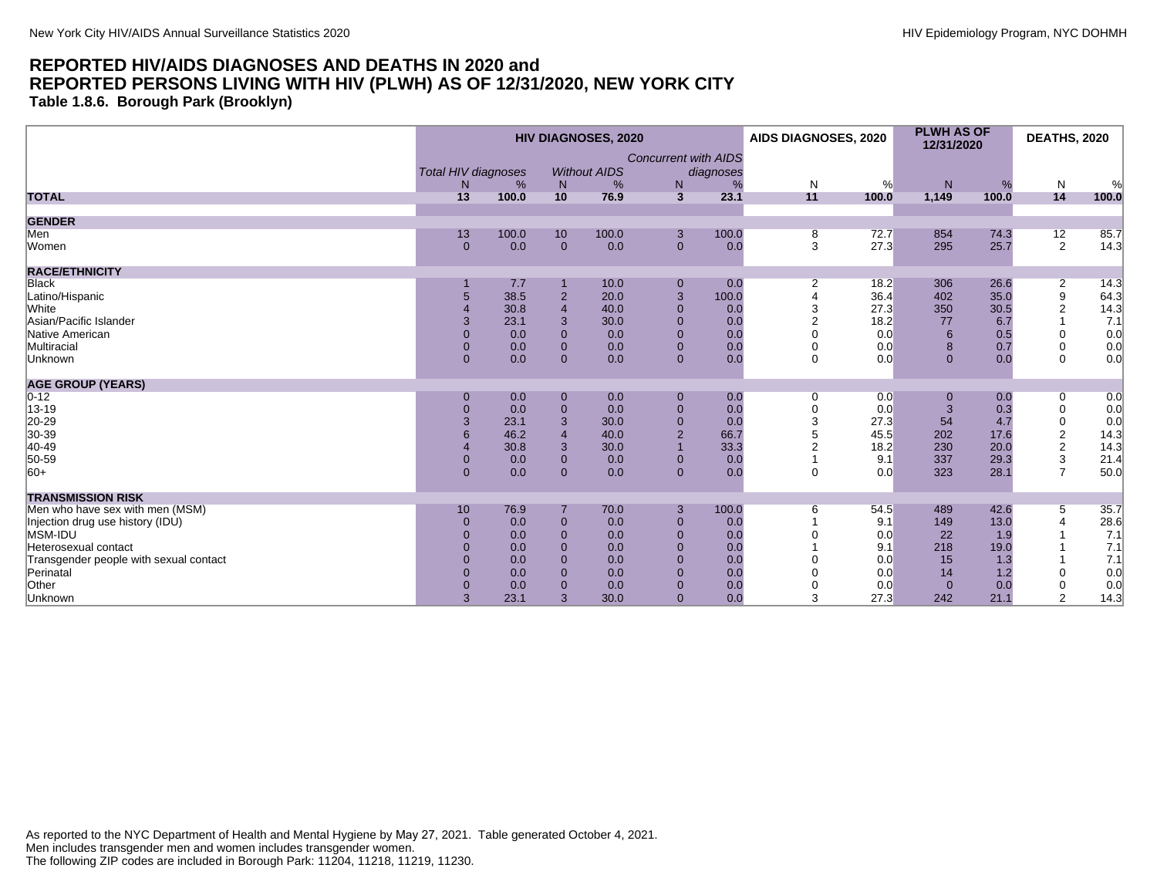**Table 1.8.6. Borough Park (Brooklyn)**

|                                        | <b>HIV DIAGNOSES, 2020</b>      |       |                |                          |                             | AIDS DIAGNOSES, 2020 |                | <b>PLWH AS OF</b><br>12/31/2020 |              | <b>DEATHS, 2020</b> |                           |            |
|----------------------------------------|---------------------------------|-------|----------------|--------------------------|-----------------------------|----------------------|----------------|---------------------------------|--------------|---------------------|---------------------------|------------|
|                                        |                                 |       |                |                          | <b>Concurrent with AIDS</b> |                      |                |                                 |              |                     |                           |            |
|                                        | <b>Total HIV diagnoses</b><br>N | %     | N              | <b>Without AIDS</b><br>% | ${\sf N}$                   | diagnoses<br>%       | N              | %                               | N            | %                   | $\mathsf{N}$              |            |
| <b>TOTAL</b>                           | 13                              | 100.0 | 10             | 76.9                     | $\overline{3}$              | 23.1                 | 11             | 100.0                           | 1,149        | 100.0               | 14                        | %<br>100.0 |
| <b>GENDER</b>                          |                                 |       |                |                          |                             |                      |                |                                 |              |                     |                           |            |
| Men                                    | 13                              | 100.0 | 10             | 100.0                    | 3                           | 100.0                | 8              | 72.7                            | 854          | 74.3                | 12                        | 85.7       |
| Women                                  | $\Omega$                        | 0.0   | $\mathbf{0}$   | 0.0                      | $\mathbf{0}$                | 0.0                  | 3              | 27.3                            | 295          | 25.7                | 2                         | 14.3       |
| <b>RACE/ETHNICITY</b>                  |                                 |       |                |                          |                             |                      |                |                                 |              |                     |                           |            |
| <b>Black</b>                           |                                 | 7.7   |                | 10.0                     | $\mathbf 0$                 | 0.0                  | $\overline{2}$ | 18.2                            | 306          | 26.6                | $\overline{2}$            | 14.3       |
| Latino/Hispanic                        | 5                               | 38.5  | $\overline{2}$ | 20.0                     | $\sqrt{3}$                  | 100.0                | $\Delta$       | 36.4                            | 402          | 35.0                | 9                         | 64.3       |
| White                                  | $\overline{A}$                  | 30.8  | $\overline{4}$ | 40.0                     | $\mathbf{0}$                | 0.0                  | 3              | 27.3                            | 350          | 30.5                | $\overline{2}$            | 14.3       |
| Asian/Pacific Islander                 | 3                               | 23.1  | $\mathbf{3}$   | 30.0                     | $\mathbf{0}$                | 0.0                  | $\mathfrak{p}$ | 18.2                            | 77           | 6.7                 |                           | 7.1        |
| Native American                        | $\mathbf{0}$                    | 0.0   | $\mathbf{0}$   | 0.0                      | $\mathbf{0}$                | 0.0                  |                | 0.0                             | 6            | 0.5                 | 0                         | 0.0        |
| Multiracial                            | $\mathbf{0}$                    | 0.0   | $\overline{0}$ | 0.0                      | $\mathbf{0}$                | 0.0                  | $\Omega$       | 0.0                             | 8            | 0.7                 | $\mathbf 0$               | 0.0        |
| Unknown                                | $\Omega$                        | 0.0   | $\mathbf{0}$   | 0.0                      | $\mathbf{0}$                | 0.0                  | $\mathbf 0$    | 0.0                             | $\Omega$     | 0.0                 | $\mathbf 0$               | 0.0        |
| <b>AGE GROUP (YEARS)</b>               |                                 |       |                |                          |                             |                      |                |                                 |              |                     |                           |            |
| $0 - 12$                               | 0                               | 0.0   | $\mathbf 0$    | 0.0                      | $\mathbf 0$                 | 0.0                  | 0              | 0.0                             | 0            | 0.0                 | 0                         | 0.0        |
| 13-19                                  | $\overline{0}$                  | 0.0   | $\pmb{0}$      | 0.0                      | $\mathbf 0$                 | 0.0                  | 0              | 0.0                             | 3            | 0.3                 | $\boldsymbol{0}$          | 0.0        |
| 20-29                                  | 3                               | 23.1  | $\mathbf{3}$   | 30.0                     | $\mathbf 0$                 | 0.0                  | 3              | 27.3                            | 54           | 4.7                 | $\boldsymbol{0}$          | 0.0        |
| 30-39                                  | 6                               | 46.2  | $\overline{4}$ | 40.0                     | $\overline{2}$              | 66.7                 |                | 45.5                            | 202          | 17.6                | $\overline{2}$            | 14.3       |
| 40-49                                  |                                 | 30.8  | 3              | 30.0                     |                             | 33.3                 |                | 18.2                            | 230          | 20.0                | $\sqrt{2}$                | 14.3       |
| 50-59                                  | $\overline{0}$                  | 0.0   | $\overline{0}$ | 0.0                      | $\mathbf 0$                 | 0.0                  |                | 9.1                             | 337          | 29.3                | $\ensuremath{\mathsf{3}}$ | 21.4       |
| $ 60+$                                 | $\Omega$                        | 0.0   | $\Omega$       | 0.0                      | $\mathbf{0}$                | 0.0                  | $\Omega$       | 0.0                             | 323          | 28.1                | $\overline{7}$            | 50.0       |
| <b>TRANSMISSION RISK</b>               |                                 |       |                |                          |                             |                      |                |                                 |              |                     |                           |            |
| Men who have sex with men (MSM)        | 10                              | 76.9  |                | 70.0                     | 3                           | 100.0                | 6              | 54.5                            | 489          | 42.6                | 5                         | 35.7       |
| Injection drug use history (IDU)       | $\Omega$                        | 0.0   | $\mathbf 0$    | 0.0                      | $\mathbf 0$                 | 0.0                  |                | 9.1                             | 149          | 13.0                |                           | 28.6       |
| MSM-IDU                                | $\Omega$                        | 0.0   | $\overline{0}$ | 0.0                      | $\mathbf{0}$                | 0.0                  |                | 0.0                             | 22           | 1.9                 |                           | 7.1        |
| Heterosexual contact                   | $\Omega$                        | 0.0   | $\Omega$       | 0.0                      | $\mathbf{0}$                | 0.0                  |                | 9.1                             | 218          | 19.0                |                           | 7.1        |
| Transgender people with sexual contact | $\Omega$                        | 0.0   | $\overline{0}$ | 0.0                      | $\mathbf{0}$                | 0.0                  |                | 0.0                             | 15           | 1.3                 |                           | 7.1        |
| Perinatal                              | $\Omega$                        | 0.0   | $\Omega$       | 0.0                      | $\mathbf{0}$                | 0.0                  |                | 0.0                             | 14           | 1.2                 | $\Omega$                  | 0.0        |
| Other                                  | $\Omega$                        | 0.0   | $\overline{0}$ | 0.0                      | $\mathbf 0$                 | 0.0                  |                | 0.0                             | $\mathbf{0}$ | 0.0                 | 0                         | 0.0        |
| Unknown                                | 3                               | 23.1  | 3              | 30.0                     | $\mathbf{0}$                | 0.0                  | 3              | 27.3                            | 242          | 21.1                | $\overline{2}$            | 14.3       |

As reported to the NYC Department of Health and Mental Hygiene by May 27, 2021. Table generated October 4, 2021. Men includes transgender men and women includes transgender women. The following ZIP codes are included in Borough Park: 11204, 11218, 11219, 11230.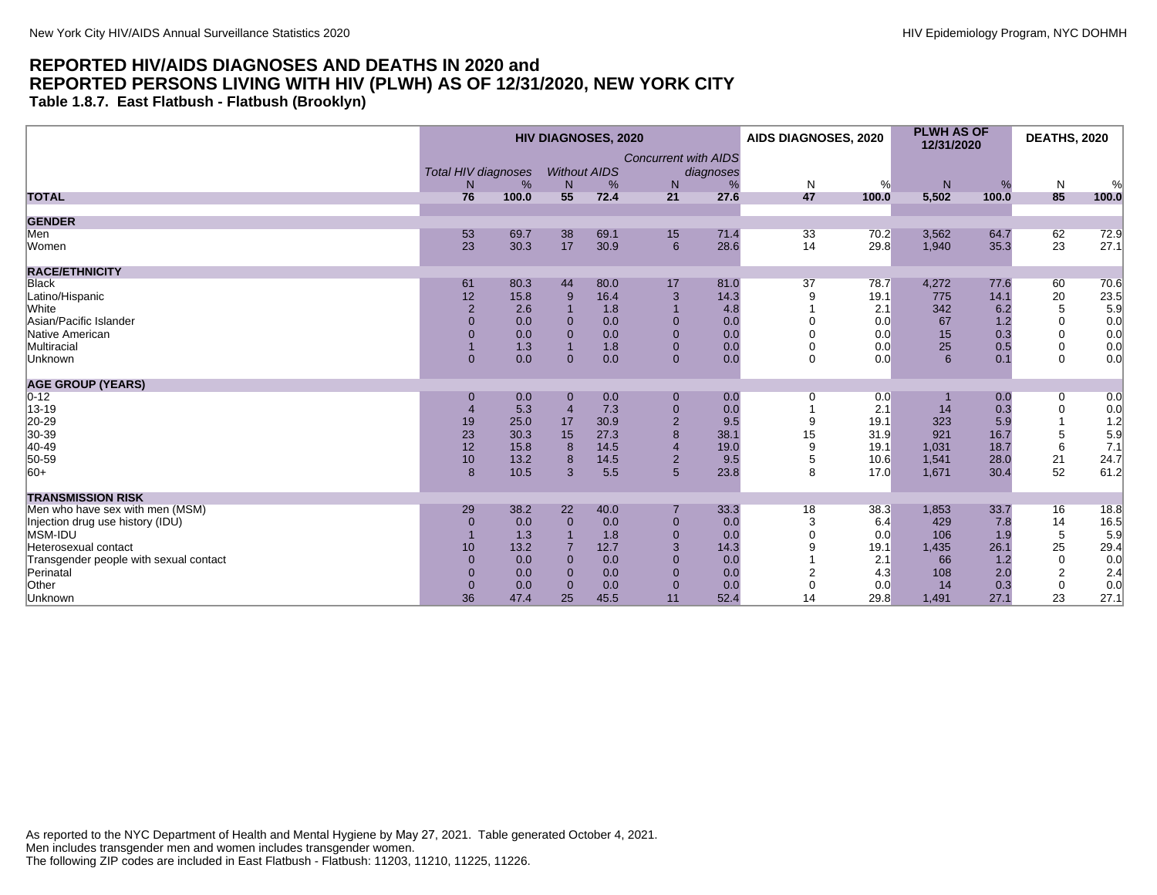**Table 1.8.7. East Flatbush - Flatbush (Brooklyn)**

|                                        |                            |       |                | <b>HIV DIAGNOSES, 2020</b> |                             |           | AIDS DIAGNOSES, 2020 |       | <b>PLWH AS OF</b><br>12/31/2020 |       | <b>DEATHS, 2020</b> |       |
|----------------------------------------|----------------------------|-------|----------------|----------------------------|-----------------------------|-----------|----------------------|-------|---------------------------------|-------|---------------------|-------|
|                                        |                            |       |                |                            | <b>Concurrent with AIDS</b> |           |                      |       |                                 |       |                     |       |
|                                        | <b>Total HIV diagnoses</b> |       |                | <b>Without AIDS</b>        |                             | diagnoses |                      |       |                                 |       |                     |       |
|                                        | N                          | %     | N              | %                          | N                           | %         | $\mathsf{N}$         | %     | ${\sf N}$                       | %     | N                   | %     |
| <b>TOTAL</b>                           | 76                         | 100.0 | 55             | 72.4                       | 21                          | 27.6      | 47                   | 100.0 | 5,502                           | 100.0 | 85                  | 100.0 |
| <b>GENDER</b>                          |                            |       |                |                            |                             |           |                      |       |                                 |       |                     |       |
| Men                                    | 53                         | 69.7  | 38             | 69.1                       | 15                          | 71.4      | 33                   | 70.2  | 3,562                           | 64.7  | 62                  | 72.9  |
| Women                                  | 23                         | 30.3  | 17             | 30.9                       | 6                           | 28.6      | 14                   | 29.8  | 1,940                           | 35.3  | 23                  | 27.1  |
| <b>RACE/ETHNICITY</b>                  |                            |       |                |                            |                             |           |                      |       |                                 |       |                     |       |
| <b>Black</b>                           | 61                         | 80.3  | 44             | 80.0                       | 17                          | 81.0      | 37                   | 78.7  | 4,272                           | 77.6  | 60                  | 70.6  |
| Latino/Hispanic                        | 12                         | 15.8  | 9              | 16.4                       | 3                           | 14.3      |                      | 19.1  | 775                             | 14.1  | 20                  | 23.5  |
| White                                  | $\overline{2}$             | 2.6   |                | 1.8                        |                             | 4.8       |                      | 2.1   | 342                             | 6.2   | 5                   | 5.9   |
| Asian/Pacific Islander                 | $\Omega$                   | 0.0   | $\Omega$       | 0.0                        | $\Omega$                    | 0.0       |                      | 0.0   | 67                              | 1.2   | $\mathbf 0$         | 0.0   |
| Native American                        | $\Omega$                   | 0.0   | $\Omega$       | 0.0                        | $\mathbf{0}$                | 0.0       |                      | 0.0   | 15                              | 0.3   | $\Omega$            | 0.0   |
| Multiracial                            |                            | 1.3   | $\mathbf 1$    | 1.8                        | $\mathbf{0}$                | 0.0       |                      | 0.0   | 25                              | 0.5   | $\mathbf 0$         | 0.0   |
| Unknown                                | $\overline{0}$             | 0.0   | $\Omega$       | 0.0                        | $\mathbf{0}$                | 0.0       | $\Omega$             | 0.0   | 6                               | 0.1   | $\Omega$            | 0.0   |
| <b>AGE GROUP (YEARS)</b>               |                            |       |                |                            |                             |           |                      |       |                                 |       |                     |       |
| $ 0-12 $                               | $\mathbf 0$                | 0.0   | $\mathbf{0}$   | 0.0                        | $\boldsymbol{0}$            | 0.0       | 0                    | 0.0   |                                 | 0.0   | 0                   | 0.0   |
| 13-19                                  |                            | 5.3   | $\overline{4}$ | 7.3                        | $\pmb{0}$                   | 0.0       |                      | 2.1   | 14                              | 0.3   | 0                   | 0.0   |
| 20-29                                  | 19                         | 25.0  | 17             | 30.9                       | $\overline{2}$              | 9.5       | 9                    | 19.1  | 323                             | 5.9   |                     | 1.2   |
| 30-39                                  | 23                         | 30.3  | 15             | 27.3                       | 8                           | 38.1      | 15                   | 31.9  | 921                             | 16.7  | 5                   | 5.9   |
| 40-49                                  | 12                         | 15.8  | 8              | 14.5                       |                             | 19.0      | 9                    | 19.1  | 1,031                           | 18.7  | 6                   | 7.1   |
| 50-59                                  | 10                         | 13.2  | 8              | 14.5                       | $\overline{2}$              | 9.5       | 5                    | 10.6  | 1,541                           | 28.0  | 21                  | 24.7  |
| $ 60+$                                 | 8                          | 10.5  | $\overline{3}$ | 5.5                        | $5\overline{)}$             | 23.8      | 8                    | 17.0  | 1,671                           | 30.4  | 52                  | 61.2  |
| <b>TRANSMISSION RISK</b>               |                            |       |                |                            |                             |           |                      |       |                                 |       |                     |       |
| Men who have sex with men (MSM)        | 29                         | 38.2  | 22             | 40.0                       |                             | 33.3      | 18                   | 38.3  | 1,853                           | 33.7  | 16                  | 18.8  |
| Injection drug use history (IDU)       | $\mathbf{0}$               | 0.0   | $\Omega$       | 0.0                        | $\mathbf{0}$                | 0.0       | 3                    | 6.4   | 429                             | 7.8   | 14                  | 16.5  |
| MSM-IDU                                |                            | 1.3   |                | 1.8                        | $\mathbf{0}$                | 0.0       |                      | 0.0   | 106                             | 1.9   | 5                   | 5.9   |
| Heterosexual contact                   | 10                         | 13.2  |                | 12.7                       | 3                           | 14.3      |                      | 19.1  | 1,435                           | 26.1  | 25                  | 29.4  |
| Transgender people with sexual contact | $\Omega$                   | 0.0   | $\Omega$       | 0.0                        | $\Omega$                    | 0.0       |                      | 2.1   | 66                              | 1.2   | $\mathbf 0$         | 0.0   |
| Perinatal                              | $\Omega$                   | 0.0   | $\Omega$       | 0.0                        | $\Omega$                    | 0.0       |                      | 4.3   | 108                             | 2.0   | $\overline{2}$      | 2.4   |
| Other                                  | $\mathbf{0}$               | 0.0   | $\Omega$       | 0.0                        | $\overline{0}$              | 0.0       | $\Omega$             | 0.0   | 14                              | 0.3   | $\mathbf 0$         | 0.0   |
| Unknown                                | 36                         | 47.4  | 25             | 45.5                       | 11                          | 52.4      | 14                   | 29.8  | 1,491                           | 27.1  | 23                  | 27.1  |

As reported to the NYC Department of Health and Mental Hygiene by May 27, 2021. Table generated October 4, 2021. Men includes transgender men and women includes transgender women. The following ZIP codes are included in East Flatbush - Flatbush: 11203, 11210, 11225, 11226.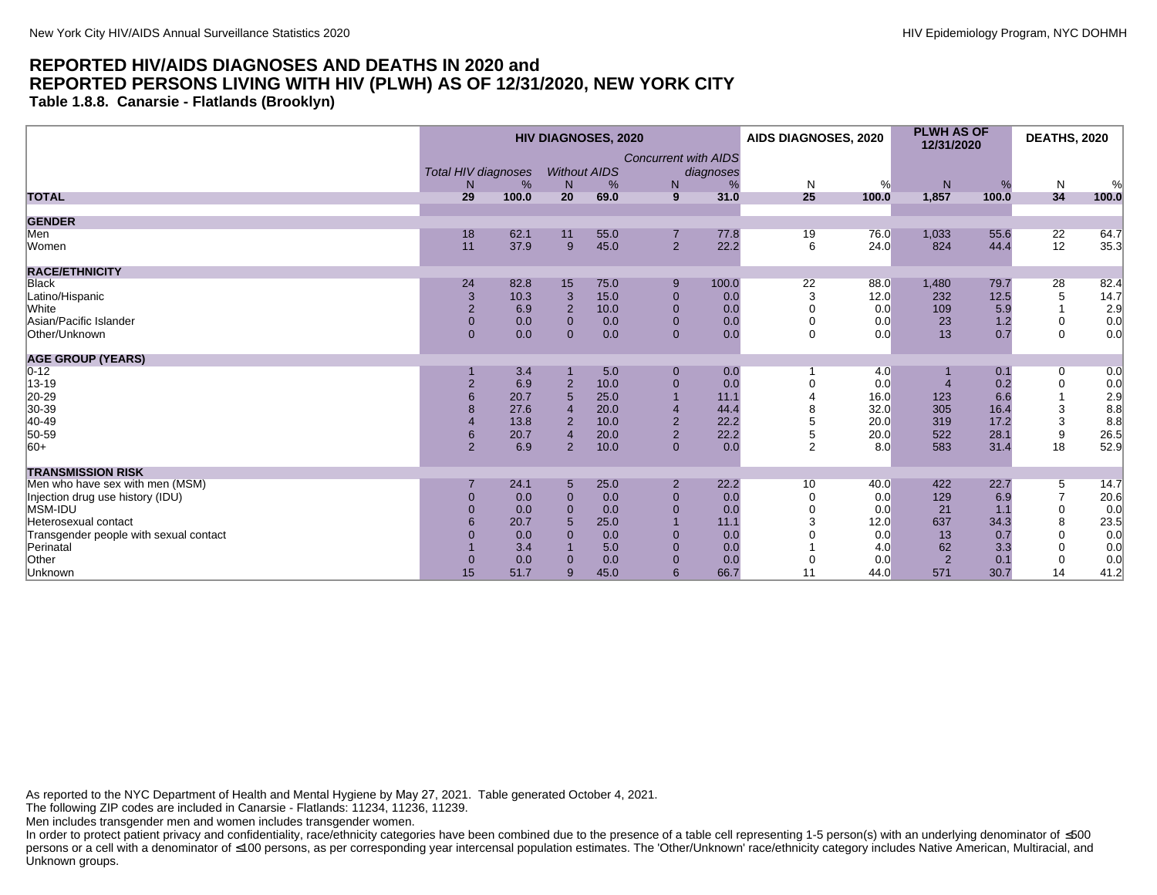**Table 1.8.8. Canarsie - Flatlands (Brooklyn)**

|                                        |                     |       |                | <b>HIV DIAGNOSES, 2020</b> |                             |           | AIDS DIAGNOSES, 2020 |       | <b>PLWH AS OF</b><br>12/31/2020 |       | <b>DEATHS, 2020</b> |       |
|----------------------------------------|---------------------|-------|----------------|----------------------------|-----------------------------|-----------|----------------------|-------|---------------------------------|-------|---------------------|-------|
|                                        | Total HIV diagnoses |       |                | <b>Without AIDS</b>        | <b>Concurrent with AIDS</b> | diagnoses |                      |       |                                 |       |                     |       |
|                                        | N                   | %     | N              | %                          | N                           | %         | N                    | %     | N                               | %     | N                   | %     |
| <b>TOTAL</b>                           | 29                  | 100.0 | 20             | 69.0                       | 9                           | 31.0      | 25                   | 100.0 | 1,857                           | 100.0 | 34                  | 100.0 |
| <b>GENDER</b>                          |                     |       |                |                            |                             |           |                      |       |                                 |       |                     |       |
| Men                                    | 18                  | 62.1  | 11             | 55.0                       | $\overline{7}$              | 77.8      | 19                   | 76.0  | 1,033                           | 55.6  | 22                  | 64.7  |
| Women                                  | 11                  | 37.9  | 9              | 45.0                       | $\overline{2}$              | 22.2      | 6                    | 24.0  | 824                             | 44.4  | 12                  | 35.3  |
| <b>RACE/ETHNICITY</b>                  |                     |       |                |                            |                             |           |                      |       |                                 |       |                     |       |
| <b>Black</b>                           | 24                  | 82.8  | 15             | 75.0                       | 9                           | 100.0     | 22                   | 88.0  | 1,480                           | 79.7  | 28                  | 82.4  |
| Latino/Hispanic                        | $\mathbf{3}$        | 10.3  | $\mathbf{3}$   | 15.0                       | $\overline{0}$              | 0.0       | 3                    | 12.0  | 232                             | 12.5  | $\,$ 5 $\,$         | 14.7  |
| White                                  | $\overline{2}$      | 6.9   | $\overline{2}$ | 10.0                       | $\overline{0}$              | 0.0       |                      | 0.0   | 109                             | 5.9   |                     | 2.9   |
| Asian/Pacific Islander                 | $\mathbf{0}$        | 0.0   | $\mathbf{0}$   | 0.0                        | $\mathbf{0}$                | 0.0       |                      | 0.0   | 23                              | 1.2   | 0                   | 0.0   |
| Other/Unknown                          | $\mathbf{0}$        | 0.0   | $\mathbf{0}$   | 0.0                        | $\overline{0}$              | 0.0       | $\Omega$             | 0.0   | 13                              | 0.7   | $\mathbf{0}$        | 0.0   |
| <b>AGE GROUP (YEARS)</b>               |                     |       |                |                            |                             |           |                      |       |                                 |       |                     |       |
| $0 - 12$                               |                     | 3.4   |                | 5.0                        | $\mathbf{0}$                | 0.0       |                      | 4.0   |                                 | 0.1   | 0                   | 0.0   |
| 13-19                                  | $\overline{2}$      | 6.9   |                | 10.0                       | $\mathbf{0}$                | 0.0       |                      | 0.0   |                                 | 0.2   | 0                   | 0.0   |
| 20-29                                  |                     | 20.7  | 5              | 25.0                       |                             | 11.1      |                      | 16.0  | 123                             | 6.6   |                     | 2.9   |
| 30-39                                  |                     | 27.6  |                | 20.0                       | $\overline{4}$              | 44.4      |                      | 32.0  | 305                             | 16.4  | 3                   | 8.8   |
| 40-49                                  |                     | 13.8  | $\overline{2}$ | 10.0                       | $\overline{2}$              | 22.2      |                      | 20.0  | 319                             | 17.2  | 3                   | 8.8   |
| 50-59                                  | 6                   | 20.7  |                | 20.0                       | $\overline{2}$              | 22.2      | 5                    | 20.0  | 522                             | 28.1  | 9                   | 26.5  |
| $ 60+$                                 | $\overline{2}$      | 6.9   | 2              | 10.0                       | $\mathbf{0}$                | 0.0       | $\overline{2}$       | 8.0   | 583                             | 31.4  | 18                  | 52.9  |
| <b>TRANSMISSION RISK</b>               |                     |       |                |                            |                             |           |                      |       |                                 |       |                     |       |
| Men who have sex with men (MSM)        |                     | 24.1  | 5              | 25.0                       | $\overline{2}$              | 22.2      | 10                   | 40.0  | 422                             | 22.7  | 5                   | 14.7  |
| Injection drug use history (IDU)       | $\mathbf 0$         | 0.0   | $\Omega$       | 0.0                        | $\overline{0}$              | 0.0       |                      | 0.0   | 129                             | 6.9   | $\overline{7}$      | 20.6  |
| MSM-IDU                                |                     | 0.0   | $\Omega$       | 0.0                        | $\Omega$                    | 0.0       |                      | 0.0   | 21                              | 1.1   | $\mathbf 0$         | 0.0   |
| Heterosexual contact                   |                     | 20.7  | 5              | 25.0                       |                             | 11.1      |                      | 12.0  | 637                             | 34.3  | 8                   | 23.5  |
| Transgender people with sexual contact |                     | 0.0   | $\Omega$       | 0.0                        | $\Omega$                    | 0.0       |                      | 0.0   | 13                              | 0.7   | $\mathbf 0$         | 0.0   |
| Perinatal                              |                     | 3.4   |                | 5.0                        | $\mathbf{0}$                | 0.0       |                      | 4.0   | 62                              | 3.3   | $\mathbf 0$         | 0.0   |
| Other                                  |                     | 0.0   | $\Omega$       | 0.0                        | $\Omega$                    | 0.0       |                      | 0.0   | $\overline{2}$                  | 0.1   | $\mathbf 0$         | 0.0   |
| Unknown                                | 15                  | 51.7  | 9              | 45.0                       | 6                           | 66.7      | 11                   | 44.0  | 571                             | 30.7  | 14                  | 41.2  |

As reported to the NYC Department of Health and Mental Hygiene by May 27, 2021. Table generated October 4, 2021.

The following ZIP codes are included in Canarsie - Flatlands: 11234, 11236, 11239.

Men includes transgender men and women includes transgender women.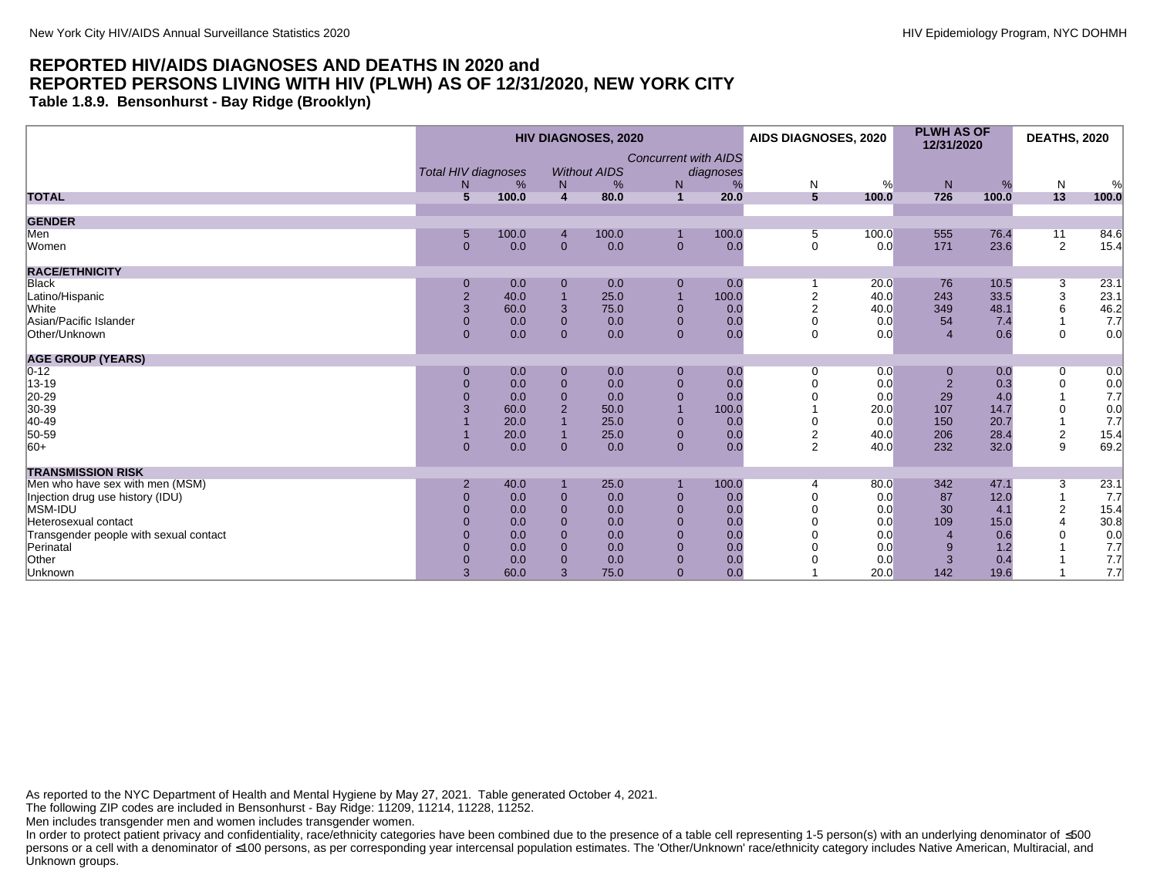**Table 1.8.9. Bensonhurst - Bay Ridge (Brooklyn)**

|                                        |                            |            |                                  | <b>HIV DIAGNOSES, 2020</b> |                             |           | AIDS DIAGNOSES, 2020 |            | <b>PLWH AS OF</b><br>12/31/2020 |            | <b>DEATHS, 2020</b> |             |
|----------------------------------------|----------------------------|------------|----------------------------------|----------------------------|-----------------------------|-----------|----------------------|------------|---------------------------------|------------|---------------------|-------------|
|                                        | <b>Total HIV diagnoses</b> |            |                                  | <b>Without AIDS</b>        | <b>Concurrent with AIDS</b> | diagnoses |                      |            |                                 |            |                     |             |
| <b>TOTAL</b>                           | N.<br>5                    | %<br>100.0 | N <sub>1</sub><br>$\overline{4}$ | %<br>80.0                  | N<br>$\mathbf{1}$           | 20.0      | N<br>$5\overline{5}$ | %<br>100.0 | N <sub>1</sub><br>726           | %<br>100.0 | ${\sf N}$<br>13     | %<br>100.0  |
|                                        |                            |            |                                  |                            |                             |           |                      |            |                                 |            |                     |             |
| <b>GENDER</b>                          |                            |            |                                  |                            |                             |           |                      |            |                                 |            |                     |             |
| Men                                    | 5                          | 100.0      | $\overline{4}$                   | 100.0                      |                             | 100.0     | 5                    | 100.0      | 555                             | 76.4       | 11                  | 84.6        |
| Women                                  | $\overline{0}$             | 0.0        | $\mathbf{0}$                     | 0.0                        | $\mathbf{0}$                | 0.0       | $\mathbf 0$          | 0.0        | 171                             | 23.6       | 2                   | 15.4        |
| <b>RACE/ETHNICITY</b>                  |                            |            |                                  |                            |                             |           |                      |            |                                 |            |                     |             |
| <b>Black</b>                           | 0                          | 0.0        | $\mathbf 0$                      | 0.0                        | $\mathbf 0$                 | 0.0       |                      | 20.0       | 76                              | 10.5       | 3                   | 23.1        |
| Latino/Hispanic                        | $\overline{2}$             | 40.0       |                                  | 25.0                       | $\overline{1}$              | 100.0     |                      | 40.0       | 243                             | 33.5       | 3                   | 23.1        |
| White                                  | 3                          | 60.0       | $\mathbf{3}$                     | 75.0                       | $\mathbf 0$                 | 0.0       | $\overline{2}$       | 40.0       | 349                             | 48.1       | 6                   | 46.2<br>7.7 |
| Asian/Pacific Islander                 | $\mathbf{0}$               | 0.0        | $\mathbf{0}$                     | 0.0                        | $\mathbf{0}$                | 0.0       | $\mathbf 0$          | 0.0        | 54                              | 7.4        |                     |             |
| Other/Unknown                          | $\Omega$                   | 0.0        | $\mathbf{0}$                     | 0.0                        | $\overline{0}$              | 0.0       | $\mathbf 0$          | 0.0        | $\overline{4}$                  | 0.6        | $\mathbf 0$         | 0.0         |
| <b>AGE GROUP (YEARS)</b>               |                            |            |                                  |                            |                             |           |                      |            |                                 |            |                     |             |
| $0 - 12$                               | $\Omega$                   | 0.0        | $\mathbf 0$                      | 0.0                        | $\mathbf 0$                 | 0.0       | 0                    | 0.0        | 0                               | 0.0        | 0                   | 0.0         |
| 13-19                                  | $\Omega$                   | 0.0        | $\mathbf 0$                      | 0.0                        | $\mathbf 0$                 | 0.0       |                      | 0.0        | $\overline{2}$                  | 0.3        | $\mathbf 0$         | 0.0         |
| 20-29                                  | $\Omega$                   | 0.0        | $\overline{0}$                   | 0.0                        | $\overline{0}$              | 0.0       |                      | 0.0        | 29                              | 4.0        |                     | 7.7         |
| 30-39                                  | 3                          | 60.0       | $\overline{2}$                   | 50.0                       | $\overline{1}$              | 100.0     |                      | 20.0       | 107                             | 14.7       | 0                   | 0.0         |
| 40-49                                  |                            | 20.0       |                                  | 25.0                       | $\mathbf 0$                 | 0.0       |                      | 0.0        | 150                             | 20.7       |                     | 7.7         |
| 50-59                                  |                            | 20.0       |                                  | 25.0                       | $\mathbf 0$                 | 0.0       | $\overline{c}$       | 40.0       | 206                             | 28.4       | $\sqrt{2}$          | 15.4        |
| $ 60+$                                 | $\overline{0}$             | 0.0        | $\overline{0}$                   | 0.0                        | $\mathbf{0}$                | 0.0       | 2                    | 40.0       | 232                             | 32.0       | 9                   | 69.2        |
| <b>TRANSMISSION RISK</b>               |                            |            |                                  |                            |                             |           |                      |            |                                 |            |                     |             |
| Men who have sex with men (MSM)        | $\overline{2}$             | 40.0       |                                  | 25.0                       |                             | 100.0     | 4                    | 80.0       | 342                             | 47.1       | 3                   | 23.1        |
| Injection drug use history (IDU)       | $\Omega$                   | 0.0        | $\mathbf{0}$                     | 0.0                        | $\overline{0}$              | 0.0       |                      | 0.0        | 87                              | 12.0       |                     | 7.7         |
| MSM-IDU                                | $\Omega$                   | 0.0        | $\overline{0}$                   | 0.0                        | $\mathbf{0}$                | 0.0       |                      | 0.0        | 30                              | 4.1        | $\overline{2}$      | 15.4        |
| Heterosexual contact                   | $\Omega$                   | 0.0        | $\mathbf{0}$                     | 0.0                        | $\mathbf{0}$                | 0.0       |                      | 0.0        | 109                             | 15.0       |                     | 30.8        |
| Transgender people with sexual contact | $\Omega$                   | 0.0        | $\overline{0}$                   | 0.0                        | $\mathbf{0}$                | 0.0       |                      | 0.0        | $\boldsymbol{\Delta}$           | 0.6        |                     | 0.0         |
| Perinatal                              | $\Omega$                   | 0.0        | $\overline{0}$                   | 0.0                        | $\mathbf{0}$                | 0.0       |                      | 0.0        | 9                               | 1.2        |                     | 7.7         |
| Other                                  | $\Omega$                   | 0.0        | $\Omega$                         | 0.0                        | $\mathbf 0$                 | 0.0       |                      | 0.0        | 3                               | 0.4        |                     | 7.7         |
| Unknown                                | 3                          | 60.0       | 3                                | 75.0                       | $\mathbf{0}$                | 0.0       |                      | 20.0       | 142                             | 19.6       |                     | 7.7         |

As reported to the NYC Department of Health and Mental Hygiene by May 27, 2021. Table generated October 4, 2021.

The following ZIP codes are included in Bensonhurst - Bay Ridge: 11209, 11214, 11228, 11252.

Men includes transgender men and women includes transgender women.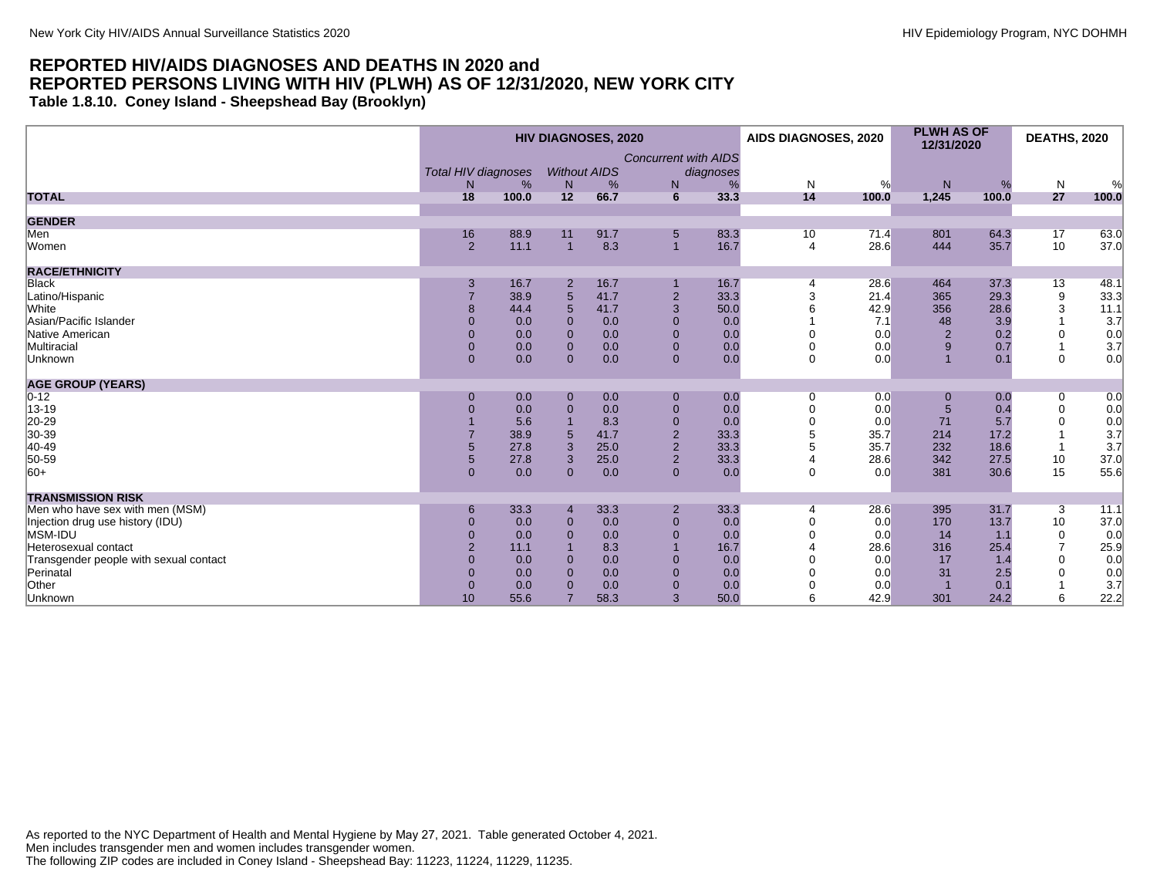**Table 1.8.10. Coney Island - Sheepshead Bay (Brooklyn)**

|                                        | <b>HIV DIAGNOSES, 2020</b> |       |                |                     |                             | AIDS DIAGNOSES, 2020 |                | <b>PLWH AS OF</b><br>12/31/2020 |       | <b>DEATHS, 2020</b> |                  |                |
|----------------------------------------|----------------------------|-------|----------------|---------------------|-----------------------------|----------------------|----------------|---------------------------------|-------|---------------------|------------------|----------------|
|                                        |                            |       |                |                     | <b>Concurrent with AIDS</b> |                      |                |                                 |       |                     |                  |                |
|                                        | <b>Total HIV diagnoses</b> |       |                | <b>Without AIDS</b> |                             | diagnoses            |                |                                 |       |                     |                  |                |
|                                        | N                          | %     | N              | %                   | N                           | %                    | N              | %                               | N     | %                   | $\mathsf{N}$     | %              |
| <b>TOTAL</b>                           | 18                         | 100.0 | 12             | 66.7                | 6                           | 33.3                 | 14             | 100.0                           | 1,245 | 100.0               | 27               | 100.0          |
| <b>GENDER</b>                          |                            |       |                |                     |                             |                      |                |                                 |       |                     |                  |                |
| Men                                    | 16                         | 88.9  | 11             | 91.7                | $5\overline{)}$             | 83.3                 | 10             | 71.4                            | 801   | 64.3                | 17               | 63.0           |
| Women                                  | $\overline{2}$             | 11.1  | $\overline{1}$ | 8.3                 | $\overline{1}$              | 16.7                 | $\overline{4}$ | 28.6                            | 444   | 35.7                | 10               | 37.0           |
| <b>RACE/ETHNICITY</b>                  |                            |       |                |                     |                             |                      |                |                                 |       |                     |                  |                |
| <b>Black</b>                           | 3                          | 16.7  | 2              | 16.7                |                             | 16.7                 | $\overline{4}$ | 28.6                            | 464   | 37.3                | 13               | 48.1           |
| Latino/Hispanic                        |                            | 38.9  | 5              | 41.7                | $\overline{2}$              | 33.3                 | 3              | 21.4                            | 365   | 29.3                | $\boldsymbol{9}$ | 33.3           |
| <b>White</b>                           | 8                          | 44.4  | 5              | 41.7                | 3                           | 50.0                 |                | 42.9                            | 356   | 28.6                | 3                | 11.1           |
| Asian/Pacific Islander                 | $\Omega$                   | 0.0   | $\Omega$       | 0.0                 | $\Omega$                    | 0.0                  |                | 7.1                             | 48    | 3.9                 |                  | 3.7            |
| Native American                        | $\Omega$                   | 0.0   | $\Omega$       | 0.0                 | $\overline{0}$              | 0.0                  |                | 0.0                             | 2     | 0.2                 | $\Omega$         | $0.0$<br>$3.7$ |
| Multiracial                            | $\overline{0}$             | 0.0   | $\overline{0}$ | 0.0                 | $\overline{0}$              | 0.0                  |                | 0.0                             | 9     | 0.7                 | $\mathbf 1$      |                |
| Unknown                                | $\overline{0}$             | 0.0   | $\Omega$       | 0.0                 | $\overline{0}$              | 0.0                  | $\Omega$       | 0.0                             |       | 0.1                 | $\mathbf 0$      | 0.0            |
| <b>AGE GROUP (YEARS)</b>               |                            |       |                |                     |                             |                      |                |                                 |       |                     |                  |                |
| $0 - 12$                               | $\mathbf 0$                | 0.0   | $\mathbf 0$    | 0.0                 | $\mathbf{0}$                | 0.0                  | 0              | 0.0                             | 0     | 0.0                 | 0                | 0.0            |
| 13-19                                  | 0                          | 0.0   | $\overline{0}$ | 0.0                 | $\mathbf{0}$                | 0.0                  |                | 0.0                             | 5     | 0.4                 | $\mathbf 0$      | 0.0            |
| 20-29                                  |                            | 5.6   |                | 8.3                 | $\mathbf{0}$                | 0.0                  |                | 0.0                             | 71    | 5.7                 | $\Omega$         | 0.0            |
| 30-39                                  |                            | 38.9  |                | 41.7                | $\overline{2}$              | 33.3                 |                | 35.7                            | 214   | 17.2                |                  | 3.7            |
| 40-49                                  | 5                          | 27.8  | $\overline{3}$ | 25.0                | $\overline{2}$              | 33.3                 |                | 35.7                            | 232   | 18.6                |                  | 3.7            |
| 50-59                                  | 5                          | 27.8  | $\overline{3}$ | 25.0                | $\overline{2}$              | 33.3                 |                | 28.6                            | 342   | 27.5                | 10               | 37.0           |
| $ 60+$                                 | $\overline{0}$             | 0.0   | $\overline{0}$ | 0.0                 | $\overline{0}$              | 0.0                  | $\mathbf 0$    | 0.0                             | 381   | 30.6                | 15               | 55.6           |
| <b>TRANSMISSION RISK</b>               |                            |       |                |                     |                             |                      |                |                                 |       |                     |                  |                |
| Men who have sex with men (MSM)        | 6                          | 33.3  |                | 33.3                | $\overline{2}$              | 33.3                 |                | 28.6                            | 395   | 31.7                | 3                | 11.1           |
| Injection drug use history (IDU)       | $\overline{0}$             | 0.0   | $\mathbf{0}$   | 0.0                 | $\overline{0}$              | 0.0                  |                | 0.0                             | 170   | 13.7                | 10               | 37.0           |
| MSM-IDU                                | $\overline{0}$             | 0.0   | $\Omega$       | 0.0                 | $\mathbf{0}$                | 0.0                  |                | 0.0                             | 14    | 1.1                 | $\mathbf 0$      | 0.0            |
| Heterosexual contact                   |                            | 11.1  |                | 8.3                 |                             | 16.7                 |                | 28.6                            | 316   | 25.4                | $\overline{7}$   | 25.9           |
| Transgender people with sexual contact | $\overline{0}$             | 0.0   | $\Omega$       | 0.0                 | $\mathbf{0}$                | 0.0                  |                | 0.0                             | 17    | 1.4                 | $\Omega$         | 0.0            |
| Perinatal                              | $\Omega$                   | 0.0   | $\Omega$       | 0.0                 | $\overline{0}$              | 0.0                  |                | 0.0                             | 31    | 2.5                 |                  | 0.0            |
| Other                                  | $\Omega$                   | 0.0   | $\Omega$       | 0.0                 | $\mathbf{0}$                | 0.0                  |                | 0.0                             |       | 0.1                 |                  | 3.7            |
| Unknown                                | 10                         | 55.6  |                | 58.3                | 3                           | 50.0                 | 6              | 42.9                            | 301   | 24.2                | 6                | 22.2           |

As reported to the NYC Department of Health and Mental Hygiene by May 27, 2021. Table generated October 4, 2021. Men includes transgender men and women includes transgender women. The following ZIP codes are included in Coney Island - Sheepshead Bay: 11223, 11224, 11229, 11235.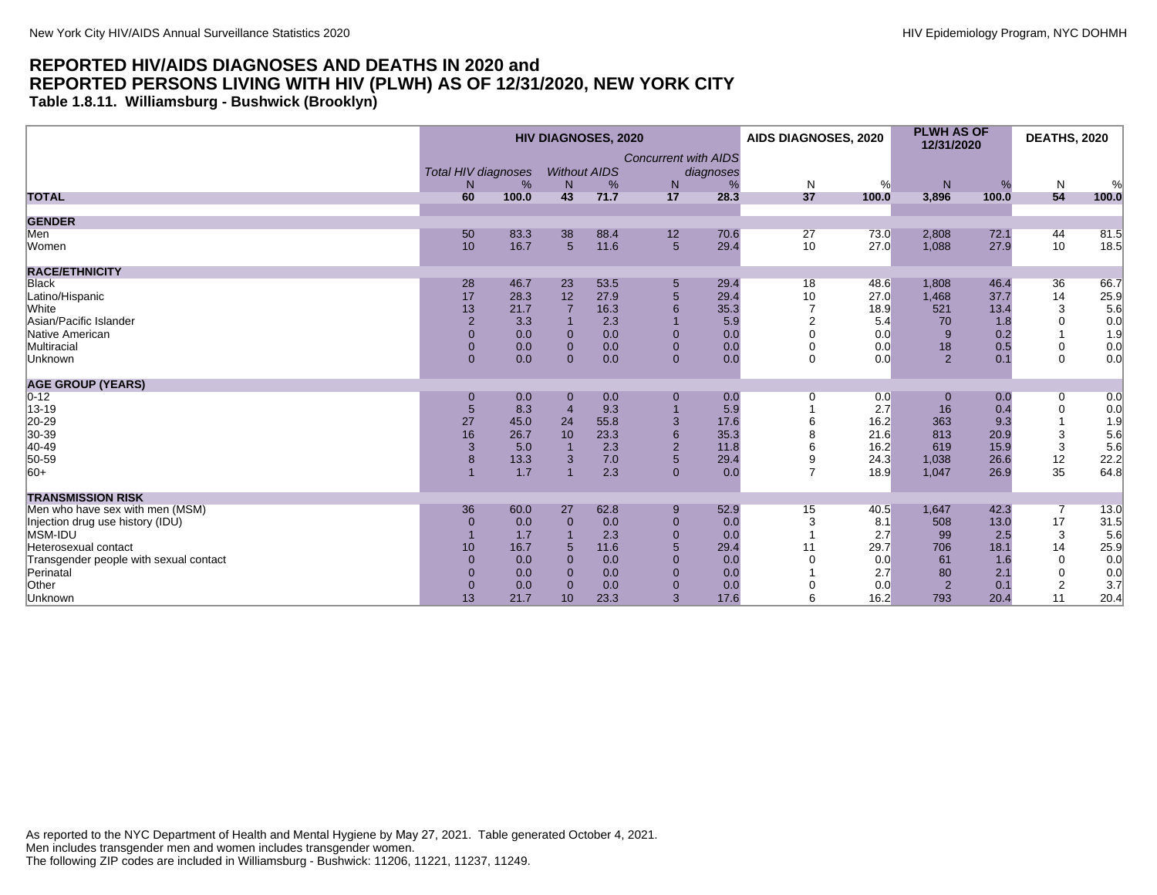**Table 1.8.11. Williamsburg - Bushwick (Brooklyn)**

|                                        | <b>HIV DIAGNOSES, 2020</b> |       |                 |                     |                             |           | AIDS DIAGNOSES, 2020 |       | <b>PLWH AS OF</b><br>12/31/2020 |       | <b>DEATHS, 2020</b> |              |
|----------------------------------------|----------------------------|-------|-----------------|---------------------|-----------------------------|-----------|----------------------|-------|---------------------------------|-------|---------------------|--------------|
|                                        |                            |       |                 |                     | <b>Concurrent with AIDS</b> |           |                      |       |                                 |       |                     |              |
|                                        | <b>Total HIV diagnoses</b> |       |                 | <b>Without AIDS</b> |                             | diagnoses |                      |       |                                 |       |                     |              |
|                                        | N                          | %     | N               | %                   | N                           |           | $\mathsf{N}$         | %     | N                               | %     | $\mathsf{N}$        | %            |
| <b>TOTAL</b>                           | 60                         | 100.0 | 43              | 71.7                | 17                          | 28.3      | 37                   | 100.0 | 3,896                           | 100.0 | 54                  | 100.0        |
| <b>GENDER</b>                          |                            |       |                 |                     |                             |           |                      |       |                                 |       |                     |              |
| Men                                    | 50                         | 83.3  | 38              | 88.4                | 12                          | 70.6      | 27                   | 73.0  | 2,808                           | 72.1  | 44                  | 81.5         |
| Women                                  | 10                         | 16.7  | $5\overline{5}$ | 11.6                | $5\overline{)}$             | 29.4      | 10                   | 27.0  | 1,088                           | 27.9  | 10                  | 18.5         |
| <b>RACE/ETHNICITY</b>                  |                            |       |                 |                     |                             |           |                      |       |                                 |       |                     |              |
| <b>Black</b>                           | 28                         | 46.7  | 23              | 53.5                | $5\phantom{.0}$             | 29.4      | 18                   | 48.6  | 1,808                           | 46.4  | 36                  | 66.7         |
| Latino/Hispanic                        | 17                         | 28.3  | 12              | 27.9                | $\overline{5}$              | 29.4      | 10                   | 27.0  | 1,468                           | 37.7  | 14                  | 25.9         |
| White                                  | 13                         | 21.7  |                 | 16.3                | 6                           | 35.3      | $\overline{7}$       | 18.9  | 521                             | 13.4  | 3                   | 5.6          |
| Asian/Pacific Islander                 | 2                          | 3.3   |                 | 2.3                 |                             | 5.9       | $\mathfrak{p}$       | 5.4   | 70                              | 1.8   | $\Omega$            | 0.0          |
| Native American                        | $\mathbf{0}$               | 0.0   | $\mathbf 0$     | 0.0                 | $\mathbf{0}$                | 0.0       | ∩                    | 0.0   | 9                               | 0.2   |                     | 1.9          |
| Multiracial                            | $\mathbf{0}$               | 0.0   | $\mathbf 0$     | 0.0                 | $\mathbf{0}$                | 0.0       |                      | 0.0   | 18                              | 0.5   | $\mathbf 0$         |              |
| Unknown                                | $\mathbf{0}$               | 0.0   | $\Omega$        | 0.0                 | $\overline{0}$              | 0.0       | $\mathbf 0$          | 0.0   | 2                               | 0.1   | $\mathbf 0$         | $0.0 \\ 0.0$ |
| <b>AGE GROUP (YEARS)</b>               |                            |       |                 |                     |                             |           |                      |       |                                 |       |                     |              |
| $ 0-12 $                               | $\mathbf 0$                | 0.0   | $\mathbf 0$     | 0.0                 | $\mathbf{0}$                | 0.0       | 0                    | 0.0   | $\mathbf 0$                     | 0.0   | 0                   | 0.0          |
| 13-19                                  | 5                          | 8.3   |                 | 9.3                 |                             | 5.9       |                      | 2.7   | 16                              | 0.4   | $\mathbf 0$         | 0.0          |
| 20-29<br>30-39                         | 27                         | 45.0  | 24              | 55.8                | 3                           | 17.6      |                      | 16.2  | 363                             | 9.3   |                     | 1.9          |
|                                        | 16                         | 26.7  | 10              | 23.3                | 6                           | 35.3      |                      | 21.6  | 813                             | 20.9  | 3                   | 5.6          |
| 40-49                                  | $\mathbf{3}$               | 5.0   |                 | 2.3                 | $\overline{2}$              | 11.8      |                      | 16.2  | 619                             | 15.9  | 3                   | 5.6          |
| 50-59                                  | 8                          | 13.3  | 3               | 7.0                 | 5                           | 29.4      | 9                    | 24.3  | 1,038                           | 26.6  | 12                  | 22.2         |
| $ 60+$                                 |                            | 1.7   |                 | 2.3                 | $\mathbf{0}$                | 0.0       | $\overline{7}$       | 18.9  | 1,047                           | 26.9  | 35                  | 64.8         |
| <b>TRANSMISSION RISK</b>               |                            |       |                 |                     |                             |           |                      |       |                                 |       |                     |              |
| Men who have sex with men (MSM)        | 36                         | 60.0  | 27              | 62.8                | 9                           | 52.9      | 15                   | 40.5  | 1.647                           | 42.3  | 7                   | 13.0         |
| Injection drug use history (IDU)       | $\Omega$                   | 0.0   | $\mathbf 0$     | 0.0                 | $\mathbf{0}$                | 0.0       |                      | 8.1   | 508                             | 13.0  | 17                  | 31.5         |
| MSM-IDU                                |                            | 1.7   |                 | 2.3                 | $\mathbf{0}$                | 0.0       |                      | 2.7   | 99                              | 2.5   | 3                   | 5.6          |
| Heterosexual contact                   | 10                         | 16.7  | 5               | 11.6                | 5                           | 29.4      | 11                   | 29.7  | 706                             | 18.1  | 14                  | 25.9         |
| Transgender people with sexual contact | $\mathbf{0}$               | 0.0   | $\Omega$        | 0.0                 | $\Omega$                    | 0.0       |                      | 0.0   | 61                              | 1.6   | $\Omega$            | 0.0          |
| Perinatal                              | $\Omega$                   | 0.0   | $\Omega$        | 0.0                 | $\mathbf{0}$                | 0.0       |                      | 2.7   | 80                              | 2.1   | $\mathbf 0$         | 0.0          |
| Other                                  | $\Omega$                   | 0.0   | $\Omega$        | 0.0                 | $\mathbf{0}$                | 0.0       |                      | 0.0   | 2                               | 0.1   | $\overline{2}$      | 3.7          |
| Unknown                                | 13                         | 21.7  | 10 <sup>1</sup> | 23.3                | 3                           | 17.6      | 6                    | 16.2  | 793                             | 20.4  | 11                  | 20.4         |

As reported to the NYC Department of Health and Mental Hygiene by May 27, 2021. Table generated October 4, 2021. Men includes transgender men and women includes transgender women. The following ZIP codes are included in Williamsburg - Bushwick: 11206, 11221, 11237, 11249.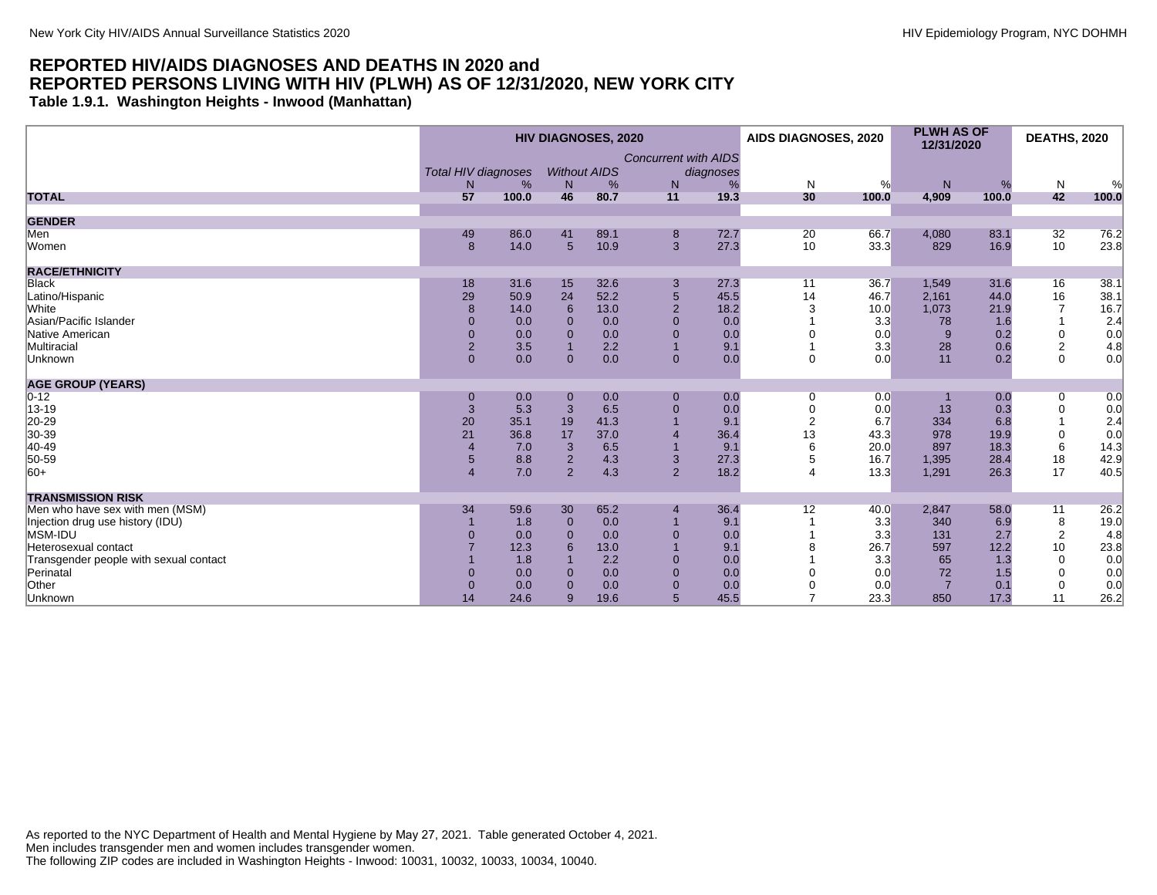**Table 1.9.1. Washington Heights - Inwood (Manhattan)**

|                                        |                            |       |                | <b>HIV DIAGNOSES, 2020</b> |                             |           | AIDS DIAGNOSES, 2020  |       | <b>PLWH AS OF</b><br>12/31/2020 |       | <b>DEATHS, 2020</b> |       |
|----------------------------------------|----------------------------|-------|----------------|----------------------------|-----------------------------|-----------|-----------------------|-------|---------------------------------|-------|---------------------|-------|
|                                        |                            |       |                |                            | <b>Concurrent with AIDS</b> |           |                       |       |                                 |       |                     |       |
|                                        | <b>Total HIV diagnoses</b> |       |                | <b>Without AIDS</b>        |                             | diagnoses |                       |       |                                 |       |                     |       |
|                                        | N                          | %     | N              | %                          | N                           | %         | $\mathsf{N}$          | %     | ${\sf N}$                       | %     | N                   | %     |
| <b>TOTAL</b>                           | 57                         | 100.0 | 46             | 80.7                       | 11                          | 19.3      | 30                    | 100.0 | 4,909                           | 100.0 | 42                  | 100.0 |
| <b>GENDER</b>                          |                            |       |                |                            |                             |           |                       |       |                                 |       |                     |       |
| Men                                    | 49                         | 86.0  | 41             | 89.1                       | 8                           | 72.7      | 20                    | 66.7  | 4,080                           | 83.1  | 32                  | 76.2  |
| Women                                  | 8                          | 14.0  | 5              | 10.9                       | 3                           | 27.3      | 10                    | 33.3  | 829                             | 16.9  | 10                  | 23.8  |
| <b>RACE/ETHNICITY</b>                  |                            |       |                |                            |                             |           |                       |       |                                 |       |                     |       |
| <b>Black</b>                           | 18                         | 31.6  | 15             | 32.6                       | 3                           | 27.3      | 11                    | 36.7  | 1,549                           | 31.6  | 16                  | 38.1  |
| Latino/Hispanic                        | 29                         | 50.9  | 24             | 52.2                       | $\sqrt{5}$                  | 45.5      | 14                    | 46.7  | 2,161                           | 44.0  | 16                  | 38.1  |
| White                                  | $\mathbf{8}$               | 14.0  | 6              | 13.0                       | 2                           | 18.2      | 3                     | 10.0  | 1,073                           | 21.9  | $\overline{7}$      | 16.7  |
| Asian/Pacific Islander                 | $\Omega$                   | 0.0   | $\Omega$       | 0.0                        | $\Omega$                    | 0.0       |                       | 3.3   | 78                              | 1.6   |                     | 2.4   |
| Native American                        | $\mathbf{0}$               | 0.0   | $\Omega$       | 0.0                        | $\mathbf{0}$                | 0.0       |                       | 0.0   | 9                               | 0.2   | $\mathbf 0$         | 0.0   |
| Multiracial                            | $\overline{2}$             | 3.5   |                | 2.2                        |                             | 9.1       |                       | 3.3   | 28                              | 0.6   | $\overline{c}$      | 4.8   |
| Unknown                                | $\overline{0}$             | 0.0   | $\Omega$       | 0.0                        | $\mathbf{0}$                | 0.0       | $\Omega$              | 0.0   | 11                              | 0.2   | $\Omega$            | 0.0   |
| <b>AGE GROUP (YEARS)</b>               |                            |       |                |                            |                             |           |                       |       |                                 |       |                     |       |
| $0 - 12$                               | $\mathbf 0$                | 0.0   | $\mathbf 0$    | 0.0                        | $\mathbf{0}$                | 0.0       | 0                     | 0.0   |                                 | 0.0   | 0                   | 0.0   |
| 13-19                                  | 3                          | 5.3   | 3              | 6.5                        | $\mathbf{0}$                | 0.0       | $\Omega$              | 0.0   | 13                              | 0.3   | $\pmb{0}$           | 0.0   |
| 20-29                                  | 20                         | 35.1  | 19             | 41.3                       |                             | 9.1       | $\overline{2}$        | 6.7   | 334                             | 6.8   |                     | 2.4   |
| 30-39                                  | 21                         | 36.8  | 17             | 37.0                       |                             | 36.4      | 13                    | 43.3  | 978                             | 19.9  | $\pmb{0}$           | 0.0   |
| 40-49                                  |                            | 7.0   | 3              | 6.5                        |                             | 9.1       |                       | 20.0  | 897                             | 18.3  | 6                   | 14.3  |
| 50-59                                  | 5                          | 8.8   | $\overline{2}$ | 4.3                        | 3                           | 27.3      | 5                     | 16.7  | 1,395                           | 28.4  | 18                  | 42.9  |
| $ 60+$                                 | $\overline{4}$             | 7.0   | $\overline{2}$ | 4.3                        | $\overline{2}$              | 18.2      | $\boldsymbol{\Delta}$ | 13.3  | 1,291                           | 26.3  | 17                  | 40.5  |
| <b>TRANSMISSION RISK</b>               |                            |       |                |                            |                             |           |                       |       |                                 |       |                     |       |
| Men who have sex with men (MSM)        | 34                         | 59.6  | 30             | 65.2                       | $\overline{4}$              | 36.4      | 12                    | 40.0  | 2,847                           | 58.0  | 11                  | 26.2  |
| Injection drug use history (IDU)       |                            | 1.8   | $\Omega$       | 0.0                        |                             | 9.1       |                       | 3.3   | 340                             | 6.9   | 8                   | 19.0  |
| MSM-IDU                                | $\Omega$                   | 0.0   | $\Omega$       | 0.0                        | $\mathbf{0}$                | 0.0       |                       | 3.3   | 131                             | 2.7   | $\overline{2}$      | 4.8   |
| Heterosexual contact                   |                            | 12.3  | 6              | 13.0                       |                             | 9.1       |                       | 26.7  | 597                             | 12.2  | 10                  | 23.8  |
| Transgender people with sexual contact |                            | 1.8   |                | 2.2                        | $\Omega$                    | 0.0       |                       | 3.3   | 65                              | 1.3   | $\mathbf 0$         | 0.0   |
| Perinatal                              | $\Omega$                   | 0.0   | $\Omega$       | 0.0                        | $\Omega$                    | 0.0       |                       | 0.0   | 72                              | 1.5   | $\mathbf 0$         | 0.0   |
| Other                                  | $\mathbf{0}$               | 0.0   | $\Omega$       | 0.0                        | $\mathbf{0}$                | 0.0       |                       | 0.0   | $\overline{7}$                  | 0.1   | $\mathbf 0$         | 0.0   |
| Unknown                                | 14                         | 24.6  | 9              | 19.6                       | $5\overline{)}$             | 45.5      |                       | 23.3  | 850                             | 17.3  | 11                  | 26.2  |

As reported to the NYC Department of Health and Mental Hygiene by May 27, 2021. Table generated October 4, 2021. Men includes transgender men and women includes transgender women. The following ZIP codes are included in Washington Heights - Inwood: 10031, 10032, 10033, 10034, 10040.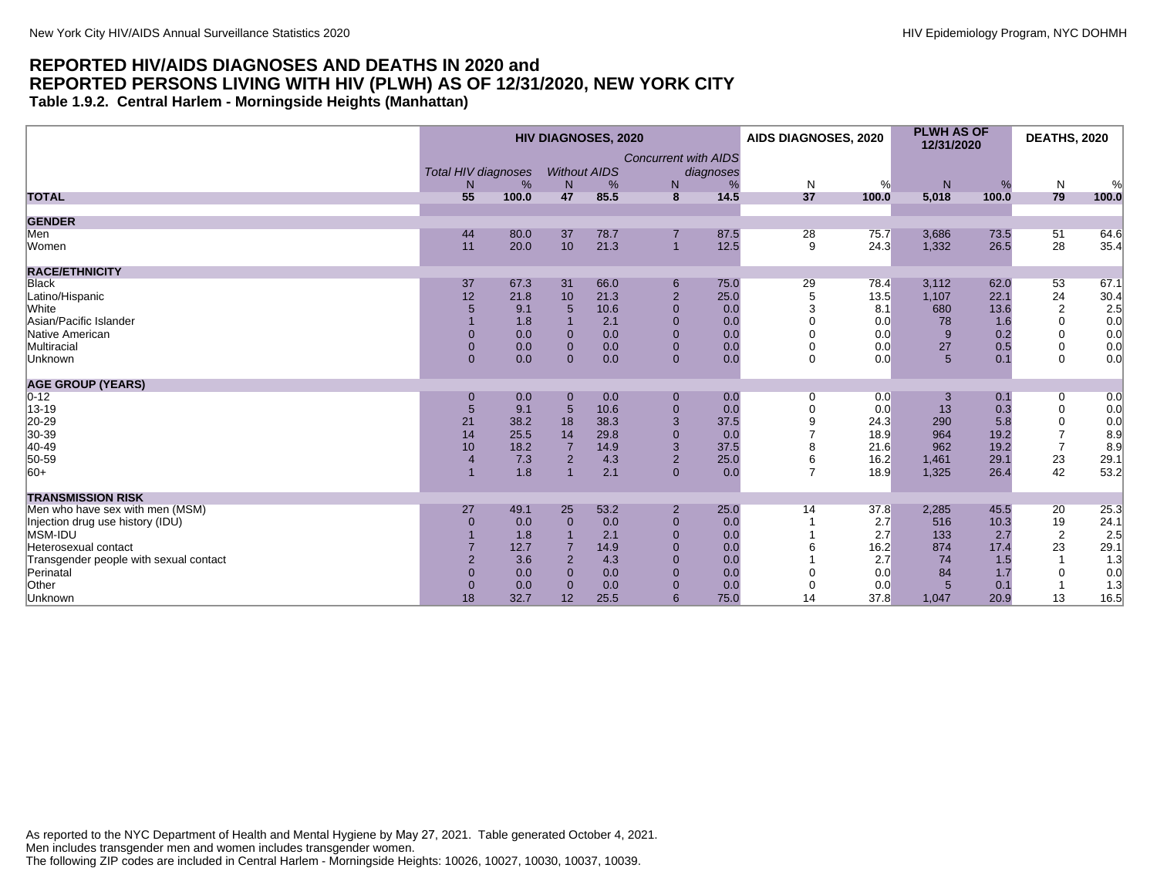#### **REPORTED HIV/AIDS DIAGNOSES AND DEATHS IN 2020 and REPORTED PERSONS LIVING WITH HIV (PLWH) AS OF 12/31/2020, NEW YORK CITY Table 1.9.2. Central Harlem - Morningside Heights (Manhattan)**

|                                        |                            |       |                     | <b>HIV DIAGNOSES, 2020</b> |                             |           | AIDS DIAGNOSES, 2020 |       | <b>PLWH AS OF</b><br>12/31/2020 |       | <b>DEATHS, 2020</b> |       |
|----------------------------------------|----------------------------|-------|---------------------|----------------------------|-----------------------------|-----------|----------------------|-------|---------------------------------|-------|---------------------|-------|
|                                        | <b>Total HIV diagnoses</b> |       | <b>Without AIDS</b> |                            | <b>Concurrent with AIDS</b> | diagnoses |                      |       |                                 |       |                     |       |
|                                        | N.                         | %     | N                   | %                          | N                           | %         | N                    | %     | N                               | %     | N                   | %     |
| <b>TOTAL</b>                           | 55                         | 100.0 | 47                  | 85.5                       | 8                           | 14.5      | 37                   | 100.0 | 5,018                           | 100.0 | 79                  | 100.0 |
| <b>GENDER</b>                          |                            |       |                     |                            |                             |           |                      |       |                                 |       |                     |       |
| Men                                    | 44                         | 80.0  | 37                  | 78.7                       |                             | 87.5      | 28                   | 75.7  | 3,686                           | 73.5  | 51                  | 64.6  |
| Women                                  | 11                         | 20.0  | 10                  | 21.3                       | $\overline{1}$              | 12.5      | 9                    | 24.3  | 1,332                           | 26.5  | 28                  | 35.4  |
| <b>RACE/ETHNICITY</b>                  |                            |       |                     |                            |                             |           |                      |       |                                 |       |                     |       |
| <b>Black</b>                           | 37                         | 67.3  | 31                  | 66.0                       | 6                           | 75.0      | 29                   | 78.4  | 3,112                           | 62.0  | 53                  | 67.1  |
| Latino/Hispanic                        | 12                         | 21.8  | 10                  | 21.3                       | $\overline{2}$              | 25.0      | 5                    | 13.5  | 1,107                           | 22.1  | 24                  | 30.4  |
| <b>White</b>                           |                            | 9.1   | 5                   | 10.6                       | $\mathbf{0}$                | 0.0       | 3                    | 8.1   | 680                             | 13.6  | $\sqrt{2}$          | 2.5   |
| Asian/Pacific Islander                 |                            | 1.8   |                     | 2.1                        | $\mathbf{0}$                | 0.0       |                      | 0.0   | 78                              | 1.6   | 0                   | 0.0   |
| Native American                        |                            | 0.0   | $\mathbf{0}$        | 0.0                        | $\mathbf{0}$                | 0.0       |                      | 0.0   | 9                               | 0.2   | 0                   | 0.0   |
| Multiracial                            | $\Omega$                   | 0.0   | $\mathbf 0$         | 0.0                        | $\mathbf{0}$                | 0.0       | $\Omega$             | 0.0   | 27                              | 0.5   | 0                   | 0.0   |
| Unknown                                | $\Omega$                   | 0.0   | $\Omega$            | 0.0                        | $\mathbf{0}$                | 0.0       | 0                    | 0.0   | $5\overline{5}$                 | 0.1   | $\Omega$            | 0.0   |
| <b>AGE GROUP (YEARS)</b>               |                            |       |                     |                            |                             |           |                      |       |                                 |       |                     |       |
| $0 - 12$                               | $\mathbf 0$                | 0.0   | $\mathbf 0$         | 0.0                        | $\mathbf{0}$                | 0.0       | 0                    | 0.0   | 3                               | 0.1   | 0                   | 0.0   |
| 13-19                                  | 5                          | 9.1   | 5                   | 10.6                       | $\mathbf{0}$                | 0.0       | $\Omega$             | 0.0   | 13                              | 0.3   | $\mathbf 0$         | 0.0   |
| 20-29                                  | 21                         | 38.2  | 18                  | 38.3                       | 3                           | 37.5      |                      | 24.3  | 290                             | 5.8   | 0                   | 0.0   |
| 30-39                                  | 14                         | 25.5  | 14                  | 29.8                       | $\mathbf{0}$                | 0.0       |                      | 18.9  | 964                             | 19.2  | $\overline{7}$      | 8.9   |
| 40-49                                  | 10                         | 18.2  | $\overline{7}$      | 14.9                       | 3                           | 37.5      | 8                    | 21.6  | 962                             | 19.2  | $\overline{7}$      | 8.9   |
| 50-59                                  |                            | 7.3   | $\overline{2}$      | 4.3                        | $\overline{2}$              | 25.0      | 6                    | 16.2  | 1,461                           | 29.1  | 23                  | 29.1  |
| $ 60+$                                 |                            | 1.8   |                     | 2.1                        | $\overline{0}$              | 0.0       | $\overline{7}$       | 18.9  | 1,325                           | 26.4  | 42                  | 53.2  |
| <b>TRANSMISSION RISK</b>               |                            |       |                     |                            |                             |           |                      |       |                                 |       |                     |       |
| Men who have sex with men (MSM)        | 27                         | 49.1  | 25                  | 53.2                       | $\overline{2}$              | 25.0      | 14                   | 37.8  | 2,285                           | 45.5  | 20                  | 25.3  |
| Injection drug use history (IDU)       | $\Omega$                   | 0.0   | $\mathbf 0$         | 0.0                        | $\mathbf{0}$                | 0.0       |                      | 2.7   | 516                             | 10.3  | 19                  | 24.1  |
| MSM-IDU                                |                            | 1.8   |                     | 2.1                        | $\mathbf{0}$                | 0.0       |                      | 2.7   | 133                             | 2.7   | $\overline{2}$      | 2.5   |
| Heterosexual contact                   |                            | 12.7  | $\overline{7}$      | 14.9                       | $\Omega$                    | 0.0       |                      | 16.2  | 874                             | 17.4  | 23                  | 29.1  |
| Transgender people with sexual contact |                            | 3.6   | $\overline{2}$      | 4.3                        | $\mathbf{0}$                | 0.0       |                      | 2.7   | 74                              | 1.5   |                     | 1.3   |
| Perinatal                              |                            | 0.0   | $\overline{0}$      | 0.0                        | $\mathbf{0}$                | 0.0       |                      | 0.0   | 84                              | 1.7   | $\Omega$            | 0.0   |
| Other                                  | $\Omega$                   | 0.0   | $\Omega$            | 0.0                        | $\mathbf{0}$                | 0.0       |                      | 0.0   | $5\overline{5}$                 | 0.1   |                     | 1.3   |
| Unknown                                | 18                         | 32.7  | 12                  | 25.5                       | 6                           | 75.0      | 14                   | 37.8  | 1,047                           | 20.9  | 13                  | 16.5  |

As reported to the NYC Department of Health and Mental Hygiene by May 27, 2021. Table generated October 4, 2021. Men includes transgender men and women includes transgender women. The following ZIP codes are included in Central Harlem - Morningside Heights: 10026, 10027, 10030, 10037, 10039.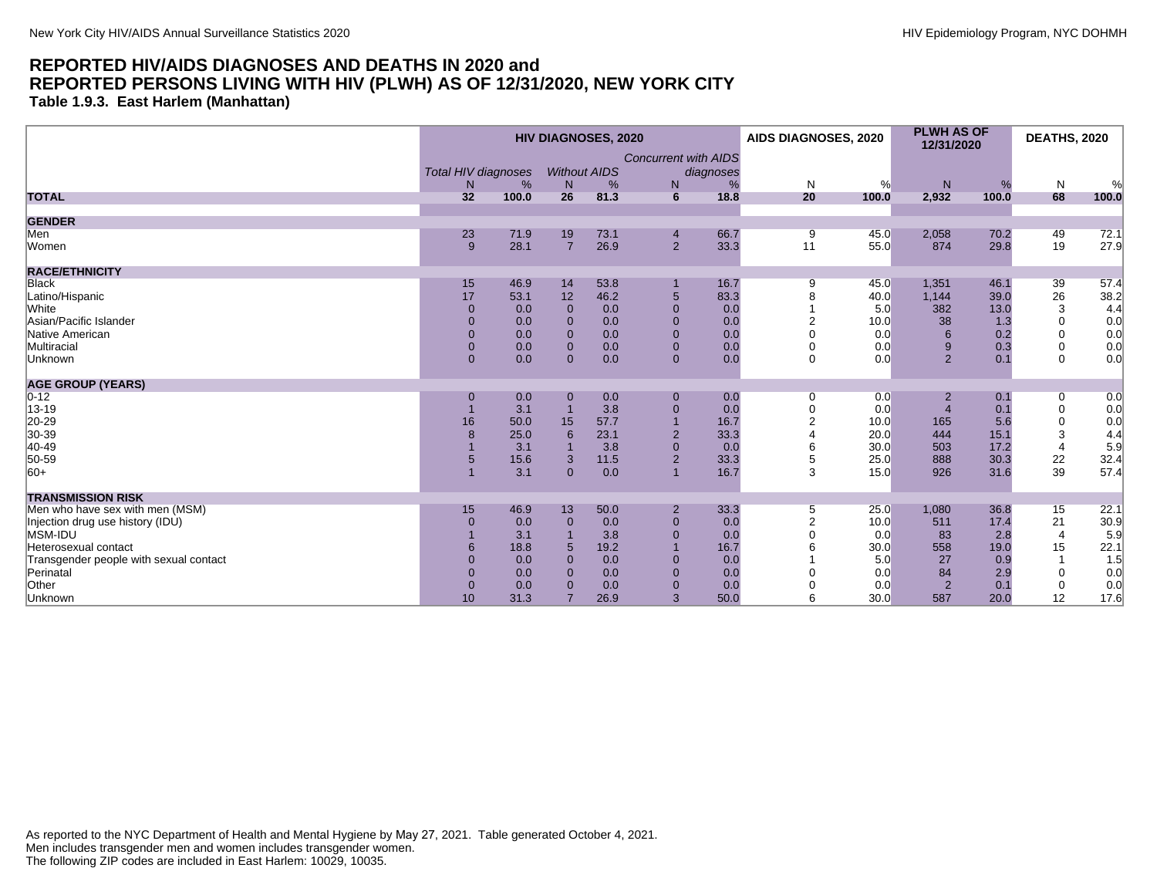**Table 1.9.3. East Harlem (Manhattan)**

|                                        | <b>HIV DIAGNOSES, 2020</b> |       |                |                     | AIDS DIAGNOSES, 2020        |           | <b>PLWH AS OF</b><br>12/31/2020 |       | <b>DEATHS, 2020</b> |       |                |       |
|----------------------------------------|----------------------------|-------|----------------|---------------------|-----------------------------|-----------|---------------------------------|-------|---------------------|-------|----------------|-------|
|                                        |                            |       |                |                     | <b>Concurrent with AIDS</b> |           |                                 |       |                     |       |                |       |
|                                        | <b>Total HIV diagnoses</b> |       |                | <b>Without AIDS</b> |                             | diagnoses |                                 |       |                     |       |                |       |
|                                        | N                          | %     | N              | %                   | N                           | $\%$      | N                               | %     | N                   | %     | N              | %     |
| <b>TOTAL</b>                           | 32                         | 100.0 | 26             | 81.3                | $6\overline{6}$             | 18.8      | 20                              | 100.0 | 2,932               | 100.0 | 68             | 100.0 |
| <b>GENDER</b>                          |                            |       |                |                     |                             |           |                                 |       |                     |       |                |       |
| Men                                    | 23                         | 71.9  | 19             | 73.1                | $\overline{4}$              | 66.7      | 9                               | 45.0  | 2,058               | 70.2  | 49             | 72.1  |
| Women                                  | 9                          | 28.1  | $\overline{7}$ | 26.9                | 2 <sup>1</sup>              | 33.3      | 11                              | 55.0  | 874                 | 29.8  | 19             | 27.9  |
| <b>RACE/ETHNICITY</b>                  |                            |       |                |                     |                             |           |                                 |       |                     |       |                |       |
| Black                                  | 15                         | 46.9  | 14             | 53.8                |                             | 16.7      | 9                               | 45.0  | 1,351               | 46.1  | 39             | 57.4  |
| Latino/Hispanic                        | 17                         | 53.1  | 12             | 46.2                | $5\phantom{.0}$             | 83.3      |                                 | 40.0  | 1,144               | 39.0  | 26             | 38.2  |
| <b>White</b>                           | $\Omega$                   | 0.0   | $\Omega$       | 0.0                 | $\Omega$                    | 0.0       |                                 | 5.0   | 382                 | 13.0  | 3              | 4.4   |
| Asian/Pacific Islander                 | $\Omega$                   | 0.0   | $\Omega$       | 0.0                 | $\mathbf{0}$                | 0.0       |                                 | 10.0  | 38                  | 1.3   | $\mathbf 0$    | 0.0   |
| Native American                        | $\overline{0}$             | 0.0   | $\mathbf{0}$   | 0.0                 | $\mathbf 0$                 | 0.0       |                                 | 0.0   | 6                   | 0.2   | $\mathbf 0$    | 0.0   |
| Multiracial                            | $\overline{0}$             | 0.0   | $\mathbf{0}$   | 0.0                 | $\mathbf 0$                 | 0.0       |                                 | 0.0   | 9                   | 0.3   | $\mathbf 0$    | 0.0   |
| Unknown                                | $\overline{0}$             | 0.0   | $\Omega$       | 0.0                 | $\mathbf{0}$                | 0.0       | $\Omega$                        | 0.0   | 2                   | 0.1   | $\mathbf 0$    | 0.0   |
| <b>AGE GROUP (YEARS)</b>               |                            |       |                |                     |                             |           |                                 |       |                     |       |                |       |
| $ 0-12 $                               | $\mathbf 0$                | 0.0   | $\mathbf{0}$   | 0.0                 | $\mathbf 0$                 | 0.0       | $\mathbf 0$                     | 0.0   | $\overline{2}$      | 0.1   | 0              | 0.0   |
| 13-19                                  | $\overline{1}$             | 3.1   |                | 3.8                 | $\mathbf 0$                 | 0.0       |                                 | 0.0   |                     | 0.1   | $\mathbf 0$    | 0.0   |
| 20-29                                  | 16                         | 50.0  | 15             | 57.7                |                             | 16.7      | $\overline{2}$                  | 10.0  | 165                 | 5.6   | $\mathbf 0$    | 0.0   |
| 30-39                                  | 8                          | 25.0  | 6              | 23.1                | $\overline{2}$              | 33.3      |                                 | 20.0  | 444                 | 15.1  | 3              | 4.4   |
| 40-49                                  |                            | 3.1   |                | 3.8                 | $\mathbf 0$                 | 0.0       |                                 | 30.0  | 503                 | 17.2  | $\overline{4}$ | 5.9   |
| 50-59                                  |                            | 15.6  | 3              | 11.5                | $\overline{2}$              | 33.3      |                                 | 25.0  | 888                 | 30.3  | 22             | 32.4  |
| $ 60+$                                 |                            | 3.1   | $\Omega$       | 0.0                 |                             | 16.7      | 3                               | 15.0  | 926                 | 31.6  | 39             | 57.4  |
| <b>TRANSMISSION RISK</b>               |                            |       |                |                     |                             |           |                                 |       |                     |       |                |       |
| Men who have sex with men (MSM)        | 15                         | 46.9  | 13             | 50.0                | $\overline{2}$              | 33.3      | 5                               | 25.0  | 1,080               | 36.8  | 15             | 22.1  |
| Injection drug use history (IDU)       | $\Omega$                   | 0.0   | $\mathbf{0}$   | 0.0                 | $\mathbf{0}$                | 0.0       | $\overline{2}$                  | 10.0  | 511                 | 17.4  | 21             | 30.9  |
| <b>MSM-IDU</b>                         |                            | 3.1   |                | 3.8                 | $\mathbf{0}$                | 0.0       |                                 | 0.0   | 83                  | 2.8   | $\overline{4}$ | 5.9   |
| Heterosexual contact                   | 6                          | 18.8  | 5              | 19.2                |                             | 16.7      |                                 | 30.0  | 558                 | 19.0  | 15             | 22.1  |
| Transgender people with sexual contact | $\Omega$                   | 0.0   | $\Omega$       | 0.0                 | $\mathbf 0$                 | 0.0       |                                 | 5.0   | 27                  | 0.9   |                | 1.5   |
| Perinatal                              | $\overline{0}$             | 0.0   | $\Omega$       | 0.0                 | $\mathbf{0}$                | 0.0       |                                 | 0.0   | 84                  | 2.9   | $\mathbf 0$    | 0.0   |
| Other                                  | $\pmb{0}$                  | 0.0   | $\mathbf 0$    | 0.0                 | $\pmb{0}$                   | 0.0       |                                 | 0.0   | $\overline{2}$      | 0.1   | $\mathbf 0$    | 0.0   |
| Unknown                                | 10                         | 31.3  | $\overline{7}$ | 26.9                | 3                           | 50.0      |                                 | 30.0  | 587                 | 20.0  | 12             | 17.6  |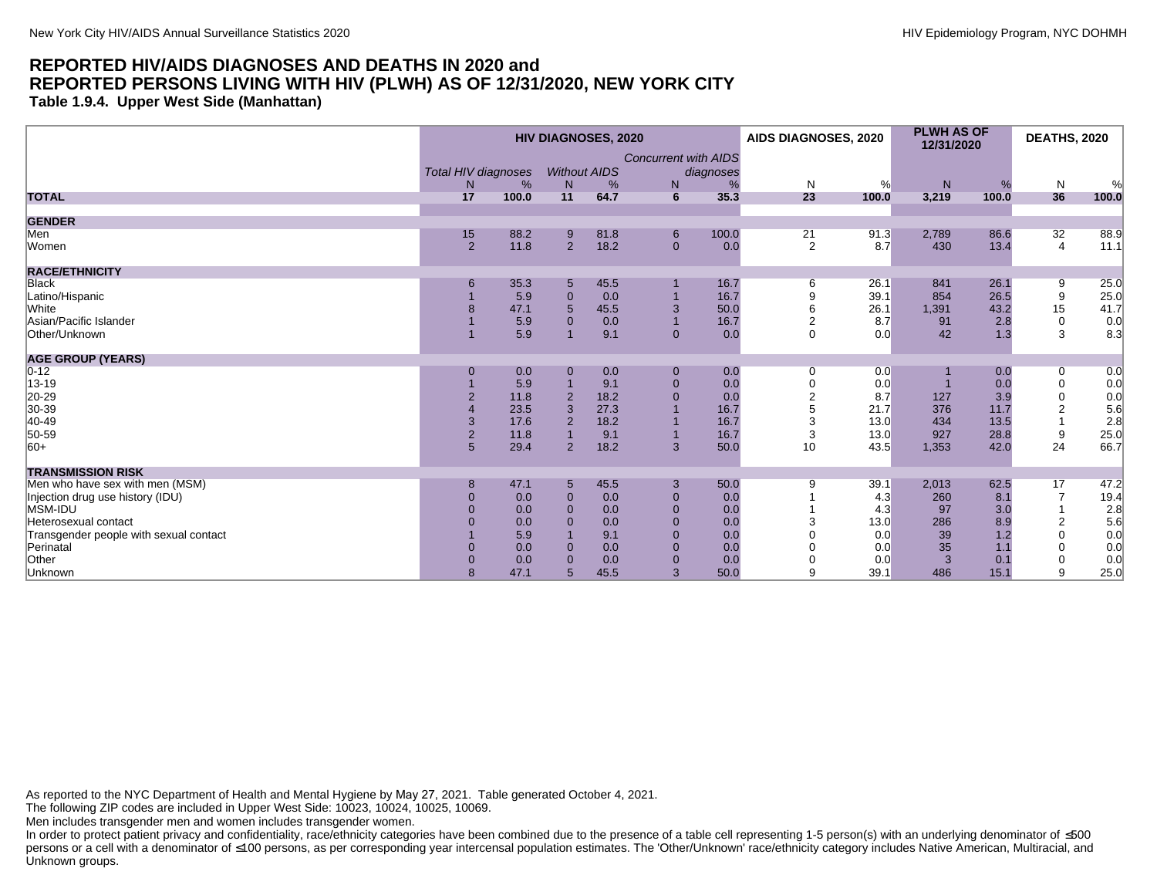**Table 1.9.4. Upper West Side (Manhattan)**

|                                        |    |                        |                | <b>HIV DIAGNOSES, 2020</b> |                             |           | AIDS DIAGNOSES, 2020 |       | <b>PLWH AS OF</b><br>12/31/2020 |       | <b>DEATHS, 2020</b> |       |
|----------------------------------------|----|------------------------|----------------|----------------------------|-----------------------------|-----------|----------------------|-------|---------------------------------|-------|---------------------|-------|
|                                        |    | Total HIV diagnoses    |                | <b>Without AIDS</b>        | <b>Concurrent with AIDS</b> | diagnoses |                      |       |                                 |       |                     |       |
|                                        |    | %<br>N                 | N              | %                          | N                           |           | N                    | %     | N                               | %     | N                   | %     |
| <b>TOTAL</b>                           | 17 | 100.0                  | 11             | 64.7                       | 6                           | 35.3      | 23                   | 100.0 | 3,219                           | 100.0 | 36                  | 100.0 |
| <b>GENDER</b>                          |    |                        |                |                            |                             |           |                      |       |                                 |       |                     |       |
| Men                                    | 15 | 88.2                   | 9              | 81.8                       | 6                           | 100.0     | 21                   | 91.3  | 2,789                           | 86.6  | 32                  | 88.9  |
| Women                                  |    | 11.8<br>$\overline{2}$ | $\overline{2}$ | 18.2                       | $\mathbf{0}$                | 0.0       | 2                    | 8.7   | 430                             | 13.4  | $\overline{4}$      | 11.1  |
| <b>RACE/ETHNICITY</b>                  |    |                        |                |                            |                             |           |                      |       |                                 |       |                     |       |
| Black                                  |    | 35.3<br>6              | 5              | 45.5                       |                             | 16.7      | 6                    | 26.1  | 841                             | 26.1  | 9                   | 25.0  |
| Latino/Hispanic                        |    | 5.9                    | $\overline{0}$ | 0.0                        |                             | 16.7      |                      | 39.1  | 854                             | 26.5  | 9                   | 25.0  |
| <b>White</b>                           |    | 47.1                   | 5              | 45.5                       | 3                           | 50.0      |                      | 26.1  | 1,391                           | 43.2  | 15                  | 41.7  |
| Asian/Pacific Islander                 |    | 5.9                    | $\Omega$       | 0.0                        |                             | 16.7      | $\overline{2}$       | 8.7   | 91                              | 2.8   | $\mathbf 0$         | 0.0   |
| Other/Unknown                          |    | 5.9                    |                | 9.1                        | $\mathbf{0}$                | 0.0       | $\Omega$             | 0.0   | 42                              | 1.3   | 3                   | 8.3   |
| <b>AGE GROUP (YEARS)</b>               |    |                        |                |                            |                             |           |                      |       |                                 |       |                     |       |
| $0 - 12$                               |    | 0.0<br>$\mathbf{0}$    | $\mathbf 0$    | 0.0                        | $\mathbf{0}$                | 0.0       | 0                    | 0.0   |                                 | 0.0   | 0                   | 0.0   |
| 13-19                                  |    | 5.9                    |                | 9.1                        | $\mathbf{0}$                | 0.0       |                      | 0.0   |                                 | 0.0   | $\mathbf 0$         | 0.0   |
| 20-29                                  |    | 11.8                   | $\overline{2}$ | 18.2                       | $\overline{0}$              | 0.0       |                      | 8.7   | 127                             | 3.9   | $\mathbf 0$         | 0.0   |
| 30-39                                  |    | 23.5                   | 3              | 27.3                       |                             | 16.7      |                      | 21.7  | 376                             | 11.7  | $\overline{2}$      | 5.6   |
| 40-49                                  |    | 17.6<br>3              | $\overline{2}$ | 18.2                       |                             | 16.7      | 3                    | 13.0  | 434                             | 13.5  |                     | 2.8   |
| 50-59                                  |    | $\overline{2}$<br>11.8 |                | 9.1                        |                             | 16.7      | 3                    | 13.0  | 927                             | 28.8  | 9                   | 25.0  |
| $ 60+$                                 |    | 5<br>29.4              | 2              | 18.2                       | 3                           | 50.0      | 10                   | 43.5  | 1,353                           | 42.0  | 24                  | 66.7  |
| <b>TRANSMISSION RISK</b>               |    |                        |                |                            |                             |           |                      |       |                                 |       |                     |       |
| Men who have sex with men (MSM)        |    | 47.1<br>8              | 5              | 45.5                       | 3                           | 50.0      | 9                    | 39.1  | 2,013                           | 62.5  | 17                  | 47.2  |
| Injection drug use history (IDU)       |    | 0.0                    | $\Omega$       | 0.0                        | $\mathbf{0}$                | 0.0       |                      | 4.3   | 260                             | 8.1   | $\overline{7}$      | 19.4  |
| MSM-IDU                                |    | 0.0                    | $\Omega$       | 0.0                        | $\Omega$                    | 0.0       |                      | 4.3   | 97                              | 3.0   |                     | 2.8   |
| Heterosexual contact                   |    | 0.0                    | $\Omega$       | 0.0                        | $\mathbf{0}$                | 0.0       |                      | 13.0  | 286                             | 8.9   | 2                   | 5.6   |
| Transgender people with sexual contact |    | 5.9                    |                | 9.1                        | $\overline{0}$              | 0.0       |                      | 0.0   | 39                              | 1.2   | $\mathbf 0$         | 0.0   |
| Perinatal                              |    | 0.0                    | $\Omega$       | 0.0                        | $\overline{0}$              | 0.0       |                      | 0.0   | 35                              | 1.1   | $\Omega$            | 0.0   |
| Other                                  |    | 0.0                    | $\Omega$       | 0.0                        | $\overline{0}$              | 0.0       |                      | 0.0   | 3                               | 0.1   | $\mathbf 0$         | 0.0   |
| Unknown                                |    | 47.1                   | 5              | 45.5                       | 3                           | 50.0      | 9                    | 39.1  | 486                             | 15.1  | 9                   | 25.0  |

As reported to the NYC Department of Health and Mental Hygiene by May 27, 2021. Table generated October 4, 2021.

The following ZIP codes are included in Upper West Side: 10023, 10024, 10025, 10069.

Men includes transgender men and women includes transgender women.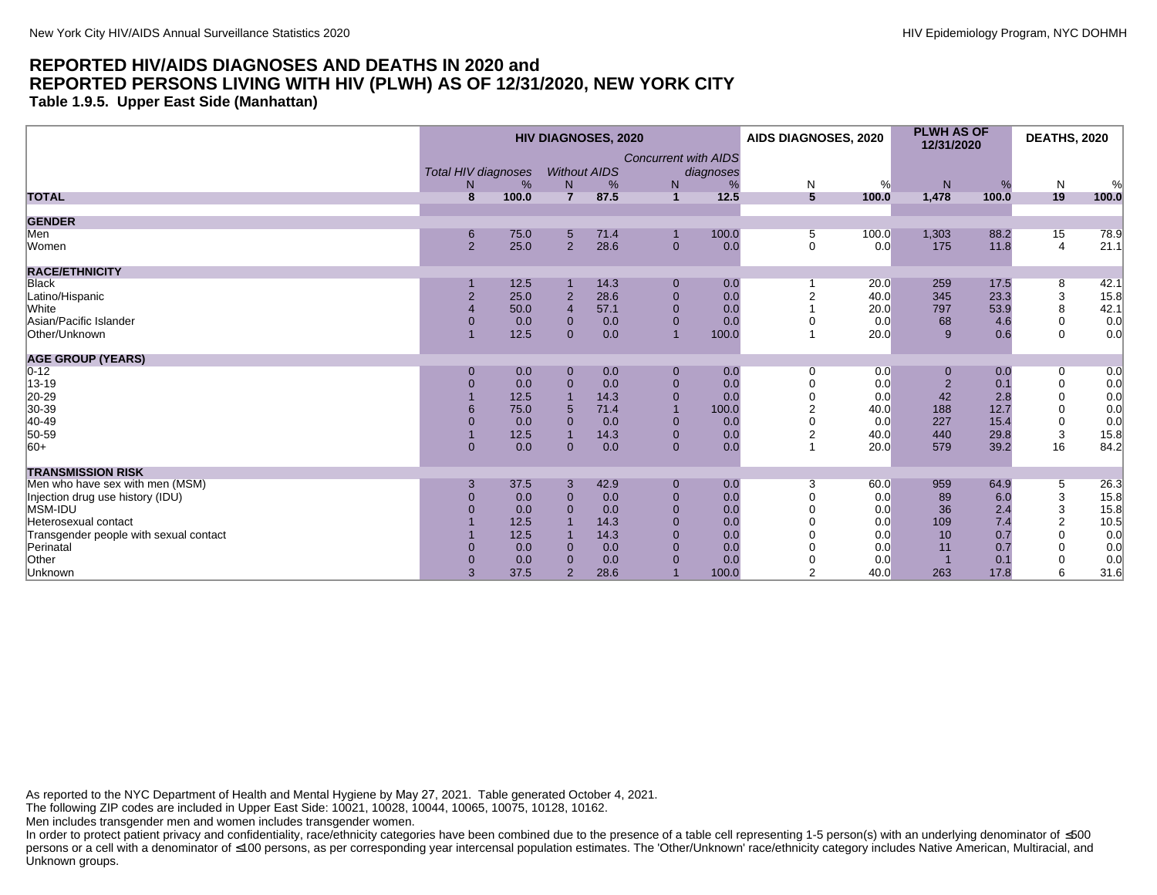**Table 1.9.5. Upper East Side (Manhattan)**

|                                        |                        |                | <b>HIV DIAGNOSES, 2020</b> |                             |           | AIDS DIAGNOSES, 2020 |       | <b>PLWH AS OF</b><br>12/31/2020 |       | <b>DEATHS, 2020</b>       |       |
|----------------------------------------|------------------------|----------------|----------------------------|-----------------------------|-----------|----------------------|-------|---------------------------------|-------|---------------------------|-------|
|                                        | Total HIV diagnoses    |                | <b>Without AIDS</b>        | <b>Concurrent with AIDS</b> | diagnoses |                      |       |                                 |       |                           |       |
|                                        | %<br>N                 | N              | %                          | N                           |           | N                    | %     | N                               | %     | N                         | %     |
| <b>TOTAL</b>                           | 8<br>100.0             | $\overline{7}$ | 87.5                       | $\mathbf{1}$                | 12.5      | 5                    | 100.0 | 1,478                           | 100.0 | 19                        | 100.0 |
| <b>GENDER</b>                          |                        |                |                            |                             |           |                      |       |                                 |       |                           |       |
| Men                                    | 75.0<br>6              | 5              | 71.4                       |                             | 100.0     | 5                    | 100.0 | 1,303                           | 88.2  | 15                        | 78.9  |
| Women                                  | 2<br>25.0              | $\overline{2}$ | 28.6                       | $\mathbf{0}$                | 0.0       | $\mathbf 0$          | 0.0   | 175                             | 11.8  | 4                         | 21.1  |
| <b>RACE/ETHNICITY</b>                  |                        |                |                            |                             |           |                      |       |                                 |       |                           |       |
| <b>Black</b>                           | 12.5                   |                | 14.3                       | $\pmb{0}$                   | 0.0       |                      | 20.0  | 259                             | 17.5  | 8                         | 42.1  |
| Latino/Hispanic                        | $\overline{2}$<br>25.0 | $\overline{2}$ | 28.6                       | $\mathbf{0}$                | 0.0       |                      | 40.0  | 345                             | 23.3  | 3                         | 15.8  |
| White                                  | 50.0                   | $\overline{4}$ | 57.1                       | $\mathbf 0$                 | 0.0       |                      | 20.0  | 797                             | 53.9  | 8                         | 42.1  |
| Asian/Pacific Islander                 | 0.0                    | $\Omega$       | 0.0                        | $\mathbf 0$                 | 0.0       |                      | 0.0   | 68                              | 4.6   | 0                         | 0.0   |
| Other/Unknown                          | 12.5                   | $\Omega$       | 0.0                        | $\overline{1}$              | 100.0     |                      | 20.0  | 9                               | 0.6   | $\mathbf 0$               | 0.0   |
| <b>AGE GROUP (YEARS)</b>               |                        |                |                            |                             |           |                      |       |                                 |       |                           |       |
| $0 - 12$                               | 0.0<br>$\mathbf 0$     | $\mathbf{0}$   | 0.0                        | $\mathbf{0}$                | 0.0       | 0                    | 0.0   |                                 | 0.0   | 0                         | 0.0   |
| 13-19                                  | 0.0                    | $\Omega$       | 0.0                        | $\mathbf{0}$                | 0.0       |                      | 0.0   | $\overline{2}$                  | 0.1   | $\mathbf 0$               | 0.0   |
| 20-29<br>30-39                         | 12.5                   |                | 14.3                       | $\overline{0}$              | 0.0       |                      | 0.0   | 42                              | 2.8   | 0                         | 0.0   |
|                                        | 75.0                   | 5              | 71.4                       |                             | 100.0     |                      | 40.0  | 188                             | 12.7  | 0                         | 0.0   |
| 40-49                                  | 0.0                    | $\Omega$       | 0.0                        | $\mathbf 0$                 | 0.0       |                      | 0.0   | 227                             | 15.4  | 0                         | 0.0   |
| 50-59                                  | 12.5                   |                | 14.3                       | $\mathbf{0}$                | 0.0       | 2                    | 40.0  | 440                             | 29.8  | 3                         | 15.8  |
| $ 60+$                                 | $\mathbf{0}$<br>0.0    | $\mathbf{0}$   | 0.0                        | $\mathbf{0}$                | 0.0       |                      | 20.0  | 579                             | 39.2  | 16                        | 84.2  |
| <b>TRANSMISSION RISK</b>               |                        |                |                            |                             |           |                      |       |                                 |       |                           |       |
| Men who have sex with men (MSM)        | 37.5<br>3              | 3              | 42.9                       | $\mathbf{0}$                | 0.0       | 3                    | 60.0  | 959                             | 64.9  | 5                         | 26.3  |
| Injection drug use history (IDU)       | 0.0                    | $\Omega$       | 0.0                        | $\mathbf{0}$                | 0.0       |                      | 0.0   | 89                              | 6.0   | $\ensuremath{\mathsf{3}}$ | 15.8  |
| MSM-IDU                                | 0.0                    | $\Omega$       | 0.0                        | $\overline{0}$              | 0.0       |                      | 0.0   | 36                              | 2.4   | 3                         | 15.8  |
| Heterosexual contact                   | 12.5                   |                | 14.3                       | $\Omega$                    | 0.0       |                      | 0.0   | 109                             | 7.4   | $\overline{2}$            | 10.5  |
| Transgender people with sexual contact | 12.5                   |                | 14.3                       | $\mathbf{0}$                | 0.0       |                      | 0.0   | 10                              | 0.7   | $\mathbf 0$               | 0.0   |
| Perinatal                              | 0.0                    | $\Omega$       | 0.0                        | $\overline{0}$              | 0.0       |                      | 0.0   | 11                              | 0.7   | $\Omega$                  | 0.0   |
| Other                                  | 0.0                    |                | 0.0                        | $\Omega$                    | 0.0       |                      | 0.0   |                                 | 0.1   | 0                         | 0.0   |
| Unknown                                | 37.5                   | $\overline{2}$ | 28.6                       |                             | 100.0     | $\overline{2}$       | 40.0  | 263                             | 17.8  | 6                         | 31.6  |

As reported to the NYC Department of Health and Mental Hygiene by May 27, 2021. Table generated October 4, 2021.

The following ZIP codes are included in Upper East Side: 10021, 10028, 10044, 10065, 10075, 10128, 10162.

Men includes transgender men and women includes transgender women.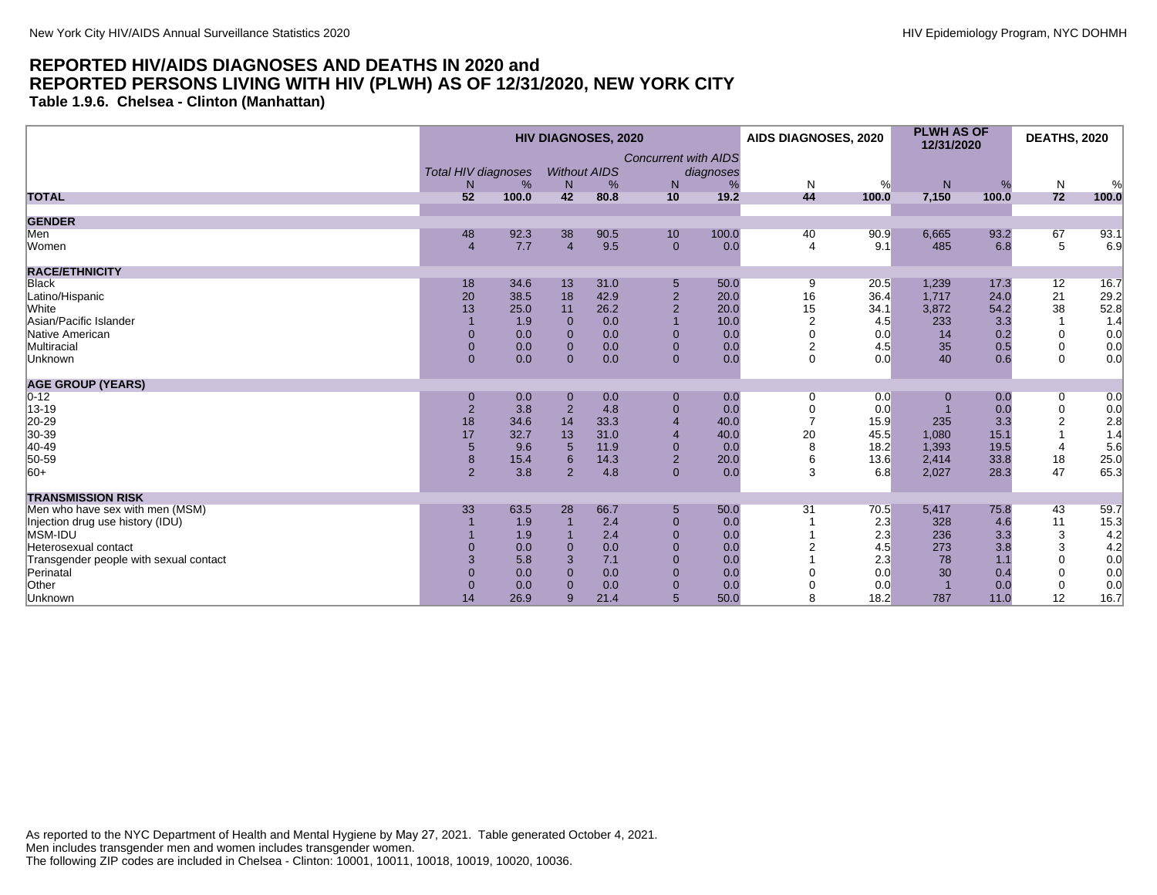**Table 1.9.6. Chelsea - Clinton (Manhattan)**

| <b>Concurrent with AIDS</b><br><b>Without AIDS</b><br><b>Total HIV diagnoses</b><br>diagnoses<br>%<br>N<br>$\mathsf{N}$<br>${\sf N}$<br>$\mathsf{N}$<br>%<br>%<br>%<br>%<br>N<br>N<br>7,150<br>72<br>52<br>100.0<br>42<br>80.8<br>10<br>19.2<br>44<br>100.0<br><b>TOTAL</b><br>100.0<br>100.0<br><b>GENDER</b><br>Men<br>6,665<br>67<br>48<br>92.3<br>38<br>90.5<br>10<br>100.0<br>90.9<br>93.2<br>40<br>5<br>7.7<br>$\overline{4}$<br>9.5<br>9.1<br>Women<br>$\mathbf{0}$<br>0.0<br>485<br>6.8<br>$\overline{4}$<br>$\overline{4}$<br><b>RACE/ETHNICITY</b><br><b>Black</b><br>34.6<br>50.0<br>1,239<br>17.3<br>12<br>18<br>13<br>31.0<br>20.5<br>5<br>9<br>20<br>38.5<br>18<br>42.9<br>$\overline{2}$<br>20.0<br>16<br>36.4<br>1,717<br>24.0<br>21<br>Latino/Hispanic<br>38<br>13<br>3,872<br>54.2<br><b>White</b><br>$\overline{2}$<br>20.0<br>15<br>34.1<br>25.0<br>11<br>26.2<br>Asian/Pacific Islander<br>233<br>0.0<br>10.0<br>$\overline{2}$<br>4.5<br>3.3<br>1.9<br>$\Omega$<br>Native American<br>0.0<br>0.0<br>0.0<br>14<br>0.2<br>$\mathbf{0}$<br>0.0<br>$\mathbf 0$<br>$\Omega$<br>$\Omega$<br>35<br>Multiracial<br>0.0<br>0.0<br>$\mathbf{0}$<br>$\overline{2}$<br>4.5<br>$\mathbf 0$<br>0.0<br>0.5<br>$\mathbf{0}$<br>$\mathbf{0}$<br>0.0<br>0.0<br>$\mathbf 0$<br>40<br>$\mathbf 0$<br>$\mathbf{0}$<br>$\Omega$<br>$\mathbf{0}$<br>0.0<br>0.0<br>0.6<br>Unknown<br><b>AGE GROUP (YEARS)</b><br>$0 - 12$<br>0.0<br>0.0<br>0.0<br>0.0<br>$\mathbf{0}$<br>0.0<br>$\mathbf 0$<br>$\mathbf 0$<br>0<br>0<br>13-19<br>$\overline{2}$<br>3.8<br>$\overline{2}$<br>4.8<br>$\pmb{0}$<br>$\overline{0}$<br>0.0<br>$\overline{0}$<br>0.0<br>0.0<br>20-29<br>30-39<br>18<br>34.6<br>14<br>33.3<br>40.0<br>15.9<br>235<br>3.3<br>$\overline{2}$<br>$\overline{4}$<br>20<br>17<br>32.7<br>13<br>31.0<br>40.0<br>45.5<br>1,080<br>15.1<br>$\overline{4}$<br>40-49<br>18.2<br>1,393<br>$\overline{5}$<br>9.6<br>11.9<br>$\overline{0}$<br>8<br>19.5<br>5<br>0.0<br>$\overline{4}$<br>50-59<br>18<br>8<br>$\overline{2}$<br>20.0<br>13.6<br>2,414<br>33.8<br>15.4<br>6<br>14.3<br>6<br>2,027<br>47<br>$ 60+$<br>2<br>3.8<br>2<br>4.8<br>3<br>28.3<br>$\mathbf{0}$<br>0.0<br>6.8<br><b>TRANSMISSION RISK</b><br>Men who have sex with men (MSM)<br>63.5<br>50.0<br>5,417<br>33<br>28<br>66.7<br>$5\phantom{.0}$<br>31<br>70.5<br>75.8<br>43<br>11<br>2.4<br>2.3<br>Injection drug use history (IDU)<br>1.9<br>328<br>4.6<br>$\mathbf{0}$<br>0.0<br>MSM-IDU<br>2.3<br>236<br>3<br>2.4<br>$\mathbf{0}$<br>3.3<br>1.9<br>0.0<br>4.5<br>273<br>3<br>0.0<br>$\Omega$<br>3.8<br>Heterosexual contact<br>0.0<br>0.0<br>$\Omega$<br>2.3<br>78<br>5.8<br>7.1<br>$\Omega$<br>$\mathbf 0$<br>Transgender people with sexual contact<br>3<br>0.0<br>1.1<br>30<br>Perinatal<br>$\Omega$<br>0.0<br>0.0<br>$\Omega$<br>0.0<br>0.0<br>0.4<br>$\mathbf 0$<br>Other<br>0.0<br>0.0<br>0.0<br>$\mathbf{0}$<br>0.0<br>0.0<br>$\mathbf 0$<br>$\Omega$<br>$\Omega$<br>26.9<br>5<br>50.0<br>11.0<br>12<br>Unknown<br>14<br>9<br>21.4<br>18.2<br>787<br>8 | <b>HIV DIAGNOSES, 2020</b> |  |  | AIDS DIAGNOSES, 2020 | <b>PLWH AS OF</b><br>12/31/2020 | <b>DEATHS, 2020</b> |  |  |      |
|-------------------------------------------------------------------------------------------------------------------------------------------------------------------------------------------------------------------------------------------------------------------------------------------------------------------------------------------------------------------------------------------------------------------------------------------------------------------------------------------------------------------------------------------------------------------------------------------------------------------------------------------------------------------------------------------------------------------------------------------------------------------------------------------------------------------------------------------------------------------------------------------------------------------------------------------------------------------------------------------------------------------------------------------------------------------------------------------------------------------------------------------------------------------------------------------------------------------------------------------------------------------------------------------------------------------------------------------------------------------------------------------------------------------------------------------------------------------------------------------------------------------------------------------------------------------------------------------------------------------------------------------------------------------------------------------------------------------------------------------------------------------------------------------------------------------------------------------------------------------------------------------------------------------------------------------------------------------------------------------------------------------------------------------------------------------------------------------------------------------------------------------------------------------------------------------------------------------------------------------------------------------------------------------------------------------------------------------------------------------------------------------------------------------------------------------------------------------------------------------------------------------------------------------------------------------------------------------------------------------------------------------------------------------------------------------------------------------------------------------------------------------------------------------------------------------------------------------------------------------------------------------------------------------------------------------------------------------------------------------------------------------------------|----------------------------|--|--|----------------------|---------------------------------|---------------------|--|--|------|
|                                                                                                                                                                                                                                                                                                                                                                                                                                                                                                                                                                                                                                                                                                                                                                                                                                                                                                                                                                                                                                                                                                                                                                                                                                                                                                                                                                                                                                                                                                                                                                                                                                                                                                                                                                                                                                                                                                                                                                                                                                                                                                                                                                                                                                                                                                                                                                                                                                                                                                                                                                                                                                                                                                                                                                                                                                                                                                                                                                                                                               |                            |  |  |                      |                                 |                     |  |  |      |
|                                                                                                                                                                                                                                                                                                                                                                                                                                                                                                                                                                                                                                                                                                                                                                                                                                                                                                                                                                                                                                                                                                                                                                                                                                                                                                                                                                                                                                                                                                                                                                                                                                                                                                                                                                                                                                                                                                                                                                                                                                                                                                                                                                                                                                                                                                                                                                                                                                                                                                                                                                                                                                                                                                                                                                                                                                                                                                                                                                                                                               |                            |  |  |                      |                                 |                     |  |  |      |
|                                                                                                                                                                                                                                                                                                                                                                                                                                                                                                                                                                                                                                                                                                                                                                                                                                                                                                                                                                                                                                                                                                                                                                                                                                                                                                                                                                                                                                                                                                                                                                                                                                                                                                                                                                                                                                                                                                                                                                                                                                                                                                                                                                                                                                                                                                                                                                                                                                                                                                                                                                                                                                                                                                                                                                                                                                                                                                                                                                                                                               |                            |  |  |                      |                                 |                     |  |  | %    |
|                                                                                                                                                                                                                                                                                                                                                                                                                                                                                                                                                                                                                                                                                                                                                                                                                                                                                                                                                                                                                                                                                                                                                                                                                                                                                                                                                                                                                                                                                                                                                                                                                                                                                                                                                                                                                                                                                                                                                                                                                                                                                                                                                                                                                                                                                                                                                                                                                                                                                                                                                                                                                                                                                                                                                                                                                                                                                                                                                                                                                               |                            |  |  |                      |                                 |                     |  |  |      |
|                                                                                                                                                                                                                                                                                                                                                                                                                                                                                                                                                                                                                                                                                                                                                                                                                                                                                                                                                                                                                                                                                                                                                                                                                                                                                                                                                                                                                                                                                                                                                                                                                                                                                                                                                                                                                                                                                                                                                                                                                                                                                                                                                                                                                                                                                                                                                                                                                                                                                                                                                                                                                                                                                                                                                                                                                                                                                                                                                                                                                               |                            |  |  |                      |                                 |                     |  |  |      |
|                                                                                                                                                                                                                                                                                                                                                                                                                                                                                                                                                                                                                                                                                                                                                                                                                                                                                                                                                                                                                                                                                                                                                                                                                                                                                                                                                                                                                                                                                                                                                                                                                                                                                                                                                                                                                                                                                                                                                                                                                                                                                                                                                                                                                                                                                                                                                                                                                                                                                                                                                                                                                                                                                                                                                                                                                                                                                                                                                                                                                               |                            |  |  |                      |                                 |                     |  |  | 93.1 |
|                                                                                                                                                                                                                                                                                                                                                                                                                                                                                                                                                                                                                                                                                                                                                                                                                                                                                                                                                                                                                                                                                                                                                                                                                                                                                                                                                                                                                                                                                                                                                                                                                                                                                                                                                                                                                                                                                                                                                                                                                                                                                                                                                                                                                                                                                                                                                                                                                                                                                                                                                                                                                                                                                                                                                                                                                                                                                                                                                                                                                               |                            |  |  |                      |                                 |                     |  |  | 6.9  |
|                                                                                                                                                                                                                                                                                                                                                                                                                                                                                                                                                                                                                                                                                                                                                                                                                                                                                                                                                                                                                                                                                                                                                                                                                                                                                                                                                                                                                                                                                                                                                                                                                                                                                                                                                                                                                                                                                                                                                                                                                                                                                                                                                                                                                                                                                                                                                                                                                                                                                                                                                                                                                                                                                                                                                                                                                                                                                                                                                                                                                               |                            |  |  |                      |                                 |                     |  |  |      |
|                                                                                                                                                                                                                                                                                                                                                                                                                                                                                                                                                                                                                                                                                                                                                                                                                                                                                                                                                                                                                                                                                                                                                                                                                                                                                                                                                                                                                                                                                                                                                                                                                                                                                                                                                                                                                                                                                                                                                                                                                                                                                                                                                                                                                                                                                                                                                                                                                                                                                                                                                                                                                                                                                                                                                                                                                                                                                                                                                                                                                               |                            |  |  |                      |                                 |                     |  |  | 16.7 |
|                                                                                                                                                                                                                                                                                                                                                                                                                                                                                                                                                                                                                                                                                                                                                                                                                                                                                                                                                                                                                                                                                                                                                                                                                                                                                                                                                                                                                                                                                                                                                                                                                                                                                                                                                                                                                                                                                                                                                                                                                                                                                                                                                                                                                                                                                                                                                                                                                                                                                                                                                                                                                                                                                                                                                                                                                                                                                                                                                                                                                               |                            |  |  |                      |                                 |                     |  |  | 29.2 |
|                                                                                                                                                                                                                                                                                                                                                                                                                                                                                                                                                                                                                                                                                                                                                                                                                                                                                                                                                                                                                                                                                                                                                                                                                                                                                                                                                                                                                                                                                                                                                                                                                                                                                                                                                                                                                                                                                                                                                                                                                                                                                                                                                                                                                                                                                                                                                                                                                                                                                                                                                                                                                                                                                                                                                                                                                                                                                                                                                                                                                               |                            |  |  |                      |                                 |                     |  |  | 52.8 |
|                                                                                                                                                                                                                                                                                                                                                                                                                                                                                                                                                                                                                                                                                                                                                                                                                                                                                                                                                                                                                                                                                                                                                                                                                                                                                                                                                                                                                                                                                                                                                                                                                                                                                                                                                                                                                                                                                                                                                                                                                                                                                                                                                                                                                                                                                                                                                                                                                                                                                                                                                                                                                                                                                                                                                                                                                                                                                                                                                                                                                               |                            |  |  |                      |                                 |                     |  |  | 1.4  |
|                                                                                                                                                                                                                                                                                                                                                                                                                                                                                                                                                                                                                                                                                                                                                                                                                                                                                                                                                                                                                                                                                                                                                                                                                                                                                                                                                                                                                                                                                                                                                                                                                                                                                                                                                                                                                                                                                                                                                                                                                                                                                                                                                                                                                                                                                                                                                                                                                                                                                                                                                                                                                                                                                                                                                                                                                                                                                                                                                                                                                               |                            |  |  |                      |                                 |                     |  |  | 0.0  |
|                                                                                                                                                                                                                                                                                                                                                                                                                                                                                                                                                                                                                                                                                                                                                                                                                                                                                                                                                                                                                                                                                                                                                                                                                                                                                                                                                                                                                                                                                                                                                                                                                                                                                                                                                                                                                                                                                                                                                                                                                                                                                                                                                                                                                                                                                                                                                                                                                                                                                                                                                                                                                                                                                                                                                                                                                                                                                                                                                                                                                               |                            |  |  |                      |                                 |                     |  |  | 0.0  |
|                                                                                                                                                                                                                                                                                                                                                                                                                                                                                                                                                                                                                                                                                                                                                                                                                                                                                                                                                                                                                                                                                                                                                                                                                                                                                                                                                                                                                                                                                                                                                                                                                                                                                                                                                                                                                                                                                                                                                                                                                                                                                                                                                                                                                                                                                                                                                                                                                                                                                                                                                                                                                                                                                                                                                                                                                                                                                                                                                                                                                               |                            |  |  |                      |                                 |                     |  |  | 0.0  |
|                                                                                                                                                                                                                                                                                                                                                                                                                                                                                                                                                                                                                                                                                                                                                                                                                                                                                                                                                                                                                                                                                                                                                                                                                                                                                                                                                                                                                                                                                                                                                                                                                                                                                                                                                                                                                                                                                                                                                                                                                                                                                                                                                                                                                                                                                                                                                                                                                                                                                                                                                                                                                                                                                                                                                                                                                                                                                                                                                                                                                               |                            |  |  |                      |                                 |                     |  |  |      |
|                                                                                                                                                                                                                                                                                                                                                                                                                                                                                                                                                                                                                                                                                                                                                                                                                                                                                                                                                                                                                                                                                                                                                                                                                                                                                                                                                                                                                                                                                                                                                                                                                                                                                                                                                                                                                                                                                                                                                                                                                                                                                                                                                                                                                                                                                                                                                                                                                                                                                                                                                                                                                                                                                                                                                                                                                                                                                                                                                                                                                               |                            |  |  |                      |                                 |                     |  |  | 0.0  |
|                                                                                                                                                                                                                                                                                                                                                                                                                                                                                                                                                                                                                                                                                                                                                                                                                                                                                                                                                                                                                                                                                                                                                                                                                                                                                                                                                                                                                                                                                                                                                                                                                                                                                                                                                                                                                                                                                                                                                                                                                                                                                                                                                                                                                                                                                                                                                                                                                                                                                                                                                                                                                                                                                                                                                                                                                                                                                                                                                                                                                               |                            |  |  |                      |                                 |                     |  |  | 0.0  |
|                                                                                                                                                                                                                                                                                                                                                                                                                                                                                                                                                                                                                                                                                                                                                                                                                                                                                                                                                                                                                                                                                                                                                                                                                                                                                                                                                                                                                                                                                                                                                                                                                                                                                                                                                                                                                                                                                                                                                                                                                                                                                                                                                                                                                                                                                                                                                                                                                                                                                                                                                                                                                                                                                                                                                                                                                                                                                                                                                                                                                               |                            |  |  |                      |                                 |                     |  |  | 2.8  |
|                                                                                                                                                                                                                                                                                                                                                                                                                                                                                                                                                                                                                                                                                                                                                                                                                                                                                                                                                                                                                                                                                                                                                                                                                                                                                                                                                                                                                                                                                                                                                                                                                                                                                                                                                                                                                                                                                                                                                                                                                                                                                                                                                                                                                                                                                                                                                                                                                                                                                                                                                                                                                                                                                                                                                                                                                                                                                                                                                                                                                               |                            |  |  |                      |                                 |                     |  |  | 1.4  |
|                                                                                                                                                                                                                                                                                                                                                                                                                                                                                                                                                                                                                                                                                                                                                                                                                                                                                                                                                                                                                                                                                                                                                                                                                                                                                                                                                                                                                                                                                                                                                                                                                                                                                                                                                                                                                                                                                                                                                                                                                                                                                                                                                                                                                                                                                                                                                                                                                                                                                                                                                                                                                                                                                                                                                                                                                                                                                                                                                                                                                               |                            |  |  |                      |                                 |                     |  |  | 5.6  |
|                                                                                                                                                                                                                                                                                                                                                                                                                                                                                                                                                                                                                                                                                                                                                                                                                                                                                                                                                                                                                                                                                                                                                                                                                                                                                                                                                                                                                                                                                                                                                                                                                                                                                                                                                                                                                                                                                                                                                                                                                                                                                                                                                                                                                                                                                                                                                                                                                                                                                                                                                                                                                                                                                                                                                                                                                                                                                                                                                                                                                               |                            |  |  |                      |                                 |                     |  |  | 25.0 |
|                                                                                                                                                                                                                                                                                                                                                                                                                                                                                                                                                                                                                                                                                                                                                                                                                                                                                                                                                                                                                                                                                                                                                                                                                                                                                                                                                                                                                                                                                                                                                                                                                                                                                                                                                                                                                                                                                                                                                                                                                                                                                                                                                                                                                                                                                                                                                                                                                                                                                                                                                                                                                                                                                                                                                                                                                                                                                                                                                                                                                               |                            |  |  |                      |                                 |                     |  |  | 65.3 |
|                                                                                                                                                                                                                                                                                                                                                                                                                                                                                                                                                                                                                                                                                                                                                                                                                                                                                                                                                                                                                                                                                                                                                                                                                                                                                                                                                                                                                                                                                                                                                                                                                                                                                                                                                                                                                                                                                                                                                                                                                                                                                                                                                                                                                                                                                                                                                                                                                                                                                                                                                                                                                                                                                                                                                                                                                                                                                                                                                                                                                               |                            |  |  |                      |                                 |                     |  |  |      |
|                                                                                                                                                                                                                                                                                                                                                                                                                                                                                                                                                                                                                                                                                                                                                                                                                                                                                                                                                                                                                                                                                                                                                                                                                                                                                                                                                                                                                                                                                                                                                                                                                                                                                                                                                                                                                                                                                                                                                                                                                                                                                                                                                                                                                                                                                                                                                                                                                                                                                                                                                                                                                                                                                                                                                                                                                                                                                                                                                                                                                               |                            |  |  |                      |                                 |                     |  |  | 59.7 |
|                                                                                                                                                                                                                                                                                                                                                                                                                                                                                                                                                                                                                                                                                                                                                                                                                                                                                                                                                                                                                                                                                                                                                                                                                                                                                                                                                                                                                                                                                                                                                                                                                                                                                                                                                                                                                                                                                                                                                                                                                                                                                                                                                                                                                                                                                                                                                                                                                                                                                                                                                                                                                                                                                                                                                                                                                                                                                                                                                                                                                               |                            |  |  |                      |                                 |                     |  |  | 15.3 |
|                                                                                                                                                                                                                                                                                                                                                                                                                                                                                                                                                                                                                                                                                                                                                                                                                                                                                                                                                                                                                                                                                                                                                                                                                                                                                                                                                                                                                                                                                                                                                                                                                                                                                                                                                                                                                                                                                                                                                                                                                                                                                                                                                                                                                                                                                                                                                                                                                                                                                                                                                                                                                                                                                                                                                                                                                                                                                                                                                                                                                               |                            |  |  |                      |                                 |                     |  |  | 4.2  |
|                                                                                                                                                                                                                                                                                                                                                                                                                                                                                                                                                                                                                                                                                                                                                                                                                                                                                                                                                                                                                                                                                                                                                                                                                                                                                                                                                                                                                                                                                                                                                                                                                                                                                                                                                                                                                                                                                                                                                                                                                                                                                                                                                                                                                                                                                                                                                                                                                                                                                                                                                                                                                                                                                                                                                                                                                                                                                                                                                                                                                               |                            |  |  |                      |                                 |                     |  |  | 4.2  |
|                                                                                                                                                                                                                                                                                                                                                                                                                                                                                                                                                                                                                                                                                                                                                                                                                                                                                                                                                                                                                                                                                                                                                                                                                                                                                                                                                                                                                                                                                                                                                                                                                                                                                                                                                                                                                                                                                                                                                                                                                                                                                                                                                                                                                                                                                                                                                                                                                                                                                                                                                                                                                                                                                                                                                                                                                                                                                                                                                                                                                               |                            |  |  |                      |                                 |                     |  |  | 0.0  |
|                                                                                                                                                                                                                                                                                                                                                                                                                                                                                                                                                                                                                                                                                                                                                                                                                                                                                                                                                                                                                                                                                                                                                                                                                                                                                                                                                                                                                                                                                                                                                                                                                                                                                                                                                                                                                                                                                                                                                                                                                                                                                                                                                                                                                                                                                                                                                                                                                                                                                                                                                                                                                                                                                                                                                                                                                                                                                                                                                                                                                               |                            |  |  |                      |                                 |                     |  |  | 0.0  |
|                                                                                                                                                                                                                                                                                                                                                                                                                                                                                                                                                                                                                                                                                                                                                                                                                                                                                                                                                                                                                                                                                                                                                                                                                                                                                                                                                                                                                                                                                                                                                                                                                                                                                                                                                                                                                                                                                                                                                                                                                                                                                                                                                                                                                                                                                                                                                                                                                                                                                                                                                                                                                                                                                                                                                                                                                                                                                                                                                                                                                               |                            |  |  |                      |                                 |                     |  |  | 0.0  |
|                                                                                                                                                                                                                                                                                                                                                                                                                                                                                                                                                                                                                                                                                                                                                                                                                                                                                                                                                                                                                                                                                                                                                                                                                                                                                                                                                                                                                                                                                                                                                                                                                                                                                                                                                                                                                                                                                                                                                                                                                                                                                                                                                                                                                                                                                                                                                                                                                                                                                                                                                                                                                                                                                                                                                                                                                                                                                                                                                                                                                               |                            |  |  |                      |                                 |                     |  |  | 16.7 |

As reported to the NYC Department of Health and Mental Hygiene by May 27, 2021. Table generated October 4, 2021. Men includes transgender men and women includes transgender women. The following ZIP codes are included in Chelsea - Clinton: 10001, 10011, 10018, 10019, 10020, 10036.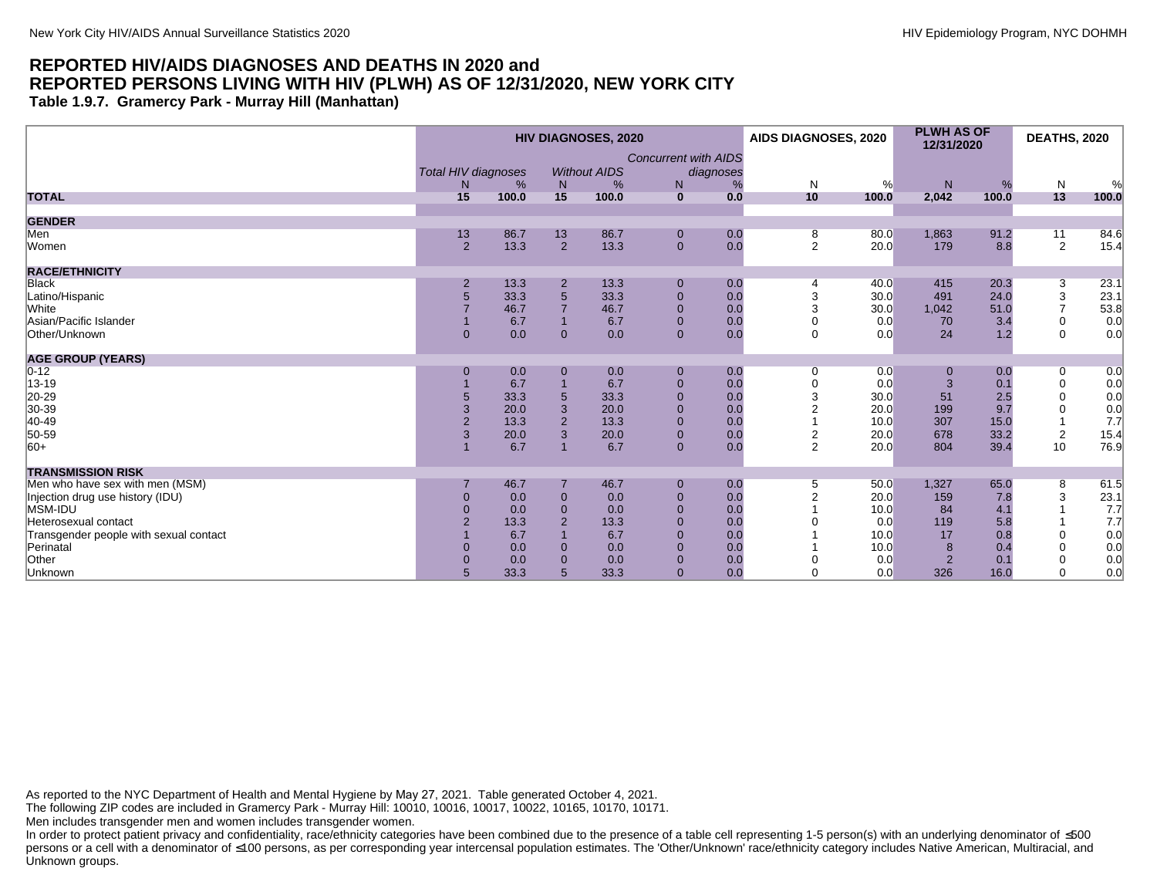**Table 1.9.7. Gramercy Park - Murray Hill (Manhattan)**

|                                        |                                  |       |                | <b>HIV DIAGNOSES, 2020</b> |                                  |                | AIDS DIAGNOSES, 2020 |       | <b>PLWH AS OF</b><br>12/31/2020 |       | <b>DEATHS, 2020</b> |       |
|----------------------------------------|----------------------------------|-------|----------------|----------------------------|----------------------------------|----------------|----------------------|-------|---------------------------------|-------|---------------------|-------|
|                                        | <b>Total HIV diagnoses</b><br>N. | %     | N              | <b>Without AIDS</b><br>%   | <b>Concurrent with AIDS</b><br>N | diagnoses<br>% | N                    | %     | N.                              | %     | $\mathsf{N}$        | %     |
| <b>TOTAL</b>                           | 15                               | 100.0 | 15             | 100.0                      | $\mathbf{0}$                     | 0.0            | 10                   | 100.0 | 2,042                           | 100.0 | 13                  | 100.0 |
| <b>GENDER</b>                          |                                  |       |                |                            |                                  |                |                      |       |                                 |       |                     |       |
| Men                                    | 13                               | 86.7  | 13             | 86.7                       | $\mathbf 0$                      | 0.0            | 8                    | 80.0  | 1,863                           | 91.2  | 11                  | 84.6  |
| Women                                  | $\overline{2}$                   | 13.3  | $\overline{2}$ | 13.3                       | $\mathbf{0}$                     | 0.0            | 2                    | 20.0  | 179                             | 8.8   | 2                   | 15.4  |
| <b>RACE/ETHNICITY</b>                  |                                  |       |                |                            |                                  |                |                      |       |                                 |       |                     |       |
| <b>Black</b>                           |                                  | 13.3  | $\overline{2}$ | 13.3                       | $\mathbf 0$                      | 0.0            |                      | 40.0  | 415                             | 20.3  | 3                   | 23.1  |
| Latino/Hispanic                        | 5                                | 33.3  | $\sqrt{5}$     | 33.3                       | $\mathbf 0$                      | 0.0            |                      | 30.0  | 491                             | 24.0  | 3                   | 23.1  |
| White                                  |                                  | 46.7  | $\overline{7}$ | 46.7                       | $\mathbf 0$                      | 0.0            | 3                    | 30.0  | 1,042                           | 51.0  | $\overline{7}$      | 53.8  |
| Asian/Pacific Islander                 |                                  | 6.7   |                | 6.7                        | $\mathbf{0}$                     | 0.0            | 0                    | 0.0   | 70                              | 3.4   | $\mathbf 0$         | 0.0   |
| Other/Unknown                          | $\Omega$                         | 0.0   | $\overline{0}$ | 0.0                        | $\overline{0}$                   | 0.0            | $\mathbf 0$          | 0.0   | 24                              | 1.2   | $\Omega$            | 0.0   |
| <b>AGE GROUP (YEARS)</b>               |                                  |       |                |                            |                                  |                |                      |       |                                 |       |                     |       |
| $0 - 12$                               | $\Omega$                         | 0.0   | $\Omega$       | 0.0                        | $\mathbf 0$                      | 0.0            | 0                    | 0.0   | 0                               | 0.0   | 0                   | 0.0   |
| 13-19                                  |                                  | 6.7   |                | 6.7                        | $\mathbf 0$                      | 0.0            | $\Omega$             | 0.0   | 3                               | 0.1   | $\mathbf 0$         | 0.0   |
| 20-29                                  |                                  | 33.3  | $5\phantom{1}$ | 33.3                       | $\pmb{0}$                        | 0.0            |                      | 30.0  | 51                              | 2.5   | $\mathbf 0$         | 0.0   |
| 30-39                                  | 3                                | 20.0  | 3              | 20.0                       | $\mathbf 0$                      | 0.0            |                      | 20.0  | 199                             | 9.7   | $\mathbf 0$         | 0.0   |
| 40-49                                  | $\overline{2}$                   | 13.3  | $\overline{2}$ | 13.3                       | $\mathbf 0$                      | 0.0            |                      | 10.0  | 307                             | 15.0  |                     | 7.7   |
| 50-59                                  | 3                                | 20.0  | 3              | 20.0                       | $\mathbf 0$                      | 0.0            | $\overline{c}$       | 20.0  | 678                             | 33.2  | $\overline{c}$      | 15.4  |
| $ 60+$                                 |                                  | 6.7   |                | 6.7                        | $\mathbf{0}$                     | 0.0            | 2                    | 20.0  | 804                             | 39.4  | 10                  | 76.9  |
| <b>TRANSMISSION RISK</b>               |                                  |       |                |                            |                                  |                |                      |       |                                 |       |                     |       |
| Men who have sex with men (MSM)        |                                  | 46.7  |                | 46.7                       | $\mathbf 0$                      | 0.0            | 5                    | 50.0  | 1,327                           | 65.0  | 8                   | 61.5  |
| Injection drug use history (IDU)       | $\Omega$                         | 0.0   | $\overline{0}$ | 0.0                        | $\mathbf 0$                      | 0.0            |                      | 20.0  | 159                             | 7.8   | 3                   | 23.1  |
| MSM-IDU                                | $\Omega$                         | 0.0   | $\overline{0}$ | 0.0                        | $\overline{0}$                   | 0.0            |                      | 10.0  | 84                              | 4.1   |                     | 7.7   |
| Heterosexual contact                   |                                  | 13.3  | $\overline{2}$ | 13.3                       | $\mathbf{0}$                     | 0.0            |                      | 0.0   | 119                             | 5.8   |                     | 7.7   |
| Transgender people with sexual contact |                                  | 6.7   |                | 6.7                        | $\mathbf{0}$                     | 0.0            |                      | 10.0  | 17                              | 0.8   | $\Omega$            | 0.0   |
| Perinatal                              | $\Omega$                         | 0.0   | $\overline{0}$ | 0.0                        | $\mathbf 0$                      | 0.0            |                      | 10.0  | 8                               | 0.4   | $\Omega$            | 0.0   |
| Other                                  | $\Omega$                         | 0.0   | $\Omega$       | 0.0                        | $\mathbf 0$                      | 0.0            |                      | 0.0   | $\overline{2}$                  | 0.1   |                     | 0.0   |
| Unknown                                | 5                                | 33.3  | 5              | 33.3                       | $\Omega$                         | 0.0            | $\Omega$             | 0.0   | 326                             | 16.0  | $\Omega$            | 0.0   |

As reported to the NYC Department of Health and Mental Hygiene by May 27, 2021. Table generated October 4, 2021.

The following ZIP codes are included in Gramercy Park - Murray Hill: 10010, 10016, 10017, 10022, 10165, 10170, 10171.

Men includes transgender men and women includes transgender women.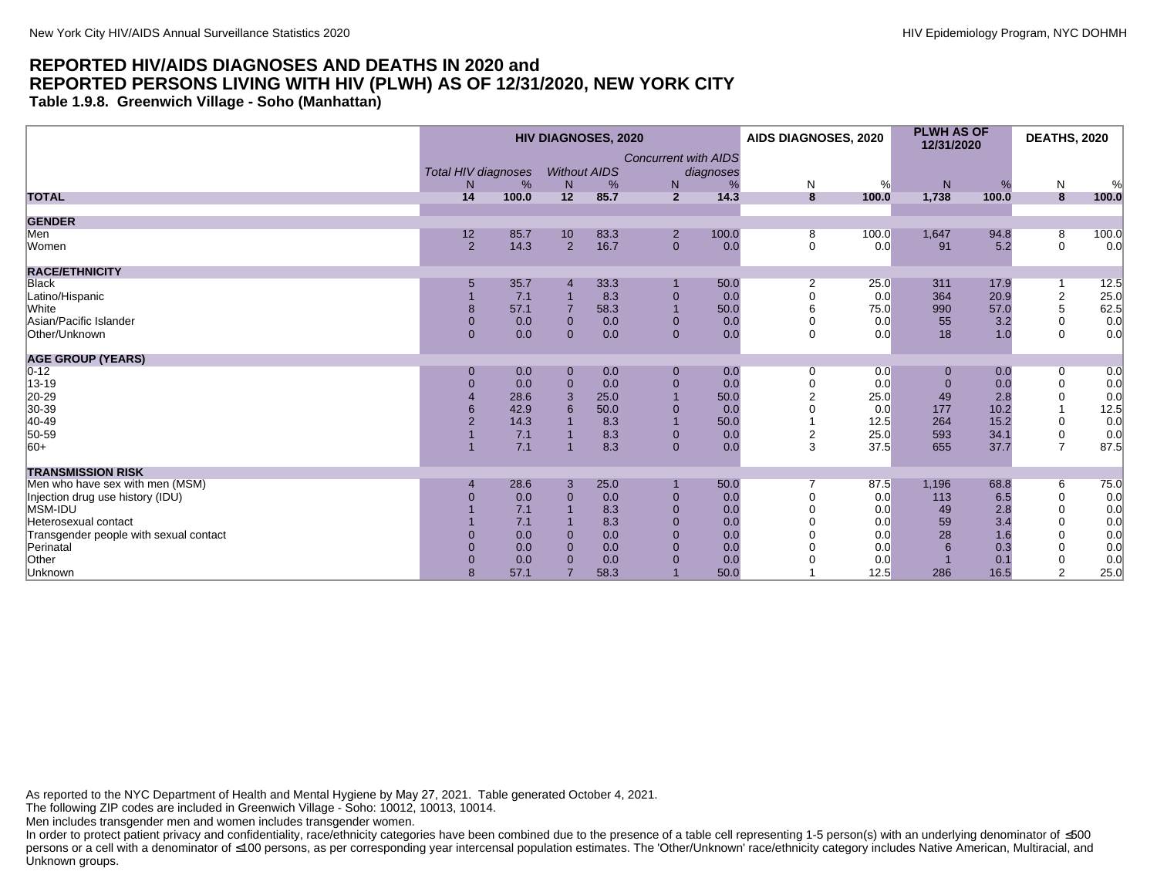**Table 1.9.8. Greenwich Village - Soho (Manhattan)**

|                                        |                     |       |                | <b>HIV DIAGNOSES, 2020</b> |                             |           | AIDS DIAGNOSES, 2020 |       | <b>PLWH AS OF</b><br>12/31/2020 |       | <b>DEATHS, 2020</b> |       |
|----------------------------------------|---------------------|-------|----------------|----------------------------|-----------------------------|-----------|----------------------|-------|---------------------------------|-------|---------------------|-------|
|                                        |                     |       |                |                            | <b>Concurrent with AIDS</b> |           |                      |       |                                 |       |                     |       |
|                                        | Total HIV diagnoses |       |                | <b>Without AIDS</b>        |                             | diagnoses |                      |       |                                 |       |                     |       |
|                                        | N                   | %     | N              | %                          | N                           |           | N                    | %     | N                               | %     | $\mathsf{N}$        | %     |
| <b>TOTAL</b>                           | 14                  | 100.0 | 12             | 85.7                       | $\overline{2}$              | 14.3      | 8                    | 100.0 | 1,738                           | 100.0 | 8                   | 100.0 |
| <b>GENDER</b>                          |                     |       |                |                            |                             |           |                      |       |                                 |       |                     |       |
| Men                                    | 12                  | 85.7  | 10             | 83.3                       | $\overline{2}$              | 100.0     | 8                    | 100.0 | 1,647                           | 94.8  | 8                   | 100.0 |
| Women                                  | 2                   | 14.3  | $\overline{2}$ | 16.7                       | $\mathbf{0}$                | 0.0       | $\mathbf 0$          | 0.0   | 91                              | 5.2   | $\mathbf 0$         | 0.0   |
| <b>RACE/ETHNICITY</b>                  |                     |       |                |                            |                             |           |                      |       |                                 |       |                     |       |
| Black                                  | 5                   | 35.7  |                | 33.3                       |                             | 50.0      | $\overline{2}$       | 25.0  | 311                             | 17.9  |                     | 12.5  |
| Latino/Hispanic                        |                     | 7.1   |                | 8.3                        | $\mathbf 0$                 | 0.0       | $\Omega$             | 0.0   | 364                             | 20.9  | $\boldsymbol{2}$    | 25.0  |
| White                                  | 8                   | 57.1  |                | 58.3                       |                             | 50.0      | 6                    | 75.0  | 990                             | 57.0  | 5                   | 62.5  |
| Asian/Pacific Islander                 | $\mathbf{0}$        | 0.0   | $\mathbf{0}$   | 0.0                        | $\mathbf{0}$                | 0.0       |                      | 0.0   | 55                              | 3.2   | $\mathbf 0$         | 0.0   |
| Other/Unknown                          | $\Omega$            | 0.0   | $\Omega$       | 0.0                        | $\overline{0}$              | 0.0       | $\Omega$             | 0.0   | 18                              | 1.0   | $\Omega$            | 0.0   |
| <b>AGE GROUP (YEARS)</b>               |                     |       |                |                            |                             |           |                      |       |                                 |       |                     |       |
| $0 - 12$                               | $\mathbf{0}$        | 0.0   | $\mathbf{0}$   | 0.0                        | $\mathbf{0}$                | 0.0       | $\Omega$             | 0.0   | $\mathbf{0}$                    | 0.0   | 0                   | 0.0   |
| 13-19                                  | $\overline{0}$      | 0.0   | $\Omega$       | 0.0                        | $\mathbf{0}$                | 0.0       |                      | 0.0   | $\Omega$                        | 0.0   | $\mathbf 0$         | 0.0   |
| 20-29<br>30-39                         |                     | 28.6  | 3              | 25.0                       |                             | 50.0      |                      | 25.0  | 49                              | 2.8   | $\mathbf 0$         | 0.0   |
|                                        |                     | 42.9  |                | 50.0                       |                             | 0.0       |                      | 0.0   | 177                             | 10.2  |                     | 12.5  |
| 40-49                                  |                     | 14.3  |                | 8.3                        |                             | 50.0      |                      | 12.5  | 264                             | 15.2  | 0                   | 0.0   |
| 50-59                                  |                     | 7.1   |                | 8.3                        | $\mathbf{0}$                | 0.0       | $\overline{2}$       | 25.0  | 593                             | 34.1  | 0                   | 0.0   |
| $ 60+$                                 |                     | 7.1   |                | 8.3                        | $\mathbf{0}$                | 0.0       | 3                    | 37.5  | 655                             | 37.7  | $\overline{7}$      | 87.5  |
| <b>TRANSMISSION RISK</b>               |                     |       |                |                            |                             |           |                      |       |                                 |       |                     |       |
| Men who have sex with men (MSM)        |                     | 28.6  | 3              | 25.0                       |                             | 50.0      |                      | 87.5  | 1,196                           | 68.8  | 6                   | 75.0  |
| Injection drug use history (IDU)       |                     | 0.0   | $\Omega$       | 0.0                        | $\Omega$                    | 0.0       |                      | 0.0   | 113                             | 6.5   | $\mathbf 0$         | 0.0   |
| MSM-IDU                                |                     | 7.1   |                | 8.3                        | $\Omega$                    | 0.0       |                      | 0.0   | 49                              | 2.8   | $\Omega$            | 0.0   |
| Heterosexual contact                   |                     | 7.1   |                | 8.3                        | $\mathbf{0}$                | 0.0       |                      | 0.0   | 59                              | 3.4   | $\Omega$            | 0.0   |
| Transgender people with sexual contact |                     | 0.0   | $\Omega$       | 0.0                        | $\mathbf{0}$                | 0.0       |                      | 0.0   | 28                              | 1.6   | $\mathbf 0$         | 0.0   |
| Perinatal                              |                     | 0.0   | $\Omega$       | 0.0                        | $\Omega$                    | 0.0       |                      | 0.0   |                                 | 0.3   | $\Omega$            | 0.0   |
| Other                                  |                     | 0.0   |                | 0.0                        |                             | 0.0       |                      | 0.0   |                                 | 0.1   | $\mathbf 0$         | 0.0   |
| Unknown                                |                     | 57.1  |                | 58.3                       |                             | 50.0      |                      | 12.5  | 286                             | 16.5  | 2                   | 25.0  |

As reported to the NYC Department of Health and Mental Hygiene by May 27, 2021. Table generated October 4, 2021.

The following ZIP codes are included in Greenwich Village - Soho: 10012, 10013, 10014.

Men includes transgender men and women includes transgender women.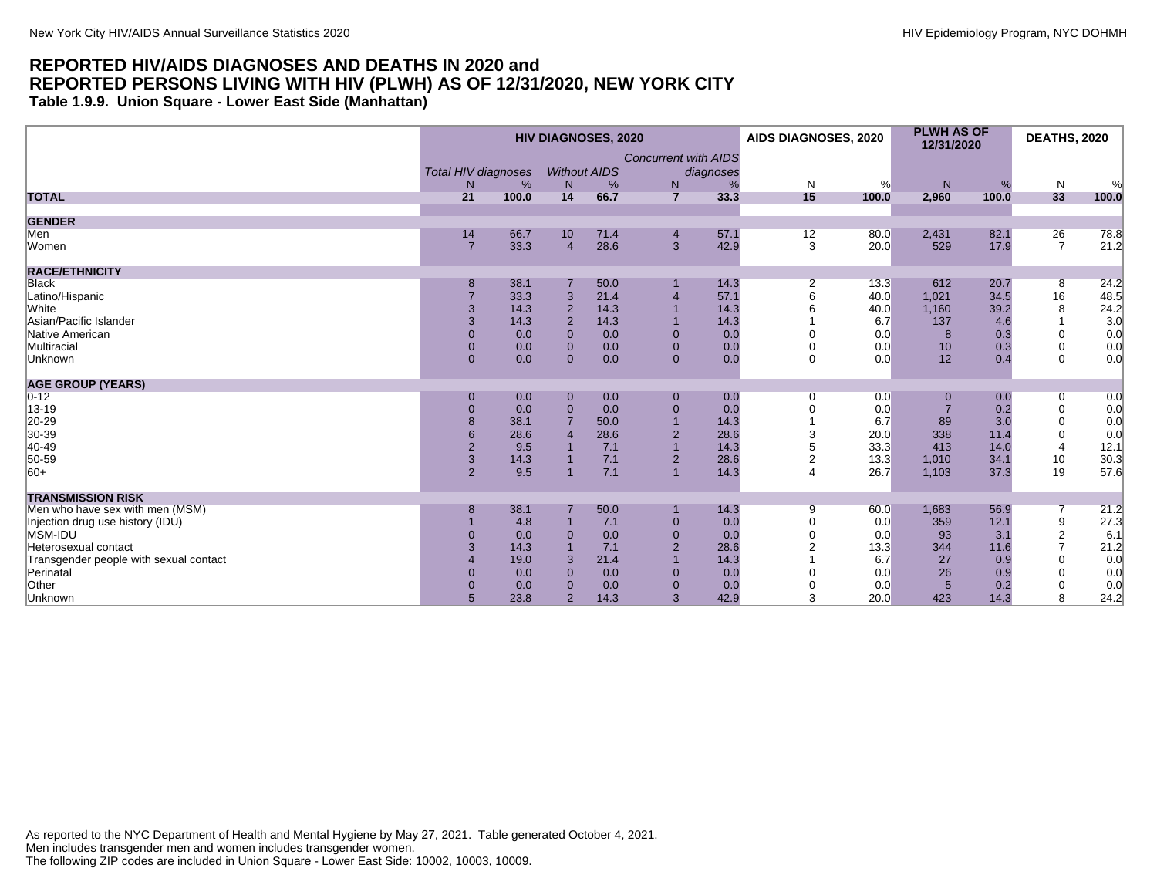**Table 1.9.9. Union Square - Lower East Side (Manhattan)**

|                                        | <b>HIV DIAGNOSES, 2020</b> |       |                |                     |                             |           | AIDS DIAGNOSES, 2020 |       | <b>PLWH AS OF</b><br>12/31/2020 |       | <b>DEATHS, 2020</b> |       |
|----------------------------------------|----------------------------|-------|----------------|---------------------|-----------------------------|-----------|----------------------|-------|---------------------------------|-------|---------------------|-------|
|                                        | <b>Total HIV diagnoses</b> |       |                | <b>Without AIDS</b> | <b>Concurrent with AIDS</b> | diagnoses |                      |       |                                 |       |                     |       |
|                                        | N                          | %     | N              | %                   | N                           | %         | N                    | %     | N                               | %     | N                   | $\%$  |
| <b>TOTAL</b>                           | 21                         | 100.0 | 14             | 66.7                | $\overline{7}$              | 33.3      | 15                   | 100.0 | 2,960                           | 100.0 | 33                  | 100.0 |
| <b>GENDER</b>                          |                            |       |                |                     |                             |           |                      |       |                                 |       |                     |       |
| Men                                    | 14                         | 66.7  | 10             | 71.4                | $\overline{4}$              | 57.1      | 12                   | 80.0  | 2,431                           | 82.1  | 26                  | 78.8  |
| Women                                  | 7                          | 33.3  | $\overline{4}$ | 28.6                | $\mathbf{3}$                | 42.9      | 3                    | 20.0  | 529                             | 17.9  | $\overline{7}$      | 21.2  |
| <b>RACE/ETHNICITY</b>                  |                            |       |                |                     |                             |           |                      |       |                                 |       |                     |       |
| <b>Black</b>                           | 8                          | 38.1  |                | 50.0                |                             | 14.3      | 2                    | 13.3  | 612                             | 20.7  | 8                   | 24.2  |
| Latino/Hispanic                        |                            | 33.3  | 3              | 21.4                |                             | 57.1      |                      | 40.0  | 1,021                           | 34.5  | 16                  | 48.5  |
| <b>White</b>                           | 3                          | 14.3  | $\overline{2}$ | 14.3                |                             | 14.3      |                      | 40.0  | 1,160                           | 39.2  | 8                   | 24.2  |
| Asian/Pacific Islander                 | 3                          | 14.3  | $\overline{2}$ | 14.3                |                             | 14.3      |                      | 6.7   | 137                             | 4.6   |                     | 3.0   |
| Native American                        | $\Omega$                   | 0.0   | $\Omega$       | 0.0                 | $\mathbf{0}$                | 0.0       |                      | 0.0   | 8                               | 0.3   | $\Omega$            | 0.0   |
| Multiracial                            | $\Omega$                   | 0.0   | $\mathbf{0}$   | 0.0                 | $\mathbf{0}$                | 0.0       |                      | 0.0   | 10                              | 0.3   | $\mathbf 0$         | 0.0   |
| Unknown                                | $\Omega$                   | 0.0   | $\Omega$       | 0.0                 | $\overline{0}$              | 0.0       | $\Omega$             | 0.0   | 12                              | 0.4   | $\Omega$            | 0.0   |
| <b>AGE GROUP (YEARS)</b>               |                            |       |                |                     |                             |           |                      |       |                                 |       |                     |       |
| $ 0-12 $                               | $\mathbf{0}$               | 0.0   | $\mathbf{0}$   | 0.0                 | $\mathbf{0}$                | 0.0       | $\Omega$             | 0.0   | $\overline{0}$                  | 0.0   | 0                   | 0.0   |
| 13-19                                  | $\overline{0}$             | 0.0   | $\mathbf 0$    | 0.0                 | $\mathbf 0$                 | 0.0       |                      | 0.0   |                                 | 0.2   | $\mathbf 0$         | 0.0   |
| $ 20-29 $                              | 8                          | 38.1  |                | 50.0                |                             | 14.3      |                      | 6.7   | 89                              | 3.0   | $\Omega$            | 0.0   |
| 30-39                                  | 6                          | 28.6  |                | 28.6                | $\overline{2}$              | 28.6      | 3                    | 20.0  | 338                             | 11.4  | $\mathbf 0$         | 0.0   |
| 40-49                                  | $\overline{2}$             | 9.5   |                | 7.1                 |                             | 14.3      |                      | 33.3  | 413                             | 14.0  | $\overline{4}$      | 12.1  |
| 50-59                                  | $\mathbf{3}$               | 14.3  |                | 7.1                 | $\overline{2}$              | 28.6      | $\overline{2}$       | 13.3  | 1,010                           | 34.1  | 10                  | 30.3  |
| $ 60+$                                 | $\overline{2}$             | 9.5   |                | 7.1                 | $\overline{1}$              | 14.3      | $\Delta$             | 26.7  | 1,103                           | 37.3  | 19                  | 57.6  |
| <b>TRANSMISSION RISK</b>               |                            |       |                |                     |                             |           |                      |       |                                 |       |                     |       |
| Men who have sex with men (MSM)        | 8                          | 38.1  |                | 50.0                |                             | 14.3      | 9                    | 60.0  | 1,683                           | 56.9  |                     | 21.2  |
| Injection drug use history (IDU)       |                            | 4.8   |                | 7.1                 | $\mathbf{0}$                | 0.0       |                      | 0.0   | 359                             | 12.1  | 9                   | 27.3  |
| MSM-IDU                                | $\overline{0}$             | 0.0   | $\Omega$       | 0.0                 | $\mathbf{0}$                | 0.0       |                      | 0.0   | 93                              | 3.1   | $\overline{2}$      | 6.1   |
| Heterosexual contact                   |                            | 14.3  |                | 7.1                 | $\overline{2}$              | 28.6      |                      | 13.3  | 344                             | 11.6  | $\overline{7}$      | 21.2  |
| Transgender people with sexual contact |                            | 19.0  | 3              | 21.4                |                             | 14.3      |                      | 6.7   | 27                              | 0.9   |                     | 0.0   |
| Perinatal                              | $\Omega$                   | 0.0   | $\Omega$       | 0.0                 | $\mathbf{0}$                | 0.0       |                      | 0.0   | 26                              | 0.9   |                     | 0.0   |
| Other                                  | $\Omega$                   | 0.0   | $\Omega$       | 0.0                 | $\mathbf{0}$                | 0.0       |                      | 0.0   | $5\overline{5}$                 | 0.2   |                     | 0.0   |
| Unknown                                | 5                          | 23.8  | $\overline{2}$ | 14.3                | 3                           | 42.9      | 3                    | 20.0  | 423                             | 14.3  | 8                   | 24.2  |

As reported to the NYC Department of Health and Mental Hygiene by May 27, 2021. Table generated October 4, 2021. Men includes transgender men and women includes transgender women. The following ZIP codes are included in Union Square - Lower East Side: 10002, 10003, 10009.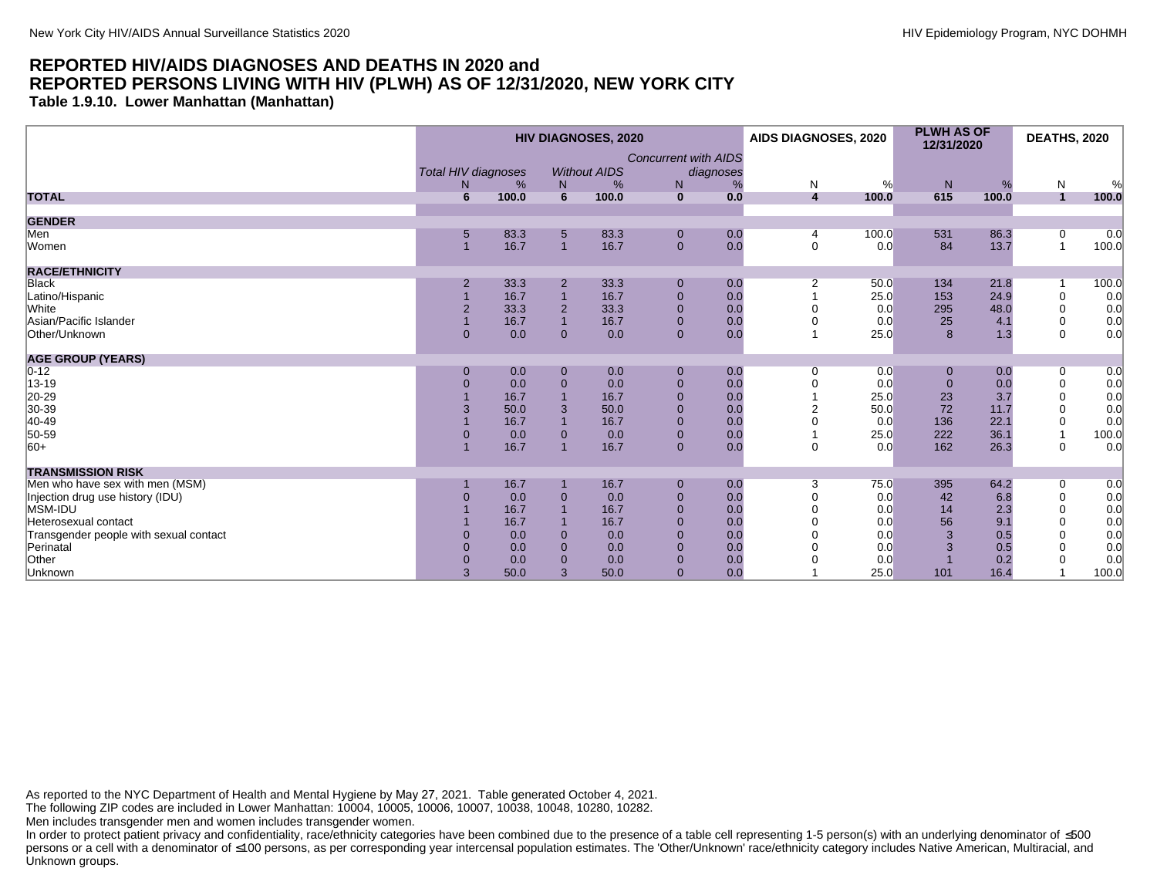**Table 1.9.10. Lower Manhattan (Manhattan)**

|                                        |                |                                 |                | <b>HIV DIAGNOSES, 2020</b> |                             |                | AIDS DIAGNOSES, 2020         |       | <b>PLWH AS OF</b><br>12/31/2020 |            | <b>DEATHS, 2020</b> |            |
|----------------------------------------|----------------|---------------------------------|----------------|----------------------------|-----------------------------|----------------|------------------------------|-------|---------------------------------|------------|---------------------|------------|
|                                        | N              | <b>Total HIV diagnoses</b><br>% |                | <b>Without AIDS</b>        | <b>Concurrent with AIDS</b> | diagnoses<br>% |                              | %     | N                               |            |                     |            |
| <b>TOTAL</b>                           | 6              | 100.0                           | N<br>6         | %<br>100.0                 | N<br>$\mathbf{0}$           | 0.0            | N<br>$\overline{\mathbf{4}}$ | 100.0 | 615                             | %<br>100.0 | N<br>$\overline{1}$ | %<br>100.0 |
|                                        |                |                                 |                |                            |                             |                |                              |       |                                 |            |                     |            |
| <b>GENDER</b>                          |                |                                 |                |                            |                             |                |                              |       |                                 |            |                     |            |
| Men                                    | 5              | 83.3                            | 5              | 83.3                       | $\mathbf 0$                 | 0.0            | 4                            | 100.0 | 531                             | 86.3       | 0                   | 0.0        |
| Women                                  |                | 16.7                            | $\overline{1}$ | 16.7                       | $\mathbf{0}$                | 0.0            | $\mathbf 0$                  | 0.0   | 84                              | 13.7       | $\overline{1}$      | 100.0      |
| <b>RACE/ETHNICITY</b>                  |                |                                 |                |                            |                             |                |                              |       |                                 |            |                     |            |
| Black                                  | $\overline{2}$ | 33.3                            | $\overline{2}$ | 33.3                       | $\mathbf 0$                 | 0.0            | $\overline{2}$               | 50.0  | 134                             | 21.8       |                     | 100.0      |
| Latino/Hispanic                        |                | 16.7                            | $\overline{1}$ | 16.7                       | $\mathbf 0$                 | 0.0            |                              | 25.0  | 153                             | 24.9       | $\mathbf 0$         | 0.0        |
| <b>White</b>                           | $\overline{2}$ | 33.3                            | $\overline{2}$ | 33.3                       | $\mathbf{0}$                | 0.0            |                              | 0.0   | 295                             | 48.0       | $\mathbf 0$         | 0.0        |
| Asian/Pacific Islander                 |                | 16.7                            | $\overline{1}$ | 16.7                       | $\mathbf{0}$                | 0.0            |                              | 0.0   | 25                              | 4.1        | $\mathbf 0$         | 0.0        |
| Other/Unknown                          | $\Omega$       | 0.0                             | $\mathbf{0}$   | 0.0                        | $\mathbf{0}$                | 0.0            |                              | 25.0  | 8                               | 1.3        | $\Omega$            | 0.0        |
| <b>AGE GROUP (YEARS)</b>               |                |                                 |                |                            |                             |                |                              |       |                                 |            |                     |            |
| $0 - 12$                               | $\Omega$       | 0.0                             | $\mathbf 0$    | 0.0                        | $\mathbf 0$                 | 0.0            | 0                            | 0.0   | 0                               | 0.0        | 0                   | 0.0        |
| 13-19                                  | $\Omega$       | 0.0                             | $\overline{0}$ | 0.0                        | $\mathbf 0$                 | 0.0            |                              | 0.0   | $\Omega$                        | 0.0        | $\mathbf 0$         | 0.0        |
| 20-29                                  |                | 16.7                            |                | 16.7                       | $\mathbf 0$                 | 0.0            |                              | 25.0  | 23                              | 3.7        | $\mathbf 0$         | 0.0        |
| 30-39                                  | 3              | 50.0                            | 3              | 50.0                       | $\mathbf 0$                 | 0.0            |                              | 50.0  | 72                              | 11.7       | $\Omega$            | 0.0        |
| 40-49                                  |                | 16.7                            | $\overline{1}$ | 16.7                       | $\mathbf 0$                 | 0.0            |                              | 0.0   | 136                             | 22.1       | 0                   | 0.0        |
| 50-59                                  | $\overline{0}$ | 0.0                             | $\mathbf 0$    | 0.0                        | $\mathbf 0$                 | 0.0            |                              | 25.0  | 222                             | 36.1       |                     | 100.0      |
| $ 60+$                                 |                | 16.7                            | $\overline{1}$ | 16.7                       | $\mathbf{0}$                | 0.0            | $\Omega$                     | 0.0   | 162                             | 26.3       | $\mathbf 0$         | 0.0        |
| <b>TRANSMISSION RISK</b>               |                |                                 |                |                            |                             |                |                              |       |                                 |            |                     |            |
| Men who have sex with men (MSM)        |                | 16.7                            |                | 16.7                       | $\mathbf 0$                 | 0.0            | 3                            | 75.0  | 395                             | 64.2       | 0                   | 0.0        |
| Injection drug use history (IDU)       |                | 0.0                             | $\overline{0}$ | 0.0                        | $\mathbf{0}$                | 0.0            | O                            | 0.0   | 42                              | 6.8        | $\Omega$            | 0.0        |
| MSM-IDU                                |                | 16.7                            |                | 16.7                       | $\mathbf{0}$                | 0.0            |                              | 0.0   | 14                              | 2.3        | $\Omega$            | 0.0        |
| Heterosexual contact                   |                | 16.7                            |                | 16.7                       | $\mathbf 0$                 | 0.0            |                              | 0.0   | 56                              | 9.1        | $\Omega$            | 0.0        |
| Transgender people with sexual contact |                | 0.0                             | $\mathbf{0}$   | 0.0                        | $\mathbf 0$                 | 0.0            |                              | 0.0   | 3                               | 0.5        |                     | 0.0        |
| Perinatal                              |                | 0.0                             | $\mathbf{0}$   | 0.0                        | $\overline{0}$              | 0.0            |                              | 0.0   |                                 | 0.5        |                     | 0.0        |
| Other                                  |                | 0.0                             | $\overline{0}$ | 0.0                        | $\overline{0}$              | 0.0            |                              | 0.0   |                                 | 0.2        |                     | 0.0        |
| Unknown                                | 3              | 50.0                            | 3              | 50.0                       | $\mathbf{0}$                | 0.0            |                              | 25.0  | 101                             | 16.4       |                     | 100.0      |

As reported to the NYC Department of Health and Mental Hygiene by May 27, 2021. Table generated October 4, 2021. The following ZIP codes are included in Lower Manhattan: 10004, 10005, 10006, 10007, 10038, 10048, 10280, 10282.

Men includes transgender men and women includes transgender women.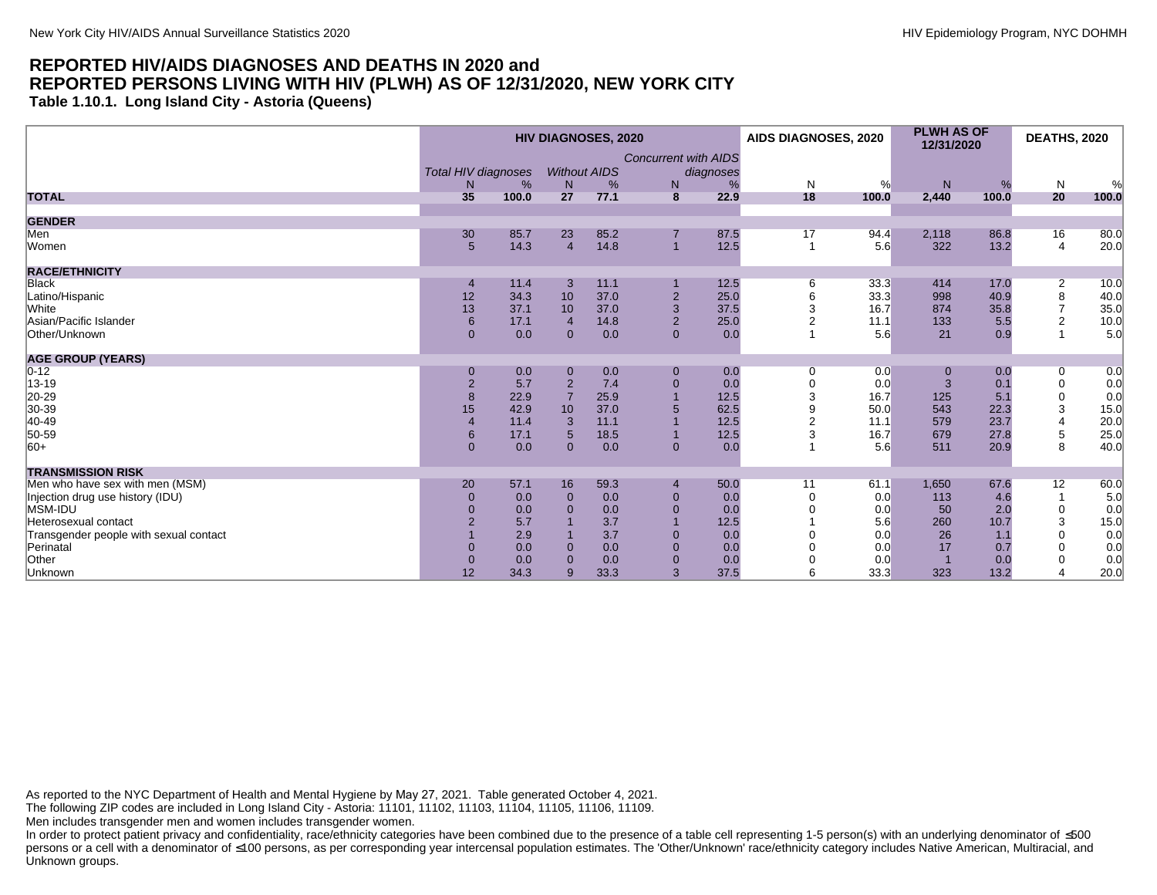**Table 1.10.1. Long Island City - Astoria (Queens)**

|                                        |                                 |       |                | <b>HIV DIAGNOSES, 2020</b> |                                  |           | AIDS DIAGNOSES, 2020 |       | <b>PLWH AS OF</b><br>12/31/2020 |       | <b>DEATHS, 2020</b> |       |
|----------------------------------------|---------------------------------|-------|----------------|----------------------------|----------------------------------|-----------|----------------------|-------|---------------------------------|-------|---------------------|-------|
|                                        | <b>Total HIV diagnoses</b><br>N | %     | N              | <b>Without AIDS</b><br>%   | <b>Concurrent with AIDS</b><br>N | diagnoses | N                    | %     | N                               | %     | N                   | %     |
| <b>TOTAL</b>                           | 35                              | 100.0 | 27             | 77.1                       | 8                                | 22.9      | 18                   | 100.0 | 2,440                           | 100.0 | 20                  | 100.0 |
| <b>GENDER</b>                          |                                 |       |                |                            |                                  |           |                      |       |                                 |       |                     |       |
| Men                                    | 30                              | 85.7  | 23             | 85.2                       |                                  | 87.5      | 17                   | 94.4  | 2,118                           | 86.8  | 16                  | 80.0  |
| Women                                  | 5 <sup>5</sup>                  | 14.3  | $\overline{4}$ | 14.8                       | $\overline{1}$                   | 12.5      | $\mathbf{1}$         | 5.6   | 322                             | 13.2  | $\overline{4}$      | 20.0  |
| <b>RACE/ETHNICITY</b>                  |                                 |       |                |                            |                                  |           |                      |       |                                 |       |                     |       |
| <b>Black</b>                           |                                 | 11.4  | 3              | 11.1                       |                                  | 12.5      | 6                    | 33.3  | 414                             | 17.0  | $\overline{2}$      | 10.0  |
| Latino/Hispanic                        | 12                              | 34.3  | 10             | 37.0                       | $\overline{2}$                   | 25.0      |                      | 33.3  | 998                             | 40.9  | 8                   | 40.0  |
| White                                  | 13                              | 37.1  | 10             | 37.0                       | 3                                | 37.5      |                      | 16.7  | 874                             | 35.8  | $\overline{7}$      | 35.0  |
| Asian/Pacific Islander                 | $6\phantom{1}$                  | 17.1  | $\overline{4}$ | 14.8                       | 2                                | 25.0      |                      | 11.1  | 133                             | 5.5   | $\overline{c}$      | 10.0  |
| Other/Unknown                          | $\overline{0}$                  | 0.0   | $\mathbf 0$    | 0.0                        | $\mathbf{0}$                     | 0.0       |                      | 5.6   | 21                              | 0.9   | $\mathbf{1}$        | 5.0   |
| <b>AGE GROUP (YEARS)</b>               |                                 |       |                |                            |                                  |           |                      |       |                                 |       |                     |       |
| $0 - 12$                               | $\mathbf 0$                     | 0.0   | $\mathbf 0$    | 0.0                        | $\mathbf{0}$                     | 0.0       | $\Omega$             | 0.0   |                                 | 0.0   | 0                   | 0.0   |
| 13-19                                  | $\overline{2}$                  | 5.7   | $\overline{2}$ | 7.4                        | $\mathbf{0}$                     | 0.0       | $\Omega$             | 0.0   |                                 | 0.1   | $\mathbf 0$         | 0.0   |
| 20-29                                  | 8                               | 22.9  | $\overline{7}$ | 25.9                       |                                  | 12.5      | 3                    | 16.7  | 125                             | 5.1   | 0                   | 0.0   |
| 30-39                                  | 15                              | 42.9  | 10             | 37.0                       |                                  | 62.5      |                      | 50.0  | 543                             | 22.3  | 3                   | 15.0  |
| 40-49                                  |                                 | 11.4  | 3              | 11.1                       |                                  | 12.5      |                      | 11.1  | 579                             | 23.7  | $\overline{4}$      | 20.0  |
| 50-59                                  | $6\phantom{1}$                  | 17.1  | 5              | 18.5                       |                                  | 12.5      | 3                    | 16.7  | 679                             | 27.8  | $\,$ 5 $\,$         | 25.0  |
| $ 60+$                                 | $\mathbf{0}$                    | 0.0   | $\Omega$       | 0.0                        | $\mathbf{0}$                     | 0.0       |                      | 5.6   | 511                             | 20.9  | 8                   | 40.0  |
| <b>TRANSMISSION RISK</b>               |                                 |       |                |                            |                                  |           |                      |       |                                 |       |                     |       |
| Men who have sex with men (MSM)        | 20                              | 57.1  | 16             | 59.3                       | $\overline{4}$                   | 50.0      | 11                   | 61.1  | 1,650                           | 67.6  | 12                  | 60.0  |
| Injection drug use history (IDU)       | $\mathbf 0$                     | 0.0   | $\Omega$       | 0.0                        | $\mathbf 0$                      | 0.0       |                      | 0.0   | 113                             | 4.6   |                     | 5.0   |
| MSM-IDU                                |                                 | 0.0   | $\mathbf 0$    | 0.0                        | $\overline{0}$                   | 0.0       |                      | 0.0   | 50                              | 2.0   | 0                   | 0.0   |
| Heterosexual contact                   |                                 | 5.7   |                | 3.7                        |                                  | 12.5      |                      | 5.6   | 260                             | 10.7  | 3                   | 15.0  |
| Transgender people with sexual contact |                                 | 2.9   |                | 3.7                        | $\Omega$                         | 0.0       |                      | 0.0   | 26                              | 1.1   | $\Omega$            | 0.0   |
| Perinatal                              |                                 | 0.0   | $\Omega$       | 0.0                        | $\Omega$                         | 0.0       |                      | 0.0   | 17                              | 0.7   | $\Omega$            | 0.0   |
| Other                                  | $\Omega$                        | 0.0   | $\Omega$       | 0.0                        | $\mathbf{0}$                     | 0.0       |                      | 0.0   |                                 | 0.0   | $\Omega$            | 0.0   |
| Unknown                                | 12                              | 34.3  | 9              | 33.3                       | 3                                | 37.5      |                      | 33.3  | 323                             | 13.2  | $\overline{4}$      | 20.0  |

As reported to the NYC Department of Health and Mental Hygiene by May 27, 2021. Table generated October 4, 2021.

The following ZIP codes are included in Long Island City - Astoria: 11101, 11102, 11103, 11104, 11105, 11106, 11109.

Men includes transgender men and women includes transgender women.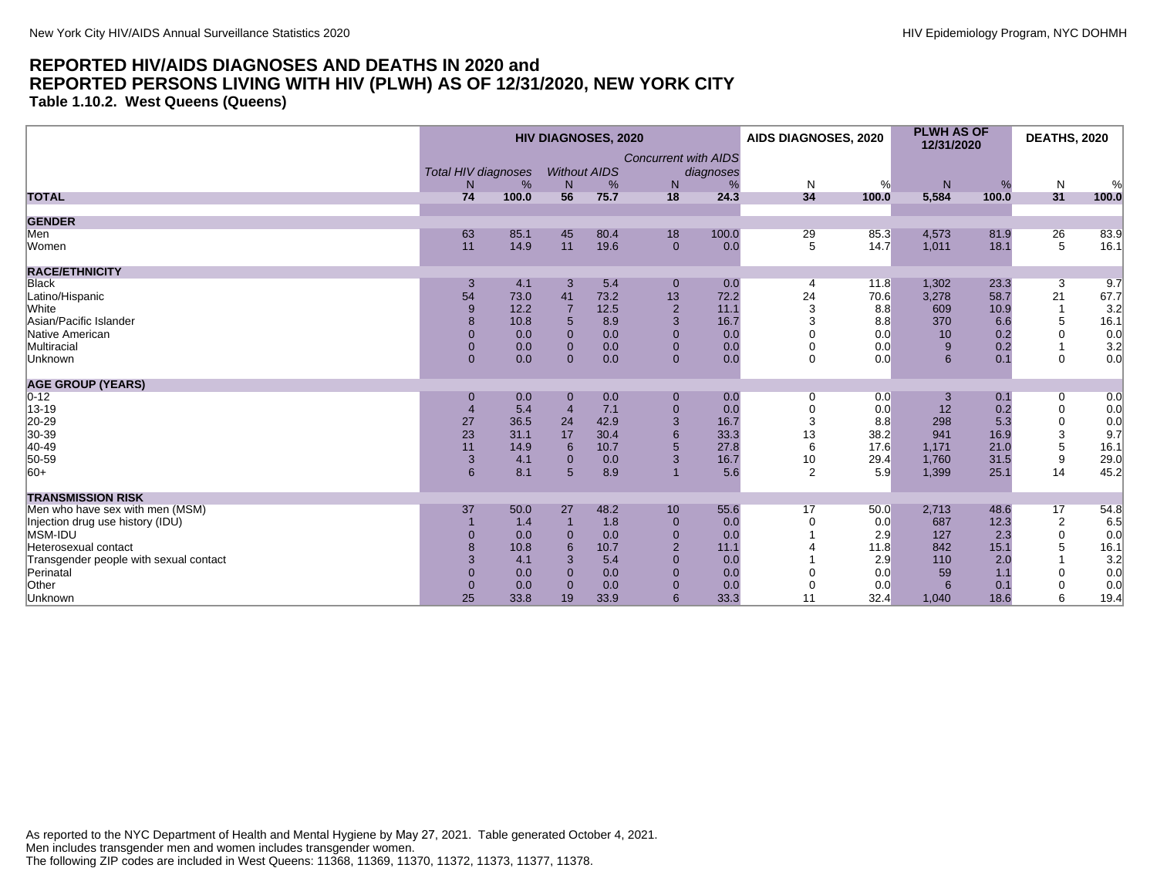**Table 1.10.2. West Queens (Queens)**

|                                        | <b>HIV DIAGNOSES, 2020</b> |       |                     |      |                             |           | AIDS DIAGNOSES, 2020 |       | <b>PLWH AS OF</b><br>12/31/2020 |       | <b>DEATHS, 2020</b> |       |
|----------------------------------------|----------------------------|-------|---------------------|------|-----------------------------|-----------|----------------------|-------|---------------------------------|-------|---------------------|-------|
|                                        |                            |       |                     |      | <b>Concurrent with AIDS</b> |           |                      |       |                                 |       |                     |       |
|                                        | <b>Total HIV diagnoses</b> |       | <b>Without AIDS</b> |      |                             | diagnoses |                      |       |                                 |       |                     |       |
|                                        | N                          | %     | N                   | %    | N                           | %         | $\mathsf{N}$         | %     | N                               | %     | N                   | %     |
| <b>TOTAL</b>                           | 74                         | 100.0 | 56                  | 75.7 | 18                          | 24.3      | 34                   | 100.0 | 5,584                           | 100.0 | 31                  | 100.0 |
| <b>GENDER</b>                          |                            |       |                     |      |                             |           |                      |       |                                 |       |                     |       |
| Men                                    | 63                         | 85.1  | 45                  | 80.4 | 18                          | 100.0     | 29                   | 85.3  | 4,573                           | 81.9  | 26                  | 83.9  |
| Women                                  | 11                         | 14.9  | 11                  | 19.6 | $\mathbf{0}$                | 0.0       | 5                    | 14.7  | 1,011                           | 18.1  | 5                   | 16.1  |
| <b>RACE/ETHNICITY</b>                  |                            |       |                     |      |                             |           |                      |       |                                 |       |                     |       |
| <b>Black</b>                           | 3                          | 4.1   | 3                   | 5.4  | $\mathbf{0}$                | 0.0       | 4                    | 11.8  | 1,302                           | 23.3  | $\overline{3}$      | 9.7   |
| Latino/Hispanic                        | 54                         | 73.0  | 41                  | 73.2 | 13                          | 72.2      | 24                   | 70.6  | 3,278                           | 58.7  | 21                  | 67.7  |
| White                                  | 9                          | 12.2  | $\overline{7}$      | 12.5 | $\overline{2}$              | 11.1      | 3                    | 8.8   | 609                             | 10.9  |                     | 3.2   |
| Asian/Pacific Islander                 |                            | 10.8  | 5                   | 8.9  | 3                           | 16.7      | 3                    | 8.8   | 370                             | 6.6   | 5                   | 16.1  |
| Native American                        | $\Omega$                   | 0.0   | $\mathbf{0}$        | 0.0  | $\mathbf{0}$                | 0.0       |                      | 0.0   | 10                              | 0.2   | $\mathbf 0$         | 0.0   |
| Multiracial                            | $\overline{0}$             | 0.0   | $\mathbf{0}$        | 0.0  | $\mathbf{0}$                | 0.0       |                      | 0.0   | 9                               | 0.2   |                     | 3.2   |
| Unknown                                | $\mathbf{0}$               | 0.0   | $\Omega$            | 0.0  | $\mathbf{0}$                | 0.0       | $\mathbf 0$          | 0.0   | 6                               | 0.1   | $\mathbf 0$         | 0.0   |
| <b>AGE GROUP (YEARS)</b>               |                            |       |                     |      |                             |           |                      |       |                                 |       |                     |       |
| $0 - 12$                               | $\mathbf 0$                | 0.0   | $\mathbf{0}$        | 0.0  | $\pmb{0}$                   | 0.0       | 0                    | 0.0   | 3                               | 0.1   | 0                   | 0.0   |
| 13-19                                  |                            | 5.4   | $\overline{4}$      | 7.1  | $\mathbf{0}$                | 0.0       |                      | 0.0   | 12                              | 0.2   | 0                   | 0.0   |
| 20-29                                  | 27                         | 36.5  | 24                  | 42.9 | 3                           | 16.7      | 3                    | 8.8   | 298                             | 5.3   | $\mathbf 0$         | 0.0   |
| 30-39                                  | 23                         | 31.1  | 17                  | 30.4 |                             | 33.3      | 13                   | 38.2  | 941                             | 16.9  | 3                   | 9.7   |
| 40-49                                  | 11                         | 14.9  | 6                   | 10.7 |                             | 27.8      | 6                    | 17.6  | 1,171                           | 21.0  | 5                   | 16.1  |
| 50-59                                  | $\mathbf{3}$               | 4.1   | $\Omega$            | 0.0  | 3                           | 16.7      | 10                   | 29.4  | 1.760                           | 31.5  | 9                   | 29.0  |
| $ 60+$                                 | 6                          | 8.1   | 5                   | 8.9  |                             | 5.6       | $\overline{2}$       | 5.9   | 1,399                           | 25.1  | 14                  | 45.2  |
| <b>TRANSMISSION RISK</b>               |                            |       |                     |      |                             |           |                      |       |                                 |       |                     |       |
| Men who have sex with men (MSM)        | 37                         | 50.0  | 27                  | 48.2 | 10                          | 55.6      | 17                   | 50.0  | 2,713                           | 48.6  | 17                  | 54.8  |
| Injection drug use history (IDU)       |                            | 1.4   |                     | 1.8  | $\mathbf{0}$                | 0.0       |                      | 0.0   | 687                             | 12.3  | $\overline{c}$      | 6.5   |
| MSM-IDU                                | $\Omega$                   | 0.0   | $\Omega$            | 0.0  | $\mathbf{0}$                | 0.0       |                      | 2.9   | 127                             | 2.3   | $\mathbf 0$         | 0.0   |
| Heterosexual contact                   |                            | 10.8  | 6                   | 10.7 | $\overline{2}$              | 11.1      |                      | 11.8  | 842                             | 15.1  | 5                   | 16.1  |
| Transgender people with sexual contact | 3                          | 4.1   | 3                   | 5.4  | $\mathbf{0}$                | 0.0       |                      | 2.9   | 110                             | 2.0   |                     | 3.2   |
| Perinatal                              | $\Omega$                   | 0.0   | $\Omega$            | 0.0  | $\Omega$                    | 0.0       |                      | 0.0   | 59                              | 1.1   | $\Omega$            | 0.0   |
| Other                                  | $\mathbf 0$                | 0.0   | $\Omega$            | 0.0  | $\mathbf{0}$                | 0.0       |                      | 0.0   | 6                               | 0.1   | $\mathbf 0$         | 0.0   |
| Unknown                                | 25                         | 33.8  | 19                  | 33.9 | 6                           | 33.3      | 11                   | 32.4  | 1,040                           | 18.6  | 6                   | 19.4  |

As reported to the NYC Department of Health and Mental Hygiene by May 27, 2021. Table generated October 4, 2021. Men includes transgender men and women includes transgender women. The following ZIP codes are included in West Queens: 11368, 11369, 11370, 11372, 11373, 11377, 11378.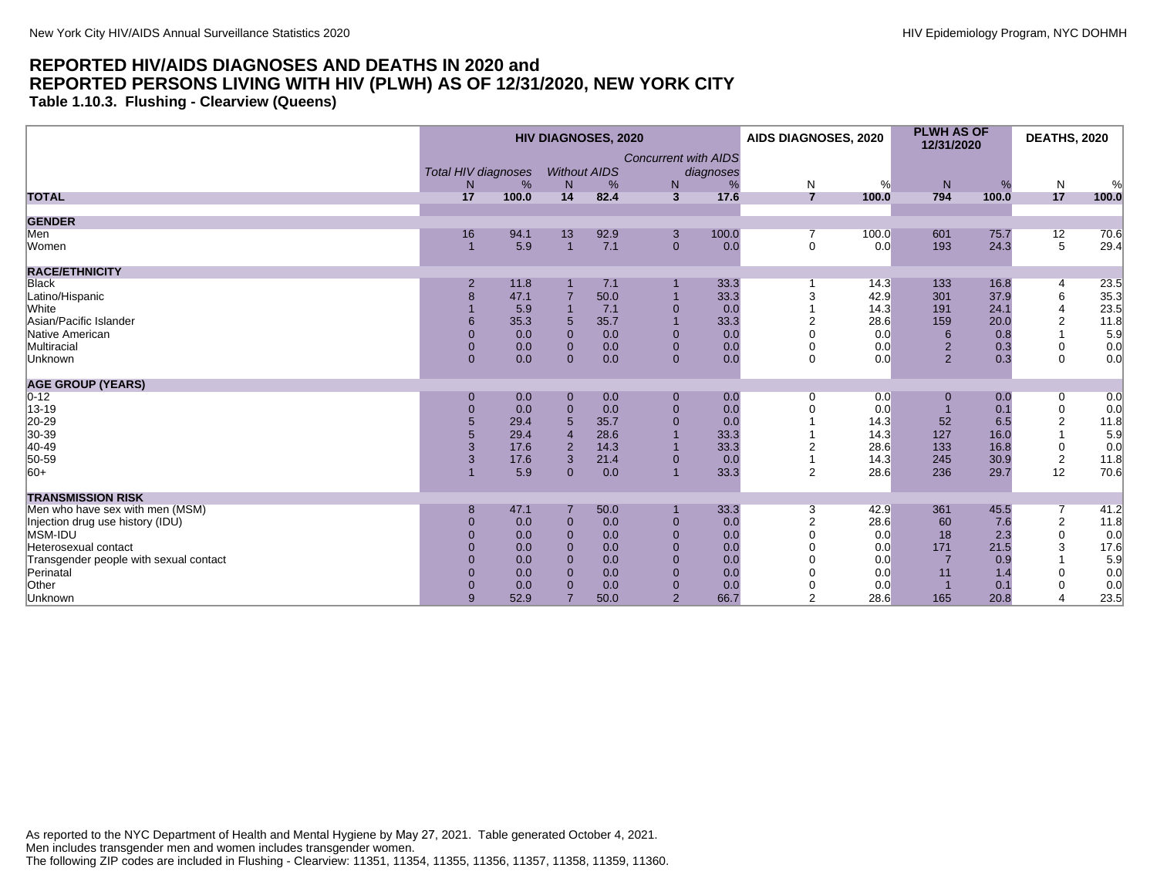**Table 1.10.3. Flushing - Clearview (Queens)**

|                                        | <b>HIV DIAGNOSES, 2020</b> |       |                |                     |                             |           | AIDS DIAGNOSES, 2020 |       | <b>PLWH AS OF</b><br>12/31/2020 |       | <b>DEATHS, 2020</b> |       |
|----------------------------------------|----------------------------|-------|----------------|---------------------|-----------------------------|-----------|----------------------|-------|---------------------------------|-------|---------------------|-------|
|                                        |                            |       |                |                     | <b>Concurrent with AIDS</b> |           |                      |       |                                 |       |                     |       |
|                                        | <b>Total HIV diagnoses</b> |       |                | <b>Without AIDS</b> |                             | diagnoses |                      |       |                                 |       |                     |       |
|                                        | N                          | %     | N              | %                   | N                           |           | $\mathsf{N}$         | %     | ${\sf N}$                       | %     | $\mathsf{N}$        | %     |
| <b>TOTAL</b>                           | 17                         | 100.0 | 14             | 82.4                | $\overline{3}$              | 17.6      | $\overline{7}$       | 100.0 | 794                             | 100.0 | 17                  | 100.0 |
| <b>GENDER</b>                          |                            |       |                |                     |                             |           |                      |       |                                 |       |                     |       |
| Men                                    | 16                         | 94.1  | 13             | 92.9                | 3                           | 100.0     | 7                    | 100.0 | 601                             | 75.7  | 12                  | 70.6  |
| Women                                  |                            | 5.9   | $\overline{1}$ | 7.1                 | $\mathbf{0}$                | 0.0       | $\mathbf 0$          | 0.0   | 193                             | 24.3  | 5                   | 29.4  |
| <b>RACE/ETHNICITY</b>                  |                            |       |                |                     |                             |           |                      |       |                                 |       |                     |       |
| <b>Black</b>                           | $\overline{2}$             | 11.8  |                | 7.1                 |                             | 33.3      |                      | 14.3  | 133                             | 16.8  | $\overline{4}$      | 23.5  |
| Latino/Hispanic                        | 8                          | 47.1  |                | 50.0                |                             | 33.3      | 3                    | 42.9  | 301                             | 37.9  | 6                   | 35.3  |
| White                                  |                            | 5.9   |                | 7.1                 | $\Omega$                    | 0.0       |                      | 14.3  | 191                             | 24.1  | $\overline{4}$      | 23.5  |
| Asian/Pacific Islander                 |                            | 35.3  | 5              | 35.7                |                             | 33.3      |                      | 28.6  | 159                             | 20.0  | 2                   | 11.8  |
| Native American                        | $\Omega$                   | 0.0   | $\Omega$       | 0.0                 | $\mathbf{0}$                | 0.0       |                      | 0.0   | 6                               | 0.8   |                     | 5.9   |
| Multiracial                            | $\mathbf{0}$               | 0.0   | $\mathbf{0}$   | 0.0                 | $\mathbf{0}$                | 0.0       |                      | 0.0   | $\overline{2}$                  | 0.3   | 0                   | 0.0   |
| Unknown                                | $\overline{0}$             | 0.0   | $\Omega$       | 0.0                 | $\overline{0}$              | 0.0       | $\Omega$             | 0.0   | $\overline{2}$                  | 0.3   | $\Omega$            | 0.0   |
| <b>AGE GROUP (YEARS)</b>               |                            |       |                |                     |                             |           |                      |       |                                 |       |                     |       |
| $0 - 12$                               | $\mathbf{0}$               | 0.0   | $\mathbf{0}$   | 0.0                 | $\boldsymbol{0}$            | 0.0       | 0                    | 0.0   | $\mathbf{0}$                    | 0.0   | 0                   | 0.0   |
| 13-19                                  | $\mathbf{0}$               | 0.0   | $\mathbf 0$    | 0.0                 | $\mathbf{0}$                | 0.0       |                      | 0.0   |                                 | 0.1   | $\pmb{0}$           | 0.0   |
| 20-29                                  |                            | 29.4  | 5              | 35.7                | $\Omega$                    | 0.0       |                      | 14.3  | 52                              | 6.5   | $\overline{c}$      | 11.8  |
| 30-39                                  |                            | 29.4  |                | 28.6                |                             | 33.3      |                      | 14.3  | 127                             | 16.0  |                     | 5.9   |
| $ 40-49$                               |                            | 17.6  | $\overline{2}$ | 14.3                |                             | 33.3      |                      | 28.6  | 133                             | 16.8  | 0                   | 0.0   |
| 50-59                                  | 3                          | 17.6  | 3              | 21.4                |                             | 0.0       |                      | 14.3  | 245                             | 30.9  | $\overline{2}$      | 11.8  |
| $ 60+$                                 |                            | 5.9   | $\overline{0}$ | 0.0                 |                             | 33.3      | 2                    | 28.6  | 236                             | 29.7  | 12                  | 70.6  |
| <b>TRANSMISSION RISK</b>               |                            |       |                |                     |                             |           |                      |       |                                 |       |                     |       |
| Men who have sex with men (MSM)        | 8                          | 47.1  |                | 50.0                |                             | 33.3      | 3                    | 42.9  | 361                             | 45.5  | 7                   | 41.2  |
| Injection drug use history (IDU)       | $\Omega$                   | 0.0   | $\mathbf 0$    | 0.0                 | $\mathbf{0}$                | 0.0       |                      | 28.6  | 60                              | 7.6   | $\sqrt{2}$          | 11.8  |
| MSM-IDU                                |                            | 0.0   | $\Omega$       | 0.0                 | $\Omega$                    | 0.0       |                      | 0.0   | 18                              | 2.3   | $\mathbf 0$         | 0.0   |
| Heterosexual contact                   |                            | 0.0   | $\Omega$       | 0.0                 | $\Omega$                    | 0.0       |                      | 0.0   | 171                             | 21.5  | 3                   | 17.6  |
| Transgender people with sexual contact |                            | 0.0   | $\Omega$       | 0.0                 | $\Omega$                    | 0.0       |                      | 0.0   |                                 | 0.9   |                     | 5.9   |
| Perinatal                              |                            | 0.0   | $\Omega$       | 0.0                 | $\Omega$                    | 0.0       |                      | 0.0   | 11                              | 1.4   | $\Omega$            | 0.0   |
| Other                                  | $\Omega$                   | 0.0   | $\Omega$       | 0.0                 | $\mathbf{0}$                | 0.0       |                      | 0.0   |                                 | 0.1   |                     | 0.0   |
| Unknown                                | 9                          | 52.9  |                | 50.0                | $\overline{2}$              | 66.7      | $\overline{2}$       | 28.6  | 165                             | 20.8  | $\overline{4}$      | 23.5  |

As reported to the NYC Department of Health and Mental Hygiene by May 27, 2021. Table generated October 4, 2021. Men includes transgender men and women includes transgender women. The following ZIP codes are included in Flushing - Clearview: 11351, 11354, 11355, 11356, 11357, 11358, 11359, 11360.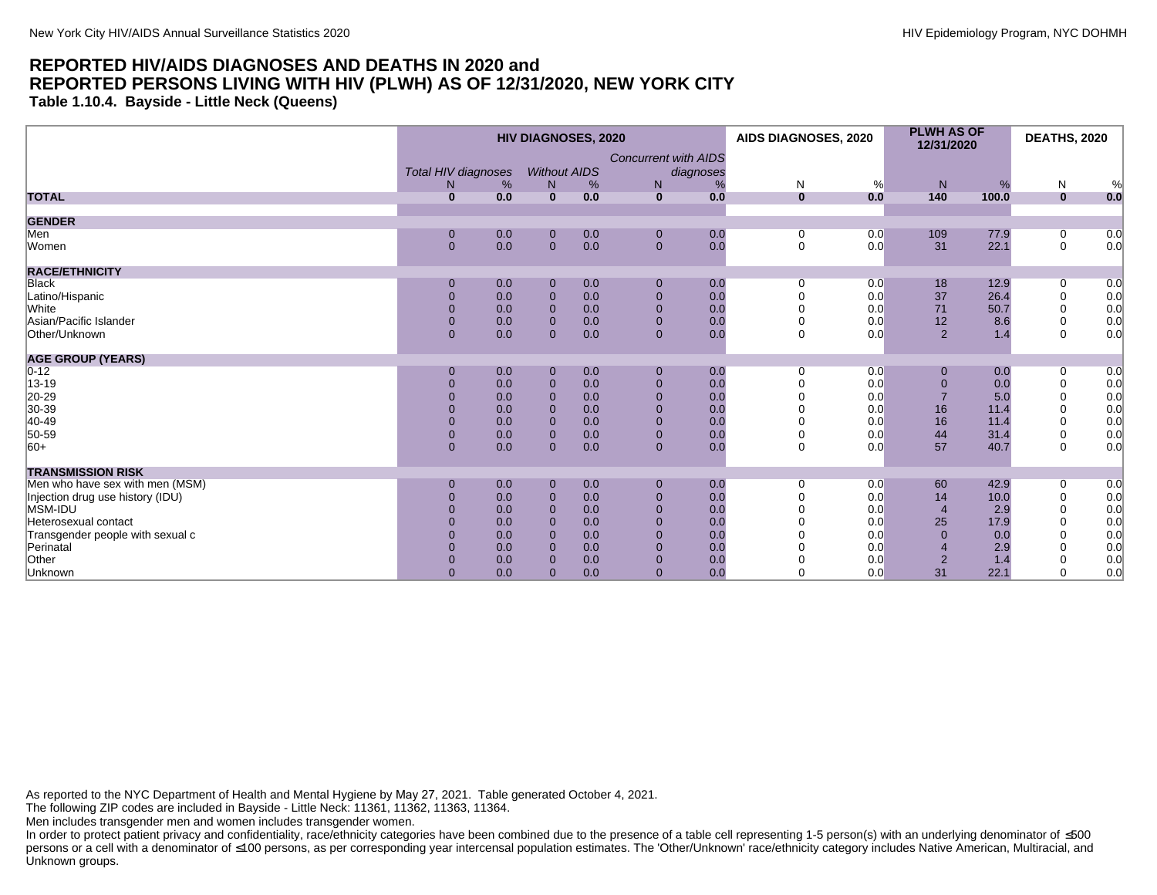**Table 1.10.4. Bayside - Little Neck (Queens)**

|                                  | <b>HIV DIAGNOSES, 2020</b> |     |                     |     |                             | AIDS DIAGNOSES, 2020 |              | <b>PLWH AS OF</b><br>12/31/2020 |                | <b>DEATHS, 2020</b> |                               |     |
|----------------------------------|----------------------------|-----|---------------------|-----|-----------------------------|----------------------|--------------|---------------------------------|----------------|---------------------|-------------------------------|-----|
|                                  |                            |     |                     |     | <b>Concurrent with AIDS</b> |                      |              |                                 |                |                     |                               |     |
|                                  | Total HIV diagnoses        |     | <b>Without AIDS</b> |     |                             | diagnoses            |              |                                 |                |                     |                               |     |
|                                  | N                          | %   | N.                  | %   | N                           | %                    | N            | %                               | N              | %                   | N                             | %   |
| <b>TOTAL</b>                     | $\bf{0}$                   | 0.0 | $\mathbf{0}$        | 0.0 | $\mathbf{0}$                | 0.0                  | $\mathbf{0}$ | 0.0                             | 140            | 100.0               | $\mathbf{0}$                  | 0.0 |
| <b>GENDER</b>                    |                            |     |                     |     |                             |                      |              |                                 |                |                     |                               |     |
| Men                              | 0                          | 0.0 |                     | 0.0 | $\mathbf 0$                 | 0.0                  |              | 0.0                             | 109            | 77.9                |                               | 0.0 |
| Women                            | $\overline{0}$             | 0.0 | 0<br>$\overline{0}$ | 0.0 | $\mathbf{0}$                | 0.0                  | $\Omega$     | 0.0                             | 31             | 22.1                | $\overline{0}$<br>$\mathbf 0$ | 0.0 |
|                                  |                            |     |                     |     |                             |                      |              |                                 |                |                     |                               |     |
| <b>RACE/ETHNICITY</b>            |                            |     |                     |     |                             |                      |              |                                 |                |                     |                               |     |
| <b>Black</b>                     | 0                          | 0.0 | 0                   | 0.0 | 0                           | 0.0                  |              | 0.0                             | 18             | 12.9                | 0                             | 0.0 |
| Latino/Hispanic                  | $\overline{0}$             | 0.0 | $\pmb{0}$           | 0.0 | $\overline{0}$              | 0.0                  |              | 0.0                             | $37\,$         | 26.4                | $\mathbf 0$                   | 0.0 |
| White                            | $\Omega$                   | 0.0 | $\mathbf{0}$        | 0.0 |                             | 0.0                  |              | 0.0                             | 71             | 50.7                | $\mathbf 0$                   | 0.0 |
| Asian/Pacific Islander           | $\Omega$                   | 0.0 | $\mathbf{0}$        | 0.0 |                             | 0.0                  |              | 0.0                             | 12             | 8.6                 | $\mathbf 0$                   | 0.0 |
| Other/Unknown                    | $\Omega$                   | 0.0 | $\Omega$            | 0.0 | $\Omega$                    | 0.0                  | $\Omega$     | 0.0                             | $\overline{2}$ | 1.4                 | $\mathbf 0$                   | 0.0 |
| <b>AGE GROUP (YEARS)</b>         |                            |     |                     |     |                             |                      |              |                                 |                |                     |                               |     |
| $0 - 12$                         | $\Omega$                   | 0.0 | 0                   | 0.0 | $\mathbf 0$                 | 0.0                  | $\Omega$     | 0.0                             | $\mathbf 0$    | 0.0                 | 0                             | 0.0 |
| 13-19                            | $\Omega$                   | 0.0 | $\mathbf 0$         | 0.0 | $\Omega$                    | 0.0                  |              | 0.0                             | $\mathbf 0$    | 0.0                 | $\boldsymbol{0}$              | 0.0 |
| 20-29                            | $\Omega$                   | 0.0 | $\mathbf 0$         | 0.0 |                             | 0.0                  |              | 0.0                             | $\overline{7}$ | 5.0                 | $\mathbf 0$                   | 0.0 |
| 30-39                            |                            | 0.0 |                     | 0.0 |                             | 0.0                  |              | 0.0                             | 16             | 11.4                | $\boldsymbol{0}$              | 0.0 |
| 40-49                            |                            | 0.0 | $\Omega$            | 0.0 |                             | 0.0                  |              | 0.0                             | 16             | 11.4                | $\mathbf 0$                   | 0.0 |
| 50-59                            | $\Omega$                   | 0.0 | $\mathbf{0}$        | 0.0 |                             | 0.0                  |              | 0.0                             | 44             | 31.4                | $\mathbf 0$                   | 0.0 |
| $ 60+$                           | $\Omega$                   | 0.0 | $\overline{0}$      | 0.0 | $\Omega$                    | 0.0                  |              | 0.0                             | 57             | 40.7                | $\mathbf 0$                   | 0.0 |
| <b>TRANSMISSION RISK</b>         |                            |     |                     |     |                             |                      |              |                                 |                |                     |                               |     |
| Men who have sex with men (MSM)  | $\Omega$                   | 0.0 | $\mathbf{0}$        | 0.0 | $\mathbf 0$                 | 0.0                  | 0            | 0.0                             | 60             | 42.9                | 0                             | 0.0 |
| Injection drug use history (IDU) | $\Omega$                   | 0.0 | $\mathbf{0}$        | 0.0 | $\Omega$                    | 0.0                  |              | 0.0                             | 14             | 10.0                | $\mathbf 0$                   | 0.0 |
| MSM-IDU                          | $\Omega$                   | 0.0 | $\mathbf{0}$        | 0.0 | $\Omega$                    | 0.0                  |              | 0.0                             | $\overline{4}$ | 2.9                 | $\mathbf 0$                   | 0.0 |
| Heterosexual contact             | $\Omega$                   | 0.0 | $\Omega$            | 0.0 | $\Omega$                    | 0.0                  |              | 0.0                             | 25             | 17.9                | $\mathbf 0$                   | 0.0 |
| Transgender people with sexual c | $\Omega$                   | 0.0 | $\Omega$            | 0.0 | $\Omega$                    | 0.0                  |              | 0.0                             | $\mathbf{0}$   | 0.0                 | $\mathbf 0$                   | 0.0 |
| Perinatal                        | $\Omega$                   | 0.0 | $\Omega$            | 0.0 |                             | 0.0                  |              | 0.0                             | $\overline{4}$ | 2.9                 | $\Omega$                      | 0.0 |
| Other                            |                            | 0.0 |                     | 0.0 |                             | 0.0                  |              | 0.0                             | $\overline{2}$ | 1.4                 | $\mathbf 0$                   | 0.0 |
| Unknown                          | $\Omega$                   | 0.0 | $\Omega$            | 0.0 |                             | 0.0                  |              | 0.0                             | 31             | 22.1                | $\mathbf 0$                   | 0.0 |

As reported to the NYC Department of Health and Mental Hygiene by May 27, 2021. Table generated October 4, 2021.

The following ZIP codes are included in Bayside - Little Neck: 11361, 11362, 11363, 11364.

Men includes transgender men and women includes transgender women.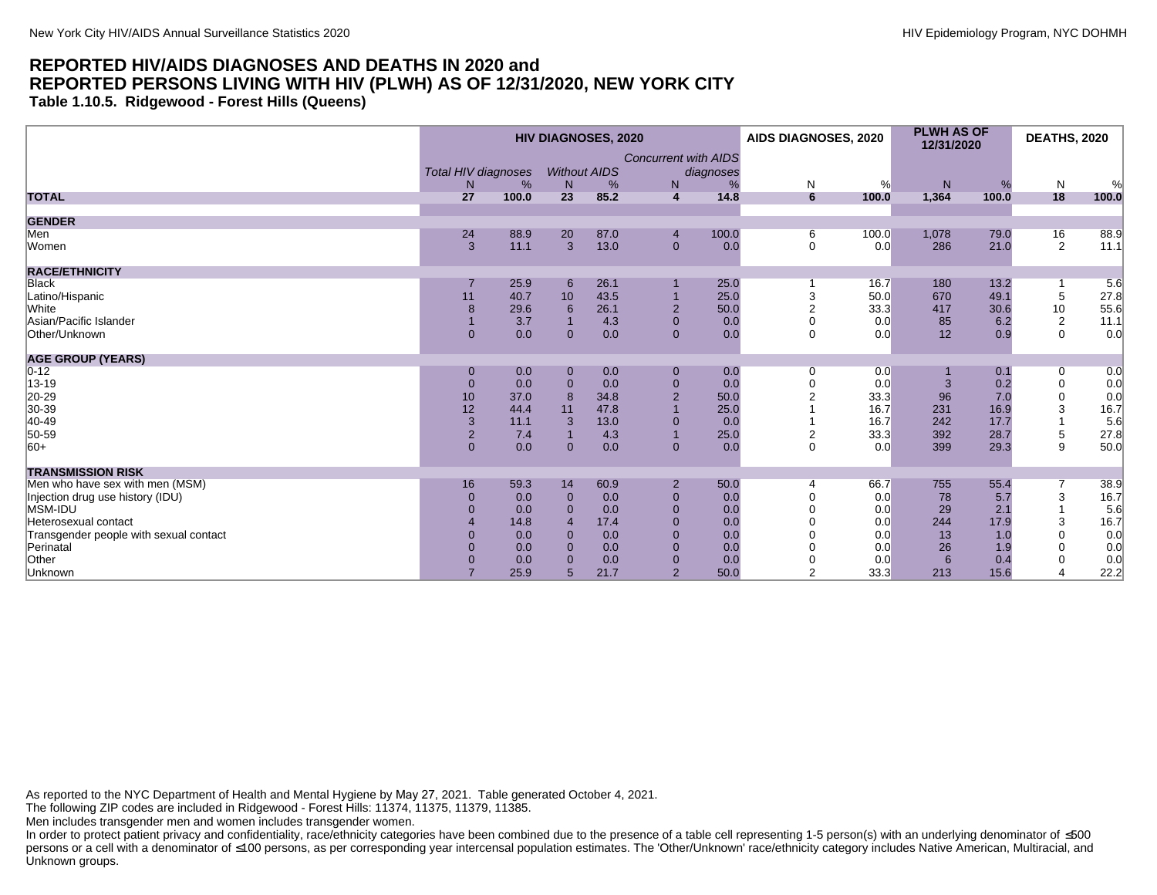**Table 1.10.5. Ridgewood - Forest Hills (Queens)**

|                                        |                            |            |                          | <b>HIV DIAGNOSES, 2020</b> |                             |           | AIDS DIAGNOSES, 2020 |            | <b>PLWH AS OF</b><br>12/31/2020 |            | <b>DEATHS, 2020</b> |            |
|----------------------------------------|----------------------------|------------|--------------------------|----------------------------|-----------------------------|-----------|----------------------|------------|---------------------------------|------------|---------------------|------------|
|                                        | <b>Total HIV diagnoses</b> |            |                          | <b>Without AIDS</b>        | <b>Concurrent with AIDS</b> | diagnoses |                      |            |                                 |            |                     |            |
| <b>TOTAL</b>                           | N.<br>27                   | %<br>100.0 | N<br>23                  | %<br>85.2                  | N<br>$\overline{4}$         | 14.8      | N<br>6               | %<br>100.0 | N<br>1,364                      | %<br>100.0 | N<br>18             | %<br>100.0 |
|                                        |                            |            |                          |                            |                             |           |                      |            |                                 |            |                     |            |
| <b>GENDER</b>                          |                            |            |                          |                            |                             |           |                      |            |                                 |            |                     |            |
| Men                                    | 24                         | 88.9       | 20                       | 87.0                       | $\overline{4}$              | 100.0     | 6                    | 100.0      | 1,078                           | 79.0       | 16                  | 88.9       |
| Women                                  | 3                          | 11.1       | $\overline{3}$           | 13.0                       | $\mathbf{0}$                | 0.0       | $\Omega$             | 0.0        | 286                             | 21.0       | 2                   | 11.1       |
| <b>RACE/ETHNICITY</b>                  |                            |            |                          |                            |                             |           |                      |            |                                 |            |                     |            |
| <b>Black</b>                           |                            | 25.9       | 6                        | 26.1                       |                             | 25.0      |                      | 16.7       | 180                             | 13.2       |                     | 5.6        |
| Latino/Hispanic                        | 11                         | 40.7       | 10                       | 43.5                       |                             | 25.0      |                      | 50.0       | 670                             | 49.1       | 5                   | 27.8       |
| White                                  | 8                          | 29.6       | 6                        | 26.1                       | $\overline{2}$              | 50.0      | $\overline{2}$       | 33.3       | 417                             | 30.6       | 10                  | 55.6       |
| Asian/Pacific Islander                 |                            | 3.7        |                          | 4.3                        | $\mathbf{0}$                | 0.0       |                      | 0.0        | 85                              | 6.2        | $\sqrt{2}$          | 11.1       |
| Other/Unknown                          | $\mathbf{0}$               | 0.0        | $\Omega$                 | 0.0                        | $\mathbf{0}$                | 0.0       | $\Omega$             | 0.0        | 12                              | 0.9        | $\mathbf 0$         | 0.0        |
| <b>AGE GROUP (YEARS)</b>               |                            |            |                          |                            |                             |           |                      |            |                                 |            |                     |            |
| $0 - 12$                               | $\mathbf 0$                | 0.0        | $\mathbf 0$              | 0.0                        | $\mathbf{0}$                | 0.0       | $\Omega$             | 0.0        |                                 | 0.1        | 0                   | 0.0        |
| 13-19                                  | $\mathbf 0$                | 0.0        | $\Omega$                 | 0.0                        | $\mathbf{0}$                | 0.0       |                      | 0.0        |                                 | 0.2        | $\mathbf 0$         | 0.0        |
| 20-29                                  | 10                         | 37.0       | $\mathbf{8}$             | 34.8                       | $\overline{2}$              | 50.0      |                      | 33.3       | 96                              | 7.0        | 0                   | 0.0        |
| 30-39                                  | 12                         | 44.4       | 11                       | 47.8                       |                             | 25.0      |                      | 16.7       | 231                             | 16.9       | 3                   | 16.7       |
| 40-49                                  | 3                          | 11.1       | 3                        | 13.0                       | $\mathbf 0$                 | 0.0       |                      | 16.7       | 242                             | 17.7       |                     | 5.6        |
| 50-59                                  | $\overline{2}$             | 7.4        |                          | 4.3                        |                             | 25.0      | $\overline{2}$       | 33.3       | 392                             | 28.7       | $\,$ 5 $\,$         | 27.8       |
| $ 60+$                                 | $\overline{0}$             | 0.0        | $\mathbf 0$              | 0.0                        | $\mathbf{0}$                | 0.0       | $\Omega$             | 0.0        | 399                             | 29.3       | 9                   | 50.0       |
| <b>TRANSMISSION RISK</b>               |                            |            |                          |                            |                             |           |                      |            |                                 |            |                     |            |
| Men who have sex with men (MSM)        | 16                         | 59.3       | 14                       | 60.9                       | $\overline{2}$              | 50.0      | $\overline{4}$       | 66.7       | 755                             | 55.4       | 7                   | 38.9       |
| Injection drug use history (IDU)       | $\mathbf 0$                | 0.0        | $\mathbf{0}$             | 0.0                        | $\mathbf{0}$                | 0.0       |                      | 0.0        | 78                              | 5.7        | 3                   | 16.7       |
| MSM-IDU                                |                            | 0.0        | $\Omega$                 | 0.0                        | $\mathbf{0}$                | 0.0       |                      | 0.0        | 29                              | 2.1        |                     | 5.6        |
| Heterosexual contact                   |                            | 14.8       | $\boldsymbol{\varDelta}$ | 17.4                       | $\Omega$                    | 0.0       |                      | 0.0        | 244                             | 17.9       | 3                   | 16.7       |
| Transgender people with sexual contact |                            | 0.0        | $\Omega$                 | 0.0                        | $\mathbf{0}$                | 0.0       |                      | 0.0        | 13                              | 1.0        | $\Omega$            | 0.0        |
| Perinatal                              |                            | 0.0        | $\Omega$                 | 0.0                        | $\mathbf{0}$                | 0.0       |                      | 0.0        | 26                              | 1.9        | $\Omega$            | 0.0        |
| Other                                  |                            | 0.0        | $\Omega$                 | 0.0                        | $\mathbf{0}$                | 0.0       |                      | 0.0        | 6                               | 0.4        | $\Omega$            | 0.0        |
| Unknown                                |                            | 25.9       | 5                        | 21.7                       | $\overline{2}$              | 50.0      | $\overline{2}$       | 33.3       | 213                             | 15.6       | $\overline{4}$      | 22.2       |

As reported to the NYC Department of Health and Mental Hygiene by May 27, 2021. Table generated October 4, 2021.

The following ZIP codes are included in Ridgewood - Forest Hills: 11374, 11375, 11379, 11385.

Men includes transgender men and women includes transgender women.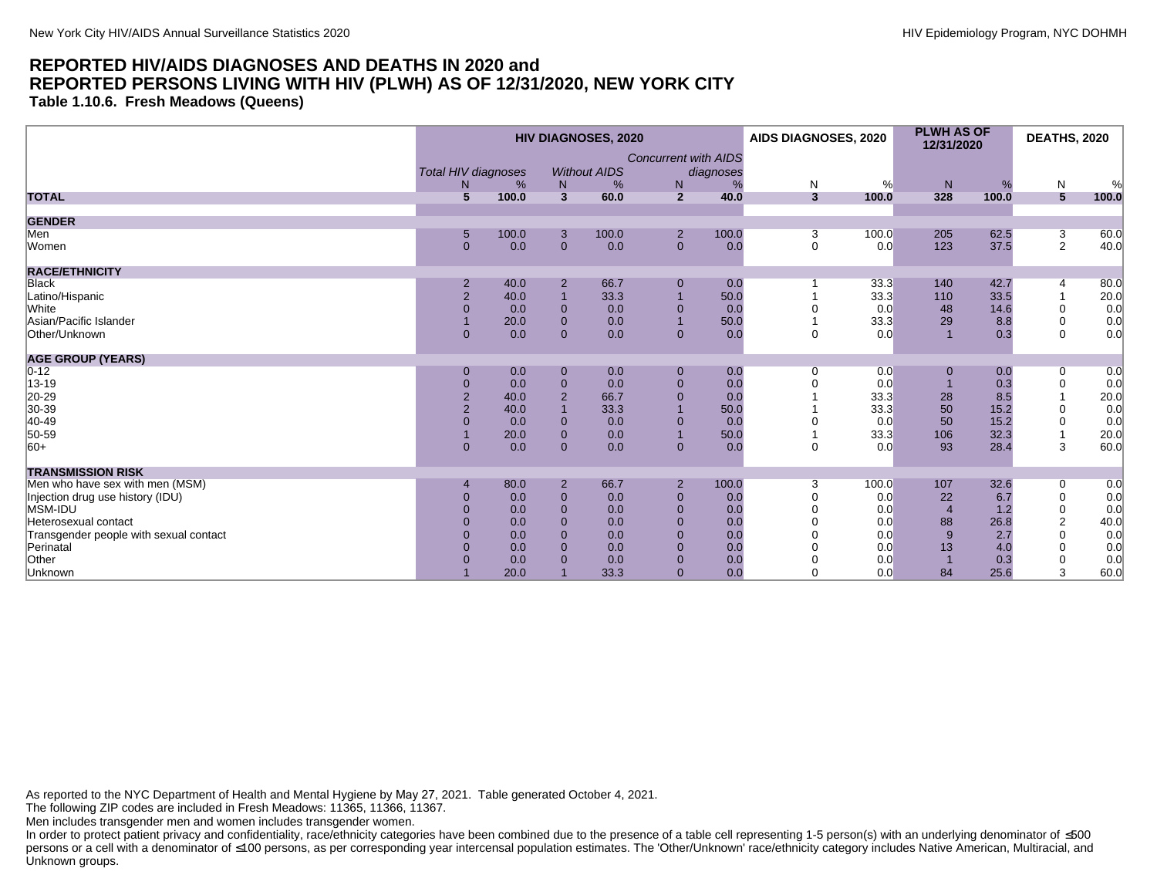**Table 1.10.6. Fresh Meadows (Queens)**

|                                        |                |                            |                              | <b>HIV DIAGNOSES, 2020</b> |                             |           | AIDS DIAGNOSES, 2020 |            | <b>PLWH AS OF</b><br>12/31/2020 |            | <b>DEATHS, 2020</b> |            |
|----------------------------------------|----------------|----------------------------|------------------------------|----------------------------|-----------------------------|-----------|----------------------|------------|---------------------------------|------------|---------------------|------------|
|                                        |                | <b>Total HIV diagnoses</b> |                              | <b>Without AIDS</b>        | <b>Concurrent with AIDS</b> | diagnoses |                      |            |                                 |            |                     |            |
| <b>TOTAL</b>                           | N.<br>5        | %<br>100.0                 | N<br>$\overline{\mathbf{3}}$ | %<br>60.0                  | N<br>$\overline{2}$         | %<br>40.0 | N<br>$\overline{3}$  | %<br>100.0 | N<br>328                        | %<br>100.0 | ${\sf N}$<br>5      | %<br>100.0 |
|                                        |                |                            |                              |                            |                             |           |                      |            |                                 |            |                     |            |
| <b>GENDER</b>                          |                |                            |                              |                            |                             |           |                      |            |                                 |            |                     |            |
| Men                                    | 5              | 100.0                      | 3                            | 100.0                      | $\overline{2}$              | 100.0     | 3                    | 100.0      | 205                             | 62.5       | 3                   | 60.0       |
| Women                                  | $\Omega$       | 0.0                        | $\mathbf{0}$                 | 0.0                        | $\mathbf{0}$                | 0.0       | $\mathbf 0$          | 0.0        | 123                             | 37.5       | $\overline{2}$      | 40.0       |
| <b>RACE/ETHNICITY</b>                  |                |                            |                              |                            |                             |           |                      |            |                                 |            |                     |            |
| <b>Black</b>                           | $\overline{2}$ | 40.0                       | $\overline{2}$               | 66.7                       | $\mathbf 0$                 | 0.0       |                      | 33.3       | 140                             | 42.7       | 4                   | 80.0       |
| Latino/Hispanic                        | $\overline{2}$ | 40.0                       | $\overline{1}$               | 33.3                       |                             | 50.0      |                      | 33.3       | 110                             | 33.5       |                     | 20.0       |
| White                                  | $\overline{0}$ | 0.0                        | $\mathbf 0$                  | 0.0                        | $\overline{0}$              | 0.0       |                      | 0.0        | 48                              | 14.6       | 0                   | 0.0        |
| Asian/Pacific Islander                 |                | 20.0                       | $\mathbf{0}$                 | 0.0                        | $\overline{1}$              | 50.0      |                      | 33.3       | 29                              | 8.8        | $\mathbf 0$         | 0.0        |
| Other/Unknown                          | $\Omega$       | 0.0                        | $\mathbf{0}$                 | 0.0                        | $\overline{0}$              | 0.0       | $\Omega$             | 0.0        |                                 | 0.3        | $\Omega$            | 0.0        |
| <b>AGE GROUP (YEARS)</b>               |                |                            |                              |                            |                             |           |                      |            |                                 |            |                     |            |
| $0 - 12$                               | $\Omega$       | 0.0                        | $\mathbf 0$                  | 0.0                        | $\boldsymbol{0}$            | 0.0       | 0                    | 0.0        | 0                               | 0.0        | 0                   | 0.0        |
| 13-19                                  | $\overline{0}$ | 0.0                        | $\mathbf 0$                  | 0.0                        | $\mathbf 0$                 | 0.0       |                      | 0.0        |                                 | 0.3        | $\mathbf 0$         | 0.0        |
| 20-29                                  | $\overline{2}$ | 40.0                       | $\overline{2}$               | 66.7                       | $\overline{0}$              | 0.0       |                      | 33.3       | 28                              | 8.5        |                     | 20.0       |
| 30-39                                  | $\overline{2}$ | 40.0                       | $\overline{1}$               | 33.3                       |                             | 50.0      |                      | 33.3       | 50                              | 15.2       | $\mathbf 0$         | 0.0        |
| 40-49                                  |                | 0.0                        | $\mathbf 0$                  | 0.0                        | $\mathbf 0$                 | 0.0       |                      | 0.0        | 50                              | 15.2       | 0                   | 0.0        |
| 50-59                                  |                | 20.0                       | $\mathbf 0$                  | 0.0                        |                             | 50.0      |                      | 33.3       | 106                             | 32.3       |                     | 20.0       |
| $ 60+$                                 | $\overline{0}$ | 0.0                        | $\overline{0}$               | 0.0                        | $\mathbf{0}$                | 0.0       | $\Omega$             | 0.0        | 93                              | 28.4       | 3                   | 60.0       |
| <b>TRANSMISSION RISK</b>               |                |                            |                              |                            |                             |           |                      |            |                                 |            |                     |            |
| Men who have sex with men (MSM)        |                | 80.0                       | $\overline{2}$               | 66.7                       | $\overline{2}$              | 100.0     | 3                    | 100.0      | 107                             | 32.6       | 0                   | 0.0        |
| Injection drug use history (IDU)       | $\Omega$       | 0.0                        | $\mathbf{0}$                 | 0.0                        | $\mathbf 0$                 | 0.0       |                      | 0.0        | 22                              | 6.7        | $\mathbf 0$         | 0.0        |
| MSM-IDU                                | $\Omega$       | 0.0                        | $\mathbf{0}$                 | 0.0                        | $\overline{0}$              | 0.0       |                      | 0.0        | $\overline{4}$                  | 1.2        | $\mathbf 0$         | 0.0        |
| Heterosexual contact                   | $\Omega$       | 0.0                        | $\mathbf{0}$                 | 0.0                        | $\overline{0}$              | 0.0       |                      | 0.0        | 88                              | 26.8       | $\overline{2}$      | 40.0       |
| Transgender people with sexual contact | $\Omega$       | 0.0                        | $\overline{0}$               | 0.0                        | $\mathbf 0$                 | 0.0       |                      | 0.0        | 9                               | 2.7        | $\Omega$            | 0.0        |
| Perinatal                              | $\Omega$       | 0.0                        | $\overline{0}$               | 0.0                        | $\mathbf{0}$                | 0.0       |                      | 0.0        | 13                              | 4.0        | $\Omega$            | 0.0        |
| Other                                  |                | 0.0                        | $\Omega$                     | 0.0                        | $\mathbf 0$                 | 0.0       |                      | 0.0        |                                 | 0.3        | $\Omega$            | 0.0        |
| Unknown                                |                | 20.0                       |                              | 33.3                       | $\overline{0}$              | 0.0       |                      | 0.0        | 84                              | 25.6       | 3                   | 60.0       |

As reported to the NYC Department of Health and Mental Hygiene by May 27, 2021. Table generated October 4, 2021.

The following ZIP codes are included in Fresh Meadows: 11365, 11366, 11367.

Men includes transgender men and women includes transgender women.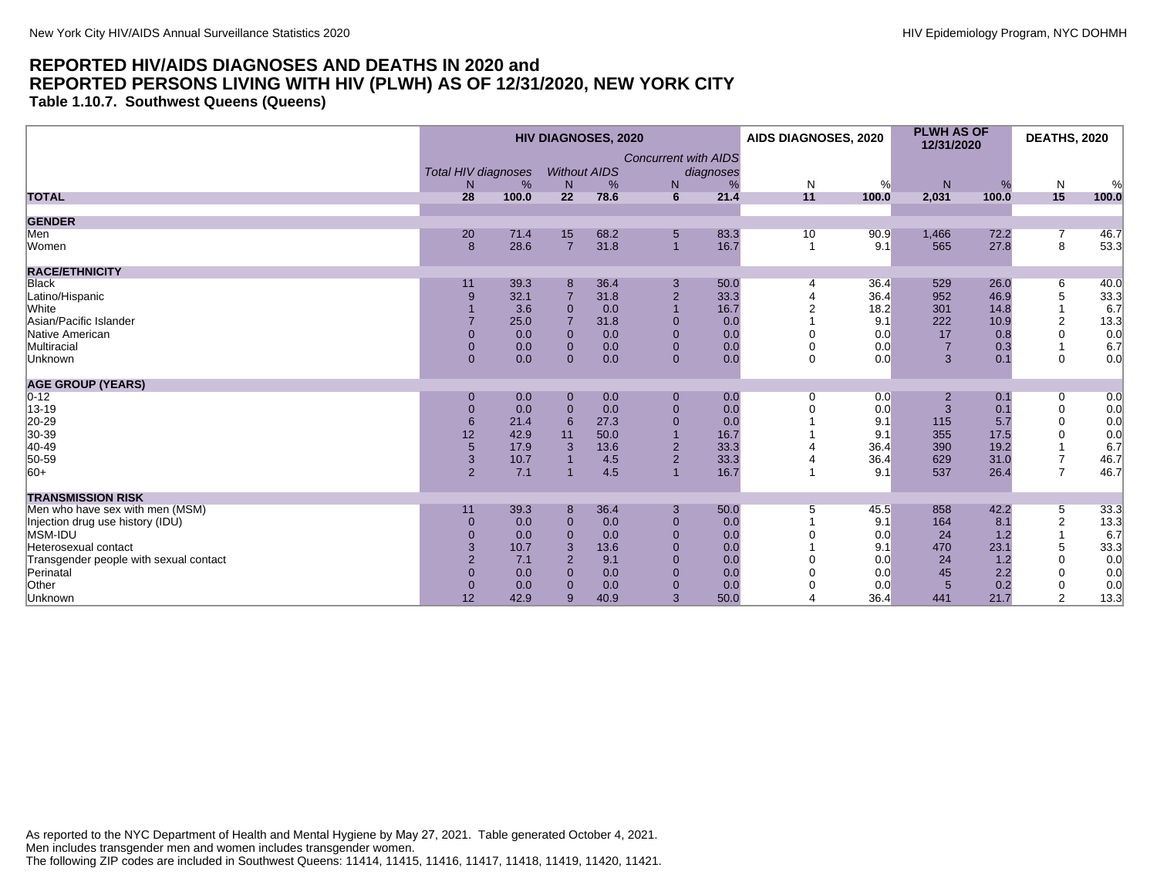**Table 1.10.7. Southwest Queens (Queens)**

|                                        |                            |       |                | <b>HIV DIAGNOSES, 2020</b> |                             |           | AIDS DIAGNOSES, 2020 |       | <b>PLWH AS OF</b><br>12/31/2020 |       | <b>DEATHS, 2020</b> |       |
|----------------------------------------|----------------------------|-------|----------------|----------------------------|-----------------------------|-----------|----------------------|-------|---------------------------------|-------|---------------------|-------|
|                                        |                            |       |                |                            | <b>Concurrent with AIDS</b> |           |                      |       |                                 |       |                     |       |
|                                        | <b>Total HIV diagnoses</b> |       |                | <b>Without AIDS</b>        |                             | diagnoses |                      |       |                                 |       |                     |       |
|                                        | N                          | %     | N              | %                          | N                           |           | $\mathsf{N}$         | %     | ${\sf N}$                       | %     | N                   | %     |
| <b>TOTAL</b>                           | 28                         | 100.0 | 22             | 78.6                       | 6                           | 21.4      | 11                   | 100.0 | 2,031                           | 100.0 | 15                  | 100.0 |
| <b>GENDER</b>                          |                            |       |                |                            |                             |           |                      |       |                                 |       |                     |       |
| Men                                    | 20                         | 71.4  | 15             | 68.2                       | $\sqrt{5}$                  | 83.3      | 10                   | 90.9  | 1,466                           | 72.2  | $\overline{7}$      | 46.7  |
| Women                                  | 8                          | 28.6  | $\overline{7}$ | 31.8                       | $\overline{1}$              | 16.7      | $\overline{1}$       | 9.1   | 565                             | 27.8  | 8                   | 53.3  |
| <b>RACE/ETHNICITY</b>                  |                            |       |                |                            |                             |           |                      |       |                                 |       |                     |       |
| <b>Black</b>                           | 11                         | 39.3  | 8              | 36.4                       | 3                           | 50.0      | 4                    | 36.4  | 529                             | 26.0  | 6                   | 40.0  |
| Latino/Hispanic                        | 9                          | 32.1  |                | 31.8                       | $\overline{2}$              | 33.3      |                      | 36.4  | 952                             | 46.9  | 5                   | 33.3  |
| White                                  |                            | 3.6   | $\Omega$       | 0.0                        |                             | 16.7      |                      | 18.2  | 301                             | 14.8  |                     | 6.7   |
| Asian/Pacific Islander                 |                            | 25.0  |                | 31.8                       | $\Omega$                    | 0.0       |                      | 9.1   | 222                             | 10.9  | 2                   | 13.3  |
| Native American                        | $\mathbf{0}$               | 0.0   | $\Omega$       | 0.0                        | $\mathbf{0}$                | 0.0       |                      | 0.0   | 17                              | 0.8   | $\mathbf 0$         | 0.0   |
| Multiracial                            | $\mathbf{0}$               | 0.0   | $\mathbf{0}$   | 0.0                        | $\mathbf{0}$                | 0.0       |                      | 0.0   | $\overline{7}$                  | 0.3   |                     | 6.7   |
| Unknown                                | $\overline{0}$             | 0.0   | $\Omega$       | 0.0                        | $\mathbf{0}$                | 0.0       | $\mathbf 0$          | 0.0   | $\mathbf{3}$                    | 0.1   | $\mathbf 0$         | 0.0   |
| <b>AGE GROUP (YEARS)</b>               |                            |       |                |                            |                             |           |                      |       |                                 |       |                     |       |
| $0 - 12$                               | $\mathbf{0}$               | 0.0   | $\mathbf 0$    | 0.0                        | $\boldsymbol{0}$            | 0.0       | $\Omega$             | 0.0   |                                 | 0.1   | 0                   | 0.0   |
| 13-19                                  | $\mathbf{0}$               | 0.0   | $\mathbf 0$    | 0.0                        | $\mathbf{0}$                | 0.0       |                      | 0.0   | 3                               | 0.1   | 0                   | 0.0   |
| 20-29<br>30-39                         | 6                          | 21.4  | 6              | 27.3                       | $\overline{0}$              | 0.0       |                      | 9.1   | 115                             | 5.7   | $\mathbf 0$         | 0.0   |
|                                        | 12                         | 42.9  | 11             | 50.0                       |                             | 16.7      |                      | 9.1   | 355                             | 17.5  | $\Omega$            | 0.0   |
| 40-49                                  | 5                          | 17.9  | 3              | 13.6                       | $\overline{2}$              | 33.3      |                      | 36.4  | 390                             | 19.2  |                     | 6.7   |
| 50-59                                  | $\overline{3}$             | 10.7  |                | 4.5                        | 2                           | 33.3      |                      | 36.4  | 629                             | 31.0  | $\overline{7}$      | 46.7  |
| $ 60+$                                 | 2                          | 7.1   |                | 4.5                        |                             | 16.7      |                      | 9.1   | 537                             | 26.4  | $\overline{7}$      | 46.7  |
| <b>TRANSMISSION RISK</b>               |                            |       |                |                            |                             |           |                      |       |                                 |       |                     |       |
| Men who have sex with men (MSM)        | 11                         | 39.3  | 8              | 36.4                       | 3                           | 50.0      | 5                    | 45.5  | 858                             | 42.2  | 5                   | 33.3  |
| Injection drug use history (IDU)       | $\mathbf{0}$               | 0.0   | $\mathbf{0}$   | 0.0                        | $\mathbf{0}$                | 0.0       |                      | 9.1   | 164                             | 8.1   | $\overline{c}$      | 13.3  |
| MSM-IDU                                | $\Omega$                   | 0.0   | $\Omega$       | 0.0                        | $\Omega$                    | 0.0       |                      | 0.0   | 24                              | 1.2   |                     | 6.7   |
| Heterosexual contact                   | 3                          | 10.7  | 3              | 13.6                       | $\Omega$                    | 0.0       |                      | 9.1   | 470                             | 23.1  | 5                   | 33.3  |
| Transgender people with sexual contact | $\overline{2}$             | 7.1   | $\overline{2}$ | 9.1                        | $\mathbf{0}$                | 0.0       |                      | 0.0   | 24                              | 1.2   | $\Omega$            | 0.0   |
| Perinatal                              | $\Omega$                   | 0.0   | $\Omega$       | 0.0                        | $\Omega$                    | 0.0       |                      | 0.0   | 45                              | 2.2   | $\Omega$            | 0.0   |
| Other                                  | $\mathbf{0}$               | 0.0   | $\Omega$       | 0.0                        | $\mathbf{0}$                | 0.0       |                      | 0.0   | $5\phantom{1}$                  | 0.2   | 0                   | 0.0   |
| Unknown                                | 12                         | 42.9  | 9              | 40.9                       | 3                           | 50.0      |                      | 36.4  | 441                             | 21.7  | $\overline{2}$      | 13.3  |

As reported to the NYC Department of Health and Mental Hygiene by May 27, 2021. Table generated October 4, 2021. Men includes transgender men and women includes transgender women. The following ZIP codes are included in Southwest Queens: 11414, 11415, 11416, 11417, 11418, 11419, 11420, 11421.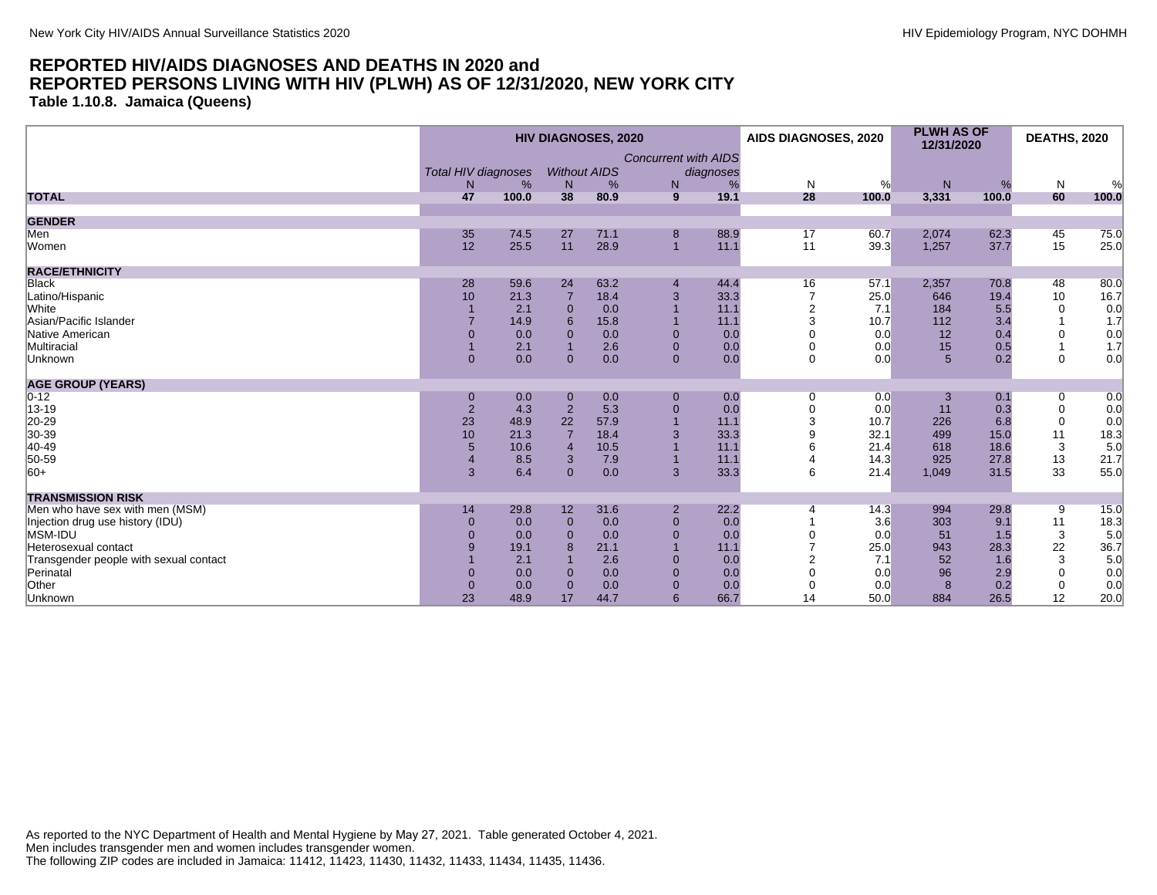**Table 1.10.8. Jamaica (Queens)**

|                                        |                            |       |                | <b>HIV DIAGNOSES, 2020</b> |                             |           | AIDS DIAGNOSES, 2020 |       | <b>PLWH AS OF</b><br>12/31/2020 |       | <b>DEATHS, 2020</b> |       |
|----------------------------------------|----------------------------|-------|----------------|----------------------------|-----------------------------|-----------|----------------------|-------|---------------------------------|-------|---------------------|-------|
|                                        |                            |       |                |                            | <b>Concurrent with AIDS</b> |           |                      |       |                                 |       |                     |       |
|                                        | <b>Total HIV diagnoses</b> |       |                | <b>Without AIDS</b>        |                             | diagnoses |                      |       |                                 |       |                     |       |
|                                        | N                          | %     | N              | %                          | N                           |           | $\mathsf{N}$         | %     | ${\sf N}$                       | %     | N                   | %     |
| <b>TOTAL</b>                           | 47                         | 100.0 | 38             | 80.9                       | 9                           | 19.1      | 28                   | 100.0 | 3,331                           | 100.0 | 60                  | 100.0 |
| <b>GENDER</b>                          |                            |       |                |                            |                             |           |                      |       |                                 |       |                     |       |
| Men                                    | 35                         | 74.5  | 27             | 71.1                       | 8                           | 88.9      | 17                   | 60.7  | 2,074                           | 62.3  | 45                  | 75.0  |
| Women                                  | 12                         | 25.5  | 11             | 28.9                       | $\overline{1}$              | 11.1      | 11                   | 39.3  | 1,257                           | 37.7  | 15                  | 25.0  |
| <b>RACE/ETHNICITY</b>                  |                            |       |                |                            |                             |           |                      |       |                                 |       |                     |       |
| <b>Black</b>                           | 28                         | 59.6  | 24             | 63.2                       | $\overline{4}$              | 44.4      | 16                   | 57.1  | 2,357                           | 70.8  | 48                  | 80.0  |
| Latino/Hispanic                        | 10                         | 21.3  | $\overline{7}$ | 18.4                       | 3                           | 33.3      |                      | 25.0  | 646                             | 19.4  | 10                  | 16.7  |
| White                                  |                            | 2.1   | $\Omega$       | 0.0                        |                             | 11.1      | $\overline{2}$       | 7.1   | 184                             | 5.5   | $\Omega$            | 0.0   |
| Asian/Pacific Islander                 |                            | 14.9  | 6              | 15.8                       |                             | 11.1      | 3                    | 10.7  | 112                             | 3.4   |                     | 1.7   |
| Native American                        | $\mathbf{0}$               | 0.0   | $\mathbf{0}$   | 0.0                        | $\mathbf 0$                 | 0.0       |                      | 0.0   | 12                              | 0.4   | $\mathbf 0$         | 0.0   |
| Multiracial                            |                            | 2.1   |                | 2.6                        | $\mathbf{0}$                | 0.0       |                      | 0.0   | 15                              | 0.5   |                     | 1.7   |
| Unknown                                | $\overline{0}$             | 0.0   | $\Omega$       | 0.0                        | $\mathbf{0}$                | 0.0       | $\mathbf 0$          | 0.0   | 5                               | 0.2   | $\mathbf 0$         | 0.0   |
| <b>AGE GROUP (YEARS)</b>               |                            |       |                |                            |                             |           |                      |       |                                 |       |                     |       |
| $0 - 12$                               | $\mathbf{0}$               | 0.0   | $\mathbf 0$    | 0.0                        | $\boldsymbol{0}$            | 0.0       | 0                    | 0.0   |                                 | 0.1   | 0                   | 0.0   |
| 13-19                                  | $\overline{2}$             | 4.3   | $\overline{2}$ | 5.3                        | $\mathbf{0}$                | 0.0       | $\mathbf 0$          | 0.0   | 11                              | 0.3   | $\mathbf 0$         | 0.0   |
| 20-29<br>30-39                         | 23                         | 48.9  | 22             | 57.9                       |                             | 11.1      | 3                    | 10.7  | 226                             | 6.8   | $\mathbf 0$         | 0.0   |
|                                        | 10                         | 21.3  | $\overline{7}$ | 18.4                       |                             | 33.3      |                      | 32.1  | 499                             | 15.0  | 11                  | 18.3  |
| 40-49                                  | 5                          | 10.6  |                | 10.5                       |                             | 11.1      |                      | 21.4  | 618                             | 18.6  | 3                   | 5.0   |
| 50-59                                  |                            | 8.5   | 3              | 7.9                        |                             | 11.1      |                      | 14.3  | 925                             | 27.8  | 13                  | 21.7  |
| $ 60+$                                 | 3                          | 6.4   | $\Omega$       | 0.0                        | 3                           | 33.3      | 6                    | 21.4  | 1,049                           | 31.5  | 33                  | 55.0  |
| <b>TRANSMISSION RISK</b>               |                            |       |                |                            |                             |           |                      |       |                                 |       |                     |       |
| Men who have sex with men (MSM)        | 14                         | 29.8  | 12             | 31.6                       | $\overline{2}$              | 22.2      |                      | 14.3  | 994                             | 29.8  | 9                   | 15.0  |
| Injection drug use history (IDU)       | $\mathbf{0}$               | 0.0   | $\overline{0}$ | 0.0                        | $\mathbf{0}$                | 0.0       |                      | 3.6   | 303                             | 9.1   | 11                  | 18.3  |
| MSM-IDU                                | $\Omega$                   | 0.0   | $\Omega$       | 0.0                        | $\Omega$                    | 0.0       |                      | 0.0   | 51                              | 1.5   | 3                   | 5.0   |
| Heterosexual contact                   |                            | 19.1  | $\mathbf{8}$   | 21.1                       |                             | 11.1      |                      | 25.0  | 943                             | 28.3  | 22                  | 36.7  |
| Transgender people with sexual contact |                            | 2.1   |                | 2.6                        | $\Omega$                    | 0.0       |                      | 7.1   | 52                              | 1.6   | 3                   | 5.0   |
| Perinatal                              | $\Omega$                   | 0.0   | $\Omega$       | 0.0                        | $\Omega$                    | 0.0       |                      | 0.0   | 96                              | 2.9   | $\Omega$            | 0.0   |
| Other                                  | $\mathbf 0$                | 0.0   | $\Omega$       | 0.0                        | $\mathbf{0}$                | 0.0       |                      | 0.0   | 8                               | 0.2   | $\mathbf 0$         | 0.0   |
| Unknown                                | 23                         | 48.9  | 17             | 44.7                       | 6                           | 66.7      | 14                   | 50.0  | 884                             | 26.5  | 12                  | 20.0  |
|                                        |                            |       |                |                            |                             |           |                      |       |                                 |       |                     |       |

As reported to the NYC Department of Health and Mental Hygiene by May 27, 2021. Table generated October 4, 2021. Men includes transgender men and women includes transgender women. The following ZIP codes are included in Jamaica: 11412, 11423, 11430, 11432, 11433, 11434, 11435, 11436.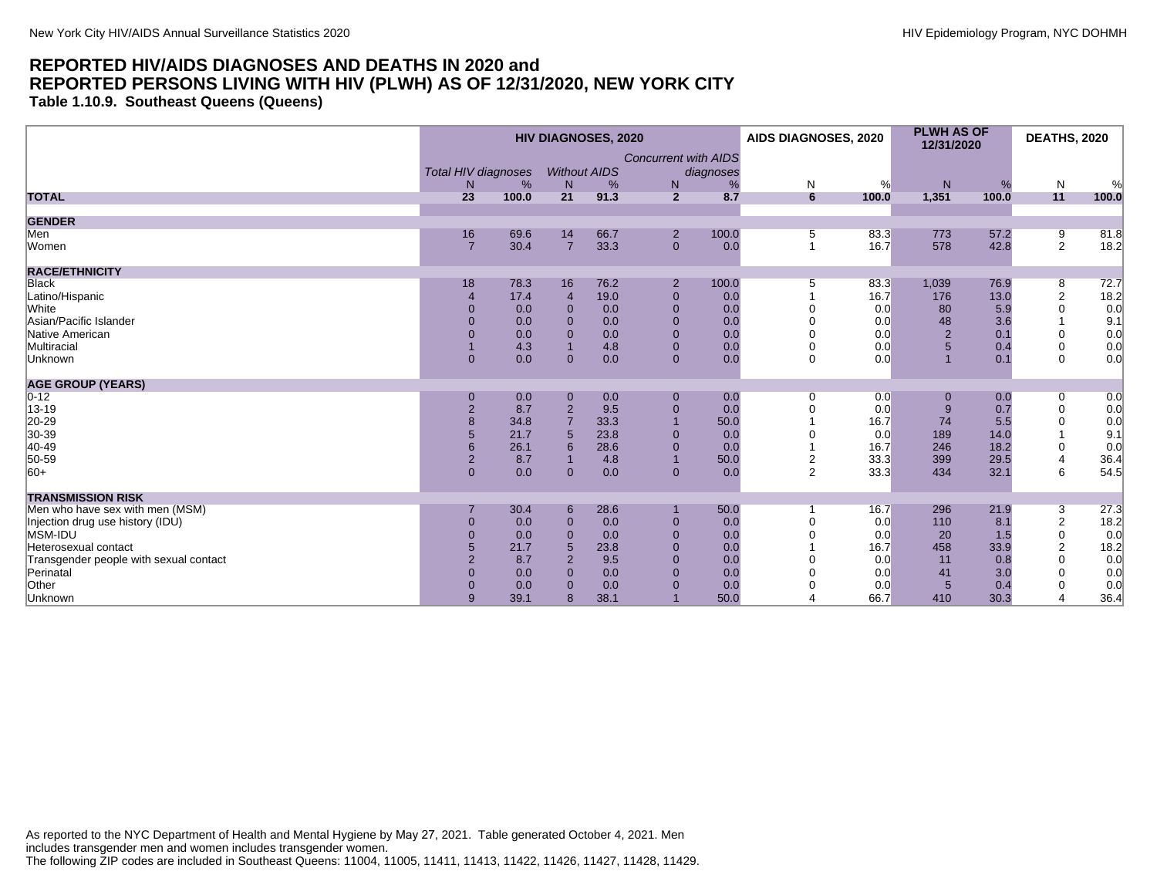**Table 1.10.9. Southeast Queens (Queens)**

|                                        | <b>HIV DIAGNOSES, 2020</b> |       |                |                     |                             | AIDS DIAGNOSES, 2020 |                | <b>PLWH AS OF</b><br>12/31/2020 |                | <b>DEATHS, 2020</b> |                |       |
|----------------------------------------|----------------------------|-------|----------------|---------------------|-----------------------------|----------------------|----------------|---------------------------------|----------------|---------------------|----------------|-------|
|                                        |                            |       |                |                     | <b>Concurrent with AIDS</b> |                      |                |                                 |                |                     |                |       |
|                                        | Total HIV diagnoses        |       |                | <b>Without AIDS</b> |                             | diagnoses            |                |                                 |                |                     |                |       |
|                                        | N                          | %     | N              | %                   | N                           | %                    | ${\sf N}$      | %                               | ${\sf N}$      | %                   | $\mathsf{N}$   | %     |
| <b>TOTAL</b>                           | 23                         | 100.0 | 21             | 91.3                | $\overline{2}$              | 8.7                  | 6              | 100.0                           | 1,351          | 100.0               | 11             | 100.0 |
| <b>GENDER</b>                          |                            |       |                |                     |                             |                      |                |                                 |                |                     |                |       |
| Men                                    | 16                         | 69.6  | 14             | 66.7                | $\overline{2}$              | 100.0                | 5              | 83.3                            | 773            | 57.2                | 9              | 81.8  |
| Women                                  | $\overline{7}$             | 30.4  | $\overline{7}$ | 33.3                | $\mathbf{0}$                | 0.0                  | $\mathbf{1}$   | 16.7                            | 578            | 42.8                | 2              | 18.2  |
| <b>RACE/ETHNICITY</b>                  |                            |       |                |                     |                             |                      |                |                                 |                |                     |                |       |
| <b>Black</b>                           | 18                         | 78.3  | 16             | 76.2                | $\overline{2}$              | 100.0                | 5              | 83.3                            | 1,039          | 76.9                | 8              | 72.7  |
| Latino/Hispanic                        |                            | 17.4  | $\overline{4}$ | 19.0                | $\mathbf{0}$                | 0.0                  |                | 16.7                            | 176            | 13.0                | $\sqrt{2}$     | 18.2  |
| White                                  |                            | 0.0   | $\Omega$       | 0.0                 | $\Omega$                    | 0.0                  |                | 0.0                             | 80             | 5.9                 | $\mathbf 0$    | 0.0   |
| Asian/Pacific Islander                 |                            | 0.0   | $\Omega$       | 0.0                 | $\Omega$                    | 0.0                  |                | 0.0                             | 48             | 3.6                 |                | 9.1   |
| Native American                        | 0                          | 0.0   | $\Omega$       | 0.0                 | $\mathbf{0}$                | 0.0                  |                | 0.0                             | $\overline{2}$ | 0.1                 | $\mathbf 0$    | 0.0   |
| Multiracial                            |                            | 4.3   |                | 4.8                 | $\mathbf{0}$                | 0.0                  |                | 0.0                             | 5              | 0.4                 | $\mathbf 0$    | 0.0   |
| Unknown                                | $\mathbf{0}$               | 0.0   | $\Omega$       | 0.0                 | $\overline{0}$              | 0.0                  | $\Omega$       | 0.0                             |                | 0.1                 | $\Omega$       | 0.0   |
| <b>AGE GROUP (YEARS)</b>               |                            |       |                |                     |                             |                      |                |                                 |                |                     |                |       |
| $ 0-12 $                               | $\mathbf 0$                | 0.0   | $\mathbf 0$    | 0.0                 | $\mathbf{0}$                | 0.0                  | 0              | 0.0                             |                | 0.0                 | 0              | 0.0   |
| 13-19                                  | $\overline{2}$             | 8.7   | $\overline{2}$ | 9.5                 | $\overline{0}$              | 0.0                  | $\Omega$       | 0.0                             | 9              | 0.7                 | $\mathbf 0$    | 0.0   |
| 20-29                                  |                            | 34.8  |                | 33.3                |                             | 50.0                 |                | 16.7                            | 74             | 5.5                 | 0              | 0.0   |
| 30-39                                  | 5                          | 21.7  |                | 23.8                | $\Omega$                    | 0.0                  |                | 0.0                             | 189            | 14.0                |                | 9.1   |
| 40-49                                  |                            | 26.1  | 6              | 28.6                | $\mathbf 0$                 | 0.0                  |                | 16.7                            | 246            | 18.2                | 0              | 0.0   |
| 50-59                                  | $\overline{2}$             | 8.7   |                | 4.8                 | $\overline{1}$              | 50.0                 | $\overline{2}$ | 33.3                            | 399            | 29.5                | 4              | 36.4  |
| $ 60+$                                 | $\overline{0}$             | 0.0   | $\mathbf{0}$   | 0.0                 | $\mathbf{0}$                | 0.0                  | $\overline{2}$ | 33.3                            | 434            | 32.1                | 6              | 54.5  |
| <b>TRANSMISSION RISK</b>               |                            |       |                |                     |                             |                      |                |                                 |                |                     |                |       |
| Men who have sex with men (MSM)        |                            | 30.4  | 6              | 28.6                |                             | 50.0                 |                | 16.7                            | 296            | 21.9                | 3              | 27.3  |
| Injection drug use history (IDU)       | $\Omega$                   | 0.0   | $\Omega$       | 0.0                 | $\mathbf{0}$                | 0.0                  | $\Omega$       | 0.0                             | 110            | 8.1                 | $\overline{2}$ | 18.2  |
| MSM-IDU                                | $\Omega$                   | 0.0   | $\Omega$       | 0.0                 | $\Omega$                    | 0.0                  |                | 0.0                             | 20             | 1.5                 | 0              | 0.0   |
| Heterosexual contact                   | 5                          | 21.7  | 5              | 23.8                | $\Omega$                    | 0.0                  |                | 16.7                            | 458            | 33.9                | $\overline{2}$ | 18.2  |
| Transgender people with sexual contact | $\mathfrak{p}$             | 8.7   | $\overline{2}$ | 9.5                 | $\Omega$                    | 0.0                  |                | 0.0                             | 11             | 0.8                 | $\mathbf 0$    | 0.0   |
| Perinatal                              | $\Omega$                   | 0.0   | $\Omega$       | 0.0                 | $\Omega$                    | 0.0                  |                | 0.0                             | 41             | 3.0                 | $\Omega$       | 0.0   |
| Other                                  | $\Omega$                   | 0.0   | $\Omega$       | 0.0                 | $\Omega$                    | 0.0                  |                | 0.0                             | $5\phantom{1}$ | 0.4                 | 0              | 0.0   |
| Unknown                                | 9                          | 39.1  | 8              | 38.1                |                             | 50.0                 |                | 66.7                            | 410            | 30.3                | 4              | 36.4  |

As reported to the NYC Department of Health and Mental Hygiene by May 27, 2021. Table generated October 4, 2021. Men includes transgender men and women includes transgender women. The following ZIP codes are included in Southeast Queens: 11004, 11005, 11411, 11413, 11422, 11426, 11427, 11428, 11429.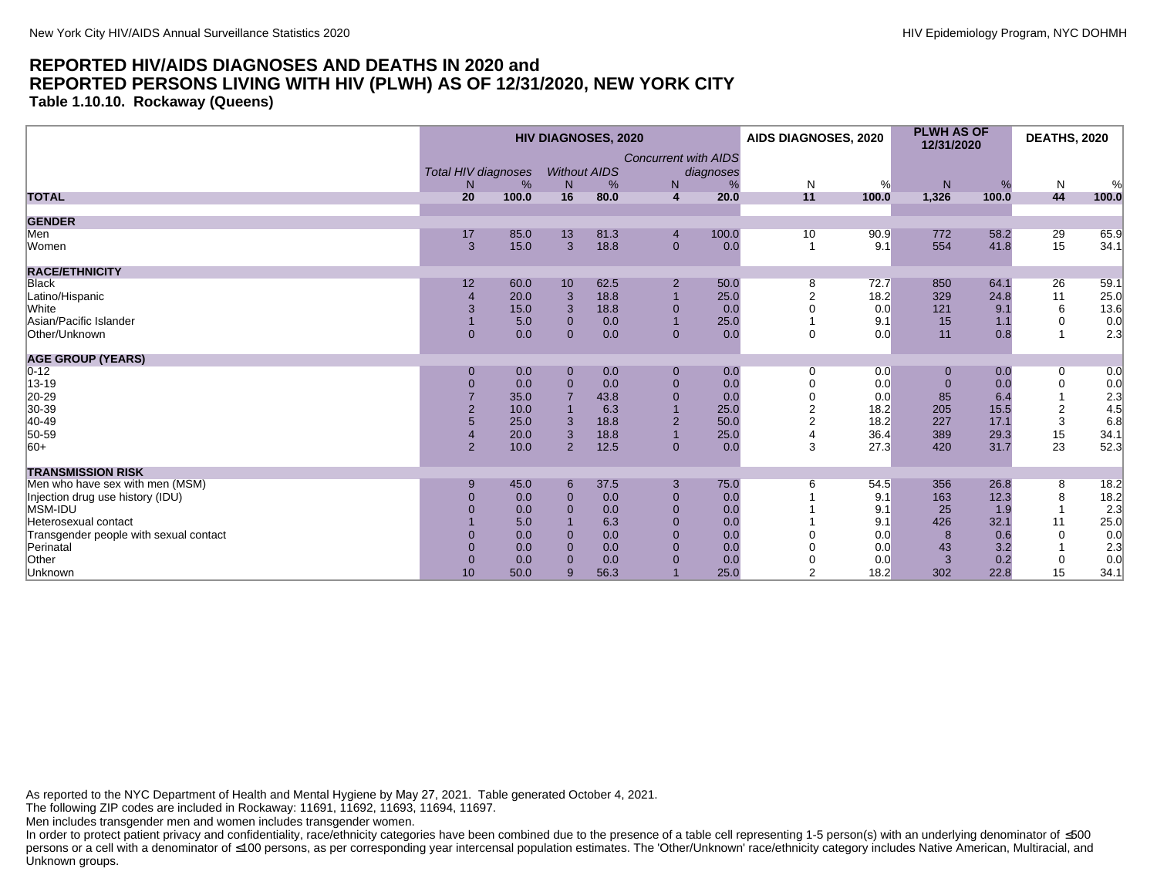**Table 1.10.10. Rockaway (Queens)**

|                                             | <b>HIV DIAGNOSES, 2020</b> |            |              |                     |                             |           | AIDS DIAGNOSES, 2020 |            | <b>PLWH AS OF</b><br>12/31/2020 |            | <b>DEATHS, 2020</b> |               |
|---------------------------------------------|----------------------------|------------|--------------|---------------------|-----------------------------|-----------|----------------------|------------|---------------------------------|------------|---------------------|---------------|
|                                             | Total HIV diagnoses        |            |              | <b>Without AIDS</b> | <b>Concurrent with AIDS</b> | diagnoses |                      |            |                                 |            |                     |               |
| <b>TOTAL</b>                                | N.<br>20                   | %<br>100.0 | N<br>16      | %<br>80.0           | N<br>4                      | 20.0      | N<br>11              | %<br>100.0 | N<br>1,326                      | %<br>100.0 | N<br>44             | $\%$<br>100.0 |
|                                             |                            |            |              |                     |                             |           |                      |            |                                 |            |                     |               |
| <b>GENDER</b>                               |                            |            |              |                     |                             |           |                      |            |                                 |            |                     |               |
| Men                                         | 17                         | 85.0       | 13           | 81.3                | $\overline{4}$              | 100.0     | 10                   | 90.9       | 772                             | 58.2       | 29                  | 65.9          |
| Women                                       | 3                          | 15.0       | 3            | 18.8                | $\mathbf{0}$                | 0.0       | -1                   | 9.1        | 554                             | 41.8       | 15                  | 34.1          |
| <b>RACE/ETHNICITY</b>                       |                            |            |              |                     |                             |           |                      |            |                                 |            |                     |               |
| <b>Black</b>                                | 12                         | 60.0       | 10           | 62.5                | $\overline{2}$              | 50.0      | 8                    | 72.7       | 850                             | 64.1       | 26                  | 59.1          |
| Latino/Hispanic                             |                            | 20.0       | 3            | 18.8                |                             | 25.0      |                      | 18.2       | 329                             | 24.8       | 11                  | 25.0          |
| White                                       | 3                          | 15.0       | 3            | 18.8                | $\mathbf 0$                 | 0.0       |                      | 0.0        | 121                             | 9.1        | 6                   | 13.6          |
| Asian/Pacific Islander                      |                            | 5.0        | $\mathbf{0}$ | 0.0                 |                             | 25.0      |                      | 9.1        | 15                              | 1.1        | $\mathbf 0$         | 0.0           |
| Other/Unknown                               | $\mathbf{0}$               | 0.0        | $\Omega$     | 0.0                 | $\mathbf 0$                 | 0.0       | $\Omega$             | 0.0        | 11                              | 0.8        | $\overline{1}$      | 2.3           |
| <b>AGE GROUP (YEARS)</b>                    |                            |            |              |                     |                             |           |                      |            |                                 |            |                     |               |
| $0 - 12$                                    | $\mathbf{0}$               | 0.0        | $\mathbf{0}$ | 0.0                 | $\mathbf 0$                 | 0.0       | $\Omega$             | 0.0        | $\overline{0}$                  | 0.0        | 0                   | 0.0           |
| 13-19                                       | $\overline{0}$             | 0.0        | $\Omega$     | 0.0                 | $\mathbf{0}$                | 0.0       |                      | 0.0        | $\Omega$                        | 0.0        | $\mathbf 0$         | 0.0           |
| 20-29                                       |                            | 35.0       |              | 43.8                | $\mathbf{0}$                | 0.0       |                      | 0.0        | 85                              | 6.4        |                     | 2.3           |
| 30-39                                       |                            | 10.0       |              | 6.3                 |                             | 25.0      |                      | 18.2       | 205                             | 15.5       | $\overline{2}$      | 4.5           |
| 40-49                                       |                            | 25.0       | 3            | 18.8                | $\overline{2}$              | 50.0      |                      | 18.2       | 227                             | 17.1       | 3                   | 6.8           |
| 50-59                                       |                            | 20.0       | 3            | 18.8                |                             | 25.0      |                      | 36.4       | 389                             | 29.3       | 15                  | 34.1          |
| $ 60+$                                      | $\overline{2}$             | 10.0       | 2            | 12.5                | $\mathbf{0}$                | 0.0       | 3                    | 27.3       | 420                             | 31.7       | 23                  | 52.3          |
| <b>TRANSMISSION RISK</b>                    |                            |            |              |                     |                             |           |                      |            |                                 |            |                     |               |
| Men who have sex with men (MSM)             | 9                          | 45.0       | 6            | 37.5                | 3                           | 75.0      | 6                    | 54.5       | 356                             | 26.8       | 8                   | 18.2          |
| Injection drug use history (IDU)<br>MSM-IDU | 0                          | 0.0        | $\mathbf{0}$ | 0.0                 | $\mathbf 0$                 | 0.0       |                      | 9.1        | 163                             | 12.3       | 8                   | 18.2          |
|                                             |                            | 0.0        | $\Omega$     | 0.0                 | $\mathbf{0}$                | 0.0       |                      | 9.1        | 25                              | 1.9        |                     | 2.3           |
| Heterosexual contact                        |                            | 5.0        |              | 6.3                 | $\mathbf{0}$                | 0.0       |                      | 9.1        | 426                             | 32.1       | 11                  | 25.0          |
| Transgender people with sexual contact      |                            | 0.0        | $\Omega$     | 0.0                 | $\Omega$                    | 0.0       |                      | 0.0        | 8                               | 0.6        | $\Omega$            | 0.0           |
| Perinatal                                   |                            | 0.0        | $\Omega$     | 0.0                 | $\Omega$                    | 0.0       |                      | 0.0        | 43                              | 3.2        |                     | 2.3           |
| Other                                       | $\mathbf{0}$               | 0.0        | $\Omega$     | 0.0                 | $\Omega$                    | 0.0       |                      | 0.0        | 3                               | 0.2        | 0                   | 0.0           |
| Unknown                                     | 10                         | 50.0       | 9            | 56.3                |                             | 25.0      | $\mathcal{P}$        | 18.2       | 302                             | 22.8       | 15                  | 34.1          |

As reported to the NYC Department of Health and Mental Hygiene by May 27, 2021. Table generated October 4, 2021.

The following ZIP codes are included in Rockaway: 11691, 11692, 11693, 11694, 11697.

Men includes transgender men and women includes transgender women.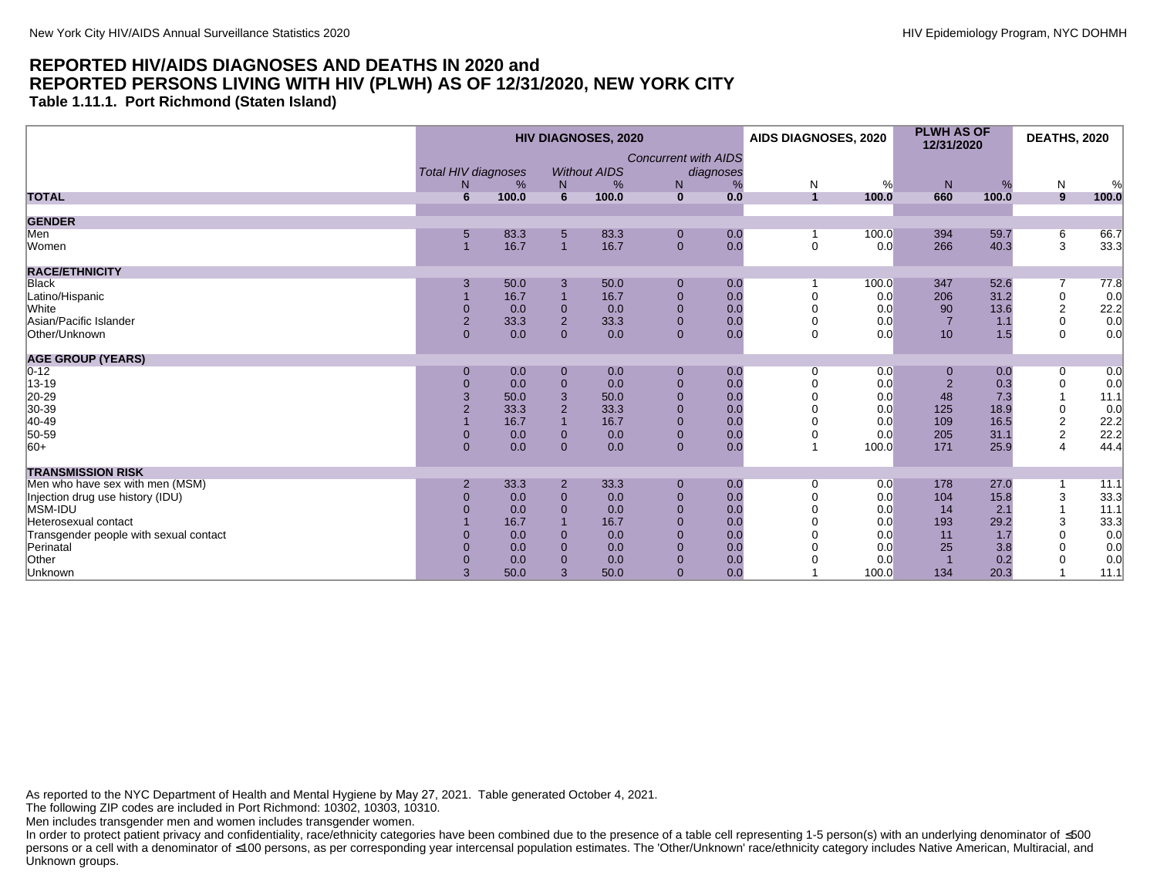**Table 1.11.1. Port Richmond (Staten Island)**

|                                        |                                  | <b>HIV DIAGNOSES, 2020</b> |                  |                          |                |     |                             | AIDS DIAGNOSES, 2020 | <b>PLWH AS OF</b><br>12/31/2020 |       | <b>DEATHS, 2020</b> |       |   |   |  |   |   |   |
|----------------------------------------|----------------------------------|----------------------------|------------------|--------------------------|----------------|-----|-----------------------------|----------------------|---------------------------------|-------|---------------------|-------|---|---|--|---|---|---|
|                                        | <b>Total HIV diagnoses</b><br>N. | %                          | N <sub>1</sub>   | <b>Without AIDS</b><br>% | diagnoses      |     | <b>Concurrent with AIDS</b> |                      | N<br>%                          |       |                     |       | N | % |  | % | N | % |
| <b>TOTAL</b>                           | 6                                | 100.0                      | 6                | 100.0                    | $\mathbf{0}$   | 0.0 | $\overline{1}$              | 100.0                | N <sub>1</sub><br>660           | 100.0 | 9                   | 100.0 |   |   |  |   |   |   |
| <b>GENDER</b>                          |                                  |                            |                  |                          |                |     |                             |                      |                                 |       |                     |       |   |   |  |   |   |   |
| Men                                    | 5                                | 83.3                       | 5                | 83.3                     | $\mathbf 0$    | 0.0 |                             | 100.0                | 394                             | 59.7  | $6\overline{6}$     | 66.7  |   |   |  |   |   |   |
| Women                                  |                                  | 16.7                       | $\overline{1}$   | 16.7                     | $\mathbf{0}$   | 0.0 | $\mathbf 0$                 | 0.0                  | 266                             | 40.3  | 3                   | 33.3  |   |   |  |   |   |   |
| <b>RACE/ETHNICITY</b>                  |                                  |                            |                  |                          |                |     |                             |                      |                                 |       |                     |       |   |   |  |   |   |   |
| Black                                  | 3                                | 50.0                       | 3                | 50.0                     | $\mathbf 0$    | 0.0 |                             | 100.0                | 347                             | 52.6  |                     | 77.8  |   |   |  |   |   |   |
| Latino/Hispanic                        |                                  | 16.7                       |                  | 16.7                     | $\mathbf 0$    | 0.0 |                             | 0.0                  | 206                             | 31.2  | $\mathbf 0$         | 0.0   |   |   |  |   |   |   |
| White                                  | $\Omega$                         | 0.0                        | $\mathbf{0}$     | 0.0                      | $\overline{0}$ | 0.0 |                             | 0.0                  | 90                              | 13.6  | 2                   | 22.2  |   |   |  |   |   |   |
| Asian/Pacific Islander                 | $\sqrt{2}$                       | 33.3                       | $\overline{2}$   | 33.3                     | $\mathbf{0}$   | 0.0 | $\Omega$                    | 0.0                  | $\overline{7}$                  | 1.1   | $\mathbf 0$         | 0.0   |   |   |  |   |   |   |
| Other/Unknown                          | $\Omega$                         | 0.0                        | $\mathbf{0}$     | 0.0                      | $\mathbf{0}$   | 0.0 | $\mathbf 0$                 | 0.0                  | 10                              | 1.5   | $\Omega$            | 0.0   |   |   |  |   |   |   |
| <b>AGE GROUP (YEARS)</b>               |                                  |                            |                  |                          |                |     |                             |                      |                                 |       |                     |       |   |   |  |   |   |   |
| $0 - 12$                               | $\Omega$                         | 0.0                        | $\boldsymbol{0}$ | 0.0                      | $\mathbf 0$    | 0.0 | 0                           | 0.0                  | 0                               | 0.0   | 0                   | 0.0   |   |   |  |   |   |   |
| 13-19                                  | $\overline{0}$                   | 0.0                        | $\mathbf{0}$     | 0.0                      | $\mathbf 0$    | 0.0 |                             | 0.0                  | $\overline{2}$                  | 0.3   | $\mathbf 0$         | 0.0   |   |   |  |   |   |   |
| 20-29                                  | 3                                | 50.0                       | 3                | 50.0                     | $\mathbf 0$    | 0.0 |                             | 0.0                  | 48                              | 7.3   |                     | 11.1  |   |   |  |   |   |   |
| 30-39                                  | $\overline{2}$                   | 33.3                       | $\overline{2}$   | 33.3                     | $\mathbf 0$    | 0.0 |                             | 0.0                  | 125                             | 18.9  | $\boldsymbol{0}$    | 0.0   |   |   |  |   |   |   |
| 40-49                                  |                                  | 16.7                       | $\overline{1}$   | 16.7                     | $\mathbf{0}$   | 0.0 |                             | 0.0                  | 109                             | 16.5  | $\overline{2}$      | 22.2  |   |   |  |   |   |   |
| 50-59                                  | $\Omega$                         | 0.0                        | $\mathbf 0$      | 0.0                      | $\pmb{0}$      | 0.0 |                             | 0.0                  | 205                             | 31.1  | $\sqrt{2}$          | 22.2  |   |   |  |   |   |   |
| $ 60+$                                 | $\mathbf{0}$                     | 0.0                        | $\overline{0}$   | 0.0                      | $\mathbf{0}$   | 0.0 |                             | 100.0                | 171                             | 25.9  | $\overline{4}$      | 44.4  |   |   |  |   |   |   |
| <b>TRANSMISSION RISK</b>               |                                  |                            |                  |                          |                |     |                             |                      |                                 |       |                     |       |   |   |  |   |   |   |
| Men who have sex with men (MSM)        | $\overline{2}$                   | 33.3                       | $\overline{2}$   | 33.3                     | $\mathbf 0$    | 0.0 | 0                           | 0.0                  | 178                             | 27.0  |                     | 11.1  |   |   |  |   |   |   |
| Injection drug use history (IDU)       | $\Omega$                         | 0.0                        | $\mathbf{0}$     | 0.0                      | $\mathbf{0}$   | 0.0 |                             | 0.0                  | 104                             | 15.8  | 3                   | 33.3  |   |   |  |   |   |   |
| MSM-IDU                                |                                  | 0.0                        | $\overline{0}$   | 0.0                      | $\mathbf{0}$   | 0.0 |                             | 0.0                  | 14                              | 2.1   |                     | 11.1  |   |   |  |   |   |   |
| Heterosexual contact                   |                                  | 16.7                       | $\overline{1}$   | 16.7                     | $\mathbf{0}$   | 0.0 |                             | 0.0                  | 193                             | 29.2  | 3                   | 33.3  |   |   |  |   |   |   |
| Transgender people with sexual contact | $\Omega$                         | 0.0                        | $\mathbf 0$      | 0.0                      | $\mathbf{0}$   | 0.0 |                             | 0.0                  | 11                              | 1.7   | $\Omega$            | 0.0   |   |   |  |   |   |   |
| Perinatal                              | $\Omega$                         | 0.0                        | $\overline{0}$   | 0.0                      | $\mathbf{0}$   | 0.0 |                             | 0.0                  | 25                              | 3.8   |                     | 0.0   |   |   |  |   |   |   |
| Other                                  | $\Omega$                         | 0.0                        | $\Omega$         | 0.0                      | $\overline{0}$ | 0.0 |                             | 0.0                  |                                 | 0.2   |                     | 0.0   |   |   |  |   |   |   |
| Unknown                                | 3                                | 50.0                       | 3                | 50.0                     | $\mathbf{0}$   | 0.0 |                             | 100.0                | 134                             | 20.3  |                     | 11.1  |   |   |  |   |   |   |

As reported to the NYC Department of Health and Mental Hygiene by May 27, 2021. Table generated October 4, 2021.

The following ZIP codes are included in Port Richmond: 10302, 10303, 10310.

Men includes transgender men and women includes transgender women.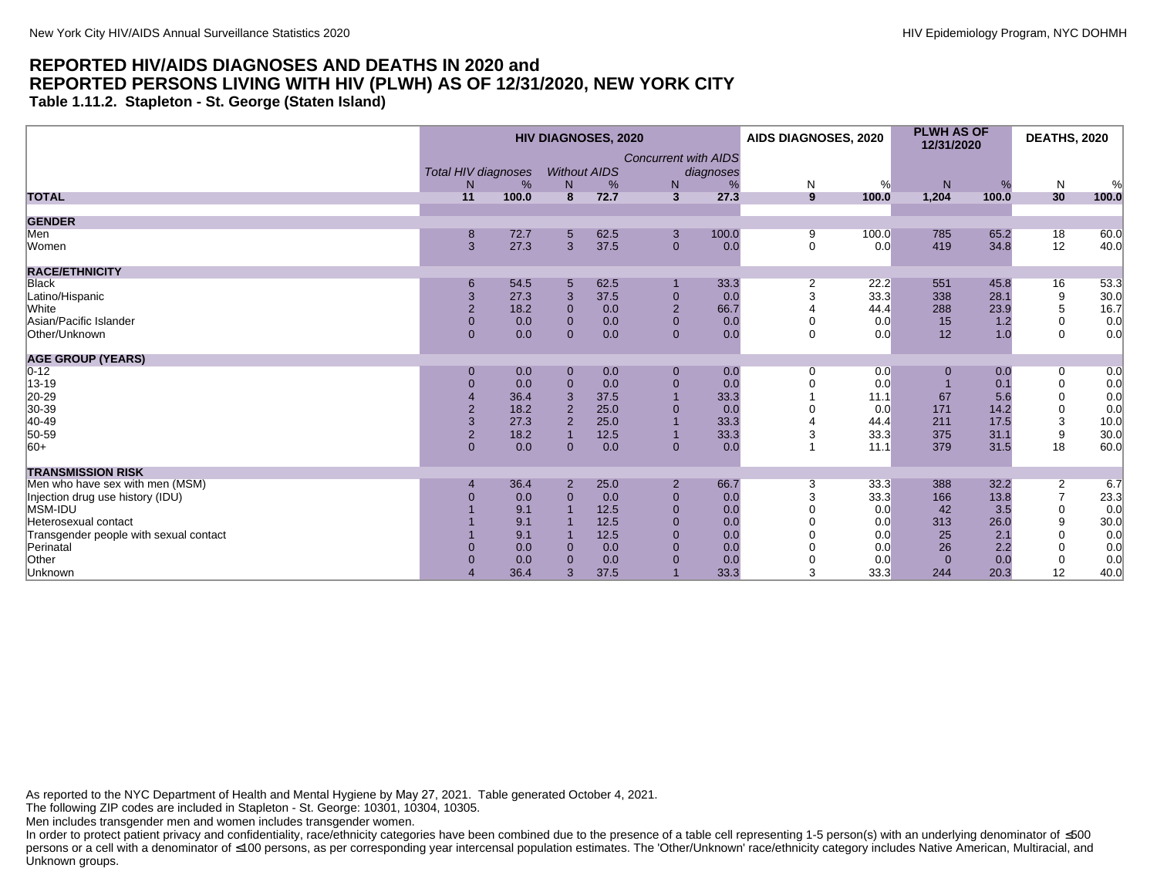**Table 1.11.2. Stapleton - St. George (Staten Island)**

|                                        | <b>HIV DIAGNOSES, 2020</b>                                                |       |                |      |                |       | AIDS DIAGNOSES, 2020 |       | <b>PLWH AS OF</b><br>12/31/2020 |       | <b>DEATHS, 2020</b> |       |
|----------------------------------------|---------------------------------------------------------------------------|-------|----------------|------|----------------|-------|----------------------|-------|---------------------------------|-------|---------------------|-------|
|                                        | <b>Concurrent with AIDS</b><br>Total HIV diagnoses<br><b>Without AIDS</b> |       | diagnoses      |      |                |       |                      |       |                                 |       |                     |       |
|                                        | N                                                                         | %     | N              | %    | N              | %     | N                    | %     | N                               | %     | N                   | %     |
| <b>TOTAL</b>                           | 11                                                                        | 100.0 | $\overline{8}$ | 72.7 | $\mathbf{3}$   | 27.3  | 9                    | 100.0 | 1,204                           | 100.0 | 30                  | 100.0 |
| <b>GENDER</b>                          |                                                                           |       |                |      |                |       |                      |       |                                 |       |                     |       |
| Men                                    | 8                                                                         | 72.7  | 5              | 62.5 | 3              | 100.0 | 9                    | 100.0 | 785                             | 65.2  | 18                  | 60.0  |
| Women                                  | 3                                                                         | 27.3  | $\overline{3}$ | 37.5 | $\mathbf{0}$   | 0.0   | $\mathbf 0$          | 0.0   | 419                             | 34.8  | 12                  | 40.0  |
| <b>RACE/ETHNICITY</b>                  |                                                                           |       |                |      |                |       |                      |       |                                 |       |                     |       |
| <b>Black</b>                           | 6                                                                         | 54.5  | 5              | 62.5 |                | 33.3  | 2                    | 22.2  | 551                             | 45.8  | 16                  | 53.3  |
| Latino/Hispanic                        | $\mathbf{3}$                                                              | 27.3  | 3              | 37.5 | $\mathbf 0$    | 0.0   | 3                    | 33.3  | 338                             | 28.1  | $\boldsymbol{9}$    | 30.0  |
| White                                  | $\overline{2}$                                                            | 18.2  | $\Omega$       | 0.0  | $\overline{2}$ | 66.7  |                      | 44.4  | 288                             | 23.9  | 5                   | 16.7  |
| Asian/Pacific Islander                 | $\mathbf 0$                                                               | 0.0   | $\overline{0}$ | 0.0  | $\mathbf{0}$   | 0.0   |                      | 0.0   | 15                              | 1.2   | 0                   | 0.0   |
| Other/Unknown                          | $\mathbf{0}$                                                              | 0.0   | $\Omega$       | 0.0  | $\overline{0}$ | 0.0   | $\Omega$             | 0.0   | 12                              | 1.0   | $\mathbf 0$         | 0.0   |
| <b>AGE GROUP (YEARS)</b>               |                                                                           |       |                |      |                |       |                      |       |                                 |       |                     |       |
| $0 - 12$                               | $\mathbf 0$                                                               | 0.0   | $\mathbf 0$    | 0.0  | $\mathbf{0}$   | 0.0   | 0                    | 0.0   | $\mathbf 0$                     | 0.0   | 0                   | 0.0   |
| 13-19                                  |                                                                           | 0.0   | $\Omega$       | 0.0  | $\mathbf 0$    | 0.0   |                      | 0.0   |                                 | 0.1   | 0                   | 0.0   |
| 20-29                                  |                                                                           | 36.4  | 3              | 37.5 |                | 33.3  |                      | 11.1  | 67                              | 5.6   | 0                   | 0.0   |
| 30-39                                  |                                                                           | 18.2  | $\overline{2}$ | 25.0 | $\Omega$       | 0.0   |                      | 0.0   | 171                             | 14.2  | 0                   | 0.0   |
| 40-49                                  |                                                                           | 27.3  | $\overline{2}$ | 25.0 |                | 33.3  |                      | 44.4  | 211                             | 17.5  | 3                   | 10.0  |
| 50-59                                  | $\overline{2}$                                                            | 18.2  |                | 12.5 |                | 33.3  |                      | 33.3  | 375                             | 31.1  | 9                   | 30.0  |
| $ 60+$                                 | $\mathbf{0}$                                                              | 0.0   | $\Omega$       | 0.0  | $\mathbf{0}$   | 0.0   |                      | 11.1  | 379                             | 31.5  | 18                  | 60.0  |
| <b>TRANSMISSION RISK</b>               |                                                                           |       |                |      |                |       |                      |       |                                 |       |                     |       |
| Men who have sex with men (MSM)        |                                                                           | 36.4  | $\overline{2}$ | 25.0 | $\overline{2}$ | 66.7  | 3                    | 33.3  | 388                             | 32.2  | $\overline{2}$      | 6.7   |
| Injection drug use history (IDU)       |                                                                           | 0.0   | $\Omega$       | 0.0  | $\mathbf{0}$   | 0.0   | 3                    | 33.3  | 166                             | 13.8  | $\overline{7}$      | 23.3  |
| MSM-IDU                                |                                                                           | 9.1   |                | 12.5 | $\mathbf{0}$   | 0.0   |                      | 0.0   | 42                              | 3.5   | $\mathbf 0$         | 0.0   |
| Heterosexual contact                   |                                                                           | 9.1   |                | 12.5 | $\Omega$       | 0.0   |                      | 0.0   | 313                             | 26.0  | 9                   | 30.0  |
| Transgender people with sexual contact |                                                                           | 9.1   |                | 12.5 | $\overline{0}$ | 0.0   |                      | 0.0   | 25                              | 2.1   | 0                   | 0.0   |
| Perinatal                              |                                                                           | 0.0   | $\Omega$       | 0.0  | $\mathbf{0}$   | 0.0   |                      | 0.0   | 26                              | 2.2   | $\Omega$            | 0.0   |
| Other                                  |                                                                           | 0.0   | $\Omega$       | 0.0  | $\Omega$       | 0.0   |                      | 0.0   | $\overline{0}$                  | 0.0   | 0                   | 0.0   |
| Unknown                                |                                                                           | 36.4  | 3              | 37.5 |                | 33.3  | 3                    | 33.3  | 244                             | 20.3  | 12                  | 40.0  |

As reported to the NYC Department of Health and Mental Hygiene by May 27, 2021. Table generated October 4, 2021.

The following ZIP codes are included in Stapleton - St. George: 10301, 10304, 10305.

Men includes transgender men and women includes transgender women.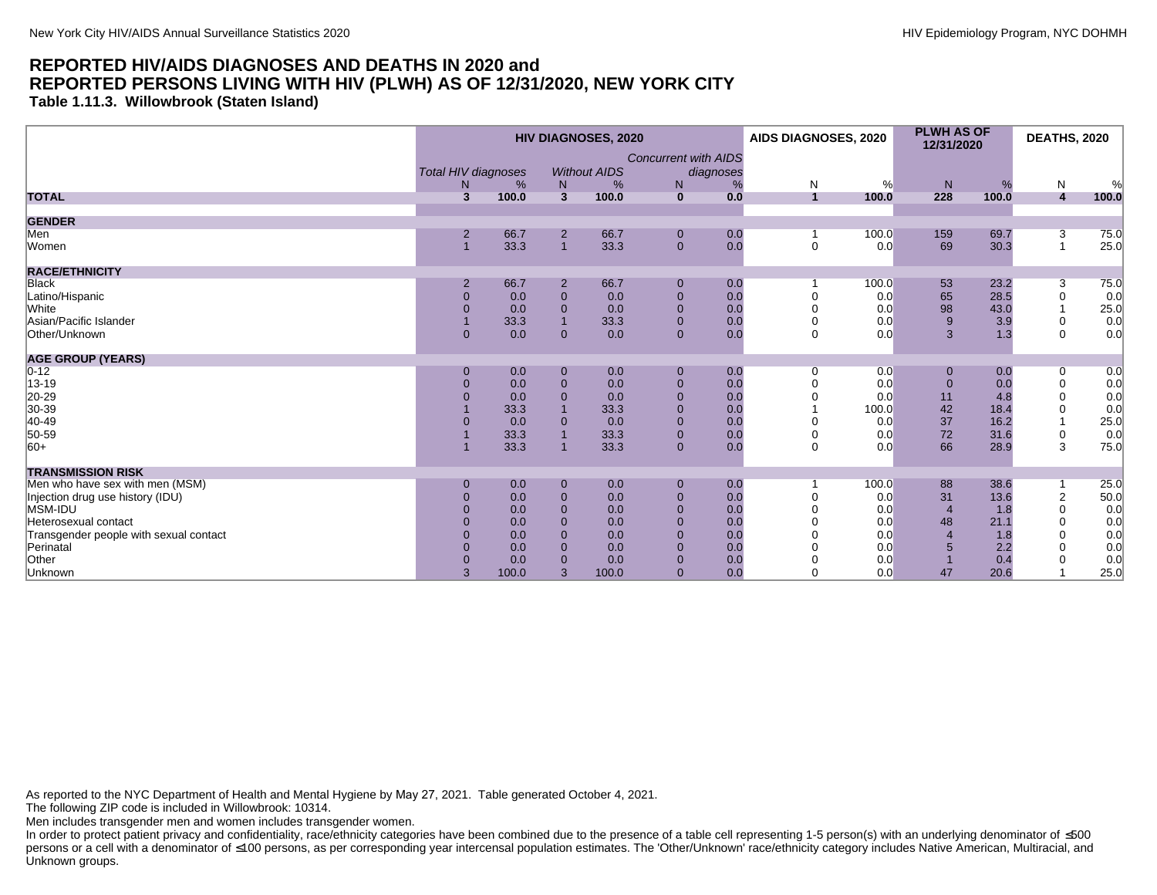**Table 1.11.3. Willowbrook (Staten Island)**

|                                        |                | <b>HIV DIAGNOSES, 2020</b>                                        |                              |       |                |                                               |                     | AIDS DIAGNOSES, 2020 |                        | <b>PLWH AS OF</b><br>12/31/2020 | <b>DEATHS, 2020</b> |            |
|----------------------------------------|----------------|-------------------------------------------------------------------|------------------------------|-------|----------------|-----------------------------------------------|---------------------|----------------------|------------------------|---------------------------------|---------------------|------------|
|                                        |                | <b>Total HIV diagnoses</b><br><b>Without AIDS</b><br>%<br>N.<br>% |                              |       | N              | <b>Concurrent with AIDS</b><br>diagnoses<br>% |                     |                      |                        |                                 | N                   |            |
| <b>TOTAL</b>                           | 3              | 100.0                                                             | N<br>$\overline{\mathbf{3}}$ | 100.0 | $\mathbf{0}$   | 0.0                                           | N<br>$\overline{1}$ | %<br>100.0           | N <sub>1</sub><br>228  | %<br>100.0                      | $\overline{4}$      | %<br>100.0 |
| <b>GENDER</b>                          |                |                                                                   |                              |       |                |                                               |                     |                      |                        |                                 |                     |            |
| Men                                    | $\overline{2}$ | 66.7                                                              | $\overline{2}$               | 66.7  | $\mathbf 0$    | 0.0                                           |                     | 100.0                | 159                    | 69.7                            | 3                   | 75.0       |
| Women                                  |                | 33.3                                                              | $\overline{1}$               | 33.3  | $\mathbf{0}$   | 0.0                                           | $\mathbf 0$         | 0.0                  | 69                     | 30.3                            | $\overline{1}$      | 25.0       |
| <b>RACE/ETHNICITY</b>                  |                |                                                                   |                              |       |                |                                               |                     |                      |                        |                                 |                     |            |
| Black                                  | $\overline{2}$ | 66.7                                                              | $\overline{2}$               | 66.7  | $\mathbf 0$    | 0.0                                           |                     | 100.0                | 53                     | 23.2                            | 3                   | 75.0       |
| Latino/Hispanic                        | $\overline{0}$ | 0.0                                                               | $\mathbf{0}$                 | 0.0   | $\overline{0}$ | 0.0                                           |                     | 0.0                  | 65                     | 28.5                            | $\mathbf 0$         | 0.0        |
| White                                  | $\Omega$       | 0.0                                                               | $\mathbf{0}$                 | 0.0   | $\overline{0}$ | 0.0                                           |                     | 0.0                  | 98                     | 43.0                            |                     | 25.0       |
| Asian/Pacific Islander                 |                | 33.3                                                              | $\overline{1}$               | 33.3  | $\mathbf 0$    | 0.0                                           | $\Omega$            | 0.0                  | 9                      | 3.9                             | 0                   | 0.0        |
| Other/Unknown                          | $\Omega$       | 0.0                                                               | $\mathbf{0}$                 | 0.0   | $\mathbf{0}$   | 0.0                                           | $\mathbf 0$         | 0.0                  | 3                      | 1.3                             | $\Omega$            | 0.0        |
| <b>AGE GROUP (YEARS)</b>               |                |                                                                   |                              |       |                |                                               |                     |                      |                        |                                 |                     |            |
| $0 - 12$                               | $\Omega$       | 0.0                                                               | $\mathbf 0$                  | 0.0   | $\mathbf 0$    | 0.0                                           | 0                   | 0.0                  | 0                      | 0.0                             | 0                   | 0.0        |
| 13-19                                  | $\Omega$       | 0.0                                                               | $\mathbf 0$                  | 0.0   | $\mathbf 0$    | 0.0                                           |                     | 0.0                  | $\mathbf{0}$           | 0.0                             | $\mathbf 0$         | 0.0        |
| 20-29                                  |                | 0.0                                                               | $\Omega$                     | 0.0   | $\overline{0}$ | 0.0                                           |                     | 0.0                  | 11                     | 4.8                             | $\Omega$            | 0.0        |
| 30-39                                  |                | 33.3                                                              |                              | 33.3  | $\mathbf 0$    | 0.0                                           |                     | 100.0                | 42                     | 18.4                            | $\Omega$            | 0.0        |
| 40-49                                  |                | 0.0                                                               | $\overline{0}$               | 0.0   | $\mathbf 0$    | 0.0                                           |                     | 0.0                  | 37                     | 16.2                            |                     | 25.0       |
| 50-59                                  |                | 33.3                                                              |                              | 33.3  | $\pmb{0}$      | 0.0                                           | $\Omega$            | 0.0                  | 72                     | 31.6                            | 0                   | 0.0        |
| $ 60+$                                 |                | 33.3                                                              |                              | 33.3  | $\mathbf{0}$   | 0.0                                           | $\Omega$            | 0.0                  | 66                     | 28.9                            | 3                   | 75.0       |
| <b>TRANSMISSION RISK</b>               |                |                                                                   |                              |       |                |                                               |                     |                      |                        |                                 |                     |            |
| Men who have sex with men (MSM)        | $\Omega$       | 0.0                                                               | $\mathbf 0$                  | 0.0   | $\mathbf 0$    | 0.0                                           |                     | 100.0                | 88                     | 38.6                            |                     | 25.0       |
| Injection drug use history (IDU)       |                | 0.0                                                               | $\mathbf{0}$                 | 0.0   | $\mathbf 0$    | 0.0                                           |                     | 0.0                  | 31                     | 13.6                            | $\overline{c}$      | 50.0       |
| MSM-IDU                                |                | 0.0                                                               | $\overline{0}$               | 0.0   | $\mathbf{0}$   | 0.0                                           |                     | 0.0                  | $\overline{4}$         | 1.8                             | $\Omega$            | 0.0        |
| Heterosexual contact                   |                | 0.0                                                               | $\overline{0}$               | 0.0   | $\mathbf{0}$   | 0.0                                           |                     | 0.0                  | 48                     | 21.1                            | $\Omega$            | 0.0        |
| Transgender people with sexual contact | $\Omega$       | 0.0                                                               | $\overline{0}$               | 0.0   | $\mathbf 0$    | 0.0                                           |                     | 0.0                  | $\boldsymbol{\Lambda}$ | 1.8                             | $\Omega$            | 0.0        |
| Perinatal                              | $\Omega$       | 0.0                                                               | $\overline{0}$               | 0.0   | $\mathbf{0}$   | 0.0                                           |                     | 0.0                  |                        | 2.2                             |                     | 0.0        |
| Other                                  |                | 0.0                                                               | $\Omega$                     | 0.0   | $\overline{0}$ | 0.0                                           |                     | 0.0                  |                        | 0.4                             |                     | 0.0        |
| Unknown                                | 3              | 100.0                                                             | 3                            | 100.0 | $\mathbf{0}$   | 0.0                                           |                     | 0.0                  | 47                     | 20.6                            |                     | 25.0       |

As reported to the NYC Department of Health and Mental Hygiene by May 27, 2021. Table generated October 4, 2021.

The following ZIP code is included in Willowbrook: 10314.

Men includes transgender men and women includes transgender women.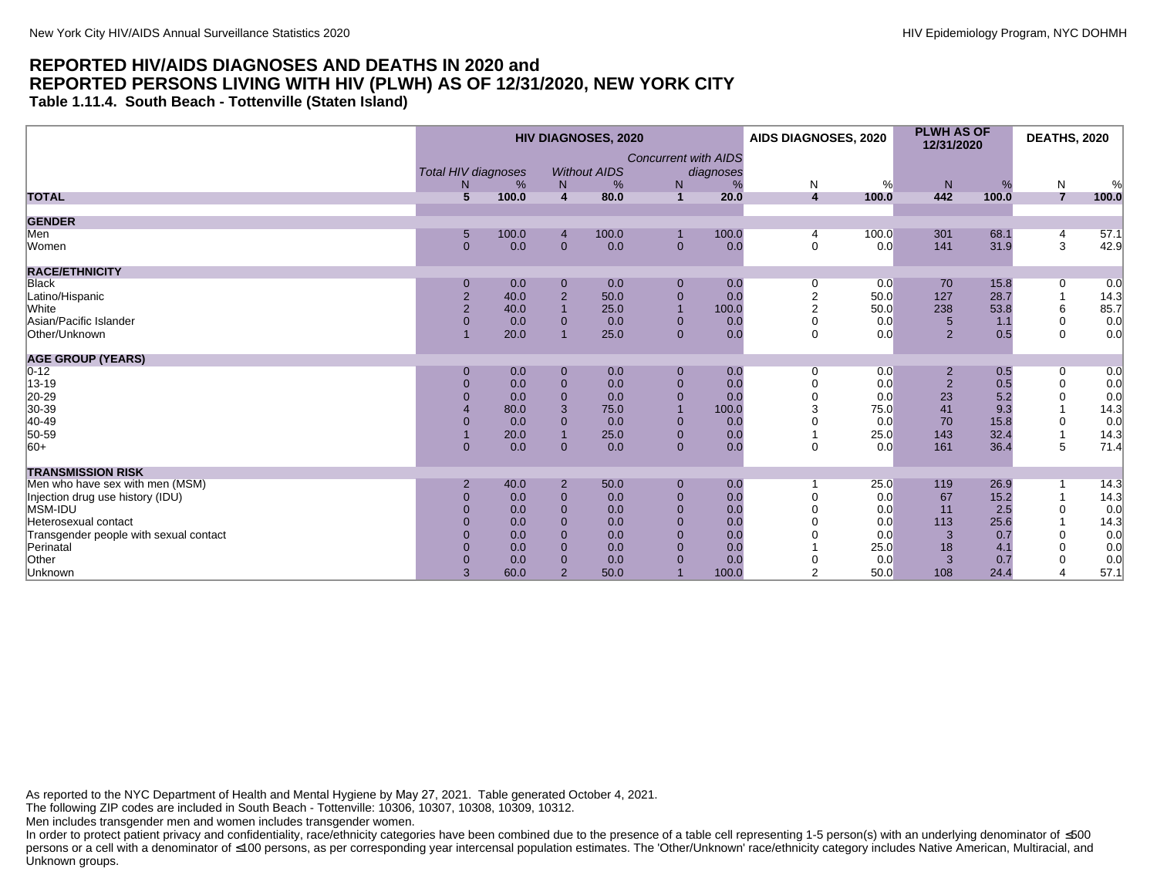**Table 1.11.4. South Beach - Tottenville (Staten Island)**

|                                        |                 | <b>HIV DIAGNOSES, 2020</b>                                                             |                |       |                |       |                | <b>PLWH AS OF</b><br>AIDS DIAGNOSES, 2020<br>12/31/2020 |                | <b>DEATHS, 2020</b> |                |       |
|----------------------------------------|-----------------|----------------------------------------------------------------------------------------|----------------|-------|----------------|-------|----------------|---------------------------------------------------------|----------------|---------------------|----------------|-------|
|                                        |                 | <b>Concurrent with AIDS</b><br>Total HIV diagnoses<br><b>Without AIDS</b><br>diagnoses |                |       |                |       |                |                                                         |                |                     |                |       |
|                                        | N               | %                                                                                      | N              | %     | $\mathsf{N}$   | %     | N              | %                                                       | N              | %                   | ${\sf N}$      | %     |
| <b>TOTAL</b>                           | $5\overline{5}$ | 100.0                                                                                  | $\overline{4}$ | 80.0  | $\mathbf{1}$   | 20.0  | 4              | 100.0                                                   | 442            | 100.0               | $\overline{7}$ | 100.0 |
| <b>GENDER</b>                          |                 |                                                                                        |                |       |                |       |                |                                                         |                |                     |                |       |
| Men                                    | 5               | 100.0                                                                                  | $\overline{4}$ | 100.0 |                | 100.0 |                | 100.0                                                   | 301            | 68.1                | 4              | 57.1  |
| Women                                  | $\mathbf{0}$    | 0.0                                                                                    | $\overline{0}$ | 0.0   | $\mathbf{0}$   | 0.0   | $\mathbf 0$    | 0.0                                                     | 141            | 31.9                | 3              | 42.9  |
| <b>RACE/ETHNICITY</b>                  |                 |                                                                                        |                |       |                |       |                |                                                         |                |                     |                |       |
| <b>Black</b>                           | $\bf{0}$        | 0.0                                                                                    | $\bf{0}$       | 0.0   | $\mathbf 0$    | 0.0   |                | 0.0                                                     | 70             | 15.8                | 0              | 0.0   |
| Latino/Hispanic                        | $\overline{c}$  | 40.0                                                                                   | $\sqrt{2}$     | 50.0  | $\mathbf 0$    | 0.0   |                | 50.0                                                    | 127            | 28.7                |                | 14.3  |
| White                                  | $\overline{2}$  | 40.0                                                                                   | $\overline{1}$ | 25.0  | $\overline{1}$ | 100.0 | $\overline{2}$ | 50.0                                                    | 238            | 53.8                | 6              | 85.7  |
| Asian/Pacific Islander                 | $\Omega$        | 0.0                                                                                    | $\mathbf{0}$   | 0.0   | $\mathbf{0}$   | 0.0   | $\Omega$       | 0.0                                                     | 5              | 1.1                 | $\mathbf 0$    | 0.0   |
| Other/Unknown                          |                 | 20.0                                                                                   | $\overline{1}$ | 25.0  | $\overline{0}$ | 0.0   | $\Omega$       | 0.0                                                     | $\overline{2}$ | 0.5                 | $\Omega$       | 0.0   |
| <b>AGE GROUP (YEARS)</b>               |                 |                                                                                        |                |       |                |       |                |                                                         |                |                     |                |       |
| $0 - 12$                               | $\mathbf 0$     | 0.0                                                                                    | $\bf{0}$       | 0.0   | $\mathbf 0$    | 0.0   | $\Omega$       | 0.0                                                     | 2              | 0.5                 | 0              | 0.0   |
| 13-19                                  | $\Omega$        | 0.0                                                                                    | $\mathbf 0$    | 0.0   | $\mathbf{0}$   | 0.0   |                | 0.0                                                     | $\overline{2}$ | 0.5                 | $\mathbf 0$    | 0.0   |
| 20-29                                  |                 | 0.0                                                                                    | $\mathbf 0$    | 0.0   | $\mathbf{0}$   | 0.0   |                | 0.0                                                     | 23             | 5.2                 | 0              | 0.0   |
| 30-39                                  |                 | 80.0                                                                                   | 3              | 75.0  | $\overline{1}$ | 100.0 |                | 75.0                                                    | 41             | 9.3                 |                | 14.3  |
| 40-49                                  |                 | 0.0                                                                                    | $\mathbf{0}$   | 0.0   | $\mathbf 0$    | 0.0   |                | 0.0                                                     | 70             | 15.8                | 0              | 0.0   |
| 50-59                                  |                 | 20.0                                                                                   | $\overline{1}$ | 25.0  | $\mathbf{0}$   | 0.0   |                | 25.0                                                    | 143            | 32.4                |                | 14.3  |
| $ 60+$                                 | $\mathbf{0}$    | 0.0                                                                                    | $\Omega$       | 0.0   | $\mathbf{0}$   | 0.0   | $\Omega$       | 0.0                                                     | 161            | 36.4                | 5              | 71.4  |
| <b>TRANSMISSION RISK</b>               |                 |                                                                                        |                |       |                |       |                |                                                         |                |                     |                |       |
| Men who have sex with men (MSM)        |                 | 40.0                                                                                   | $\overline{2}$ | 50.0  | $\mathbf 0$    | 0.0   |                | 25.0                                                    | 119            | 26.9                |                | 14.3  |
| Injection drug use history (IDU)       | $\Omega$        | 0.0                                                                                    | $\mathbf{0}$   | 0.0   | $\mathbf{0}$   | 0.0   |                | 0.0                                                     | 67             | 15.2                |                | 14.3  |
| MSM-IDU                                | $\Omega$        | 0.0                                                                                    | $\Omega$       | 0.0   | $\mathbf{0}$   | 0.0   |                | 0.0                                                     | 11             | 2.5                 | $\Omega$       | 0.0   |
| Heterosexual contact                   | $\Omega$        | 0.0                                                                                    | $\overline{0}$ | 0.0   | $\mathbf{0}$   | 0.0   |                | 0.0                                                     | 113            | 25.6                |                | 14.3  |
| Transgender people with sexual contact |                 | 0.0                                                                                    | $\Omega$       | 0.0   | $\mathbf{0}$   | 0.0   |                | 0.0                                                     | 3              | 0.7                 | $\mathbf 0$    | 0.0   |
| Perinatal                              |                 | 0.0                                                                                    | $\mathbf{0}$   | 0.0   | $\mathbf 0$    | 0.0   |                | 25.0                                                    | 18             | 4.1                 | $\Omega$       | 0.0   |
| Other                                  |                 | 0.0                                                                                    | $\mathbf{0}$   | 0.0   | $\overline{0}$ | 0.0   |                | 0.0                                                     | 3              | 0.7                 | $\Omega$       | 0.0   |
| Unknown                                | 3               | 60.0                                                                                   | $\overline{2}$ | 50.0  |                | 100.0 | $\overline{2}$ | 50.0                                                    | 108            | 24.4                |                | 57.1  |

As reported to the NYC Department of Health and Mental Hygiene by May 27, 2021. Table generated October 4, 2021.

The following ZIP codes are included in South Beach - Tottenville: 10306, 10307, 10308, 10309, 10312.

Men includes transgender men and women includes transgender women.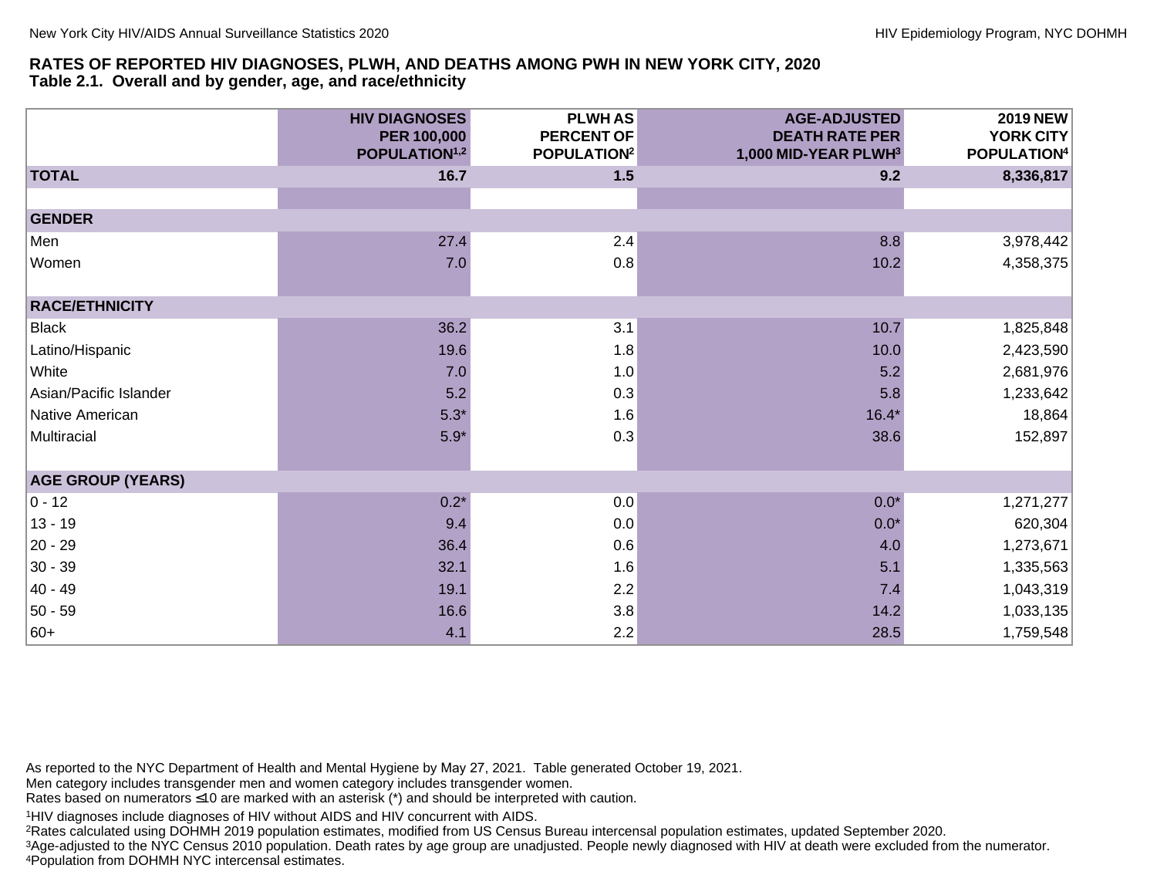#### **RATES OF REPORTED HIV DIAGNOSES, PLWH, AND DEATHS AMONG PWH IN NEW YORK CITY, 2020 Table 2.1. Overall and by gender, age, and race/ethnicity**

|                          | <b>HIV DIAGNOSES</b><br><b>PER 100,000</b><br>POPULATION <sup>1,2</sup> | <b>PLWHAS</b><br><b>PERCENT OF</b><br>POPULATION <sup>2</sup> | <b>AGE-ADJUSTED</b><br><b>DEATH RATE PER</b><br>1,000 MID-YEAR PLWH3 | 2019 NEW<br>YORK CITY<br>POPULATION <sup>4</sup> |
|--------------------------|-------------------------------------------------------------------------|---------------------------------------------------------------|----------------------------------------------------------------------|--------------------------------------------------|
| <b>TOTAL</b>             | 16.7                                                                    | 1.5                                                           | 9.2                                                                  | 8,336,817                                        |
|                          |                                                                         |                                                               |                                                                      |                                                  |
| <b>GENDER</b>            |                                                                         |                                                               |                                                                      |                                                  |
| Men                      | 27.4                                                                    | 2.4                                                           | 8.8                                                                  | 3,978,442                                        |
| Women                    | 7.0                                                                     | 0.8                                                           | 10.2                                                                 | 4,358,375                                        |
|                          |                                                                         |                                                               |                                                                      |                                                  |
| <b>RACE/ETHNICITY</b>    |                                                                         |                                                               |                                                                      |                                                  |
| Black                    | 36.2                                                                    | 3.1                                                           | 10.7                                                                 | 1,825,848                                        |
| Latino/Hispanic          | 19.6                                                                    | 1.8                                                           | 10.0                                                                 | 2,423,590                                        |
| White                    | 7.0                                                                     | 1.0                                                           | 5.2                                                                  | 2,681,976                                        |
| Asian/Pacific Islander   | 5.2                                                                     | 0.3                                                           | 5.8                                                                  | 1,233,642                                        |
| Native American          | $5.3*$                                                                  | 1.6                                                           | $16.4*$                                                              | 18,864                                           |
| Multiracial              | $5.9*$                                                                  | 0.3                                                           | 38.6                                                                 | 152,897                                          |
|                          |                                                                         |                                                               |                                                                      |                                                  |
| <b>AGE GROUP (YEARS)</b> |                                                                         |                                                               |                                                                      |                                                  |
| $ 0 - 12 $               | $0.2*$                                                                  | 0.0                                                           | $0.0*$                                                               | 1,271,277                                        |
| $13 - 19$                | 9.4                                                                     | 0.0                                                           | $0.0*$                                                               | 620,304                                          |
| 20 - 29                  | 36.4                                                                    | 0.6                                                           | 4.0                                                                  | 1,273,671                                        |
| $30 - 39$                | 32.1                                                                    | 1.6                                                           | 5.1                                                                  | 1,335,563                                        |
| $ 40 - 49 $              | 19.1                                                                    | 2.2                                                           | 7.4                                                                  | 1,043,319                                        |
| $ 50 - 59 $              | 16.6                                                                    | 3.8                                                           | 14.2                                                                 | 1,033,135                                        |
| 60+                      | 4.1                                                                     | 2.2                                                           | 28.5                                                                 | 1,759,548                                        |

As reported to the NYC Department of Health and Mental Hygiene by May 27, 2021. Table generated October 19, 2021.

Men category includes transgender men and women category includes transgender women.

Rates based on numerators ≤10 are marked with an asterisk (\*) and should be interpreted with caution.

<sup>1</sup>HIV diagnoses include diagnoses of HIV without AIDS and HIV concurrent with AIDS.

<sup>2</sup>Rates calculated using DOHMH 2019 population estimates, modified from US Census Bureau intercensal population estimates, updated September 2020.

3Age-adjusted to the NYC Census 2010 population. Death rates by age group are unadjusted. People newly diagnosed with HIV at death were excluded from the numerator. <sup>4</sup>Population from DOHMH NYC intercensal estimates.